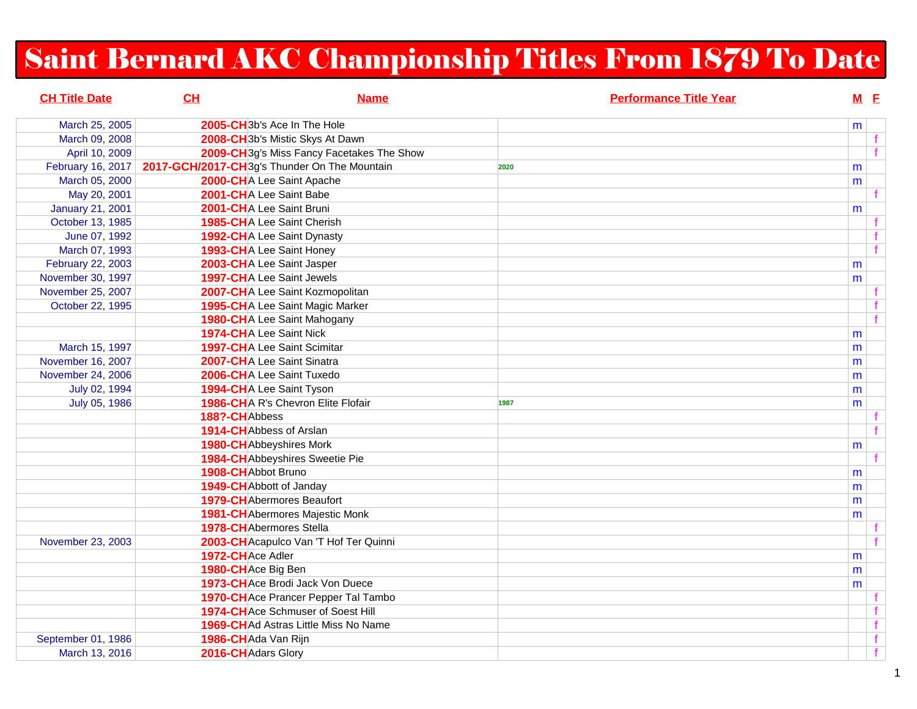## Saint Bernard AKC Championship Titles From 1879 To Date

| <b>CH Title Date</b>    | CH                  | <b>Name</b>                                           |      | <b>Performance Title Year</b> | $M$ E |    |
|-------------------------|---------------------|-------------------------------------------------------|------|-------------------------------|-------|----|
| March 25, 2005          |                     | 2005-CH <sub>3b</sub> 's Ace In The Hole              |      |                               | m     |    |
| March 09, 2008          |                     | 2008-CH <sub>3b's</sub> Mistic Skys At Dawn           |      |                               |       | f  |
| April 10, 2009          |                     | 2009-CH <sub>3g's</sub> Miss Fancy Facetakes The Show |      |                               |       | f  |
| February 16, 2017       |                     | 2017-GCH/2017-CH3g's Thunder On The Mountain          | 2020 |                               | m     |    |
| March 05, 2000          |                     | 2000-CHA Lee Saint Apache                             |      |                               | m     |    |
| May 20, 2001            |                     | 2001-CHA Lee Saint Babe                               |      |                               |       | f. |
| <b>January 21, 2001</b> |                     | 2001-CHA Lee Saint Bruni                              |      |                               | m     |    |
| October 13, 1985        |                     | 1985-CHA Lee Saint Cherish                            |      |                               |       | f. |
| June 07, 1992           |                     | 1992-CHA Lee Saint Dynasty                            |      |                               |       |    |
| March 07, 1993          |                     | 1993-CHA Lee Saint Honey                              |      |                               |       | f  |
| February 22, 2003       |                     | 2003-CHA Lee Saint Jasper                             |      |                               | m     |    |
| November 30, 1997       |                     | 1997-CHA Lee Saint Jewels                             |      |                               | m     |    |
| November 25, 2007       |                     | 2007-CHA Lee Saint Kozmopolitan                       |      |                               |       | f. |
| October 22, 1995        |                     | 1995-CHA Lee Saint Magic Marker                       |      |                               |       |    |
|                         |                     | 1980-CHA Lee Saint Mahogany                           |      |                               |       | f  |
|                         |                     | 1974-CHA Lee Saint Nick                               |      |                               | m     |    |
| March 15, 1997          |                     | 1997-CHA Lee Saint Scimitar                           |      |                               | m     |    |
| November 16, 2007       |                     | 2007-CHA Lee Saint Sinatra                            |      |                               | m     |    |
| November 24, 2006       |                     | 2006-CHA Lee Saint Tuxedo                             |      |                               | m     |    |
| July 02, 1994           |                     | 1994-CHA Lee Saint Tyson                              |      |                               | m     |    |
| July 05, 1986           |                     | 1986-CHA R's Chevron Elite Flofair                    | 1987 |                               | m     |    |
|                         | 188?-CHAbbess       |                                                       |      |                               |       |    |
|                         |                     | 1914-CH Abbess of Arslan                              |      |                               |       | f  |
|                         |                     | <b>1980-CH</b> Abbeyshires Mork                       |      |                               | m     |    |
|                         |                     | 1984-CHAbbeyshires Sweetie Pie                        |      |                               |       |    |
|                         | 1908-CH Abbot Bruno |                                                       |      |                               | m     |    |
|                         |                     | 1949-CH Abbott of Janday                              |      |                               | m     |    |
|                         |                     | <b>1979-CH</b> Abermores Beaufort                     |      |                               | m     |    |
|                         |                     | <b>1981-CH</b> Abermores Majestic Monk                |      |                               | m     |    |
|                         |                     | <b>1978-CH</b> Abermores Stella                       |      |                               |       | f. |
| November 23, 2003       |                     | 2003-CH Acapulco Van 'T Hof Ter Quinni                |      |                               |       |    |
|                         | 1972-CHAce Adler    |                                                       |      |                               | m     |    |
|                         | 1980-CHAce Big Ben  |                                                       |      |                               | m     |    |
|                         |                     | 1973-CHAce Brodi Jack Von Duece                       |      |                               | m     |    |
|                         |                     | 1970-CHAce Prancer Pepper Tal Tambo                   |      |                               |       | f. |
|                         |                     | 1974-CHAce Schmuser of Soest Hill                     |      |                               |       | f  |
|                         |                     | 1969-CH Ad Astras Little Miss No Name                 |      |                               |       | f  |
| September 01, 1986      | 1986-CHAda Van Rijn |                                                       |      |                               |       | f  |
| March 13, 2016          | 2016-CH Adars Glory |                                                       |      |                               |       | f  |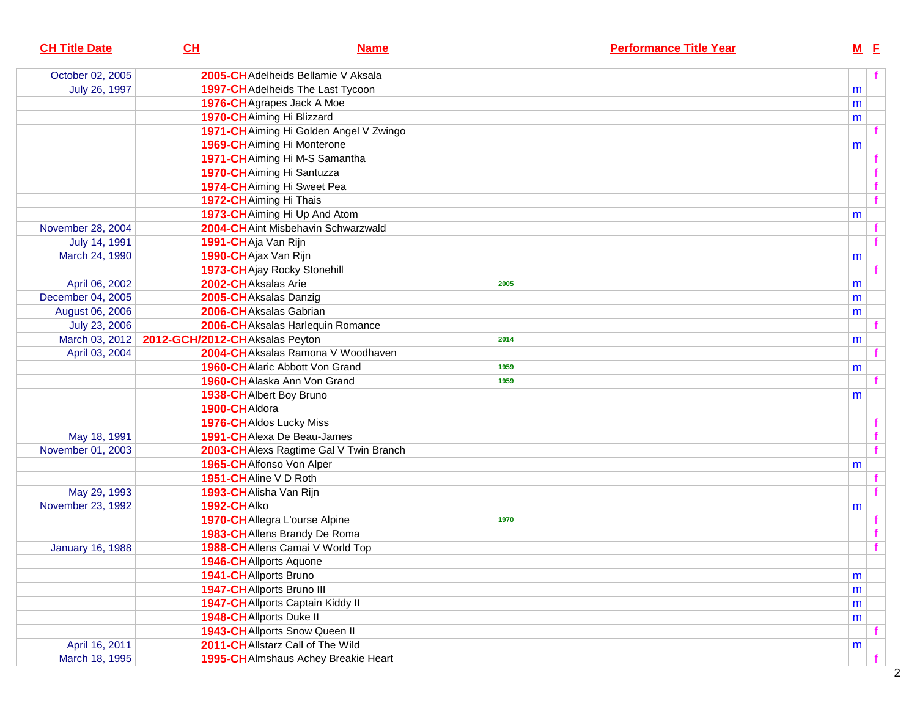| <b>CH Title Date</b>    | CL                                            | <b>Name</b>                             |      | <b>Performance Title Year</b> |   | $M$ E          |   |
|-------------------------|-----------------------------------------------|-----------------------------------------|------|-------------------------------|---|----------------|---|
| October 02, 2005        |                                               | 2005-CH Adelheids Bellamie V Aksala     |      |                               |   |                | f |
| July 26, 1997           |                                               | 1997-CH Adelheids The Last Tycoon       |      |                               | m |                |   |
|                         |                                               | 1976-CH Agrapes Jack A Moe              |      |                               | m |                |   |
|                         |                                               | 1970-CH Aiming Hi Blizzard              |      |                               | m |                |   |
|                         |                                               | 1971-CH Aiming Hi Golden Angel V Zwingo |      |                               |   |                |   |
|                         |                                               | 1969-CH Aiming Hi Monterone             |      |                               | m |                |   |
|                         |                                               | 1971-CHAiming Hi M-S Samantha           |      |                               |   |                |   |
|                         |                                               | 1970-CH Aiming Hi Santuzza              |      |                               |   | f              |   |
|                         |                                               | 1974-CH Aiming Hi Sweet Pea             |      |                               |   | $\mathbf{f}$   |   |
|                         | 1972-CH Aiming Hi Thais                       |                                         |      |                               |   | $\overline{f}$ |   |
|                         |                                               | 1973-CH Aiming Hi Up And Atom           |      |                               | m |                |   |
| November 28, 2004       |                                               | 2004-CH Aint Misbehavin Schwarzwald     |      |                               |   |                |   |
| July 14, 1991           | 1991-CHAja Van Rijn                           |                                         |      |                               |   | $\mathbf{f}$   |   |
| March 24, 1990          | 1990-CHAjax Van Rijn                          |                                         |      |                               | m |                |   |
|                         |                                               | 1973-CH Ajay Rocky Stonehill            |      |                               |   | f              |   |
| April 06, 2002          | 2002-CHAksalas Arie                           |                                         | 2005 |                               | m |                |   |
| December 04, 2005       | 2005-CHAksalas Danzig                         |                                         |      |                               | m |                |   |
| August 06, 2006         |                                               | 2006-CHAksalas Gabrian                  |      |                               | m |                |   |
| July 23, 2006           |                                               | 2006-CHAksalas Harlequin Romance        |      |                               |   |                |   |
|                         | March 03, 2012 2012-GCH/2012-CHAksalas Peyton |                                         | 2014 |                               | m |                |   |
| April 03, 2004          |                                               | 2004-CHAksalas Ramona V Woodhaven       |      |                               |   | f              |   |
|                         |                                               | <b>1960-CH</b> Alaric Abbott Von Grand  | 1959 |                               | m |                |   |
|                         |                                               | 1960-CH Alaska Ann Von Grand            | 1959 |                               |   |                |   |
|                         |                                               | 1938-CHAlbert Boy Bruno                 |      |                               | m |                |   |
|                         | 1900-CHAldora                                 |                                         |      |                               |   |                |   |
|                         |                                               | 1976-CHAIdos Lucky Miss                 |      |                               |   | $\mathbf f$    |   |
| May 18, 1991            |                                               | 1991-CHAIexa De Beau-James              |      |                               |   | $\mathbf{f}$   |   |
| November 01, 2003       |                                               | 2003-CH Alexs Ragtime Gal V Twin Branch |      |                               |   | $\mathbf{f}$   |   |
|                         |                                               | 1965-CH Alfonso Von Alper               |      |                               | m |                |   |
|                         | 1951-CHAline V D Roth                         |                                         |      |                               |   |                |   |
| May 29, 1993            | 1993-CH Alisha Van Rijn                       |                                         |      |                               |   | $\mathbf{f}$   |   |
| November 23, 1992       | 1992-CHAIko                                   |                                         |      |                               | m |                |   |
|                         |                                               | 1970-CH Allegra L'ourse Alpine          | 1970 |                               |   |                |   |
|                         |                                               | 1983-CH Allens Brandy De Roma           |      |                               |   | f              |   |
| <b>January 16, 1988</b> |                                               | 1988-CHAllens Camai V World Top         |      |                               |   | $\mathbf{f}$   |   |
|                         | 1946-CH Allports Aquone                       |                                         |      |                               |   |                |   |
|                         | 1941-CHAllports Bruno                         |                                         |      |                               | m |                |   |
|                         |                                               | 1947-CH Allports Bruno III              |      |                               | m |                |   |
|                         |                                               | 1947-CH Allports Captain Kiddy II       |      |                               | m |                |   |
|                         | <b>1948-CHAllports Duke II</b>                |                                         |      |                               | m |                |   |
|                         |                                               | 1943-CHAllports Snow Queen II           |      |                               |   |                |   |
| April 16, 2011          |                                               | 2011-CHAllstarz Call of The Wild        |      |                               | m |                |   |
| March 18, 1995          |                                               | 1995-CH Almshaus Achey Breakie Heart    |      |                               |   | f              |   |
|                         |                                               |                                         |      |                               |   |                |   |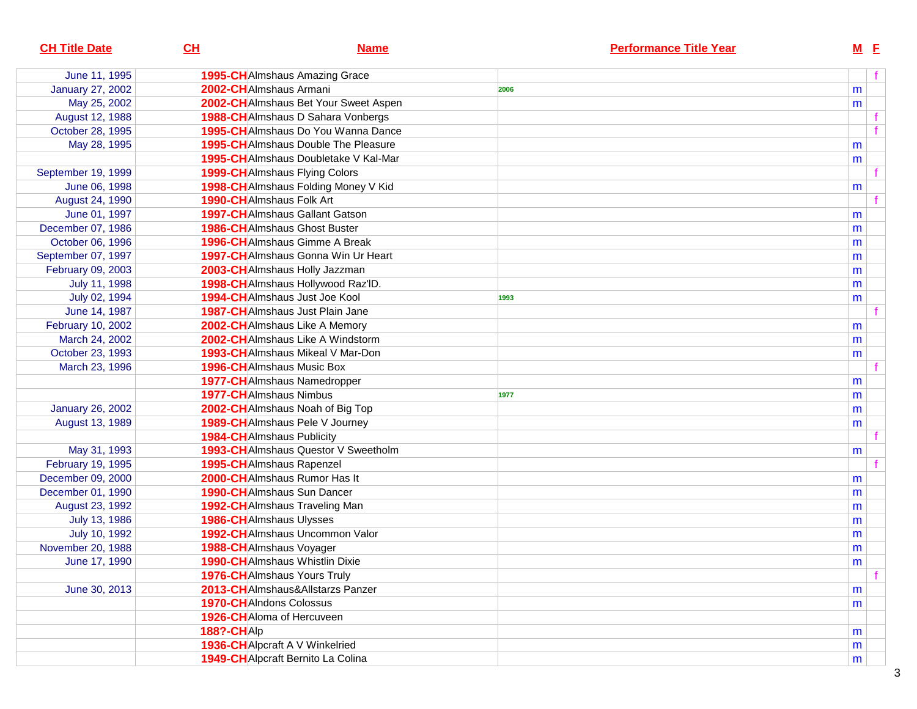| <b>CH Title Date</b>    | CL                | <b>Name</b>                                 |      | <b>Performance Title Year</b> | $M$ E |    |
|-------------------------|-------------------|---------------------------------------------|------|-------------------------------|-------|----|
| June 11, 1995           |                   | 1995-CH Almshaus Amazing Grace              |      |                               |       | f. |
| <b>January 27, 2002</b> |                   | 2002-CHAImshaus Armani                      | 2006 |                               | m     |    |
| May 25, 2002            |                   | 2002-CH Almshaus Bet Your Sweet Aspen       |      |                               | m     |    |
| August 12, 1988         |                   | 1988-CHAImshaus D Sahara Vonbergs           |      |                               |       |    |
| October 28, 1995        |                   | 1995-CH Almshaus Do You Wanna Dance         |      |                               |       |    |
| May 28, 1995            |                   | <b>1995-CH</b> Almshaus Double The Pleasure |      |                               | m     |    |
|                         |                   | 1995-CH Almshaus Doubletake V Kal-Mar       |      |                               | m     |    |
| September 19, 1999      |                   | <b>1999-CH</b> AImshaus Flying Colors       |      |                               |       |    |
| June 06, 1998           |                   | 1998-CH Almshaus Folding Money V Kid        |      |                               | m     |    |
| August 24, 1990         |                   | 1990-CHAImshaus Folk Art                    |      |                               |       |    |
| June 01, 1997           |                   | <b>1997-CH</b> AImshaus Gallant Gatson      |      |                               | m     |    |
| December 07, 1986       |                   | <b>1986-CH</b> AImshaus Ghost Buster        |      |                               | m     |    |
| October 06, 1996        |                   | 1996-CH Almshaus Gimme A Break              |      |                               | m     |    |
| September 07, 1997      |                   | 1997-CH Almshaus Gonna Win Ur Heart         |      |                               | m     |    |
| February 09, 2003       |                   | 2003-CH Almshaus Holly Jazzman              |      |                               | m     |    |
| July 11, 1998           |                   | 1998-CH Almshaus Hollywood Raz'lD.          |      |                               | m     |    |
| July 02, 1994           |                   | <b>1994-CH</b> AImshaus Just Joe Kool       | 1993 |                               | m     |    |
| June 14, 1987           |                   | <b>1987-CH</b> Almshaus Just Plain Jane     |      |                               |       |    |
| February 10, 2002       |                   | 2002-CH Almshaus Like A Memory              |      |                               | m     |    |
| March 24, 2002          |                   | 2002-CHAImshaus Like A Windstorm            |      |                               | m     |    |
| October 23, 1993        |                   | <b>1993-CH</b> AImshaus Mikeal V Mar-Don    |      |                               | m     |    |
| March 23, 1996          |                   | <b>1996-CH</b> Almshaus Music Box           |      |                               |       |    |
|                         |                   | <b>1977-CH</b> Almshaus Namedropper         |      |                               | m     |    |
|                         |                   | <b>1977-CH</b> Almshaus Nimbus              | 1977 |                               | m     |    |
| <b>January 26, 2002</b> |                   | 2002-CH Almshaus Noah of Big Top            |      |                               | m     |    |
| August 13, 1989         |                   | 1989-CH Almshaus Pele V Journey             |      |                               | m     |    |
|                         |                   | <b>1984-CH</b> AImshaus Publicity           |      |                               |       |    |
| May 31, 1993            |                   | 1993-CH Almshaus Questor V Sweetholm        |      |                               | m     |    |
| February 19, 1995       |                   | 1995-CHAImshaus Rapenzel                    |      |                               |       |    |
| December 09, 2000       |                   | 2000-CHAImshaus Rumor Has It                |      |                               | m     |    |
| December 01, 1990       |                   | 1990-CHAImshaus Sun Dancer                  |      |                               | m     |    |
| August 23, 1992         |                   | 1992-CH Almshaus Traveling Man              |      |                               | m     |    |
| July 13, 1986           |                   | <b>1986-CH</b> Almshaus Ulysses             |      |                               | m     |    |
| July 10, 1992           |                   | 1992-CHAImshaus Uncommon Valor              |      |                               | m     |    |
| November 20, 1988       |                   | 1988-CHAImshaus Voyager                     |      |                               | m     |    |
| June 17, 1990           |                   | <b>1990-CH</b> Almshaus Whistlin Dixie      |      |                               | m     |    |
|                         |                   | <b>1976-CH</b> Almshaus Yours Truly         |      |                               |       | f  |
| June 30, 2013           |                   | 2013-CHAImshaus&Allstarzs Panzer            |      |                               | m     |    |
|                         |                   | 1970-CH AIndons Colossus                    |      |                               | m     |    |
|                         |                   | 1926-CH Aloma of Hercuveen                  |      |                               |       |    |
|                         | <b>188?-CHAIp</b> |                                             |      |                               | m     |    |
|                         |                   | 1936-CH Alpcraft A V Winkelried             |      |                               | m     |    |
|                         |                   | 1949-CH Alpcraft Bernito La Colina          |      |                               | m     |    |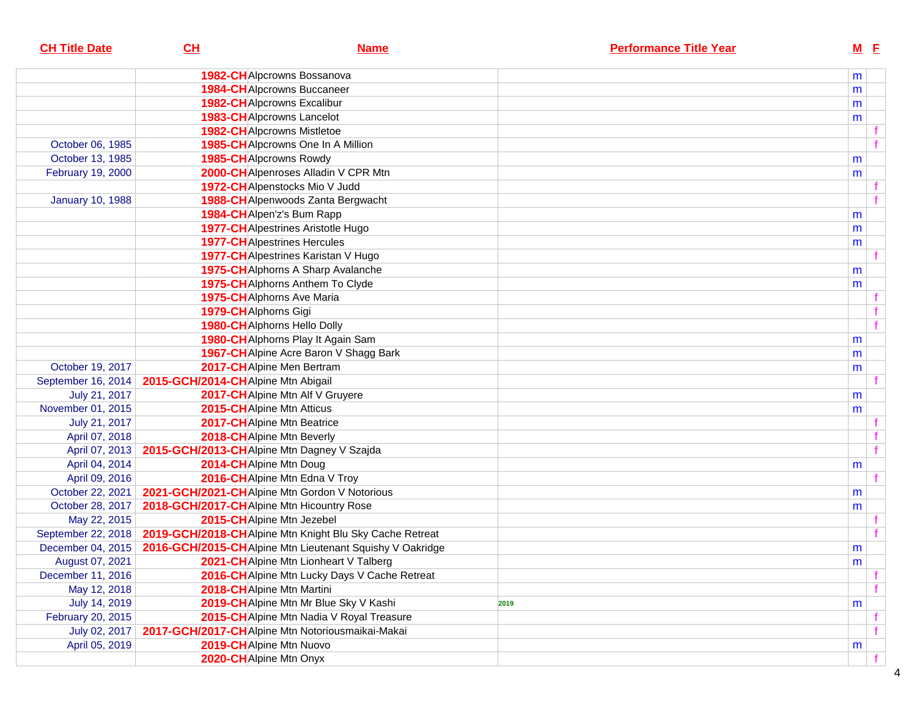| <b>CH Title Date</b>    | CL                                         | <b>Name</b>                                              | <b>Performance Title Year</b> |   | $M$ E |
|-------------------------|--------------------------------------------|----------------------------------------------------------|-------------------------------|---|-------|
|                         |                                            | 1982-CHAlpcrowns Bossanova                               |                               | m |       |
|                         |                                            | <b>1984-CH</b> Alpcrowns Buccaneer                       |                               | m |       |
|                         |                                            | <b>1982-CH</b> Alpcrowns Excalibur                       |                               | m |       |
|                         |                                            | 1983-CH Alpcrowns Lancelot                               |                               | m |       |
|                         |                                            | <b>1982-CH</b> Alpcrowns Mistletoe                       |                               |   |       |
| October 06, 1985        |                                            | 1985-CH Alpcrowns One In A Million                       |                               |   |       |
| October 13, 1985        |                                            | 1985-CHAIpcrowns Rowdy                                   |                               | m |       |
| February 19, 2000       |                                            | 2000-CHAIpenroses Alladin V CPR Mtn                      |                               | m |       |
|                         |                                            | 1972-CH Alpenstocks Mio V Judd                           |                               |   |       |
| <b>January 10, 1988</b> |                                            | 1988-CHAIpenwoods Zanta Bergwacht                        |                               |   |       |
|                         |                                            | 1984-CH Alpen'z's Bum Rapp                               |                               | m |       |
|                         |                                            | <b>1977-CH</b> Alpestrines Aristotle Hugo                |                               | m |       |
|                         |                                            | <b>1977-CH</b> Alpestrines Hercules                      |                               | m |       |
|                         |                                            | 1977-CHAIpestrines Karistan V Hugo                       |                               |   |       |
|                         |                                            | 1975-CH Alphorns A Sharp Avalanche                       |                               | m |       |
|                         |                                            | 1975-CHAlphorns Anthem To Clyde                          |                               | m |       |
|                         |                                            | 1975-CHAlphorns Ave Maria                                |                               |   |       |
|                         | 1979-CHAlphorns Gigi                       |                                                          |                               |   |       |
|                         |                                            | <b>1980-CH</b> Alphorns Hello Dolly                      |                               |   |       |
|                         |                                            | 1980-CHAlphorns Play It Again Sam                        |                               | m |       |
|                         |                                            | 1967-CH Alpine Acre Baron V Shagg Bark                   |                               | m |       |
| October 19, 2017        |                                            | 2017-CHAlpine Men Bertram                                |                               | m |       |
| September 16, 2014      | 2015-GCH/2014-CHAlpine Mtn Abigail         |                                                          |                               |   |       |
| July 21, 2017           |                                            | 2017-CHAlpine Mtn Alf V Gruyere                          |                               | m |       |
| November 01, 2015       |                                            | 2015-CH Alpine Mtn Atticus                               |                               | m |       |
| July 21, 2017           |                                            | 2017-CHAlpine Mtn Beatrice                               |                               |   |       |
| April 07, 2018          |                                            | 2018-CH Alpine Mtn Beverly                               |                               |   |       |
| April 07, 2013          | 2015-GCH/2013-CHAlpine Mtn Dagney V Szajda |                                                          |                               |   |       |
| April 04, 2014          | 2014-CHAlpine Mtn Doug                     |                                                          |                               | m |       |
| April 09, 2016          |                                            | 2016-CHAlpine Mtn Edna V Troy                            |                               |   |       |
| October 22, 2021        |                                            | 2021-GCH/2021-CHAlpine Mtn Gordon V Notorious            |                               | m |       |
| October 28, 2017        | 2018-GCH/2017-CHAlpine Mtn Hicountry Rose  |                                                          |                               | m |       |
| May 22, 2015            |                                            | 2015-CHAlpine Mtn Jezebel                                |                               |   |       |
| September 22, 2018      |                                            | 2019-GCH/2018-CH Alpine Mtn Knight Blu Sky Cache Retreat |                               |   |       |
| December 04, 2015       |                                            | 2016-GCH/2015-CHAlpine Mtn Lieutenant Squishy V Oakridge |                               | m |       |
| August 07, 2021         |                                            | 2021-CH Alpine Mtn Lionheart V Talberg                   |                               | m |       |
| December 11, 2016       |                                            | 2016-CH Alpine Mtn Lucky Days V Cache Retreat            |                               |   |       |
| May 12, 2018            |                                            | 2018-CHAlpine Mtn Martini                                |                               |   |       |
| July 14, 2019           |                                            | 2019-CH Alpine Mtn Mr Blue Sky V Kashi                   | 2019                          | m |       |
| February 20, 2015       |                                            | 2015-CHAlpine Mtn Nadia V Royal Treasure                 |                               |   |       |
| July 02, 2017           |                                            | 2017-GCH/2017-CHAlpine Mtn Notoriousmaikai-Makai         |                               |   |       |
| April 05, 2019          |                                            | 2019-CHAlpine Mtn Nuovo                                  |                               | m |       |
|                         | 2020-CH Alpine Mtn Onyx                    |                                                          |                               |   |       |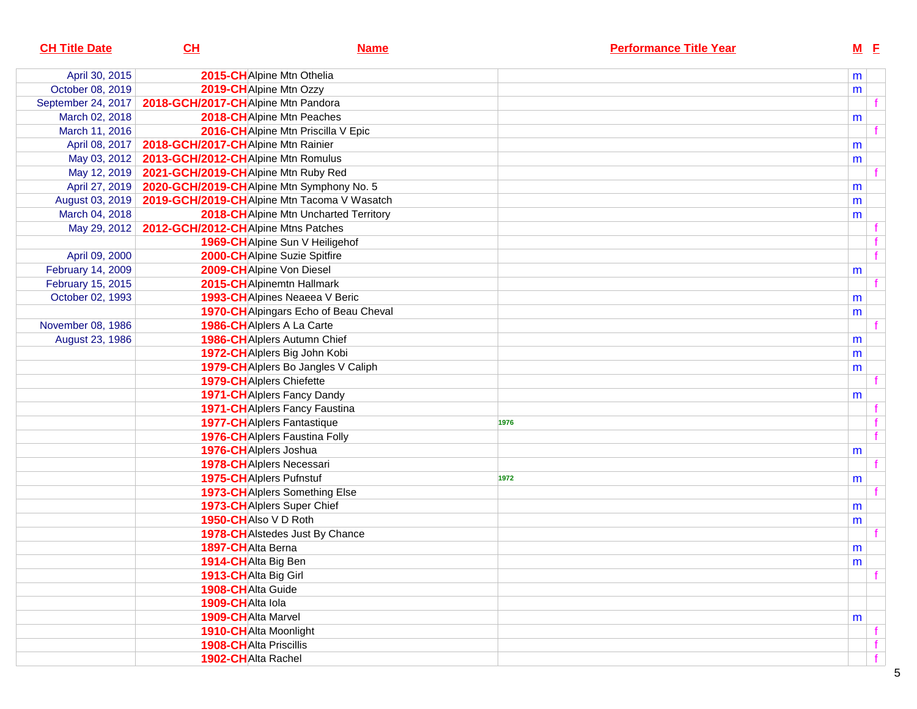| <b>CH Title Date</b> | CL                                                  | <b>Name</b>                            |      | <b>Performance Title Year</b> | <u>M E</u> |    |
|----------------------|-----------------------------------------------------|----------------------------------------|------|-------------------------------|------------|----|
| April 30, 2015       | 2015-CHAlpine Mtn Othelia                           |                                        |      |                               | m          |    |
| October 08, 2019     | 2019-CHAlpine Mtn Ozzy                              |                                        |      |                               | m          |    |
| September 24, 2017   | 2018-GCH/2017-CHAlpine Mtn Pandora                  |                                        |      |                               |            |    |
| March 02, 2018       |                                                     | 2018-CH Alpine Mtn Peaches             |      |                               | m          |    |
| March 11, 2016       |                                                     | 2016-CH Alpine Mtn Priscilla V Epic    |      |                               |            |    |
| April 08, 2017       | 2018-GCH/2017-CHAlpine Mtn Rainier                  |                                        |      |                               | m          |    |
| May 03, 2012         | 2013-GCH/2012-CHAlpine Mtn Romulus                  |                                        |      |                               | m          |    |
| May 12, 2019         | 2021-GCH/2019-CHAlpine Mtn Ruby Red                 |                                        |      |                               |            |    |
| April 27, 2019       | 2020-GCH/2019-CHAlpine Mtn Symphony No. 5           |                                        |      |                               | m          |    |
| August 03, 2019      | 2019-GCH/2019-CHAlpine Mtn Tacoma V Wasatch         |                                        |      |                               | m          |    |
| March 04, 2018       |                                                     | 2018-CH Alpine Mtn Uncharted Territory |      |                               | m          |    |
|                      | May 29, 2012   2012-GCH/2012-CH Alpine Mtns Patches |                                        |      |                               |            | t. |
|                      |                                                     | 1969-CH Alpine Sun V Heiligehof        |      |                               |            |    |
| April 09, 2000       |                                                     | 2000-CH Alpine Suzie Spitfire          |      |                               |            | f  |
| February 14, 2009    | 2009-CHAlpine Von Diesel                            |                                        |      |                               | m          |    |
| February 15, 2015    |                                                     | 2015-CH Alpinemtn Hallmark             |      |                               |            | f. |
| October 02, 1993     |                                                     | 1993-CH Alpines Neaeea V Beric         |      |                               | m          |    |
|                      |                                                     | 1970-CH Alpingars Echo of Beau Cheval  |      |                               | m          |    |
| November 08, 1986    | 1986-CH Alplers A La Carte                          |                                        |      |                               |            |    |
| August 23, 1986      |                                                     | 1986-CH Alplers Autumn Chief           |      |                               | m          |    |
|                      |                                                     | 1972-CH Alplers Big John Kobi          |      |                               | m          |    |
|                      |                                                     | 1979-CHAIplers Bo Jangles V Caliph     |      |                               | m          |    |
|                      | <b>1979-CH</b> Alplers Chiefette                    |                                        |      |                               |            |    |
|                      |                                                     | <b>1971-CH</b> Alplers Fancy Dandy     |      |                               | m          |    |
|                      |                                                     | <b>1971-CH</b> Alplers Fancy Faustina  |      |                               |            | f. |
|                      | <b>1977-CH</b> Alplers Fantastique                  |                                        | 1976 |                               |            | f. |
|                      |                                                     | <b>1976-CH</b> Alplers Faustina Folly  |      |                               |            | f  |
|                      | 1976-CHAIplers Joshua                               |                                        |      |                               | m          |    |
|                      | 1978-CHAIplers Necessari                            |                                        |      |                               |            | f  |
|                      | 1975-CHAIplers Pufnstuf                             |                                        | 1972 |                               | m          |    |
|                      |                                                     | 1973-CH Alplers Something Else         |      |                               |            |    |
|                      | 1973-CHAIplers Super Chief                          |                                        |      |                               | m          |    |
|                      | 1950-CHAIso V D Roth                                |                                        |      |                               | m          |    |
|                      |                                                     | 1978-CH Alstedes Just By Chance        |      |                               |            |    |
|                      | 1897-CHAlta Berna                                   |                                        |      |                               | m          |    |
|                      | 1914-CHAIta Big Ben                                 |                                        |      |                               | m          |    |
|                      | 1913-CHAlta Big Girl                                |                                        |      |                               |            | f  |
|                      | 1908-CHAlta Guide                                   |                                        |      |                               |            |    |
|                      | 1909-CHAlta Iola                                    |                                        |      |                               |            |    |
|                      | 1909-CHAlta Marvel                                  |                                        |      |                               | m          |    |
|                      | 1910-CHAIta Moonlight                               |                                        |      |                               |            | f. |
|                      | <b>1908-CHAlta Priscillis</b>                       |                                        |      |                               |            | f  |
|                      | 1902-CHAlta Rachel                                  |                                        |      |                               |            | f  |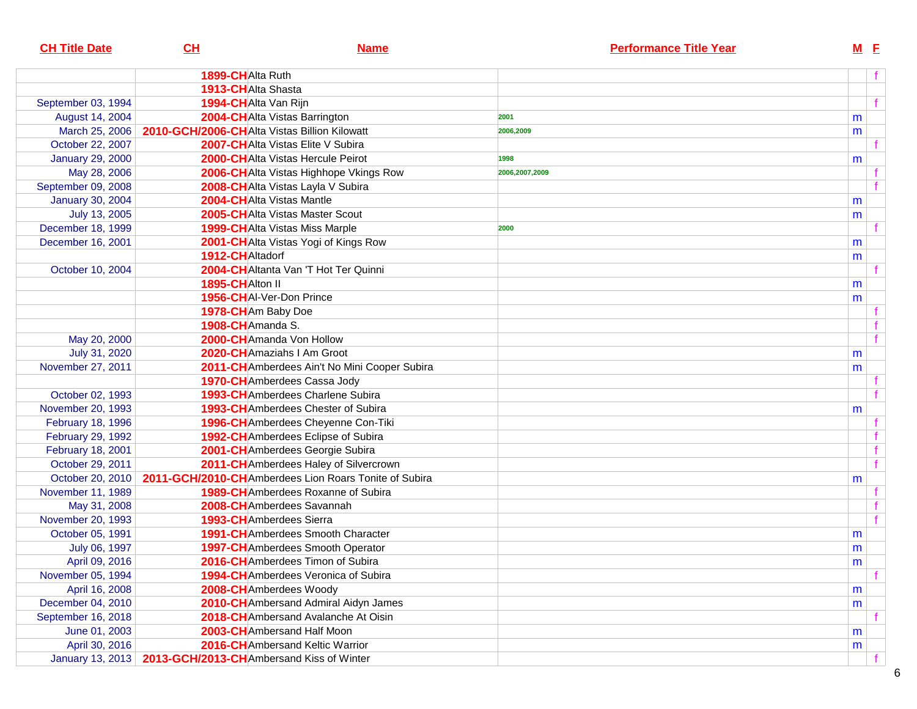| <b>CH Title Date</b>    | CH               | <b>Name</b>                                                               | <b>Performance Title Year</b> | $M$ E |                |
|-------------------------|------------------|---------------------------------------------------------------------------|-------------------------------|-------|----------------|
|                         | 1899-CHAlta Ruth |                                                                           |                               |       |                |
|                         |                  | 1913-CHAlta Shasta                                                        |                               |       |                |
| September 03, 1994      |                  | 1994-CHAlta Van Rijn                                                      |                               |       | f              |
| August 14, 2004         |                  | 2004-CHAlta Vistas Barrington                                             | 2001                          | m     |                |
|                         |                  | March 25, 2006   2010-GCH/2006-CHAIta Vistas Billion Kilowatt             | 2006,2009                     | m     |                |
| October 22, 2007        |                  | 2007-CHAIta Vistas Elite V Subira                                         |                               |       |                |
| <b>January 29, 2000</b> |                  | <b>2000-CHAIta Vistas Hercule Peirot</b>                                  | 1998                          | m     |                |
| May 28, 2006            |                  | 2006-CH Alta Vistas Highhope Vkings Row                                   | 2006,2007,2009                |       |                |
| September 09, 2008      |                  | 2008-CHAIta Vistas Layla V Subira                                         |                               |       | $\overline{f}$ |
| January 30, 2004        |                  | 2004-CHAIta Vistas Mantle                                                 |                               | m     |                |
| July 13, 2005           |                  | 2005-CHAIta Vistas Master Scout                                           |                               | m     |                |
| December 18, 1999       |                  | 1999-CH Alta Vistas Miss Marple                                           | 2000                          |       | f              |
| December 16, 2001       |                  | 2001-CH Alta Vistas Yogi of Kings Row                                     |                               | m     |                |
|                         | 1912-CHAltadorf  |                                                                           |                               | m     |                |
| October 10, 2004        |                  | 2004-CHAltanta Van 'T Hot Ter Quinni                                      |                               |       |                |
|                         | 1895-CHAlton II  |                                                                           |                               | m     |                |
|                         |                  | 1956-CHAI-Ver-Don Prince                                                  |                               | m     |                |
|                         |                  | 1978-CHAm Baby Doe                                                        |                               |       |                |
|                         | 1908-CHAmanda S. |                                                                           |                               |       |                |
| May 20, 2000            |                  | 2000-CHAmanda Von Hollow                                                  |                               |       | $\overline{f}$ |
| July 31, 2020           |                  | 2020-CHAmaziahs I Am Groot                                                |                               | m     |                |
| November 27, 2011       |                  | 2011-CHAmberdees Ain't No Mini Cooper Subira                              |                               | m     |                |
|                         |                  | 1970-CH Amberdees Cassa Jody                                              |                               |       |                |
| October 02, 1993        |                  | 1993-CH Amberdees Charlene Subira                                         |                               |       |                |
| November 20, 1993       |                  | 1993-CHAmberdees Chester of Subira                                        |                               | m     |                |
| February 18, 1996       |                  | 1996-CH Amberdees Cheyenne Con-Tiki                                       |                               |       |                |
| February 29, 1992       |                  | 1992-CHAmberdees Eclipse of Subira                                        |                               |       |                |
| February 18, 2001       |                  | 2001-CH Amberdees Georgie Subira                                          |                               |       |                |
| October 29, 2011        |                  | 2011-CH Amberdees Haley of Silvercrown                                    |                               |       | $\overline{f}$ |
|                         |                  | October 20, 2010   2011-GCH/2010-CH Amberdees Lion Roars Tonite of Subira |                               | m     |                |
| November 11, 1989       |                  | <b>1989-CH</b> Amberdees Roxanne of Subira                                |                               |       |                |
| May 31, 2008            |                  | 2008-CHAmberdees Savannah                                                 |                               |       |                |
| November 20, 1993       |                  | 1993-CHAmberdees Sierra                                                   |                               |       | $\mathbf{f}$   |
| October 05, 1991        |                  | 1991-CHAmberdees Smooth Character                                         |                               | m     |                |
| July 06, 1997           |                  | 1997-CH Amberdees Smooth Operator                                         |                               | m     |                |
| April 09, 2016          |                  | 2016-CHAmberdees Timon of Subira                                          |                               | m     |                |
| November 05, 1994       |                  | <b>1994-CH</b> Amberdees Veronica of Subira                               |                               |       | f              |
| April 16, 2008          |                  | 2008-CH Amberdees Woody                                                   |                               | m     |                |
| December 04, 2010       |                  | 2010-CH Ambersand Admiral Aidyn James                                     |                               | m     |                |
| September 16, 2018      |                  | 2018-CH Ambersand Avalanche At Oisin                                      |                               |       |                |
| June 01, 2003           |                  | 2003-CH Ambersand Half Moon                                               |                               | m     |                |
| April 30, 2016          |                  | 2016-CH Ambersand Keltic Warrior                                          |                               | m     |                |
|                         |                  | January 13, 2013   2013-GCH/2013-CH Ambersand Kiss of Winter              |                               |       |                |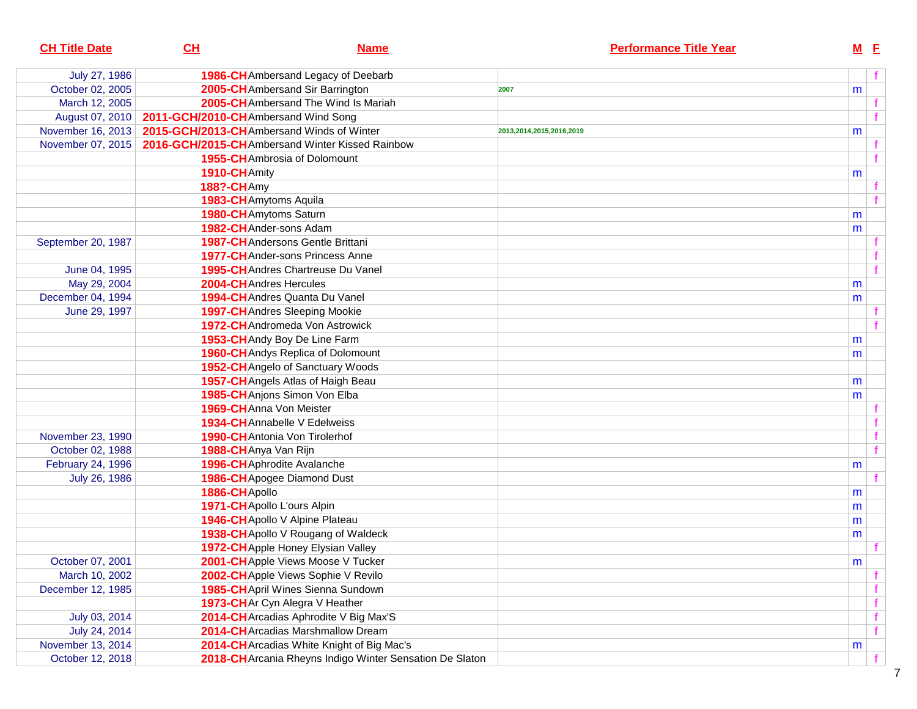| <b>CH Title Date</b> | CH                                  | <b>Name</b>                                              | <b>Performance Title Year</b> |   | $M$ E |  |
|----------------------|-------------------------------------|----------------------------------------------------------|-------------------------------|---|-------|--|
| July 27, 1986        |                                     | 1986-CH Ambersand Legacy of Deebarb                      |                               |   |       |  |
| October 02, 2005     |                                     | 2005-CHAmbersand Sir Barrington                          | 2007                          | m |       |  |
| March 12, 2005       |                                     | 2005-CH Ambersand The Wind Is Mariah                     |                               |   |       |  |
| August 07, 2010      | 2011-GCH/2010-CHAmbersand Wind Song |                                                          |                               |   |       |  |
| November 16, 2013    |                                     | 2015-GCH/2013-CHAmbersand Winds of Winter                | 2013,2014,2015,2016,2019      | m |       |  |
| November 07, 2015    |                                     | 2016-GCH/2015-CHAmbersand Winter Kissed Rainbow          |                               |   |       |  |
|                      |                                     | <b>1955-CH</b> Ambrosia of Dolomount                     |                               |   |       |  |
|                      | 1910-CHAmity                        |                                                          |                               | m |       |  |
|                      | <b>188?-CH</b> Amy                  |                                                          |                               |   |       |  |
|                      |                                     | 1983-CHAmytoms Aquila                                    |                               |   |       |  |
|                      |                                     | 1980-CH Amytoms Saturn                                   |                               | m |       |  |
|                      |                                     | 1982-CH Ander-sons Adam                                  |                               | m |       |  |
| September 20, 1987   |                                     | <b>1987-CH</b> Andersons Gentle Brittani                 |                               |   |       |  |
|                      |                                     | <b>1977-CH</b> Ander-sons Princess Anne                  |                               |   |       |  |
| June 04, 1995        |                                     | 1995-CH Andres Chartreuse Du Vanel                       |                               |   |       |  |
| May 29, 2004         |                                     | 2004-CH Andres Hercules                                  |                               | m |       |  |
| December 04, 1994    |                                     | 1994-CH Andres Quanta Du Vanel                           |                               | m |       |  |
| June 29, 1997        |                                     | 1997-CH Andres Sleeping Mookie                           |                               |   |       |  |
|                      |                                     | 1972-CH Andromeda Von Astrowick                          |                               |   |       |  |
|                      |                                     | 1953-CH Andy Boy De Line Farm                            |                               | m |       |  |
|                      |                                     | <b>1960-CH</b> Andys Replica of Dolomount                |                               | m |       |  |
|                      |                                     | 1952-CH Angelo of Sanctuary Woods                        |                               |   |       |  |
|                      |                                     | 1957-CH Angels Atlas of Haigh Beau                       |                               | m |       |  |
|                      |                                     | 1985-CH Anjons Simon Von Elba                            |                               | m |       |  |
|                      |                                     | 1969-CHAnna Von Meister                                  |                               |   |       |  |
|                      |                                     | 1934-CHAnnabelle V Edelweiss                             |                               |   |       |  |
| November 23, 1990    |                                     | 1990-CH Antonia Von Tirolerhof                           |                               |   |       |  |
| October 02, 1988     | 1988-CHAnya Van Rijn                |                                                          |                               |   |       |  |
| February 24, 1996    |                                     | 1996-CH Aphrodite Avalanche                              |                               | m |       |  |
| July 26, 1986        |                                     | 1986-CH Apogee Diamond Dust                              |                               |   |       |  |
|                      | 1886-CHApollo                       |                                                          |                               | m |       |  |
|                      |                                     | 1971-CH Apollo L'ours Alpin                              |                               | m |       |  |
|                      |                                     | 1946-CH Apollo V Alpine Plateau                          |                               | m |       |  |
|                      |                                     | 1938-CH Apollo V Rougang of Waldeck                      |                               | m |       |  |
|                      |                                     | 1972-CH Apple Honey Elysian Valley                       |                               |   |       |  |
| October 07, 2001     |                                     | 2001-CHApple Views Moose V Tucker                        |                               | m |       |  |
| March 10, 2002       |                                     | 2002-CHApple Views Sophie V Revilo                       |                               |   |       |  |
| December 12, 1985    |                                     | 1985-CH April Wines Sienna Sundown                       |                               |   |       |  |
|                      |                                     | 1973-CHAr Cyn Alegra V Heather                           |                               |   |       |  |
| July 03, 2014        |                                     | 2014-CH Arcadias Aphrodite V Big Max'S                   |                               |   |       |  |
| July 24, 2014        |                                     | 2014-CH Arcadias Marshmallow Dream                       |                               |   |       |  |
| November 13, 2014    |                                     | 2014-CH Arcadias White Knight of Big Mac's               |                               | m |       |  |
| October 12, 2018     |                                     | 2018-CH Arcania Rheyns Indigo Winter Sensation De Slaton |                               |   |       |  |
|                      |                                     |                                                          |                               |   |       |  |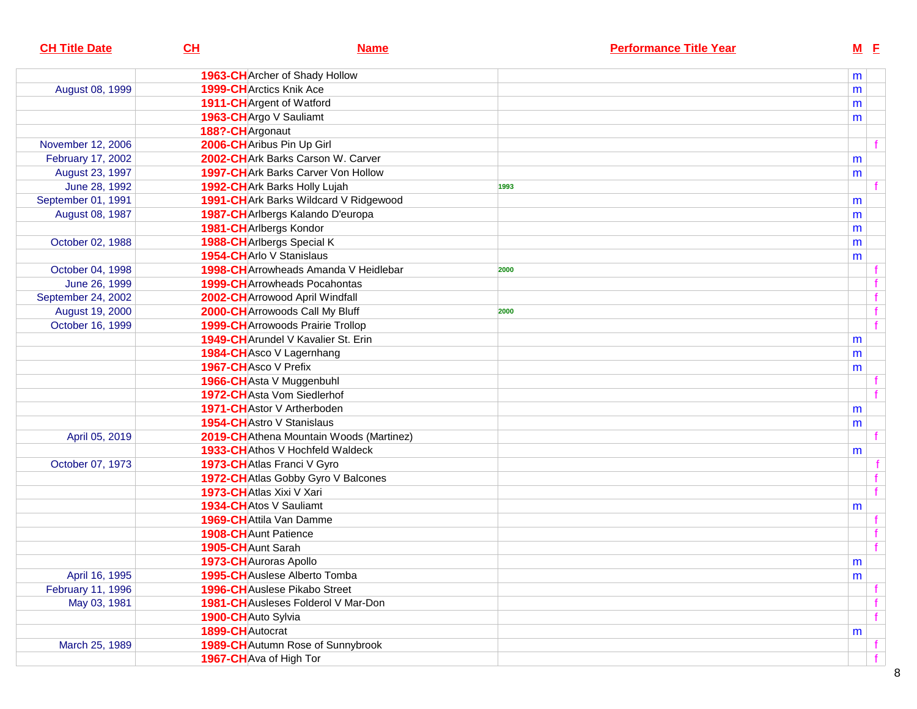| <b>CH Title Date</b> | CH                              | <b>Name</b>                                  |      | <b>Performance Title Year</b> | $M$ E |              |
|----------------------|---------------------------------|----------------------------------------------|------|-------------------------------|-------|--------------|
|                      |                                 | 1963-CH Archer of Shady Hollow               |      |                               | m     |              |
| August 08, 1999      | <b>1999-CH</b> Arctics Knik Ace |                                              |      |                               | m     |              |
|                      | 1911-CH Argent of Watford       |                                              |      |                               | m     |              |
|                      | 1963-CH Argo V Sauliamt         |                                              |      |                               | m     |              |
|                      | 188?-CHArgonaut                 |                                              |      |                               |       |              |
| November 12, 2006    | 2006-CHAribus Pin Up Girl       |                                              |      |                               |       |              |
| February 17, 2002    |                                 | 2002-CHArk Barks Carson W. Carver            |      |                               | m     |              |
| August 23, 1997      |                                 | <b>1997-CH</b> Ark Barks Carver Von Hollow   |      |                               | m     |              |
| June 28, 1992        |                                 | 1992-CH Ark Barks Holly Lujah                | 1993 |                               |       |              |
| September 01, 1991   |                                 | 1991-CH Ark Barks Wildcard V Ridgewood       |      |                               | m     |              |
| August 08, 1987      |                                 | 1987-CH Arlbergs Kalando D'europa            |      |                               | m     |              |
|                      | 1981-CHArlbergs Kondor          |                                              |      |                               | m     |              |
| October 02, 1988     | 1988-CH Arlbergs Special K      |                                              |      |                               | m     |              |
|                      | 1954-CHArlo V Stanislaus        |                                              |      |                               | m     |              |
| October 04, 1998     |                                 | <b>1998-CH</b> Arrowheads Amanda V Heidlebar | 2000 |                               |       |              |
| June 26, 1999        |                                 | <b>1999-CH</b> Arrowheads Pocahontas         |      |                               |       |              |
| September 24, 2002   |                                 | 2002-CH Arrowood April Windfall              |      |                               |       | f            |
| August 19, 2000      |                                 | 2000-CH Arrowoods Call My Bluff              | 2000 |                               |       | f            |
| October 16, 1999     |                                 | <b>1999-CH</b> Arrowoods Prairie Trollop     |      |                               |       | f            |
|                      |                                 | 1949-CH Arundel V Kavalier St. Erin          |      |                               | m     |              |
|                      |                                 | 1984-CH Asco V Lagernhang                    |      |                               | m     |              |
|                      | 1967-CH Asco V Prefix           |                                              |      |                               | m     |              |
|                      |                                 | 1966-CH Asta V Muggenbuhl                    |      |                               |       |              |
|                      |                                 | 1972-CHAsta Vom Siedlerhof                   |      |                               |       |              |
|                      |                                 | 1971-CH Astor V Artherboden                  |      |                               | m     |              |
|                      | 1954-CHAstro V Stanislaus       |                                              |      |                               | m     |              |
| April 05, 2019       |                                 | 2019-CH Athena Mountain Woods (Martinez)     |      |                               |       |              |
|                      |                                 | 1933-CH Athos V Hochfeld Waldeck             |      |                               | m     |              |
| October 07, 1973     |                                 | 1973-CH Atlas Franci V Gyro                  |      |                               |       |              |
|                      |                                 | 1972-CH Atlas Gobby Gyro V Balcones          |      |                               |       |              |
|                      | 1973-CHAtlas Xixi V Xari        |                                              |      |                               |       | $\mathbf{f}$ |
|                      | 1934-CHAtos V Sauliamt          |                                              |      |                               | m     |              |
|                      | 1969-CH Attila Van Damme        |                                              |      |                               |       |              |
|                      | 1908-CH Aunt Patience           |                                              |      |                               |       |              |
|                      | 1905-CH Aunt Sarah              |                                              |      |                               |       | f            |
|                      | 1973-CH Auroras Apollo          |                                              |      |                               | m     |              |
| April 16, 1995       |                                 | 1995-CH Auslese Alberto Tomba                |      |                               | m     |              |
| February 11, 1996    |                                 | <b>1996-CH</b> Auslese Pikabo Street         |      |                               |       |              |
| May 03, 1981         |                                 | 1981-CH Ausleses Folderol V Mar-Don          |      |                               |       |              |
|                      | 1900-CH Auto Sylvia             |                                              |      |                               |       | f            |
|                      | 1899-CHAutocrat                 |                                              |      |                               | m     |              |
| March 25, 1989       |                                 | 1989-CH Autumn Rose of Sunnybrook            |      |                               |       |              |
|                      | 1967-CH Ava of High Tor         |                                              |      |                               |       |              |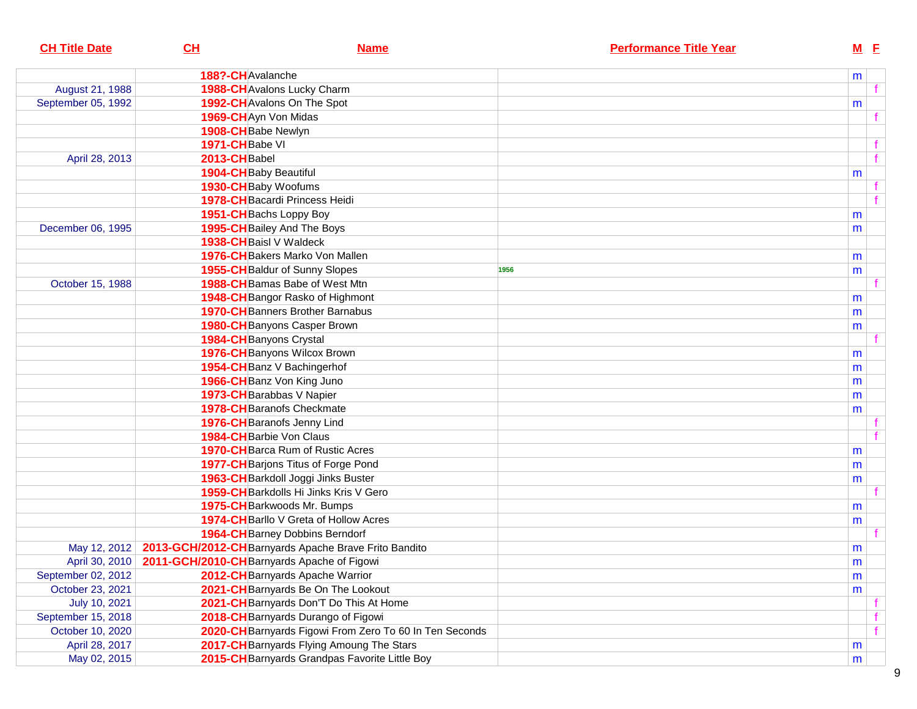| <b>CH Title Date</b> | CH             | <b>Name</b>                                                        | <b>Performance Title Year</b> | $M$ E     |   |
|----------------------|----------------|--------------------------------------------------------------------|-------------------------------|-----------|---|
|                      |                | 188?-CH Avalanche                                                  |                               | m         |   |
| August 21, 1988      |                | 1988-CH Avalons Lucky Charm                                        |                               |           |   |
| September 05, 1992   |                | 1992-CH Avalons On The Spot                                        |                               | m         |   |
|                      |                | 1969-CH Ayn Von Midas                                              |                               |           |   |
|                      |                | 1908-CH Babe Newlyn                                                |                               |           |   |
|                      | 1971-CHBabe VI |                                                                    |                               |           |   |
| April 28, 2013       | 2013-CHBabel   |                                                                    |                               |           | f |
|                      |                | 1904-CH Baby Beautiful                                             |                               | m         |   |
|                      |                | 1930-CH Baby Woofums                                               |                               |           |   |
|                      |                | 1978-CH Bacardi Princess Heidi                                     |                               |           |   |
|                      |                | 1951-CH Bachs Loppy Boy                                            |                               | m         |   |
| December 06, 1995    |                | 1995-CH Bailey And The Boys                                        |                               | m         |   |
|                      |                | 1938-CH Baisl V Waldeck                                            |                               |           |   |
|                      |                | 1976-CH Bakers Marko Von Mallen                                    |                               | m         |   |
|                      |                | 1955-CH Baldur of Sunny Slopes                                     | 1956                          | m         |   |
| October 15, 1988     |                | 1988-CH Bamas Babe of West Mtn                                     |                               |           |   |
|                      |                | 1948-CH Bangor Rasko of Highmont                                   |                               | m         |   |
|                      |                | <b>1970-CH</b> Banners Brother Barnabus                            |                               | m         |   |
|                      |                | 1980-CH Banyons Casper Brown                                       |                               | m         |   |
|                      |                | 1984-CH Banyons Crystal                                            |                               |           |   |
|                      |                | 1976-CH Banyons Wilcox Brown                                       |                               | m         |   |
|                      |                | 1954-CH Banz V Bachingerhof                                        |                               | m         |   |
|                      |                | 1966-CH Banz Von King Juno                                         |                               | m         |   |
|                      |                | 1973-CH Barabbas V Napier                                          |                               | m         |   |
|                      |                | <b>1978-CH</b> Baranofs Checkmate                                  |                               | m         |   |
|                      |                | 1976-CH Baranofs Jenny Lind                                        |                               |           |   |
|                      |                | 1984-CH Barbie Von Claus                                           |                               |           |   |
|                      |                | <b>1970-CH</b> Barca Rum of Rustic Acres                           |                               | m         |   |
|                      |                | 1977-CH Barjons Titus of Forge Pond                                |                               | m         |   |
|                      |                | 1963-CH Barkdoll Joggi Jinks Buster                                |                               | m         |   |
|                      |                | 1959-CH Barkdolls Hi Jinks Kris V Gero                             |                               |           |   |
|                      |                | 1975-CH Barkwoods Mr. Bumps                                        |                               | m         |   |
|                      |                | 1974-CH Barllo V Greta of Hollow Acres                             |                               | m         |   |
|                      |                | <b>1964-CH</b> Barney Dobbins Berndorf                             |                               |           |   |
|                      |                | May 12, 2012 2013-GCH/2012-CH Barnyards Apache Brave Frito Bandito |                               | m         |   |
|                      |                | April 30, 2010   2011-GCH/2010-CH Barnyards Apache of Figowi       |                               | ${\sf m}$ |   |
| September 02, 2012   |                | 2012-CH Barnyards Apache Warrior                                   |                               | m         |   |
| October 23, 2021     |                | 2021-CH Barnyards Be On The Lookout                                |                               | m         |   |
| July 10, 2021        |                | 2021-CH Barnyards Don'T Do This At Home                            |                               |           |   |
| September 15, 2018   |                | 2018-CH Barnyards Durango of Figowi                                |                               |           |   |
| October 10, 2020     |                | 2020-CH Barnyards Figowi From Zero To 60 In Ten Seconds            |                               |           |   |
| April 28, 2017       |                | 2017-CH Barnyards Flying Amoung The Stars                          |                               | m         |   |
| May 02, 2015         |                | 2015-CH Barnyards Grandpas Favorite Little Boy                     |                               | m         |   |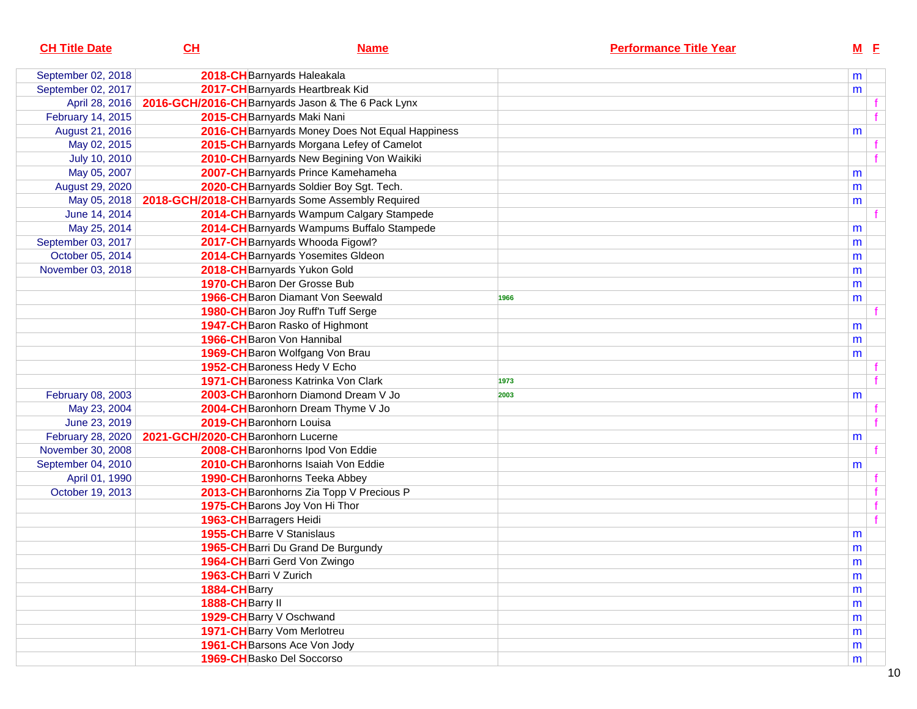| <b>CH Title Date</b> | CL                                | <b>Name</b>                                        | <b>Performance Title Year</b> |   | $M$ E |              |
|----------------------|-----------------------------------|----------------------------------------------------|-------------------------------|---|-------|--------------|
| September 02, 2018   |                                   | 2018-CH Barnyards Haleakala                        |                               |   | m     |              |
| September 02, 2017   |                                   | 2017-CH Barnyards Heartbreak Kid                   |                               |   | m     |              |
| April 28, 2016       |                                   | 2016-GCH/2016-CH Barnyards Jason & The 6 Pack Lynx |                               |   |       |              |
| February 14, 2015    |                                   | 2015-CH Barnyards Maki Nani                        |                               |   |       | f            |
| August 21, 2016      |                                   | 2016-CH Barnyards Money Does Not Equal Happiness   |                               |   | m     |              |
| May 02, 2015         |                                   | 2015-CH Barnyards Morgana Lefey of Camelot         |                               |   |       | f            |
| July 10, 2010        |                                   | 2010-CH Barnyards New Begining Von Waikiki         |                               |   |       | $\mathbf{f}$ |
| May 05, 2007         |                                   | 2007-CH Barnyards Prince Kamehameha                |                               | m |       |              |
| August 29, 2020      |                                   | 2020-CH Barnyards Soldier Boy Sgt. Tech.           |                               | m |       |              |
| May 05, 2018         |                                   | 2018-GCH/2018-CH Barnyards Some Assembly Required  |                               | m |       |              |
| June 14, 2014        |                                   | 2014-CH Barnyards Wampum Calgary Stampede          |                               |   |       |              |
| May 25, 2014         |                                   | 2014-CH Barnyards Wampums Buffalo Stampede         |                               | m |       |              |
| September 03, 2017   |                                   | 2017-CH Barnyards Whooda Figowl?                   |                               | m |       |              |
| October 05, 2014     |                                   | 2014-CH Barnyards Yosemites Gldeon                 |                               | m |       |              |
| November 03, 2018    |                                   | 2018-CH Barnyards Yukon Gold                       |                               | m |       |              |
|                      |                                   | 1970-CH Baron Der Grosse Bub                       |                               | m |       |              |
|                      |                                   | <b>1966-CH</b> Baron Diamant Von Seewald           | 1966                          | m |       |              |
|                      |                                   | 1980-CH Baron Joy Ruff'n Tuff Serge                |                               |   |       |              |
|                      |                                   | 1947-CH Baron Rasko of Highmont                    |                               | m |       |              |
|                      |                                   | 1966-CH Baron Von Hannibal                         |                               | m |       |              |
|                      |                                   | 1969-CH Baron Wolfgang Von Brau                    |                               |   | m     |              |
|                      |                                   | 1952-CH Baroness Hedy V Echo                       |                               |   |       |              |
|                      |                                   | 1971-CH Baroness Katrinka Von Clark                | 1973                          |   |       | f            |
| February 08, 2003    |                                   | 2003-CH Baronhorn Diamond Dream V Jo               | 2003                          |   | m     |              |
| May 23, 2004         |                                   | 2004-CH Baronhorn Dream Thyme V Jo                 |                               |   |       | f            |
| June 23, 2019        |                                   | 2019-CH Baronhorn Louisa                           |                               |   |       | f            |
| February 28, 2020    | 2021-GCH/2020-CHBaronhorn Lucerne |                                                    |                               |   | m     |              |
| November 30, 2008    |                                   | 2008-CH Baronhorns Ipod Von Eddie                  |                               |   |       | f            |
| September 04, 2010   |                                   | 2010-CH Baronhorns Isaiah Von Eddie                |                               |   | m     |              |
| April 01, 1990       |                                   | 1990-CH Baronhorns Teeka Abbey                     |                               |   |       | $\mathbf{f}$ |
| October 19, 2013     |                                   | 2013-CH Baronhorns Zia Topp V Precious P           |                               |   |       | $\mathbf{f}$ |
|                      |                                   | 1975-CH Barons Joy Von Hi Thor                     |                               |   |       | f            |
|                      | 1963-CH Barragers Heidi           |                                                    |                               |   |       | f            |
|                      |                                   | 1955-CH Barre V Stanislaus                         |                               |   | m     |              |
|                      |                                   | 1965-CH Barri Du Grand De Burgundy                 |                               |   | m     |              |
|                      |                                   | 1964-CH Barri Gerd Von Zwingo                      |                               |   | m     |              |
|                      | 1963-CH Barri V Zurich            |                                                    |                               |   | m     |              |
|                      | 1884-CHBarry                      |                                                    |                               |   | m     |              |
|                      | 1888-CHBarry II                   |                                                    |                               |   | m     |              |
|                      |                                   | 1929-CHBarry V Oschwand                            |                               |   | m     |              |
|                      |                                   | 1971-CH Barry Vom Merlotreu                        |                               |   | m     |              |
|                      |                                   | 1961-CH Barsons Ace Von Jody                       |                               |   | m     |              |
|                      |                                   | 1969-CH Basko Del Soccorso                         |                               |   | m     |              |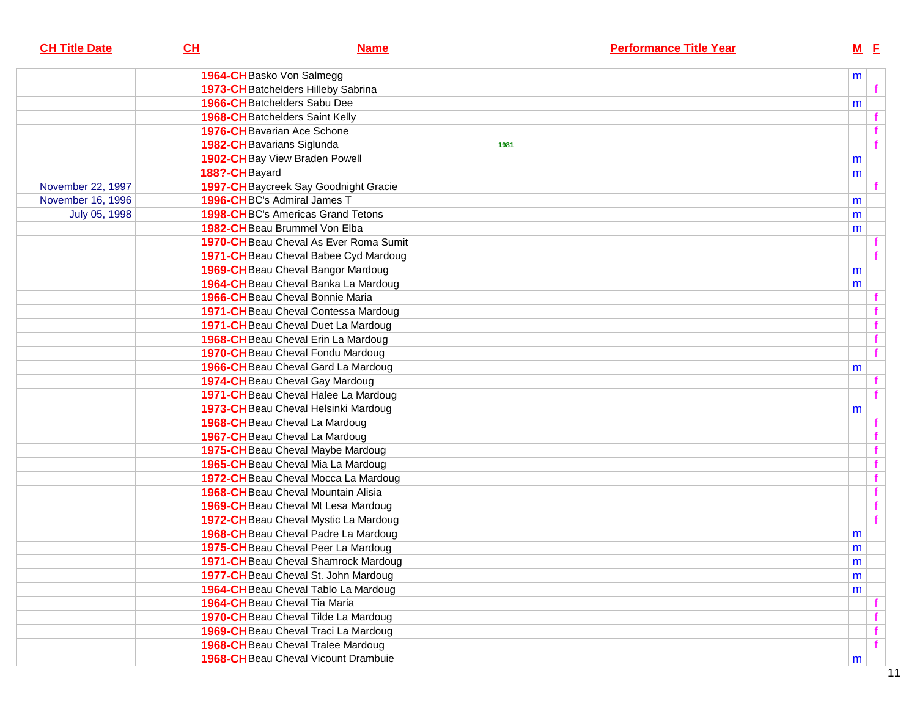| <b>CH Title Date</b> | CL            | <b>Name</b>                                 |      | <b>Performance Title Year</b> |           | $M$ E |  |
|----------------------|---------------|---------------------------------------------|------|-------------------------------|-----------|-------|--|
|                      |               | 1964-CH Basko Von Salmegg                   |      |                               | m         |       |  |
|                      |               | 1973-CH Batchelders Hilleby Sabrina         |      |                               |           |       |  |
|                      |               | 1966-CH Batchelders Sabu Dee                |      |                               | m         |       |  |
|                      |               | <b>1968-CH</b> Batchelders Saint Kelly      |      |                               |           |       |  |
|                      |               | 1976-CH Bavarian Ace Schone                 |      |                               |           |       |  |
|                      |               | 1982-CH Bavarians Siglunda                  | 1981 |                               |           |       |  |
|                      |               | 1902-CH Bay View Braden Powell              |      |                               | m         |       |  |
|                      | 188?-CHBayard |                                             |      |                               | m         |       |  |
| November 22, 1997    |               | 1997-CH Baycreek Say Goodnight Gracie       |      |                               |           |       |  |
| November 16, 1996    |               | 1996-CHBC's Admiral James T                 |      |                               | m         |       |  |
| July 05, 1998        |               | <b>1998-CHBC's Americas Grand Tetons</b>    |      |                               | m         |       |  |
|                      |               | 1982-CHBeau Brummel Von Elba                |      |                               | m         |       |  |
|                      |               | 1970-CH Beau Cheval As Ever Roma Sumit      |      |                               |           |       |  |
|                      |               | 1971-CH Beau Cheval Babee Cyd Mardoug       |      |                               |           |       |  |
|                      |               | 1969-CH Beau Cheval Bangor Mardoug          |      |                               | m         |       |  |
|                      |               | 1964-CH Beau Cheval Banka La Mardoug        |      |                               | m         |       |  |
|                      |               | 1966-CH Beau Cheval Bonnie Maria            |      |                               |           |       |  |
|                      |               | 1971-CH Beau Cheval Contessa Mardoug        |      |                               |           |       |  |
|                      |               | 1971-CH Beau Cheval Duet La Mardoug         |      |                               |           |       |  |
|                      |               | 1968-CH Beau Cheval Erin La Mardoug         |      |                               |           |       |  |
|                      |               | 1970-CH Beau Cheval Fondu Mardoug           |      |                               |           |       |  |
|                      |               | 1966-CH Beau Cheval Gard La Mardoug         |      |                               | m         |       |  |
|                      |               | 1974-CH Beau Cheval Gay Mardoug             |      |                               |           |       |  |
|                      |               | 1971-CHBeau Cheval Halee La Mardoug         |      |                               |           |       |  |
|                      |               | 1973-CH Beau Cheval Helsinki Mardoug        |      |                               | m         |       |  |
|                      |               | 1968-CH Beau Cheval La Mardoug              |      |                               |           |       |  |
|                      |               | 1967-CH Beau Cheval La Mardoug              |      |                               |           |       |  |
|                      |               | 1975-CH Beau Cheval Maybe Mardoug           |      |                               |           |       |  |
|                      |               | 1965-CH Beau Cheval Mia La Mardoug          |      |                               |           |       |  |
|                      |               | 1972-CH Beau Cheval Mocca La Mardoug        |      |                               |           |       |  |
|                      |               | 1968-CH Beau Cheval Mountain Alisia         |      |                               |           |       |  |
|                      |               | 1969-CH Beau Cheval Mt Lesa Mardoug         |      |                               |           |       |  |
|                      |               | 1972-CH Beau Cheval Mystic La Mardoug       |      |                               |           |       |  |
|                      |               | 1968-CH Beau Cheval Padre La Mardoug        |      |                               | m         |       |  |
|                      |               | 1975-CH Beau Cheval Peer La Mardoug         |      |                               | m         |       |  |
|                      |               | 1971-CH Beau Cheval Shamrock Mardoug        |      |                               | ${\sf m}$ |       |  |
|                      |               | 1977-CH Beau Cheval St. John Mardoug        |      |                               | m         |       |  |
|                      |               | 1964-CH Beau Cheval Tablo La Mardoug        |      |                               | m         |       |  |
|                      |               | 1964-CHBeau Cheval Tia Maria                |      |                               |           |       |  |
|                      |               | 1970-CH Beau Cheval Tilde La Mardoug        |      |                               |           |       |  |
|                      |               | 1969-CH Beau Cheval Traci La Mardoug        |      |                               |           |       |  |
|                      |               | 1968-CH Beau Cheval Tralee Mardoug          |      |                               |           |       |  |
|                      |               | <b>1968-CH</b> Beau Cheval Vicount Drambuie |      |                               | m         |       |  |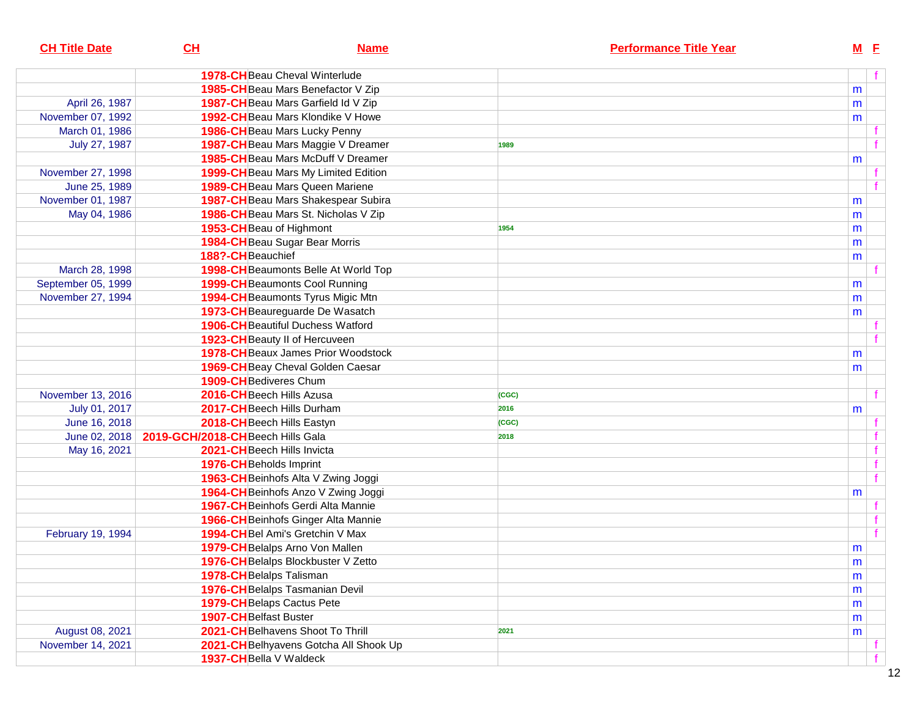| <b>CH Title Date</b> | CH                                             | <b>Name</b>                                | <b>Performance Title Year</b> |           | $M$ E |
|----------------------|------------------------------------------------|--------------------------------------------|-------------------------------|-----------|-------|
|                      |                                                | <b>1978-CH</b> Beau Cheval Winterlude      |                               |           | f     |
|                      |                                                | 1985-CH Beau Mars Benefactor V Zip         |                               | m         |       |
| April 26, 1987       |                                                | 1987-CHBeau Mars Garfield Id V Zip         |                               | m         |       |
| November 07, 1992    |                                                | <b>1992-CH</b> Beau Mars Klondike V Howe   |                               | m         |       |
| March 01, 1986       |                                                | 1986-CH Beau Mars Lucky Penny              |                               |           |       |
| July 27, 1987        |                                                | 1987-CH Beau Mars Maggie V Dreamer         | 1989                          |           |       |
|                      |                                                | 1985-CH Beau Mars McDuff V Dreamer         |                               | m         |       |
| November 27, 1998    |                                                | 1999-CHBeau Mars My Limited Edition        |                               |           |       |
| June 25, 1989        |                                                | <b>1989-CH</b> Beau Mars Queen Mariene     |                               |           |       |
| November 01, 1987    |                                                | 1987-CH Beau Mars Shakespear Subira        |                               | m         |       |
| May 04, 1986         |                                                | 1986-CH Beau Mars St. Nicholas V Zip       |                               | m         |       |
|                      |                                                | 1953-CH Beau of Highmont                   | 1954                          | m         |       |
|                      |                                                | 1984-CH Beau Sugar Bear Morris             |                               | m         |       |
|                      | 188?-CHBeauchief                               |                                            |                               | m         |       |
| March 28, 1998       |                                                | 1998-CH Beaumonts Belle At World Top       |                               |           |       |
| September 05, 1999   |                                                | <b>1999-CH</b> Beaumonts Cool Running      |                               | m         |       |
| November 27, 1994    |                                                | <b>1994-CH</b> Beaumonts Tyrus Migic Mtn   |                               | m         |       |
|                      |                                                | 1973-CH Beaureguarde De Wasatch            |                               | m         |       |
|                      |                                                | <b>1906-CH</b> Beautiful Duchess Watford   |                               |           |       |
|                      |                                                | 1923-CH Beauty II of Hercuveen             |                               |           |       |
|                      |                                                | <b>1978-CH</b> Beaux James Prior Woodstock |                               | m         |       |
|                      |                                                | 1969-CHBeay Cheval Golden Caesar           |                               | m         |       |
|                      |                                                | 1909-CH Bediveres Chum                     |                               |           |       |
| November 13, 2016    |                                                | 2016-CH Beech Hills Azusa                  | (CGC)                         |           |       |
| July 01, 2017        |                                                | 2017-CHBeech Hills Durham                  | 2016                          | m         |       |
| June 16, 2018        |                                                | 2018-CH Beech Hills Eastyn                 | (CGC)                         |           |       |
|                      | June 02, 2018 2019-GCH/2018-CHBeech Hills Gala |                                            | 2018                          |           |       |
| May 16, 2021         |                                                | 2021-CH Beech Hills Invicta                |                               |           | f     |
|                      |                                                | 1976-CH Beholds Imprint                    |                               |           | f     |
|                      |                                                | 1963-CH Beinhofs Alta V Zwing Joggi        |                               |           | f     |
|                      |                                                | 1964-CH Beinhofs Anzo V Zwing Joggi        |                               | m         |       |
|                      |                                                | 1967-CH Beinhofs Gerdi Alta Mannie         |                               |           |       |
|                      |                                                | 1966-CH Beinhofs Ginger Alta Mannie        |                               |           | f     |
| February 19, 1994    |                                                | 1994-CHBel Ami's Gretchin V Max            |                               |           | f     |
|                      |                                                | 1979-CH Belalps Arno Von Mallen            |                               | m         |       |
|                      |                                                | 1976-CH Belalps Blockbuster V Zetto        |                               | ${\sf m}$ |       |
|                      |                                                | 1978-CHBelalps Talisman                    |                               | m         |       |
|                      |                                                | 1976-CH Belalps Tasmanian Devil            |                               | m         |       |
|                      |                                                | 1979-CHBelaps Cactus Pete                  |                               | m         |       |
|                      | <b>1907-CH</b> Belfast Buster                  |                                            |                               | m         |       |
| August 08, 2021      |                                                | 2021-CHBelhavens Shoot To Thrill           | 2021                          | m         |       |
| November 14, 2021    |                                                | 2021-CH Belhyavens Gotcha All Shook Up     |                               |           |       |
|                      |                                                | 1937-CH Bella V Waldeck                    |                               |           | f     |
|                      |                                                |                                            |                               |           |       |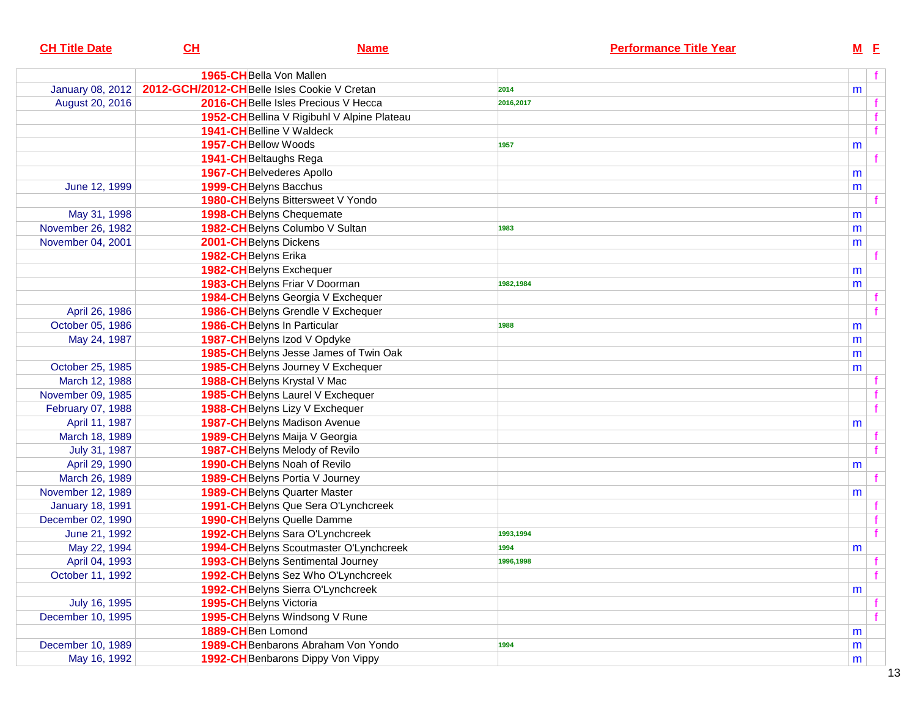| <b>CH Title Date</b>    | CL                                          | <b>Name</b>                                 | <b>Performance Title Year</b> | $M$ $E$ |   |
|-------------------------|---------------------------------------------|---------------------------------------------|-------------------------------|---------|---|
|                         | <b>1965-CH</b> Bella Von Mallen             |                                             |                               |         |   |
| <b>January 08, 2012</b> | 2012-GCH/2012-CHBelle Isles Cookie V Cretan |                                             | 2014                          | m       |   |
| August 20, 2016         |                                             | 2016-CHBelle Isles Precious V Hecca         | 2016,2017                     |         |   |
|                         |                                             | 1952-CH Bellina V Rigibuhl V Alpine Plateau |                               |         |   |
|                         |                                             | 1941-CHBelline V Waldeck                    |                               |         |   |
|                         | 1957-CH Bellow Woods                        |                                             | 1957                          | m       |   |
|                         | 1941-CH Beltaughs Rega                      |                                             |                               |         |   |
|                         |                                             | <b>1967-CH</b> Belvederes Apollo            |                               | m       |   |
| June 12, 1999           | 1999-CH Belyns Bacchus                      |                                             |                               | m       |   |
|                         |                                             | 1980-CH Belyns Bittersweet V Yondo          |                               |         |   |
| May 31, 1998            |                                             | <b>1998-CH</b> Belyns Chequemate            |                               | m       |   |
| November 26, 1982       |                                             | 1982-CH Belyns Columbo V Sultan             | 1983                          | m       |   |
| November 04, 2001       | 2001-CH Belyns Dickens                      |                                             |                               | m       |   |
|                         | 1982-CHBelyns Erika                         |                                             |                               |         |   |
|                         |                                             | 1982-CHBelyns Exchequer                     |                               | m       |   |
|                         |                                             | 1983-CH Belyns Friar V Doorman              | 1982,1984                     | m       |   |
|                         |                                             | 1984-CHBelyns Georgia V Exchequer           |                               |         |   |
| April 26, 1986          |                                             | 1986-CHBelyns Grendle V Exchequer           |                               |         |   |
| October 05, 1986        |                                             | 1986-CHBelyns In Particular                 | 1988                          | m       |   |
| May 24, 1987            |                                             | 1987-CH Belyns Izod V Opdyke                |                               | m       |   |
|                         |                                             | 1985-CH Belyns Jesse James of Twin Oak      |                               | m       |   |
| October 25, 1985        |                                             | 1985-CHBelyns Journey V Exchequer           |                               | m       |   |
| March 12, 1988          |                                             | 1988-CHBelyns Krystal V Mac                 |                               |         |   |
| November 09, 1985       |                                             | 1985-CH Belyns Laurel V Exchequer           |                               |         |   |
| February 07, 1988       |                                             | 1988-CH Belyns Lizy V Exchequer             |                               |         |   |
| April 11, 1987          |                                             | <b>1987-CH</b> Belyns Madison Avenue        |                               | m       |   |
| March 18, 1989          |                                             | 1989-CH Belyns Maija V Georgia              |                               |         |   |
| July 31, 1987           |                                             | 1987-CH Belyns Melody of Revilo             |                               |         |   |
| April 29, 1990          |                                             | 1990-CH Belyns Noah of Revilo               |                               | m       |   |
| March 26, 1989          |                                             | <b>1989-CH</b> Belyns Portia V Journey      |                               |         |   |
| November 12, 1989       |                                             | <b>1989-CH</b> Belyns Quarter Master        |                               | m       |   |
| <b>January 18, 1991</b> |                                             | 1991-CH Belyns Que Sera O'Lynchcreek        |                               |         |   |
| December 02, 1990       |                                             | 1990-CH Belyns Quelle Damme                 |                               |         |   |
| June 21, 1992           |                                             | 1992-CHBelyns Sara O'Lynchcreek             | 1993,1994                     |         |   |
| May 22, 1994            |                                             | 1994-CH Belyns Scoutmaster O'Lynchcreek     | 1994                          | m       |   |
| April 04, 1993          |                                             | 1993-CH Belyns Sentimental Journey          | 1996,1998                     |         |   |
| October 11, 1992        |                                             | 1992-CH Belyns Sez Who O'Lynchcreek         |                               |         | f |
|                         |                                             | 1992-CH Belyns Sierra O'Lynchcreek          |                               | m       |   |
| July 16, 1995           | 1995-CH Belyns Victoria                     |                                             |                               |         |   |
| December 10, 1995       |                                             | 1995-CH Belyns Windsong V Rune              |                               |         |   |
|                         | 1889-CHBen Lomond                           |                                             |                               | m       |   |
| December 10, 1989       |                                             | 1989-CH Benbarons Abraham Von Yondo         | 1994                          | m       |   |
| May 16, 1992            |                                             | 1992-CH Benbarons Dippy Von Vippy           |                               | m       |   |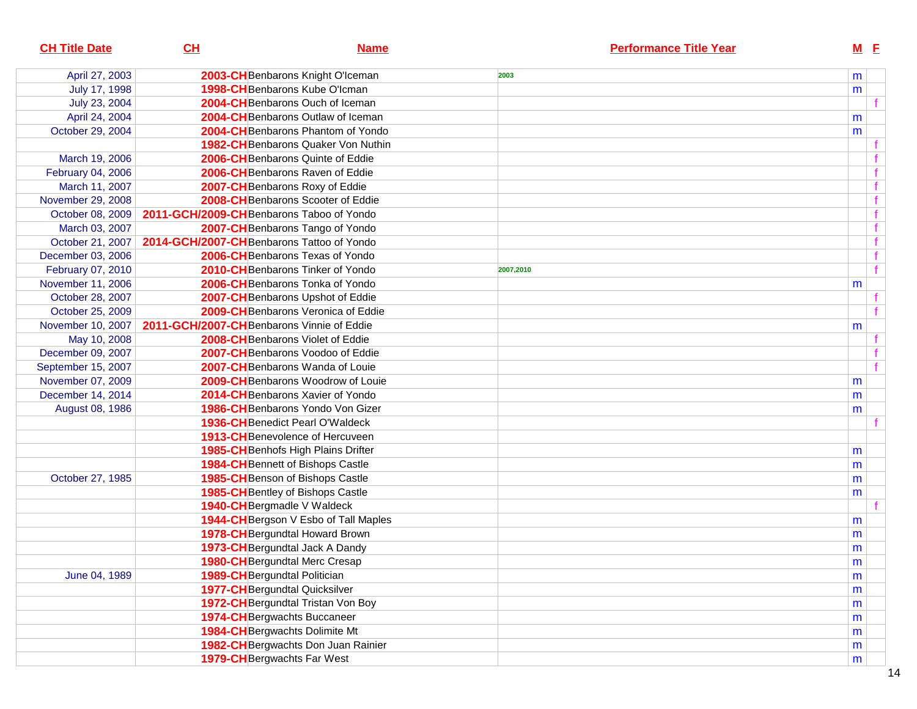| <b>CH Title Date</b> | CL                                        | <b>Name</b>                           |           | <b>Performance Title Year</b> | $M$ E |  |
|----------------------|-------------------------------------------|---------------------------------------|-----------|-------------------------------|-------|--|
| April 27, 2003       |                                           | 2003-CHBenbarons Knight O'Iceman      | 2003      |                               | m     |  |
| July 17, 1998        |                                           | 1998-CH Benbarons Kube O'Icman        |           |                               | m     |  |
| July 23, 2004        |                                           | 2004-CHBenbarons Ouch of Iceman       |           |                               |       |  |
| April 24, 2004       |                                           | 2004-CHBenbarons Outlaw of Iceman     |           |                               | m     |  |
| October 29, 2004     |                                           | 2004-CHBenbarons Phantom of Yondo     |           |                               | m     |  |
|                      |                                           | 1982-CHBenbarons Quaker Von Nuthin    |           |                               |       |  |
| March 19, 2006       |                                           | 2006-CHBenbarons Quinte of Eddie      |           |                               |       |  |
| February 04, 2006    |                                           | 2006-CH Benbarons Raven of Eddie      |           |                               |       |  |
| March 11, 2007       |                                           | 2007-CH Benbarons Roxy of Eddie       |           |                               |       |  |
| November 29, 2008    |                                           | 2008-CHBenbarons Scooter of Eddie     |           |                               |       |  |
| October 08, 2009     | 2011-GCH/2009-CH Benbarons Taboo of Yondo |                                       |           |                               |       |  |
| March 03, 2007       |                                           | 2007-CH Benbarons Tango of Yondo      |           |                               |       |  |
| October 21, 2007     | 2014-GCH/2007-CHBenbarons Tattoo of Yondo |                                       |           |                               |       |  |
| December 03, 2006    |                                           | 2006-CH Benbarons Texas of Yondo      |           |                               |       |  |
| February 07, 2010    |                                           | 2010-CH Benbarons Tinker of Yondo     | 2007,2010 |                               |       |  |
| November 11, 2006    |                                           | 2006-CH Benbarons Tonka of Yondo      |           |                               | m     |  |
| October 28, 2007     |                                           | 2007-CH Benbarons Upshot of Eddie     |           |                               |       |  |
| October 25, 2009     |                                           | 2009-CH Benbarons Veronica of Eddie   |           |                               |       |  |
| November 10, 2007    | 2011-GCH/2007-CHBenbarons Vinnie of Eddie |                                       |           |                               | m     |  |
| May 10, 2008         |                                           | 2008-CH Benbarons Violet of Eddie     |           |                               |       |  |
| December 09, 2007    |                                           | 2007-CH Benbarons Voodoo of Eddie     |           |                               |       |  |
| September 15, 2007   |                                           | 2007-CHBenbarons Wanda of Louie       |           |                               |       |  |
| November 07, 2009    |                                           | 2009-CHBenbarons Woodrow of Louie     |           |                               | m     |  |
| December 14, 2014    |                                           | 2014-CH Benbarons Xavier of Yondo     |           |                               | m     |  |
| August 08, 1986      |                                           | 1986-CH Benbarons Yondo Von Gizer     |           |                               | m     |  |
|                      |                                           | 1936-CH Benedict Pearl O'Waldeck      |           |                               |       |  |
|                      |                                           | 1913-CH Benevolence of Hercuveen      |           |                               |       |  |
|                      |                                           | 1985-CH Benhofs High Plains Drifter   |           |                               | m     |  |
|                      |                                           | 1984-CHBennett of Bishops Castle      |           |                               | m     |  |
| October 27, 1985     |                                           | 1985-CH Benson of Bishops Castle      |           |                               | m     |  |
|                      |                                           | 1985-CH Bentley of Bishops Castle     |           |                               | m     |  |
|                      | 1940-CH Bergmadle V Waldeck               |                                       |           |                               |       |  |
|                      |                                           | 1944-CH Bergson V Esbo of Tall Maples |           |                               | m     |  |
|                      |                                           | 1978-CH Bergundtal Howard Brown       |           |                               | m     |  |
|                      |                                           | 1973-CH Bergundtal Jack A Dandy       |           |                               | m     |  |
|                      | 1980-CH Bergundtal Merc Cresap            |                                       |           |                               | m     |  |
| June 04, 1989        | 1989-CH Bergundtal Politician             |                                       |           |                               | m     |  |
|                      | <b>1977-CH</b> Bergundtal Quicksilver     |                                       |           |                               | m     |  |
|                      |                                           | 1972-CH Bergundtal Tristan Von Boy    |           |                               | m     |  |
|                      | 1974-CH Bergwachts Buccaneer              |                                       |           |                               | m     |  |
|                      | 1984-CH Bergwachts Dolimite Mt            |                                       |           |                               | m     |  |
|                      |                                           | 1982-CH Bergwachts Don Juan Rainier   |           |                               | m     |  |
|                      | 1979-CH Bergwachts Far West               |                                       |           |                               | m     |  |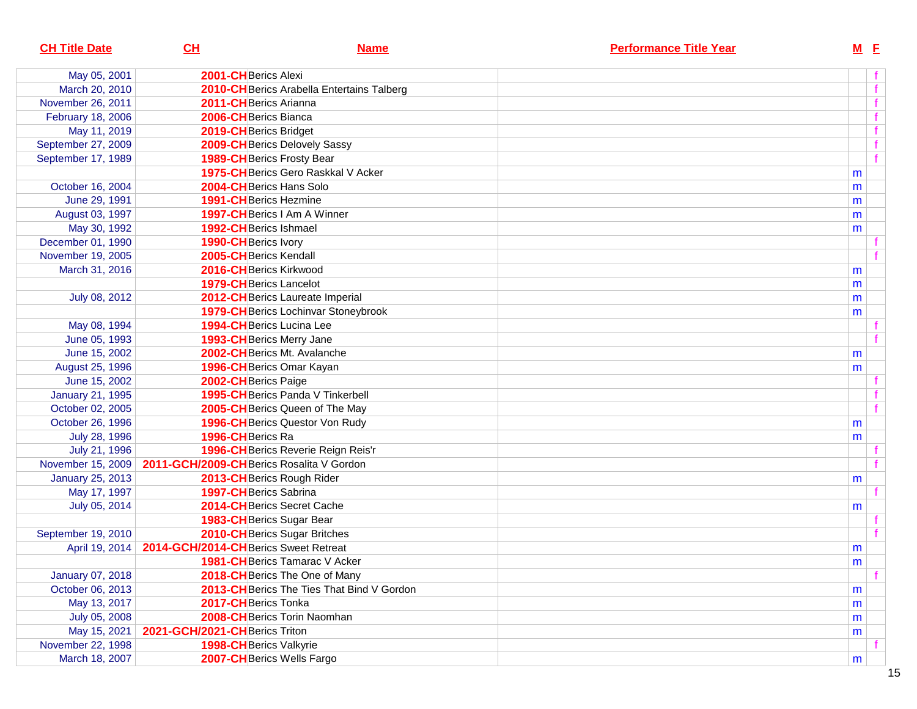| <b>CH Title Date</b>    | CL                                        | <b>Name</b>                                | <b>Performance Title Year</b> | $M$ E |             |
|-------------------------|-------------------------------------------|--------------------------------------------|-------------------------------|-------|-------------|
| May 05, 2001            | 2001-CHBerics Alexi                       |                                            |                               |       |             |
| March 20, 2010          |                                           | 2010-CH Berics Arabella Entertains Talberg |                               |       | $\mathbf f$ |
| November 26, 2011       | 2011-CHBerics Arianna                     |                                            |                               |       |             |
| February 18, 2006       | 2006-CHBerics Bianca                      |                                            |                               |       |             |
| May 11, 2019            | 2019-CH Berics Bridget                    |                                            |                               |       |             |
| September 27, 2009      | 2009-CH Berics Delovely Sassy             |                                            |                               |       |             |
| September 17, 1989      | <b>1989-CH</b> Berics Frosty Bear         |                                            |                               |       |             |
|                         |                                           | 1975-CH Berics Gero Raskkal V Acker        |                               | m     |             |
| October 16, 2004        | 2004-CHBerics Hans Solo                   |                                            |                               | m     |             |
| June 29, 1991           | 1991-CH Berics Hezmine                    |                                            |                               | m     |             |
| August 03, 1997         | 1997-CHBerics I Am A Winner               |                                            |                               | m     |             |
| May 30, 1992            | 1992-CH Berics Ishmael                    |                                            |                               | m     |             |
| December 01, 1990       | 1990-CH Berics Ivory                      |                                            |                               |       |             |
| November 19, 2005       | 2005-CH Berics Kendall                    |                                            |                               |       |             |
| March 31, 2016          | 2016-CHBerics Kirkwood                    |                                            |                               | m     |             |
|                         | <b>1979-CH</b> Berics Lancelot            |                                            |                               | m     |             |
| July 08, 2012           | 2012-CH Berics Laureate Imperial          |                                            |                               | m     |             |
|                         |                                           | 1979-CH Berics Lochinvar Stoneybrook       |                               | m     |             |
| May 08, 1994            | <b>1994-CH</b> Berics Lucina Lee          |                                            |                               |       |             |
| June 05, 1993           | 1993-CH Berics Merry Jane                 |                                            |                               |       |             |
| June 15, 2002           | 2002-CHBerics Mt. Avalanche               |                                            |                               | m     |             |
| August 25, 1996         | 1996-CHBerics Omar Kayan                  |                                            |                               | m     |             |
| June 15, 2002           | 2002-CH Berics Paige                      |                                            |                               |       |             |
| <b>January 21, 1995</b> | 1995-CH Berics Panda V Tinkerbell         |                                            |                               |       |             |
| October 02, 2005        | 2005-CH Berics Queen of The May           |                                            |                               |       |             |
| October 26, 1996        | <b>1996-CH</b> Berics Questor Von Rudy    |                                            |                               | m     |             |
| July 28, 1996           | 1996-CH Berics Ra                         |                                            |                               | m     |             |
| July 21, 1996           |                                           | 1996-CH Berics Reverie Reign Reis'r        |                               |       |             |
| November 15, 2009       | 2011-GCH/2009-CH Berics Rosalita V Gordon |                                            |                               |       |             |
| <b>January 25, 2013</b> | 2013-CHBerics Rough Rider                 |                                            |                               | m     |             |
| May 17, 1997            | 1997-CHBerics Sabrina                     |                                            |                               |       |             |
| July 05, 2014           | 2014-CH Berics Secret Cache               |                                            |                               | m     |             |
|                         | 1983-CH Berics Sugar Bear                 |                                            |                               |       |             |
| September 19, 2010      | 2010-CH Berics Sugar Britches             |                                            |                               |       |             |
| April 19, 2014          | 2014-GCH/2014-CHBerics Sweet Retreat      |                                            |                               | m     |             |
|                         | 1981-CH Berics Tamarac V Acker            |                                            |                               | m     |             |
| January 07, 2018        | 2018-CH Berics The One of Many            |                                            |                               |       |             |
| October 06, 2013        |                                           | 2013-CH Berics The Ties That Bind V Gordon |                               | m     |             |
| May 13, 2017            | 2017-CHBerics Tonka                       |                                            |                               | m     |             |
| July 05, 2008           | 2008-CHBerics Torin Naomhan               |                                            |                               | m     |             |
| May 15, 2021            | 2021-GCH/2021-CH Berics Triton            |                                            |                               | m     |             |
| November 22, 1998       | 1998-CH Berics Valkyrie                   |                                            |                               |       |             |
| March 18, 2007          | 2007-CH Berics Wells Fargo                |                                            |                               | m     |             |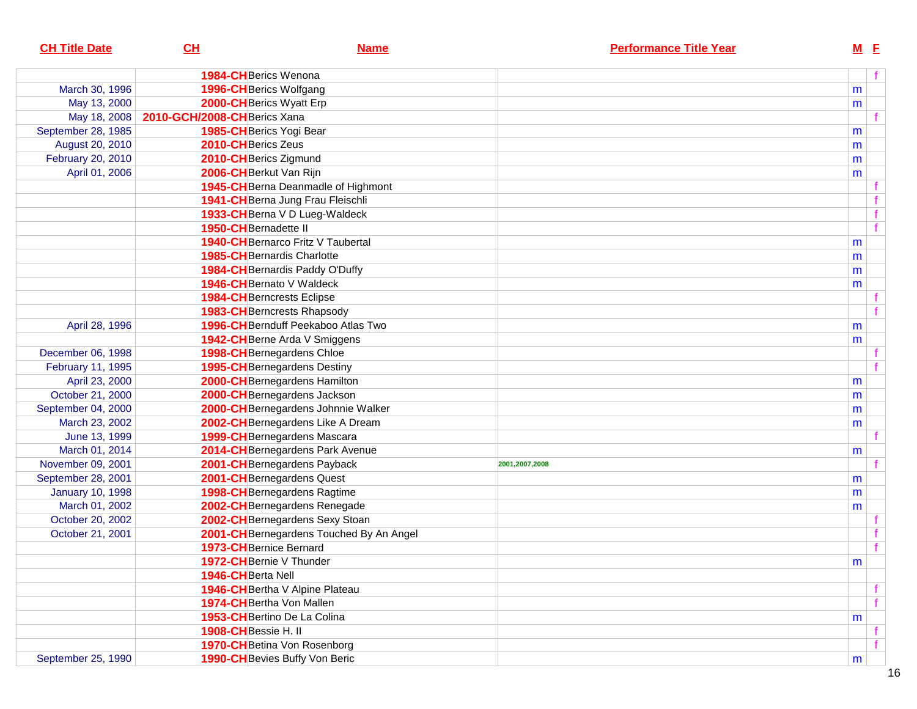| <b>CH Title Date</b>    | CL                           | <b>Name</b>                              |                | <b>Performance Title Year</b> | $M$ E |             |
|-------------------------|------------------------------|------------------------------------------|----------------|-------------------------------|-------|-------------|
|                         | <b>1984-CH</b> Berics Wenona |                                          |                |                               |       |             |
| March 30, 1996          | 1996-CH Berics Wolfgang      |                                          |                |                               | m     |             |
| May 13, 2000            | 2000-CHBerics Wyatt Erp      |                                          |                |                               | m     |             |
| May 18, 2008            | 2010-GCH/2008-CHBerics Xana  |                                          |                |                               |       |             |
| September 28, 1985      | 1985-CH Berics Yogi Bear     |                                          |                |                               | m     |             |
| August 20, 2010         | 2010-CHBerics Zeus           |                                          |                |                               | m     |             |
| February 20, 2010       | 2010-CH Berics Zigmund       |                                          |                |                               | m     |             |
| April 01, 2006          | 2006-CH Berkut Van Rijn      |                                          |                |                               | m     |             |
|                         |                              | 1945-CH Berna Deanmadle of Highmont      |                |                               |       |             |
|                         |                              | 1941-CH Berna Jung Frau Fleischli        |                |                               |       | f           |
|                         |                              | 1933-CH Berna V D Lueg-Waldeck           |                |                               |       | $\mathbf f$ |
|                         | 1950-CH Bernadette II        |                                          |                |                               |       | f           |
|                         |                              | 1940-CH Bernarco Fritz V Taubertal       |                |                               | m     |             |
|                         |                              | <b>1985-CH</b> Bernardis Charlotte       |                |                               | m     |             |
|                         |                              | 1984-CH Bernardis Paddy O'Duffy          |                |                               | m     |             |
|                         |                              | 1946-CH Bernato V Waldeck                |                |                               | m     |             |
|                         |                              | <b>1984-CH</b> Berncrests Eclipse        |                |                               |       |             |
|                         |                              | <b>1983-CH</b> Berncrests Rhapsody       |                |                               |       |             |
| April 28, 1996          |                              | 1996-CHBernduff Peekaboo Atlas Two       |                |                               | m     |             |
|                         |                              | 1942-CH Berne Arda V Smiggens            |                |                               | m     |             |
| December 06, 1998       |                              | 1998-CH Bernegardens Chloe               |                |                               |       |             |
| February 11, 1995       |                              | <b>1995-CH</b> Bernegardens Destiny      |                |                               |       |             |
| April 23, 2000          |                              | 2000-CH Bernegardens Hamilton            |                |                               | m     |             |
| October 21, 2000        |                              | 2000-CH Bernegardens Jackson             |                |                               | m     |             |
| September 04, 2000      |                              | 2000-CH Bernegardens Johnnie Walker      |                |                               | m     |             |
| March 23, 2002          |                              | 2002-CH Bernegardens Like A Dream        |                |                               | m     |             |
| June 13, 1999           |                              | 1999-CH Bernegardens Mascara             |                |                               |       |             |
| March 01, 2014          |                              | 2014-CH Bernegardens Park Avenue         |                |                               | m     |             |
| November 09, 2001       |                              | 2001-CHBernegardens Payback              | 2001,2007,2008 |                               |       |             |
| September 28, 2001      |                              | 2001-CH Bernegardens Quest               |                |                               | m     |             |
| <b>January 10, 1998</b> |                              | 1998-CH Bernegardens Ragtime             |                |                               | m     |             |
| March 01, 2002          |                              | 2002-CHBernegardens Renegade             |                |                               | m     |             |
| October 20, 2002        |                              | 2002-CH Bernegardens Sexy Stoan          |                |                               |       |             |
| October 21, 2001        |                              | 2001-CH Bernegardens Touched By An Angel |                |                               |       |             |
|                         | 1973-CH Bernice Bernard      |                                          |                |                               |       | f           |
|                         |                              | 1972-CH Bernie V Thunder                 |                |                               | m     |             |
|                         | 1946-CH Berta Nell           |                                          |                |                               |       |             |
|                         |                              | 1946-CH Bertha V Alpine Plateau          |                |                               |       | f           |
|                         |                              | 1974-CH Bertha Von Mallen                |                |                               |       | f           |
|                         |                              | 1953-CH Bertino De La Colina             |                |                               | m     |             |
|                         | 1908-CH Bessie H. II         |                                          |                |                               |       |             |
|                         |                              | 1970-CH Betina Von Rosenborg             |                |                               |       | f           |
| September 25, 1990      |                              | 1990-CH Bevies Buffy Von Beric           |                |                               | m     |             |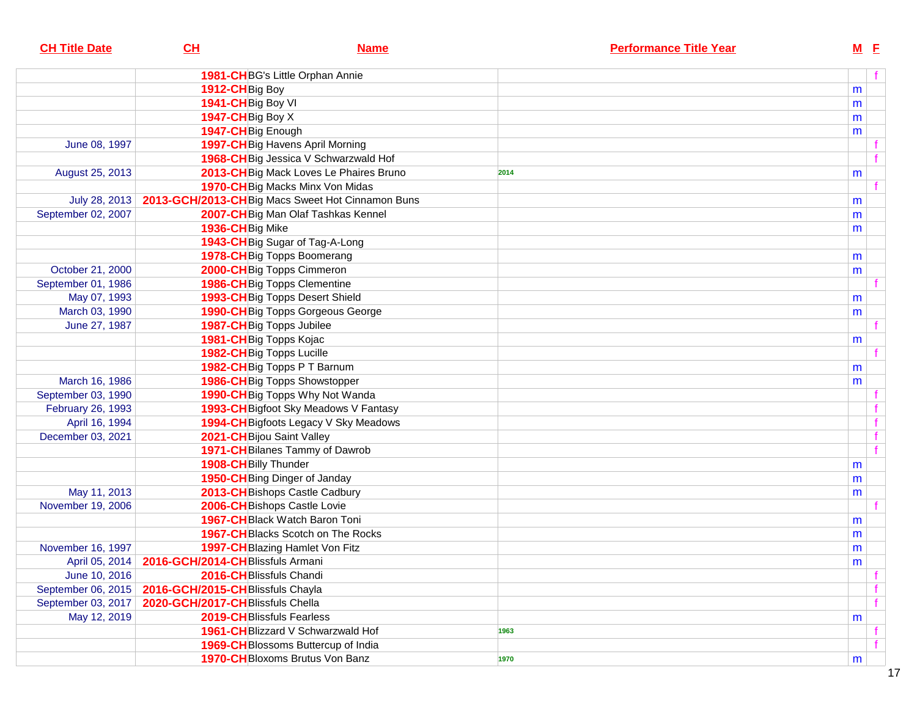| <b>CH Title Date</b> | CL                                                 | <b>Name</b>                                      |      | <b>Performance Title Year</b> | <b>M</b> E |  |
|----------------------|----------------------------------------------------|--------------------------------------------------|------|-------------------------------|------------|--|
|                      |                                                    | 1981-CHBG's Little Orphan Annie                  |      |                               |            |  |
|                      | 1912-CH <sub>Big</sub> Boy                         |                                                  |      |                               | m          |  |
|                      | 1941-CH Big Boy VI                                 |                                                  |      |                               | m          |  |
|                      | 1947-CH Big Boy X                                  |                                                  |      |                               | m          |  |
|                      | 1947-CH Big Enough                                 |                                                  |      |                               | m          |  |
| June 08, 1997        |                                                    | 1997-CH Big Havens April Morning                 |      |                               |            |  |
|                      |                                                    | 1968-CH Big Jessica V Schwarzwald Hof            |      |                               |            |  |
| August 25, 2013      |                                                    | 2013-CH Big Mack Loves Le Phaires Bruno          | 2014 |                               | m          |  |
|                      |                                                    | 1970-CH Big Macks Minx Von Midas                 |      |                               |            |  |
| July 28, 2013        |                                                    | 2013-GCH/2013-CHBig Macs Sweet Hot Cinnamon Buns |      |                               | m          |  |
| September 02, 2007   |                                                    | 2007-CH Big Man Olaf Tashkas Kennel              |      |                               | m          |  |
|                      | 1936-CHBig Mike                                    |                                                  |      |                               | m          |  |
|                      |                                                    | 1943-CH Big Sugar of Tag-A-Long                  |      |                               |            |  |
|                      |                                                    | 1978-CH Big Topps Boomerang                      |      |                               | m          |  |
| October 21, 2000     |                                                    | 2000-CHBig Topps Cimmeron                        |      |                               | m          |  |
| September 01, 1986   |                                                    | 1986-CHBig Topps Clementine                      |      |                               |            |  |
| May 07, 1993         |                                                    | 1993-CH Big Topps Desert Shield                  |      |                               | m          |  |
| March 03, 1990       |                                                    | 1990-CH Big Topps Gorgeous George                |      |                               | m          |  |
| June 27, 1987        | 1987-CHBig Topps Jubilee                           |                                                  |      |                               |            |  |
|                      | 1981-CH Big Topps Kojac                            |                                                  |      |                               | m          |  |
|                      | 1982-CH Big Topps Lucille                          |                                                  |      |                               |            |  |
|                      |                                                    | 1982-CHBig Topps P T Barnum                      |      |                               | m          |  |
| March 16, 1986       |                                                    | 1986-CH Big Topps Showstopper                    |      |                               | m          |  |
| September 03, 1990   |                                                    | 1990-CH Big Topps Why Not Wanda                  |      |                               |            |  |
| February 26, 1993    |                                                    | 1993-CH Bigfoot Sky Meadows V Fantasy            |      |                               |            |  |
| April 16, 1994       |                                                    | 1994-CH Bigfoots Legacy V Sky Meadows            |      |                               |            |  |
| December 03, 2021    | 2021-CH Bijou Saint Valley                         |                                                  |      |                               |            |  |
|                      |                                                    | 1971-CH Bilanes Tammy of Dawrob                  |      |                               |            |  |
|                      | 1908-CH Billy Thunder                              |                                                  |      |                               | m          |  |
|                      |                                                    | 1950-CH Bing Dinger of Janday                    |      |                               | m          |  |
| May 11, 2013         |                                                    | 2013-CH Bishops Castle Cadbury                   |      |                               | m          |  |
| November 19, 2006    |                                                    | 2006-CH Bishops Castle Lovie                     |      |                               |            |  |
|                      |                                                    | <b>1967-CH</b> Black Watch Baron Toni            |      |                               | m          |  |
|                      |                                                    | 1967-CH Blacks Scotch on The Rocks               |      |                               | m          |  |
| November 16, 1997    |                                                    | 1997-CH Blazing Hamlet Von Fitz                  |      |                               | m          |  |
|                      | April 05, 2014   2016-GCH/2014-CH Blissfuls Armani |                                                  |      |                               | m          |  |
| June 10, 2016        | 2016-CHBlissfuls Chandi                            |                                                  |      |                               |            |  |
| September 06, 2015   | 2016-GCH/2015-CHBIissfuls Chayla                   |                                                  |      |                               |            |  |
| September 03, 2017   | 2020-GCH/2017-CHBlissfuls Chella                   |                                                  |      |                               |            |  |
| May 12, 2019         | 2019-CHBlissfuls Fearless                          |                                                  |      |                               | m          |  |
|                      |                                                    | 1961-CHBIizzard V Schwarzwald Hof                | 1963 |                               |            |  |
|                      |                                                    | 1969-CHBIossoms Buttercup of India               |      |                               |            |  |
|                      |                                                    | 1970-CH Bloxoms Brutus Von Banz                  | 1970 |                               | m          |  |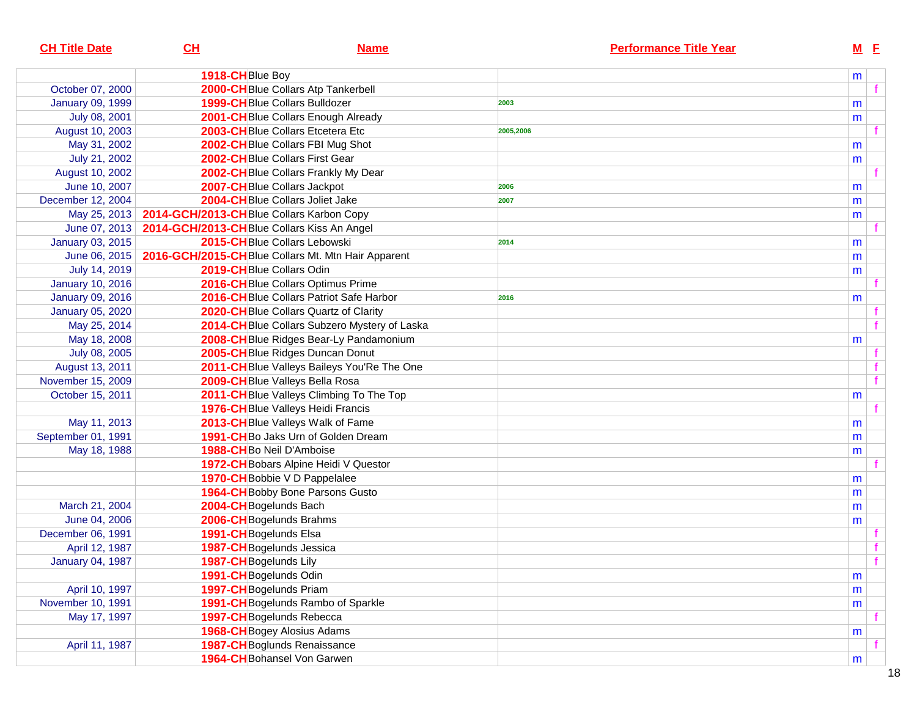| <b>CH Title Date</b>    | CH                                                                  | <b>Name</b>                                   | <b>Performance Title Year</b> | $M$ E |  |
|-------------------------|---------------------------------------------------------------------|-----------------------------------------------|-------------------------------|-------|--|
|                         | 1918-CHBlue Boy                                                     |                                               |                               | m     |  |
| October 07, 2000        |                                                                     | 2000-CHBlue Collars Atp Tankerbell            |                               |       |  |
| <b>January 09, 1999</b> | <b>1999-CH</b> Blue Collars Bulldozer                               |                                               | 2003                          | m     |  |
| July 08, 2001           |                                                                     | 2001-CH Blue Collars Enough Already           |                               | m     |  |
| August 10, 2003         |                                                                     | 2003-CHBlue Collars Etcetera Etc              | 2005,2006                     |       |  |
| May 31, 2002            |                                                                     | 2002-CHBlue Collars FBI Mug Shot              |                               | m     |  |
| July 21, 2002           |                                                                     | 2002-CHBlue Collars First Gear                |                               | m     |  |
| August 10, 2002         |                                                                     | 2002-CH Blue Collars Frankly My Dear          |                               |       |  |
| June 10, 2007           | 2007-CHBlue Collars Jackpot                                         |                                               | 2006                          | m     |  |
| December 12, 2004       |                                                                     | 2004-CHBlue Collars Joliet Jake               | 2007                          | m     |  |
| May 25, 2013            | 2014-GCH/2013-CHBlue Collars Karbon Copy                            |                                               |                               | m     |  |
| June 07, 2013           | 2014-GCH/2013-CHBlue Collars Kiss An Angel                          |                                               |                               |       |  |
| January 03, 2015        | 2015-CHBlue Collars Lebowski                                        |                                               | 2014                          | m     |  |
|                         | June 06, 2015   2016-GCH/2015-CH Blue Collars Mt. Mtn Hair Apparent |                                               |                               | m     |  |
| July 14, 2019           | 2019-CH Blue Collars Odin                                           |                                               |                               | m     |  |
| <b>January 10, 2016</b> |                                                                     | 2016-CHBlue Collars Optimus Prime             |                               |       |  |
| <b>January 09, 2016</b> |                                                                     | 2016-CHBlue Collars Patriot Safe Harbor       | 2016                          | m     |  |
| <b>January 05, 2020</b> |                                                                     | 2020-CH Blue Collars Quartz of Clarity        |                               |       |  |
| May 25, 2014            |                                                                     | 2014-CH Blue Collars Subzero Mystery of Laska |                               |       |  |
| May 18, 2008            |                                                                     | 2008-CHBlue Ridges Bear-Ly Pandamonium        |                               | m     |  |
| July 08, 2005           |                                                                     | 2005-CHBlue Ridges Duncan Donut               |                               |       |  |
| August 13, 2011         |                                                                     | 2011-CH Blue Valleys Baileys You'Re The One   |                               |       |  |
| November 15, 2009       |                                                                     | 2009-CH Blue Valleys Bella Rosa               |                               |       |  |
| October 15, 2011        |                                                                     | 2011-CH Blue Valleys Climbing To The Top      |                               | m     |  |
|                         |                                                                     | 1976-CHBlue Valleys Heidi Francis             |                               |       |  |
| May 11, 2013            |                                                                     | 2013-CHBlue Valleys Walk of Fame              |                               | m     |  |
| September 01, 1991      |                                                                     | 1991-CHBo Jaks Urn of Golden Dream            |                               | m     |  |
| May 18, 1988            | 1988-CHBo Neil D'Amboise                                            |                                               |                               | m     |  |
|                         |                                                                     | 1972-CH Bobars Alpine Heidi V Questor         |                               |       |  |
|                         |                                                                     | 1970-CH Bobbie V D Pappelalee                 |                               | m     |  |
|                         |                                                                     | 1964-CH Bobby Bone Parsons Gusto              |                               | m     |  |
| March 21, 2004          | 2004-CH Bogelunds Bach                                              |                                               |                               | m     |  |
| June 04, 2006           | 2006-CH Bogelunds Brahms                                            |                                               |                               | m     |  |
| December 06, 1991       | 1991-CH Bogelunds Elsa                                              |                                               |                               |       |  |
| April 12, 1987          | 1987-CH Bogelunds Jessica                                           |                                               |                               |       |  |
| <b>January 04, 1987</b> | 1987-CH Bogelunds Lily                                              |                                               |                               |       |  |
|                         | 1991-CH Bogelunds Odin                                              |                                               |                               | m     |  |
| April 10, 1997          | 1997-CH Bogelunds Priam                                             |                                               |                               | m     |  |
| November 10, 1991       |                                                                     | 1991-CH Bogelunds Rambo of Sparkle            |                               | m     |  |
| May 17, 1997            | 1997-CH Bogelunds Rebecca                                           |                                               |                               |       |  |
|                         | 1968-CH Bogey Alosius Adams                                         |                                               |                               | m     |  |
| April 11, 1987          |                                                                     | 1987-CH Boglunds Renaissance                  |                               |       |  |
|                         |                                                                     | 1964-CH Bohansel Von Garwen                   |                               | m     |  |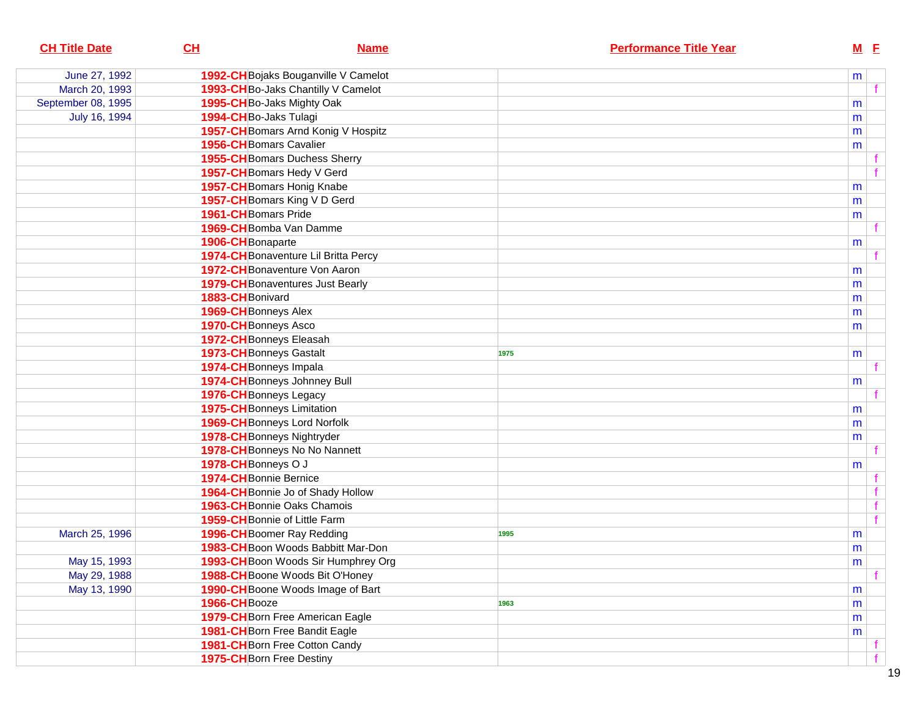| <b>CH Title Date</b> | CL<br><b>Name</b>                       | <b>Performance Title Year</b> |   | $M$ E        |  |
|----------------------|-----------------------------------------|-------------------------------|---|--------------|--|
| June 27, 1992        | 1992-CH Bojaks Bouganville V Camelot    |                               | m |              |  |
| March 20, 1993       | 1993-CH Bo-Jaks Chantilly V Camelot     |                               |   |              |  |
| September 08, 1995   | 1995-CH Bo-Jaks Mighty Oak              |                               | m |              |  |
| July 16, 1994        | 1994-CHBo-Jaks Tulagi                   |                               | m |              |  |
|                      | 1957-CH Bomars Arnd Konig V Hospitz     |                               | m |              |  |
|                      | <b>1956-CH</b> Bomars Cavalier          |                               | m |              |  |
|                      | <b>1955-CH</b> Bomars Duchess Sherry    |                               |   |              |  |
|                      | 1957-CH Bomars Hedy V Gerd              |                               |   | $\mathbf{f}$ |  |
|                      | 1957-CH Bomars Honig Knabe              |                               | m |              |  |
|                      | 1957-CH Bomars King V D Gerd            |                               | m |              |  |
|                      | 1961-CH Bomars Pride                    |                               | m |              |  |
|                      | 1969-CH Bomba Van Damme                 |                               |   |              |  |
|                      | 1906-CH Bonaparte                       |                               | m |              |  |
|                      | 1974-CH Bonaventure Lil Britta Percy    |                               |   |              |  |
|                      | 1972-CH Bonaventure Von Aaron           |                               | m |              |  |
|                      | <b>1979-CH</b> Bonaventures Just Bearly |                               | m |              |  |
|                      | 1883-CH Bonivard                        |                               | m |              |  |
|                      | 1969-CH Bonneys Alex                    |                               | m |              |  |
|                      | 1970-CH Bonneys Asco                    |                               | m |              |  |
|                      | 1972-CH Bonneys Eleasah                 |                               |   |              |  |
|                      | 1973-CH Bonneys Gastalt                 | 1975                          | m |              |  |
|                      | 1974-CH Bonneys Impala                  |                               |   |              |  |
|                      | 1974-CH Bonneys Johnney Bull            |                               | m |              |  |
|                      | 1976-CH Bonneys Legacy                  |                               |   |              |  |
|                      | <b>1975-CH</b> Bonneys Limitation       |                               | m |              |  |
|                      | 1969-CH Bonneys Lord Norfolk            |                               | m |              |  |
|                      | 1978-CH Bonneys Nightryder              |                               | m |              |  |
|                      | 1978-CH Bonneys No No Nannett           |                               |   |              |  |
|                      | 1978-CH Bonneys O J                     |                               | m |              |  |
|                      | 1974-CH Bonnie Bernice                  |                               |   |              |  |
|                      | 1964-CH Bonnie Jo of Shady Hollow       |                               |   | f            |  |
|                      | <b>1963-CH</b> Bonnie Oaks Chamois      |                               |   | f            |  |
|                      | 1959-CH Bonnie of Little Farm           |                               |   | f            |  |
| March 25, 1996       | 1996-CH Boomer Ray Redding              | 1995                          | m |              |  |
|                      | 1983-CH Boon Woods Babbitt Mar-Don      |                               | m |              |  |
| May 15, 1993         | 1993-CH Boon Woods Sir Humphrey Org     |                               | m |              |  |
| May 29, 1988         | 1988-CH Boone Woods Bit O'Honey         |                               |   |              |  |
| May 13, 1990         | 1990-CH Boone Woods Image of Bart       |                               | m |              |  |
|                      | 1966-CHBooze                            | 1963                          | m |              |  |
|                      | 1979-CH Born Free American Eagle        |                               | m |              |  |
|                      | 1981-CH Born Free Bandit Eagle          |                               | m |              |  |
|                      | 1981-CH Born Free Cotton Candy          |                               |   |              |  |
|                      | 1975-CH Born Free Destiny               |                               |   |              |  |
|                      |                                         |                               |   |              |  |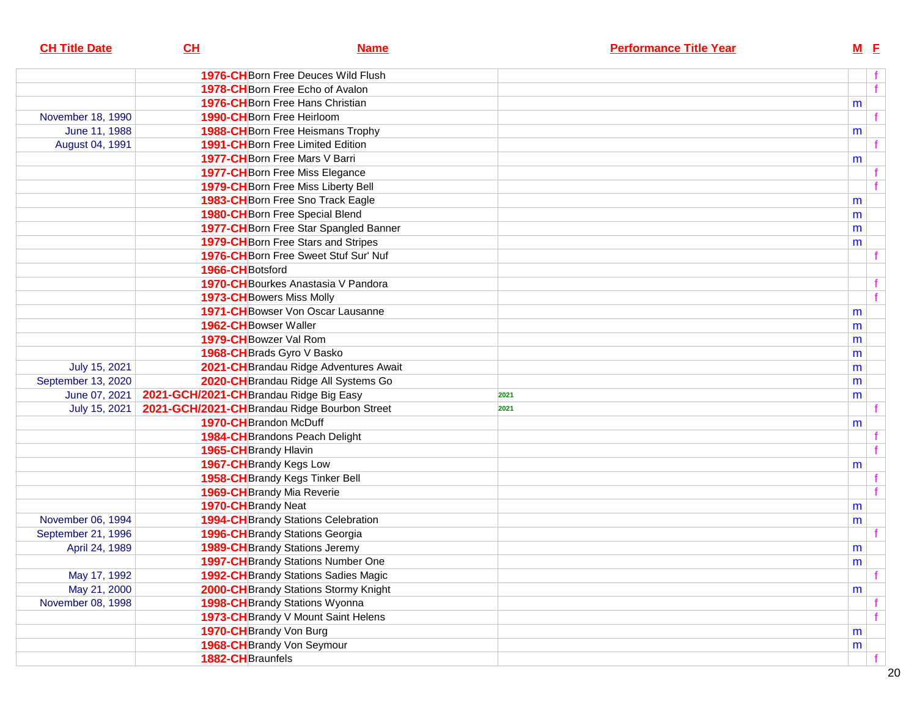| <b>CH Title Date</b> | CL                                      | <b>Name</b>                                   |      | <b>Performance Title Year</b> |   | $M$ $E$ |
|----------------------|-----------------------------------------|-----------------------------------------------|------|-------------------------------|---|---------|
|                      |                                         | <b>1976-CH</b> Born Free Deuces Wild Flush    |      |                               |   |         |
|                      |                                         | 1978-CH Born Free Echo of Avalon              |      |                               |   | f       |
|                      |                                         | 1976-CH Born Free Hans Christian              |      |                               | m |         |
| November 18, 1990    |                                         | 1990-CH Born Free Heirloom                    |      |                               |   |         |
| June 11, 1988        |                                         | 1988-CH Born Free Heismans Trophy             |      |                               | m |         |
| August 04, 1991      |                                         | 1991-CH Born Free Limited Edition             |      |                               |   |         |
|                      |                                         | <b>1977-CH</b> Born Free Mars V Barri         |      |                               | m |         |
|                      |                                         | 1977-CH Born Free Miss Elegance               |      |                               |   |         |
|                      |                                         | 1979-CH Born Free Miss Liberty Bell           |      |                               |   |         |
|                      |                                         | 1983-CH Born Free Sno Track Eagle             |      |                               | m |         |
|                      |                                         | 1980-CH Born Free Special Blend               |      |                               | m |         |
|                      |                                         | 1977-CH Born Free Star Spangled Banner        |      |                               | m |         |
|                      |                                         | <b>1979-CH</b> Born Free Stars and Stripes    |      |                               | m |         |
|                      |                                         | 1976-CH Born Free Sweet Stuf Sur' Nuf         |      |                               |   |         |
|                      | 1966-CH Botsford                        |                                               |      |                               |   |         |
|                      |                                         | 1970-CH Bourkes Anastasia V Pandora           |      |                               |   |         |
|                      |                                         | 1973-CH Bowers Miss Molly                     |      |                               |   |         |
|                      |                                         | 1971-CH Bowser Von Oscar Lausanne             |      |                               | m |         |
|                      | <b>1962-CH</b> Bowser Waller            |                                               |      |                               | m |         |
|                      |                                         | 1979-CH Bowzer Val Rom                        |      |                               | m |         |
|                      |                                         | 1968-CH Brads Gyro V Basko                    |      |                               | m |         |
| July 15, 2021        |                                         | 2021-CH Brandau Ridge Adventures Await        |      |                               | m |         |
| September 13, 2020   |                                         | 2020-CH Brandau Ridge All Systems Go          |      |                               | m |         |
| June 07, 2021        | 2021-GCH/2021-CH Brandau Ridge Big Easy |                                               | 2021 |                               | m |         |
| July 15, 2021        |                                         | 2021-GCH/2021-CH Brandau Ridge Bourbon Street | 2021 |                               |   |         |
|                      |                                         | 1970-CH Brandon McDuff                        |      |                               | m |         |
|                      |                                         | <b>1984-CH</b> Brandons Peach Delight         |      |                               |   |         |
|                      | 1965-CH Brandy Hlavin                   |                                               |      |                               |   |         |
|                      |                                         | 1967-CH Brandy Kegs Low                       |      |                               | m |         |
|                      |                                         | 1958-CH Brandy Kegs Tinker Bell               |      |                               |   |         |
|                      |                                         | 1969-CH Brandy Mia Reverie                    |      |                               |   |         |
|                      | 1970-CH Brandy Neat                     |                                               |      |                               | m |         |
| November 06, 1994    |                                         | <b>1994-CH</b> Brandy Stations Celebration    |      |                               | m |         |
| September 21, 1996   |                                         | 1996-CH Brandy Stations Georgia               |      |                               |   |         |
| April 24, 1989       |                                         | <b>1989-CH</b> Brandy Stations Jeremy         |      |                               | m |         |
|                      |                                         | 1997-CH Brandy Stations Number One            |      |                               | m |         |
| May 17, 1992         |                                         | <b>1992-CH</b> Brandy Stations Sadies Magic   |      |                               |   | f       |
| May 21, 2000         |                                         | 2000-CH Brandy Stations Stormy Knight         |      |                               | m |         |
| November 08, 1998    |                                         | 1998-CH Brandy Stations Wyonna                |      |                               |   |         |
|                      |                                         | 1973-CH Brandy V Mount Saint Helens           |      |                               |   |         |
|                      |                                         | 1970-CH Brandy Von Burg                       |      |                               | m |         |
|                      |                                         | 1968-CH Brandy Von Seymour                    |      |                               | m |         |
|                      | 1882-CH Braunfels                       |                                               |      |                               |   |         |
|                      |                                         |                                               |      |                               |   |         |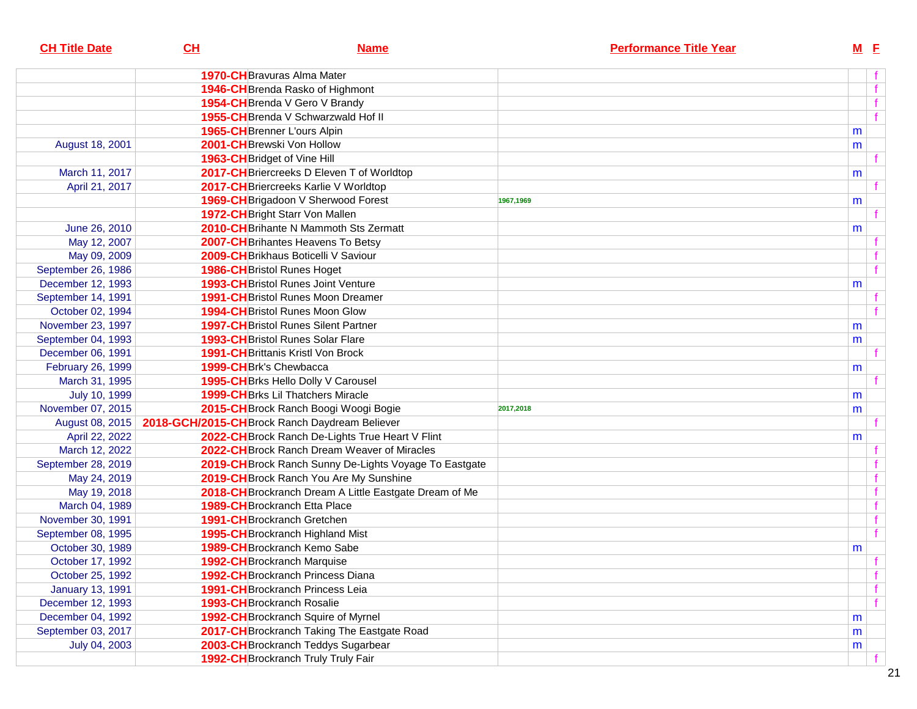| <b>CH Title Date</b>    | CL | <b>Name</b>                                                      | <b>Performance Title Year</b> | $M$ E        |  |
|-------------------------|----|------------------------------------------------------------------|-------------------------------|--------------|--|
|                         |    | <b>1970-CH</b> Bravuras Alma Mater                               |                               |              |  |
|                         |    | 1946-CH Brenda Rasko of Highmont                                 |                               | f            |  |
|                         |    | 1954-CH Brenda V Gero V Brandy                                   |                               | f            |  |
|                         |    | 1955-CH Brenda V Schwarzwald Hof II                              |                               | f            |  |
|                         |    | 1965-CH Brenner L'ours Alpin                                     |                               | m            |  |
| August 18, 2001         |    | 2001-CH Brewski Von Hollow                                       |                               | m            |  |
|                         |    | 1963-CH Bridget of Vine Hill                                     |                               |              |  |
| March 11, 2017          |    | 2017-CH Briercreeks D Eleven T of Worldtop                       |                               | m            |  |
| April 21, 2017          |    | 2017-CH Briercreeks Karlie V Worldtop                            |                               |              |  |
|                         |    | 1969-CH Brigadoon V Sherwood Forest                              | 1967,1969                     | m            |  |
|                         |    | 1972-CH Bright Starr Von Mallen                                  |                               |              |  |
| June 26, 2010           |    | 2010-CH Brihante N Mammoth Sts Zermatt                           |                               | m            |  |
| May 12, 2007            |    | 2007-CH Brihantes Heavens To Betsy                               |                               |              |  |
| May 09, 2009            |    | 2009-CH Brikhaus Boticelli V Saviour                             |                               |              |  |
| September 26, 1986      |    | <b>1986-CH</b> Bristol Runes Hoget                               |                               | f            |  |
| December 12, 1993       |    | <b>1993-CH</b> Bristol Runes Joint Venture                       |                               | m            |  |
| September 14, 1991      |    | <b>1991-CH</b> Bristol Runes Moon Dreamer                        |                               |              |  |
| October 02, 1994        |    | <b>1994-CH</b> Bristol Runes Moon Glow                           |                               | f            |  |
| November 23, 1997       |    | <b>1997-CH</b> Bristol Runes Silent Partner                      |                               | m            |  |
| September 04, 1993      |    | <b>1993-CH</b> Bristol Runes Solar Flare                         |                               | m            |  |
| December 06, 1991       |    | <b>1991-CH</b> Brittanis Kristl Von Brock                        |                               |              |  |
| February 26, 1999       |    | 1999-CH Brk's Chewbacca                                          |                               | m            |  |
| March 31, 1995          |    | 1995-CH Brks Hello Dolly V Carousel                              |                               |              |  |
| July 10, 1999           |    | <b>1999-CH</b> Brks Lil Thatchers Miracle                        |                               | m            |  |
| November 07, 2015       |    | 2015-CH Brock Ranch Boogi Woogi Bogie                            | 2017,2018                     | m            |  |
|                         |    | August 08, 2015   2018-GCH/2015-CH Brock Ranch Daydream Believer |                               |              |  |
| April 22, 2022          |    | 2022-CH Brock Ranch De-Lights True Heart V Flint                 |                               | m            |  |
| March 12, 2022          |    | 2022-CH Brock Ranch Dream Weaver of Miracles                     |                               |              |  |
| September 28, 2019      |    | 2019-CH Brock Ranch Sunny De-Lights Voyage To Eastgate           |                               |              |  |
| May 24, 2019            |    | 2019-CH Brock Ranch You Are My Sunshine                          |                               |              |  |
| May 19, 2018            |    | 2018-CH Brockranch Dream A Little Eastgate Dream of Me           |                               |              |  |
| March 04, 1989          |    | <b>1989-CH</b> Brockranch Etta Place                             |                               |              |  |
| November 30, 1991       |    | <b>1991-CH</b> Brockranch Gretchen                               |                               | f            |  |
| September 08, 1995      |    | 1995-CH Brockranch Highland Mist                                 |                               | f            |  |
| October 30, 1989        |    | 1989-CH Brockranch Kemo Sabe                                     |                               | m            |  |
| October 17, 1992        |    | 1992-CH Brockranch Marquise                                      |                               |              |  |
| October 25, 1992        |    | <b>1992-CH</b> Brockranch Princess Diana                         |                               | f            |  |
| <b>January 13, 1991</b> |    | <b>1991-CH</b> Brockranch Princess Leia                          |                               | f            |  |
| December 12, 1993       |    | <b>1993-CH</b> Brockranch Rosalie                                |                               | $\mathbf{f}$ |  |
| December 04, 1992       |    | 1992-CH Brockranch Squire of Myrnel                              |                               | m            |  |
| September 03, 2017      |    | 2017-CH Brockranch Taking The Eastgate Road                      |                               | m            |  |
| July 04, 2003           |    | 2003-CH Brockranch Teddys Sugarbear                              |                               | m            |  |
|                         |    | 1992-CH Brockranch Truly Truly Fair                              |                               |              |  |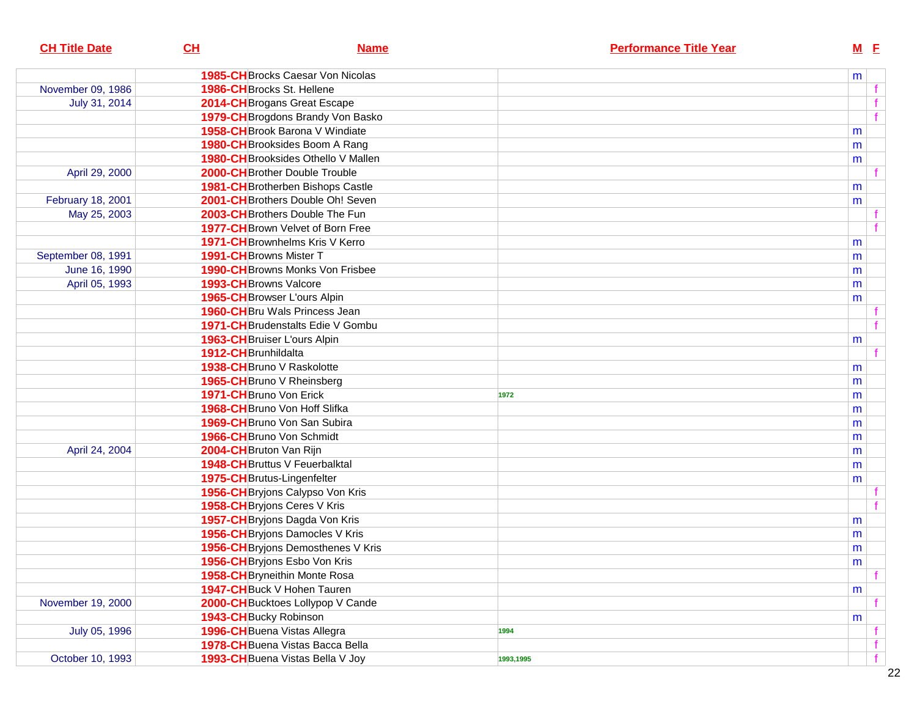| <b>CH Title Date</b> | CH<br><b>Name</b>                        | <b>Performance Title Year</b> |   | $M$ $E$ |
|----------------------|------------------------------------------|-------------------------------|---|---------|
|                      | <b>1985-CH</b> Brocks Caesar Von Nicolas |                               | m |         |
| November 09, 1986    | 1986-CH Brocks St. Hellene               |                               |   |         |
| July 31, 2014        | 2014-CH Brogans Great Escape             |                               |   |         |
|                      | 1979-CH Brogdons Brandy Von Basko        |                               |   | f       |
|                      | 1958-CH Brook Barona V Windiate          |                               | m |         |
|                      | 1980-CH Brooksides Boom A Rang           |                               | m |         |
|                      | 1980-CH Brooksides Othello V Mallen      |                               | m |         |
| April 29, 2000       | 2000-CH Brother Double Trouble           |                               |   |         |
|                      | 1981-CH Brotherben Bishops Castle        |                               | m |         |
| February 18, 2001    | 2001-CH Brothers Double Oh! Seven        |                               | m |         |
| May 25, 2003         | 2003-CHBrothers Double The Fun           |                               |   |         |
|                      | 1977-CH Brown Velvet of Born Free        |                               |   |         |
|                      | <b>1971-CH</b> Brownhelms Kris V Kerro   |                               | m |         |
| September 08, 1991   | 1991-CH Browns Mister T                  |                               | m |         |
| June 16, 1990        | <b>1990-CH</b> Browns Monks Von Frisbee  |                               | m |         |
| April 05, 1993       | 1993-CH Browns Valcore                   |                               | m |         |
|                      | 1965-CH Browser L'ours Alpin             |                               | m |         |
|                      | <b>1960-CH</b> Bru Wals Princess Jean    |                               |   |         |
|                      | 1971-CH Brudenstalts Edie V Gombu        |                               |   |         |
|                      | 1963-CH Bruiser L'ours Alpin             |                               | m |         |
|                      | 1912-CH Brunhildalta                     |                               |   |         |
|                      | 1938-CHBruno V Raskolotte                |                               | m |         |
|                      | 1965-CH Bruno V Rheinsberg               |                               | m |         |
|                      | 1971-CH Bruno Von Erick                  | 1972                          | m |         |
|                      | 1968-CHBruno Von Hoff Slifka             |                               | m |         |
|                      | 1969-CHBruno Von San Subira              |                               | m |         |
|                      | 1966-CH Bruno Von Schmidt                |                               | m |         |
| April 24, 2004       | 2004-CH Bruton Van Rijn                  |                               | m |         |
|                      | 1948-CH Bruttus V Feuerbalktal           |                               | m |         |
|                      | 1975-CHBrutus-Lingenfelter               |                               | m |         |
|                      | 1956-CH Bryjons Calypso Von Kris         |                               |   |         |
|                      | 1958-CH Bryjons Ceres V Kris             |                               |   |         |
|                      | 1957-CH Bryjons Dagda Von Kris           |                               | m |         |
|                      | 1956-CH Bryjons Damocles V Kris          |                               | m |         |
|                      | 1956-CH Bryjons Demosthenes V Kris       |                               | m |         |
|                      | 1956-CH Bryjons Esbo Von Kris            |                               | m |         |
|                      | 1958-CH Bryneithin Monte Rosa            |                               |   | f       |
|                      | 1947-CH Buck V Hohen Tauren              |                               | m |         |
| November 19, 2000    | 2000-CH Bucktoes Lollypop V Cande        |                               |   |         |
|                      | <b>1943-CH</b> Bucky Robinson            |                               | m |         |
| July 05, 1996        | 1996-CH Buena Vistas Allegra             | 1994                          |   |         |
|                      | 1978-CHBuena Vistas Bacca Bella          |                               |   | f       |
| October 10, 1993     | 1993-CH Buena Vistas Bella V Joy         | 1993,1995                     |   | f       |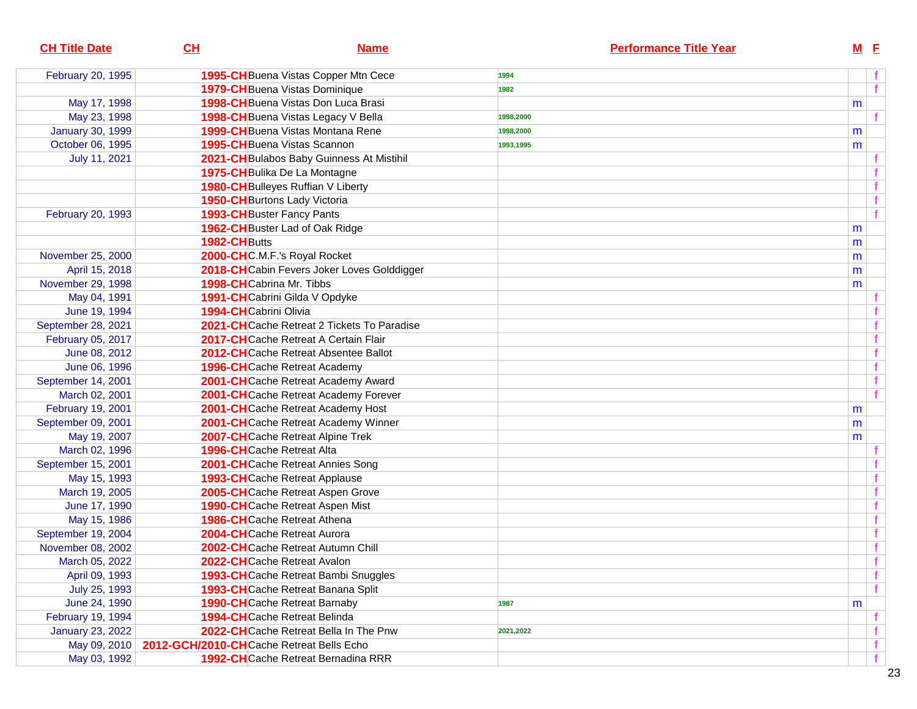| <b>CH Title Date</b>    | CL                                       | <b>Name</b>                                 |           | <b>Performance Title Year</b> |   | $M$ E |  |
|-------------------------|------------------------------------------|---------------------------------------------|-----------|-------------------------------|---|-------|--|
| February 20, 1995       |                                          | 1995-CH Buena Vistas Copper Mtn Cece        | 1994      |                               |   |       |  |
|                         |                                          | 1979-CHBuena Vistas Dominique               | 1982      |                               |   |       |  |
| May 17, 1998            |                                          | 1998-CH Buena Vistas Don Luca Brasi         |           |                               | m |       |  |
| May 23, 1998            |                                          | 1998-CH Buena Vistas Legacy V Bella         | 1998,2000 |                               |   |       |  |
| <b>January 30, 1999</b> |                                          | 1999-CH Buena Vistas Montana Rene           | 1998,2000 |                               | m |       |  |
| October 06, 1995        |                                          | <b>1995-CH</b> Buena Vistas Scannon         | 1993,1995 |                               | m |       |  |
| July 11, 2021           |                                          | 2021-CH Bulabos Baby Guinness At Mistihil   |           |                               |   |       |  |
|                         |                                          | 1975-CH Bulika De La Montagne               |           |                               |   |       |  |
|                         |                                          | 1980-CH Bulleyes Ruffian V Liberty          |           |                               |   |       |  |
|                         |                                          | <b>1950-CH</b> Burtons Lady Victoria        |           |                               |   |       |  |
| February 20, 1993       |                                          | 1993-CH Buster Fancy Pants                  |           |                               |   |       |  |
|                         |                                          | 1962-CH Buster Lad of Oak Ridge             |           |                               | m |       |  |
|                         | 1982-CHButts                             |                                             |           |                               | m |       |  |
| November 25, 2000       |                                          | 2000-CHC.M.F.'s Royal Rocket                |           |                               | m |       |  |
| April 15, 2018          |                                          | 2018-CHCabin Fevers Joker Loves Golddigger  |           |                               | m |       |  |
| November 29, 1998       |                                          | 1998-CHCabrina Mr. Tibbs                    |           |                               | m |       |  |
| May 04, 1991            |                                          | 1991-CHCabrini Gilda V Opdyke               |           |                               |   |       |  |
| June 19, 1994           | 1994-CHCabrini Olivia                    |                                             |           |                               |   |       |  |
| September 28, 2021      |                                          | 2021-CHCache Retreat 2 Tickets To Paradise  |           |                               |   |       |  |
| February 05, 2017       |                                          | 2017-CHCache Retreat A Certain Flair        |           |                               |   |       |  |
| June 08, 2012           |                                          | 2012-CHCache Retreat Absentee Ballot        |           |                               |   |       |  |
| June 06, 1996           |                                          | <b>1996-CH</b> Cache Retreat Academy        |           |                               |   |       |  |
| September 14, 2001      |                                          | 2001-CH Cache Retreat Academy Award         |           |                               |   |       |  |
| March 02, 2001          |                                          | 2001-CHCache Retreat Academy Forever        |           |                               |   |       |  |
| February 19, 2001       |                                          | 2001-CHCache Retreat Academy Host           |           |                               | m |       |  |
| September 09, 2001      |                                          | 2001-CHCache Retreat Academy Winner         |           |                               | m |       |  |
| May 19, 2007            |                                          | 2007-CHCache Retreat Alpine Trek            |           |                               | m |       |  |
| March 02, 1996          |                                          | 1996-CHCache Retreat Alta                   |           |                               |   |       |  |
| September 15, 2001      |                                          | 2001-CHCache Retreat Annies Song            |           |                               |   |       |  |
| May 15, 1993            |                                          | <b>1993-CH</b> Cache Retreat Applause       |           |                               |   |       |  |
| March 19, 2005          |                                          | 2005-CHCache Retreat Aspen Grove            |           |                               |   |       |  |
| June 17, 1990           |                                          | 1990-CHCache Retreat Aspen Mist             |           |                               |   |       |  |
| May 15, 1986            |                                          | 1986-CHCache Retreat Athena                 |           |                               |   |       |  |
| September 19, 2004      |                                          | 2004-CHCache Retreat Aurora                 |           |                               |   |       |  |
| November 08, 2002       |                                          | 2002-CHCache Retreat Autumn Chill           |           |                               |   |       |  |
| March 05, 2022          |                                          | 2022-CHCache Retreat Avalon                 |           |                               |   |       |  |
| April 09, 1993          |                                          | <b>1993-CH</b> Cache Retreat Bambi Snuggles |           |                               |   |       |  |
| July 25, 1993           |                                          | 1993-CHCache Retreat Banana Split           |           |                               |   |       |  |
| June 24, 1990           |                                          | <b>1990-CH</b> Cache Retreat Barnaby        | 1987      |                               | m |       |  |
| February 19, 1994       |                                          | <b>1994-CH</b> Cache Retreat Belinda        |           |                               |   |       |  |
| <b>January 23, 2022</b> |                                          | 2022-CHCache Retreat Bella In The Pnw       | 2021,2022 |                               |   |       |  |
| May 09, 2010            | 2012-GCH/2010-CHCache Retreat Bells Echo |                                             |           |                               |   |       |  |
| May 03, 1992            |                                          | <b>1992-CH</b> Cache Retreat Bernadina RRR  |           |                               |   |       |  |
|                         |                                          |                                             |           |                               |   |       |  |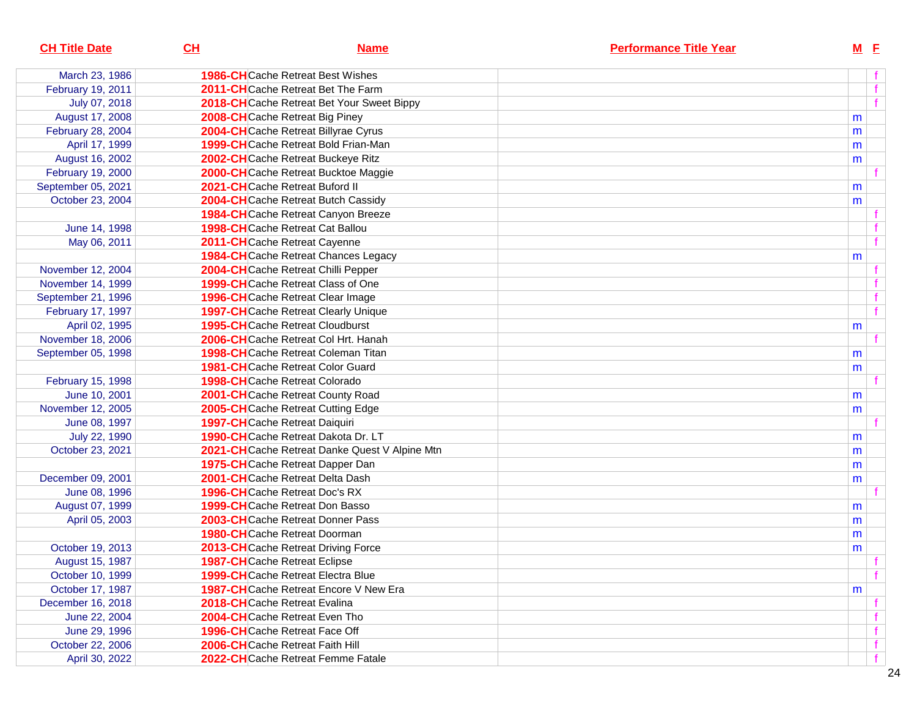| <b>CH Title Date</b> | CL | <b>Name</b>                                   | <b>Performance Title Year</b> | $M$ E |                  |
|----------------------|----|-----------------------------------------------|-------------------------------|-------|------------------|
| March 23, 1986       |    | <b>1986-CH</b> Cache Retreat Best Wishes      |                               |       |                  |
| February 19, 2011    |    | 2011-CHCache Retreat Bet The Farm             |                               |       | f                |
| July 07, 2018        |    | 2018-CHCache Retreat Bet Your Sweet Bippy     |                               |       | f                |
| August 17, 2008      |    | 2008-CHCache Retreat Big Piney                |                               | m     |                  |
| February 28, 2004    |    | 2004-CHCache Retreat Billyrae Cyrus           |                               | m     |                  |
| April 17, 1999       |    | 1999-CHCache Retreat Bold Frian-Man           |                               | m     |                  |
| August 16, 2002      |    | 2002-CHCache Retreat Buckeye Ritz             |                               | m     |                  |
| February 19, 2000    |    | 2000-CHCache Retreat Bucktoe Maggie           |                               |       |                  |
| September 05, 2021   |    | 2021-CHCache Retreat Buford II                |                               | m     |                  |
| October 23, 2004     |    | 2004-CHCache Retreat Butch Cassidy            |                               | m     |                  |
|                      |    | 1984-CHCache Retreat Canyon Breeze            |                               |       |                  |
| June 14, 1998        |    | <b>1998-CH</b> Cache Retreat Cat Ballou       |                               |       |                  |
| May 06, 2011         |    | 2011-CHCache Retreat Cayenne                  |                               |       | f                |
|                      |    | <b>1984-CH</b> Cache Retreat Chances Legacy   |                               | m     |                  |
| November 12, 2004    |    | 2004-CHCache Retreat Chilli Pepper            |                               |       |                  |
| November 14, 1999    |    | 1999-CHCache Retreat Class of One             |                               |       |                  |
| September 21, 1996   |    | 1996-CHCache Retreat Clear Image              |                               |       |                  |
| February 17, 1997    |    | <b>1997-CH</b> Cache Retreat Clearly Unique   |                               |       | f                |
| April 02, 1995       |    | <b>1995-CH</b> Cache Retreat Cloudburst       |                               | m     |                  |
| November 18, 2006    |    | 2006-CHCache Retreat Col Hrt. Hanah           |                               |       |                  |
| September 05, 1998   |    | <b>1998-CH</b> Cache Retreat Coleman Titan    |                               | m     |                  |
|                      |    | <b>1981-CH</b> Cache Retreat Color Guard      |                               | m     |                  |
| February 15, 1998    |    | <b>1998-CH</b> Cache Retreat Colorado         |                               |       |                  |
| June 10, 2001        |    | 2001-CHCache Retreat County Road              |                               | m     |                  |
| November 12, 2005    |    | 2005-CHCache Retreat Cutting Edge             |                               | m     |                  |
| June 08, 1997        |    | <b>1997-CH</b> Cache Retreat Daiquiri         |                               |       |                  |
| July 22, 1990        |    | 1990-CHCache Retreat Dakota Dr. LT            |                               | m     |                  |
| October 23, 2021     |    | 2021-CHCache Retreat Danke Quest V Alpine Mtn |                               | m     |                  |
|                      |    | 1975-CHCache Retreat Dapper Dan               |                               | m     |                  |
| December 09, 2001    |    | 2001-CHCache Retreat Delta Dash               |                               | m     |                  |
| June 08, 1996        |    | <b>1996-CH</b> Cache Retreat Doc's RX         |                               |       |                  |
| August 07, 1999      |    | <b>1999-CH</b> Cache Retreat Don Basso        |                               | m     |                  |
| April 05, 2003       |    | 2003-CHCache Retreat Donner Pass              |                               | m     |                  |
|                      |    | <b>1980-CH</b> Cache Retreat Doorman          |                               | m     |                  |
| October 19, 2013     |    | 2013-CHCache Retreat Driving Force            |                               | m     |                  |
| August 15, 1987      |    | <b>1987-CH</b> Cache Retreat Eclipse          |                               |       | <b>The State</b> |
| October 10, 1999     |    | <b>1999-CH</b> Cache Retreat Electra Blue     |                               |       | f                |
| October 17, 1987     |    | <b>1987-CH</b> Cache Retreat Encore V New Era |                               | m     |                  |
| December 16, 2018    |    | 2018-CHCache Retreat Evalina                  |                               |       |                  |
| June 22, 2004        |    | <b>2004-CH</b> Cache Retreat Even Tho         |                               |       |                  |
| June 29, 1996        |    | <b>1996-CH</b> Cache Retreat Face Off         |                               |       |                  |
| October 22, 2006     |    | 2006-CHCache Retreat Faith Hill               |                               |       |                  |
| April 30, 2022       |    | 2022-CHCache Retreat Femme Fatale             |                               |       |                  |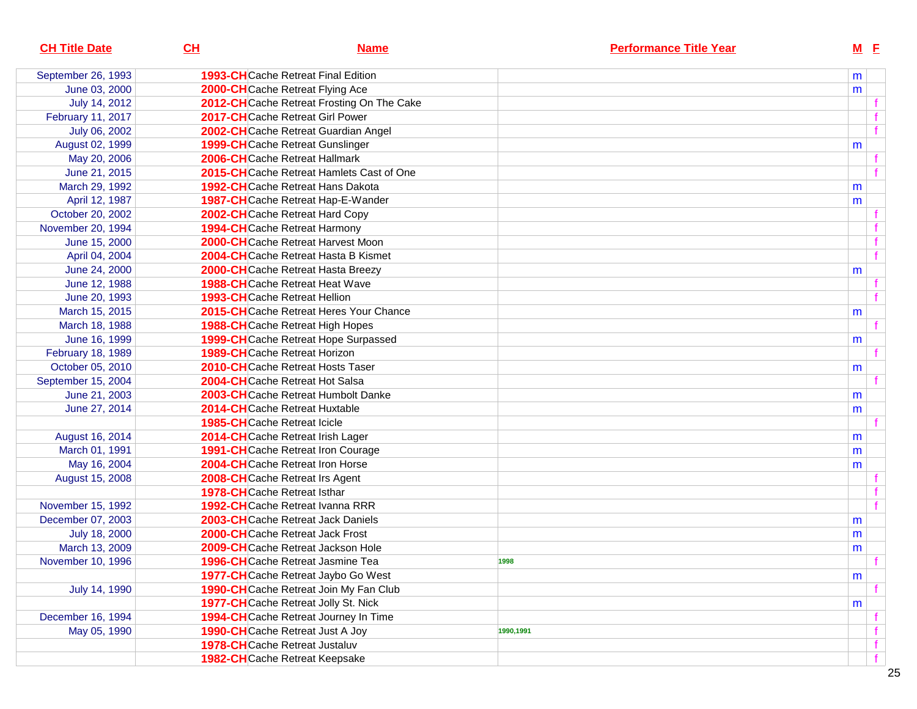| <b>CH Title Date</b> | CL<br><b>Name</b>                           | <b>Performance Title Year</b> | $M$ E |             |
|----------------------|---------------------------------------------|-------------------------------|-------|-------------|
| September 26, 1993   | <b>1993-CH</b> Cache Retreat Final Edition  |                               | m     |             |
| June 03, 2000        | 2000-CHCache Retreat Flying Ace             |                               | m     |             |
| July 14, 2012        | 2012-CHCache Retreat Frosting On The Cake   |                               |       |             |
| February 11, 2017    | 2017-CHCache Retreat Girl Power             |                               |       |             |
| July 06, 2002        | 2002-CHCache Retreat Guardian Angel         |                               |       |             |
| August 02, 1999      | <b>1999-CH</b> Cache Retreat Gunslinger     |                               | m     |             |
| May 20, 2006         | 2006-CHCache Retreat Hallmark               |                               |       |             |
| June 21, 2015        | 2015-CHCache Retreat Hamlets Cast of One    |                               |       |             |
| March 29, 1992       | 1992-CHCache Retreat Hans Dakota            |                               | m     |             |
| April 12, 1987       | 1987-CHCache Retreat Hap-E-Wander           |                               | m     |             |
| October 20, 2002     | 2002-CHCache Retreat Hard Copy              |                               |       |             |
| November 20, 1994    | <b>1994-CH</b> Cache Retreat Harmony        |                               |       |             |
| June 15, 2000        | 2000-CHCache Retreat Harvest Moon           |                               |       |             |
| April 04, 2004       | 2004-CHCache Retreat Hasta B Kismet         |                               |       |             |
| June 24, 2000        | <b>2000-CH</b> Cache Retreat Hasta Breezy   |                               | m     |             |
| June 12, 1988        | <b>1988-CH</b> Cache Retreat Heat Wave      |                               |       |             |
| June 20, 1993        | <b>1993-CH</b> Cache Retreat Hellion        |                               |       |             |
| March 15, 2015       | 2015-CH Cache Retreat Heres Your Chance     |                               | m     |             |
| March 18, 1988       | <b>1988-CH</b> Cache Retreat High Hopes     |                               |       |             |
| June 16, 1999        | <b>1999-CH</b> Cache Retreat Hope Surpassed |                               | m     |             |
| February 18, 1989    | <b>1989-CH</b> Cache Retreat Horizon        |                               |       |             |
| October 05, 2010     | 2010-CHCache Retreat Hosts Taser            |                               | m     |             |
| September 15, 2004   | 2004-CHCache Retreat Hot Salsa              |                               |       |             |
| June 21, 2003        | 2003-CHCache Retreat Humbolt Danke          |                               | m     |             |
| June 27, 2014        | <b>2014-CH</b> Cache Retreat Huxtable       |                               | m     |             |
|                      | <b>1985-CH</b> Cache Retreat Icicle         |                               |       |             |
| August 16, 2014      | 2014-CHCache Retreat Irish Lager            |                               | m     |             |
| March 01, 1991       | <b>1991-CH</b> Cache Retreat Iron Courage   |                               | m     |             |
| May 16, 2004         | 2004-CHCache Retreat Iron Horse             |                               | m     |             |
| August 15, 2008      | 2008-CHCache Retreat Irs Agent              |                               |       |             |
|                      | <b>1978-CH</b> Cache Retreat Isthar         |                               |       |             |
| November 15, 1992    | 1992-CHCache Retreat Ivanna RRR             |                               |       |             |
| December 07, 2003    | 2003-CHCache Retreat Jack Daniels           |                               | m     |             |
| July 18, 2000        | 2000-CHCache Retreat Jack Frost             |                               | m     |             |
| March 13, 2009       | 2009-CHCache Retreat Jackson Hole           |                               | m     |             |
| November 10, 1996    | 1996-CHCache Retreat Jasmine Tea            | 1998                          |       |             |
|                      | 1977-CHCache Retreat Jaybo Go West          |                               | m     |             |
| July 14, 1990        | 1990-CHCache Retreat Join My Fan Club       |                               |       |             |
|                      | 1977-CH Cache Retreat Jolly St. Nick        |                               | m     |             |
| December 16, 1994    | 1994-CHCache Retreat Journey In Time        |                               |       |             |
| May 05, 1990         | <b>1990-CH</b> Cache Retreat Just A Joy     | 1990,1991                     |       | f.          |
|                      | <b>1978-CH</b> Cache Retreat Justaluv       |                               |       | $\mathbf f$ |
|                      | <b>1982-CH</b> Cache Retreat Keepsake       |                               |       | f           |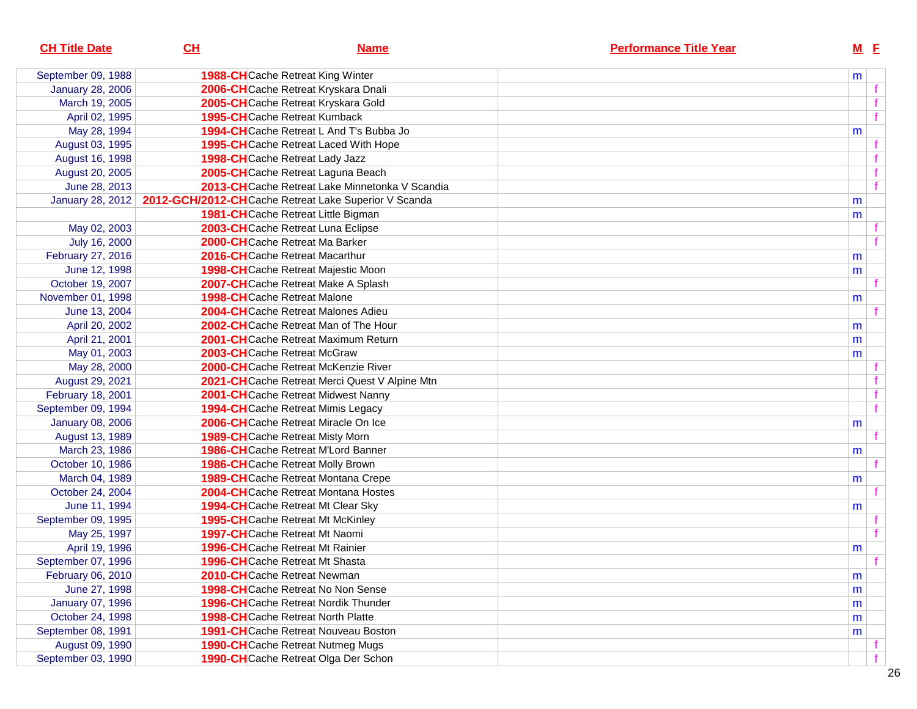| CL               | <b>Name</b> | <b>Performance Title Year</b>                                                                                                                                                                                                                                                                                                                                                                                                                                                                                                                                                                                                                                                                                                                                                                                                                                                                                                                                                                                                                                                                                                                                                                                                                                                                                                                                                                                                                                                                                                                                                                                                                                                                                                                                                                                                                         |   |            |
|------------------|-------------|-------------------------------------------------------------------------------------------------------------------------------------------------------------------------------------------------------------------------------------------------------------------------------------------------------------------------------------------------------------------------------------------------------------------------------------------------------------------------------------------------------------------------------------------------------------------------------------------------------------------------------------------------------------------------------------------------------------------------------------------------------------------------------------------------------------------------------------------------------------------------------------------------------------------------------------------------------------------------------------------------------------------------------------------------------------------------------------------------------------------------------------------------------------------------------------------------------------------------------------------------------------------------------------------------------------------------------------------------------------------------------------------------------------------------------------------------------------------------------------------------------------------------------------------------------------------------------------------------------------------------------------------------------------------------------------------------------------------------------------------------------------------------------------------------------------------------------------------------------|---|------------|
|                  |             |                                                                                                                                                                                                                                                                                                                                                                                                                                                                                                                                                                                                                                                                                                                                                                                                                                                                                                                                                                                                                                                                                                                                                                                                                                                                                                                                                                                                                                                                                                                                                                                                                                                                                                                                                                                                                                                       |   |            |
|                  |             |                                                                                                                                                                                                                                                                                                                                                                                                                                                                                                                                                                                                                                                                                                                                                                                                                                                                                                                                                                                                                                                                                                                                                                                                                                                                                                                                                                                                                                                                                                                                                                                                                                                                                                                                                                                                                                                       |   |            |
|                  |             |                                                                                                                                                                                                                                                                                                                                                                                                                                                                                                                                                                                                                                                                                                                                                                                                                                                                                                                                                                                                                                                                                                                                                                                                                                                                                                                                                                                                                                                                                                                                                                                                                                                                                                                                                                                                                                                       |   |            |
|                  |             |                                                                                                                                                                                                                                                                                                                                                                                                                                                                                                                                                                                                                                                                                                                                                                                                                                                                                                                                                                                                                                                                                                                                                                                                                                                                                                                                                                                                                                                                                                                                                                                                                                                                                                                                                                                                                                                       |   |            |
|                  |             |                                                                                                                                                                                                                                                                                                                                                                                                                                                                                                                                                                                                                                                                                                                                                                                                                                                                                                                                                                                                                                                                                                                                                                                                                                                                                                                                                                                                                                                                                                                                                                                                                                                                                                                                                                                                                                                       | m |            |
|                  |             |                                                                                                                                                                                                                                                                                                                                                                                                                                                                                                                                                                                                                                                                                                                                                                                                                                                                                                                                                                                                                                                                                                                                                                                                                                                                                                                                                                                                                                                                                                                                                                                                                                                                                                                                                                                                                                                       |   |            |
|                  |             |                                                                                                                                                                                                                                                                                                                                                                                                                                                                                                                                                                                                                                                                                                                                                                                                                                                                                                                                                                                                                                                                                                                                                                                                                                                                                                                                                                                                                                                                                                                                                                                                                                                                                                                                                                                                                                                       |   |            |
|                  |             |                                                                                                                                                                                                                                                                                                                                                                                                                                                                                                                                                                                                                                                                                                                                                                                                                                                                                                                                                                                                                                                                                                                                                                                                                                                                                                                                                                                                                                                                                                                                                                                                                                                                                                                                                                                                                                                       |   |            |
|                  |             |                                                                                                                                                                                                                                                                                                                                                                                                                                                                                                                                                                                                                                                                                                                                                                                                                                                                                                                                                                                                                                                                                                                                                                                                                                                                                                                                                                                                                                                                                                                                                                                                                                                                                                                                                                                                                                                       |   |            |
| January 28, 2012 |             |                                                                                                                                                                                                                                                                                                                                                                                                                                                                                                                                                                                                                                                                                                                                                                                                                                                                                                                                                                                                                                                                                                                                                                                                                                                                                                                                                                                                                                                                                                                                                                                                                                                                                                                                                                                                                                                       | m |            |
|                  |             |                                                                                                                                                                                                                                                                                                                                                                                                                                                                                                                                                                                                                                                                                                                                                                                                                                                                                                                                                                                                                                                                                                                                                                                                                                                                                                                                                                                                                                                                                                                                                                                                                                                                                                                                                                                                                                                       | m |            |
|                  |             |                                                                                                                                                                                                                                                                                                                                                                                                                                                                                                                                                                                                                                                                                                                                                                                                                                                                                                                                                                                                                                                                                                                                                                                                                                                                                                                                                                                                                                                                                                                                                                                                                                                                                                                                                                                                                                                       |   |            |
|                  |             |                                                                                                                                                                                                                                                                                                                                                                                                                                                                                                                                                                                                                                                                                                                                                                                                                                                                                                                                                                                                                                                                                                                                                                                                                                                                                                                                                                                                                                                                                                                                                                                                                                                                                                                                                                                                                                                       |   |            |
|                  |             |                                                                                                                                                                                                                                                                                                                                                                                                                                                                                                                                                                                                                                                                                                                                                                                                                                                                                                                                                                                                                                                                                                                                                                                                                                                                                                                                                                                                                                                                                                                                                                                                                                                                                                                                                                                                                                                       | m |            |
|                  |             |                                                                                                                                                                                                                                                                                                                                                                                                                                                                                                                                                                                                                                                                                                                                                                                                                                                                                                                                                                                                                                                                                                                                                                                                                                                                                                                                                                                                                                                                                                                                                                                                                                                                                                                                                                                                                                                       | m |            |
|                  |             |                                                                                                                                                                                                                                                                                                                                                                                                                                                                                                                                                                                                                                                                                                                                                                                                                                                                                                                                                                                                                                                                                                                                                                                                                                                                                                                                                                                                                                                                                                                                                                                                                                                                                                                                                                                                                                                       |   |            |
|                  |             |                                                                                                                                                                                                                                                                                                                                                                                                                                                                                                                                                                                                                                                                                                                                                                                                                                                                                                                                                                                                                                                                                                                                                                                                                                                                                                                                                                                                                                                                                                                                                                                                                                                                                                                                                                                                                                                       | m |            |
|                  |             |                                                                                                                                                                                                                                                                                                                                                                                                                                                                                                                                                                                                                                                                                                                                                                                                                                                                                                                                                                                                                                                                                                                                                                                                                                                                                                                                                                                                                                                                                                                                                                                                                                                                                                                                                                                                                                                       |   |            |
|                  |             |                                                                                                                                                                                                                                                                                                                                                                                                                                                                                                                                                                                                                                                                                                                                                                                                                                                                                                                                                                                                                                                                                                                                                                                                                                                                                                                                                                                                                                                                                                                                                                                                                                                                                                                                                                                                                                                       | m |            |
|                  |             |                                                                                                                                                                                                                                                                                                                                                                                                                                                                                                                                                                                                                                                                                                                                                                                                                                                                                                                                                                                                                                                                                                                                                                                                                                                                                                                                                                                                                                                                                                                                                                                                                                                                                                                                                                                                                                                       | m |            |
|                  |             |                                                                                                                                                                                                                                                                                                                                                                                                                                                                                                                                                                                                                                                                                                                                                                                                                                                                                                                                                                                                                                                                                                                                                                                                                                                                                                                                                                                                                                                                                                                                                                                                                                                                                                                                                                                                                                                       | m |            |
|                  |             |                                                                                                                                                                                                                                                                                                                                                                                                                                                                                                                                                                                                                                                                                                                                                                                                                                                                                                                                                                                                                                                                                                                                                                                                                                                                                                                                                                                                                                                                                                                                                                                                                                                                                                                                                                                                                                                       |   |            |
|                  |             |                                                                                                                                                                                                                                                                                                                                                                                                                                                                                                                                                                                                                                                                                                                                                                                                                                                                                                                                                                                                                                                                                                                                                                                                                                                                                                                                                                                                                                                                                                                                                                                                                                                                                                                                                                                                                                                       |   |            |
|                  |             |                                                                                                                                                                                                                                                                                                                                                                                                                                                                                                                                                                                                                                                                                                                                                                                                                                                                                                                                                                                                                                                                                                                                                                                                                                                                                                                                                                                                                                                                                                                                                                                                                                                                                                                                                                                                                                                       |   |            |
|                  |             |                                                                                                                                                                                                                                                                                                                                                                                                                                                                                                                                                                                                                                                                                                                                                                                                                                                                                                                                                                                                                                                                                                                                                                                                                                                                                                                                                                                                                                                                                                                                                                                                                                                                                                                                                                                                                                                       |   |            |
|                  |             |                                                                                                                                                                                                                                                                                                                                                                                                                                                                                                                                                                                                                                                                                                                                                                                                                                                                                                                                                                                                                                                                                                                                                                                                                                                                                                                                                                                                                                                                                                                                                                                                                                                                                                                                                                                                                                                       | m |            |
|                  |             |                                                                                                                                                                                                                                                                                                                                                                                                                                                                                                                                                                                                                                                                                                                                                                                                                                                                                                                                                                                                                                                                                                                                                                                                                                                                                                                                                                                                                                                                                                                                                                                                                                                                                                                                                                                                                                                       |   |            |
|                  |             |                                                                                                                                                                                                                                                                                                                                                                                                                                                                                                                                                                                                                                                                                                                                                                                                                                                                                                                                                                                                                                                                                                                                                                                                                                                                                                                                                                                                                                                                                                                                                                                                                                                                                                                                                                                                                                                       | m |            |
|                  |             |                                                                                                                                                                                                                                                                                                                                                                                                                                                                                                                                                                                                                                                                                                                                                                                                                                                                                                                                                                                                                                                                                                                                                                                                                                                                                                                                                                                                                                                                                                                                                                                                                                                                                                                                                                                                                                                       |   |            |
|                  |             |                                                                                                                                                                                                                                                                                                                                                                                                                                                                                                                                                                                                                                                                                                                                                                                                                                                                                                                                                                                                                                                                                                                                                                                                                                                                                                                                                                                                                                                                                                                                                                                                                                                                                                                                                                                                                                                       | m |            |
|                  |             |                                                                                                                                                                                                                                                                                                                                                                                                                                                                                                                                                                                                                                                                                                                                                                                                                                                                                                                                                                                                                                                                                                                                                                                                                                                                                                                                                                                                                                                                                                                                                                                                                                                                                                                                                                                                                                                       |   |            |
|                  |             |                                                                                                                                                                                                                                                                                                                                                                                                                                                                                                                                                                                                                                                                                                                                                                                                                                                                                                                                                                                                                                                                                                                                                                                                                                                                                                                                                                                                                                                                                                                                                                                                                                                                                                                                                                                                                                                       | m |            |
|                  |             |                                                                                                                                                                                                                                                                                                                                                                                                                                                                                                                                                                                                                                                                                                                                                                                                                                                                                                                                                                                                                                                                                                                                                                                                                                                                                                                                                                                                                                                                                                                                                                                                                                                                                                                                                                                                                                                       |   |            |
|                  |             |                                                                                                                                                                                                                                                                                                                                                                                                                                                                                                                                                                                                                                                                                                                                                                                                                                                                                                                                                                                                                                                                                                                                                                                                                                                                                                                                                                                                                                                                                                                                                                                                                                                                                                                                                                                                                                                       |   |            |
|                  |             |                                                                                                                                                                                                                                                                                                                                                                                                                                                                                                                                                                                                                                                                                                                                                                                                                                                                                                                                                                                                                                                                                                                                                                                                                                                                                                                                                                                                                                                                                                                                                                                                                                                                                                                                                                                                                                                       | m |            |
|                  |             |                                                                                                                                                                                                                                                                                                                                                                                                                                                                                                                                                                                                                                                                                                                                                                                                                                                                                                                                                                                                                                                                                                                                                                                                                                                                                                                                                                                                                                                                                                                                                                                                                                                                                                                                                                                                                                                       |   | Т.         |
|                  |             |                                                                                                                                                                                                                                                                                                                                                                                                                                                                                                                                                                                                                                                                                                                                                                                                                                                                                                                                                                                                                                                                                                                                                                                                                                                                                                                                                                                                                                                                                                                                                                                                                                                                                                                                                                                                                                                       | m |            |
|                  |             |                                                                                                                                                                                                                                                                                                                                                                                                                                                                                                                                                                                                                                                                                                                                                                                                                                                                                                                                                                                                                                                                                                                                                                                                                                                                                                                                                                                                                                                                                                                                                                                                                                                                                                                                                                                                                                                       | m |            |
|                  |             |                                                                                                                                                                                                                                                                                                                                                                                                                                                                                                                                                                                                                                                                                                                                                                                                                                                                                                                                                                                                                                                                                                                                                                                                                                                                                                                                                                                                                                                                                                                                                                                                                                                                                                                                                                                                                                                       | m |            |
|                  |             |                                                                                                                                                                                                                                                                                                                                                                                                                                                                                                                                                                                                                                                                                                                                                                                                                                                                                                                                                                                                                                                                                                                                                                                                                                                                                                                                                                                                                                                                                                                                                                                                                                                                                                                                                                                                                                                       | m |            |
|                  |             |                                                                                                                                                                                                                                                                                                                                                                                                                                                                                                                                                                                                                                                                                                                                                                                                                                                                                                                                                                                                                                                                                                                                                                                                                                                                                                                                                                                                                                                                                                                                                                                                                                                                                                                                                                                                                                                       | m |            |
|                  |             |                                                                                                                                                                                                                                                                                                                                                                                                                                                                                                                                                                                                                                                                                                                                                                                                                                                                                                                                                                                                                                                                                                                                                                                                                                                                                                                                                                                                                                                                                                                                                                                                                                                                                                                                                                                                                                                       |   |            |
|                  |             |                                                                                                                                                                                                                                                                                                                                                                                                                                                                                                                                                                                                                                                                                                                                                                                                                                                                                                                                                                                                                                                                                                                                                                                                                                                                                                                                                                                                                                                                                                                                                                                                                                                                                                                                                                                                                                                       |   |            |
|                  |             | <b>1988-CH</b> Cache Retreat King Winter<br>2006-CHCache Retreat Kryskara Dnali<br>2005-CHCache Retreat Kryskara Gold<br><b>1995-CH</b> Cache Retreat Kumback<br>1994-CHCache Retreat L And T's Bubba Jo<br><b>1995-CH</b> Cache Retreat Laced With Hope<br>1998-CHCache Retreat Lady Jazz<br>2005-CHCache Retreat Laguna Beach<br>2013-CHCache Retreat Lake Minnetonka V Scandia<br>2012-GCH/2012-CHCache Retreat Lake Superior V Scanda<br>1981-CHCache Retreat Little Bigman<br>2003-CHCache Retreat Luna Eclipse<br>2000-CHCache Retreat Ma Barker<br>2016-CHCache Retreat Macarthur<br>1998-CHCache Retreat Majestic Moon<br>2007-CHCache Retreat Make A Splash<br><b>1998-CH</b> Cache Retreat Malone<br>2004-CHCache Retreat Malones Adieu<br>2002-CHCache Retreat Man of The Hour<br>2001-CHCache Retreat Maximum Return<br>2003-CHCache Retreat McGraw<br>2000-CHCache Retreat McKenzie River<br>2021-CH Cache Retreat Merci Quest V Alpine Mtn<br>2001-CHCache Retreat Midwest Nanny<br><b>1994-CH</b> Cache Retreat Mimis Legacy<br>2006-CHCache Retreat Miracle On Ice<br><b>1989-CH</b> Cache Retreat Misty Morn<br><b>1986-CH</b> Cache Retreat M'Lord Banner<br><b>1986-CH</b> Cache Retreat Molly Brown<br><b>1989-CH</b> Cache Retreat Montana Crepe<br>2004-CHCache Retreat Montana Hostes<br>1994-CHCache Retreat Mt Clear Sky<br><b>1995-CH</b> Cache Retreat Mt McKinley<br><b>1997-CH</b> Cache Retreat Mt Naomi<br><b>1996-CH</b> Cache Retreat Mt Rainier<br><b>1996-CH</b> Cache Retreat Mt Shasta<br><b>2010-CH</b> Cache Retreat Newman<br><b>1998-CH</b> Cache Retreat No Non Sense<br><b>1996-CH</b> Cache Retreat Nordik Thunder<br><b>1998-CH</b> Cache Retreat North Platte<br><b>1991-CH</b> Cache Retreat Nouveau Boston<br><b>1990-CH</b> Cache Retreat Nutmeg Mugs<br><b>1990-CH</b> Cache Retreat Olga Der Schon |   | $M$ E<br>m |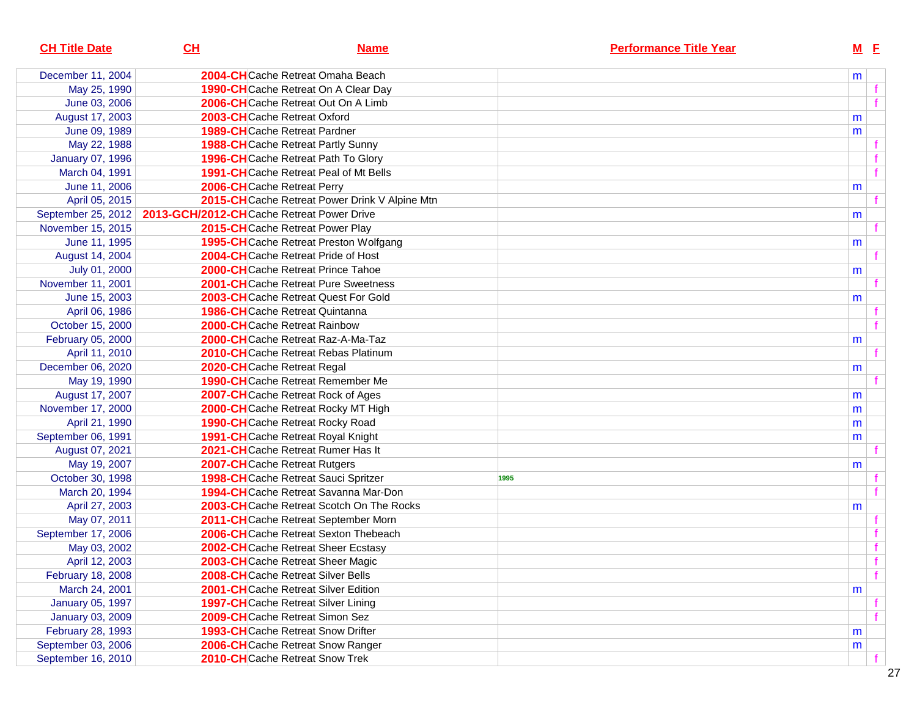| December 11, 2004<br>2004-CHCache Retreat Omaha Beach<br>m<br>May 25, 1990<br><b>1990-CH</b> Cache Retreat On A Clear Day<br>June 03, 2006<br>2006-CHCache Retreat Out On A Limb<br>August 17, 2003<br>2003-CHCache Retreat Oxford<br>m<br>June 09, 1989<br><b>1989-CH</b> Cache Retreat Pardner<br>m<br>May 22, 1988<br><b>1988-CH</b> Cache Retreat Partly Sunny<br><b>January 07, 1996</b><br>1996-CHCache Retreat Path To Glory<br>March 04, 1991<br><b>1991-CH</b> Cache Retreat Peal of Mt Bells<br>June 11, 2006<br>2006-CHCache Retreat Perry<br>m<br>April 05, 2015<br>2015-CH Cache Retreat Power Drink V Alpine Mtn<br>September 25, 2012<br>2013-GCH/2012-CHCache Retreat Power Drive<br>m<br>November 15, 2015<br>2015-CHCache Retreat Power Play<br>June 11, 1995<br><b>1995-CH</b> Cache Retreat Preston Wolfgang<br>m<br>August 14, 2004<br>2004-CHCache Retreat Pride of Host<br><b>2000-CH</b> Cache Retreat Prince Tahoe<br>July 01, 2000<br>m<br>November 11, 2001<br><b>2001-CH</b> Cache Retreat Pure Sweetness<br>June 15, 2003<br><b>2003-CH</b> Cache Retreat Quest For Gold<br>m<br>April 06, 1986<br><b>1986-CH</b> Cache Retreat Quintanna<br>October 15, 2000<br><b>2000-CH</b> Cache Retreat Rainbow<br>February 05, 2000<br>2000-CHCache Retreat Raz-A-Ma-Taz<br>m<br>April 11, 2010<br>2010-CHCache Retreat Rebas Platinum<br>December 06, 2020<br>2020-CHCache Retreat Regal<br>m<br>May 19, 1990<br><b>1990-CH</b> Cache Retreat Remember Me<br>August 17, 2007<br>2007-CHCache Retreat Rock of Ages<br>m<br>November 17, 2000<br>2000-CHCache Retreat Rocky MT High<br>m<br>April 21, 1990<br><b>1990-CH</b> Cache Retreat Rocky Road<br>m<br>September 06, 1991<br>1991-CHCache Retreat Royal Knight<br>m<br>2021-CHCache Retreat Rumer Has It<br>August 07, 2021<br>May 19, 2007<br>2007-CHCache Retreat Rutgers<br>m<br>October 30, 1998<br>1998-CHCache Retreat Sauci Spritzer<br>1995<br>1994-CHCache Retreat Savanna Mar-Don<br>March 20, 1994<br>2003-CHCache Retreat Scotch On The Rocks<br>April 27, 2003<br>m<br>May 07, 2011<br>2011-CHCache Retreat September Morn<br>September 17, 2006<br>2006-CHCache Retreat Sexton Thebeach<br>May 03, 2002<br>2002-CHCache Retreat Sheer Ecstasy<br>April 12, 2003<br>2003-CHCache Retreat Sheer Magic<br>February 18, 2008<br><b>2008-CH</b> Cache Retreat Silver Bells<br>March 24, 2001<br><b>2001-CH</b> Cache Retreat Silver Edition<br>m<br>January 05, 1997<br>1997-CHCache Retreat Silver Lining<br><b>January 03, 2009</b><br>2009-CHCache Retreat Simon Sez<br>February 28, 1993<br><b>1993-CH</b> Cache Retreat Snow Drifter<br>m<br>September 03, 2006<br>2006-CHCache Retreat Snow Ranger<br>m<br>2010-CHCache Retreat Snow Trek | <b>CH Title Date</b> | CL | <b>Name</b> | <b>Performance Title Year</b> | $M$ E |
|------------------------------------------------------------------------------------------------------------------------------------------------------------------------------------------------------------------------------------------------------------------------------------------------------------------------------------------------------------------------------------------------------------------------------------------------------------------------------------------------------------------------------------------------------------------------------------------------------------------------------------------------------------------------------------------------------------------------------------------------------------------------------------------------------------------------------------------------------------------------------------------------------------------------------------------------------------------------------------------------------------------------------------------------------------------------------------------------------------------------------------------------------------------------------------------------------------------------------------------------------------------------------------------------------------------------------------------------------------------------------------------------------------------------------------------------------------------------------------------------------------------------------------------------------------------------------------------------------------------------------------------------------------------------------------------------------------------------------------------------------------------------------------------------------------------------------------------------------------------------------------------------------------------------------------------------------------------------------------------------------------------------------------------------------------------------------------------------------------------------------------------------------------------------------------------------------------------------------------------------------------------------------------------------------------------------------------------------------------------------------------------------------------------------------------------------------------------------------------------------------------------------------------------------------------------------------------------------------------------------------------------------------------------------------------------------------------------------------------|----------------------|----|-------------|-------------------------------|-------|
|                                                                                                                                                                                                                                                                                                                                                                                                                                                                                                                                                                                                                                                                                                                                                                                                                                                                                                                                                                                                                                                                                                                                                                                                                                                                                                                                                                                                                                                                                                                                                                                                                                                                                                                                                                                                                                                                                                                                                                                                                                                                                                                                                                                                                                                                                                                                                                                                                                                                                                                                                                                                                                                                                                                                    |                      |    |             |                               |       |
|                                                                                                                                                                                                                                                                                                                                                                                                                                                                                                                                                                                                                                                                                                                                                                                                                                                                                                                                                                                                                                                                                                                                                                                                                                                                                                                                                                                                                                                                                                                                                                                                                                                                                                                                                                                                                                                                                                                                                                                                                                                                                                                                                                                                                                                                                                                                                                                                                                                                                                                                                                                                                                                                                                                                    |                      |    |             |                               |       |
|                                                                                                                                                                                                                                                                                                                                                                                                                                                                                                                                                                                                                                                                                                                                                                                                                                                                                                                                                                                                                                                                                                                                                                                                                                                                                                                                                                                                                                                                                                                                                                                                                                                                                                                                                                                                                                                                                                                                                                                                                                                                                                                                                                                                                                                                                                                                                                                                                                                                                                                                                                                                                                                                                                                                    |                      |    |             |                               |       |
|                                                                                                                                                                                                                                                                                                                                                                                                                                                                                                                                                                                                                                                                                                                                                                                                                                                                                                                                                                                                                                                                                                                                                                                                                                                                                                                                                                                                                                                                                                                                                                                                                                                                                                                                                                                                                                                                                                                                                                                                                                                                                                                                                                                                                                                                                                                                                                                                                                                                                                                                                                                                                                                                                                                                    |                      |    |             |                               |       |
|                                                                                                                                                                                                                                                                                                                                                                                                                                                                                                                                                                                                                                                                                                                                                                                                                                                                                                                                                                                                                                                                                                                                                                                                                                                                                                                                                                                                                                                                                                                                                                                                                                                                                                                                                                                                                                                                                                                                                                                                                                                                                                                                                                                                                                                                                                                                                                                                                                                                                                                                                                                                                                                                                                                                    |                      |    |             |                               |       |
|                                                                                                                                                                                                                                                                                                                                                                                                                                                                                                                                                                                                                                                                                                                                                                                                                                                                                                                                                                                                                                                                                                                                                                                                                                                                                                                                                                                                                                                                                                                                                                                                                                                                                                                                                                                                                                                                                                                                                                                                                                                                                                                                                                                                                                                                                                                                                                                                                                                                                                                                                                                                                                                                                                                                    |                      |    |             |                               |       |
|                                                                                                                                                                                                                                                                                                                                                                                                                                                                                                                                                                                                                                                                                                                                                                                                                                                                                                                                                                                                                                                                                                                                                                                                                                                                                                                                                                                                                                                                                                                                                                                                                                                                                                                                                                                                                                                                                                                                                                                                                                                                                                                                                                                                                                                                                                                                                                                                                                                                                                                                                                                                                                                                                                                                    |                      |    |             |                               |       |
|                                                                                                                                                                                                                                                                                                                                                                                                                                                                                                                                                                                                                                                                                                                                                                                                                                                                                                                                                                                                                                                                                                                                                                                                                                                                                                                                                                                                                                                                                                                                                                                                                                                                                                                                                                                                                                                                                                                                                                                                                                                                                                                                                                                                                                                                                                                                                                                                                                                                                                                                                                                                                                                                                                                                    |                      |    |             |                               |       |
|                                                                                                                                                                                                                                                                                                                                                                                                                                                                                                                                                                                                                                                                                                                                                                                                                                                                                                                                                                                                                                                                                                                                                                                                                                                                                                                                                                                                                                                                                                                                                                                                                                                                                                                                                                                                                                                                                                                                                                                                                                                                                                                                                                                                                                                                                                                                                                                                                                                                                                                                                                                                                                                                                                                                    |                      |    |             |                               |       |
|                                                                                                                                                                                                                                                                                                                                                                                                                                                                                                                                                                                                                                                                                                                                                                                                                                                                                                                                                                                                                                                                                                                                                                                                                                                                                                                                                                                                                                                                                                                                                                                                                                                                                                                                                                                                                                                                                                                                                                                                                                                                                                                                                                                                                                                                                                                                                                                                                                                                                                                                                                                                                                                                                                                                    |                      |    |             |                               |       |
|                                                                                                                                                                                                                                                                                                                                                                                                                                                                                                                                                                                                                                                                                                                                                                                                                                                                                                                                                                                                                                                                                                                                                                                                                                                                                                                                                                                                                                                                                                                                                                                                                                                                                                                                                                                                                                                                                                                                                                                                                                                                                                                                                                                                                                                                                                                                                                                                                                                                                                                                                                                                                                                                                                                                    |                      |    |             |                               |       |
|                                                                                                                                                                                                                                                                                                                                                                                                                                                                                                                                                                                                                                                                                                                                                                                                                                                                                                                                                                                                                                                                                                                                                                                                                                                                                                                                                                                                                                                                                                                                                                                                                                                                                                                                                                                                                                                                                                                                                                                                                                                                                                                                                                                                                                                                                                                                                                                                                                                                                                                                                                                                                                                                                                                                    |                      |    |             |                               |       |
|                                                                                                                                                                                                                                                                                                                                                                                                                                                                                                                                                                                                                                                                                                                                                                                                                                                                                                                                                                                                                                                                                                                                                                                                                                                                                                                                                                                                                                                                                                                                                                                                                                                                                                                                                                                                                                                                                                                                                                                                                                                                                                                                                                                                                                                                                                                                                                                                                                                                                                                                                                                                                                                                                                                                    |                      |    |             |                               |       |
|                                                                                                                                                                                                                                                                                                                                                                                                                                                                                                                                                                                                                                                                                                                                                                                                                                                                                                                                                                                                                                                                                                                                                                                                                                                                                                                                                                                                                                                                                                                                                                                                                                                                                                                                                                                                                                                                                                                                                                                                                                                                                                                                                                                                                                                                                                                                                                                                                                                                                                                                                                                                                                                                                                                                    |                      |    |             |                               |       |
|                                                                                                                                                                                                                                                                                                                                                                                                                                                                                                                                                                                                                                                                                                                                                                                                                                                                                                                                                                                                                                                                                                                                                                                                                                                                                                                                                                                                                                                                                                                                                                                                                                                                                                                                                                                                                                                                                                                                                                                                                                                                                                                                                                                                                                                                                                                                                                                                                                                                                                                                                                                                                                                                                                                                    |                      |    |             |                               |       |
|                                                                                                                                                                                                                                                                                                                                                                                                                                                                                                                                                                                                                                                                                                                                                                                                                                                                                                                                                                                                                                                                                                                                                                                                                                                                                                                                                                                                                                                                                                                                                                                                                                                                                                                                                                                                                                                                                                                                                                                                                                                                                                                                                                                                                                                                                                                                                                                                                                                                                                                                                                                                                                                                                                                                    |                      |    |             |                               |       |
|                                                                                                                                                                                                                                                                                                                                                                                                                                                                                                                                                                                                                                                                                                                                                                                                                                                                                                                                                                                                                                                                                                                                                                                                                                                                                                                                                                                                                                                                                                                                                                                                                                                                                                                                                                                                                                                                                                                                                                                                                                                                                                                                                                                                                                                                                                                                                                                                                                                                                                                                                                                                                                                                                                                                    |                      |    |             |                               |       |
|                                                                                                                                                                                                                                                                                                                                                                                                                                                                                                                                                                                                                                                                                                                                                                                                                                                                                                                                                                                                                                                                                                                                                                                                                                                                                                                                                                                                                                                                                                                                                                                                                                                                                                                                                                                                                                                                                                                                                                                                                                                                                                                                                                                                                                                                                                                                                                                                                                                                                                                                                                                                                                                                                                                                    |                      |    |             |                               |       |
|                                                                                                                                                                                                                                                                                                                                                                                                                                                                                                                                                                                                                                                                                                                                                                                                                                                                                                                                                                                                                                                                                                                                                                                                                                                                                                                                                                                                                                                                                                                                                                                                                                                                                                                                                                                                                                                                                                                                                                                                                                                                                                                                                                                                                                                                                                                                                                                                                                                                                                                                                                                                                                                                                                                                    |                      |    |             |                               |       |
|                                                                                                                                                                                                                                                                                                                                                                                                                                                                                                                                                                                                                                                                                                                                                                                                                                                                                                                                                                                                                                                                                                                                                                                                                                                                                                                                                                                                                                                                                                                                                                                                                                                                                                                                                                                                                                                                                                                                                                                                                                                                                                                                                                                                                                                                                                                                                                                                                                                                                                                                                                                                                                                                                                                                    |                      |    |             |                               |       |
|                                                                                                                                                                                                                                                                                                                                                                                                                                                                                                                                                                                                                                                                                                                                                                                                                                                                                                                                                                                                                                                                                                                                                                                                                                                                                                                                                                                                                                                                                                                                                                                                                                                                                                                                                                                                                                                                                                                                                                                                                                                                                                                                                                                                                                                                                                                                                                                                                                                                                                                                                                                                                                                                                                                                    |                      |    |             |                               |       |
|                                                                                                                                                                                                                                                                                                                                                                                                                                                                                                                                                                                                                                                                                                                                                                                                                                                                                                                                                                                                                                                                                                                                                                                                                                                                                                                                                                                                                                                                                                                                                                                                                                                                                                                                                                                                                                                                                                                                                                                                                                                                                                                                                                                                                                                                                                                                                                                                                                                                                                                                                                                                                                                                                                                                    |                      |    |             |                               |       |
|                                                                                                                                                                                                                                                                                                                                                                                                                                                                                                                                                                                                                                                                                                                                                                                                                                                                                                                                                                                                                                                                                                                                                                                                                                                                                                                                                                                                                                                                                                                                                                                                                                                                                                                                                                                                                                                                                                                                                                                                                                                                                                                                                                                                                                                                                                                                                                                                                                                                                                                                                                                                                                                                                                                                    |                      |    |             |                               |       |
|                                                                                                                                                                                                                                                                                                                                                                                                                                                                                                                                                                                                                                                                                                                                                                                                                                                                                                                                                                                                                                                                                                                                                                                                                                                                                                                                                                                                                                                                                                                                                                                                                                                                                                                                                                                                                                                                                                                                                                                                                                                                                                                                                                                                                                                                                                                                                                                                                                                                                                                                                                                                                                                                                                                                    |                      |    |             |                               |       |
|                                                                                                                                                                                                                                                                                                                                                                                                                                                                                                                                                                                                                                                                                                                                                                                                                                                                                                                                                                                                                                                                                                                                                                                                                                                                                                                                                                                                                                                                                                                                                                                                                                                                                                                                                                                                                                                                                                                                                                                                                                                                                                                                                                                                                                                                                                                                                                                                                                                                                                                                                                                                                                                                                                                                    |                      |    |             |                               |       |
|                                                                                                                                                                                                                                                                                                                                                                                                                                                                                                                                                                                                                                                                                                                                                                                                                                                                                                                                                                                                                                                                                                                                                                                                                                                                                                                                                                                                                                                                                                                                                                                                                                                                                                                                                                                                                                                                                                                                                                                                                                                                                                                                                                                                                                                                                                                                                                                                                                                                                                                                                                                                                                                                                                                                    |                      |    |             |                               |       |
|                                                                                                                                                                                                                                                                                                                                                                                                                                                                                                                                                                                                                                                                                                                                                                                                                                                                                                                                                                                                                                                                                                                                                                                                                                                                                                                                                                                                                                                                                                                                                                                                                                                                                                                                                                                                                                                                                                                                                                                                                                                                                                                                                                                                                                                                                                                                                                                                                                                                                                                                                                                                                                                                                                                                    |                      |    |             |                               |       |
|                                                                                                                                                                                                                                                                                                                                                                                                                                                                                                                                                                                                                                                                                                                                                                                                                                                                                                                                                                                                                                                                                                                                                                                                                                                                                                                                                                                                                                                                                                                                                                                                                                                                                                                                                                                                                                                                                                                                                                                                                                                                                                                                                                                                                                                                                                                                                                                                                                                                                                                                                                                                                                                                                                                                    |                      |    |             |                               |       |
|                                                                                                                                                                                                                                                                                                                                                                                                                                                                                                                                                                                                                                                                                                                                                                                                                                                                                                                                                                                                                                                                                                                                                                                                                                                                                                                                                                                                                                                                                                                                                                                                                                                                                                                                                                                                                                                                                                                                                                                                                                                                                                                                                                                                                                                                                                                                                                                                                                                                                                                                                                                                                                                                                                                                    |                      |    |             |                               |       |
|                                                                                                                                                                                                                                                                                                                                                                                                                                                                                                                                                                                                                                                                                                                                                                                                                                                                                                                                                                                                                                                                                                                                                                                                                                                                                                                                                                                                                                                                                                                                                                                                                                                                                                                                                                                                                                                                                                                                                                                                                                                                                                                                                                                                                                                                                                                                                                                                                                                                                                                                                                                                                                                                                                                                    |                      |    |             |                               |       |
|                                                                                                                                                                                                                                                                                                                                                                                                                                                                                                                                                                                                                                                                                                                                                                                                                                                                                                                                                                                                                                                                                                                                                                                                                                                                                                                                                                                                                                                                                                                                                                                                                                                                                                                                                                                                                                                                                                                                                                                                                                                                                                                                                                                                                                                                                                                                                                                                                                                                                                                                                                                                                                                                                                                                    |                      |    |             |                               |       |
|                                                                                                                                                                                                                                                                                                                                                                                                                                                                                                                                                                                                                                                                                                                                                                                                                                                                                                                                                                                                                                                                                                                                                                                                                                                                                                                                                                                                                                                                                                                                                                                                                                                                                                                                                                                                                                                                                                                                                                                                                                                                                                                                                                                                                                                                                                                                                                                                                                                                                                                                                                                                                                                                                                                                    |                      |    |             |                               |       |
|                                                                                                                                                                                                                                                                                                                                                                                                                                                                                                                                                                                                                                                                                                                                                                                                                                                                                                                                                                                                                                                                                                                                                                                                                                                                                                                                                                                                                                                                                                                                                                                                                                                                                                                                                                                                                                                                                                                                                                                                                                                                                                                                                                                                                                                                                                                                                                                                                                                                                                                                                                                                                                                                                                                                    |                      |    |             |                               |       |
|                                                                                                                                                                                                                                                                                                                                                                                                                                                                                                                                                                                                                                                                                                                                                                                                                                                                                                                                                                                                                                                                                                                                                                                                                                                                                                                                                                                                                                                                                                                                                                                                                                                                                                                                                                                                                                                                                                                                                                                                                                                                                                                                                                                                                                                                                                                                                                                                                                                                                                                                                                                                                                                                                                                                    |                      |    |             |                               |       |
|                                                                                                                                                                                                                                                                                                                                                                                                                                                                                                                                                                                                                                                                                                                                                                                                                                                                                                                                                                                                                                                                                                                                                                                                                                                                                                                                                                                                                                                                                                                                                                                                                                                                                                                                                                                                                                                                                                                                                                                                                                                                                                                                                                                                                                                                                                                                                                                                                                                                                                                                                                                                                                                                                                                                    |                      |    |             |                               |       |
|                                                                                                                                                                                                                                                                                                                                                                                                                                                                                                                                                                                                                                                                                                                                                                                                                                                                                                                                                                                                                                                                                                                                                                                                                                                                                                                                                                                                                                                                                                                                                                                                                                                                                                                                                                                                                                                                                                                                                                                                                                                                                                                                                                                                                                                                                                                                                                                                                                                                                                                                                                                                                                                                                                                                    |                      |    |             |                               |       |
|                                                                                                                                                                                                                                                                                                                                                                                                                                                                                                                                                                                                                                                                                                                                                                                                                                                                                                                                                                                                                                                                                                                                                                                                                                                                                                                                                                                                                                                                                                                                                                                                                                                                                                                                                                                                                                                                                                                                                                                                                                                                                                                                                                                                                                                                                                                                                                                                                                                                                                                                                                                                                                                                                                                                    |                      |    |             |                               | f     |
|                                                                                                                                                                                                                                                                                                                                                                                                                                                                                                                                                                                                                                                                                                                                                                                                                                                                                                                                                                                                                                                                                                                                                                                                                                                                                                                                                                                                                                                                                                                                                                                                                                                                                                                                                                                                                                                                                                                                                                                                                                                                                                                                                                                                                                                                                                                                                                                                                                                                                                                                                                                                                                                                                                                                    |                      |    |             |                               |       |
|                                                                                                                                                                                                                                                                                                                                                                                                                                                                                                                                                                                                                                                                                                                                                                                                                                                                                                                                                                                                                                                                                                                                                                                                                                                                                                                                                                                                                                                                                                                                                                                                                                                                                                                                                                                                                                                                                                                                                                                                                                                                                                                                                                                                                                                                                                                                                                                                                                                                                                                                                                                                                                                                                                                                    |                      |    |             |                               |       |
|                                                                                                                                                                                                                                                                                                                                                                                                                                                                                                                                                                                                                                                                                                                                                                                                                                                                                                                                                                                                                                                                                                                                                                                                                                                                                                                                                                                                                                                                                                                                                                                                                                                                                                                                                                                                                                                                                                                                                                                                                                                                                                                                                                                                                                                                                                                                                                                                                                                                                                                                                                                                                                                                                                                                    |                      |    |             |                               |       |
|                                                                                                                                                                                                                                                                                                                                                                                                                                                                                                                                                                                                                                                                                                                                                                                                                                                                                                                                                                                                                                                                                                                                                                                                                                                                                                                                                                                                                                                                                                                                                                                                                                                                                                                                                                                                                                                                                                                                                                                                                                                                                                                                                                                                                                                                                                                                                                                                                                                                                                                                                                                                                                                                                                                                    |                      |    |             |                               |       |
|                                                                                                                                                                                                                                                                                                                                                                                                                                                                                                                                                                                                                                                                                                                                                                                                                                                                                                                                                                                                                                                                                                                                                                                                                                                                                                                                                                                                                                                                                                                                                                                                                                                                                                                                                                                                                                                                                                                                                                                                                                                                                                                                                                                                                                                                                                                                                                                                                                                                                                                                                                                                                                                                                                                                    |                      |    |             |                               |       |
|                                                                                                                                                                                                                                                                                                                                                                                                                                                                                                                                                                                                                                                                                                                                                                                                                                                                                                                                                                                                                                                                                                                                                                                                                                                                                                                                                                                                                                                                                                                                                                                                                                                                                                                                                                                                                                                                                                                                                                                                                                                                                                                                                                                                                                                                                                                                                                                                                                                                                                                                                                                                                                                                                                                                    | September 16, 2010   |    |             |                               |       |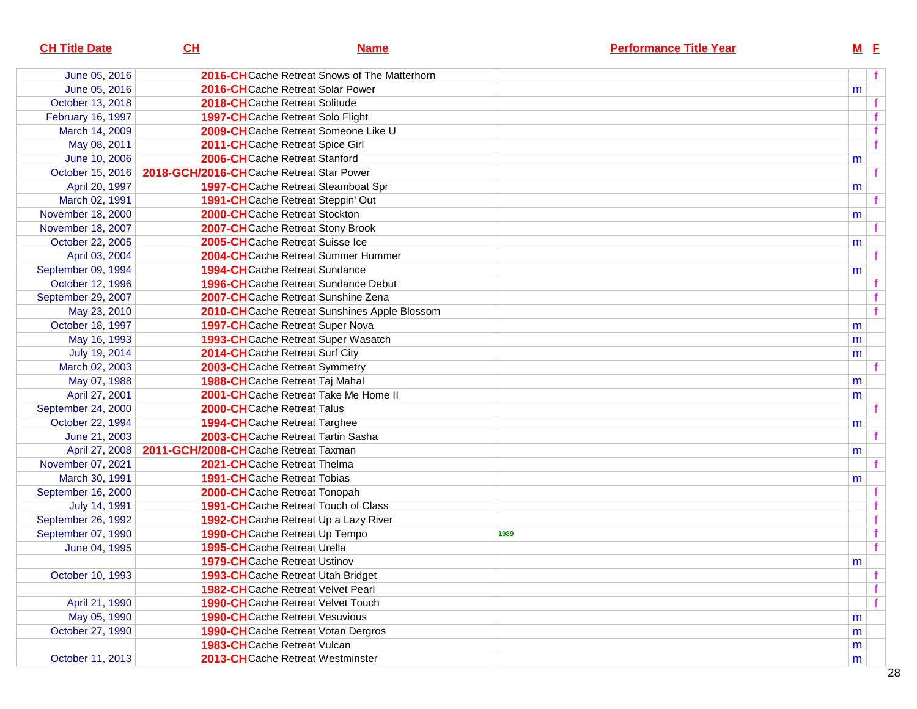| 2016-CHCache Retreat Snows of The Matterhorn<br>June 05, 2016<br>June 05, 2016<br><b>2016-CH</b> Cache Retreat Solar Power<br>m<br>October 13, 2018<br>2018-CHCache Retreat Solitude<br>February 16, 1997<br><b>1997-CH</b> Cache Retreat Solo Flight<br>2009-CHCache Retreat Someone Like U<br>March 14, 2009<br>May 08, 2011<br>2011-CHCache Retreat Spice Girl<br>June 10, 2006<br>2006-CHCache Retreat Stanford<br>m<br>October 15, 2016<br>2018-GCH/2016-CHCache Retreat Star Power<br>April 20, 1997<br><b>1997-CH</b> Cache Retreat Steamboat Spr<br>m<br>March 02, 1991<br><b>1991-CH</b> Cache Retreat Steppin' Out<br>November 18, 2000<br>2000-CHCache Retreat Stockton<br>m<br>November 18, 2007<br>2007-CHCache Retreat Stony Brook<br>October 22, 2005<br>2005-CHCache Retreat Suisse Ice<br>m<br>April 03, 2004<br><b>2004-CH</b> Cache Retreat Summer Hummer<br>September 09, 1994<br><b>1994-CH</b> Cache Retreat Sundance<br>m<br>October 12, 1996<br><b>1996-CH</b> Cache Retreat Sundance Debut<br>September 29, 2007<br>2007-CHCache Retreat Sunshine Zena<br>May 23, 2010<br>2010-CHCache Retreat Sunshines Apple Blossom<br>October 18, 1997<br><b>1997-CH</b> Cache Retreat Super Nova<br>m<br>May 16, 1993<br><b>1993-CH</b> Cache Retreat Super Wasatch<br>m<br>July 19, 2014<br>2014-CHCache Retreat Surf City<br>m<br>March 02, 2003<br>2003-CHCache Retreat Symmetry<br>May 07, 1988<br>1988-CHCache Retreat Taj Mahal<br>m<br>April 27, 2001<br>2001-CHCache Retreat Take Me Home II<br>m<br>September 24, 2000<br>2000-CHCache Retreat Talus<br>October 22, 1994<br><b>1994-CH</b> Cache Retreat Targhee<br>m<br>2003-CHCache Retreat Tartin Sasha<br>June 21, 2003<br>April 27, 2008<br>2011-GCH/2008-CHCache Retreat Taxman<br>m<br>November 07, 2021<br>2021-CHCache Retreat Thelma<br>March 30, 1991<br><b>1991-CH</b> Cache Retreat Tobias<br>m<br>September 16, 2000<br><b>2000-CH</b> Cache Retreat Tonopah<br>July 14, 1991<br><b>1991-CH</b> Cache Retreat Touch of Class<br>September 26, 1992<br>1992-CHCache Retreat Up a Lazy River<br>September 07, 1990<br><b>1990-CH</b> Cache Retreat Up Tempo<br>1989<br>June 04, 1995<br><b>1995-CH</b> Cache Retreat Urella<br><b>1979-CH</b> Cache Retreat Ustinov<br>m<br>October 10, 1993<br><b>1993-CH</b> Cache Retreat Utah Bridget<br><b>1982-CH</b> Cache Retreat Velvet Pearl<br>April 21, 1990<br><b>1990-CH</b> Cache Retreat Velvet Touch<br>May 05, 1990<br><b>1990-CH</b> Cache Retreat Vesuvious<br>m<br>October 27, 1990<br><b>1990-CH</b> Cache Retreat Votan Dergros<br>m<br><b>1983-CH</b> Cache Retreat Vulcan<br>m<br>October 11, 2013<br>2013-CHCache Retreat Westminster<br>m | <b>CH Title Date</b> | CH | <b>Name</b> | <b>Performance Title Year</b> | $M$ E |
|-----------------------------------------------------------------------------------------------------------------------------------------------------------------------------------------------------------------------------------------------------------------------------------------------------------------------------------------------------------------------------------------------------------------------------------------------------------------------------------------------------------------------------------------------------------------------------------------------------------------------------------------------------------------------------------------------------------------------------------------------------------------------------------------------------------------------------------------------------------------------------------------------------------------------------------------------------------------------------------------------------------------------------------------------------------------------------------------------------------------------------------------------------------------------------------------------------------------------------------------------------------------------------------------------------------------------------------------------------------------------------------------------------------------------------------------------------------------------------------------------------------------------------------------------------------------------------------------------------------------------------------------------------------------------------------------------------------------------------------------------------------------------------------------------------------------------------------------------------------------------------------------------------------------------------------------------------------------------------------------------------------------------------------------------------------------------------------------------------------------------------------------------------------------------------------------------------------------------------------------------------------------------------------------------------------------------------------------------------------------------------------------------------------------------------------------------------------------------------------------------------------------------------------------------------------------------------------------------------------------------------------------------------------------------------------------|----------------------|----|-------------|-------------------------------|-------|
|                                                                                                                                                                                                                                                                                                                                                                                                                                                                                                                                                                                                                                                                                                                                                                                                                                                                                                                                                                                                                                                                                                                                                                                                                                                                                                                                                                                                                                                                                                                                                                                                                                                                                                                                                                                                                                                                                                                                                                                                                                                                                                                                                                                                                                                                                                                                                                                                                                                                                                                                                                                                                                                                                         |                      |    |             |                               |       |
|                                                                                                                                                                                                                                                                                                                                                                                                                                                                                                                                                                                                                                                                                                                                                                                                                                                                                                                                                                                                                                                                                                                                                                                                                                                                                                                                                                                                                                                                                                                                                                                                                                                                                                                                                                                                                                                                                                                                                                                                                                                                                                                                                                                                                                                                                                                                                                                                                                                                                                                                                                                                                                                                                         |                      |    |             |                               |       |
|                                                                                                                                                                                                                                                                                                                                                                                                                                                                                                                                                                                                                                                                                                                                                                                                                                                                                                                                                                                                                                                                                                                                                                                                                                                                                                                                                                                                                                                                                                                                                                                                                                                                                                                                                                                                                                                                                                                                                                                                                                                                                                                                                                                                                                                                                                                                                                                                                                                                                                                                                                                                                                                                                         |                      |    |             |                               |       |
|                                                                                                                                                                                                                                                                                                                                                                                                                                                                                                                                                                                                                                                                                                                                                                                                                                                                                                                                                                                                                                                                                                                                                                                                                                                                                                                                                                                                                                                                                                                                                                                                                                                                                                                                                                                                                                                                                                                                                                                                                                                                                                                                                                                                                                                                                                                                                                                                                                                                                                                                                                                                                                                                                         |                      |    |             |                               |       |
|                                                                                                                                                                                                                                                                                                                                                                                                                                                                                                                                                                                                                                                                                                                                                                                                                                                                                                                                                                                                                                                                                                                                                                                                                                                                                                                                                                                                                                                                                                                                                                                                                                                                                                                                                                                                                                                                                                                                                                                                                                                                                                                                                                                                                                                                                                                                                                                                                                                                                                                                                                                                                                                                                         |                      |    |             |                               |       |
|                                                                                                                                                                                                                                                                                                                                                                                                                                                                                                                                                                                                                                                                                                                                                                                                                                                                                                                                                                                                                                                                                                                                                                                                                                                                                                                                                                                                                                                                                                                                                                                                                                                                                                                                                                                                                                                                                                                                                                                                                                                                                                                                                                                                                                                                                                                                                                                                                                                                                                                                                                                                                                                                                         |                      |    |             |                               |       |
|                                                                                                                                                                                                                                                                                                                                                                                                                                                                                                                                                                                                                                                                                                                                                                                                                                                                                                                                                                                                                                                                                                                                                                                                                                                                                                                                                                                                                                                                                                                                                                                                                                                                                                                                                                                                                                                                                                                                                                                                                                                                                                                                                                                                                                                                                                                                                                                                                                                                                                                                                                                                                                                                                         |                      |    |             |                               |       |
|                                                                                                                                                                                                                                                                                                                                                                                                                                                                                                                                                                                                                                                                                                                                                                                                                                                                                                                                                                                                                                                                                                                                                                                                                                                                                                                                                                                                                                                                                                                                                                                                                                                                                                                                                                                                                                                                                                                                                                                                                                                                                                                                                                                                                                                                                                                                                                                                                                                                                                                                                                                                                                                                                         |                      |    |             |                               |       |
|                                                                                                                                                                                                                                                                                                                                                                                                                                                                                                                                                                                                                                                                                                                                                                                                                                                                                                                                                                                                                                                                                                                                                                                                                                                                                                                                                                                                                                                                                                                                                                                                                                                                                                                                                                                                                                                                                                                                                                                                                                                                                                                                                                                                                                                                                                                                                                                                                                                                                                                                                                                                                                                                                         |                      |    |             |                               |       |
|                                                                                                                                                                                                                                                                                                                                                                                                                                                                                                                                                                                                                                                                                                                                                                                                                                                                                                                                                                                                                                                                                                                                                                                                                                                                                                                                                                                                                                                                                                                                                                                                                                                                                                                                                                                                                                                                                                                                                                                                                                                                                                                                                                                                                                                                                                                                                                                                                                                                                                                                                                                                                                                                                         |                      |    |             |                               |       |
|                                                                                                                                                                                                                                                                                                                                                                                                                                                                                                                                                                                                                                                                                                                                                                                                                                                                                                                                                                                                                                                                                                                                                                                                                                                                                                                                                                                                                                                                                                                                                                                                                                                                                                                                                                                                                                                                                                                                                                                                                                                                                                                                                                                                                                                                                                                                                                                                                                                                                                                                                                                                                                                                                         |                      |    |             |                               |       |
|                                                                                                                                                                                                                                                                                                                                                                                                                                                                                                                                                                                                                                                                                                                                                                                                                                                                                                                                                                                                                                                                                                                                                                                                                                                                                                                                                                                                                                                                                                                                                                                                                                                                                                                                                                                                                                                                                                                                                                                                                                                                                                                                                                                                                                                                                                                                                                                                                                                                                                                                                                                                                                                                                         |                      |    |             |                               |       |
|                                                                                                                                                                                                                                                                                                                                                                                                                                                                                                                                                                                                                                                                                                                                                                                                                                                                                                                                                                                                                                                                                                                                                                                                                                                                                                                                                                                                                                                                                                                                                                                                                                                                                                                                                                                                                                                                                                                                                                                                                                                                                                                                                                                                                                                                                                                                                                                                                                                                                                                                                                                                                                                                                         |                      |    |             |                               |       |
|                                                                                                                                                                                                                                                                                                                                                                                                                                                                                                                                                                                                                                                                                                                                                                                                                                                                                                                                                                                                                                                                                                                                                                                                                                                                                                                                                                                                                                                                                                                                                                                                                                                                                                                                                                                                                                                                                                                                                                                                                                                                                                                                                                                                                                                                                                                                                                                                                                                                                                                                                                                                                                                                                         |                      |    |             |                               |       |
|                                                                                                                                                                                                                                                                                                                                                                                                                                                                                                                                                                                                                                                                                                                                                                                                                                                                                                                                                                                                                                                                                                                                                                                                                                                                                                                                                                                                                                                                                                                                                                                                                                                                                                                                                                                                                                                                                                                                                                                                                                                                                                                                                                                                                                                                                                                                                                                                                                                                                                                                                                                                                                                                                         |                      |    |             |                               |       |
|                                                                                                                                                                                                                                                                                                                                                                                                                                                                                                                                                                                                                                                                                                                                                                                                                                                                                                                                                                                                                                                                                                                                                                                                                                                                                                                                                                                                                                                                                                                                                                                                                                                                                                                                                                                                                                                                                                                                                                                                                                                                                                                                                                                                                                                                                                                                                                                                                                                                                                                                                                                                                                                                                         |                      |    |             |                               |       |
|                                                                                                                                                                                                                                                                                                                                                                                                                                                                                                                                                                                                                                                                                                                                                                                                                                                                                                                                                                                                                                                                                                                                                                                                                                                                                                                                                                                                                                                                                                                                                                                                                                                                                                                                                                                                                                                                                                                                                                                                                                                                                                                                                                                                                                                                                                                                                                                                                                                                                                                                                                                                                                                                                         |                      |    |             |                               |       |
|                                                                                                                                                                                                                                                                                                                                                                                                                                                                                                                                                                                                                                                                                                                                                                                                                                                                                                                                                                                                                                                                                                                                                                                                                                                                                                                                                                                                                                                                                                                                                                                                                                                                                                                                                                                                                                                                                                                                                                                                                                                                                                                                                                                                                                                                                                                                                                                                                                                                                                                                                                                                                                                                                         |                      |    |             |                               |       |
|                                                                                                                                                                                                                                                                                                                                                                                                                                                                                                                                                                                                                                                                                                                                                                                                                                                                                                                                                                                                                                                                                                                                                                                                                                                                                                                                                                                                                                                                                                                                                                                                                                                                                                                                                                                                                                                                                                                                                                                                                                                                                                                                                                                                                                                                                                                                                                                                                                                                                                                                                                                                                                                                                         |                      |    |             |                               |       |
|                                                                                                                                                                                                                                                                                                                                                                                                                                                                                                                                                                                                                                                                                                                                                                                                                                                                                                                                                                                                                                                                                                                                                                                                                                                                                                                                                                                                                                                                                                                                                                                                                                                                                                                                                                                                                                                                                                                                                                                                                                                                                                                                                                                                                                                                                                                                                                                                                                                                                                                                                                                                                                                                                         |                      |    |             |                               |       |
|                                                                                                                                                                                                                                                                                                                                                                                                                                                                                                                                                                                                                                                                                                                                                                                                                                                                                                                                                                                                                                                                                                                                                                                                                                                                                                                                                                                                                                                                                                                                                                                                                                                                                                                                                                                                                                                                                                                                                                                                                                                                                                                                                                                                                                                                                                                                                                                                                                                                                                                                                                                                                                                                                         |                      |    |             |                               |       |
|                                                                                                                                                                                                                                                                                                                                                                                                                                                                                                                                                                                                                                                                                                                                                                                                                                                                                                                                                                                                                                                                                                                                                                                                                                                                                                                                                                                                                                                                                                                                                                                                                                                                                                                                                                                                                                                                                                                                                                                                                                                                                                                                                                                                                                                                                                                                                                                                                                                                                                                                                                                                                                                                                         |                      |    |             |                               |       |
|                                                                                                                                                                                                                                                                                                                                                                                                                                                                                                                                                                                                                                                                                                                                                                                                                                                                                                                                                                                                                                                                                                                                                                                                                                                                                                                                                                                                                                                                                                                                                                                                                                                                                                                                                                                                                                                                                                                                                                                                                                                                                                                                                                                                                                                                                                                                                                                                                                                                                                                                                                                                                                                                                         |                      |    |             |                               |       |
|                                                                                                                                                                                                                                                                                                                                                                                                                                                                                                                                                                                                                                                                                                                                                                                                                                                                                                                                                                                                                                                                                                                                                                                                                                                                                                                                                                                                                                                                                                                                                                                                                                                                                                                                                                                                                                                                                                                                                                                                                                                                                                                                                                                                                                                                                                                                                                                                                                                                                                                                                                                                                                                                                         |                      |    |             |                               |       |
|                                                                                                                                                                                                                                                                                                                                                                                                                                                                                                                                                                                                                                                                                                                                                                                                                                                                                                                                                                                                                                                                                                                                                                                                                                                                                                                                                                                                                                                                                                                                                                                                                                                                                                                                                                                                                                                                                                                                                                                                                                                                                                                                                                                                                                                                                                                                                                                                                                                                                                                                                                                                                                                                                         |                      |    |             |                               |       |
|                                                                                                                                                                                                                                                                                                                                                                                                                                                                                                                                                                                                                                                                                                                                                                                                                                                                                                                                                                                                                                                                                                                                                                                                                                                                                                                                                                                                                                                                                                                                                                                                                                                                                                                                                                                                                                                                                                                                                                                                                                                                                                                                                                                                                                                                                                                                                                                                                                                                                                                                                                                                                                                                                         |                      |    |             |                               |       |
|                                                                                                                                                                                                                                                                                                                                                                                                                                                                                                                                                                                                                                                                                                                                                                                                                                                                                                                                                                                                                                                                                                                                                                                                                                                                                                                                                                                                                                                                                                                                                                                                                                                                                                                                                                                                                                                                                                                                                                                                                                                                                                                                                                                                                                                                                                                                                                                                                                                                                                                                                                                                                                                                                         |                      |    |             |                               |       |
|                                                                                                                                                                                                                                                                                                                                                                                                                                                                                                                                                                                                                                                                                                                                                                                                                                                                                                                                                                                                                                                                                                                                                                                                                                                                                                                                                                                                                                                                                                                                                                                                                                                                                                                                                                                                                                                                                                                                                                                                                                                                                                                                                                                                                                                                                                                                                                                                                                                                                                                                                                                                                                                                                         |                      |    |             |                               |       |
|                                                                                                                                                                                                                                                                                                                                                                                                                                                                                                                                                                                                                                                                                                                                                                                                                                                                                                                                                                                                                                                                                                                                                                                                                                                                                                                                                                                                                                                                                                                                                                                                                                                                                                                                                                                                                                                                                                                                                                                                                                                                                                                                                                                                                                                                                                                                                                                                                                                                                                                                                                                                                                                                                         |                      |    |             |                               |       |
|                                                                                                                                                                                                                                                                                                                                                                                                                                                                                                                                                                                                                                                                                                                                                                                                                                                                                                                                                                                                                                                                                                                                                                                                                                                                                                                                                                                                                                                                                                                                                                                                                                                                                                                                                                                                                                                                                                                                                                                                                                                                                                                                                                                                                                                                                                                                                                                                                                                                                                                                                                                                                                                                                         |                      |    |             |                               |       |
|                                                                                                                                                                                                                                                                                                                                                                                                                                                                                                                                                                                                                                                                                                                                                                                                                                                                                                                                                                                                                                                                                                                                                                                                                                                                                                                                                                                                                                                                                                                                                                                                                                                                                                                                                                                                                                                                                                                                                                                                                                                                                                                                                                                                                                                                                                                                                                                                                                                                                                                                                                                                                                                                                         |                      |    |             |                               |       |
|                                                                                                                                                                                                                                                                                                                                                                                                                                                                                                                                                                                                                                                                                                                                                                                                                                                                                                                                                                                                                                                                                                                                                                                                                                                                                                                                                                                                                                                                                                                                                                                                                                                                                                                                                                                                                                                                                                                                                                                                                                                                                                                                                                                                                                                                                                                                                                                                                                                                                                                                                                                                                                                                                         |                      |    |             |                               |       |
|                                                                                                                                                                                                                                                                                                                                                                                                                                                                                                                                                                                                                                                                                                                                                                                                                                                                                                                                                                                                                                                                                                                                                                                                                                                                                                                                                                                                                                                                                                                                                                                                                                                                                                                                                                                                                                                                                                                                                                                                                                                                                                                                                                                                                                                                                                                                                                                                                                                                                                                                                                                                                                                                                         |                      |    |             |                               |       |
|                                                                                                                                                                                                                                                                                                                                                                                                                                                                                                                                                                                                                                                                                                                                                                                                                                                                                                                                                                                                                                                                                                                                                                                                                                                                                                                                                                                                                                                                                                                                                                                                                                                                                                                                                                                                                                                                                                                                                                                                                                                                                                                                                                                                                                                                                                                                                                                                                                                                                                                                                                                                                                                                                         |                      |    |             |                               |       |
|                                                                                                                                                                                                                                                                                                                                                                                                                                                                                                                                                                                                                                                                                                                                                                                                                                                                                                                                                                                                                                                                                                                                                                                                                                                                                                                                                                                                                                                                                                                                                                                                                                                                                                                                                                                                                                                                                                                                                                                                                                                                                                                                                                                                                                                                                                                                                                                                                                                                                                                                                                                                                                                                                         |                      |    |             |                               |       |
|                                                                                                                                                                                                                                                                                                                                                                                                                                                                                                                                                                                                                                                                                                                                                                                                                                                                                                                                                                                                                                                                                                                                                                                                                                                                                                                                                                                                                                                                                                                                                                                                                                                                                                                                                                                                                                                                                                                                                                                                                                                                                                                                                                                                                                                                                                                                                                                                                                                                                                                                                                                                                                                                                         |                      |    |             |                               |       |
|                                                                                                                                                                                                                                                                                                                                                                                                                                                                                                                                                                                                                                                                                                                                                                                                                                                                                                                                                                                                                                                                                                                                                                                                                                                                                                                                                                                                                                                                                                                                                                                                                                                                                                                                                                                                                                                                                                                                                                                                                                                                                                                                                                                                                                                                                                                                                                                                                                                                                                                                                                                                                                                                                         |                      |    |             |                               |       |
|                                                                                                                                                                                                                                                                                                                                                                                                                                                                                                                                                                                                                                                                                                                                                                                                                                                                                                                                                                                                                                                                                                                                                                                                                                                                                                                                                                                                                                                                                                                                                                                                                                                                                                                                                                                                                                                                                                                                                                                                                                                                                                                                                                                                                                                                                                                                                                                                                                                                                                                                                                                                                                                                                         |                      |    |             |                               |       |
|                                                                                                                                                                                                                                                                                                                                                                                                                                                                                                                                                                                                                                                                                                                                                                                                                                                                                                                                                                                                                                                                                                                                                                                                                                                                                                                                                                                                                                                                                                                                                                                                                                                                                                                                                                                                                                                                                                                                                                                                                                                                                                                                                                                                                                                                                                                                                                                                                                                                                                                                                                                                                                                                                         |                      |    |             |                               |       |
|                                                                                                                                                                                                                                                                                                                                                                                                                                                                                                                                                                                                                                                                                                                                                                                                                                                                                                                                                                                                                                                                                                                                                                                                                                                                                                                                                                                                                                                                                                                                                                                                                                                                                                                                                                                                                                                                                                                                                                                                                                                                                                                                                                                                                                                                                                                                                                                                                                                                                                                                                                                                                                                                                         |                      |    |             |                               |       |
|                                                                                                                                                                                                                                                                                                                                                                                                                                                                                                                                                                                                                                                                                                                                                                                                                                                                                                                                                                                                                                                                                                                                                                                                                                                                                                                                                                                                                                                                                                                                                                                                                                                                                                                                                                                                                                                                                                                                                                                                                                                                                                                                                                                                                                                                                                                                                                                                                                                                                                                                                                                                                                                                                         |                      |    |             |                               |       |
|                                                                                                                                                                                                                                                                                                                                                                                                                                                                                                                                                                                                                                                                                                                                                                                                                                                                                                                                                                                                                                                                                                                                                                                                                                                                                                                                                                                                                                                                                                                                                                                                                                                                                                                                                                                                                                                                                                                                                                                                                                                                                                                                                                                                                                                                                                                                                                                                                                                                                                                                                                                                                                                                                         |                      |    |             |                               |       |
|                                                                                                                                                                                                                                                                                                                                                                                                                                                                                                                                                                                                                                                                                                                                                                                                                                                                                                                                                                                                                                                                                                                                                                                                                                                                                                                                                                                                                                                                                                                                                                                                                                                                                                                                                                                                                                                                                                                                                                                                                                                                                                                                                                                                                                                                                                                                                                                                                                                                                                                                                                                                                                                                                         |                      |    |             |                               |       |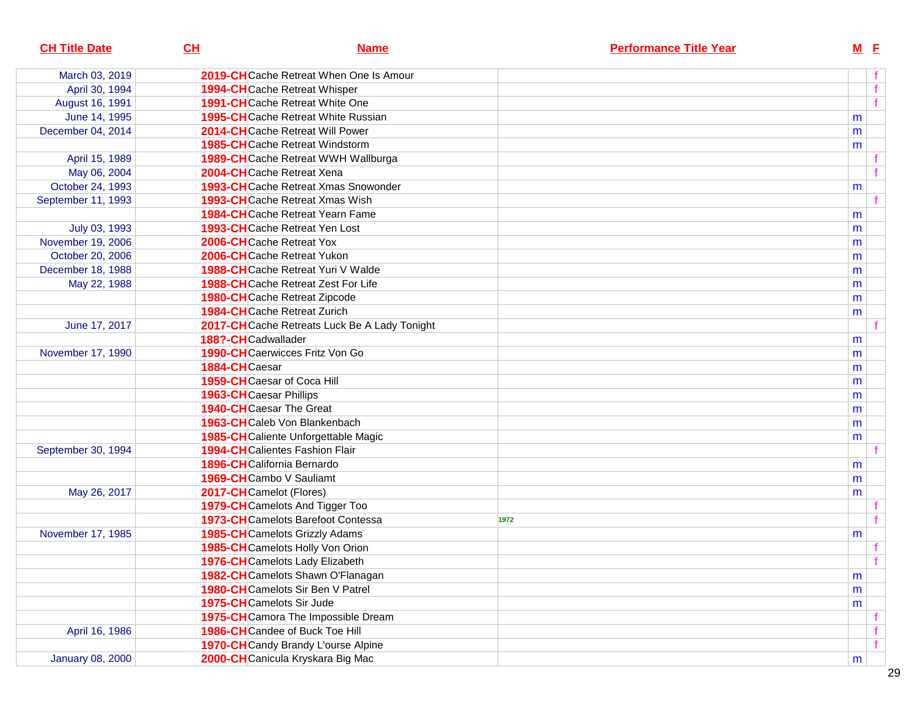| <b>CH Title Date</b>    | CL                                     | <b>Name</b>                                   | <b>Performance Title Year</b> | $M$ E |                |
|-------------------------|----------------------------------------|-----------------------------------------------|-------------------------------|-------|----------------|
| March 03, 2019          |                                        | 2019-CHCache Retreat When One Is Amour        |                               |       | f              |
| April 30, 1994          | <b>1994-CH</b> Cache Retreat Whisper   |                                               |                               |       | $\mathbf{f}$   |
| August 16, 1991         |                                        | <b>1991-CH</b> Cache Retreat White One        |                               |       | $\overline{f}$ |
| June 14, 1995           |                                        | <b>1995-CH</b> Cache Retreat White Russian    |                               | m     |                |
| December 04, 2014       |                                        | 2014-CHCache Retreat Will Power               |                               | m     |                |
|                         |                                        | <b>1985-CH</b> Cache Retreat Windstorm        |                               | m     |                |
| April 15, 1989          |                                        | <b>1989-CH</b> Cache Retreat WWH Wallburga    |                               |       |                |
| May 06, 2004            | 2004-CHCache Retreat Xena              |                                               |                               |       | f              |
| October 24, 1993        |                                        | <b>1993-CH</b> Cache Retreat Xmas Snowonder   |                               | m     |                |
| September 11, 1993      |                                        | <b>1993-CH</b> Cache Retreat Xmas Wish        |                               |       |                |
|                         |                                        | <b>1984-CH</b> Cache Retreat Yearn Fame       |                               | m     |                |
| July 03, 1993           | <b>1993-CH</b> Cache Retreat Yen Lost  |                                               |                               | m     |                |
| November 19, 2006       | 2006-CHCache Retreat Yox               |                                               |                               | m     |                |
| October 20, 2006        | 2006-CHCache Retreat Yukon             |                                               |                               | m     |                |
| December 18, 1988       |                                        | <b>1988-CH</b> Cache Retreat Yuri V Walde     |                               | m     |                |
| May 22, 1988            |                                        | <b>1988-CH</b> Cache Retreat Zest For Life    |                               | m     |                |
|                         | <b>1980-CH</b> Cache Retreat Zipcode   |                                               |                               | m     |                |
|                         | <b>1984-CH</b> Cache Retreat Zurich    |                                               |                               | m     |                |
| June 17, 2017           |                                        | 2017-CH Cache Retreats Luck Be A Lady Tonight |                               |       |                |
|                         | 188?-CHCadwallader                     |                                               |                               | m     |                |
| November 17, 1990       |                                        | <b>1990-CH</b> Caerwicces Fritz Von Go        |                               | m     |                |
|                         | 1884-CHCaesar                          |                                               |                               | m     |                |
|                         | 1959-CHCaesar of Coca Hill             |                                               |                               | m     |                |
|                         | <b>1963-CH</b> Caesar Phillips         |                                               |                               | m     |                |
|                         | <b>1940-CH</b> Caesar The Great        |                                               |                               | m     |                |
|                         | 1963-CHCaleb Von Blankenbach           |                                               |                               | m     |                |
|                         |                                        | 1985-CHCaliente Unforgettable Magic           |                               | m     |                |
| September 30, 1994      | <b>1994-CH</b> Calientes Fashion Flair |                                               |                               |       |                |
|                         | 1896-CHCalifornia Bernardo             |                                               |                               | m     |                |
|                         | 1969-CHCambo V Sauliamt                |                                               |                               | m     |                |
| May 26, 2017            | 2017-CHCamelot (Flores)                |                                               |                               | m     |                |
|                         |                                        | 1979-CH Camelots And Tigger Too               |                               |       |                |
|                         |                                        | 1973-CHCamelots Barefoot Contessa             | 1972                          |       | f              |
| November 17, 1985       | <b>1985-CH</b> Camelots Grizzly Adams  |                                               |                               | m     |                |
|                         |                                        | 1985-CHCamelots Holly Von Orion               |                               |       |                |
|                         |                                        | 1976-CHCamelots Lady Elizabeth                |                               |       | $+$            |
|                         |                                        | 1982-CH Camelots Shawn O'Flanagan             |                               | m     |                |
|                         |                                        | <b>1980-CH</b> Camelots Sir Ben V Patrel      |                               | m     |                |
|                         | 1975-CHCamelots Sir Jude               |                                               |                               | m     |                |
|                         |                                        | 1975-CH Camora The Impossible Dream           |                               |       |                |
| April 16, 1986          | 1986-CHCandee of Buck Toe Hill         |                                               |                               |       | f              |
|                         |                                        | 1970-CHCandy Brandy L'ourse Alpine            |                               |       | f              |
| <b>January 08, 2000</b> |                                        | 2000-CHCanicula Kryskara Big Mac              |                               | m     |                |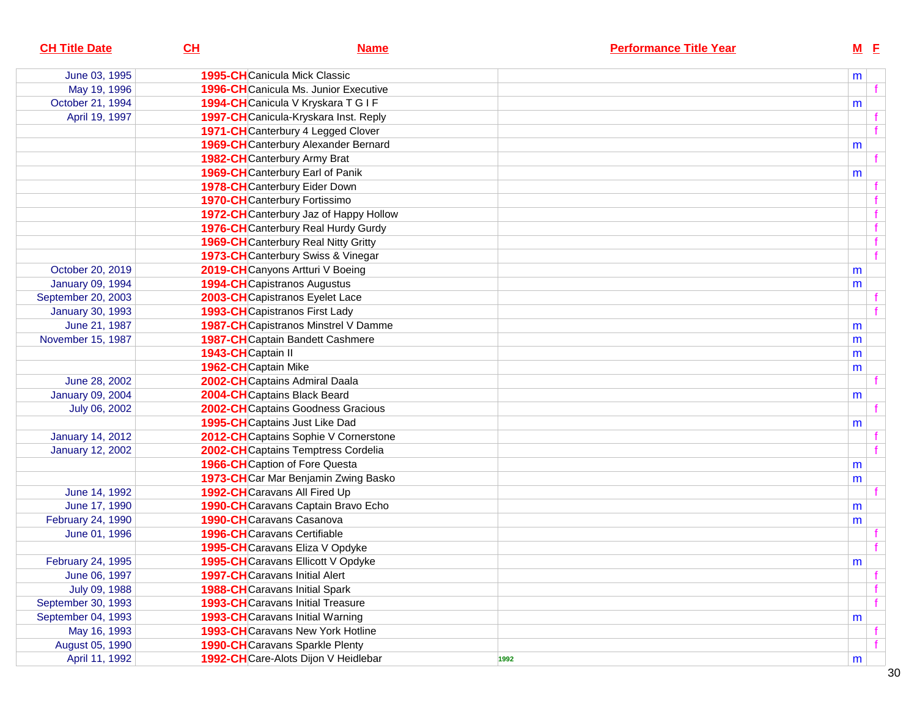| <b>CH Title Date</b>    | CL                                    | <b>Name</b>                                  | <b>Performance Title Year</b> |   | $M$ E |
|-------------------------|---------------------------------------|----------------------------------------------|-------------------------------|---|-------|
| June 03, 1995           | <b>1995-CH</b> Canicula Mick Classic  |                                              |                               | m |       |
| May 19, 1996            |                                       | <b>1996-CH</b> Canicula Ms. Junior Executive |                               |   |       |
| October 21, 1994        |                                       | 1994-CHCanicula V Kryskara T G I F           |                               | m |       |
| April 19, 1997          |                                       | 1997-CH Canicula-Kryskara Inst. Reply        |                               |   |       |
|                         |                                       | 1971-CH Canterbury 4 Legged Clover           |                               |   |       |
|                         |                                       | 1969-CH Canterbury Alexander Bernard         |                               | m |       |
|                         | 1982-CHCanterbury Army Brat           |                                              |                               |   |       |
|                         |                                       | 1969-CH Canterbury Earl of Panik             |                               | m |       |
|                         |                                       | 1978-CH Canterbury Eider Down                |                               |   |       |
|                         | <b>1970-CH</b> Canterbury Fortissimo  |                                              |                               |   |       |
|                         |                                       | 1972-CH Canterbury Jaz of Happy Hollow       |                               |   |       |
|                         |                                       | 1976-CH Canterbury Real Hurdy Gurdy          |                               |   |       |
|                         |                                       | <b>1969-CH</b> Canterbury Real Nitty Gritty  |                               |   |       |
|                         |                                       | 1973-CH Canterbury Swiss & Vinegar           |                               |   | f     |
| October 20, 2019        |                                       | 2019-CHCanyons Artturi V Boeing              |                               | m |       |
| <b>January 09, 1994</b> | 1994-CHCapistranos Augustus           |                                              |                               | m |       |
| September 20, 2003      |                                       | 2003-CHCapistranos Eyelet Lace               |                               |   |       |
| <b>January 30, 1993</b> | <b>1993-CH</b> Capistranos First Lady |                                              |                               |   |       |
| June 21, 1987           |                                       | <b>1987-CH</b> Capistranos Minstrel V Damme  |                               | m |       |
| November 15, 1987       |                                       | <b>1987-CH</b> Captain Bandett Cashmere      |                               | m |       |
|                         | 1943-CH Captain II                    |                                              |                               | m |       |
|                         | 1962-CHCaptain Mike                   |                                              |                               | m |       |
| June 28, 2002           |                                       | 2002-CHCaptains Admiral Daala                |                               |   |       |
| January 09, 2004        | 2004-CH Captains Black Beard          |                                              |                               | m |       |
| July 06, 2002           |                                       | 2002-CH Captains Goodness Gracious           |                               |   |       |
|                         |                                       | 1995-CHCaptains Just Like Dad                |                               | m |       |
| <b>January 14, 2012</b> |                                       | 2012-CH Captains Sophie V Cornerstone        |                               |   |       |
| <b>January 12, 2002</b> |                                       | 2002-CHCaptains Temptress Cordelia           |                               |   |       |
|                         |                                       | <b>1966-CH</b> Caption of Fore Questa        |                               | m |       |
|                         |                                       | 1973-CHCar Mar Benjamin Zwing Basko          |                               | m |       |
| June 14, 1992           | 1992-CH Caravans All Fired Up         |                                              |                               |   |       |
| June 17, 1990           |                                       | 1990-CHCaravans Captain Bravo Echo           |                               | m |       |
| February 24, 1990       | <b>1990-CH</b> Caravans Casanova      |                                              |                               | m |       |
| June 01, 1996           | 1996-CH Caravans Certifiable          |                                              |                               |   |       |
|                         |                                       | 1995-CH Caravans Eliza V Opdyke              |                               |   |       |
| February 24, 1995       |                                       | 1995-CHCaravans Ellicott V Opdyke            |                               | m |       |
| June 06, 1997           | <b>1997-CH</b> Caravans Initial Alert |                                              |                               |   |       |
| July 09, 1988           | <b>1988-CH</b> Caravans Initial Spark |                                              |                               |   |       |
| September 30, 1993      |                                       | <b>1993-CH</b> Caravans Initial Treasure     |                               |   |       |
| September 04, 1993      |                                       | <b>1993-CH</b> Caravans Initial Warning      |                               | m |       |
| May 16, 1993            |                                       | 1993-CHCaravans New York Hotline             |                               |   |       |
| August 05, 1990         |                                       | <b>1990-CH</b> Caravans Sparkle Plenty       |                               |   |       |
| April 11, 1992          |                                       | 1992-CHCare-Alots Dijon V Heidlebar          | 1992                          | m |       |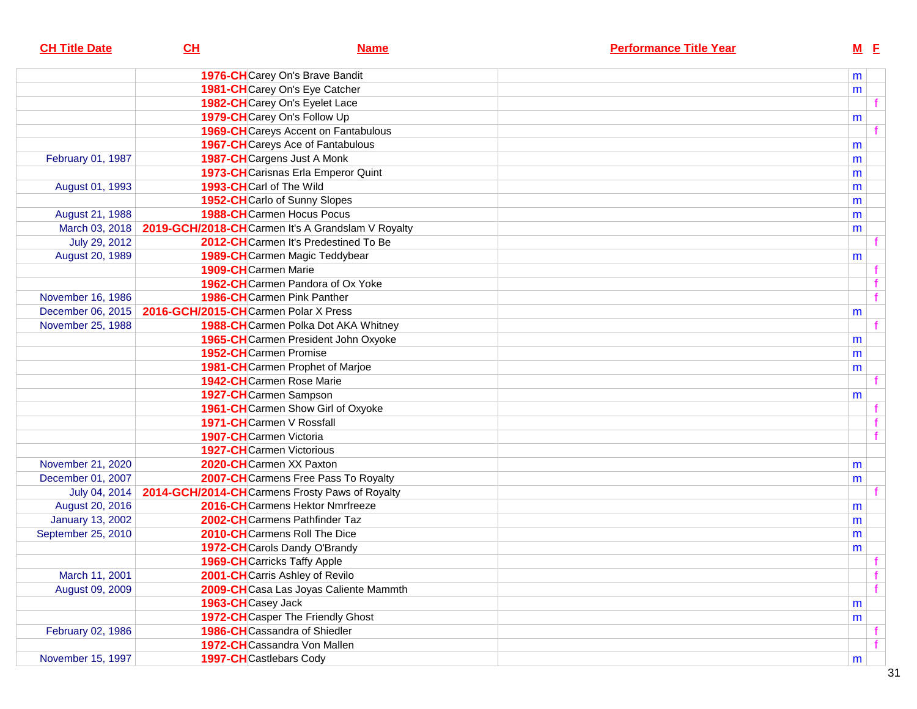| <b>CH Title Date</b>    | CL                                             | <b>Name</b>                                       | <b>Performance Title Year</b> |        | M E            |
|-------------------------|------------------------------------------------|---------------------------------------------------|-------------------------------|--------|----------------|
|                         |                                                | 1976-CHCarey On's Brave Bandit                    |                               | m      |                |
|                         |                                                | 1981-CH Carey On's Eye Catcher                    |                               | m      |                |
|                         |                                                | 1982-CHCarey On's Eyelet Lace                     |                               |        |                |
|                         |                                                | 1979-CHCarey On's Follow Up                       |                               |        |                |
|                         |                                                | <b>1969-CH</b> Careys Accent on Fantabulous       |                               | m      | f              |
|                         |                                                | <b>1967-CH</b> Careys Ace of Fantabulous          |                               |        |                |
| February 01, 1987       |                                                | 1987-CH Cargens Just A Monk                       |                               | m<br>m |                |
|                         |                                                | 1973-CH Carisnas Erla Emperor Quint               |                               | m      |                |
| August 01, 1993         | 1993-CHCarl of The Wild                        |                                                   |                               | m      |                |
|                         |                                                | 1952-CHCarlo of Sunny Slopes                      |                               | m      |                |
| August 21, 1988         |                                                | <b>1988-CH</b> Carmen Hocus Pocus                 |                               | m      |                |
| March 03, 2018          |                                                | 2019-GCH/2018-CHCarmen It's A Grandslam V Royalty |                               | m      |                |
| July 29, 2012           |                                                | 2012-CHCarmen It's Predestined To Be              |                               |        |                |
| August 20, 1989         |                                                | 1989-CHCarmen Magic Teddybear                     |                               | m      |                |
|                         | 1909-CHCarmen Marie                            |                                                   |                               |        |                |
|                         |                                                | 1962-CHCarmen Pandora of Ox Yoke                  |                               |        | f              |
| November 16, 1986       |                                                | <b>1986-CH</b> Carmen Pink Panther                |                               |        | $\overline{f}$ |
| December 06, 2015       | 2016-GCH/2015-CHCarmen Polar X Press           |                                                   |                               | m      |                |
| November 25, 1988       |                                                | 1988-CHCarmen Polka Dot AKA Whitney               |                               |        | f              |
|                         |                                                | 1965-CHCarmen President John Oxyoke               |                               | m      |                |
|                         | 1952-CHCarmen Promise                          |                                                   |                               | m      |                |
|                         |                                                | 1981-CHCarmen Prophet of Marjoe                   |                               | m      |                |
|                         | <b>1942-CH</b> Carmen Rose Marie               |                                                   |                               |        |                |
|                         | 1927-CHCarmen Sampson                          |                                                   |                               | m      |                |
|                         |                                                | 1961-CH Carmen Show Girl of Oxyoke                |                               |        |                |
|                         | 1971-CHCarmen V Rossfall                       |                                                   |                               |        |                |
|                         | 1907-CHCarmen Victoria                         |                                                   |                               |        | f              |
|                         | <b>1927-CH</b> Carmen Victorious               |                                                   |                               |        |                |
| November 21, 2020       | 2020-CHCarmen XX Paxton                        |                                                   |                               | m      |                |
| December 01, 2007       |                                                | 2007-CH Carmens Free Pass To Royalty              |                               | m      |                |
| July 04, 2014           | 2014-GCH/2014-CHCarmens Frosty Paws of Royalty |                                                   |                               |        |                |
| August 20, 2016         |                                                | 2016-CHCarmens Hektor Nmrfreeze                   |                               | m      |                |
| <b>January 13, 2002</b> |                                                | 2002-CHCarmens Pathfinder Taz                     |                               | m      |                |
| September 25, 2010      |                                                | 2010-CHCarmens Roll The Dice                      |                               | m      |                |
|                         |                                                | 1972-CH Carols Dandy O'Brandy                     |                               | m      |                |
|                         | <b>1969-CH</b> Carricks Taffy Apple            |                                                   |                               |        | $\mathbf{f}$   |
| March 11, 2001          |                                                | 2001-CHCarris Ashley of Revilo                    |                               |        | f              |
| August 09, 2009         |                                                | 2009-CH Casa Las Joyas Caliente Mammth            |                               |        | f              |
|                         | 1963-CHCasey Jack                              |                                                   |                               | m      |                |
|                         |                                                | 1972-CHCasper The Friendly Ghost                  |                               | m      |                |
| February 02, 1986       |                                                | 1986-CHCassandra of Shiedler                      |                               |        |                |
|                         |                                                | 1972-CHCassandra Von Mallen                       |                               |        | f              |
| November 15, 1997       | 1997-CHCastlebars Cody                         |                                                   |                               | m      |                |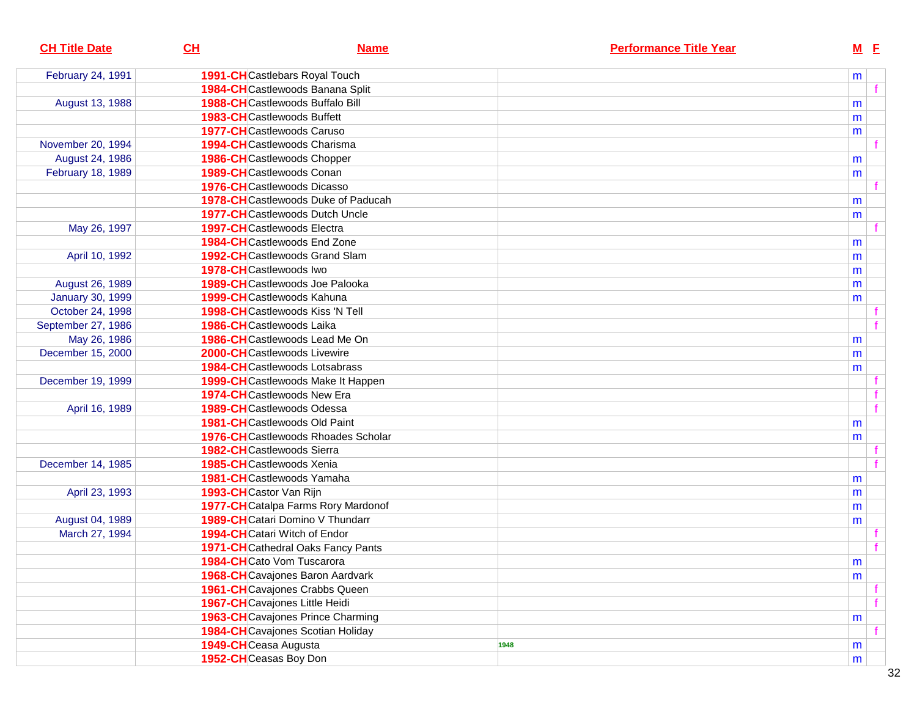| <b>CH Title Date</b>    | CL                                   | <b>Name</b>                                | <b>Performance Title Year</b> | $M$ E |  |
|-------------------------|--------------------------------------|--------------------------------------------|-------------------------------|-------|--|
| February 24, 1991       | 1991-CHCastlebars Royal Touch        |                                            |                               | m     |  |
|                         |                                      | 1984-CHCastlewoods Banana Split            |                               |       |  |
| August 13, 1988         |                                      | <b>1988-CH</b> Castlewoods Buffalo Bill    |                               | m     |  |
|                         | <b>1983-CH</b> Castlewoods Buffett   |                                            |                               | m     |  |
|                         | <b>1977-CH</b> Castlewoods Caruso    |                                            |                               | m     |  |
| November 20, 1994       | 1994-CHCastlewoods Charisma          |                                            |                               |       |  |
| August 24, 1986         | <b>1986-CH</b> Castlewoods Chopper   |                                            |                               | m     |  |
| February 18, 1989       | 1989-CHCastlewoods Conan             |                                            |                               | m     |  |
|                         | <b>1976-CH</b> Castlewoods Dicasso   |                                            |                               |       |  |
|                         |                                      | 1978-CHCastlewoods Duke of Paducah         |                               | m     |  |
|                         |                                      | <b>1977-CH</b> Castlewoods Dutch Uncle     |                               | m     |  |
| May 26, 1997            | <b>1997-CH</b> Castlewoods Electra   |                                            |                               |       |  |
|                         | 1984-CHCastlewoods End Zone          |                                            |                               | m     |  |
| April 10, 1992          |                                      | <b>1992-CH</b> Castlewoods Grand Slam      |                               | m     |  |
|                         | 1978-CHCastlewoods Iwo               |                                            |                               | m     |  |
| August 26, 1989         |                                      | 1989-CHCastlewoods Joe Palooka             |                               | m     |  |
| <b>January 30, 1999</b> | 1999-CHCastlewoods Kahuna            |                                            |                               | m     |  |
| October 24, 1998        |                                      | <b>1998-CH</b> Castlewoods Kiss 'N Tell    |                               |       |  |
| September 27, 1986      | 1986-CHCastlewoods Laika             |                                            |                               |       |  |
| May 26, 1986            |                                      | 1986-CHCastlewoods Lead Me On              |                               | m     |  |
| December 15, 2000       | 2000-CHCastlewoods Livewire          |                                            |                               | m     |  |
|                         |                                      | <b>1984-CH</b> Castlewoods Lotsabrass      |                               | m     |  |
| December 19, 1999       |                                      | 1999-CHCastlewoods Make It Happen          |                               |       |  |
|                         | 1974-CHCastlewoods New Era           |                                            |                               |       |  |
| April 16, 1989          | <b>1989-CH</b> Castlewoods Odessa    |                                            |                               | f     |  |
|                         | <b>1981-CH</b> Castlewoods Old Paint |                                            |                               | m     |  |
|                         |                                      | <b>1976-CH</b> Castlewoods Rhoades Scholar |                               | m     |  |
|                         | 1982-CHCastlewoods Sierra            |                                            |                               |       |  |
| December 14, 1985       | <b>1985-CH</b> Castlewoods Xenia     |                                            |                               |       |  |
|                         | 1981-CHCastlewoods Yamaha            |                                            |                               | m     |  |
| April 23, 1993          | 1993-CHCastor Van Rijn               |                                            |                               | m     |  |
|                         |                                      | 1977-CH Catalpa Farms Rory Mardonof        |                               | m     |  |
| August 04, 1989         |                                      | 1989-CHCatari Domino V Thundarr            |                               | m     |  |
| March 27, 1994          | 1994-CHCatari Witch of Endor         |                                            |                               |       |  |
|                         |                                      | 1971-CH Cathedral Oaks Fancy Pants         |                               |       |  |
|                         | 1984-CHCato Vom Tuscarora            |                                            |                               | m     |  |
|                         |                                      | 1968-CHCavajones Baron Aardvark            |                               | m     |  |
|                         |                                      | 1961-CHCavajones Crabbs Queen              |                               |       |  |
|                         | 1967-CHCavajones Little Heidi        |                                            |                               | f     |  |
|                         |                                      | <b>1963-CH</b> Cavajones Prince Charming   |                               | m     |  |
|                         |                                      | 1984-CHCavajones Scotian Holiday           |                               |       |  |
|                         | 1949-CHCeasa Augusta                 |                                            | 1948                          | m     |  |
|                         | 1952-CHCeasas Boy Don                |                                            |                               | m     |  |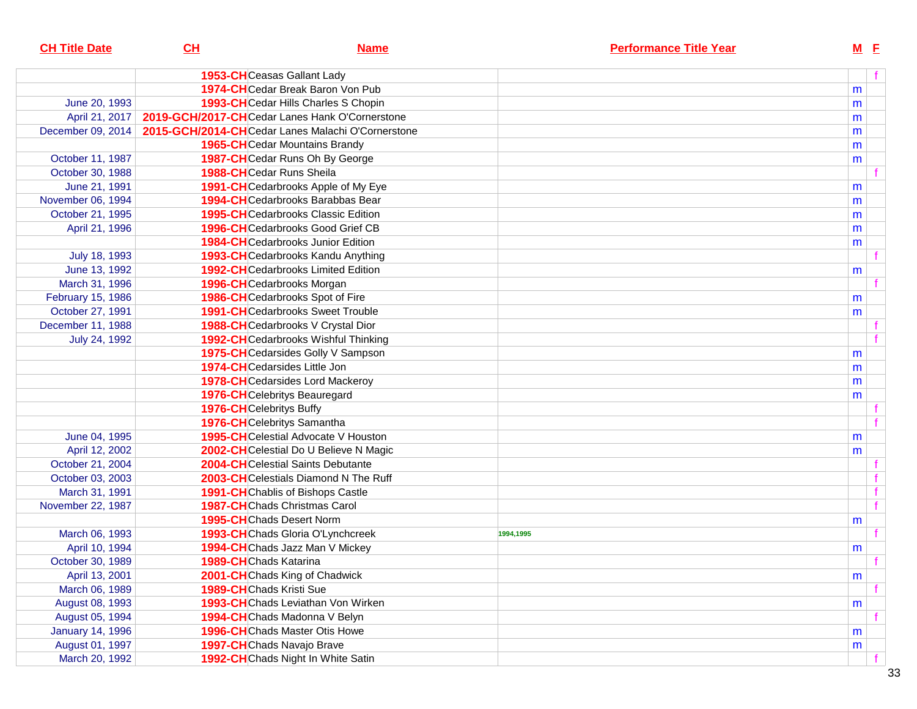| <b>CH Title Date</b>    | $CH$                            | <b>Name</b>                                       | <b>Performance Title Year</b> |   | $M$ $E$ |
|-------------------------|---------------------------------|---------------------------------------------------|-------------------------------|---|---------|
|                         |                                 | 1953-CHCeasas Gallant Lady                        |                               |   | f       |
|                         |                                 | <b>1974-CH</b> Cedar Break Baron Von Pub          |                               | m |         |
| June 20, 1993           |                                 | 1993-CHCedar Hills Charles S Chopin               |                               | m |         |
| April 21, 2017          |                                 | 2019-GCH/2017-CHCedar Lanes Hank O'Cornerstone    |                               | m |         |
| December 09, 2014       |                                 | 2015-GCH/2014-CHCedar Lanes Malachi O'Cornerstone |                               | m |         |
|                         |                                 | 1965-CHCedar Mountains Brandy                     |                               | m |         |
| October 11, 1987        |                                 | 1987-CHCedar Runs Oh By George                    |                               | m |         |
| October 30, 1988        |                                 | <b>1988-CH</b> Cedar Runs Sheila                  |                               |   |         |
| June 21, 1991           |                                 | 1991-CHCedarbrooks Apple of My Eye                |                               | m |         |
| November 06, 1994       |                                 | <b>1994-CH</b> Cedarbrooks Barabbas Bear          |                               | m |         |
| October 21, 1995        |                                 | <b>1995-CH</b> Cedarbrooks Classic Edition        |                               | m |         |
| April 21, 1996          |                                 | <b>1996-CH</b> Cedarbrooks Good Grief CB          |                               | m |         |
|                         |                                 | <b>1984-CH</b> Cedarbrooks Junior Edition         |                               | m |         |
| July 18, 1993           |                                 | 1993-CHCedarbrooks Kandu Anything                 |                               |   |         |
| June 13, 1992           |                                 | <b>1992-CH</b> Cedarbrooks Limited Edition        |                               | m |         |
| March 31, 1996          |                                 | 1996-CHCedarbrooks Morgan                         |                               |   |         |
| February 15, 1986       |                                 | 1986-CHCedarbrooks Spot of Fire                   |                               | m |         |
| October 27, 1991        |                                 | <b>1991-CH</b> Cedarbrooks Sweet Trouble          |                               | m |         |
| December 11, 1988       |                                 | 1988-CHCedarbrooks V Crystal Dior                 |                               |   |         |
| July 24, 1992           |                                 | 1992-CHCedarbrooks Wishful Thinking               |                               |   |         |
|                         |                                 | 1975-CHCedarsides Golly V Sampson                 |                               | m |         |
|                         |                                 | <b>1974-CH</b> Cedarsides Little Jon              |                               | m |         |
|                         |                                 | <b>1978-CH</b> Cedarsides Lord Mackeroy           |                               | m |         |
|                         |                                 | 1976-CHCelebritys Beauregard                      |                               | m |         |
|                         | <b>1976-CH</b> Celebritys Buffy |                                                   |                               |   |         |
|                         |                                 | 1976-CHCelebritys Samantha                        |                               |   |         |
| June 04, 1995           |                                 | <b>1995-CH</b> Celestial Advocate V Houston       |                               | m |         |
| April 12, 2002          |                                 | 2002-CHCelestial Do U Believe N Magic             |                               | m |         |
| October 21, 2004        |                                 | 2004-CHCelestial Saints Debutante                 |                               |   | t.      |
| October 03, 2003        |                                 | 2003-CHCelestials Diamond N The Ruff              |                               |   |         |
| March 31, 1991          |                                 | <b>1991-CH</b> Chablis of Bishops Castle          |                               |   | f       |
| November 22, 1987       |                                 | <b>1987-CH</b> Chads Christmas Carol              |                               |   | f       |
|                         |                                 | <b>1995-CH</b> Chads Desert Norm                  |                               | m |         |
| March 06, 1993          |                                 | 1993-CHChads Gloria O'Lynchcreek                  | 1994,1995                     |   | f.      |
| April 10, 1994          |                                 | 1994-CHChads Jazz Man V Mickey                    |                               | m |         |
| October 30, 1989        | 1989-CHChads Katarina           |                                                   |                               |   |         |
| April 13, 2001          |                                 | 2001-CHChads King of Chadwick                     |                               | m |         |
| March 06, 1989          | <b>1989-CH</b> Chads Kristi Sue |                                                   |                               |   |         |
| August 08, 1993         |                                 | 1993-CHChads Leviathan Von Wirken                 |                               | m |         |
| August 05, 1994         |                                 | 1994-CHChads Madonna V Belyn                      |                               |   |         |
| <b>January 14, 1996</b> |                                 | <b>1996-CH</b> Chads Master Otis Howe             |                               | m |         |
| August 01, 1997         |                                 | 1997-CHChads Navajo Brave                         |                               | m |         |
| March 20, 1992          |                                 | 1992-CHChads Night In White Satin                 |                               |   |         |
|                         |                                 |                                                   |                               |   |         |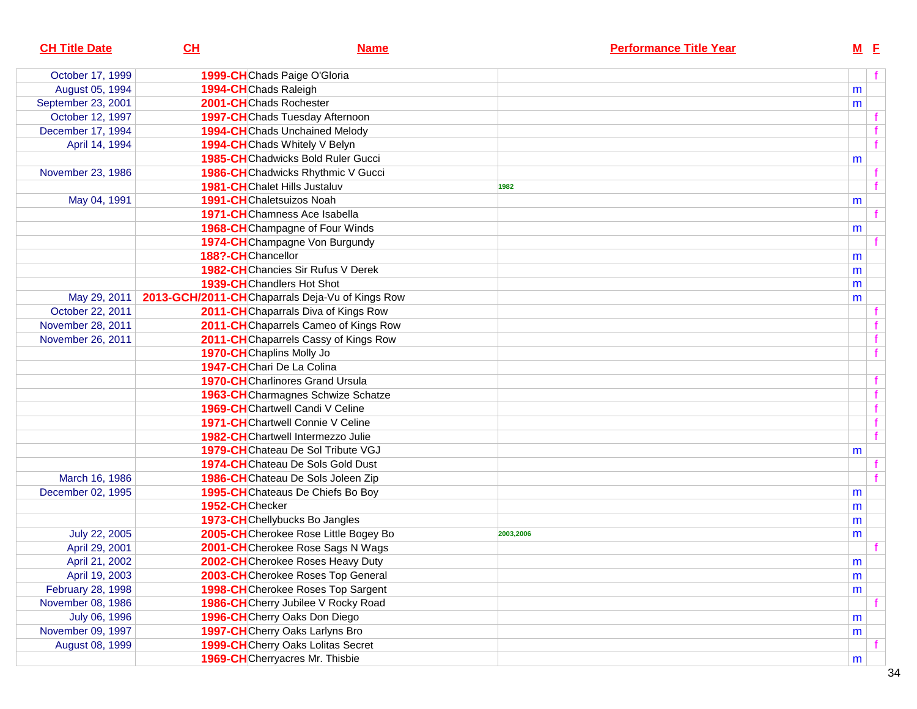| <b>CH Title Date</b> | CL                                              | <b>Name</b>                               |           | <b>Performance Title Year</b> |           | $M$ E        |
|----------------------|-------------------------------------------------|-------------------------------------------|-----------|-------------------------------|-----------|--------------|
| October 17, 1999     | 1999-CHChads Paige O'Gloria                     |                                           |           |                               |           |              |
| August 05, 1994      | 1994-CHChads Raleigh                            |                                           |           |                               | m         |              |
| September 23, 2001   | 2001-CHChads Rochester                          |                                           |           |                               | m         |              |
| October 12, 1997     |                                                 | 1997-CHChads Tuesday Afternoon            |           |                               |           |              |
| December 17, 1994    |                                                 | 1994-CHChads Unchained Melody             |           |                               |           |              |
| April 14, 1994       | 1994-CHChads Whitely V Belyn                    |                                           |           |                               |           | $\mathbf{f}$ |
|                      |                                                 | <b>1985-CH</b> Chadwicks Bold Ruler Gucci |           |                               | m         |              |
| November 23, 1986    |                                                 | 1986-CHChadwicks Rhythmic V Gucci         |           |                               |           |              |
|                      | <b>1981-CH</b> Chalet Hills Justaluv            |                                           | 1982      |                               |           |              |
| May 04, 1991         | <b>1991-CH</b> Chaletsuizos Noah                |                                           |           |                               | m         |              |
|                      | <b>1971-CH</b> Chamness Ace Isabella            |                                           |           |                               |           |              |
|                      |                                                 | <b>1968-CH</b> Champagne of Four Winds    |           |                               | m         |              |
|                      |                                                 | 1974-CHChampagne Von Burgundy             |           |                               |           |              |
|                      | 188?-CHChancellor                               |                                           |           |                               | m         |              |
|                      |                                                 | <b>1982-CH</b> Chancies Sir Rufus V Derek |           |                               | m         |              |
|                      | 1939-CHChandlers Hot Shot                       |                                           |           |                               | m         |              |
| May 29, 2011         | 2013-GCH/2011-CHChaparrals Deja-Vu of Kings Row |                                           |           |                               | m         |              |
| October 22, 2011     |                                                 | 2011-CHChaparrals Diva of Kings Row       |           |                               |           |              |
| November 28, 2011    |                                                 | 2011-CHChaparrels Cameo of Kings Row      |           |                               |           |              |
| November 26, 2011    |                                                 | 2011-CHChaparrels Cassy of Kings Row      |           |                               |           |              |
|                      | 1970-CHChaplins Molly Jo                        |                                           |           |                               |           |              |
|                      | 1947-CHChari De La Colina                       |                                           |           |                               |           |              |
|                      |                                                 | <b>1970-CH</b> Charlinores Grand Ursula   |           |                               |           |              |
|                      |                                                 | 1963-CHCharmagnes Schwize Schatze         |           |                               |           |              |
|                      |                                                 | 1969-CHChartwell Candi V Celine           |           |                               |           |              |
|                      |                                                 | <b>1971-CH</b> Chartwell Connie V Celine  |           |                               |           |              |
|                      |                                                 | <b>1982-CH</b> Chartwell Intermezzo Julie |           |                               |           |              |
|                      |                                                 | 1979-CHChateau De Sol Tribute VGJ         |           |                               | m         |              |
|                      |                                                 | 1974-CHChateau De Sols Gold Dust          |           |                               |           |              |
| March 16, 1986       |                                                 | 1986-CHChateau De Sols Joleen Zip         |           |                               |           |              |
| December 02, 1995    |                                                 | 1995-CHChateaus De Chiefs Bo Boy          |           |                               | m         |              |
|                      | 1952-CHChecker                                  |                                           |           |                               | m         |              |
|                      |                                                 | 1973-CHChellybucks Bo Jangles             |           |                               | m         |              |
| July 22, 2005        |                                                 | 2005-CHCherokee Rose Little Bogey Bo      | 2003,2006 |                               | m         |              |
| April 29, 2001       |                                                 | 2001-CHCherokee Rose Sags N Wags          |           |                               |           |              |
| April 21, 2002       |                                                 | 2002-CHCherokee Roses Heavy Duty          |           |                               | ${\sf m}$ |              |
| April 19, 2003       |                                                 | 2003-CHCherokee Roses Top General         |           |                               | m         |              |
| February 28, 1998    |                                                 | 1998-CHCherokee Roses Top Sargent         |           |                               | m         |              |
| November 08, 1986    |                                                 | 1986-CHCherry Jubilee V Rocky Road        |           |                               |           |              |
| July 06, 1996        |                                                 | 1996-CHCherry Oaks Don Diego              |           |                               | m         |              |
| November 09, 1997    |                                                 | 1997-CHCherry Oaks Larlyns Bro            |           |                               | m         |              |
| August 08, 1999      |                                                 | 1999-CHCherry Oaks Lolitas Secret         |           |                               |           |              |
|                      |                                                 | <b>1969-CH</b> Cherryacres Mr. Thisbie    |           |                               | m         |              |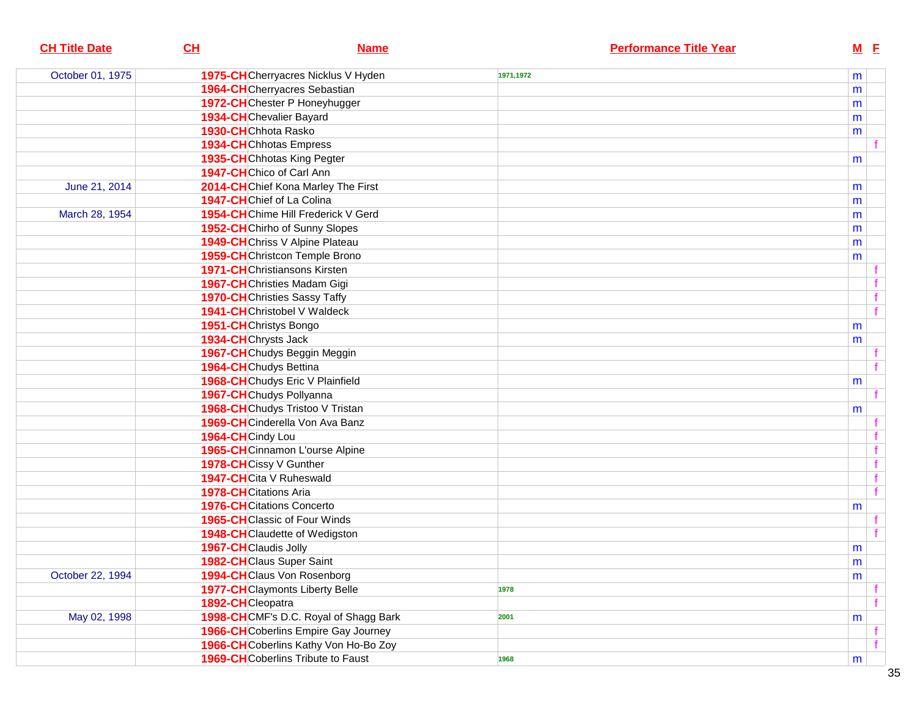| <b>CH Title Date</b> | CL                                   | <b>Name</b>                               |           | <b>Performance Title Year</b> |           | $M$ E        |
|----------------------|--------------------------------------|-------------------------------------------|-----------|-------------------------------|-----------|--------------|
| October 01, 1975     |                                      | 1975-CHCherryacres Nicklus V Hyden        | 1971,1972 |                               | m         |              |
|                      | 1964-CHCherryacres Sebastian         |                                           |           |                               | m         |              |
|                      |                                      | 1972-CHChester P Honeyhugger              |           |                               | m         |              |
|                      | 1934-CHChevalier Bayard              |                                           |           |                               | m         |              |
|                      | 1930-CHChhota Rasko                  |                                           |           |                               | m         |              |
|                      | <b>1934-CH</b> Chhotas Empress       |                                           |           |                               |           |              |
|                      | 1935-CHChhotas King Pegter           |                                           |           |                               | m         |              |
|                      | 1947-CHChico of Carl Ann             |                                           |           |                               |           |              |
| June 21, 2014        |                                      | 2014-CHChief Kona Marley The First        |           |                               | m         |              |
|                      | 1947-CHChief of La Colina            |                                           |           |                               | m         |              |
| March 28, 1954       |                                      | 1954-CHChime Hill Frederick V Gerd        |           |                               | m         |              |
|                      |                                      | 1952-CHChirho of Sunny Slopes             |           |                               | m         |              |
|                      |                                      | 1949-CHChriss V Alpine Plateau            |           |                               | m         |              |
|                      |                                      | 1959-CHChristcon Temple Brono             |           |                               | m         |              |
|                      | <b>1971-CH</b> Christiansons Kirsten |                                           |           |                               |           |              |
|                      | 1967-CHChristies Madam Gigi          |                                           |           |                               |           |              |
|                      | <b>1970-CH</b> Christies Sassy Taffy |                                           |           |                               |           | f            |
|                      | <b>1941-CH</b> Christobel V Waldeck  |                                           |           |                               |           | f            |
|                      | 1951-CHChristys Bongo                |                                           |           |                               | m         |              |
|                      | 1934-CHChrysts Jack                  |                                           |           |                               | m         |              |
|                      | 1967-CHChudys Beggin Meggin          |                                           |           |                               |           |              |
|                      | 1964-CHChudys Bettina                |                                           |           |                               |           |              |
|                      |                                      | 1968-CHChudys Eric V Plainfield           |           |                               | m         |              |
|                      | 1967-CHChudys Pollyanna              |                                           |           |                               |           |              |
|                      |                                      | 1968-CHChudys Tristoo V Tristan           |           |                               | m         |              |
|                      |                                      | 1969-CHCinderella Von Ava Banz            |           |                               |           |              |
|                      | 1964-CHCindy Lou                     |                                           |           |                               |           |              |
|                      |                                      | 1965-CHCinnamon L'ourse Alpine            |           |                               |           | f            |
|                      | 1978-CHCissy V Gunther               |                                           |           |                               |           | f            |
|                      | 1947-CHCita V Ruheswald              |                                           |           |                               |           | f            |
|                      | <b>1978-CH</b> Citations Aria        |                                           |           |                               |           | $\mathbf{f}$ |
|                      | <b>1976-CH</b> Citations Concerto    |                                           |           |                               | m         |              |
|                      | <b>1965-CH</b> Classic of Four Winds |                                           |           |                               |           |              |
|                      |                                      | 1948-CHClaudette of Wedigston             |           |                               |           |              |
|                      | 1967-CHClaudis Jolly                 |                                           |           |                               | m         |              |
|                      | 1982-CHClaus Super Saint             |                                           |           |                               | ${\sf m}$ |              |
| October 22, 1994     | 1994-CHClaus Von Rosenborg           |                                           |           |                               | m         |              |
|                      |                                      | <b>1977-CH</b> Claymonts Liberty Belle    | 1978      |                               |           |              |
|                      | 1892-CHCleopatra                     |                                           |           |                               |           |              |
| May 02, 1998         |                                      | 1998-CHCMF's D.C. Royal of Shagg Bark     | 2001      |                               | m         |              |
|                      |                                      | 1966-CHCoberlins Empire Gay Journey       |           |                               |           |              |
|                      |                                      | 1966-CH Coberlins Kathy Von Ho-Bo Zoy     |           |                               |           |              |
|                      |                                      | <b>1969-CH</b> Coberlins Tribute to Faust | 1968      |                               | m         |              |
|                      |                                      |                                           |           |                               |           |              |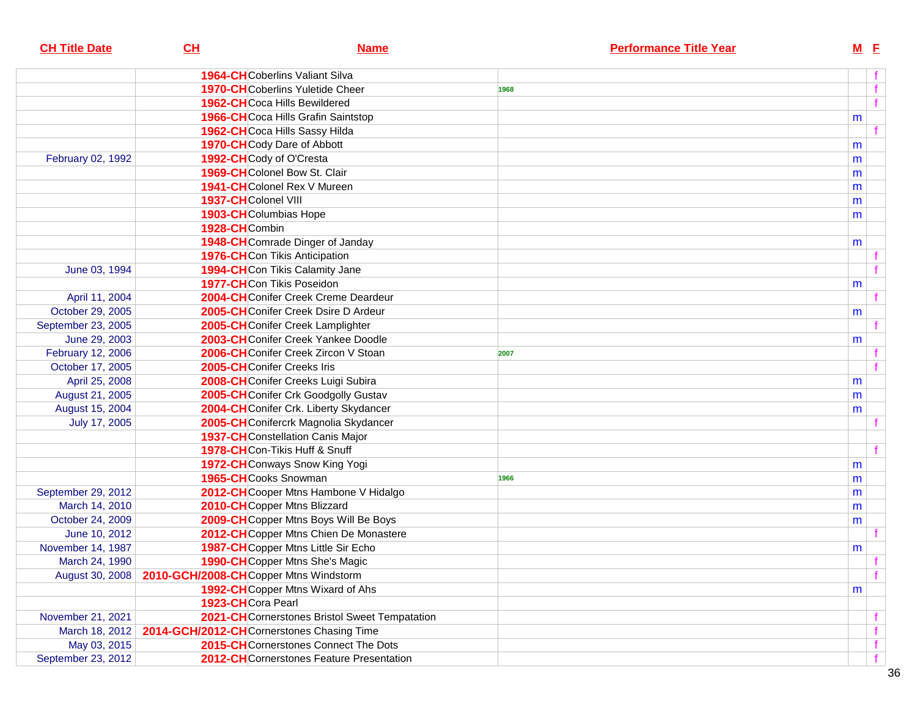| <b>CH Title Date</b> | CL                                        | <b>Name</b>                                   |      | <b>Performance Title Year</b> |   | $M$ E |
|----------------------|-------------------------------------------|-----------------------------------------------|------|-------------------------------|---|-------|
|                      |                                           | <b>1964-CH</b> Coberlins Valiant Silva        |      |                               |   |       |
|                      |                                           | <b>1970-CH</b> Coberlins Yuletide Cheer       | 1968 |                               |   |       |
|                      |                                           | 1962-CHCoca Hills Bewildered                  |      |                               |   |       |
|                      |                                           | <b>1966-CH</b> Coca Hills Grafin Saintstop    |      |                               | m |       |
|                      |                                           | 1962-CHCoca Hills Sassy Hilda                 |      |                               |   |       |
|                      |                                           | 1970-CHCody Dare of Abbott                    |      |                               | m |       |
| February 02, 1992    |                                           | 1992-CHCody of O'Cresta                       |      |                               | m |       |
|                      |                                           | 1969-CH Colonel Bow St. Clair                 |      |                               | m |       |
|                      |                                           | 1941-CHColonel Rex V Mureen                   |      |                               | m |       |
|                      | 1937-CHColonel VIII                       |                                               |      |                               | m |       |
|                      |                                           | 1903-CHColumbias Hope                         |      |                               | m |       |
|                      | 1928-CHCombin                             |                                               |      |                               |   |       |
|                      |                                           | 1948-CHComrade Dinger of Janday               |      |                               | m |       |
|                      |                                           | 1976-CHCon Tikis Anticipation                 |      |                               |   |       |
| June 03, 1994        |                                           | 1994-CHCon Tikis Calamity Jane                |      |                               |   |       |
|                      |                                           | 1977-CHCon Tikis Poseidon                     |      |                               | m |       |
| April 11, 2004       |                                           | 2004-CHConifer Creek Creme Deardeur           |      |                               |   |       |
| October 29, 2005     |                                           | 2005-CHConifer Creek Dsire D Ardeur           |      |                               | m |       |
| September 23, 2005   |                                           | 2005-CHConifer Creek Lamplighter              |      |                               |   |       |
| June 29, 2003        |                                           | 2003-CH Conifer Creek Yankee Doodle           |      |                               | m |       |
| February 12, 2006    |                                           | 2006-CHConifer Creek Zircon V Stoan           | 2007 |                               |   |       |
| October 17, 2005     |                                           | 2005-CHConifer Creeks Iris                    |      |                               |   |       |
| April 25, 2008       |                                           | 2008-CHConifer Creeks Luigi Subira            |      |                               | m |       |
| August 21, 2005      |                                           | 2005-CHConifer Crk Goodgolly Gustav           |      |                               | m |       |
| August 15, 2004      |                                           | 2004-CHConifer Crk. Liberty Skydancer         |      |                               | m |       |
| July 17, 2005        |                                           | 2005-CHConifercrk Magnolia Skydancer          |      |                               |   |       |
|                      |                                           | <b>1937-CH</b> Constellation Canis Major      |      |                               |   |       |
|                      |                                           | 1978-CHCon-Tikis Huff & Snuff                 |      |                               |   |       |
|                      |                                           | 1972-CHConways Snow King Yogi                 |      |                               | m |       |
|                      |                                           | 1965-CHCooks Snowman                          | 1966 |                               | m |       |
| September 29, 2012   |                                           | 2012-CHCooper Mtns Hambone V Hidalgo          |      |                               | m |       |
| March 14, 2010       |                                           | 2010-CHCopper Mtns Blizzard                   |      |                               | m |       |
| October 24, 2009     |                                           | 2009-CHCopper Mtns Boys Will Be Boys          |      |                               | m |       |
| June 10, 2012        |                                           | 2012-CHCopper Mtns Chien De Monastere         |      |                               |   |       |
| November 14, 1987    |                                           | 1987-CHCopper Mtns Little Sir Echo            |      |                               | m |       |
| March 24, 1990       |                                           | 1990-CHCopper Mtns She's Magic                |      |                               |   |       |
| August 30, 2008      | 2010-GCH/2008-CHCopper Mtns Windstorm     |                                               |      |                               |   | f     |
|                      |                                           | 1992-CH Copper Mtns Wixard of Ahs             |      |                               | m |       |
|                      | 1923-CHCora Pearl                         |                                               |      |                               |   |       |
| November 21, 2021    |                                           | 2021-CHCornerstones Bristol Sweet Tempatation |      |                               |   |       |
| March 18, 2012       | 2014-GCH/2012-CHCornerstones Chasing Time |                                               |      |                               |   |       |
| May 03, 2015         |                                           | 2015-CH Cornerstones Connect The Dots         |      |                               |   | f     |
| September 23, 2012   |                                           | 2012-CHCornerstones Feature Presentation      |      |                               |   | f     |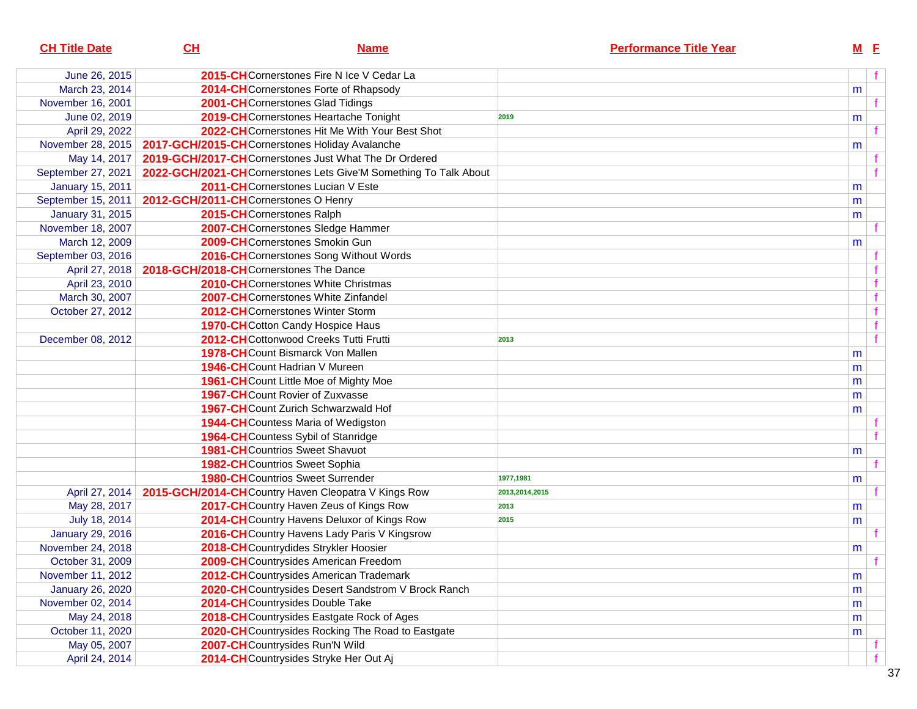| <b>CH Title Date</b>    | CL | <b>Name</b>                                                      | <b>Performance Title Year</b> |   | $M$ E |  |
|-------------------------|----|------------------------------------------------------------------|-------------------------------|---|-------|--|
| June 26, 2015           |    | 2015-CHCornerstones Fire N Ice V Cedar La                        |                               |   |       |  |
| March 23, 2014          |    | 2014-CHCornerstones Forte of Rhapsody                            |                               | m |       |  |
| November 16, 2001       |    | 2001-CHCornerstones Glad Tidings                                 |                               |   |       |  |
| June 02, 2019           |    | 2019-CHCornerstones Heartache Tonight                            | 2019                          | m |       |  |
| April 29, 2022          |    | 2022-CHCornerstones Hit Me With Your Best Shot                   |                               |   |       |  |
| November 28, 2015       |    | 2017-GCH/2015-CHCornerstones Holiday Avalanche                   |                               | m |       |  |
| May 14, 2017            |    | 2019-GCH/2017-CHCornerstones Just What The Dr Ordered            |                               |   |       |  |
| September 27, 2021      |    | 2022-GCH/2021-CHCornerstones Lets Give'M Something To Talk About |                               |   |       |  |
| <b>January 15, 2011</b> |    | 2011-CHCornerstones Lucian V Este                                |                               | m |       |  |
| September 15, 2011      |    | 2012-GCH/2011-CHCornerstones O Henry                             |                               | m |       |  |
| January 31, 2015        |    | 2015-CHCornerstones Ralph                                        |                               | m |       |  |
| November 18, 2007       |    | 2007-CHCornerstones Sledge Hammer                                |                               |   |       |  |
| March 12, 2009          |    | 2009-CHCornerstones Smokin Gun                                   |                               | m |       |  |
| September 03, 2016      |    | 2016-CHCornerstones Song Without Words                           |                               |   |       |  |
| April 27, 2018          |    | 2018-GCH/2018-CHCornerstones The Dance                           |                               |   |       |  |
| April 23, 2010          |    | <b>2010-CH</b> Cornerstones White Christmas                      |                               |   |       |  |
| March 30, 2007          |    | 2007-CHCornerstones White Zinfandel                              |                               |   |       |  |
| October 27, 2012        |    | 2012-CHCornerstones Winter Storm                                 |                               |   |       |  |
|                         |    | 1970-CHCotton Candy Hospice Haus                                 |                               |   |       |  |
| December 08, 2012       |    | 2012-CHCottonwood Creeks Tutti Frutti                            | 2013                          |   |       |  |
|                         |    | <b>1978-CH</b> Count Bismarck Von Mallen                         |                               | m |       |  |
|                         |    | 1946-CHCount Hadrian V Mureen                                    |                               | m |       |  |
|                         |    | 1961-CHCount Little Moe of Mighty Moe                            |                               | m |       |  |
|                         |    | 1967-CHCount Rovier of Zuxvasse                                  |                               | m |       |  |
|                         |    | 1967-CH Count Zurich Schwarzwald Hof                             |                               | m |       |  |
|                         |    | 1944-CH Countess Maria of Wedigston                              |                               |   |       |  |
|                         |    | 1964-CH Countess Sybil of Stanridge                              |                               |   |       |  |
|                         |    | <b>1981-CH</b> Countrios Sweet Shavuot                           |                               | m |       |  |
|                         |    | <b>1982-CH</b> Countrios Sweet Sophia                            |                               |   |       |  |
|                         |    | <b>1980-CH</b> Countrios Sweet Surrender                         | 1977,1981                     | m |       |  |
| April 27, 2014          |    | 2015-GCH/2014-CHCountry Haven Cleopatra V Kings Row              | 2013,2014,2015                |   |       |  |
| May 28, 2017            |    | 2017-CH Country Haven Zeus of Kings Row                          | 2013                          | m |       |  |
| July 18, 2014           |    | 2014-CH Country Havens Deluxor of Kings Row                      | 2015                          | m |       |  |
| <b>January 29, 2016</b> |    | 2016-CH Country Havens Lady Paris V Kingsrow                     |                               |   |       |  |
| November 24, 2018       |    | 2018-CHCountrydides Strykler Hoosier                             |                               | m |       |  |
| October 31, 2009        |    | 2009-CH Countrysides American Freedom                            |                               |   |       |  |
| November 11, 2012       |    | 2012-CHCountrysides American Trademark                           |                               | m |       |  |
| <b>January 26, 2020</b> |    | 2020-CH Countrysides Desert Sandstrom V Brock Ranch              |                               | m |       |  |
| November 02, 2014       |    | 2014-CHCountrysides Double Take                                  |                               | m |       |  |
| May 24, 2018            |    | 2018-CH Countrysides Eastgate Rock of Ages                       |                               | m |       |  |
| October 11, 2020        |    | 2020-CH Countrysides Rocking The Road to Eastgate                |                               | m |       |  |
| May 05, 2007            |    | 2007-CHCountrysides Run'N Wild                                   |                               |   |       |  |
| April 24, 2014          |    | 2014-CHCountrysides Stryke Her Out Aj                            |                               |   |       |  |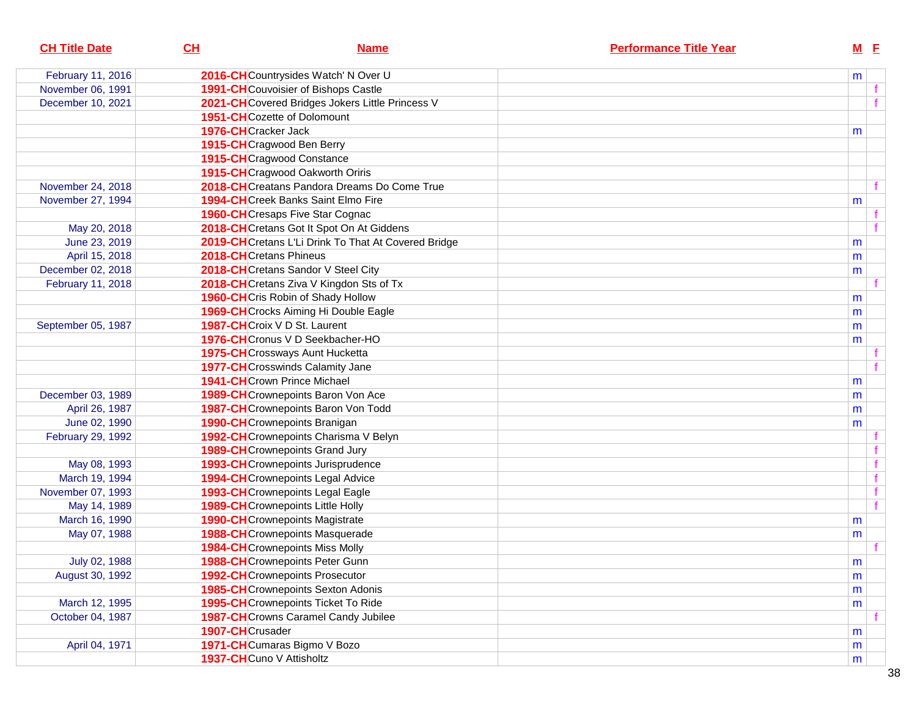| <b>CH Title Date</b> | CH                       | <b>Name</b>                                         | <b>Performance Title Year</b> | $M$ $E$ |  |
|----------------------|--------------------------|-----------------------------------------------------|-------------------------------|---------|--|
| February 11, 2016    |                          | 2016-CHCountrysides Watch' N Over U                 |                               | m       |  |
| November 06, 1991    |                          | <b>1991-CH</b> Couvoisier of Bishops Castle         |                               |         |  |
| December 10, 2021    |                          | 2021-CHCovered Bridges Jokers Little Princess V     |                               |         |  |
|                      |                          | <b>1951-CH</b> Cozette of Dolomount                 |                               |         |  |
|                      | 1976-CHCracker Jack      |                                                     |                               | m       |  |
|                      |                          | 1915-CHCragwood Ben Berry                           |                               |         |  |
|                      |                          | 1915-CHCragwood Constance                           |                               |         |  |
|                      |                          | 1915-CHCragwood Oakworth Oriris                     |                               |         |  |
| November 24, 2018    |                          | 2018-CHCreatans Pandora Dreams Do Come True         |                               |         |  |
| November 27, 1994    |                          | <b>1994-CH</b> Creek Banks Saint Elmo Fire          |                               | m       |  |
|                      |                          | <b>1960-CH</b> Cresaps Five Star Cognac             |                               |         |  |
| May 20, 2018         |                          | 2018-CHCretans Got It Spot On At Giddens            |                               |         |  |
| June 23, 2019        |                          | 2019-CHCretans L'Li Drink To That At Covered Bridge |                               | m       |  |
| April 15, 2018       | 2018-CHCretans Phineus   |                                                     |                               | m       |  |
| December 02, 2018    |                          | 2018-CHCretans Sandor V Steel City                  |                               | m       |  |
| February 11, 2018    |                          | 2018-CHCretans Ziva V Kingdon Sts of Tx             |                               |         |  |
|                      |                          | 1960-CHCris Robin of Shady Hollow                   |                               | m       |  |
|                      |                          | 1969-CHCrocks Aiming Hi Double Eagle                |                               | m       |  |
| September 05, 1987   |                          | 1987-CHCroix V D St. Laurent                        |                               | m       |  |
|                      |                          | 1976-CHCronus V D Seekbacher-HO                     |                               | m       |  |
|                      |                          | 1975-CHCrossways Aunt Hucketta                      |                               |         |  |
|                      |                          | <b>1977-CH</b> Crosswinds Calamity Jane             |                               |         |  |
|                      |                          | <b>1941-CH</b> Crown Prince Michael                 |                               | m       |  |
| December 03, 1989    |                          | 1989-CHCrownepoints Baron Von Ace                   |                               | m       |  |
| April 26, 1987       |                          | 1987-CHCrownepoints Baron Von Todd                  |                               | m       |  |
| June 02, 1990        |                          | 1990-CHCrownepoints Branigan                        |                               | m       |  |
| February 29, 1992    |                          | 1992-CHCrownepoints Charisma V Belyn                |                               |         |  |
|                      |                          | <b>1989-CH</b> Crownepoints Grand Jury              |                               |         |  |
| May 08, 1993         |                          | 1993-CHCrownepoints Jurisprudence                   |                               |         |  |
| March 19, 1994       |                          | 1994-CHCrownepoints Legal Advice                    |                               |         |  |
| November 07, 1993    |                          | 1993-CHCrownepoints Legal Eagle                     |                               |         |  |
| May 14, 1989         |                          | <b>1989-CH</b> Crownepoints Little Holly            |                               |         |  |
| March 16, 1990       |                          | 1990-CHCrownepoints Magistrate                      |                               | m       |  |
| May 07, 1988         |                          | 1988-CHCrownepoints Masquerade                      |                               | m       |  |
|                      |                          | <b>1984-CH</b> Crownepoints Miss Molly              |                               |         |  |
| July 02, 1988        |                          | 1988-CHCrownepoints Peter Gunn                      |                               | m       |  |
| August 30, 1992      |                          | 1992-CHCrownepoints Prosecutor                      |                               | m       |  |
|                      |                          | <b>1985-CH</b> Crownepoints Sexton Adonis           |                               | m       |  |
| March 12, 1995       |                          | 1995-CHCrownepoints Ticket To Ride                  |                               | m       |  |
| October 04, 1987     |                          | 1987-CH Crowns Caramel Candy Jubilee                |                               |         |  |
|                      | 1907-CHCrusader          |                                                     |                               | m       |  |
| April 04, 1971       |                          | 1971-CHCumaras Bigmo V Bozo                         |                               | m       |  |
|                      | 1937-CHCuno V Attisholtz |                                                     |                               | m       |  |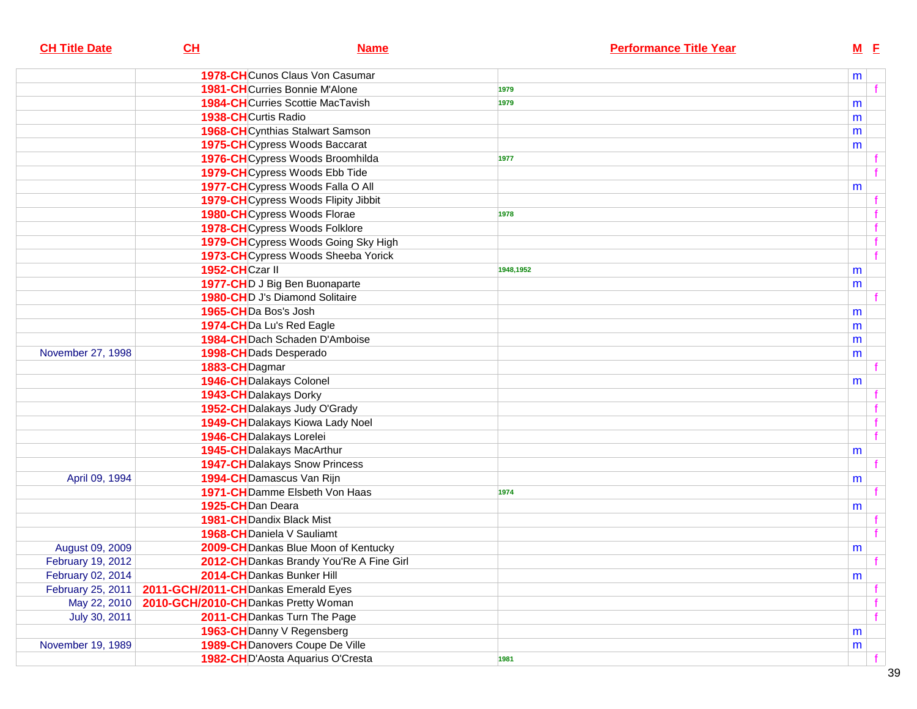| <b>CH Title Date</b> | CL                                  | <b>Name</b>                              | <b>Performance Title Year</b> | $M$ E       |
|----------------------|-------------------------------------|------------------------------------------|-------------------------------|-------------|
|                      |                                     | <b>1978-CH</b> Cunos Claus Von Casumar   |                               | m           |
|                      |                                     | <b>1981-CH</b> Curries Bonnie M'Alone    | 1979                          |             |
|                      |                                     | <b>1984-CH</b> Curries Scottie MacTavish | 1979                          | m           |
|                      | 1938-CHCurtis Radio                 |                                          |                               | m           |
|                      |                                     | <b>1968-CH</b> Cynthias Stalwart Samson  |                               | m           |
|                      |                                     | 1975-CHCypress Woods Baccarat            |                               | m           |
|                      |                                     | 1976-CHCypress Woods Broomhilda          | 1977                          |             |
|                      |                                     | 1979-CHCypress Woods Ebb Tide            |                               |             |
|                      |                                     | 1977-CHCypress Woods Falla O All         |                               | m           |
|                      |                                     | 1979-CH Cypress Woods Flipity Jibbit     |                               |             |
|                      |                                     | 1980-CHCypress Woods Florae              | 1978                          |             |
|                      |                                     | 1978-CHCypress Woods Folklore            |                               | $\mathbf f$ |
|                      |                                     | 1979-CHCypress Woods Going Sky High      |                               | $\mathbf f$ |
|                      |                                     | 1973-CHCypress Woods Sheeba Yorick       |                               | f           |
|                      | 1952-CHCzar II                      |                                          | 1948,1952                     | m           |
|                      |                                     | 1977-CHD J Big Ben Buonaparte            |                               | m           |
|                      |                                     | 1980-CHD J's Diamond Solitaire           |                               |             |
|                      | 1965-CHDa Bos's Josh                |                                          |                               | m           |
|                      | 1974-CHDa Lu's Red Eagle            |                                          |                               | m           |
|                      |                                     | 1984-CH Dach Schaden D'Amboise           |                               | m           |
| November 27, 1998    | 1998-CH Dads Desperado              |                                          |                               | m           |
|                      | 1883-CHDagmar                       |                                          |                               |             |
|                      | 1946-CH Dalakays Colonel            |                                          |                               | m           |
|                      | 1943-CH Dalakays Dorky              |                                          |                               |             |
|                      |                                     | 1952-CH Dalakays Judy O'Grady            |                               |             |
|                      |                                     | 1949-CH Dalakays Kiowa Lady Noel         |                               |             |
|                      | 1946-CH Dalakays Lorelei            |                                          |                               |             |
|                      | 1945-CH Dalakays MacArthur          |                                          |                               | m           |
|                      |                                     | <b>1947-CH</b> Dalakays Snow Princess    |                               |             |
| April 09, 1994       | 1994-CH Damascus Van Rijn           |                                          |                               | m           |
|                      |                                     | 1971-CH Damme Elsbeth Von Haas           | 1974                          |             |
|                      | 1925-CHDan Deara                    |                                          |                               | m           |
|                      | <b>1981-CH</b> Dandix Black Mist    |                                          |                               |             |
|                      | 1968-CHDaniela V Sauliamt           |                                          |                               |             |
| August 09, 2009      |                                     | 2009-CH Dankas Blue Moon of Kentucky     |                               | m           |
| February 19, 2012    |                                     | 2012-CH Dankas Brandy You'Re A Fine Girl |                               | f           |
| February 02, 2014    | 2014-CH Dankas Bunker Hill          |                                          |                               | m           |
| February 25, 2011    | 2011-GCH/2011-CHDankas Emerald Eyes |                                          |                               | f           |
| May 22, 2010         | 2010-GCH/2010-CHDankas Pretty Woman |                                          |                               | f           |
| July 30, 2011        |                                     | 2011-CH Dankas Turn The Page             |                               | f           |
|                      | 1963-CH Danny V Regensberg          |                                          |                               | m           |
| November 19, 1989    |                                     | 1989-CH Danovers Coupe De Ville          |                               | m           |
|                      |                                     | 1982-CHD'Aosta Aquarius O'Cresta         | 1981                          |             |
|                      |                                     |                                          |                               |             |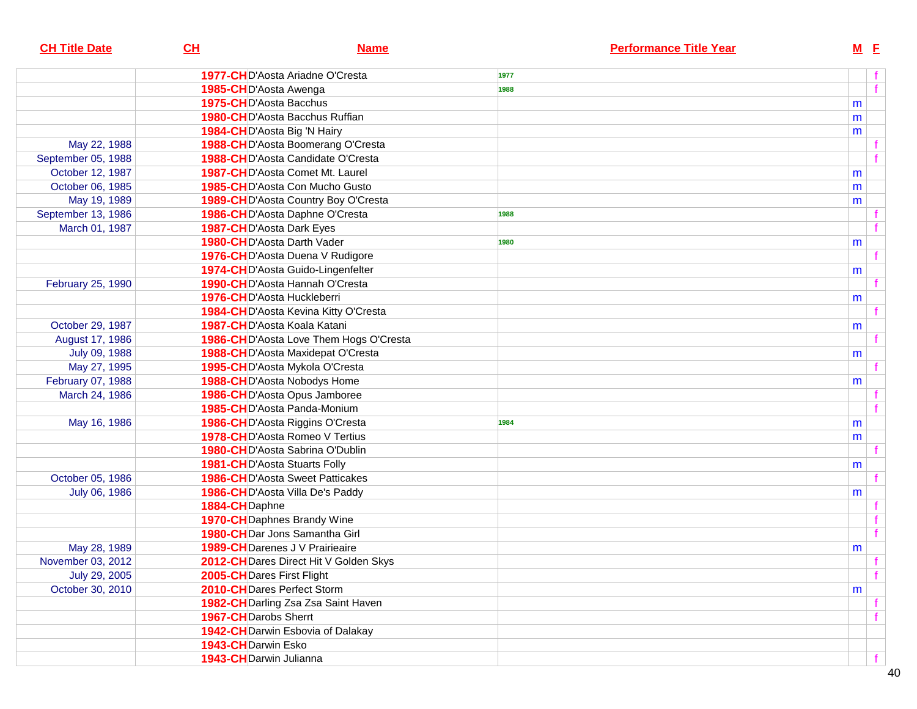| <b>CH Title Date</b> | CL                          | <b>Name</b>                             | <b>Performance Title Year</b> | $M$ E |   |
|----------------------|-----------------------------|-----------------------------------------|-------------------------------|-------|---|
|                      |                             | <b>1977-CHD</b> 'Aosta Ariadne O'Cresta | 1977                          |       |   |
|                      | 1985-CHD'Aosta Awenga       |                                         | 1988                          |       | f |
|                      | 1975-CHD'Aosta Bacchus      |                                         |                               | m     |   |
|                      |                             | 1980-CHD'Aosta Bacchus Ruffian          |                               | m     |   |
|                      | 1984-CHD'Aosta Big 'N Hairy |                                         |                               | m     |   |
| May 22, 1988         |                             | 1988-CHD'Aosta Boomerang O'Cresta       |                               |       |   |
| September 05, 1988   |                             | 1988-CHD'Aosta Candidate O'Cresta       |                               |       | f |
| October 12, 1987     |                             | 1987-CHD'Aosta Comet Mt. Laurel         |                               | m     |   |
| October 06, 1985     |                             | 1985-CHD'Aosta Con Mucho Gusto          |                               | m     |   |
| May 19, 1989         |                             | 1989-CHD'Aosta Country Boy O'Cresta     |                               | m     |   |
| September 13, 1986   |                             | 1986-CHD'Aosta Daphne O'Cresta          | 1988                          |       |   |
| March 01, 1987       | 1987-CHD'Aosta Dark Eyes    |                                         |                               |       | f |
|                      | 1980-CHD'Aosta Darth Vader  |                                         | 1980                          | m     |   |
|                      |                             | 1976-CHD'Aosta Duena V Rudigore         |                               |       |   |
|                      |                             | 1974-CHD'Aosta Guido-Lingenfelter       |                               | m     |   |
| February 25, 1990    |                             | 1990-CHD'Aosta Hannah O'Cresta          |                               |       |   |
|                      | 1976-CHD'Aosta Huckleberri  |                                         |                               | m     |   |
|                      |                             | 1984-CHD'Aosta Kevina Kitty O'Cresta    |                               |       |   |
| October 29, 1987     |                             | 1987-CHD'Aosta Koala Katani             |                               | m     |   |
| August 17, 1986      |                             | 1986-CHD'Aosta Love Them Hogs O'Cresta  |                               |       |   |
| July 09, 1988        |                             | 1988-CHD'Aosta Maxidepat O'Cresta       |                               | m     |   |
| May 27, 1995         |                             | 1995-CHD'Aosta Mykola O'Cresta          |                               |       |   |
| February 07, 1988    |                             | 1988-CHD'Aosta Nobodys Home             |                               | m     |   |
| March 24, 1986       |                             | 1986-CHD'Aosta Opus Jamboree            |                               |       |   |
|                      |                             | 1985-CHD'Aosta Panda-Monium             |                               |       |   |
| May 16, 1986         |                             | 1986-CHD'Aosta Riggins O'Cresta         | 1984                          | m     |   |
|                      |                             | 1978-CHD'Aosta Romeo V Tertius          |                               | m     |   |
|                      |                             | 1980-CHD'Aosta Sabrina O'Dublin         |                               |       |   |
|                      |                             | <b>1981-CHD'Aosta Stuarts Folly</b>     |                               | m     |   |
| October 05, 1986     |                             | <b>1986-CHD'Aosta Sweet Patticakes</b>  |                               |       |   |
| July 06, 1986        |                             | 1986-CHD'Aosta Villa De's Paddy         |                               | m     |   |
|                      | 1884-CHDaphne               |                                         |                               |       |   |
|                      |                             | 1970-CH Daphnes Brandy Wine             |                               |       | f |
|                      |                             | 1980-CHDar Jons Samantha Girl           |                               |       | f |
| May 28, 1989         |                             | 1989-CH Darenes J V Prairieaire         |                               | m     |   |
| November 03, 2012    |                             | 2012-CH Dares Direct Hit V Golden Skys  |                               |       | f |
| July 29, 2005        | 2005-CH Dares First Flight  |                                         |                               |       | f |
| October 30, 2010     | 2010-CH Dares Perfect Storm |                                         |                               | m     |   |
|                      |                             | 1982-CH Darling Zsa Zsa Saint Haven     |                               |       |   |
|                      | 1967-CH Darobs Sherrt       |                                         |                               |       | f |
|                      |                             | 1942-CH Darwin Esbovia of Dalakay       |                               |       |   |
|                      | 1943-CH Darwin Esko         |                                         |                               |       |   |
|                      | 1943-CH Darwin Julianna     |                                         |                               |       |   |
|                      |                             |                                         |                               |       |   |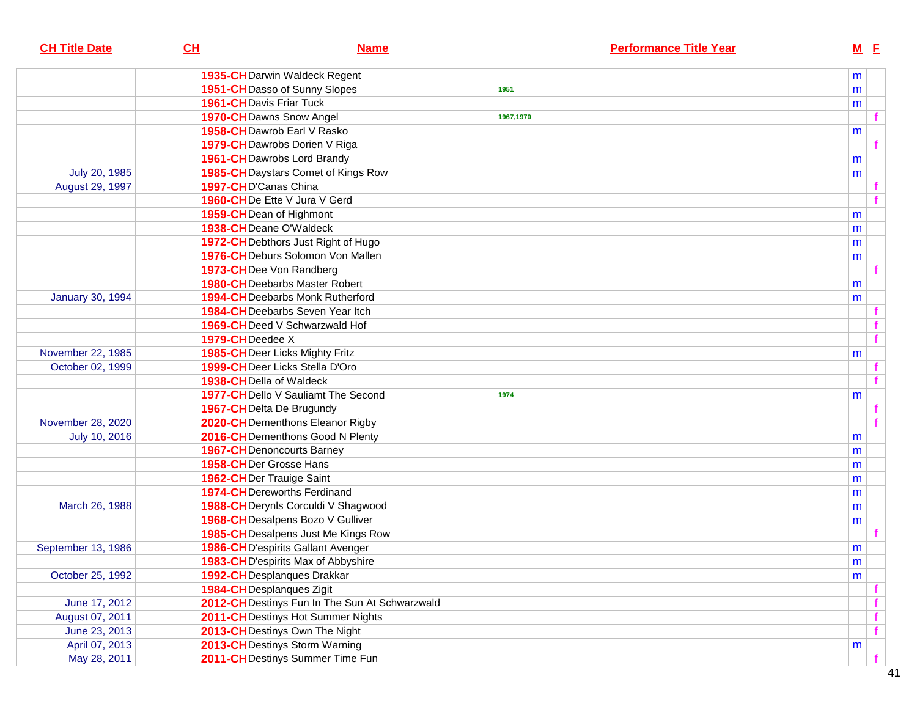| <b>CH Title Date</b>    | CH<br><b>Name</b>                              | <b>Performance Title Year</b> | $M$ E     |  |
|-------------------------|------------------------------------------------|-------------------------------|-----------|--|
|                         | 1935-CH Darwin Waldeck Regent                  |                               | m         |  |
|                         | 1951-CH Dasso of Sunny Slopes                  | 1951                          | m         |  |
|                         | <b>1961-CH</b> Davis Friar Tuck                |                               | m         |  |
|                         | 1970-CH Dawns Snow Angel                       | 1967,1970                     |           |  |
|                         | 1958-CH Dawrob Earl V Rasko                    |                               | m         |  |
|                         | 1979-CH Dawrobs Dorien V Riga                  |                               |           |  |
|                         | <b>1961-CH</b> Dawrobs Lord Brandy             |                               | m         |  |
| July 20, 1985           | 1985-CH Daystars Comet of Kings Row            |                               | m         |  |
| August 29, 1997         | 1997-CHD'Canas China                           |                               |           |  |
|                         | 1960-CHDe Ette V Jura V Gerd                   |                               |           |  |
|                         | 1959-CH Dean of Highmont                       |                               | m         |  |
|                         | 1938-CH Deane O'Waldeck                        |                               | m         |  |
|                         | 1972-CH Debthors Just Right of Hugo            |                               | m         |  |
|                         | 1976-CH Deburs Solomon Von Mallen              |                               | m         |  |
|                         | 1973-CH <sub>Dee</sub> Von Randberg            |                               |           |  |
|                         | <b>1980-CH</b> Deebarbs Master Robert          |                               | m         |  |
| <b>January 30, 1994</b> | 1994-CHDeebarbs Monk Rutherford                |                               | m         |  |
|                         | <b>1984-CH</b> Deebarbs Seven Year Itch        |                               |           |  |
|                         | 1969-CHDeed V Schwarzwald Hof                  |                               |           |  |
|                         | 1979-CHDeedee X                                |                               | f         |  |
| November 22, 1985       | <b>1985-CH</b> Deer Licks Mighty Fritz         |                               | m         |  |
| October 02, 1999        | 1999-CH Deer Licks Stella D'Oro                |                               |           |  |
|                         | 1938-CH Della of Waldeck                       |                               |           |  |
|                         | 1977-CHDello V Sauliamt The Second             | 1974                          | m         |  |
|                         | 1967-CH Delta De Brugundy                      |                               |           |  |
| November 28, 2020       | 2020-CH Dementhons Eleanor Rigby               |                               |           |  |
| July 10, 2016           | 2016-CH Dementhons Good N Plenty               |                               | m         |  |
|                         | <b>1967-CH</b> Denoncourts Barney              |                               | m         |  |
|                         | 1958-CHDer Grosse Hans                         |                               | m         |  |
|                         | 1962-CHDer Trauige Saint                       |                               | m         |  |
|                         | 1974-CH Dereworths Ferdinand                   |                               | m         |  |
| March 26, 1988          | 1988-CH Derynls Corculdi V Shagwood            |                               | m         |  |
|                         | 1968-CH Desalpens Bozo V Gulliver              |                               | m         |  |
|                         | 1985-CH Desalpens Just Me Kings Row            |                               |           |  |
| September 13, 1986      | 1986-CHD'espirits Gallant Avenger              |                               | m         |  |
|                         | 1983-CHD'espirits Max of Abbyshire             |                               | ${\sf m}$ |  |
| October 25, 1992        | 1992-CH Desplanques Drakkar                    |                               | m         |  |
|                         | 1984-CH Desplanques Zigit                      |                               |           |  |
| June 17, 2012           | 2012-CH Destinys Fun In The Sun At Schwarzwald |                               | f         |  |
| August 07, 2011         | 2011-CH Destinys Hot Summer Nights             |                               | f         |  |
| June 23, 2013           | 2013-CH Destinys Own The Night                 |                               | f         |  |
| April 07, 2013          | 2013-CH Destinys Storm Warning                 |                               | m         |  |
| May 28, 2011            | 2011-CH Destinys Summer Time Fun               |                               |           |  |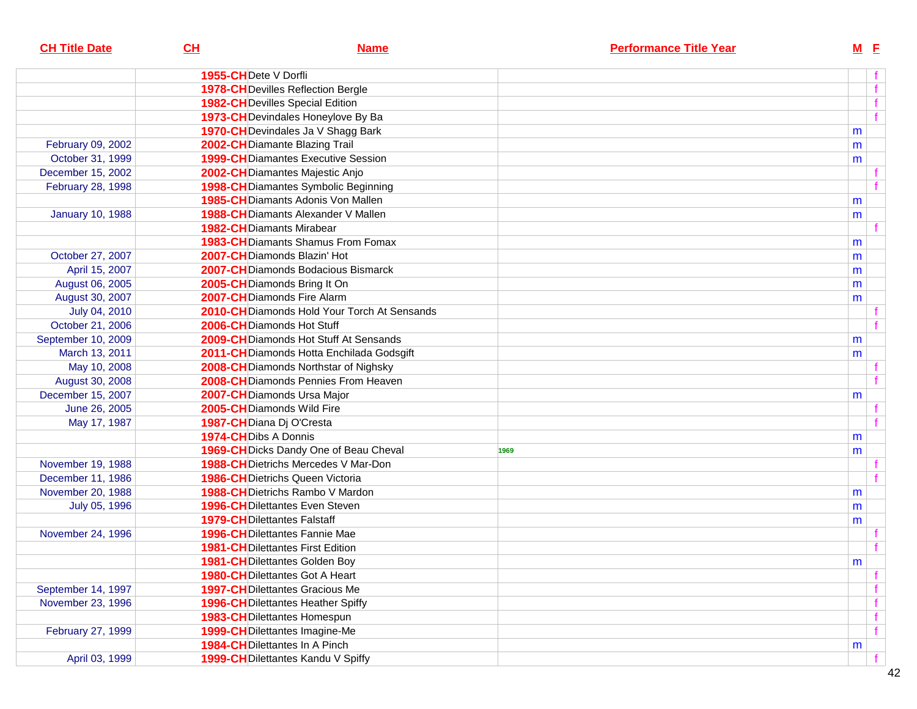| <b>CH Title Date</b>    | CL                   | <b>Name</b>                                   |      | <b>Performance Title Year</b> | $M$ $E$ |    |
|-------------------------|----------------------|-----------------------------------------------|------|-------------------------------|---------|----|
|                         | 1955-CHDete V Dorfli |                                               |      |                               |         | f  |
|                         |                      | <b>1978-CH</b> Devilles Reflection Bergle     |      |                               |         | f  |
|                         |                      | <b>1982-CH</b> Devilles Special Edition       |      |                               |         | f  |
|                         |                      | 1973-CH Devindales Honeylove By Ba            |      |                               |         | f  |
|                         |                      | 1970-CH Devindales Ja V Shagg Bark            |      |                               | m       |    |
| February 09, 2002       |                      | 2002-CH Diamante Blazing Trail                |      |                               | m       |    |
| October 31, 1999        |                      | <b>1999-CH</b> Diamantes Executive Session    |      |                               | m       |    |
| December 15, 2002       |                      | 2002-CH Diamantes Majestic Anjo               |      |                               |         |    |
| February 28, 1998       |                      | <b>1998-CH</b> Diamantes Symbolic Beginning   |      |                               |         | f  |
|                         |                      | <b>1985-CH</b> Diamants Adonis Von Mallen     |      |                               | m       |    |
| <b>January 10, 1988</b> |                      | <b>1988-CH</b> Diamants Alexander V Mallen    |      |                               | m       |    |
|                         |                      | <b>1982-CH</b> Diamants Mirabear              |      |                               |         | f. |
|                         |                      | <b>1983-CH</b> Diamants Shamus From Fomax     |      |                               | m       |    |
| October 27, 2007        |                      | 2007-CHDiamonds Blazin' Hot                   |      |                               | m       |    |
| April 15, 2007          |                      | <b>2007-CH</b> Diamonds Bodacious Bismarck    |      |                               | m       |    |
| August 06, 2005         |                      | 2005-CH Diamonds Bring It On                  |      |                               | m       |    |
| August 30, 2007         |                      | 2007-CHDiamonds Fire Alarm                    |      |                               | m       |    |
| July 04, 2010           |                      | 2010-CHDiamonds Hold Your Torch At Sensands   |      |                               |         | f  |
| October 21, 2006        |                      | 2006-CHDiamonds Hot Stuff                     |      |                               |         | f  |
| September 10, 2009      |                      | <b>2009-CH</b> Diamonds Hot Stuff At Sensands |      |                               | m       |    |
| March 13, 2011          |                      | 2011-CH Diamonds Hotta Enchilada Godsgift     |      |                               | m       |    |
| May 10, 2008            |                      | 2008-CH Diamonds Northstar of Nighsky         |      |                               |         | f  |
| August 30, 2008         |                      | 2008-CH Diamonds Pennies From Heaven          |      |                               |         | f  |
| December 15, 2007       |                      | 2007-CH Diamonds Ursa Major                   |      |                               | m       |    |
| June 26, 2005           |                      | 2005-CHDiamonds Wild Fire                     |      |                               |         | f  |
| May 17, 1987            |                      | 1987-CH Diana Dj O'Cresta                     |      |                               |         | f  |
|                         | 1974-CHDibs A Donnis |                                               |      |                               | m       |    |
|                         |                      | 1969-CH Dicks Dandy One of Beau Cheval        | 1969 |                               | m       |    |
| November 19, 1988       |                      | <b>1988-CH</b> Dietrichs Mercedes V Mar-Don   |      |                               |         | f. |
| December 11, 1986       |                      | <b>1986-CH</b> Dietrichs Queen Victoria       |      |                               |         | f  |
| November 20, 1988       |                      | <b>1988-CH</b> Dietrichs Rambo V Mardon       |      |                               | m       |    |
| July 05, 1996           |                      | <b>1996-CH</b> Dilettantes Even Steven        |      |                               | m       |    |
|                         |                      | <b>1979-CHDilettantes Falstaff</b>            |      |                               | m       |    |
| November 24, 1996       |                      | <b>1996-CHDilettantes Fannie Mae</b>          |      |                               |         | f  |
|                         |                      | <b>1981-CH</b> Dilettantes First Edition      |      |                               |         | f  |
|                         |                      | 1981-CH Dilettantes Golden Boy                |      |                               | m       |    |
|                         |                      | <b>1980-CH</b> Dilettantes Got A Heart        |      |                               |         | f  |
| September 14, 1997      |                      | <b>1997-CH</b> Dilettantes Gracious Me        |      |                               |         | f  |
| November 23, 1996       |                      | <b>1996-CH</b> Dilettantes Heather Spiffy     |      |                               |         | f  |
|                         |                      | <b>1983-CH</b> Dilettantes Homespun           |      |                               |         | f  |
| February 27, 1999       |                      | 1999-CH Dilettantes Imagine-Me                |      |                               |         | f  |
|                         |                      | <b>1984-CH</b> Dilettantes In A Pinch         |      |                               | m       |    |
| April 03, 1999          |                      | 1999-CH Dilettantes Kandu V Spiffy            |      |                               |         | f  |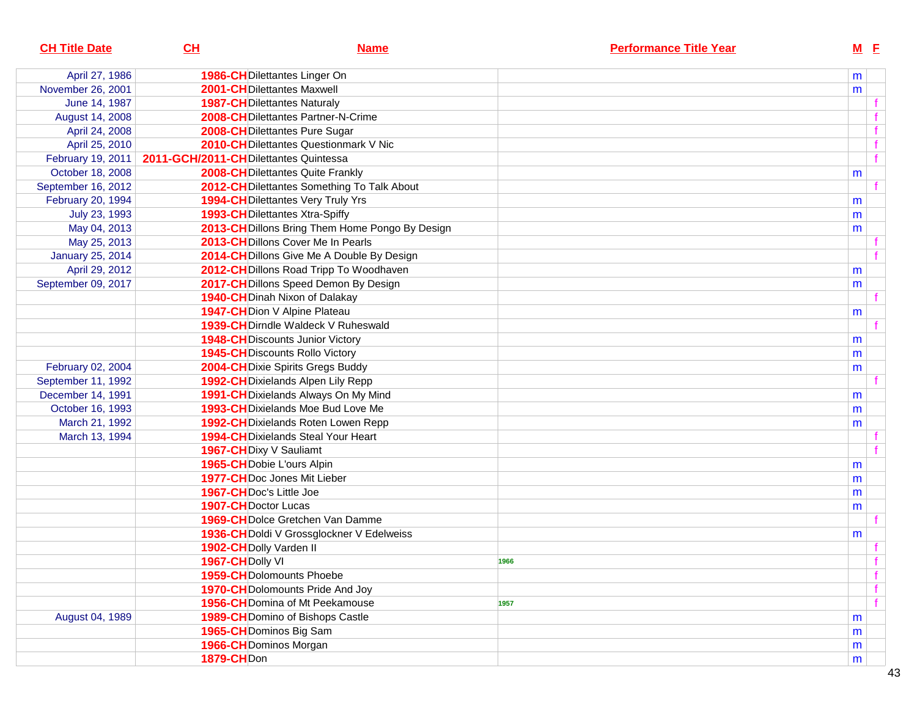| <b>CH Title Date</b>    | CL                                     | <b>Name</b>                                     | <b>Performance Title Year</b> | $M$ E        |
|-------------------------|----------------------------------------|-------------------------------------------------|-------------------------------|--------------|
| April 27, 1986          |                                        | 1986-CH Dilettantes Linger On                   |                               | m            |
| November 26, 2001       |                                        | 2001-CHDilettantes Maxwell                      |                               | m            |
| June 14, 1987           |                                        | <b>1987-CH</b> Dilettantes Naturaly             |                               |              |
| August 14, 2008         |                                        | 2008-CH Dilettantes Partner-N-Crime             |                               |              |
| April 24, 2008          |                                        | 2008-CH Dilettantes Pure Sugar                  |                               | f            |
| April 25, 2010          |                                        | 2010-CH Dilettantes Questionmark V Nic          |                               | f            |
| February 19, 2011       | 2011-GCH/2011-CH Dilettantes Quintessa |                                                 |                               | $\mathbf{f}$ |
| October 18, 2008        |                                        | <b>2008-CHDilettantes Quite Frankly</b>         |                               | m            |
| September 16, 2012      |                                        | 2012-CH Dilettantes Something To Talk About     |                               |              |
| February 20, 1994       |                                        | <b>1994-CH</b> Dilettantes Very Truly Yrs       |                               | m            |
| July 23, 1993           |                                        | <b>1993-CH</b> Dilettantes Xtra-Spiffy          |                               | m            |
| May 04, 2013            |                                        | 2013-CH Dillons Bring Them Home Pongo By Design |                               | m            |
| May 25, 2013            |                                        | 2013-CHDillons Cover Me In Pearls               |                               |              |
| <b>January 25, 2014</b> |                                        | 2014-CH Dillons Give Me A Double By Design      |                               |              |
| April 29, 2012          |                                        | 2012-CH Dillons Road Tripp To Woodhaven         |                               | m            |
| September 09, 2017      |                                        | 2017-CH Dillons Speed Demon By Design           |                               | m            |
|                         |                                        | <b>1940-CH</b> Dinah Nixon of Dalakay           |                               |              |
|                         |                                        | 1947-CH Dion V Alpine Plateau                   |                               | m            |
|                         |                                        | 1939-CH Dirndle Waldeck V Ruheswald             |                               |              |
|                         |                                        | <b>1948-CH</b> Discounts Junior Victory         |                               | m            |
|                         |                                        | <b>1945-CH</b> Discounts Rollo Victory          |                               | m            |
| February 02, 2004       |                                        | 2004-CH Dixie Spirits Gregs Buddy               |                               | m            |
| September 11, 1992      |                                        | 1992-CH Dixielands Alpen Lily Repp              |                               |              |
| December 14, 1991       |                                        | 1991-CH Dixielands Always On My Mind            |                               | m            |
| October 16, 1993        |                                        | 1993-CH Dixielands Moe Bud Love Me              |                               | m            |
| March 21, 1992          |                                        | 1992-CH Dixielands Roten Lowen Repp             |                               | m            |
| March 13, 1994          |                                        | <b>1994-CH</b> Dixielands Steal Your Heart      |                               |              |
|                         |                                        | 1967-CH Dixy V Sauliamt                         |                               |              |
|                         |                                        | 1965-CH Dobie L'ours Alpin                      |                               | m            |
|                         |                                        | <b>1977-CHDoc Jones Mit Lieber</b>              |                               | m            |
|                         | 1967-CH Doc's Little Joe               |                                                 |                               | m            |
|                         | 1907-CH Doctor Lucas                   |                                                 |                               | m            |
|                         |                                        | <b>1969-CH</b> Dolce Gretchen Van Damme         |                               |              |
|                         |                                        | 1936-CH Doldi V Grossglockner V Edelweiss       |                               | m            |
|                         | 1902-CH Dolly Varden II                |                                                 |                               |              |
|                         | 1967-CH Dolly VI                       |                                                 | 1966                          |              |
|                         |                                        | <b>1959-CHDolomounts Phoebe</b>                 |                               | f            |
|                         |                                        | 1970-CH Dolomounts Pride And Joy                |                               | f            |
|                         |                                        | 1956-CH Domina of Mt Peekamouse                 | 1957                          | f            |
| August 04, 1989         |                                        | 1989-CH Domino of Bishops Castle                |                               | m            |
|                         |                                        | 1965-CH Dominos Big Sam                         |                               | m            |
|                         |                                        | 1966-CH Dominos Morgan                          |                               | m            |
|                         | <b>1879-CHDon</b>                      |                                                 |                               | m            |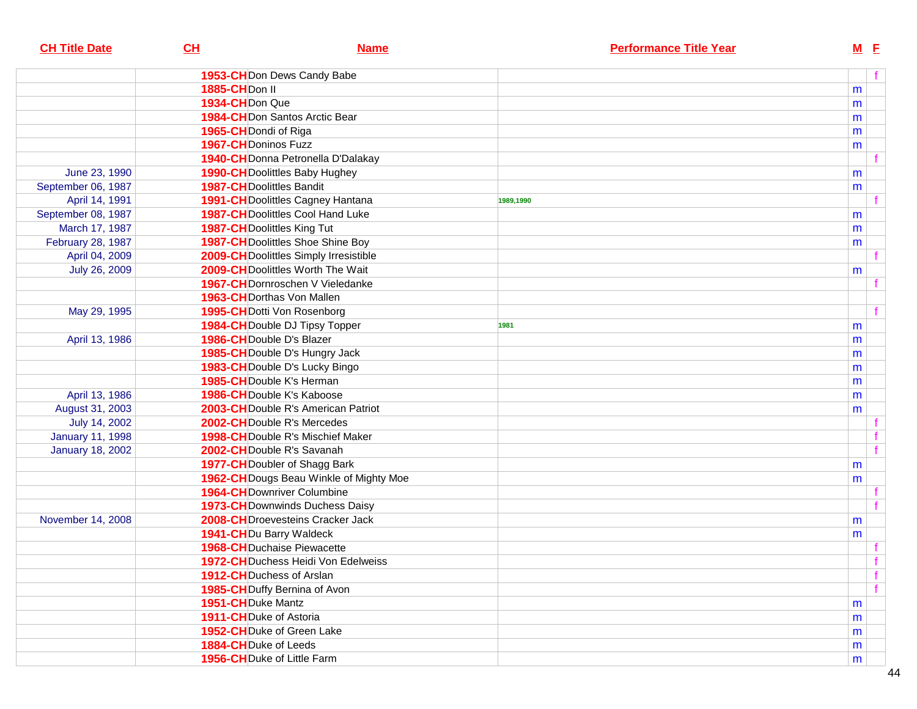| <b>CH Title Date</b>    | CL                                 | <b>Name</b>                                                                   |           | <b>Performance Title Year</b> |   | $M$ E        |
|-------------------------|------------------------------------|-------------------------------------------------------------------------------|-----------|-------------------------------|---|--------------|
|                         |                                    | 1953-CH Don Dews Candy Babe                                                   |           |                               |   | f            |
|                         | 1885-CH <sub>Don</sub> II          |                                                                               |           |                               | m |              |
|                         | 1934-CHDon Que                     |                                                                               |           |                               | m |              |
|                         |                                    | 1984-CH Don Santos Arctic Bear                                                |           |                               | m |              |
|                         | 1965-CH Dondi of Riga              |                                                                               |           |                               | m |              |
|                         | 1967-CH Doninos Fuzz               |                                                                               |           |                               | m |              |
|                         |                                    | 1940-CH Donna Petronella D'Dalakay                                            |           |                               |   |              |
| June 23, 1990           |                                    | <b>1990-CH</b> Doolittles Baby Hughey                                         |           |                               | m |              |
| September 06, 1987      | <b>1987-CH</b> Doolittles Bandit   |                                                                               |           |                               | m |              |
| April 14, 1991          |                                    | 1991-CH Doolittles Cagney Hantana                                             | 1989,1990 |                               |   |              |
| September 08, 1987      |                                    | 1987-CH Doolittles Cool Hand Luke                                             |           |                               | m |              |
| March 17, 1987          | <b>1987-CH</b> Doolittles King Tut |                                                                               |           |                               | m |              |
| February 28, 1987       |                                    | <b>1987-CH</b> Doolittles Shoe Shine Boy                                      |           |                               | m |              |
| April 04, 2009          |                                    | 2009-CH Doolittles Simply Irresistible                                        |           |                               |   |              |
| July 26, 2009           |                                    | 2009-CH Doolittles Worth The Wait                                             |           |                               |   |              |
|                         |                                    | <b>1967-CH</b> Dornroschen V Vieledanke                                       |           |                               | m |              |
|                         | 1963-CH Dorthas Von Mallen         |                                                                               |           |                               |   |              |
| May 29, 1995            |                                    | 1995-CH Dotti Von Rosenborg                                                   |           |                               |   | f            |
|                         |                                    | 1984-CH Double DJ Tipsy Topper                                                | 1981      |                               |   |              |
| April 13, 1986          | 1986-CH Double D's Blazer          |                                                                               |           |                               | m |              |
|                         |                                    | 1985-CH Double D's Hungry Jack                                                |           |                               | m |              |
|                         |                                    | 1983-CH Double D's Lucky Bingo                                                |           |                               | m |              |
|                         | 1985-CH Double K's Herman          |                                                                               |           |                               | m |              |
| April 13, 1986          | <b>1986-CH</b> Double K's Kaboose  |                                                                               |           |                               | m |              |
| August 31, 2003         |                                    | 2003-CH Double R's American Patriot                                           |           |                               | m |              |
| July 14, 2002           |                                    | 2002-CH Double R's Mercedes                                                   |           |                               | m |              |
| <b>January 11, 1998</b> |                                    | <b>1998-CH</b> Double R's Mischief Maker                                      |           |                               |   |              |
|                         | 2002-CH Double R's Savanah         |                                                                               |           |                               |   | f            |
| <b>January 18, 2002</b> |                                    | 1977-CH Doubler of Shagg Bark                                                 |           |                               |   |              |
|                         |                                    |                                                                               |           |                               | m |              |
|                         |                                    | 1962-CH Dougs Beau Winkle of Mighty Moe<br><b>1964-CH</b> Downriver Columbine |           |                               | m |              |
|                         |                                    | <b>1973-CH</b> Downwinds Duchess Daisy                                        |           |                               |   |              |
| November 14, 2008       |                                    | 2008-CHDroevesteins Cracker Jack                                              |           |                               |   |              |
|                         | <b>1941-CH</b> Du Barry Waldeck    |                                                                               |           |                               | m |              |
|                         |                                    | <b>1968-CH</b> Duchaise Piewacette                                            |           |                               | m |              |
|                         |                                    | 1972-CH Duchess Heidi Von Edelweiss                                           |           |                               |   | $\mathbf{f}$ |
|                         | 1912-CH Duchess of Arslan          |                                                                               |           |                               |   | f            |
|                         |                                    | 1985-CH Duffy Bernina of Avon                                                 |           |                               |   | f            |
|                         | 1951-CHDuke Mantz                  |                                                                               |           |                               |   |              |
|                         | 1911-CH Duke of Astoria            |                                                                               |           |                               | m |              |
|                         | 1952-CHDuke of Green Lake          |                                                                               |           |                               | m |              |
|                         | 1884-CH Duke of Leeds              |                                                                               |           |                               | m |              |
|                         | 1956-CH Duke of Little Farm        |                                                                               |           |                               | m |              |
|                         |                                    |                                                                               |           |                               | m |              |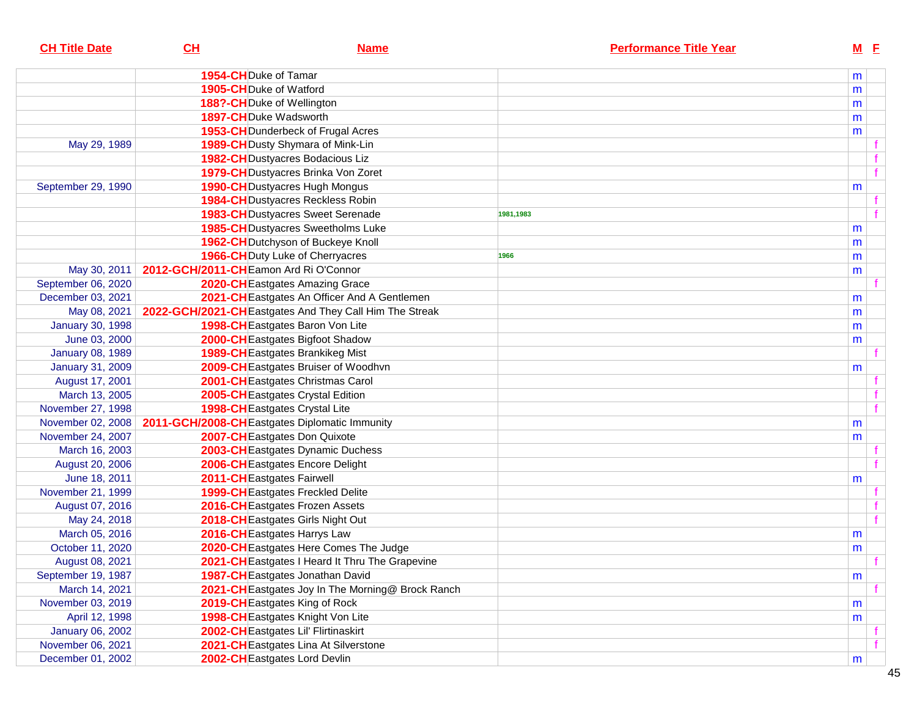| <b>CH Title Date</b>    | CL                                    | <b>Name</b>                                             |           | <b>Performance Title Year</b> | $M$ E |              |
|-------------------------|---------------------------------------|---------------------------------------------------------|-----------|-------------------------------|-------|--------------|
|                         | 1954-CH Duke of Tamar                 |                                                         |           |                               | m     |              |
|                         | 1905-CHDuke of Watford                |                                                         |           |                               | m     |              |
|                         |                                       | 188?-CHDuke of Wellington                               |           |                               | m     |              |
|                         |                                       | 1897-CH Duke Wadsworth                                  |           |                               | m     |              |
|                         |                                       | 1953-CH Dunderbeck of Frugal Acres                      |           |                               | m     |              |
| May 29, 1989            |                                       | 1989-CH Dusty Shymara of Mink-Lin                       |           |                               |       |              |
|                         |                                       | <b>1982-CH</b> Dustyacres Bodacious Liz                 |           |                               |       |              |
|                         |                                       | 1979-CH Dustyacres Brinka Von Zoret                     |           |                               |       | f            |
| September 29, 1990      |                                       | 1990-CH Dustyacres Hugh Mongus                          |           |                               | m     |              |
|                         |                                       | <b>1984-CH</b> Dustyacres Reckless Robin                |           |                               |       |              |
|                         |                                       | <b>1983-CH</b> Dustyacres Sweet Serenade                | 1981,1983 |                               |       |              |
|                         |                                       | <b>1985-CH</b> Dustyacres Sweetholms Luke               |           |                               | m     |              |
|                         |                                       | 1962-CH Dutchyson of Buckeye Knoll                      |           |                               | m     |              |
|                         |                                       | <b>1966-CH</b> Duty Luke of Cherryacres                 | 1966      |                               | m     |              |
| May 30, 2011            | 2012-GCH/2011-CHEamon Ard Ri O'Connor |                                                         |           |                               | m     |              |
| September 06, 2020      |                                       | 2020-CH Eastgates Amazing Grace                         |           |                               |       |              |
| December 03, 2021       |                                       | 2021-CH Eastgates An Officer And A Gentlemen            |           |                               | m     |              |
| May 08, 2021            |                                       | 2022-GCH/2021-CH Eastgates And They Call Him The Streak |           |                               | m     |              |
| <b>January 30, 1998</b> |                                       | 1998-CH Eastgates Baron Von Lite                        |           |                               | m     |              |
| June 03, 2000           |                                       | 2000-CH Eastgates Bigfoot Shadow                        |           |                               | m     |              |
| <b>January 08, 1989</b> |                                       | <b>1989-CH</b> Eastgates Brankikeg Mist                 |           |                               |       |              |
| <b>January 31, 2009</b> |                                       | 2009-CH Eastgates Bruiser of Woodhvn                    |           |                               | m     |              |
| August 17, 2001         |                                       | 2001-CHEastgates Christmas Carol                        |           |                               |       |              |
| March 13, 2005          |                                       | 2005-CH Eastgates Crystal Edition                       |           |                               |       |              |
| November 27, 1998       |                                       | 1998-CH Eastgates Crystal Lite                          |           |                               |       | $\mathbf{f}$ |
| November 02, 2008       |                                       | 2011-GCH/2008-CH Eastgates Diplomatic Immunity          |           |                               | m     |              |
| November 24, 2007       |                                       | 2007-CH Eastgates Don Quixote                           |           |                               | m     |              |
| March 16, 2003          |                                       | 2003-CH Eastgates Dynamic Duchess                       |           |                               |       |              |
| August 20, 2006         |                                       | 2006-CH Eastgates Encore Delight                        |           |                               |       |              |
| June 18, 2011           |                                       | 2011-CH Eastgates Fairwell                              |           |                               | m     |              |
| November 21, 1999       |                                       | 1999-CH Eastgates Freckled Delite                       |           |                               |       |              |
| August 07, 2016         |                                       | 2016-CH Eastgates Frozen Assets                         |           |                               |       |              |
| May 24, 2018            |                                       | 2018-CH Eastgates Girls Night Out                       |           |                               |       | $\mathbf{f}$ |
| March 05, 2016          |                                       | 2016-CH Eastgates Harrys Law                            |           |                               | m     |              |
| October 11, 2020        |                                       | 2020-CH Eastgates Here Comes The Judge                  |           |                               | m     |              |
| August 08, 2021         |                                       | 2021-CH Eastgates I Heard It Thru The Grapevine         |           |                               |       |              |
| September 19, 1987      |                                       | 1987-CH Eastgates Jonathan David                        |           |                               | m     |              |
| March 14, 2021          |                                       | 2021-CH Eastgates Joy In The Morning@ Brock Ranch       |           |                               |       |              |
| November 03, 2019       |                                       | 2019-CH Eastgates King of Rock                          |           |                               | m     |              |
| April 12, 1998          |                                       | 1998-CH Eastgates Knight Von Lite                       |           |                               | m     |              |
| January 06, 2002        |                                       | 2002-CH Eastgates Lil' Flirtinaskirt                    |           |                               |       |              |
| November 06, 2021       |                                       | 2021-CH Eastgates Lina At Silverstone                   |           |                               |       |              |
| December 01, 2002       |                                       | 2002-CH Eastgates Lord Devlin                           |           |                               | m     |              |
|                         |                                       |                                                         |           |                               |       |              |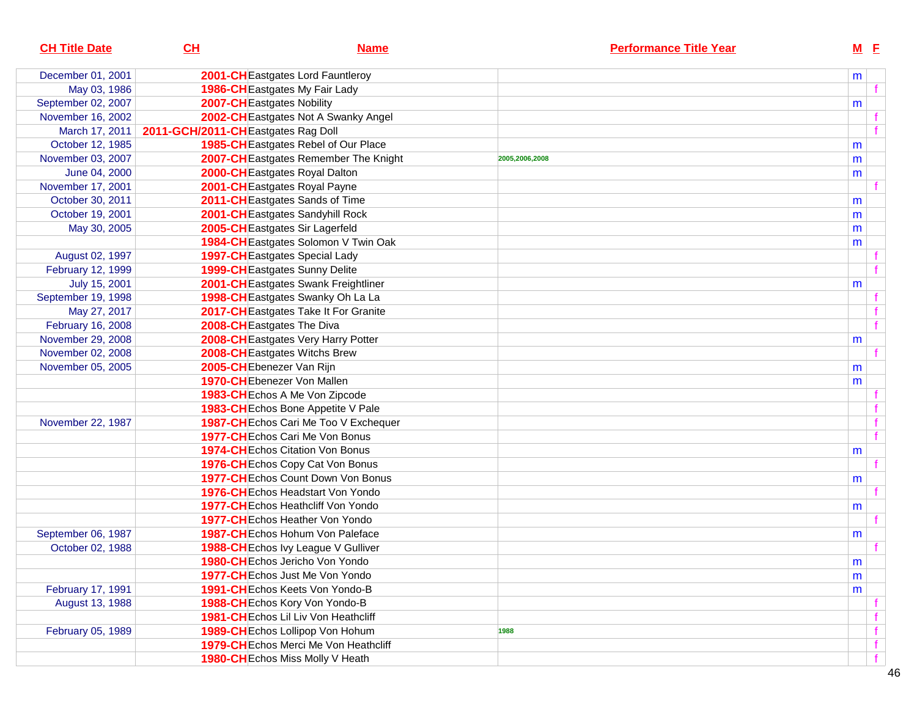| <b>CH Title Date</b> | CL                                 | <b>Name</b>                               |                | <b>Performance Title Year</b> | $M$ E     |   |
|----------------------|------------------------------------|-------------------------------------------|----------------|-------------------------------|-----------|---|
| December 01, 2001    |                                    | 2001-CH Eastgates Lord Fauntleroy         |                |                               | m         |   |
| May 03, 1986         |                                    | 1986-CH Eastgates My Fair Lady            |                |                               |           |   |
| September 02, 2007   |                                    | 2007-CH Eastgates Nobility                |                |                               | m         |   |
| November 16, 2002    |                                    | 2002-CH Eastgates Not A Swanky Angel      |                |                               |           |   |
| March 17, 2011       | 2011-GCH/2011-CHEastgates Rag Doll |                                           |                |                               |           |   |
| October 12, 1985     |                                    | 1985-CH Eastgates Rebel of Our Place      |                |                               | m         |   |
| November 03, 2007    |                                    | 2007-CH Eastgates Remember The Knight     | 2005,2006,2008 |                               | m         |   |
| June 04, 2000        |                                    | 2000-CH Eastgates Royal Dalton            |                |                               | m         |   |
| November 17, 2001    |                                    | 2001-CH Eastgates Royal Payne             |                |                               |           |   |
| October 30, 2011     |                                    | 2011-CH Eastgates Sands of Time           |                |                               | m         |   |
| October 19, 2001     |                                    | 2001-CH Eastgates Sandyhill Rock          |                |                               | m         |   |
| May 30, 2005         |                                    | 2005-CH Eastgates Sir Lagerfeld           |                |                               | m         |   |
|                      |                                    | 1984-CH Eastgates Solomon V Twin Oak      |                |                               | m         |   |
| August 02, 1997      |                                    | 1997-CH Eastgates Special Lady            |                |                               |           |   |
| February 12, 1999    |                                    | 1999-CH Eastgates Sunny Delite            |                |                               |           |   |
| July 15, 2001        |                                    | 2001-CH Eastgates Swank Freightliner      |                |                               | m         |   |
| September 19, 1998   |                                    | 1998-CH Eastgates Swanky Oh La La         |                |                               |           |   |
| May 27, 2017         |                                    | 2017-CH Eastgates Take It For Granite     |                |                               |           |   |
| February 16, 2008    |                                    | 2008-CH Eastgates The Diva                |                |                               |           |   |
| November 29, 2008    |                                    | 2008-CH Eastgates Very Harry Potter       |                |                               | m         |   |
| November 02, 2008    |                                    | 2008-CHEastgates Witchs Brew              |                |                               |           |   |
| November 05, 2005    |                                    | 2005-CHEbenezer Van Rijn                  |                |                               | m         |   |
|                      |                                    | 1970-CHEbenezer Von Mallen                |                |                               | m         |   |
|                      |                                    | 1983-CH Echos A Me Von Zipcode            |                |                               |           |   |
|                      |                                    | 1983-CH Echos Bone Appetite V Pale        |                |                               |           |   |
| November 22, 1987    |                                    | 1987-CH Echos Cari Me Too V Exchequer     |                |                               |           |   |
|                      |                                    | <b>1977-CH</b> Echos Cari Me Von Bonus    |                |                               |           |   |
|                      |                                    | <b>1974-CH</b> Echos Citation Von Bonus   |                |                               | m         |   |
|                      |                                    | 1976-CH Echos Copy Cat Von Bonus          |                |                               |           |   |
|                      |                                    | 1977-CHEchos Count Down Von Bonus         |                |                               | m         |   |
|                      |                                    | <b>1976-CH</b> Echos Headstart Von Yondo  |                |                               |           |   |
|                      |                                    | <b>1977-CH</b> Echos Heathcliff Von Yondo |                |                               | m         |   |
|                      |                                    | <b>1977-CH</b> Echos Heather Von Yondo    |                |                               |           |   |
| September 06, 1987   |                                    | 1987-CHEchos Hohum Von Paleface           |                |                               | m         |   |
| October 02, 1988     |                                    | 1988-CH Echos Ivy League V Gulliver       |                |                               |           |   |
|                      |                                    | 1980-CHEchos Jericho Von Yondo            |                |                               | ${\sf m}$ |   |
|                      |                                    | <b>1977-CH</b> Echos Just Me Von Yondo    |                |                               | m         |   |
| February 17, 1991    |                                    | 1991-CHEchos Keets Von Yondo-B            |                |                               | m         |   |
| August 13, 1988      |                                    | 1988-CH Echos Kory Von Yondo-B            |                |                               |           |   |
|                      |                                    | 1981-CHEchos Lil Liv Von Heathcliff       |                |                               |           |   |
| February 05, 1989    |                                    | 1989-CH Echos Lollipop Von Hohum          | 1988           |                               |           | f |
|                      |                                    | 1979-CHEchos Merci Me Von Heathcliff      |                |                               |           | f |
|                      |                                    | 1980-CH Echos Miss Molly V Heath          |                |                               |           | f |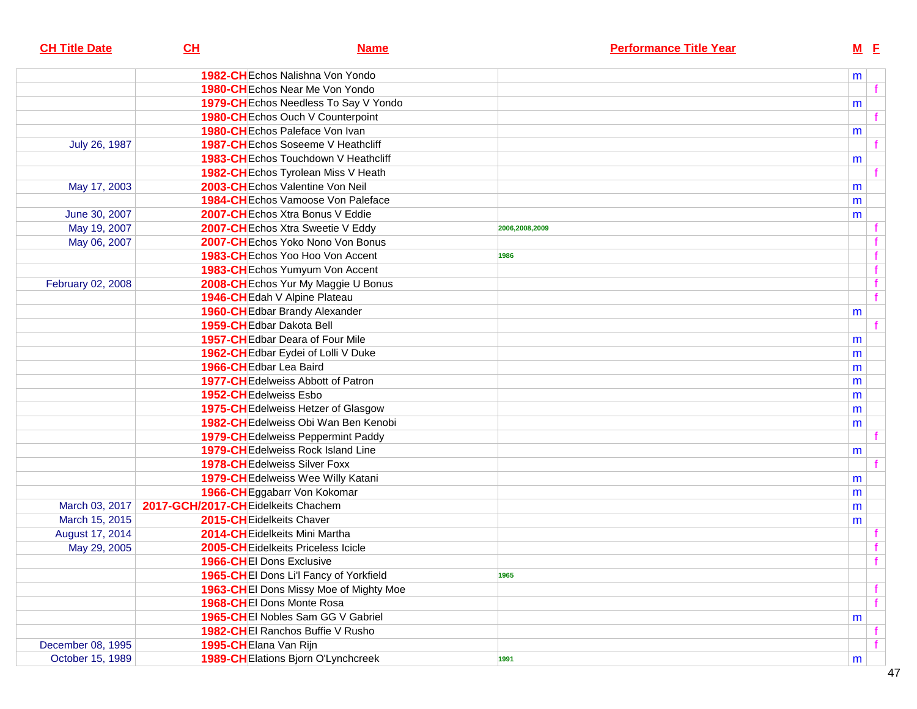| CH | <b>Name</b> |                                                                                                                                                                                                                                                                                                                                                                                                                                                                                                                                                                                                                                                                                                                                                                                                                                                                                                                                                                                                                                                                                                                                                                                                                                                                                                                                                                                                                                                                                                                                                                                                                | <b>Performance Title Year</b> | $M$ E |                                                                                        |
|----|-------------|----------------------------------------------------------------------------------------------------------------------------------------------------------------------------------------------------------------------------------------------------------------------------------------------------------------------------------------------------------------------------------------------------------------------------------------------------------------------------------------------------------------------------------------------------------------------------------------------------------------------------------------------------------------------------------------------------------------------------------------------------------------------------------------------------------------------------------------------------------------------------------------------------------------------------------------------------------------------------------------------------------------------------------------------------------------------------------------------------------------------------------------------------------------------------------------------------------------------------------------------------------------------------------------------------------------------------------------------------------------------------------------------------------------------------------------------------------------------------------------------------------------------------------------------------------------------------------------------------------------|-------------------------------|-------|----------------------------------------------------------------------------------------|
|    |             |                                                                                                                                                                                                                                                                                                                                                                                                                                                                                                                                                                                                                                                                                                                                                                                                                                                                                                                                                                                                                                                                                                                                                                                                                                                                                                                                                                                                                                                                                                                                                                                                                |                               |       |                                                                                        |
|    |             |                                                                                                                                                                                                                                                                                                                                                                                                                                                                                                                                                                                                                                                                                                                                                                                                                                                                                                                                                                                                                                                                                                                                                                                                                                                                                                                                                                                                                                                                                                                                                                                                                |                               |       | f                                                                                      |
|    |             |                                                                                                                                                                                                                                                                                                                                                                                                                                                                                                                                                                                                                                                                                                                                                                                                                                                                                                                                                                                                                                                                                                                                                                                                                                                                                                                                                                                                                                                                                                                                                                                                                |                               |       |                                                                                        |
|    |             |                                                                                                                                                                                                                                                                                                                                                                                                                                                                                                                                                                                                                                                                                                                                                                                                                                                                                                                                                                                                                                                                                                                                                                                                                                                                                                                                                                                                                                                                                                                                                                                                                |                               |       |                                                                                        |
|    |             |                                                                                                                                                                                                                                                                                                                                                                                                                                                                                                                                                                                                                                                                                                                                                                                                                                                                                                                                                                                                                                                                                                                                                                                                                                                                                                                                                                                                                                                                                                                                                                                                                |                               |       |                                                                                        |
|    |             |                                                                                                                                                                                                                                                                                                                                                                                                                                                                                                                                                                                                                                                                                                                                                                                                                                                                                                                                                                                                                                                                                                                                                                                                                                                                                                                                                                                                                                                                                                                                                                                                                |                               |       |                                                                                        |
|    |             |                                                                                                                                                                                                                                                                                                                                                                                                                                                                                                                                                                                                                                                                                                                                                                                                                                                                                                                                                                                                                                                                                                                                                                                                                                                                                                                                                                                                                                                                                                                                                                                                                |                               |       |                                                                                        |
|    |             |                                                                                                                                                                                                                                                                                                                                                                                                                                                                                                                                                                                                                                                                                                                                                                                                                                                                                                                                                                                                                                                                                                                                                                                                                                                                                                                                                                                                                                                                                                                                                                                                                |                               |       |                                                                                        |
|    |             |                                                                                                                                                                                                                                                                                                                                                                                                                                                                                                                                                                                                                                                                                                                                                                                                                                                                                                                                                                                                                                                                                                                                                                                                                                                                                                                                                                                                                                                                                                                                                                                                                |                               | m     |                                                                                        |
|    |             |                                                                                                                                                                                                                                                                                                                                                                                                                                                                                                                                                                                                                                                                                                                                                                                                                                                                                                                                                                                                                                                                                                                                                                                                                                                                                                                                                                                                                                                                                                                                                                                                                |                               | m     |                                                                                        |
|    |             |                                                                                                                                                                                                                                                                                                                                                                                                                                                                                                                                                                                                                                                                                                                                                                                                                                                                                                                                                                                                                                                                                                                                                                                                                                                                                                                                                                                                                                                                                                                                                                                                                |                               |       |                                                                                        |
|    |             | 2006,2008,2009                                                                                                                                                                                                                                                                                                                                                                                                                                                                                                                                                                                                                                                                                                                                                                                                                                                                                                                                                                                                                                                                                                                                                                                                                                                                                                                                                                                                                                                                                                                                                                                                 |                               |       |                                                                                        |
|    |             |                                                                                                                                                                                                                                                                                                                                                                                                                                                                                                                                                                                                                                                                                                                                                                                                                                                                                                                                                                                                                                                                                                                                                                                                                                                                                                                                                                                                                                                                                                                                                                                                                |                               |       |                                                                                        |
|    |             | 1986                                                                                                                                                                                                                                                                                                                                                                                                                                                                                                                                                                                                                                                                                                                                                                                                                                                                                                                                                                                                                                                                                                                                                                                                                                                                                                                                                                                                                                                                                                                                                                                                           |                               |       | f                                                                                      |
|    |             |                                                                                                                                                                                                                                                                                                                                                                                                                                                                                                                                                                                                                                                                                                                                                                                                                                                                                                                                                                                                                                                                                                                                                                                                                                                                                                                                                                                                                                                                                                                                                                                                                |                               |       | f                                                                                      |
|    |             |                                                                                                                                                                                                                                                                                                                                                                                                                                                                                                                                                                                                                                                                                                                                                                                                                                                                                                                                                                                                                                                                                                                                                                                                                                                                                                                                                                                                                                                                                                                                                                                                                |                               |       | f                                                                                      |
|    |             |                                                                                                                                                                                                                                                                                                                                                                                                                                                                                                                                                                                                                                                                                                                                                                                                                                                                                                                                                                                                                                                                                                                                                                                                                                                                                                                                                                                                                                                                                                                                                                                                                |                               |       | f                                                                                      |
|    |             |                                                                                                                                                                                                                                                                                                                                                                                                                                                                                                                                                                                                                                                                                                                                                                                                                                                                                                                                                                                                                                                                                                                                                                                                                                                                                                                                                                                                                                                                                                                                                                                                                |                               |       |                                                                                        |
|    |             |                                                                                                                                                                                                                                                                                                                                                                                                                                                                                                                                                                                                                                                                                                                                                                                                                                                                                                                                                                                                                                                                                                                                                                                                                                                                                                                                                                                                                                                                                                                                                                                                                |                               |       |                                                                                        |
|    |             |                                                                                                                                                                                                                                                                                                                                                                                                                                                                                                                                                                                                                                                                                                                                                                                                                                                                                                                                                                                                                                                                                                                                                                                                                                                                                                                                                                                                                                                                                                                                                                                                                |                               |       |                                                                                        |
|    |             |                                                                                                                                                                                                                                                                                                                                                                                                                                                                                                                                                                                                                                                                                                                                                                                                                                                                                                                                                                                                                                                                                                                                                                                                                                                                                                                                                                                                                                                                                                                                                                                                                |                               |       |                                                                                        |
|    |             |                                                                                                                                                                                                                                                                                                                                                                                                                                                                                                                                                                                                                                                                                                                                                                                                                                                                                                                                                                                                                                                                                                                                                                                                                                                                                                                                                                                                                                                                                                                                                                                                                |                               |       |                                                                                        |
|    |             |                                                                                                                                                                                                                                                                                                                                                                                                                                                                                                                                                                                                                                                                                                                                                                                                                                                                                                                                                                                                                                                                                                                                                                                                                                                                                                                                                                                                                                                                                                                                                                                                                |                               |       |                                                                                        |
|    |             |                                                                                                                                                                                                                                                                                                                                                                                                                                                                                                                                                                                                                                                                                                                                                                                                                                                                                                                                                                                                                                                                                                                                                                                                                                                                                                                                                                                                                                                                                                                                                                                                                |                               |       |                                                                                        |
|    |             |                                                                                                                                                                                                                                                                                                                                                                                                                                                                                                                                                                                                                                                                                                                                                                                                                                                                                                                                                                                                                                                                                                                                                                                                                                                                                                                                                                                                                                                                                                                                                                                                                |                               |       |                                                                                        |
|    |             |                                                                                                                                                                                                                                                                                                                                                                                                                                                                                                                                                                                                                                                                                                                                                                                                                                                                                                                                                                                                                                                                                                                                                                                                                                                                                                                                                                                                                                                                                                                                                                                                                |                               |       |                                                                                        |
|    |             |                                                                                                                                                                                                                                                                                                                                                                                                                                                                                                                                                                                                                                                                                                                                                                                                                                                                                                                                                                                                                                                                                                                                                                                                                                                                                                                                                                                                                                                                                                                                                                                                                |                               |       |                                                                                        |
|    |             |                                                                                                                                                                                                                                                                                                                                                                                                                                                                                                                                                                                                                                                                                                                                                                                                                                                                                                                                                                                                                                                                                                                                                                                                                                                                                                                                                                                                                                                                                                                                                                                                                |                               |       |                                                                                        |
|    |             |                                                                                                                                                                                                                                                                                                                                                                                                                                                                                                                                                                                                                                                                                                                                                                                                                                                                                                                                                                                                                                                                                                                                                                                                                                                                                                                                                                                                                                                                                                                                                                                                                |                               |       |                                                                                        |
|    |             |                                                                                                                                                                                                                                                                                                                                                                                                                                                                                                                                                                                                                                                                                                                                                                                                                                                                                                                                                                                                                                                                                                                                                                                                                                                                                                                                                                                                                                                                                                                                                                                                                |                               |       |                                                                                        |
|    |             |                                                                                                                                                                                                                                                                                                                                                                                                                                                                                                                                                                                                                                                                                                                                                                                                                                                                                                                                                                                                                                                                                                                                                                                                                                                                                                                                                                                                                                                                                                                                                                                                                |                               |       |                                                                                        |
|    |             |                                                                                                                                                                                                                                                                                                                                                                                                                                                                                                                                                                                                                                                                                                                                                                                                                                                                                                                                                                                                                                                                                                                                                                                                                                                                                                                                                                                                                                                                                                                                                                                                                |                               |       |                                                                                        |
|    |             |                                                                                                                                                                                                                                                                                                                                                                                                                                                                                                                                                                                                                                                                                                                                                                                                                                                                                                                                                                                                                                                                                                                                                                                                                                                                                                                                                                                                                                                                                                                                                                                                                |                               |       |                                                                                        |
|    |             |                                                                                                                                                                                                                                                                                                                                                                                                                                                                                                                                                                                                                                                                                                                                                                                                                                                                                                                                                                                                                                                                                                                                                                                                                                                                                                                                                                                                                                                                                                                                                                                                                |                               |       |                                                                                        |
|    |             |                                                                                                                                                                                                                                                                                                                                                                                                                                                                                                                                                                                                                                                                                                                                                                                                                                                                                                                                                                                                                                                                                                                                                                                                                                                                                                                                                                                                                                                                                                                                                                                                                |                               |       | f                                                                                      |
|    |             |                                                                                                                                                                                                                                                                                                                                                                                                                                                                                                                                                                                                                                                                                                                                                                                                                                                                                                                                                                                                                                                                                                                                                                                                                                                                                                                                                                                                                                                                                                                                                                                                                |                               |       | $\mathbf{f}$                                                                           |
|    |             | 1965                                                                                                                                                                                                                                                                                                                                                                                                                                                                                                                                                                                                                                                                                                                                                                                                                                                                                                                                                                                                                                                                                                                                                                                                                                                                                                                                                                                                                                                                                                                                                                                                           |                               |       |                                                                                        |
|    |             |                                                                                                                                                                                                                                                                                                                                                                                                                                                                                                                                                                                                                                                                                                                                                                                                                                                                                                                                                                                                                                                                                                                                                                                                                                                                                                                                                                                                                                                                                                                                                                                                                |                               |       | f                                                                                      |
|    |             |                                                                                                                                                                                                                                                                                                                                                                                                                                                                                                                                                                                                                                                                                                                                                                                                                                                                                                                                                                                                                                                                                                                                                                                                                                                                                                                                                                                                                                                                                                                                                                                                                |                               |       | f                                                                                      |
|    |             |                                                                                                                                                                                                                                                                                                                                                                                                                                                                                                                                                                                                                                                                                                                                                                                                                                                                                                                                                                                                                                                                                                                                                                                                                                                                                                                                                                                                                                                                                                                                                                                                                |                               | m     |                                                                                        |
|    |             |                                                                                                                                                                                                                                                                                                                                                                                                                                                                                                                                                                                                                                                                                                                                                                                                                                                                                                                                                                                                                                                                                                                                                                                                                                                                                                                                                                                                                                                                                                                                                                                                                |                               |       |                                                                                        |
|    |             |                                                                                                                                                                                                                                                                                                                                                                                                                                                                                                                                                                                                                                                                                                                                                                                                                                                                                                                                                                                                                                                                                                                                                                                                                                                                                                                                                                                                                                                                                                                                                                                                                |                               |       |                                                                                        |
|    |             | 1991                                                                                                                                                                                                                                                                                                                                                                                                                                                                                                                                                                                                                                                                                                                                                                                                                                                                                                                                                                                                                                                                                                                                                                                                                                                                                                                                                                                                                                                                                                                                                                                                           |                               | m     |                                                                                        |
|    |             | <b>1982-CH</b> Echos Nalishna Von Yondo<br><b>1980-CH</b> Echos Near Me Von Yondo<br>1979-CH Echos Needless To Say V Yondo<br>1980-CHEchos Ouch V Counterpoint<br>1980-CHEchos Paleface Von Ivan<br><b>1987-CH</b> Echos Soseeme V Heathcliff<br>1983-CH Echos Touchdown V Heathcliff<br>1982-CH Echos Tyrolean Miss V Heath<br>2003-CHEchos Valentine Von Neil<br>1984-CHEchos Vamoose Von Paleface<br>2007-CH Echos Xtra Bonus V Eddie<br>2007-CHEchos Xtra Sweetie V Eddy<br>2007-CHEchos Yoko Nono Von Bonus<br>1983-CHEchos Yoo Hoo Von Accent<br>1983-CHEchos Yumyum Von Accent<br>2008-CH Echos Yur My Maggie U Bonus<br>1946-CH Edah V Alpine Plateau<br>1960-CH Edbar Brandy Alexander<br>1959-CHEdbar Dakota Bell<br>1957-CH Edbar Deara of Four Mile<br>1962-CH Edbar Eydei of Lolli V Duke<br>1966-CH Edbar Lea Baird<br><b>1977-CHEdelweiss Abbott of Patron</b><br>1952-CHEdelweiss Esbo<br>1975-CH Edelweiss Hetzer of Glasgow<br>1982-CH Edelweiss Obi Wan Ben Kenobi<br>1979-CH Edelweiss Peppermint Paddy<br>1979-CHEdelweiss Rock Island Line<br><b>1978-CH</b> Edelweiss Silver Foxx<br>1979-CHEdelweiss Wee Willy Katani<br>1966-CH Eggabarr Von Kokomar<br>2017-GCH/2017-CH Eidelkeits Chachem<br>2015-CHEidelkeits Chaver<br>2014-CH Eidelkeits Mini Martha<br>2005-CHEidelkeits Priceless Icicle<br>1966-CHEI Dons Exclusive<br>1965-CHEI Dons Li'l Fancy of Yorkfield<br>1963-CHEI Dons Missy Moe of Mighty Moe<br>1968-CHEI Dons Monte Rosa<br>1965-CHEI Nobles Sam GG V Gabriel<br>1982-CHEI Ranchos Buffie V Rusho<br>1995-CHElana Van Rijn<br>1989-CH Elations Bjorn O'Lynchcreek |                               |       | m<br>m<br>m<br>m<br>m<br>m<br>m<br>m<br>m<br>m<br>m<br>m<br>m<br>m<br>m<br>m<br>m<br>m |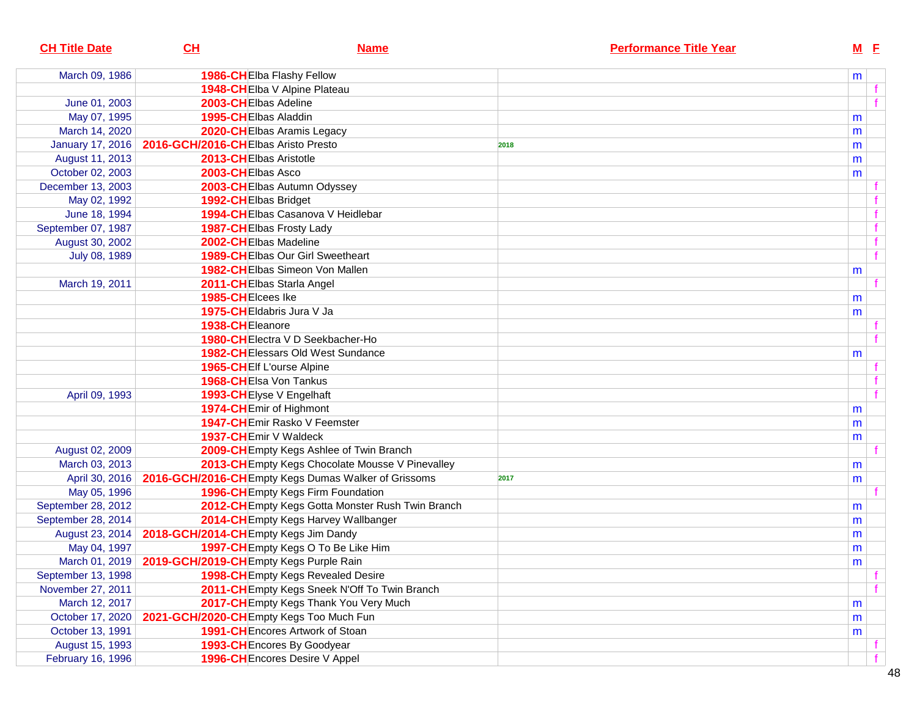| <b>CH Title Date</b> | CL                                                      | <b>Name</b>                                                          | <b>Performance Title Year</b> |           | $M$ E |   |
|----------------------|---------------------------------------------------------|----------------------------------------------------------------------|-------------------------------|-----------|-------|---|
| March 09, 1986       |                                                         | 1986-CH Elba Flashy Fellow                                           |                               | m         |       |   |
|                      |                                                         | 1948-CHElba V Alpine Plateau                                         |                               |           |       |   |
| June 01, 2003        | 2003-CHEIbas Adeline                                    |                                                                      |                               |           |       |   |
| May 07, 1995         | 1995-CHEIbas Aladdin                                    |                                                                      |                               | m         |       |   |
| March 14, 2020       |                                                         | 2020-CHEIbas Aramis Legacy                                           |                               | m         |       |   |
|                      | January 17, 2016   2016-GCH/2016-CHEIbas Aristo Presto  |                                                                      | 2018                          | m         |       |   |
| August 11, 2013      | 2013-CHEIbas Aristotle                                  |                                                                      |                               | m         |       |   |
| October 02, 2003     | 2003-CHEIbas Asco                                       |                                                                      |                               | m         |       |   |
| December 13, 2003    |                                                         | 2003-CHEIbas Autumn Odyssey                                          |                               |           |       |   |
| May 02, 1992         | 1992-CHEIbas Bridget                                    |                                                                      |                               |           |       |   |
| June 18, 1994        |                                                         | 1994-CHEIbas Casanova V Heidlebar                                    |                               |           |       |   |
| September 07, 1987   |                                                         | 1987-CHEIbas Frosty Lady                                             |                               |           |       |   |
| August 30, 2002      | 2002-CHEIbas Madeline                                   |                                                                      |                               |           |       |   |
| July 08, 1989        |                                                         | <b>1989-CHEIbas Our Girl Sweetheart</b>                              |                               |           |       | f |
|                      |                                                         | 1982-CHEIbas Simeon Von Mallen                                       |                               | m         |       |   |
| March 19, 2011       |                                                         | 2011-CHEIbas Starla Angel                                            |                               |           |       |   |
|                      | 1985-CHEIcees Ike                                       |                                                                      |                               | m         |       |   |
|                      |                                                         | 1975-CHEIdabris Jura V Ja                                            |                               | m         |       |   |
|                      | 1938-CHEleanore                                         |                                                                      |                               |           |       |   |
|                      |                                                         | 1980-CHElectra V D Seekbacher-Ho                                     |                               |           |       |   |
|                      |                                                         | 1982-CHEIessars Old West Sundance                                    |                               | m         |       |   |
|                      | 1965-CHEIf L'ourse Alpine                               |                                                                      |                               |           |       |   |
|                      | 1968-CHEIsa Von Tankus                                  |                                                                      |                               |           |       |   |
| April 09, 1993       | 1993-CHEIyse V Engelhaft                                |                                                                      |                               |           |       |   |
|                      | 1974-CHEmir of Highmont                                 |                                                                      |                               | m         |       |   |
|                      |                                                         | 1947-CHEmir Rasko V Feemster                                         |                               | m         |       |   |
|                      | 1937-CHEmir V Waldeck                                   |                                                                      |                               | m         |       |   |
| August 02, 2009      |                                                         | 2009-CHEmpty Kegs Ashlee of Twin Branch                              |                               |           |       |   |
| March 03, 2013       |                                                         | 2013-CH Empty Kegs Chocolate Mousse V Pinevalley                     |                               | m         |       |   |
|                      |                                                         | April 30, 2016   2016-GCH/2016-CHEmpty Kegs Dumas Walker of Grissoms | 2017                          | m         |       |   |
| May 05, 1996         |                                                         | 1996-CHEmpty Kegs Firm Foundation                                    |                               |           |       |   |
| September 28, 2012   |                                                         | 2012-CH Empty Kegs Gotta Monster Rush Twin Branch                    |                               | m         |       |   |
| September 28, 2014   |                                                         | 2014-CH Empty Kegs Harvey Wallbanger                                 |                               | m         |       |   |
|                      | August 23, 2014   2018-GCH/2014-CHEmpty Kegs Jim Dandy  |                                                                      |                               | m         |       |   |
| May 04, 1997         |                                                         | 1997-CHEmpty Kegs O To Be Like Him                                   |                               | m         |       |   |
|                      | March 01, 2019   2019-GCH/2019-CHEmpty Kegs Purple Rain |                                                                      |                               | ${\sf m}$ |       |   |
| September 13, 1998   |                                                         | <b>1998-CHEmpty Kegs Revealed Desire</b>                             |                               |           |       | f |
| November 27, 2011    |                                                         | 2011-CHEmpty Kegs Sneek N'Off To Twin Branch                         |                               |           |       | f |
| March 12, 2017       |                                                         | 2017-CHEmpty Kegs Thank You Very Much                                |                               | m         |       |   |
| October 17, 2020     | 2021-GCH/2020-CHEmpty Kegs Too Much Fun                 |                                                                      |                               | m         |       |   |
| October 13, 1991     |                                                         | 1991-CH Encores Artwork of Stoan                                     |                               | m         |       |   |
| August 15, 1993      |                                                         | 1993-CH Encores By Goodyear                                          |                               |           |       |   |
| February 16, 1996    |                                                         | 1996-CH Encores Desire V Appel                                       |                               |           |       |   |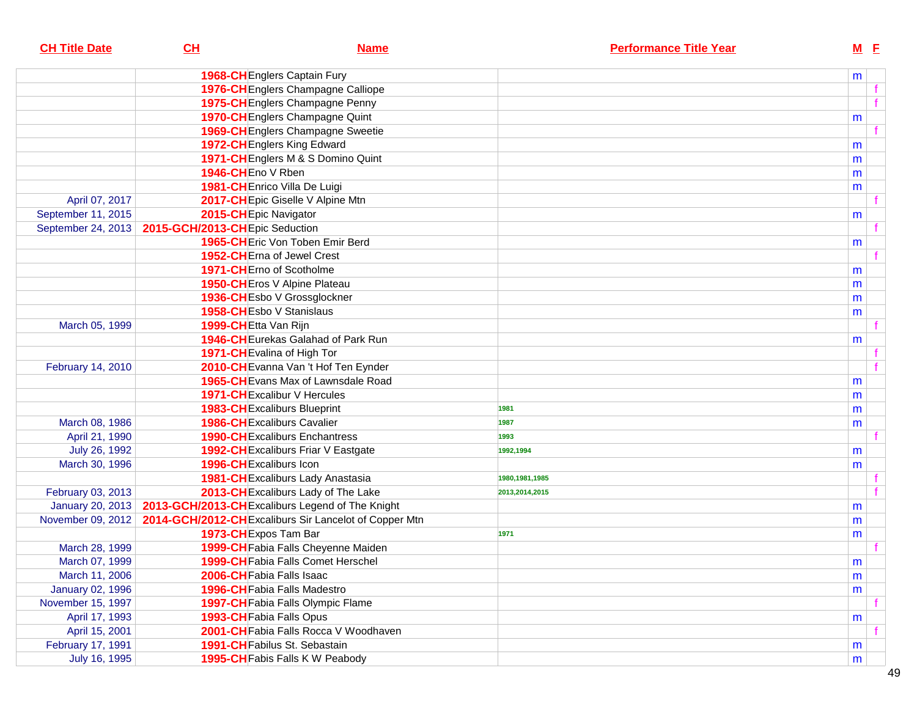| <b>CH Title Date</b>    | CL                             | <b>Name</b>                                           | <b>Performance Title Year</b> |   | $M$ E |  |
|-------------------------|--------------------------------|-------------------------------------------------------|-------------------------------|---|-------|--|
|                         |                                | 1968-CH Englers Captain Fury                          |                               | m |       |  |
|                         |                                | 1976-CH Englers Champagne Calliope                    |                               |   |       |  |
|                         |                                | 1975-CH Englers Champagne Penny                       |                               |   |       |  |
|                         |                                | 1970-CH Englers Champagne Quint                       |                               | m |       |  |
|                         |                                | 1969-CH Englers Champagne Sweetie                     |                               |   |       |  |
|                         |                                | 1972-CH Englers King Edward                           |                               | m |       |  |
|                         |                                | 1971-CH Englers M & S Domino Quint                    |                               | m |       |  |
|                         | 1946-CHEno V Rben              |                                                       |                               | m |       |  |
|                         |                                | 1981-CH Enrico Villa De Luigi                         |                               | m |       |  |
| April 07, 2017          |                                | 2017-CH Epic Giselle V Alpine Mtn                     |                               |   |       |  |
| September 11, 2015      |                                | 2015-CHEpic Navigator                                 |                               | m |       |  |
| September 24, 2013      | 2015-GCH/2013-CHEpic Seduction |                                                       |                               |   |       |  |
|                         |                                | 1965-CH Eric Von Toben Emir Berd                      |                               | m |       |  |
|                         |                                | 1952-CHErna of Jewel Crest                            |                               |   |       |  |
|                         |                                | 1971-CHErno of Scotholme                              |                               | m |       |  |
|                         |                                | 1950-CH Eros V Alpine Plateau                         |                               | m |       |  |
|                         |                                | 1936-CHEsbo V Grossglockner                           |                               | m |       |  |
|                         |                                | 1958-CHEsbo V Stanislaus                              |                               | m |       |  |
| March 05, 1999          |                                | 1999-CHEtta Van Rijn                                  |                               |   |       |  |
|                         |                                | 1946-CH Eurekas Galahad of Park Run                   |                               | m |       |  |
|                         |                                | 1971-CHEvalina of High Tor                            |                               |   |       |  |
| February 14, 2010       |                                | 2010-CH Evanna Van 't Hof Ten Eynder                  |                               |   |       |  |
|                         |                                | 1965-CH Evans Max of Lawnsdale Road                   |                               | m |       |  |
|                         |                                | 1971-CH Excalibur V Hercules                          |                               | m |       |  |
|                         |                                | 1983-CH Excaliburs Blueprint                          | 1981                          | m |       |  |
| March 08, 1986          |                                | <b>1986-CHExcaliburs Cavalier</b>                     | 1987                          | m |       |  |
| April 21, 1990          |                                | <b>1990-CHExcaliburs Enchantress</b>                  | 1993                          |   |       |  |
| July 26, 1992           |                                | 1992-CH Excaliburs Friar V Eastgate                   | 1992,1994                     | m |       |  |
| March 30, 1996          |                                | 1996-CHExcaliburs Icon                                |                               | m |       |  |
|                         |                                | 1981-CHExcaliburs Lady Anastasia                      | 1980, 1981, 1985              |   |       |  |
| February 03, 2013       |                                | 2013-CHExcaliburs Lady of The Lake                    | 2013,2014,2015                |   |       |  |
| January 20, 2013        |                                | 2013-GCH/2013-CH Excaliburs Legend of The Knight      |                               | m |       |  |
| November 09, 2012       |                                | 2014-GCH/2012-CHExcaliburs Sir Lancelot of Copper Mtn |                               | m |       |  |
|                         |                                | 1973-CH Expos Tam Bar                                 | 1971                          | m |       |  |
| March 28, 1999          |                                | 1999-CH Fabia Falls Cheyenne Maiden                   |                               |   |       |  |
| March 07, 1999          |                                | 1999-CH Fabia Falls Comet Herschel                    |                               | m |       |  |
| March 11, 2006          |                                | 2006-CH Fabia Falls Isaac                             |                               | m |       |  |
| <b>January 02, 1996</b> |                                | <b>1996-CH</b> Fabia Falls Madestro                   |                               | m |       |  |
| November 15, 1997       |                                | 1997-CH Fabia Falls Olympic Flame                     |                               |   |       |  |
| April 17, 1993          |                                | 1993-CH Fabia Falls Opus                              |                               | m |       |  |
| April 15, 2001          |                                | 2001-CH Fabia Falls Rocca V Woodhaven                 |                               |   |       |  |
| February 17, 1991       |                                | <b>1991-CH</b> Fabilus St. Sebastain                  |                               | m |       |  |
| July 16, 1995           |                                | 1995-CH Fabis Falls K W Peabody                       |                               | m |       |  |
|                         |                                |                                                       |                               |   |       |  |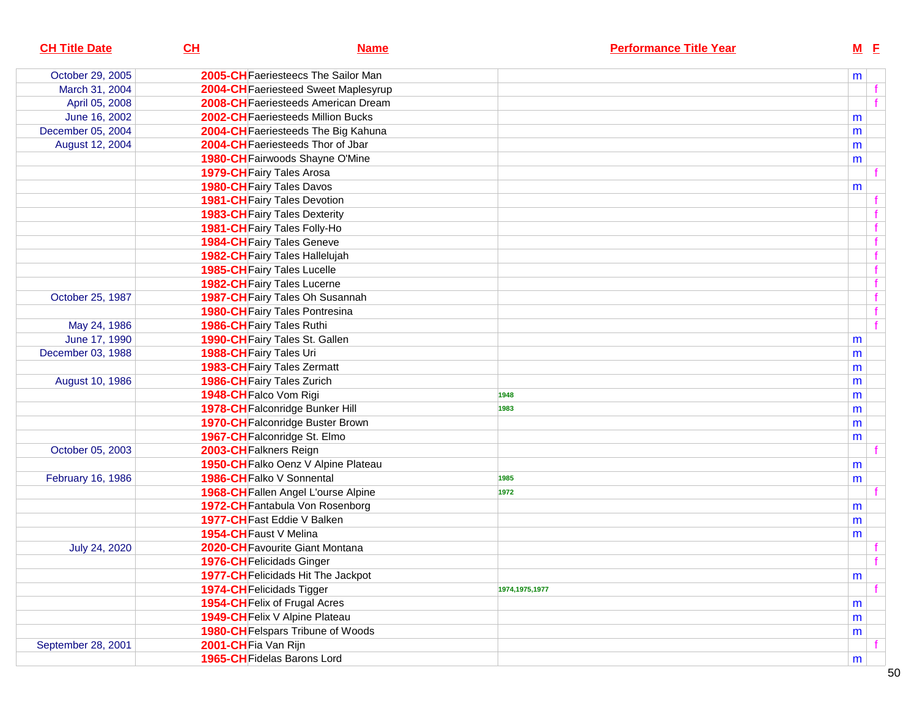| <b>CH Title Date</b> | CH<br><b>Name</b>                     | <b>Performance Title Year</b> | M E |   |
|----------------------|---------------------------------------|-------------------------------|-----|---|
| October 29, 2005     | 2005-CH Faeriesteecs The Sailor Man   |                               | m   |   |
| March 31, 2004       | 2004-CH Faeriesteed Sweet Maplesyrup  |                               |     |   |
| April 05, 2008       | 2008-CH Faeriesteeds American Dream   |                               |     |   |
| June 16, 2002        | 2002-CH Faeriesteeds Million Bucks    |                               | m   |   |
| December 05, 2004    | 2004-CH Faeriesteeds The Big Kahuna   |                               | m   |   |
| August 12, 2004      | 2004-CH Faeriesteeds Thor of Jbar     |                               | m   |   |
|                      | 1980-CH Fairwoods Shayne O'Mine       |                               | m   |   |
|                      | 1979-CH Fairy Tales Arosa             |                               |     |   |
|                      | <b>1980-CH</b> Fairy Tales Davos      |                               | m   |   |
|                      | 1981-CH Fairy Tales Devotion          |                               |     |   |
|                      | <b>1983-CH</b> Fairy Tales Dexterity  |                               |     |   |
|                      | 1981-CH Fairy Tales Folly-Ho          |                               |     |   |
|                      | <b>1984-CH</b> Fairy Tales Geneve     |                               |     |   |
|                      | 1982-CH Fairy Tales Hallelujah        |                               |     |   |
|                      | <b>1985-CH</b> Fairy Tales Lucelle    |                               |     |   |
|                      | <b>1982-CH</b> Fairy Tales Lucerne    |                               |     |   |
| October 25, 1987     | 1987-CH Fairy Tales Oh Susannah       |                               |     |   |
|                      | <b>1980-CH</b> Fairy Tales Pontresina |                               |     |   |
| May 24, 1986         | <b>1986-CH</b> Fairy Tales Ruthi      |                               |     |   |
| June 17, 1990        | 1990-CH Fairy Tales St. Gallen        |                               | m   |   |
| December 03, 1988    | 1988-CH Fairy Tales Uri               |                               | m   |   |
|                      | 1983-CH Fairy Tales Zermatt           |                               | m   |   |
| August 10, 1986      | 1986-CH Fairy Tales Zurich            |                               | m   |   |
|                      | 1948-CH Falco Vom Rigi                | 1948                          | m   |   |
|                      | 1978-CH Falconridge Bunker Hill       | 1983                          | m   |   |
|                      | 1970-CH Falconridge Buster Brown      |                               | m   |   |
|                      | 1967-CH Falconridge St. Elmo          |                               | m   |   |
| October 05, 2003     | 2003-CH Falkners Reign                |                               |     |   |
|                      | 1950-CH Falko Oenz V Alpine Plateau   |                               | m   |   |
| February 16, 1986    | 1986-CH Falko V Sonnental             | 1985                          | m   |   |
|                      | 1968-CH Fallen Angel L'ourse Alpine   | 1972                          |     |   |
|                      | 1972-CH Fantabula Von Rosenborg       |                               | m   |   |
|                      | 1977-CH Fast Eddie V Balken           |                               | m   |   |
|                      | 1954-CH Faust V Melina                |                               | m   |   |
| July 24, 2020        | 2020-CH Favourite Giant Montana       |                               |     |   |
|                      | 1976-CH Felicidads Ginger             |                               |     | f |
|                      | 1977-CH Felicidads Hit The Jackpot    |                               | m   |   |
|                      | 1974-CH Felicidads Tigger             | 1974, 1975, 1977              |     |   |
|                      | 1954-CH Felix of Frugal Acres         |                               | m   |   |
|                      | 1949-CH Felix V Alpine Plateau        |                               | m   |   |
|                      | 1980-CH Felspars Tribune of Woods     |                               | m   |   |
| September 28, 2001   | 2001-CH Fia Van Rijn                  |                               |     |   |
|                      | 1965-CH Fidelas Barons Lord           |                               | m   |   |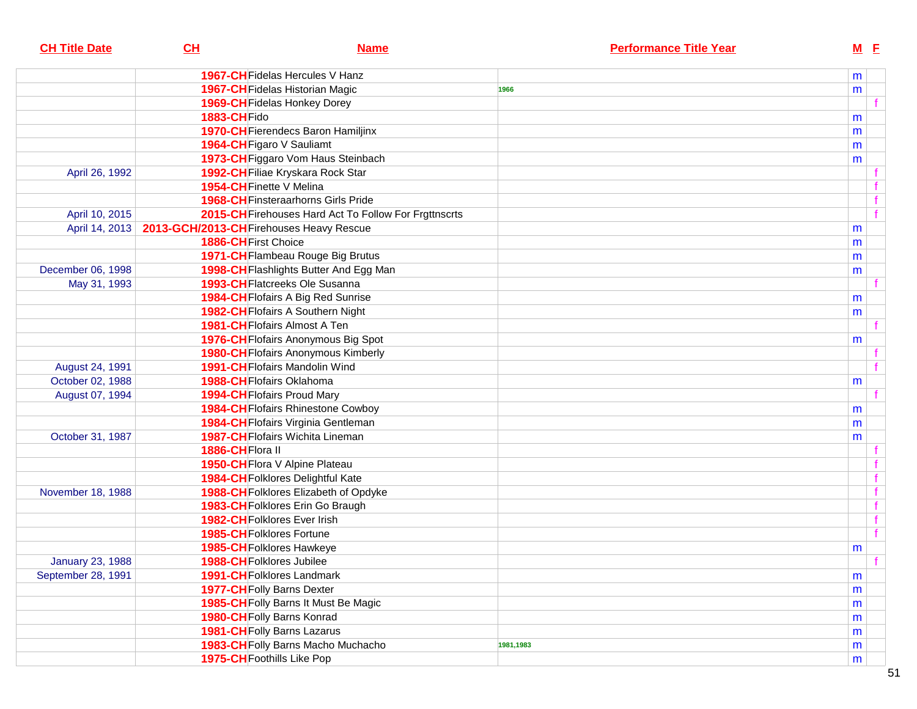| <b>CH Title Date</b>    | CL                                       | <b>Name</b>                                           | <b>Performance Title Year</b> | $M$ E        |  |
|-------------------------|------------------------------------------|-------------------------------------------------------|-------------------------------|--------------|--|
|                         |                                          | <b>1967-CH</b> Fidelas Hercules V Hanz                |                               | m            |  |
|                         |                                          | <b>1967-CH</b> Fidelas Historian Magic                | 1966                          | m            |  |
|                         |                                          | 1969-CH Fidelas Honkey Dorey                          |                               |              |  |
|                         | 1883-CHFido                              |                                                       |                               | m            |  |
|                         |                                          | 1970-CH Fierendecs Baron Hamiljinx                    |                               | m            |  |
|                         |                                          | 1964-CH Figaro V Sauliamt                             |                               | m            |  |
|                         |                                          | 1973-CH Figgaro Vom Haus Steinbach                    |                               | m            |  |
| April 26, 1992          |                                          | 1992-CH Filiae Kryskara Rock Star                     |                               |              |  |
|                         |                                          | 1954-CH Finette V Melina                              |                               |              |  |
|                         |                                          | <b>1968-CH</b> Finsteraarhorns Girls Pride            |                               | $\mathbf{f}$ |  |
| April 10, 2015          |                                          | 2015-CH Firehouses Hard Act To Follow For Frgttnscrts |                               | f            |  |
| April 14, 2013          | 2013-GCH/2013-CH Firehouses Heavy Rescue |                                                       |                               | m            |  |
|                         | 1886-CH First Choice                     |                                                       |                               | m            |  |
|                         |                                          | 1971-CH Flambeau Rouge Big Brutus                     |                               | m            |  |
| December 06, 1998       |                                          | 1998-CH Flashlights Butter And Egg Man                |                               | m            |  |
| May 31, 1993            |                                          | 1993-CH Flatcreeks Ole Susanna                        |                               |              |  |
|                         |                                          | 1984-CH Flofairs A Big Red Sunrise                    |                               | m            |  |
|                         |                                          | <b>1982-CH</b> Flofairs A Southern Night              |                               | m            |  |
|                         |                                          | <b>1981-CH</b> Flofairs Almost A Ten                  |                               |              |  |
|                         |                                          | 1976-CH Flofairs Anonymous Big Spot                   |                               | m            |  |
|                         |                                          | <b>1980-CH</b> Flofairs Anonymous Kimberly            |                               |              |  |
| August 24, 1991         |                                          | 1991-CH Flofairs Mandolin Wind                        |                               |              |  |
| October 02, 1988        |                                          | 1988-CH Flofairs Oklahoma                             |                               | m            |  |
| August 07, 1994         |                                          | 1994-CH Flofairs Proud Mary                           |                               |              |  |
|                         |                                          | <b>1984-CH</b> Flofairs Rhinestone Cowboy             |                               | m            |  |
|                         |                                          | 1984-CH Flofairs Virginia Gentleman                   |                               | m            |  |
| October 31, 1987        |                                          | 1987-CH Flofairs Wichita Lineman                      |                               | m            |  |
|                         | 1886-CHFlora II                          |                                                       |                               |              |  |
|                         |                                          | 1950-CH Flora V Alpine Plateau                        |                               |              |  |
|                         |                                          | 1984-CH Folklores Delightful Kate                     |                               |              |  |
| November 18, 1988       |                                          | 1988-CH Folklores Elizabeth of Opdyke                 |                               |              |  |
|                         |                                          | 1983-CH Folklores Erin Go Braugh                      |                               | $\mathbf{f}$ |  |
|                         |                                          | 1982-CHFolklores Ever Irish                           |                               | f            |  |
|                         |                                          | 1985-CH Folklores Fortune                             |                               | f            |  |
|                         |                                          | 1985-CH Folklores Hawkeye                             |                               | m            |  |
| <b>January 23, 1988</b> |                                          | 1988-CH Folklores Jubilee                             |                               | f            |  |
| September 28, 1991      |                                          | 1991-CH Folklores Landmark                            |                               | m            |  |
|                         |                                          | 1977-CH Folly Barns Dexter                            |                               | m            |  |
|                         |                                          | 1985-CH Folly Barns It Must Be Magic                  |                               | m            |  |
|                         |                                          | 1980-CH Folly Barns Konrad                            |                               | m            |  |
|                         |                                          | 1981-CH Folly Barns Lazarus                           |                               | m            |  |
|                         |                                          | 1983-CH Folly Barns Macho Muchacho                    | 1981,1983                     | m            |  |
|                         |                                          | <b>1975-CH</b> Foothills Like Pop                     |                               | m            |  |
|                         |                                          |                                                       |                               |              |  |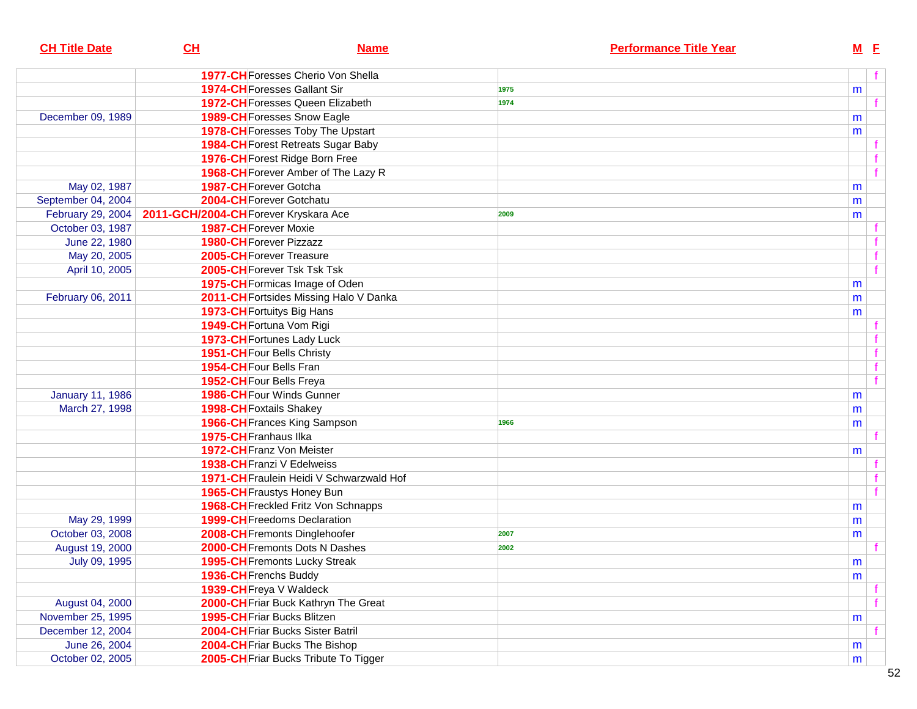| <b>CH Title Date</b>    | CH                                    | <b>Name</b>                                | <b>Performance Title Year</b> | $M$ E |              |
|-------------------------|---------------------------------------|--------------------------------------------|-------------------------------|-------|--------------|
|                         |                                       | 1977-CH Foresses Cherio Von Shella         |                               |       | f            |
|                         |                                       | <b>1974-CH</b> Foresses Gallant Sir        | 1975                          | m     |              |
|                         |                                       | <b>1972-CH</b> Foresses Queen Elizabeth    | 1974                          |       | f            |
| December 09, 1989       |                                       | 1989-CH Foresses Snow Eagle                |                               | m     |              |
|                         |                                       | 1978-CH Foresses Toby The Upstart          |                               | m     |              |
|                         |                                       | 1984-CH Forest Retreats Sugar Baby         |                               |       |              |
|                         |                                       | 1976-CH Forest Ridge Born Free             |                               |       |              |
|                         |                                       | 1968-CH Forever Amber of The Lazy R        |                               |       | f            |
| May 02, 1987            |                                       | 1987-CH Forever Gotcha                     |                               | m     |              |
| September 04, 2004      |                                       | 2004-CH Forever Gotchatu                   |                               | m     |              |
| February 29, 2004       | 2011-GCH/2004-CH Forever Kryskara Ace |                                            | 2009                          | m     |              |
| October 03, 1987        |                                       | <b>1987-CH</b> Forever Moxie               |                               |       |              |
| June 22, 1980           |                                       | <b>1980-CH</b> Forever Pizzazz             |                               |       |              |
| May 20, 2005            |                                       | 2005-CH Forever Treasure                   |                               |       |              |
| April 10, 2005          |                                       | 2005-CH Forever Tsk Tsk Tsk                |                               |       | $\mathbf{f}$ |
|                         |                                       | 1975-CH Formicas Image of Oden             |                               | m     |              |
| February 06, 2011       |                                       | 2011-CH Fortsides Missing Halo V Danka     |                               | m     |              |
|                         |                                       | 1973-CH Fortuitys Big Hans                 |                               | m     |              |
|                         |                                       | 1949-CH Fortuna Vom Rigi                   |                               |       |              |
|                         |                                       | 1973-CH Fortunes Lady Luck                 |                               |       |              |
|                         |                                       | 1951-CH Four Bells Christy                 |                               |       | $\mathbf{f}$ |
|                         |                                       | 1954-CH Four Bells Fran                    |                               |       | $\mathbf{f}$ |
|                         |                                       | 1952-CH Four Bells Freya                   |                               |       | f            |
| <b>January 11, 1986</b> |                                       | 1986-CH Four Winds Gunner                  |                               | m     |              |
| March 27, 1998          |                                       | 1998-CH Foxtails Shakey                    |                               | m     |              |
|                         |                                       | 1966-CH Frances King Sampson               | 1966                          | m     |              |
|                         |                                       | 1975-CH Franhaus IIka                      |                               |       |              |
|                         |                                       | 1972-CH Franz Von Meister                  |                               | m     |              |
|                         |                                       | 1938-CH Franzi V Edelweiss                 |                               |       |              |
|                         |                                       | 1971-CH Fraulein Heidi V Schwarzwald Hof   |                               |       |              |
|                         |                                       | 1965-CH Fraustys Honey Bun                 |                               |       | $\mathbf{f}$ |
|                         |                                       | <b>1968-CH</b> Freckled Fritz Von Schnapps |                               | m     |              |
| May 29, 1999            |                                       | 1999-CH Freedoms Declaration               |                               | m     |              |
| October 03, 2008        |                                       | 2008-CH Fremonts Dinglehoofer              | 2007                          |       |              |
| August 19, 2000         |                                       | 2000-CH Fremonts Dots N Dashes             | 2002                          | m     |              |
| July 09, 1995           |                                       | 1995-CH Fremonts Lucky Streak              |                               | m     |              |
|                         |                                       | 1936-CH Frenchs Buddy                      |                               |       |              |
|                         |                                       | 1939-CH Freya V Waldeck                    |                               | m     |              |
| August 04, 2000         |                                       | 2000-CH Friar Buck Kathryn The Great       |                               |       | f            |
| November 25, 1995       |                                       | 1995-CH Friar Bucks Blitzen                |                               |       |              |
| December 12, 2004       |                                       | 2004-CH Friar Bucks Sister Batril          |                               | m     |              |
|                         |                                       | 2004-CH Friar Bucks The Bishop             |                               |       |              |
| June 26, 2004           |                                       |                                            |                               | m     |              |
| October 02, 2005        |                                       | 2005-CH Friar Bucks Tribute To Tigger      |                               | m     |              |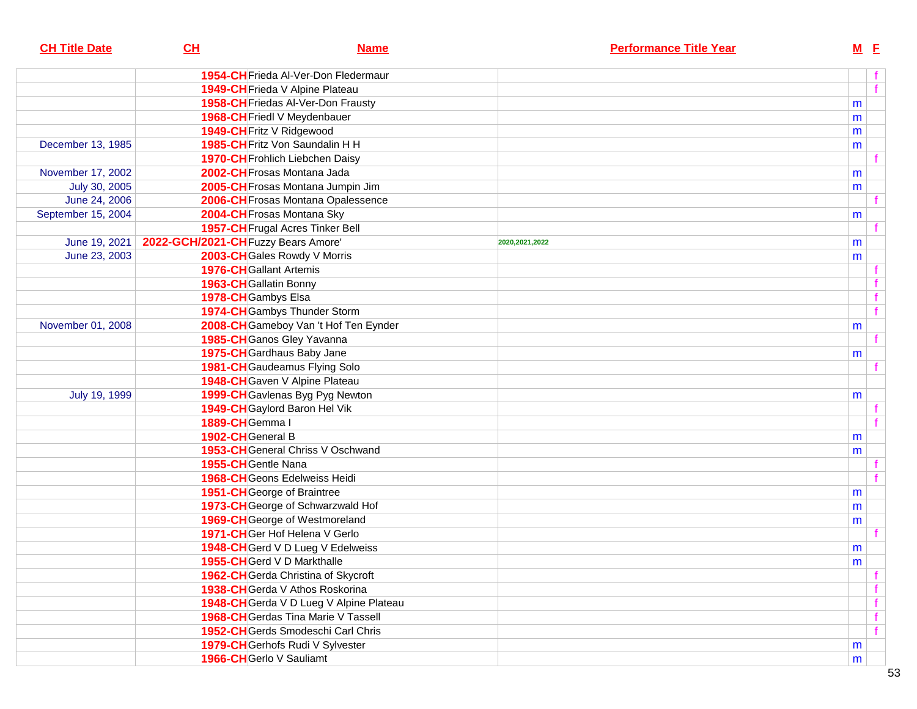| <b>CH Title Date</b> | CL                                  | <b>Name</b>                             |                  | <b>Performance Title Year</b> | $M$ E |   |
|----------------------|-------------------------------------|-----------------------------------------|------------------|-------------------------------|-------|---|
|                      |                                     | 1954-CH Frieda Al-Ver-Don Fledermaur    |                  |                               |       | f |
|                      |                                     | 1949-CH Frieda V Alpine Plateau         |                  |                               |       | f |
|                      |                                     | 1958-CH Friedas Al-Ver-Don Frausty      |                  |                               | m     |   |
|                      |                                     | 1968-CH Friedl V Meydenbauer            |                  |                               | m     |   |
|                      |                                     | 1949-CH Fritz V Ridgewood               |                  |                               | m     |   |
| December 13, 1985    |                                     | 1985-CH Fritz Von Saundalin H H         |                  |                               | m     |   |
|                      |                                     | 1970-CH Frohlich Liebchen Daisy         |                  |                               |       |   |
| November 17, 2002    |                                     | 2002-CH Frosas Montana Jada             |                  |                               | m     |   |
| July 30, 2005        |                                     | 2005-CH Frosas Montana Jumpin Jim       |                  |                               | m     |   |
| June 24, 2006        |                                     | 2006-CH Frosas Montana Opalessence      |                  |                               |       |   |
| September 15, 2004   |                                     | 2004-CH Frosas Montana Sky              |                  |                               | m     |   |
|                      |                                     | 1957-CH Frugal Acres Tinker Bell        |                  |                               |       |   |
| June 19, 2021        | 2022-GCH/2021-CH Fuzzy Bears Amore' |                                         | 2020, 2021, 2022 |                               | m     |   |
| June 23, 2003        |                                     | 2003-CH Gales Rowdy V Morris            |                  |                               | m     |   |
|                      |                                     | <b>1976-CH</b> Gallant Artemis          |                  |                               |       |   |
|                      |                                     | 1963-CH Gallatin Bonny                  |                  |                               |       |   |
|                      |                                     | 1978-CH Gambys Elsa                     |                  |                               |       | f |
|                      |                                     | 1974-CH Gambys Thunder Storm            |                  |                               |       | f |
| November 01, 2008    |                                     | 2008-CH Gameboy Van 't Hof Ten Eynder   |                  |                               | m     |   |
|                      |                                     | 1985-CH Ganos Gley Yavanna              |                  |                               |       |   |
|                      |                                     | 1975-CH Gardhaus Baby Jane              |                  |                               | m     |   |
|                      |                                     | <b>1981-CH</b> Gaudeamus Flying Solo    |                  |                               |       |   |
|                      |                                     | 1948-CH Gaven V Alpine Plateau          |                  |                               |       |   |
| July 19, 1999        |                                     | 1999-CH Gavlenas Byg Pyg Newton         |                  |                               | m     |   |
|                      |                                     | 1949-CH Gaylord Baron Hel Vik           |                  |                               |       |   |
|                      | 1889-CHGemma I                      |                                         |                  |                               |       |   |
|                      | 1902-CH General B                   |                                         |                  |                               | m     |   |
|                      |                                     | 1953-CH General Chriss V Oschwand       |                  |                               | m     |   |
|                      |                                     | 1955-CHGentle Nana                      |                  |                               |       |   |
|                      |                                     | 1968-CH Geons Edelweiss Heidi           |                  |                               |       |   |
|                      |                                     | <b>1951-CH</b> George of Braintree      |                  |                               | m     |   |
|                      |                                     | 1973-CH George of Schwarzwald Hof       |                  |                               | m     |   |
|                      |                                     | 1969-CH George of Westmoreland          |                  |                               | m     |   |
|                      |                                     | 1971-CHGer Hof Helena V Gerlo           |                  |                               |       |   |
|                      |                                     | 1948-CH Gerd V D Lueg V Edelweiss       |                  |                               | m     |   |
|                      |                                     | 1955-CH Gerd V D Markthalle             |                  |                               | m     |   |
|                      |                                     | 1962-CH Gerda Christina of Skycroft     |                  |                               |       | f |
|                      |                                     | 1938-CH Gerda V Athos Roskorina         |                  |                               |       | f |
|                      |                                     | 1948-CH Gerda V D Lueg V Alpine Plateau |                  |                               |       | f |
|                      |                                     | 1968-CH Gerdas Tina Marie V Tassell     |                  |                               |       | f |
|                      |                                     | 1952-CHGerds Smodeschi Carl Chris       |                  |                               |       | f |
|                      |                                     | 1979-CH Gerhofs Rudi V Sylvester        |                  |                               | m     |   |
|                      |                                     | 1966-CH Gerlo V Sauliamt                |                  |                               | m     |   |
|                      |                                     |                                         |                  |                               |       |   |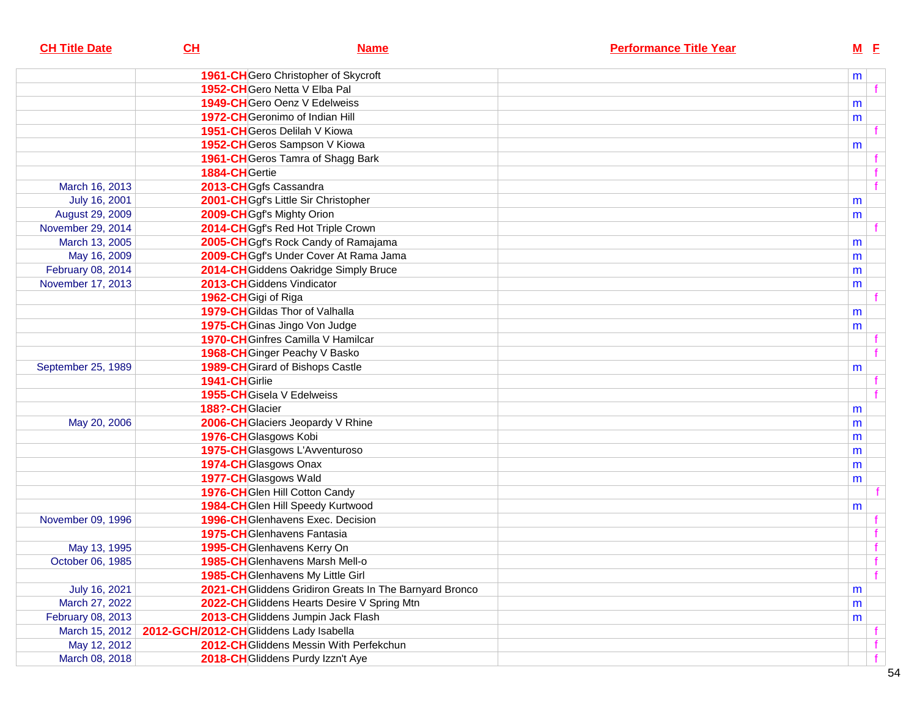| <b>CH Title Date</b> | CL                                     | <b>Name</b>                                             | <b>Performance Title Year</b> | $M$ E |  |
|----------------------|----------------------------------------|---------------------------------------------------------|-------------------------------|-------|--|
|                      |                                        | 1961-CHGero Christopher of Skycroft                     |                               | m     |  |
|                      |                                        | 1952-CHGero Netta V Elba Pal                            |                               |       |  |
|                      |                                        | 1949-CH Gero Oenz V Edelweiss                           |                               | m     |  |
|                      |                                        | 1972-CHGeronimo of Indian Hill                          |                               | m     |  |
|                      |                                        | 1951-CHGeros Delilah V Kiowa                            |                               |       |  |
|                      |                                        | 1952-CH Geros Sampson V Kiowa                           |                               | m     |  |
|                      |                                        | 1961-CH Geros Tamra of Shagg Bark                       |                               |       |  |
|                      | 1884-CHGertie                          |                                                         |                               |       |  |
| March 16, 2013       |                                        | 2013-CHGgfs Cassandra                                   |                               |       |  |
| July 16, 2001        |                                        | 2001-CHGgf's Little Sir Christopher                     |                               | m     |  |
| August 29, 2009      |                                        | 2009-CH Ggf's Mighty Orion                              |                               | m     |  |
| November 29, 2014    |                                        | 2014-CHGgf's Red Hot Triple Crown                       |                               |       |  |
| March 13, 2005       |                                        | 2005-CH Ggf's Rock Candy of Ramajama                    |                               | m     |  |
| May 16, 2009         |                                        | 2009-CHGgf's Under Cover At Rama Jama                   |                               | m     |  |
| February 08, 2014    |                                        | 2014-CH Giddens Oakridge Simply Bruce                   |                               | m     |  |
| November 17, 2013    |                                        | 2013-CHGiddens Vindicator                               |                               | m     |  |
|                      | 1962-CHGigi of Riga                    |                                                         |                               |       |  |
|                      |                                        | 1979-CH Gildas Thor of Valhalla                         |                               | m     |  |
|                      |                                        | 1975-CH Ginas Jingo Von Judge                           |                               | m     |  |
|                      |                                        | 1970-CH Ginfres Camilla V Hamilcar                      |                               |       |  |
|                      |                                        | 1968-CH Ginger Peachy V Basko                           |                               |       |  |
| September 25, 1989   |                                        | 1989-CH Girard of Bishops Castle                        |                               | m     |  |
|                      | 1941-CHGirlie                          |                                                         |                               |       |  |
|                      |                                        | 1955-CH Gisela V Edelweiss                              |                               |       |  |
|                      | 188?-CHGlacier                         |                                                         |                               | m     |  |
| May 20, 2006         |                                        | 2006-CH Glaciers Jeopardy V Rhine                       |                               | m     |  |
|                      |                                        | 1976-CH Glasgows Kobi                                   |                               | m     |  |
|                      |                                        | 1975-CHGlasgows L'Avventuroso                           |                               | m     |  |
|                      |                                        | 1974-CH Glasgows Onax                                   |                               | m     |  |
|                      |                                        | 1977-CH Glasgows Wald                                   |                               | m     |  |
|                      |                                        | 1976-CHGIen Hill Cotton Candy                           |                               |       |  |
|                      |                                        | 1984-CHGlen Hill Speedy Kurtwood                        |                               | m     |  |
| November 09, 1996    |                                        | 1996-CH Glenhavens Exec. Decision                       |                               |       |  |
|                      |                                        | <b>1975-CH</b> Glenhavens Fantasia                      |                               |       |  |
| May 13, 1995         |                                        | 1995-CHGlenhavens Kerry On                              |                               |       |  |
| October 06, 1985     |                                        | 1985-CH Glenhavens Marsh Mell-o                         |                               |       |  |
|                      |                                        | 1985-CH Glenhavens My Little Girl                       |                               |       |  |
| July 16, 2021        |                                        | 2021-CH Gliddens Gridiron Greats In The Barnyard Bronco |                               | m     |  |
| March 27, 2022       |                                        | 2022-CH Gliddens Hearts Desire V Spring Mtn             |                               | m     |  |
| February 08, 2013    |                                        | 2013-CHGliddens Jumpin Jack Flash                       |                               | m     |  |
| March 15, 2012       | 2012-GCH/2012-CHGliddens Lady Isabella |                                                         |                               |       |  |
| May 12, 2012         |                                        | 2012-CH Gliddens Messin With Perfekchun                 |                               |       |  |
| March 08, 2018       |                                        | 2018-CH Gliddens Purdy Izzn't Aye                       |                               |       |  |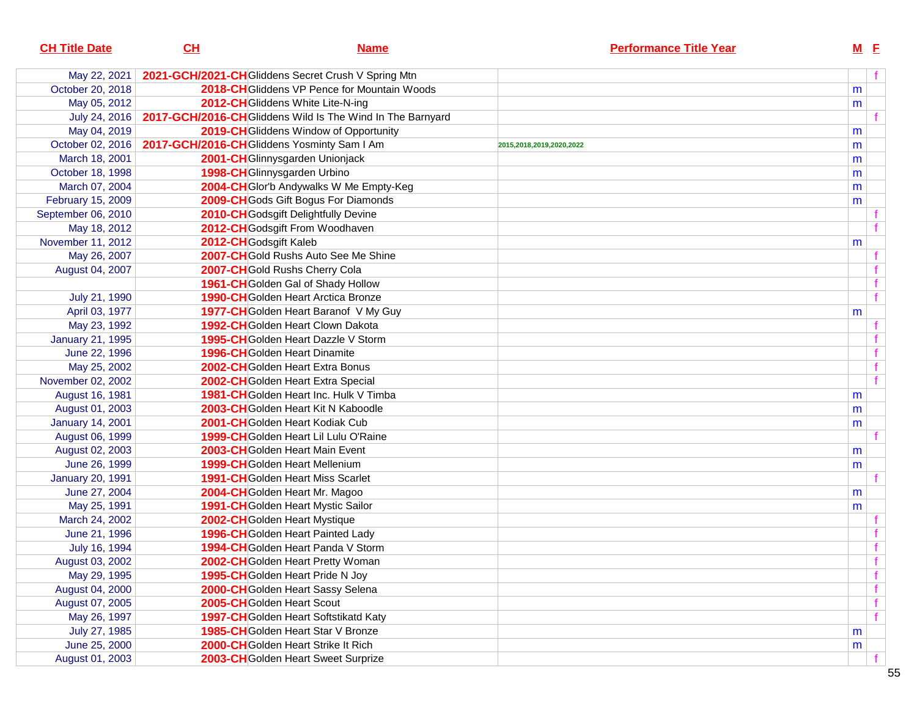| <b>CH Title Date</b>    | CL                                          | <b>Name</b>                                                | <b>Performance Title Year</b> |   | $M$ E |  |
|-------------------------|---------------------------------------------|------------------------------------------------------------|-------------------------------|---|-------|--|
| May 22, 2021            |                                             | 2021-GCH/2021-CH Gliddens Secret Crush V Spring Mtn        |                               |   |       |  |
| October 20, 2018        |                                             | 2018-CHGliddens VP Pence for Mountain Woods                |                               | m |       |  |
| May 05, 2012            |                                             | 2012-CH Gliddens White Lite-N-ing                          |                               | m |       |  |
| July 24, 2016           |                                             | 2017-GCH/2016-CH Gliddens Wild Is The Wind In The Barnyard |                               |   |       |  |
| May 04, 2019            |                                             | 2019-CH Gliddens Window of Opportunity                     |                               | m |       |  |
| October 02, 2016        | 2017-GCH/2016-CH Gliddens Yosminty Sam I Am |                                                            | 2015,2018,2019,2020,2022      | m |       |  |
| March 18, 2001          |                                             | 2001-CHGlinnysgarden Unionjack                             |                               | m |       |  |
| October 18, 1998        |                                             | 1998-CH Glinnysgarden Urbino                               |                               | m |       |  |
| March 07, 2004          |                                             | 2004-CHGlor'b Andywalks W Me Empty-Keg                     |                               | m |       |  |
| February 15, 2009       |                                             | 2009-CH Gods Gift Bogus For Diamonds                       |                               | m |       |  |
| September 06, 2010      |                                             | 2010-CH Godsgift Delightfully Devine                       |                               |   |       |  |
| May 18, 2012            |                                             | 2012-CH Godsgift From Woodhaven                            |                               |   |       |  |
| November 11, 2012       | 2012-CH Godsgift Kaleb                      |                                                            |                               | m |       |  |
| May 26, 2007            |                                             | 2007-CHGold Rushs Auto See Me Shine                        |                               |   |       |  |
| August 04, 2007         |                                             | 2007-CHGold Rushs Cherry Cola                              |                               |   |       |  |
|                         |                                             | 1961-CH Golden Gal of Shady Hollow                         |                               |   |       |  |
| July 21, 1990           |                                             | <b>1990-CH</b> Golden Heart Arctica Bronze                 |                               |   |       |  |
| April 03, 1977          |                                             | 1977-CH Golden Heart Baranof V My Guy                      |                               | m |       |  |
| May 23, 1992            |                                             | 1992-CHGolden Heart Clown Dakota                           |                               |   |       |  |
| January 21, 1995        |                                             | <b>1995-CH</b> Golden Heart Dazzle V Storm                 |                               |   |       |  |
| June 22, 1996           |                                             | <b>1996-CH</b> Golden Heart Dinamite                       |                               |   |       |  |
| May 25, 2002            |                                             | 2002-CHGolden Heart Extra Bonus                            |                               |   |       |  |
| November 02, 2002       |                                             | 2002-CH Golden Heart Extra Special                         |                               |   |       |  |
| August 16, 1981         |                                             | 1981-CHGolden Heart Inc. Hulk V Timba                      |                               | m |       |  |
| August 01, 2003         |                                             | 2003-CHGolden Heart Kit N Kaboodle                         |                               | m |       |  |
| <b>January 14, 2001</b> |                                             | 2001-CHGolden Heart Kodiak Cub                             |                               | m |       |  |
| August 06, 1999         |                                             | 1999-CHGolden Heart Lil Lulu O'Raine                       |                               |   |       |  |
| August 02, 2003         |                                             | 2003-CH Golden Heart Main Event                            |                               | m |       |  |
| June 26, 1999           |                                             | <b>1999-CH</b> Golden Heart Mellenium                      |                               | m |       |  |
| <b>January 20, 1991</b> |                                             | <b>1991-CH</b> Golden Heart Miss Scarlet                   |                               |   |       |  |
| June 27, 2004           |                                             | 2004-CH Golden Heart Mr. Magoo                             |                               | m |       |  |
| May 25, 1991            |                                             | 1991-CHGolden Heart Mystic Sailor                          |                               | m |       |  |
| March 24, 2002          |                                             | 2002-CH Golden Heart Mystique                              |                               |   |       |  |
| June 21, 1996           |                                             | <b>1996-CH</b> Golden Heart Painted Lady                   |                               |   |       |  |
| July 16, 1994           |                                             | 1994-CH Golden Heart Panda V Storm                         |                               |   |       |  |
| August 03, 2002         |                                             | 2002-CH Golden Heart Pretty Woman                          |                               |   |       |  |
| May 29, 1995            |                                             | 1995-CH Golden Heart Pride N Joy                           |                               |   |       |  |
| August 04, 2000         |                                             | 2000-CHGolden Heart Sassy Selena                           |                               |   |       |  |
| August 07, 2005         |                                             | 2005-CH Golden Heart Scout                                 |                               |   |       |  |
| May 26, 1997            |                                             | 1997-CH Golden Heart Softstikatd Katy                      |                               |   |       |  |
| July 27, 1985           |                                             | 1985-CH Golden Heart Star V Bronze                         |                               | m |       |  |
| June 25, 2000           |                                             | 2000-CH Golden Heart Strike It Rich                        |                               | m |       |  |
| August 01, 2003         |                                             | 2003-CH Golden Heart Sweet Surprize                        |                               |   |       |  |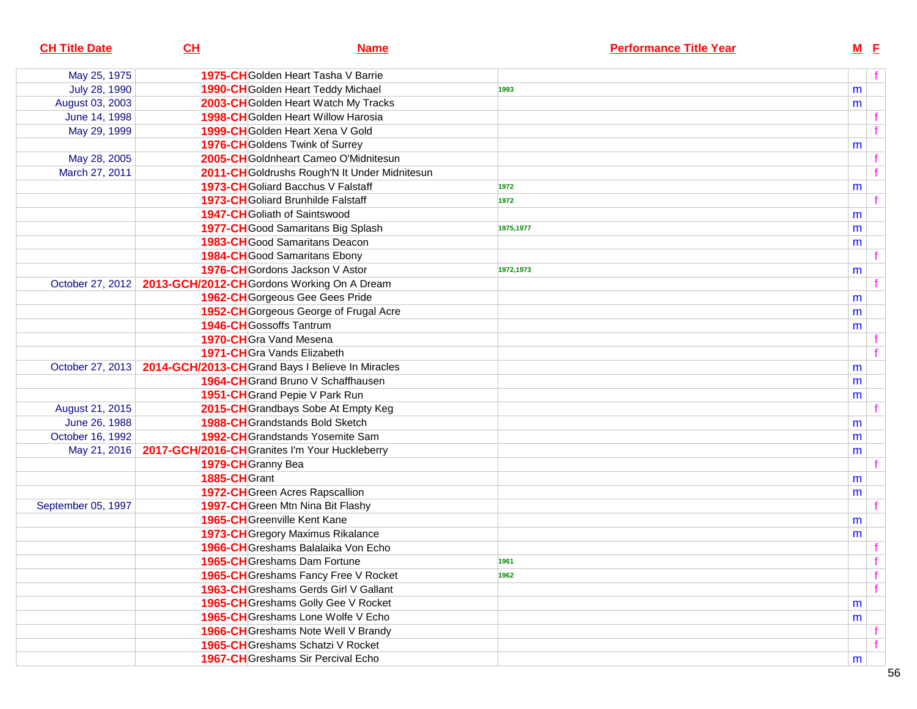| <b>CH Title Date</b> | CL<br><b>Name</b>                                             |           | <b>Performance Title Year</b> | $M$ E |  |
|----------------------|---------------------------------------------------------------|-----------|-------------------------------|-------|--|
| May 25, 1975         | <b>1975-CH</b> Golden Heart Tasha V Barrie                    |           |                               |       |  |
| July 28, 1990        | 1990-CH Golden Heart Teddy Michael                            | 1993      |                               | m     |  |
| August 03, 2003      | 2003-CH Golden Heart Watch My Tracks                          |           |                               | m     |  |
| June 14, 1998        | 1998-CH Golden Heart Willow Harosia                           |           |                               |       |  |
| May 29, 1999         | 1999-CH Golden Heart Xena V Gold                              |           |                               |       |  |
|                      | 1976-CH Goldens Twink of Surrey                               |           |                               | m     |  |
| May 28, 2005         | 2005-CH Goldnheart Cameo O'Midnitesun                         |           |                               |       |  |
| March 27, 2011       | 2011-CH Goldrushs Rough'N It Under Midnitesun                 |           |                               |       |  |
|                      | 1973-CH Goliard Bacchus V Falstaff                            | 1972      |                               | m     |  |
|                      | <b>1973-CH</b> Goliard Brunhilde Falstaff                     | 1972      |                               |       |  |
|                      | 1947-CH Goliath of Saintswood                                 |           |                               | m     |  |
|                      | 1977-CH Good Samaritans Big Splash                            | 1975,1977 |                               | m     |  |
|                      | <b>1983-CH</b> Good Samaritans Deacon                         |           |                               | m     |  |
|                      | <b>1984-CH</b> Good Samaritans Ebony                          |           |                               |       |  |
|                      | 1976-CH Gordons Jackson V Astor                               | 1972,1973 |                               | m     |  |
| October 27, 2012     | 2013-GCH/2012-CH Gordons Working On A Dream                   |           |                               |       |  |
|                      | 1962-CH Gorgeous Gee Gees Pride                               |           |                               | m     |  |
|                      | 1952-CH Gorgeous George of Frugal Acre                        |           |                               | m     |  |
|                      | <b>1946-CH</b> Gossoffs Tantrum                               |           |                               | m     |  |
|                      | 1970-CHGra Vand Mesena                                        |           |                               |       |  |
|                      | 1971-CHGra Vands Elizabeth                                    |           |                               |       |  |
| October 27, 2013     | 2014-GCH/2013-CH Grand Bays I Believe In Miracles             |           |                               | m     |  |
|                      | 1964-CH Grand Bruno V Schaffhausen                            |           |                               | m     |  |
|                      | 1951-CH Grand Pepie V Park Run                                |           |                               | m     |  |
| August 21, 2015      | 2015-CH Grandbays Sobe At Empty Keg                           |           |                               |       |  |
| June 26, 1988        | 1988-CH Grandstands Bold Sketch                               |           |                               | m     |  |
| October 16, 1992     | 1992-CH Grandstands Yosemite Sam                              |           |                               | m     |  |
|                      | May 21, 2016   2017-GCH/2016-CH Granites I'm Your Huckleberry |           |                               | m     |  |
|                      | 1979-CH Granny Bea                                            |           |                               |       |  |
|                      | 1885-CHGrant                                                  |           |                               | m     |  |
|                      | 1972-CH Green Acres Rapscallion                               |           |                               | m     |  |
| September 05, 1997   | 1997-CHGreen Mtn Nina Bit Flashy                              |           |                               |       |  |
|                      | <b>1965-CH</b> Greenville Kent Kane                           |           |                               | m     |  |
|                      | <b>1973-CH</b> Gregory Maximus Rikalance                      |           |                               | m     |  |
|                      | 1966-CH Greshams Balalaika Von Echo                           |           |                               |       |  |
|                      | 1965-CH Greshams Dam Fortune                                  | 1961      |                               |       |  |
|                      | 1965-CH Greshams Fancy Free V Rocket                          | 1962      |                               |       |  |
|                      | 1963-CH Greshams Gerds Girl V Gallant                         |           |                               |       |  |
|                      | 1965-CH Greshams Golly Gee V Rocket                           |           |                               | m     |  |
|                      | 1965-CH Greshams Lone Wolfe V Echo                            |           |                               | m     |  |
|                      | 1966-CH Greshams Note Well V Brandy                           |           |                               |       |  |
|                      | 1965-CH Greshams Schatzi V Rocket                             |           |                               |       |  |
|                      | <b>1967-CH</b> Greshams Sir Percival Echo                     |           |                               | m     |  |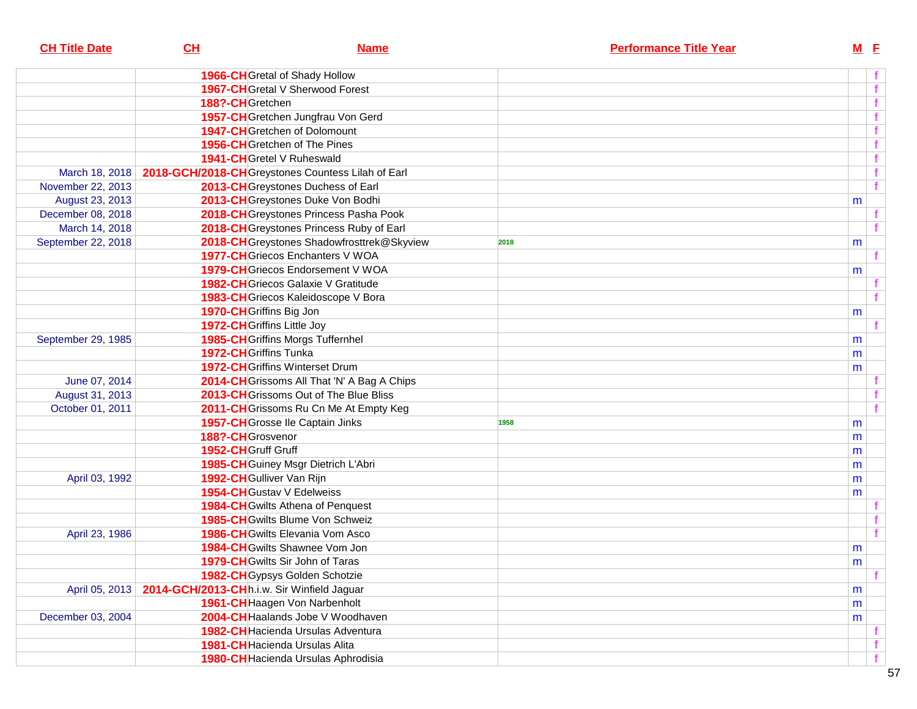| <b>CH Title Date</b> | CL                                         | <b>Name</b>                                        | <b>Performance Title Year</b> | $M$ E        |
|----------------------|--------------------------------------------|----------------------------------------------------|-------------------------------|--------------|
|                      |                                            | 1966-CH Gretal of Shady Hollow                     |                               |              |
|                      |                                            | <b>1967-CH</b> Gretal V Sherwood Forest            |                               | f            |
|                      | 188?-CHGretchen                            |                                                    |                               | $\mathbf{f}$ |
|                      |                                            | 1957-CH Gretchen Jungfrau Von Gerd                 |                               | $\mathbf{f}$ |
|                      |                                            | <b>1947-CH</b> Gretchen of Dolomount               |                               | $\mathbf{f}$ |
|                      |                                            | 1956-CHGretchen of The Pines                       |                               | $\mathbf{f}$ |
|                      |                                            | 1941-CH Gretel V Ruheswald                         |                               | f            |
| March 18, 2018       |                                            | 2018-GCH/2018-CH Greystones Countess Lilah of Earl |                               | f            |
| November 22, 2013    |                                            | 2013-CH Greystones Duchess of Earl                 |                               | f            |
| August 23, 2013      |                                            | 2013-CH Greystones Duke Von Bodhi                  |                               | m            |
| December 08, 2018    |                                            | 2018-CH Greystones Princess Pasha Pook             |                               |              |
| March 14, 2018       |                                            | 2018-CH Greystones Princess Ruby of Earl           |                               | f            |
| September 22, 2018   |                                            | 2018-CH Greystones Shadowfrosttrek@Skyview         | 2018                          | m            |
|                      |                                            | 1977-CH Griecos Enchanters V WOA                   |                               | $\mathbf{f}$ |
|                      |                                            | 1979-CHGriecos Endorsement V WOA                   |                               | m            |
|                      |                                            | 1982-CH Griecos Galaxie V Gratitude                |                               |              |
|                      |                                            | 1983-CH Griecos Kaleidoscope V Bora                |                               | f            |
|                      |                                            | 1970-CH Griffins Big Jon                           |                               | m            |
|                      |                                            | 1972-CH Griffins Little Joy                        |                               | $\mathbf{f}$ |
| September 29, 1985   |                                            | 1985-CH Griffins Morgs Tuffernhel                  |                               | m            |
|                      |                                            | 1972-CH Griffins Tunka                             |                               | m            |
|                      |                                            | <b>1972-CH</b> Griffins Winterset Drum             |                               | m            |
| June 07, 2014        |                                            | 2014-CH Grissoms All That 'N' A Bag A Chips        |                               |              |
| August 31, 2013      |                                            | 2013-CH Grissoms Out of The Blue Bliss             |                               |              |
| October 01, 2011     |                                            | 2011-CH Grissoms Ru Cn Me At Empty Keg             |                               | f            |
|                      |                                            | 1957-CH Grosse Ile Captain Jinks                   | 1958                          | m            |
|                      | 188?-CHGrosvenor                           |                                                    |                               | m            |
|                      | 1952-CH Gruff Gruff                        |                                                    |                               | m            |
|                      |                                            | 1985-CH Guiney Msgr Dietrich L'Abri                |                               | m            |
| April 03, 1992       |                                            | 1992-CH Gulliver Van Rijn                          |                               | m            |
|                      |                                            | 1954-CH Gustav V Edelweiss                         |                               | m            |
|                      |                                            | <b>1984-CH</b> Gwilts Athena of Penquest           |                               |              |
|                      |                                            | 1985-CHGwilts Blume Von Schweiz                    |                               | $\mathbf{f}$ |
| April 23, 1986       |                                            | <b>1986-CH</b> Gwilts Elevania Vom Asco            |                               | $-$ f $-$    |
|                      |                                            | 1984-CH Gwilts Shawnee Vom Jon                     |                               | m            |
|                      |                                            | 1979-CH Gwilts Sir John of Taras                   |                               | m            |
|                      |                                            | 1982-CH Gypsys Golden Schotzie                     |                               | f            |
| April 05, 2013       | 2014-GCH/2013-CHh.i.w. Sir Winfield Jaguar |                                                    |                               | m            |
|                      |                                            | 1961-CH Haagen Von Narbenholt                      |                               | m            |
| December 03, 2004    |                                            | 2004-CH Haalands Jobe V Woodhaven                  |                               | m            |
|                      |                                            | 1982-CH Hacienda Ursulas Adventura                 |                               |              |
|                      |                                            | 1981-CH Hacienda Ursulas Alita                     |                               | f            |
|                      |                                            | 1980-CH Hacienda Ursulas Aphrodisia                |                               | f            |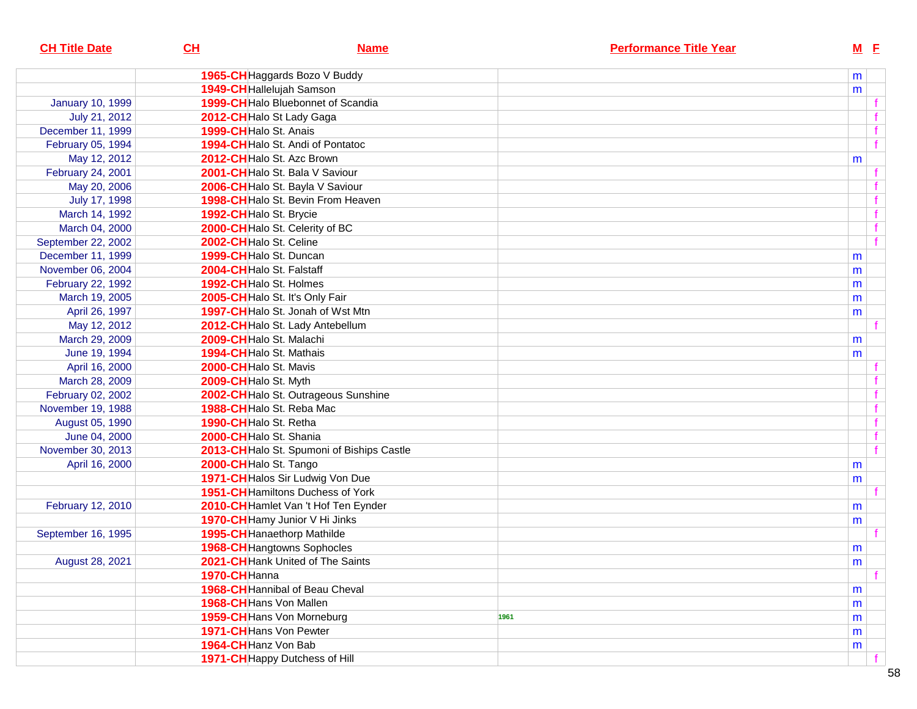| <b>CH Title Date</b>    | CL                        | <b>Name</b>                                |      | <b>Performance Title Year</b> | $M$ E |              |
|-------------------------|---------------------------|--------------------------------------------|------|-------------------------------|-------|--------------|
|                         |                           | 1965-CH Haggards Bozo V Buddy              |      |                               | m     |              |
|                         | 1949-CH Hallelujah Samson |                                            |      |                               | m     |              |
| <b>January 10, 1999</b> |                           | 1999-CH Halo Bluebonnet of Scandia         |      |                               |       |              |
| July 21, 2012           | 2012-CH Halo St Lady Gaga |                                            |      |                               |       |              |
| December 11, 1999       | 1999-CH Halo St. Anais    |                                            |      |                               |       |              |
| February 05, 1994       |                           | 1994-CHHalo St. Andi of Pontatoc           |      |                               |       | $\mathbf{f}$ |
| May 12, 2012            |                           | 2012-CHHalo St. Azc Brown                  |      |                               | m     |              |
| February 24, 2001       |                           | 2001-CH Halo St. Bala V Saviour            |      |                               |       |              |
| May 20, 2006            |                           | 2006-CHHalo St. Bayla V Saviour            |      |                               |       |              |
| July 17, 1998           |                           | 1998-CHHalo St. Bevin From Heaven          |      |                               |       |              |
| March 14, 1992          | 1992-CHHalo St. Brycie    |                                            |      |                               |       | f            |
| March 04, 2000          |                           | 2000-CH Halo St. Celerity of BC            |      |                               |       |              |
| September 22, 2002      | 2002-CH Halo St. Celine   |                                            |      |                               |       |              |
| December 11, 1999       | 1999-CHHalo St. Duncan    |                                            |      |                               | m     |              |
| November 06, 2004       | 2004-CHHalo St. Falstaff  |                                            |      |                               | m     |              |
| February 22, 1992       | 1992-CHHalo St. Holmes    |                                            |      |                               | m     |              |
| March 19, 2005          |                           | 2005-CH Halo St. It's Only Fair            |      |                               | m     |              |
| April 26, 1997          |                           | 1997-CH Halo St. Jonah of Wst Mtn          |      |                               | m     |              |
| May 12, 2012            |                           | 2012-CH Halo St. Lady Antebellum           |      |                               |       |              |
| March 29, 2009          | 2009-CHHalo St. Malachi   |                                            |      |                               | m     |              |
| June 19, 1994           | 1994-CHHalo St. Mathais   |                                            |      |                               | m     |              |
| April 16, 2000          | 2000-CHHalo St. Mavis     |                                            |      |                               |       |              |
| March 28, 2009          | 2009-CHHalo St. Myth      |                                            |      |                               |       |              |
| February 02, 2002       |                           | 2002-CH Halo St. Outrageous Sunshine       |      |                               |       | f            |
| November 19, 1988       | 1988-CHHalo St. Reba Mac  |                                            |      |                               |       | f            |
| August 05, 1990         | 1990-CHHalo St. Retha     |                                            |      |                               |       | f            |
| June 04, 2000           | 2000-CHHalo St. Shania    |                                            |      |                               |       | $\mathbf{f}$ |
| November 30, 2013       |                           | 2013-CH Halo St. Spumoni of Biships Castle |      |                               |       | $\mathbf{f}$ |
| April 16, 2000          | 2000-CH Halo St. Tango    |                                            |      |                               | m     |              |
|                         |                           | 1971-CH Halos Sir Ludwig Von Due           |      |                               | m     |              |
|                         |                           | <b>1951-CH</b> Hamiltons Duchess of York   |      |                               |       |              |
| February 12, 2010       |                           | 2010-CH Hamlet Van 't Hof Ten Eynder       |      |                               | m     |              |
|                         |                           | 1970-CH Hamy Junior V Hi Jinks             |      |                               | m     |              |
| September 16, 1995      |                           | 1995-CH Hanaethorp Mathilde                |      |                               |       |              |
|                         |                           | 1968-CH Hangtowns Sophocles                |      |                               | m     |              |
| August 28, 2021         |                           | 2021-CH Hank United of The Saints          |      |                               | m     |              |
|                         | 1970-CHHanna              |                                            |      |                               |       |              |
|                         |                           | 1968-CH Hannibal of Beau Cheval            |      |                               | m     |              |
|                         | 1968-CH Hans Von Mallen   |                                            |      |                               | m     |              |
|                         |                           | 1959-CH Hans Von Morneburg                 | 1961 |                               | m     |              |
|                         | 1971-CHHans Von Pewter    |                                            |      |                               | m     |              |
|                         | 1964-CH Hanz Von Bab      |                                            |      |                               | m     |              |
|                         |                           | 1971-CH Happy Dutchess of Hill             |      |                               |       |              |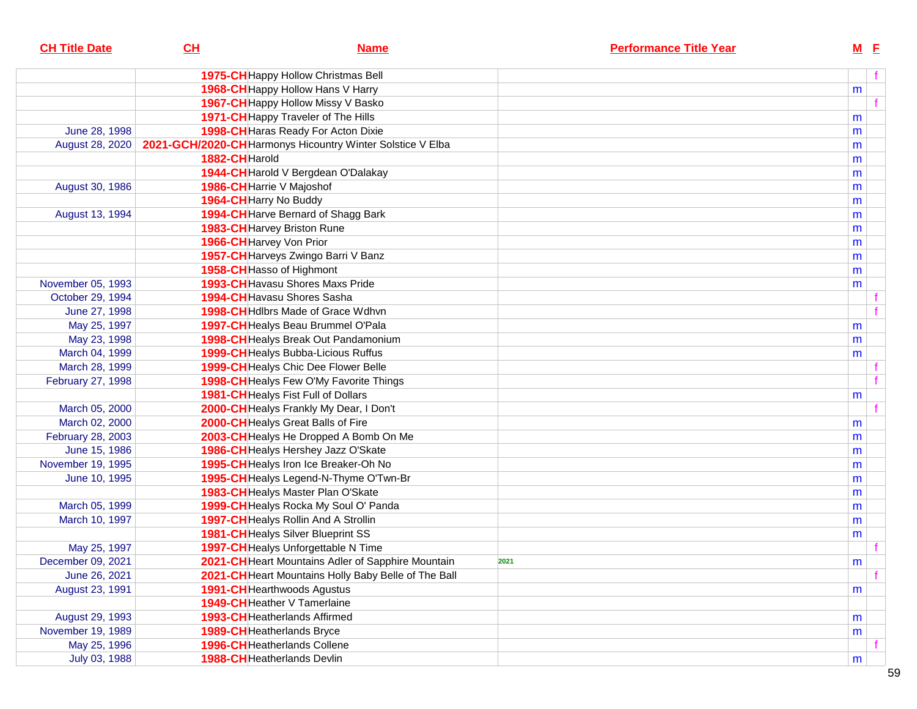| <b>CH Title Date</b> | CH                        | <b>Name</b>                                                | <b>Performance Title Year</b> | $M$ E        |  |
|----------------------|---------------------------|------------------------------------------------------------|-------------------------------|--------------|--|
|                      |                           | 1975-CH Happy Hollow Christmas Bell                        |                               | f            |  |
|                      |                           | 1968-CH Happy Hollow Hans V Harry                          |                               | m            |  |
|                      |                           | 1967-CH Happy Hollow Missy V Basko                         |                               |              |  |
|                      |                           | 1971-CH Happy Traveler of The Hills                        |                               | m            |  |
| June 28, 1998        |                           | 1998-CH Haras Ready For Acton Dixie                        |                               | m            |  |
| August 28, 2020      |                           | 2021-GCH/2020-CH Harmonys Hicountry Winter Solstice V Elba |                               | m            |  |
|                      | 1882-CHHarold             |                                                            |                               | m            |  |
|                      |                           | 1944-CH Harold V Bergdean O'Dalakay                        |                               | m            |  |
| August 30, 1986      | 1986-CH Harrie V Majoshof |                                                            |                               | m            |  |
|                      | 1964-CH Harry No Buddy    |                                                            |                               | m            |  |
| August 13, 1994      |                           | 1994-CH Harve Bernard of Shagg Bark                        |                               | m            |  |
|                      |                           | 1983-CH Harvey Briston Rune                                |                               | m            |  |
|                      | 1966-CH Harvey Von Prior  |                                                            |                               | m            |  |
|                      |                           | 1957-CH Harveys Zwingo Barri V Banz                        |                               | m            |  |
|                      |                           | 1958-CH Hasso of Highmont                                  |                               | m            |  |
| November 05, 1993    |                           | 1993-CH Havasu Shores Maxs Pride                           |                               | m            |  |
| October 29, 1994     |                           | <b>1994-CH</b> Havasu Shores Sasha                         |                               |              |  |
| June 27, 1998        |                           | <b>1998-CH</b> Hdlbrs Made of Grace Wdhvn                  |                               |              |  |
| May 25, 1997         |                           | 1997-CH Healys Beau Brummel O'Pala                         |                               | m            |  |
| May 23, 1998         |                           | 1998-CH Healys Break Out Pandamonium                       |                               | m            |  |
| March 04, 1999       |                           | 1999-CH Healys Bubba-Licious Ruffus                        |                               | m            |  |
| March 28, 1999       |                           | 1999-CH Healys Chic Dee Flower Belle                       |                               |              |  |
| February 27, 1998    |                           | <b>1998-CH</b> Healys Few O'My Favorite Things             |                               | $\mathbf{f}$ |  |
|                      |                           | <b>1981-CH</b> Healys Fist Full of Dollars                 |                               | m            |  |
| March 05, 2000       |                           | 2000-CH Healys Frankly My Dear, I Don't                    |                               |              |  |
| March 02, 2000       |                           | 2000-CH Healys Great Balls of Fire                         |                               | m            |  |
| February 28, 2003    |                           | 2003-CH Healys He Dropped A Bomb On Me                     |                               | m            |  |
| June 15, 1986        |                           | 1986-CH Healys Hershey Jazz O'Skate                        |                               | m            |  |
| November 19, 1995    |                           | 1995-CH Healys Iron Ice Breaker-Oh No                      |                               | m            |  |
| June 10, 1995        |                           | 1995-CH Healys Legend-N-Thyme O'Twn-Br                     |                               | m            |  |
|                      |                           | 1983-CH Healys Master Plan O'Skate                         |                               | m            |  |
| March 05, 1999       |                           | 1999-CH Healys Rocka My Soul O' Panda                      |                               | m            |  |
| March 10, 1997       |                           | 1997-CH Healys Rollin And A Strollin                       |                               | m            |  |
|                      |                           | 1981-CHHealys Silver Blueprint SS                          |                               | m            |  |
| May 25, 1997         |                           | 1997-CH Healys Unforgettable N Time                        |                               |              |  |
| December 09, 2021    |                           | 2021-CH Heart Mountains Adler of Sapphire Mountain         | 2021                          | m            |  |
| June 26, 2021        |                           | 2021-CH Heart Mountains Holly Baby Belle of The Ball       |                               |              |  |
| August 23, 1991      |                           | <b>1991-CH</b> Hearthwoods Agustus                         |                               | m            |  |
|                      |                           | 1949-CH Heather V Tamerlaine                               |                               |              |  |
| August 29, 1993      |                           | <b>1993-CH</b> Heatherlands Affirmed                       |                               | m            |  |
| November 19, 1989    |                           | 1989-CH Heatherlands Bryce                                 |                               | m            |  |
| May 25, 1996         |                           | 1996-CH Heatherlands Collene                               |                               |              |  |
| July 03, 1988        |                           | 1988-CH Heatherlands Devlin                                |                               | m            |  |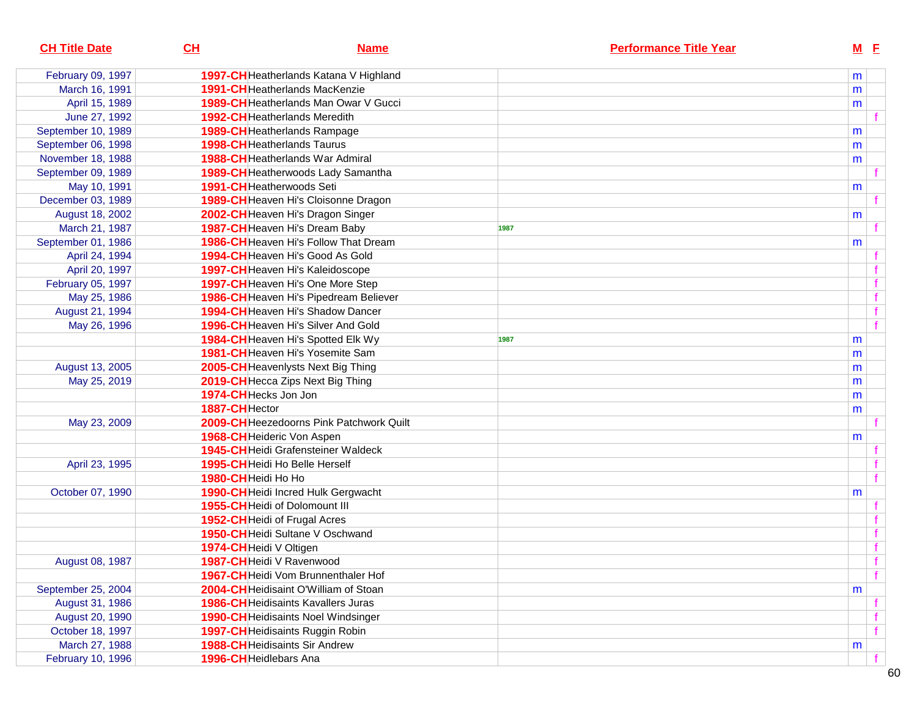| <b>CH Title Date</b> | CL<br><b>Name</b>                            | <b>Performance Title Year</b> |   | $M$ E |
|----------------------|----------------------------------------------|-------------------------------|---|-------|
| February 09, 1997    | 1997-CH Heatherlands Katana V Highland       |                               | m |       |
| March 16, 1991       | 1991-CHHeatherlands MacKenzie                |                               | m |       |
| April 15, 1989       | <b>1989-CH</b> Heatherlands Man Owar V Gucci |                               | m |       |
| June 27, 1992        | <b>1992-CH</b> Heatherlands Meredith         |                               |   |       |
| September 10, 1989   | 1989-CHHeatherlands Rampage                  |                               | m |       |
| September 06, 1998   | 1998-CH Heatherlands Taurus                  |                               | m |       |
| November 18, 1988    | 1988-CHHeatherlands War Admiral              |                               | m |       |
| September 09, 1989   | 1989-CH Heatherwoods Lady Samantha           |                               |   |       |
| May 10, 1991         | 1991-CHHeatherwoods Seti                     |                               | m |       |
| December 03, 1989    | 1989-CH Heaven Hi's Cloisonne Dragon         |                               |   |       |
| August 18, 2002      | 2002-CH Heaven Hi's Dragon Singer            |                               | m |       |
| March 21, 1987       | 1987-CH Heaven Hi's Dream Baby               | 1987                          |   |       |
| September 01, 1986   | 1986-CH Heaven Hi's Follow That Dream        |                               | m |       |
| April 24, 1994       | 1994-CHHeaven Hi's Good As Gold              |                               |   |       |
| April 20, 1997       | 1997-CH Heaven Hi's Kaleidoscope             |                               |   |       |
| February 05, 1997    | 1997-CHHeaven Hi's One More Step             |                               |   |       |
| May 25, 1986         | 1986-CH Heaven Hi's Pipedream Believer       |                               |   |       |
| August 21, 1994      | <b>1994-CH</b> Heaven Hi's Shadow Dancer     |                               |   |       |
| May 26, 1996         | 1996-CH Heaven Hi's Silver And Gold          |                               |   |       |
|                      | 1984-CHHeaven Hi's Spotted Elk Wy            | 1987                          | m |       |
|                      | 1981-CH Heaven Hi's Yosemite Sam             |                               | m |       |
| August 13, 2005      | 2005-CH Heavenlysts Next Big Thing           |                               | m |       |
| May 25, 2019         | 2019-CH Hecca Zips Next Big Thing            |                               | m |       |
|                      | 1974-CH Hecks Jon Jon                        |                               | m |       |
|                      | 1887-CHHector                                |                               | m |       |
| May 23, 2009         | 2009-CH Heezedoorns Pink Patchwork Quilt     |                               |   |       |
|                      | 1968-CH Heideric Von Aspen                   |                               | m |       |
|                      | <b>1945-CH</b> Heidi Grafensteiner Waldeck   |                               |   |       |
| April 23, 1995       | 1995-CHHeidi Ho Belle Herself                |                               |   |       |
|                      | 1980-CHHeidi Ho Ho                           |                               |   |       |
| October 07, 1990     | 1990-CH Heidi Incred Hulk Gergwacht          |                               | m |       |
|                      | 1955-CH Heidi of Dolomount III               |                               |   |       |
|                      | 1952-CH Heidi of Frugal Acres                |                               |   |       |
|                      | 1950-CH Heidi Sultane V Oschwand             |                               |   |       |
|                      | 1974-CHHeidi V Oltigen                       |                               |   |       |
| August 08, 1987      | 1987-CH Heidi V Ravenwood                    |                               |   |       |
|                      | 1967-CH Heidi Vom Brunnenthaler Hof          |                               |   | f     |
| September 25, 2004   | 2004-CHHeidisaint O'William of Stoan         |                               | m |       |
| August 31, 1986      | <b>1986-CH</b> Heidisaints Kavallers Juras   |                               |   |       |
| August 20, 1990      | 1990-CH Heidisaints Noel Windsinger          |                               |   |       |
| October 18, 1997     | 1997-CH Heidisaints Ruggin Robin             |                               |   |       |
| March 27, 1988       | <b>1988-CH</b> Heidisaints Sir Andrew        |                               | m |       |
| February 10, 1996    | 1996-CH Heidlebars Ana                       |                               |   |       |

 $60$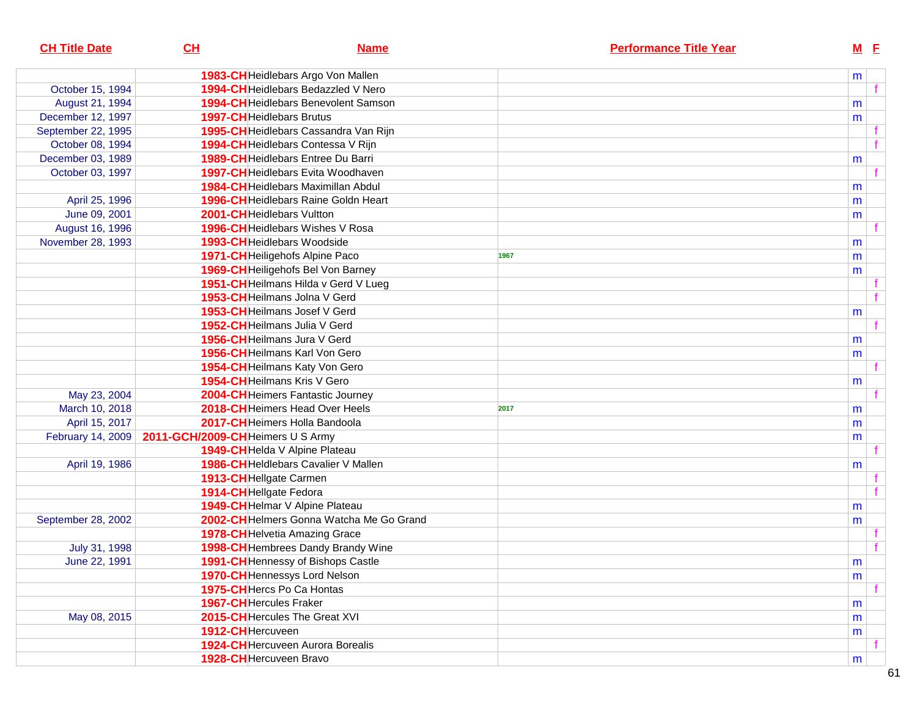| <b>CH Title Date</b> | CL                               | <b>Name</b>                                 |      | <b>Performance Title Year</b> | $M$ E     |  |
|----------------------|----------------------------------|---------------------------------------------|------|-------------------------------|-----------|--|
|                      |                                  | 1983-CH Heidlebars Argo Von Mallen          |      |                               | m         |  |
| October 15, 1994     |                                  | 1994-CHHeidlebars Bedazzled V Nero          |      |                               |           |  |
| August 21, 1994      |                                  | <b>1994-CH</b> Heidlebars Benevolent Samson |      |                               | m         |  |
| December 12, 1997    |                                  | 1997-CHHeidlebars Brutus                    |      |                               | m         |  |
| September 22, 1995   |                                  | 1995-CH Heidlebars Cassandra Van Rijn       |      |                               |           |  |
| October 08, 1994     |                                  | 1994-CH Heidlebars Contessa V Rijn          |      |                               |           |  |
| December 03, 1989    |                                  | 1989-CHHeidlebars Entree Du Barri           |      |                               | m         |  |
| October 03, 1997     |                                  | 1997-CHHeidlebars Evita Woodhaven           |      |                               |           |  |
|                      |                                  | 1984-CHHeidlebars Maximillan Abdul          |      |                               | m         |  |
| April 25, 1996       |                                  | 1996-CH Heidlebars Raine Goldn Heart        |      |                               | m         |  |
| June 09, 2001        |                                  | 2001-CHHeidlebars Vultton                   |      |                               | m         |  |
| August 16, 1996      |                                  | 1996-CH Heidlebars Wishes V Rosa            |      |                               |           |  |
| November 28, 1993    |                                  | 1993-CH Heidlebars Woodside                 |      |                               | m         |  |
|                      |                                  | 1971-CH Heiligehofs Alpine Paco             | 1967 |                               | m         |  |
|                      |                                  | 1969-CH Heiligehofs Bel Von Barney          |      |                               | m         |  |
|                      |                                  | 1951-CH Heilmans Hilda v Gerd V Lueg        |      |                               |           |  |
|                      |                                  | 1953-CH Heilmans Jolna V Gerd               |      |                               |           |  |
|                      |                                  | 1953-CH Heilmans Josef V Gerd               |      |                               | m         |  |
|                      |                                  | 1952-CHHeilmans Julia V Gerd                |      |                               |           |  |
|                      |                                  | 1956-CHHeilmans Jura V Gerd                 |      |                               | m         |  |
|                      |                                  | 1956-CHHeilmans Karl Von Gero               |      |                               | m         |  |
|                      |                                  | 1954-CH Heilmans Katy Von Gero              |      |                               |           |  |
|                      |                                  | 1954-CH Heilmans Kris V Gero                |      |                               | m         |  |
| May 23, 2004         |                                  | 2004-CHHeimers Fantastic Journey            |      |                               |           |  |
| March 10, 2018       |                                  | 2018-CH Heimers Head Over Heels             | 2017 |                               | m         |  |
| April 15, 2017       |                                  | 2017-CHHeimers Holla Bandoola               |      |                               | m         |  |
| February 14, 2009    | 2011-GCH/2009-CHHeimers U S Army |                                             |      |                               | m         |  |
|                      |                                  | 1949-CH Helda V Alpine Plateau              |      |                               |           |  |
| April 19, 1986       |                                  | 1986-CH Heldlebars Cavalier V Mallen        |      |                               | m         |  |
|                      |                                  | 1913-CH Hellgate Carmen                     |      |                               |           |  |
|                      | 1914-CH Hellgate Fedora          |                                             |      |                               |           |  |
|                      |                                  | 1949-CH Helmar V Alpine Plateau             |      |                               | m         |  |
| September 28, 2002   |                                  | 2002-CH Helmers Gonna Watcha Me Go Grand    |      |                               | m         |  |
|                      |                                  | 1978-CH Helvetia Amazing Grace              |      |                               |           |  |
| July 31, 1998        |                                  | 1998-CH Hembrees Dandy Brandy Wine          |      |                               |           |  |
| June 22, 1991        |                                  | 1991-CH Hennessy of Bishops Castle          |      |                               | ${\sf m}$ |  |
|                      |                                  | 1970-CH Hennessys Lord Nelson               |      |                               | m         |  |
|                      |                                  | 1975-CHHercs Po Ca Hontas                   |      |                               |           |  |
|                      | 1967-CHHercules Fraker           |                                             |      |                               | m         |  |
| May 08, 2015         |                                  | 2015-CHHercules The Great XVI               |      |                               | m         |  |
|                      | 1912-CHHercuveen                 |                                             |      |                               | m         |  |
|                      |                                  | <b>1924-CH</b> Hercuveen Aurora Borealis    |      |                               |           |  |
|                      |                                  | 1928-CH Hercuveen Bravo                     |      |                               | m         |  |
|                      |                                  |                                             |      |                               |           |  |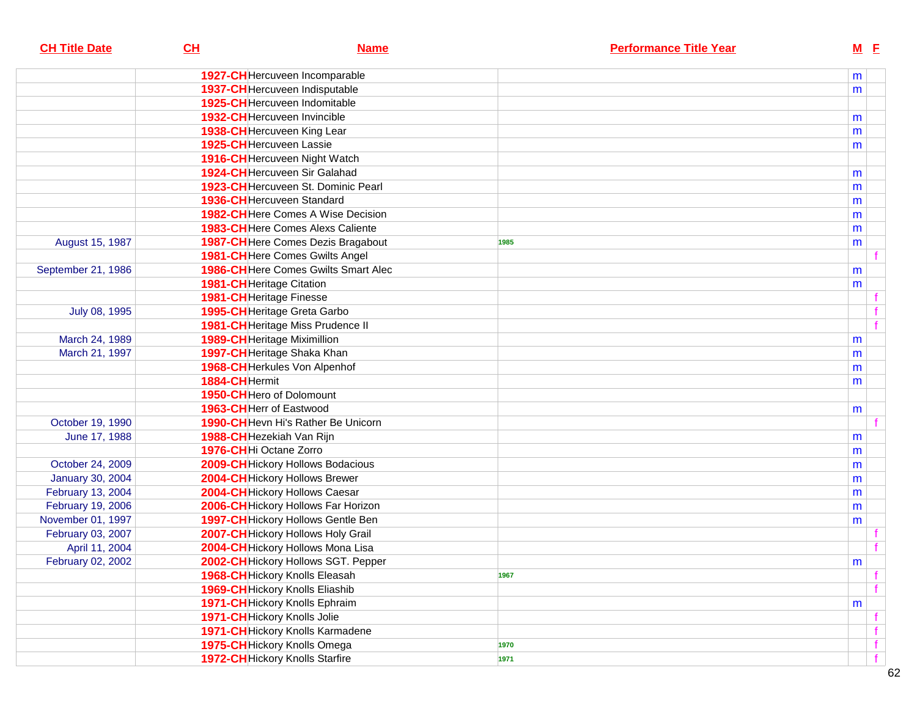| <b>CH Title Date</b>    | CL                                  | <b>Name</b>                                 |      | <b>Performance Title Year</b> | $M$ E |   |
|-------------------------|-------------------------------------|---------------------------------------------|------|-------------------------------|-------|---|
|                         |                                     | 1927-CH Hercuveen Incomparable              |      |                               | m     |   |
|                         |                                     | 1937-CH Hercuveen Indisputable              |      |                               | m     |   |
|                         |                                     | 1925-CHHercuveen Indomitable                |      |                               |       |   |
|                         |                                     | 1932-CH Hercuveen Invincible                |      |                               | m     |   |
|                         |                                     | 1938-CH Hercuveen King Lear                 |      |                               | m     |   |
|                         | 1925-CH Hercuveen Lassie            |                                             |      |                               | m     |   |
|                         |                                     | 1916-CH Hercuveen Night Watch               |      |                               |       |   |
|                         |                                     | 1924-CH Hercuveen Sir Galahad               |      |                               | m     |   |
|                         |                                     | 1923-CHHercuveen St. Dominic Pearl          |      |                               | m     |   |
|                         | 1936-CHHercuveen Standard           |                                             |      |                               | m     |   |
|                         |                                     | 1982-CHHere Comes A Wise Decision           |      |                               | m     |   |
|                         |                                     | 1983-CH Here Comes Alexs Caliente           |      |                               | m     |   |
| August 15, 1987         |                                     | 1987-CH Here Comes Dezis Bragabout          | 1985 |                               | m     |   |
|                         |                                     | 1981-CH Here Comes Gwilts Angel             |      |                               |       |   |
| September 21, 1986      |                                     | <b>1986-CH</b> Here Comes Gwilts Smart Alec |      |                               | m     |   |
|                         | 1981-CH Heritage Citation           |                                             |      |                               | m     |   |
|                         | 1981-CH Heritage Finesse            |                                             |      |                               |       |   |
| July 08, 1995           |                                     | 1995-CH Heritage Greta Garbo                |      |                               |       |   |
|                         |                                     | 1981-CH Heritage Miss Prudence II           |      |                               |       |   |
| March 24, 1989          | <b>1989-CH</b> Heritage Miximillion |                                             |      |                               | m     |   |
| March 21, 1997          |                                     | 1997-CH Heritage Shaka Khan                 |      |                               | m     |   |
|                         |                                     | 1968-CH Herkules Von Alpenhof               |      |                               | m     |   |
|                         | 1884-CHHermit                       |                                             |      |                               | m     |   |
|                         | 1950-CHHero of Dolomount            |                                             |      |                               |       |   |
|                         | 1963-CHHerr of Eastwood             |                                             |      |                               | m     |   |
| October 19, 1990        |                                     | 1990-CH Hevn Hi's Rather Be Unicorn         |      |                               |       |   |
| June 17, 1988           | 1988-CH Hezekiah Van Rijn           |                                             |      |                               | m     |   |
|                         | 1976-CHHi Octane Zorro              |                                             |      |                               | m     |   |
| October 24, 2009        |                                     | 2009-CH Hickory Hollows Bodacious           |      |                               | m     |   |
| <b>January 30, 2004</b> |                                     | 2004-CH Hickory Hollows Brewer              |      |                               | m     |   |
| February 13, 2004       |                                     | 2004-CH Hickory Hollows Caesar              |      |                               | m     |   |
| February 19, 2006       |                                     | 2006-CH Hickory Hollows Far Horizon         |      |                               | m     |   |
| November 01, 1997       |                                     | 1997-CH Hickory Hollows Gentle Ben          |      |                               | m     |   |
| February 03, 2007       |                                     | 2007-CH Hickory Hollows Holy Grail          |      |                               |       |   |
| April 11, 2004          |                                     | 2004-CH Hickory Hollows Mona Lisa           |      |                               |       |   |
| February 02, 2002       |                                     | 2002-CH Hickory Hollows SGT. Pepper         |      |                               | m     |   |
|                         |                                     | 1968-CH Hickory Knolls Eleasah              | 1967 |                               |       | f |
|                         |                                     | 1969-CH Hickory Knolls Eliashib             |      |                               |       | f |
|                         |                                     | 1971-CH Hickory Knolls Ephraim              |      |                               | m     |   |
|                         | 1971-CH Hickory Knolls Jolie        |                                             |      |                               |       |   |
|                         |                                     | 1971-CH Hickory Knolls Karmadene            |      |                               |       | f |
|                         |                                     | 1975-CH Hickory Knolls Omega                | 1970 |                               |       | f |
|                         |                                     | <b>1972-CH</b> Hickory Knolls Starfire      | 1971 |                               |       | f |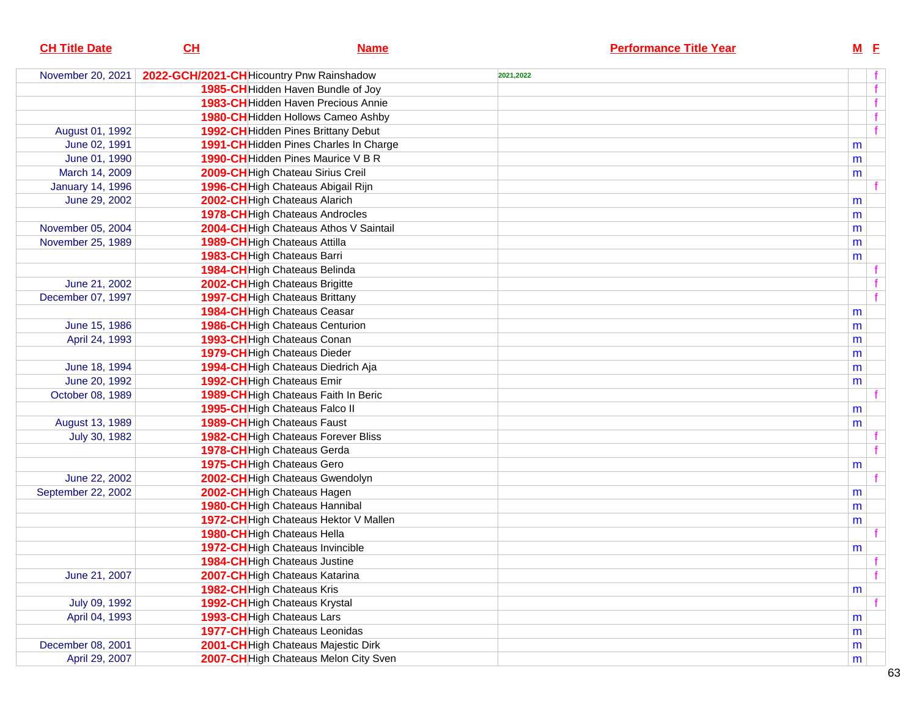| <b>CH Title Date</b>    | CL                                       | <b>Name</b>                            |           | <b>Performance Title Year</b> |   | $M$ E        |
|-------------------------|------------------------------------------|----------------------------------------|-----------|-------------------------------|---|--------------|
| November 20, 2021       | 2022-GCH/2021-CHHicountry Pnw Rainshadow |                                        | 2021,2022 |                               |   |              |
|                         |                                          | 1985-CH Hidden Haven Bundle of Joy     |           |                               |   | f            |
|                         |                                          | 1983-CH Hidden Haven Precious Annie    |           |                               |   |              |
|                         |                                          | 1980-CH Hidden Hollows Cameo Ashby     |           |                               |   |              |
| August 01, 1992         |                                          | 1992-CH Hidden Pines Brittany Debut    |           |                               |   | f            |
| June 02, 1991           |                                          | 1991-CH Hidden Pines Charles In Charge |           |                               | m |              |
| June 01, 1990           |                                          | 1990-CH Hidden Pines Maurice V B R     |           |                               | m |              |
| March 14, 2009          |                                          | 2009-CH High Chateau Sirius Creil      |           |                               | m |              |
| <b>January 14, 1996</b> |                                          | 1996-CH High Chateaus Abigail Rijn     |           |                               |   |              |
| June 29, 2002           | 2002-CH High Chateaus Alarich            |                                        |           |                               | m |              |
|                         |                                          | 1978-CH High Chateaus Androcles        |           |                               | m |              |
| November 05, 2004       |                                          | 2004-CH High Chateaus Athos V Saintail |           |                               | m |              |
| November 25, 1989       | 1989-CH High Chateaus Attilla            |                                        |           |                               | m |              |
|                         | 1983-CH High Chateaus Barri              |                                        |           |                               | m |              |
|                         | 1984-CH High Chateaus Belinda            |                                        |           |                               |   |              |
| June 21, 2002           | 2002-CH High Chateaus Brigitte           |                                        |           |                               |   |              |
| December 07, 1997       | 1997-CH High Chateaus Brittany           |                                        |           |                               |   | $\mathbf{f}$ |
|                         | 1984-CH High Chateaus Ceasar             |                                        |           |                               | m |              |
| June 15, 1986           |                                          | 1986-CH High Chateaus Centurion        |           |                               | m |              |
| April 24, 1993          | 1993-CH High Chateaus Conan              |                                        |           |                               | m |              |
|                         | 1979-CH High Chateaus Dieder             |                                        |           |                               | m |              |
| June 18, 1994           |                                          | 1994-CH High Chateaus Diedrich Aja     |           |                               | m |              |
| June 20, 1992           | 1992-CH High Chateaus Emir               |                                        |           |                               | m |              |
| October 08, 1989        |                                          | 1989-CH High Chateaus Faith In Beric   |           |                               |   |              |
|                         | 1995-CH High Chateaus Falco II           |                                        |           |                               | m |              |
| August 13, 1989         | 1989-CH High Chateaus Faust              |                                        |           |                               | m |              |
| July 30, 1982           |                                          | 1982-CH High Chateaus Forever Bliss    |           |                               |   |              |
|                         | 1978-CH High Chateaus Gerda              |                                        |           |                               |   | $\mathbf{f}$ |
|                         | 1975-CH High Chateaus Gero               |                                        |           |                               | m |              |
| June 22, 2002           |                                          | 2002-CH High Chateaus Gwendolyn        |           |                               |   |              |
| September 22, 2002      | 2002-CH High Chateaus Hagen              |                                        |           |                               | m |              |
|                         | 1980-CH High Chateaus Hannibal           |                                        |           |                               | m |              |
|                         |                                          | 1972-CH High Chateaus Hektor V Mallen  |           |                               | m |              |
|                         | 1980-CH High Chateaus Hella              |                                        |           |                               |   |              |
|                         | 1972-CH High Chateaus Invincible         |                                        |           |                               | m |              |
|                         | 1984-CH High Chateaus Justine            |                                        |           |                               |   |              |
| June 21, 2007           | 2007-CHHigh Chateaus Katarina            |                                        |           |                               |   | f            |
|                         | 1982-CH High Chateaus Kris               |                                        |           |                               | m |              |
| July 09, 1992           | 1992-CH High Chateaus Krystal            |                                        |           |                               |   |              |
| April 04, 1993          | 1993-CH High Chateaus Lars               |                                        |           |                               | m |              |
|                         | 1977-CH High Chateaus Leonidas           |                                        |           |                               | m |              |
| December 08, 2001       |                                          | 2001-CH High Chateaus Majestic Dirk    |           |                               | m |              |
| April 29, 2007          |                                          | 2007-CH High Chateaus Melon City Sven  |           |                               | m |              |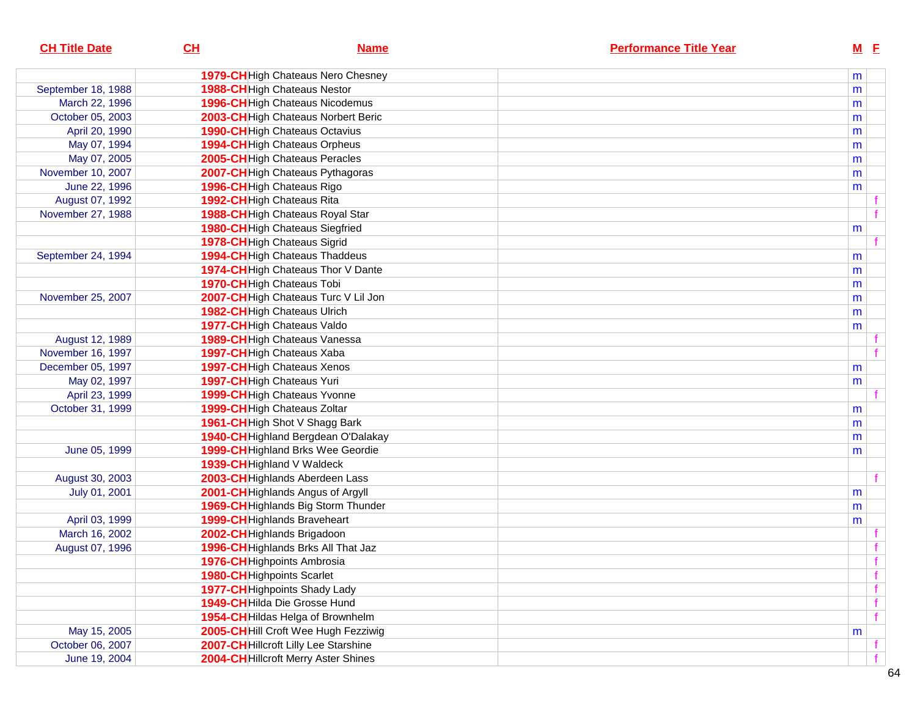| <b>CH Title Date</b> | CL                                    | <b>Name</b> | <b>Performance Title Year</b> |   | $M$ E |
|----------------------|---------------------------------------|-------------|-------------------------------|---|-------|
|                      | 1979-CH High Chateaus Nero Chesney    |             |                               | m |       |
| September 18, 1988   | 1988-CH High Chateaus Nestor          |             |                               | m |       |
| March 22, 1996       | 1996-CH High Chateaus Nicodemus       |             |                               | m |       |
| October 05, 2003     | 2003-CH High Chateaus Norbert Beric   |             |                               | m |       |
| April 20, 1990       | <b>1990-CH</b> High Chateaus Octavius |             |                               | m |       |
| May 07, 1994         | 1994-CH High Chateaus Orpheus         |             |                               | m |       |
| May 07, 2005         | 2005-CH High Chateaus Peracles        |             |                               | m |       |
| November 10, 2007    | 2007-CH High Chateaus Pythagoras      |             |                               | m |       |
| June 22, 1996        | 1996-CH High Chateaus Rigo            |             |                               | m |       |
| August 07, 1992      | 1992-CHHigh Chateaus Rita             |             |                               |   |       |
| November 27, 1988    | 1988-CH High Chateaus Royal Star      |             |                               |   |       |
|                      | 1980-CH High Chateaus Siegfried       |             |                               | m |       |
|                      | 1978-CHHigh Chateaus Sigrid           |             |                               |   |       |
| September 24, 1994   | 1994-CH High Chateaus Thaddeus        |             |                               | m |       |
|                      | 1974-CH High Chateaus Thor V Dante    |             |                               | m |       |
|                      | 1970-CH High Chateaus Tobi            |             |                               | m |       |
| November 25, 2007    | 2007-CH High Chateaus Turc V Lil Jon  |             |                               | m |       |
|                      | 1982-CH High Chateaus Ulrich          |             |                               | m |       |
|                      | 1977-CH High Chateaus Valdo           |             |                               | m |       |
| August 12, 1989      | 1989-CH High Chateaus Vanessa         |             |                               |   |       |
| November 16, 1997    | 1997-CHHigh Chateaus Xaba             |             |                               |   |       |
| December 05, 1997    | <b>1997-CH</b> High Chateaus Xenos    |             |                               | m |       |
| May 02, 1997         | 1997-CH High Chateaus Yuri            |             |                               | m |       |
| April 23, 1999       | 1999-CH High Chateaus Yvonne          |             |                               |   |       |
| October 31, 1999     | 1999-CH High Chateaus Zoltar          |             |                               | m |       |
|                      | 1961-CH High Shot V Shagg Bark        |             |                               | m |       |
|                      | 1940-CH Highland Bergdean O'Dalakay   |             |                               | m |       |
| June 05, 1999        | 1999-CH Highland Brks Wee Geordie     |             |                               | m |       |
|                      | 1939-CH Highland V Waldeck            |             |                               |   |       |
| August 30, 2003      | 2003-CH Highlands Aberdeen Lass       |             |                               |   |       |
| July 01, 2001        | 2001-CH Highlands Angus of Argyll     |             |                               | m |       |
|                      | 1969-CH Highlands Big Storm Thunder   |             |                               | m |       |
| April 03, 1999       | 1999-CH Highlands Braveheart          |             |                               | m |       |
| March 16, 2002       | 2002-CH Highlands Brigadoon           |             |                               |   |       |
| August 07, 1996      | 1996-CH Highlands Brks All That Jaz   |             |                               |   |       |
|                      | 1976-CH Highpoints Ambrosia           |             |                               |   | f     |
|                      | 1980-CH Highpoints Scarlet            |             |                               |   | f     |
|                      | 1977-CH Highpoints Shady Lady         |             |                               |   | f     |
|                      | 1949-CH Hilda Die Grosse Hund         |             |                               |   | f     |
|                      | 1954-CH Hildas Helga of Brownhelm     |             |                               |   | f     |
| May 15, 2005         | 2005-CH Hill Croft Wee Hugh Fezziwig  |             |                               | m |       |
| October 06, 2007     | 2007-CH Hillcroft Lilly Lee Starshine |             |                               |   |       |
| June 19, 2004        | 2004-CH Hillcroft Merry Aster Shines  |             |                               |   |       |
|                      |                                       |             |                               |   |       |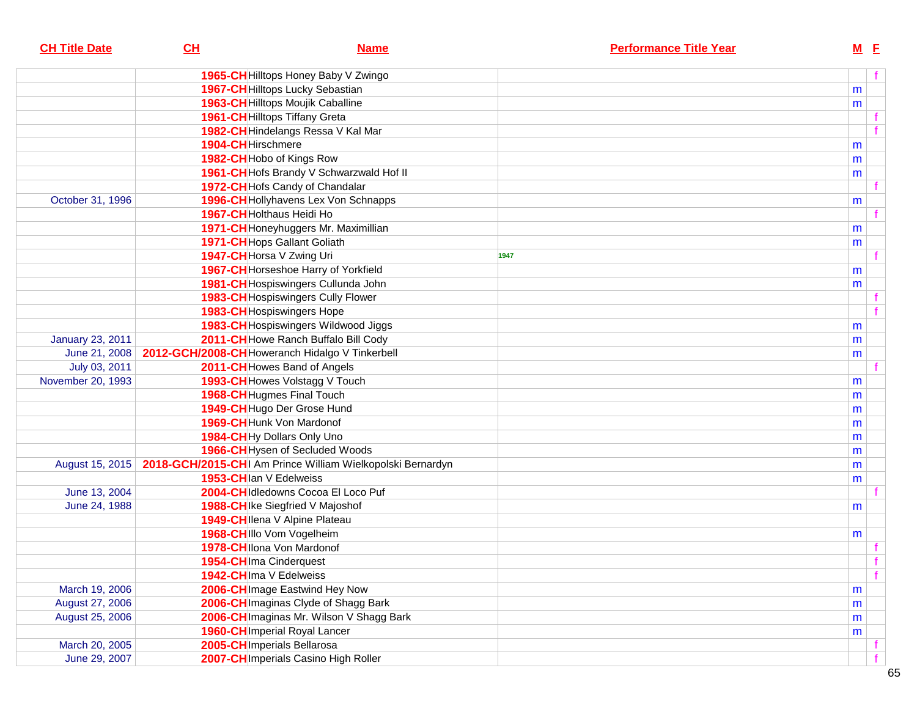| <b>CH Title Date</b>    | CL                                              | <b>Name</b>                                                | <b>Performance Title Year</b> | <b>M</b> E          |  |
|-------------------------|-------------------------------------------------|------------------------------------------------------------|-------------------------------|---------------------|--|
|                         |                                                 | 1965-CH Hilltops Honey Baby V Zwingo                       |                               | f                   |  |
|                         |                                                 | 1967-CH Hilltops Lucky Sebastian                           |                               | m                   |  |
|                         |                                                 | 1963-CH Hilltops Moujik Caballine                          |                               | m                   |  |
|                         |                                                 | <b>1961-CH</b> Hilltops Tiffany Greta                      |                               |                     |  |
|                         |                                                 | 1982-CH Hindelangs Ressa V Kal Mar                         |                               |                     |  |
|                         | 1904-CH Hirschmere                              |                                                            |                               | m                   |  |
|                         | 1982-CH Hobo of Kings Row                       |                                                            |                               | m                   |  |
|                         |                                                 | 1961-CH Hofs Brandy V Schwarzwald Hof II                   |                               | m                   |  |
|                         |                                                 | 1972-CH Hofs Candy of Chandalar                            |                               |                     |  |
| October 31, 1996        |                                                 | 1996-CH Hollyhavens Lex Von Schnapps                       |                               | m                   |  |
|                         | 1967-CH Holthaus Heidi Ho                       |                                                            |                               |                     |  |
|                         |                                                 | 1971-CH Honeyhuggers Mr. Maximillian                       |                               | m                   |  |
|                         |                                                 | 1971-CH Hops Gallant Goliath                               |                               | m                   |  |
|                         | 1947-CH Horsa V Zwing Uri                       |                                                            | 1947                          |                     |  |
|                         |                                                 | 1967-CH Horseshoe Harry of Yorkfield                       |                               | m                   |  |
|                         |                                                 | 1981-CH Hospiswingers Cullunda John                        |                               | m                   |  |
|                         |                                                 | 1983-CH Hospiswingers Cully Flower                         |                               |                     |  |
|                         |                                                 | 1983-CH Hospiswingers Hope                                 |                               |                     |  |
|                         |                                                 | 1983-CH Hospiswingers Wildwood Jiggs                       |                               | m                   |  |
| <b>January 23, 2011</b> |                                                 | 2011-CH Howe Ranch Buffalo Bill Cody                       |                               | m                   |  |
| June 21, 2008           | 2012-GCH/2008-CH Howeranch Hidalgo V Tinkerbell |                                                            |                               | m                   |  |
| July 03, 2011           |                                                 | 2011-CH Howes Band of Angels                               |                               |                     |  |
| November 20, 1993       |                                                 | 1993-CH Howes Volstagg V Touch                             |                               | m                   |  |
|                         |                                                 | 1968-CH Hugmes Final Touch                                 |                               | m                   |  |
|                         |                                                 | 1949-CH Hugo Der Grose Hund                                |                               | m                   |  |
|                         | 1969-CH Hunk Von Mardonof                       |                                                            |                               | m                   |  |
|                         |                                                 | 1984-CHHy Dollars Only Uno                                 |                               | m                   |  |
|                         |                                                 | 1966-CHHysen of Secluded Woods                             |                               | m                   |  |
| August 15, 2015         |                                                 | 2018-GCH/2015-CHI Am Prince William Wielkopolski Bernardyn |                               | m                   |  |
|                         | 1953-CH lan V Edelweiss                         |                                                            |                               | m                   |  |
| June 13, 2004           |                                                 | 2004-CH Idledowns Cocoa El Loco Puf                        |                               |                     |  |
| June 24, 1988           |                                                 | 1988-CH Ike Siegfried V Majoshof                           |                               | m                   |  |
|                         |                                                 | 1949-CH Ilena V Alpine Plateau                             |                               |                     |  |
|                         | 1968-CH IIIo Vom Vogelheim                      |                                                            |                               | m                   |  |
|                         | 1978-CH Ilona Von Mardonof                      |                                                            |                               |                     |  |
|                         | 1954-CH Ima Cinderquest                         |                                                            |                               | $\ddot{\mathbf{f}}$ |  |
|                         | 1942-CH Ima V Edelweiss                         |                                                            |                               |                     |  |
| March 19, 2006          |                                                 | 2006-CH Image Eastwind Hey Now                             |                               | m                   |  |
| August 27, 2006         |                                                 | 2006-CH Imaginas Clyde of Shagg Bark                       |                               | m                   |  |
| August 25, 2006         |                                                 | 2006-CH Imaginas Mr. Wilson V Shagg Bark                   |                               | m                   |  |
|                         |                                                 | <b>1960-CH</b> Imperial Royal Lancer                       |                               | m                   |  |
| March 20, 2005          | 2005-CH Imperials Bellarosa                     |                                                            |                               |                     |  |
| June 29, 2007           |                                                 | 2007-CH Imperials Casino High Roller                       |                               |                     |  |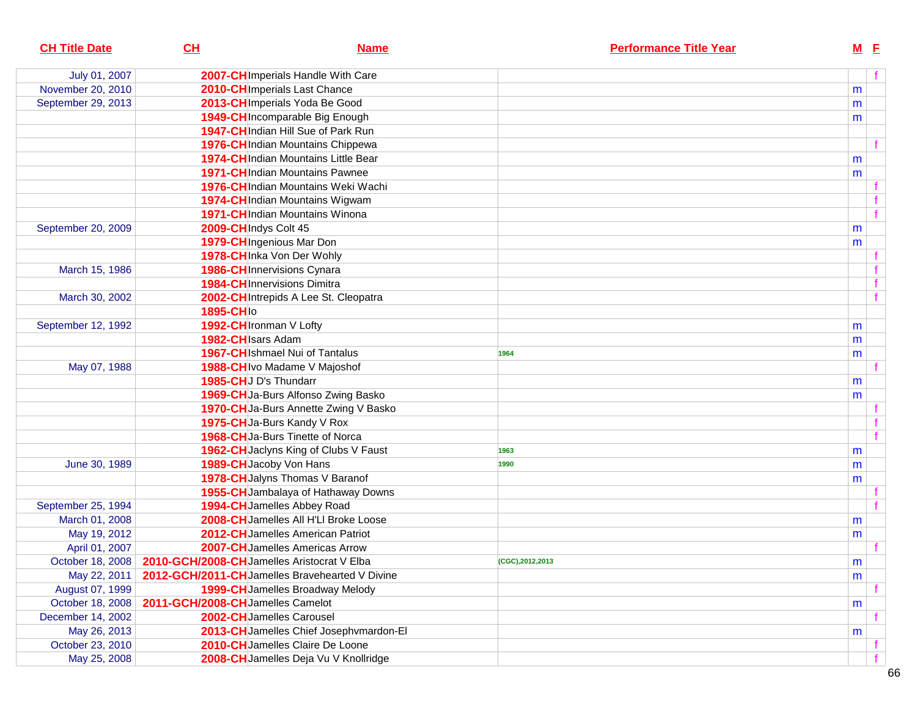| <b>CH Title Date</b> | CL                               | <b>Name</b>                                                    | <b>Performance Title Year</b> | $M$ E     |  |
|----------------------|----------------------------------|----------------------------------------------------------------|-------------------------------|-----------|--|
| July 01, 2007        |                                  | 2007-CH Imperials Handle With Care                             |                               |           |  |
| November 20, 2010    |                                  | 2010-CH Imperials Last Chance                                  |                               | m         |  |
| September 29, 2013   |                                  | 2013-CH Imperials Yoda Be Good                                 |                               | m         |  |
|                      |                                  | 1949-CH Incomparable Big Enough                                |                               | m         |  |
|                      |                                  | 1947-CH Indian Hill Sue of Park Run                            |                               |           |  |
|                      |                                  | 1976-CH Indian Mountains Chippewa                              |                               |           |  |
|                      |                                  | 1974-CH Indian Mountains Little Bear                           |                               | m         |  |
|                      |                                  | <b>1971-CH</b> Indian Mountains Pawnee                         |                               | m         |  |
|                      |                                  | 1976-CH Indian Mountains Weki Wachi                            |                               |           |  |
|                      |                                  | 1974-CH Indian Mountains Wigwam                                |                               |           |  |
|                      |                                  | 1971-CH Indian Mountains Winona                                |                               |           |  |
| September 20, 2009   |                                  | 2009-CH Indys Colt 45                                          |                               | m         |  |
|                      |                                  | 1979-CH Ingenious Mar Don                                      |                               | m         |  |
|                      |                                  | 1978-CH Inka Von Der Wohly                                     |                               |           |  |
| March 15, 1986       |                                  | <b>1986-CH</b> Innervisions Cynara                             |                               |           |  |
|                      |                                  | <b>1984-CH</b> Innervisions Dimitra                            |                               |           |  |
| March 30, 2002       |                                  | 2002-CH Intrepids A Lee St. Cleopatra                          |                               |           |  |
|                      | 1895-CHIo                        |                                                                |                               |           |  |
| September 12, 1992   |                                  | 1992-CH Ironman V Lofty                                        |                               | m         |  |
|                      |                                  | 1982-CH Isars Adam                                             |                               | m         |  |
|                      |                                  | 1967-CH Ishmael Nui of Tantalus                                | 1964                          | m         |  |
| May 07, 1988         |                                  | 1988-CH Ivo Madame V Majoshof                                  |                               |           |  |
|                      |                                  | 1985-CHU D's Thundarr                                          |                               | m         |  |
|                      |                                  | 1969-CH Ja-Burs Alfonso Zwing Basko                            |                               | m         |  |
|                      |                                  | 1970-CH Ja-Burs Annette Zwing V Basko                          |                               |           |  |
|                      |                                  | 1975-CHJa-Burs Kandy V Rox                                     |                               |           |  |
|                      |                                  | 1968-CHJa-Burs Tinette of Norca                                |                               |           |  |
|                      |                                  | 1962-CH Jaclyns King of Clubs V Faust                          | 1963                          | m         |  |
| June 30, 1989        |                                  | 1989-CH Jacoby Von Hans                                        | 1990                          | m         |  |
|                      |                                  | 1978-CH Jalyns Thomas V Baranof                                |                               | m         |  |
|                      |                                  | 1955-CH Jambalaya of Hathaway Downs                            |                               |           |  |
| September 25, 1994   |                                  | 1994-CH Jamelles Abbey Road                                    |                               |           |  |
| March 01, 2008       |                                  | 2008-CH Jamelles All H'Ll Broke Loose                          |                               | m         |  |
| May 19, 2012         |                                  | 2012-CH Jamelles American Patriot                              |                               | m         |  |
| April 01, 2007       |                                  | 2007-CHJamelles Americas Arrow                                 |                               |           |  |
|                      |                                  | October 18, 2008   2010-GCH/2008-CH Jamelles Aristocrat V Elba | (CGC), 2012, 2013             | ${\sf m}$ |  |
| May 22, 2011         |                                  | 2012-GCH/2011-CHJamelles Bravehearted V Divine                 |                               | m         |  |
| August 07, 1999      |                                  | 1999-CH Jamelles Broadway Melody                               |                               |           |  |
| October 18, 2008     | 2011-GCH/2008-CHJamelles Camelot |                                                                |                               | m         |  |
| December 14, 2002    |                                  | 2002-CH Jamelles Carousel                                      |                               |           |  |
| May 26, 2013         |                                  | 2013-CH Jamelles Chief Josephymardon-El                        |                               | m         |  |
| October 23, 2010     |                                  | 2010-CH Jamelles Claire De Loone                               |                               |           |  |
| May 25, 2008         |                                  | 2008-CHJamelles Deja Vu V Knollridge                           |                               |           |  |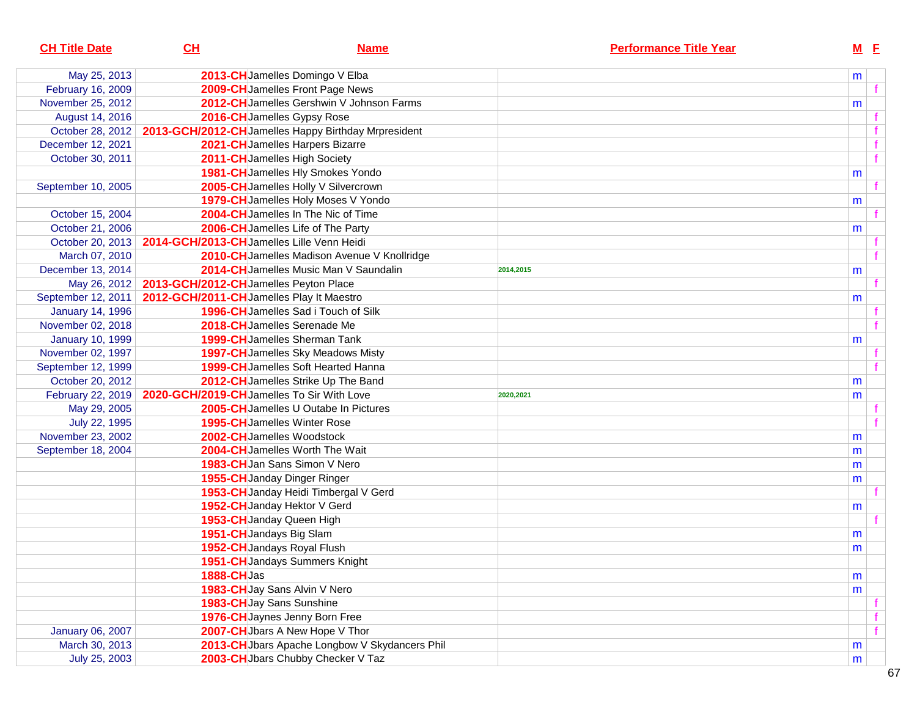| <b>CH Title Date</b>    | CL                                                           | <b>Name</b>                                                             | <b>Performance Title Year</b> |   | $M$ E |
|-------------------------|--------------------------------------------------------------|-------------------------------------------------------------------------|-------------------------------|---|-------|
| May 25, 2013            |                                                              | 2013-CHJamelles Domingo V Elba                                          |                               | m |       |
| February 16, 2009       |                                                              | 2009-CH Jamelles Front Page News                                        |                               |   |       |
| November 25, 2012       |                                                              | 2012-CHJamelles Gershwin V Johnson Farms                                |                               | m |       |
| August 14, 2016         |                                                              | 2016-CH Jamelles Gypsy Rose                                             |                               |   |       |
|                         |                                                              | October 28, 2012   2013-GCH/2012-CH Jamelles Happy Birthday Mrpresident |                               |   |       |
| December 12, 2021       |                                                              | 2021-CHJamelles Harpers Bizarre                                         |                               |   |       |
| October 30, 2011        |                                                              | 2011-CH Jamelles High Society                                           |                               |   |       |
|                         |                                                              | 1981-CH Jamelles Hly Smokes Yondo                                       |                               | m |       |
| September 10, 2005      |                                                              | 2005-CH Jamelles Holly V Silvercrown                                    |                               |   |       |
|                         |                                                              | 1979-CH Jamelles Holy Moses V Yondo                                     |                               | m |       |
| October 15, 2004        |                                                              | 2004-CHJamelles In The Nic of Time                                      |                               |   |       |
| October 21, 2006        |                                                              | 2006-CHJamelles Life of The Party                                       |                               | m |       |
|                         | October 20, 2013   2014-GCH/2013-CHJamelles Lille Venn Heidi |                                                                         |                               |   |       |
| March 07, 2010          |                                                              | 2010-CH Jamelles Madison Avenue V Knollridge                            |                               |   |       |
| December 13, 2014       |                                                              | 2014-CH Jamelles Music Man V Saundalin                                  | 2014,2015                     | m |       |
|                         | May 26, 2012   2013-GCH/2012-CH Jamelles Peyton Place        |                                                                         |                               |   |       |
| September 12, 2011      | 2012-GCH/2011-CHJamelles Play It Maestro                     |                                                                         |                               | m |       |
| <b>January 14, 1996</b> |                                                              | 1996-CH Jamelles Sad i Touch of Silk                                    |                               |   |       |
| November 02, 2018       |                                                              | 2018-CH Jamelles Serenade Me                                            |                               |   |       |
| <b>January 10, 1999</b> |                                                              | <b>1999-CH</b> Jamelles Sherman Tank                                    |                               | m |       |
| November 02, 1997       |                                                              | 1997-CH Jamelles Sky Meadows Misty                                      |                               |   |       |
| September 12, 1999      |                                                              | 1999-CH Jamelles Soft Hearted Hanna                                     |                               |   |       |
| October 20, 2012        |                                                              | 2012-CH Jamelles Strike Up The Band                                     |                               | m |       |
| February 22, 2019       | 2020-GCH/2019-CHJamelles To Sir With Love                    |                                                                         | 2020,2021                     | m |       |
| May 29, 2005            |                                                              | 2005-CHJamelles U Outabe In Pictures                                    |                               |   |       |
| July 22, 1995           |                                                              | <b>1995-CH</b> Jamelles Winter Rose                                     |                               |   |       |
| November 23, 2002       |                                                              | 2002-CH Jamelles Woodstock                                              |                               | m |       |
| September 18, 2004      |                                                              | 2004-CH Jamelles Worth The Wait                                         |                               | m |       |
|                         |                                                              | 1983-CH Jan Sans Simon V Nero                                           |                               | m |       |
|                         |                                                              | 1955-CH Janday Dinger Ringer                                            |                               | m |       |
|                         |                                                              | 1953-CH Janday Heidi Timbergal V Gerd                                   |                               |   |       |
|                         |                                                              | 1952-CH Janday Hektor V Gerd                                            |                               | m |       |
|                         |                                                              | 1953-CH Janday Queen High                                               |                               |   |       |
|                         |                                                              | 1951-CHJandays Big Slam                                                 |                               | m |       |
|                         |                                                              | 1952-CH Jandays Royal Flush                                             |                               | m |       |
|                         |                                                              | 1951-CH Jandays Summers Knight                                          |                               |   |       |
|                         | <b>1888-CHJas</b>                                            |                                                                         |                               | m |       |
|                         |                                                              | 1983-CH Jay Sans Alvin V Nero                                           |                               | m |       |
|                         |                                                              | 1983-CH Jay Sans Sunshine                                               |                               |   |       |
|                         |                                                              | 1976-CH Jaynes Jenny Born Free                                          |                               |   |       |
| <b>January 06, 2007</b> |                                                              | 2007-CH Jbars A New Hope V Thor                                         |                               |   |       |
| March 30, 2013          |                                                              | 2013-CH Jbars Apache Longbow V Skydancers Phil                          |                               | m |       |
| July 25, 2003           |                                                              | 2003-CH Jbars Chubby Checker V Taz                                      |                               | m |       |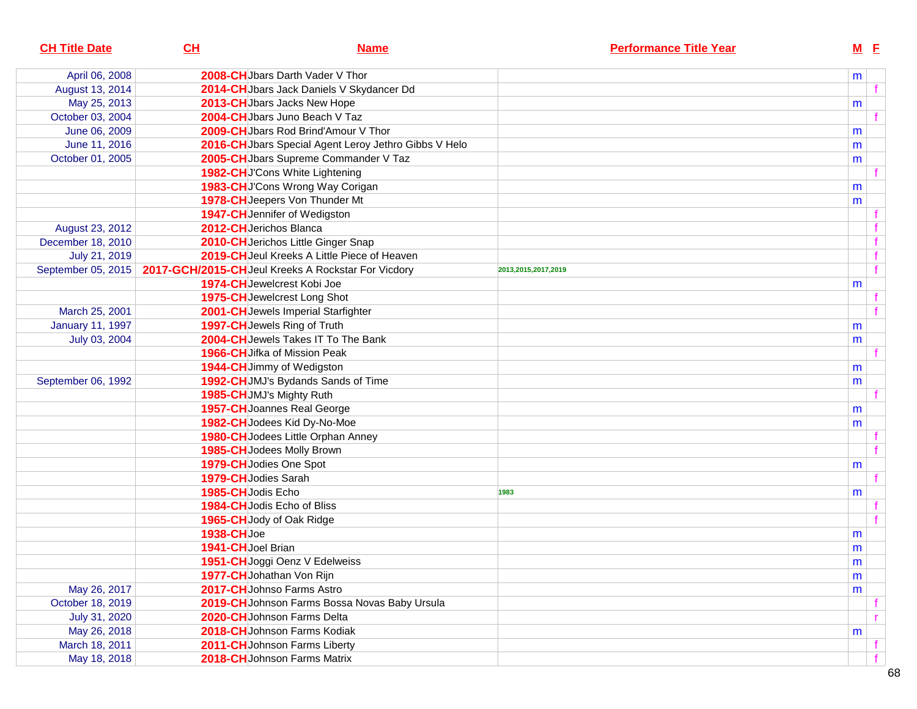| <b>CH Title Date</b>    | CH                | <b>Name</b>                                           | <b>Performance Title Year</b> |   | $M$ E |              |
|-------------------------|-------------------|-------------------------------------------------------|-------------------------------|---|-------|--------------|
| April 06, 2008          |                   | 2008-CHUbars Darth Vader V Thor                       |                               | m |       |              |
| August 13, 2014         |                   | 2014-CHJbars Jack Daniels V Skydancer Dd              |                               |   |       | $\mathbf{f}$ |
| May 25, 2013            |                   | 2013-CH Jbars Jacks New Hope                          |                               | m |       |              |
| October 03, 2004        |                   | 2004-CHJbars Juno Beach V Taz                         |                               |   |       |              |
| June 06, 2009           |                   | 2009-CHJbars Rod Brind'Amour V Thor                   |                               | m |       |              |
| June 11, 2016           |                   | 2016-CH Jbars Special Agent Leroy Jethro Gibbs V Helo |                               | m |       |              |
| October 01, 2005        |                   | 2005-CH Jbars Supreme Commander V Taz                 |                               | m |       |              |
|                         |                   | 1982-CHUCons White Lightening                         |                               |   |       |              |
|                         |                   | 1983-CHJ'Cons Wrong Way Corigan                       |                               | m |       |              |
|                         |                   | 1978-CH Jeepers Von Thunder Mt                        |                               | m |       |              |
|                         |                   | 1947-CHJennifer of Wedigston                          |                               |   |       |              |
| August 23, 2012         |                   | 2012-CHJerichos Blanca                                |                               |   |       |              |
| December 18, 2010       |                   | 2010-CH Jerichos Little Ginger Snap                   |                               |   |       |              |
| July 21, 2019           |                   | 2019-CH Jeul Kreeks A Little Piece of Heaven          |                               |   |       |              |
| September 05, 2015      |                   | 2017-GCH/2015-CH Jeul Kreeks A Rockstar For Vicdory   | 2013,2015,2017,2019           |   |       |              |
|                         |                   | 1974-CH Jewelcrest Kobi Joe                           |                               | m |       |              |
|                         |                   | <b>1975-CH</b> Jewelcrest Long Shot                   |                               |   |       |              |
| March 25, 2001          |                   | 2001-CH Jewels Imperial Starfighter                   |                               |   |       |              |
| <b>January 11, 1997</b> |                   | 1997-CH Jewels Ring of Truth                          |                               | m |       |              |
| July 03, 2004           |                   | 2004-CH Jewels Takes IT To The Bank                   |                               | m |       |              |
|                         |                   | <b>1966-CH</b> Jifka of Mission Peak                  |                               |   |       |              |
|                         |                   | 1944-CH Jimmy of Wedigston                            |                               | m |       |              |
| September 06, 1992      |                   | 1992-CHJMJ's Bydands Sands of Time                    |                               | m |       |              |
|                         |                   | 1985-CH JMJ's Mighty Ruth                             |                               |   |       |              |
|                         |                   | 1957-CH Joannes Real George                           |                               | m |       |              |
|                         |                   | 1982-CH Jodees Kid Dy-No-Moe                          |                               | m |       |              |
|                         |                   | 1980-CH Jodees Little Orphan Anney                    |                               |   |       |              |
|                         |                   | 1985-CH Jodees Molly Brown                            |                               |   |       |              |
|                         |                   | 1979-CH Jodies One Spot                               |                               | m |       |              |
|                         |                   | 1979-CH Jodies Sarah                                  |                               |   |       |              |
|                         |                   | 1985-CHJodis Echo                                     | 1983                          | m |       |              |
|                         |                   | 1984-CH Jodis Echo of Bliss                           |                               |   |       |              |
|                         |                   | 1965-CH Jody of Oak Ridge                             |                               |   |       |              |
|                         | <b>1938-CHJoe</b> |                                                       |                               | m |       |              |
|                         |                   | 1941-CH Joel Brian                                    |                               | m |       |              |
|                         |                   | 1951-CH Joggi Oenz V Edelweiss                        |                               | m |       |              |
|                         |                   | 1977-CH Johathan Von Rijn                             |                               | m |       |              |
| May 26, 2017            |                   | 2017-CH Johnso Farms Astro                            |                               | m |       |              |
| October 18, 2019        |                   | 2019-CH Johnson Farms Bossa Novas Baby Ursula         |                               |   |       |              |
| July 31, 2020           |                   | 2020-CHJohnson Farms Delta                            |                               |   |       |              |
| May 26, 2018            |                   | 2018-CH Johnson Farms Kodiak                          |                               | m |       |              |
| March 18, 2011          |                   | 2011-CH Johnson Farms Liberty                         |                               |   |       |              |
| May 18, 2018            |                   | 2018-CHJohnson Farms Matrix                           |                               |   |       |              |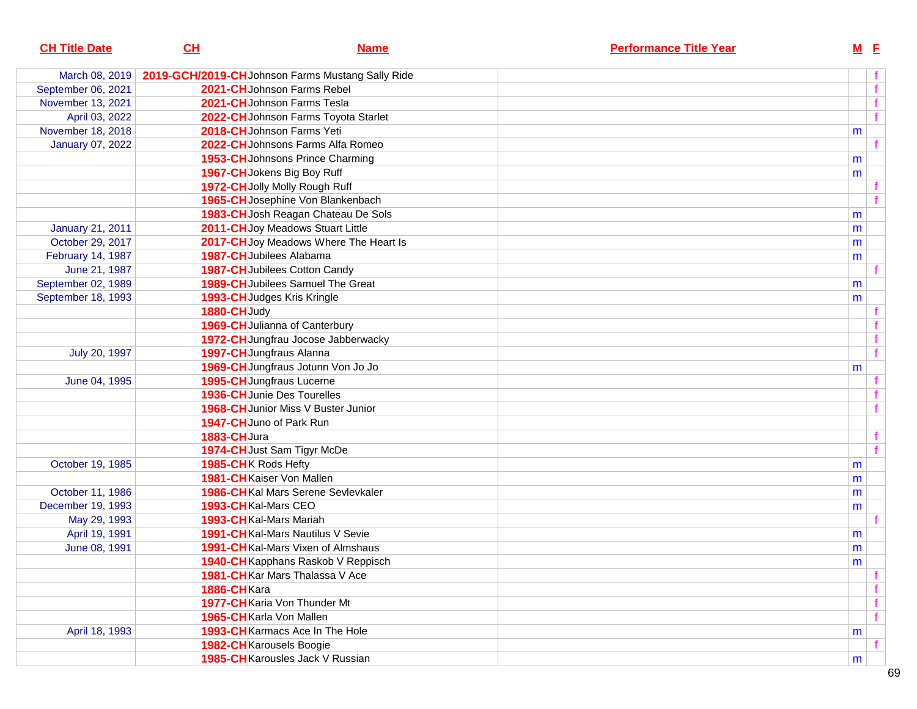| <b>CH Title Date</b>    | CL                                                | <b>Name</b>                           | <b>Performance Title Year</b> |   | $M$ E |
|-------------------------|---------------------------------------------------|---------------------------------------|-------------------------------|---|-------|
| March 08, 2019          | 2019-GCH/2019-CH Johnson Farms Mustang Sally Ride |                                       |                               |   |       |
| September 06, 2021      | 2021-CH Johnson Farms Rebel                       |                                       |                               |   |       |
| November 13, 2021       | 2021-CH Johnson Farms Tesla                       |                                       |                               |   |       |
| April 03, 2022          |                                                   | 2022-CH Johnson Farms Toyota Starlet  |                               |   |       |
| November 18, 2018       | 2018-CHJohnson Farms Yeti                         |                                       |                               | m |       |
| <b>January 07, 2022</b> |                                                   | 2022-CHJohnsons Farms Alfa Romeo      |                               |   |       |
|                         |                                                   | 1953-CH Johnsons Prince Charming      |                               | m |       |
|                         | 1967-CH Jokens Big Boy Ruff                       |                                       |                               | m |       |
|                         | 1972-CH Jolly Molly Rough Ruff                    |                                       |                               |   |       |
|                         |                                                   | 1965-CH Josephine Von Blankenbach     |                               |   |       |
|                         |                                                   | 1983-CH Josh Reagan Chateau De Sols   |                               | m |       |
| <b>January 21, 2011</b> |                                                   | 2011-CH Joy Meadows Stuart Little     |                               | m |       |
| October 29, 2017        |                                                   | 2017-CHJoy Meadows Where The Heart Is |                               | m |       |
| February 14, 1987       | 1987-CH Jubilees Alabama                          |                                       |                               | m |       |
| June 21, 1987           | <b>1987-CH</b> Jubilees Cotton Candy              |                                       |                               |   |       |
| September 02, 1989      |                                                   | 1989-CH Jubilees Samuel The Great     |                               | m |       |
| September 18, 1993      | 1993-CH Judges Kris Kringle                       |                                       |                               | m |       |
|                         | 1880-CHJudy                                       |                                       |                               |   |       |
|                         | 1969-CH Julianna of Canterbury                    |                                       |                               |   |       |
|                         |                                                   | 1972-CH Jungfrau Jocose Jabberwacky   |                               |   |       |
| July 20, 1997           | 1997-CH Jungfraus Alanna                          |                                       |                               |   |       |
|                         |                                                   | 1969-CH Jungfraus Jotunn Von Jo Jo    |                               | m |       |
| June 04, 1995           | 1995-CH Jungfraus Lucerne                         |                                       |                               |   |       |
|                         | <b>1936-CH</b> Junie Des Tourelles                |                                       |                               |   |       |
|                         |                                                   | 1968-CH Junior Miss V Buster Junior   |                               |   |       |
|                         | 1947-CHJuno of Park Run                           |                                       |                               |   |       |
|                         | 1883-CHJura                                       |                                       |                               |   |       |
|                         | 1974-CH Just Sam Tigyr McDe                       |                                       |                               |   |       |
| October 19, 1985        | 1985-CHK Rods Hefty                               |                                       |                               | m |       |
|                         | 1981-CH Kaiser Von Mallen                         |                                       |                               | m |       |
| October 11, 1986        |                                                   | 1986-CHKal Mars Serene Sevlevkaler    |                               | m |       |
| December 19, 1993       | 1993-CH Kal-Mars CEO                              |                                       |                               | m |       |
| May 29, 1993            | 1993-CHKal-Mars Mariah                            |                                       |                               |   |       |
| April 19, 1991          |                                                   | 1991-CHKal-Mars Nautilus V Sevie      |                               | m |       |
| June 08, 1991           |                                                   | 1991-CHKal-Mars Vixen of Almshaus     |                               | m |       |
|                         |                                                   | 1940-CH Kapphans Raskob V Reppisch    |                               | m |       |
|                         |                                                   | 1981-CHKar Mars Thalassa V Ace        |                               |   | f     |
|                         | 1886-CHKara                                       |                                       |                               |   | f     |
|                         | 1977-CH Karia Von Thunder Mt                      |                                       |                               |   | f     |
|                         | 1965-CH Karla Von Mallen                          |                                       |                               |   | f     |
| April 18, 1993          |                                                   | 1993-CH Karmacs Ace In The Hole       |                               | m |       |
|                         | 1982-CHKarousels Boogie                           |                                       |                               |   |       |
|                         |                                                   | 1985-CHKarousles Jack V Russian       |                               | m |       |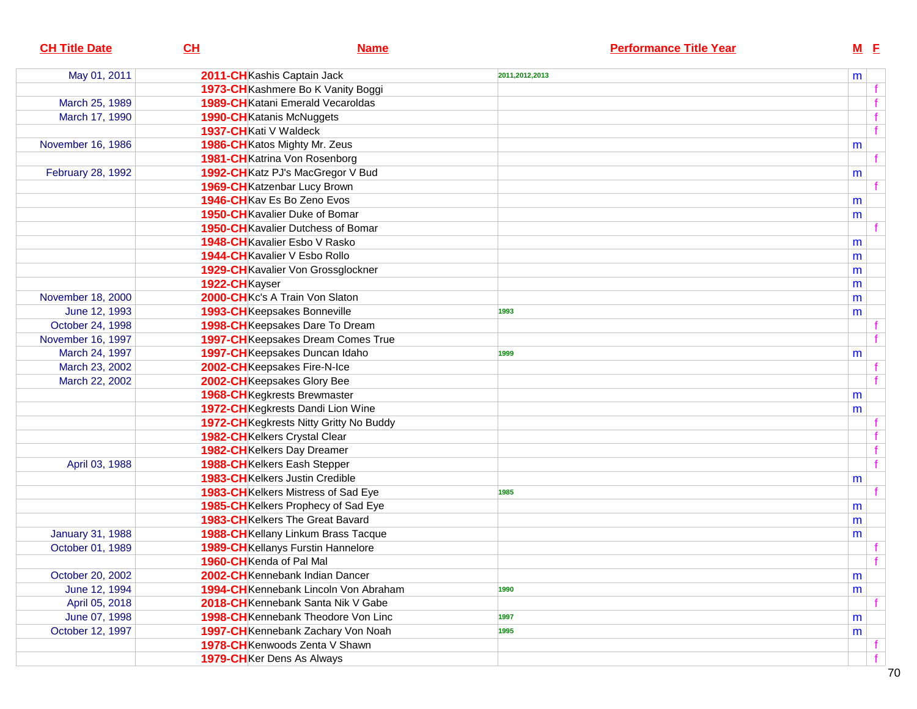| <b>CH Title Date</b>    | CL<br><b>Name</b>                         | <b>Performance Title Year</b> | $M$ E |  |
|-------------------------|-------------------------------------------|-------------------------------|-------|--|
| May 01, 2011            | 2011-CH Kashis Captain Jack               | 2011,2012,2013                | m     |  |
|                         | 1973-CH Kashmere Bo K Vanity Boggi        |                               |       |  |
| March 25, 1989          | <b>1989-CH</b> Katani Emerald Vecaroldas  |                               |       |  |
| March 17, 1990          | 1990-CH Katanis McNuggets                 |                               |       |  |
|                         | 1937-CH Kati V Waldeck                    |                               | f     |  |
| November 16, 1986       | 1986-CH Katos Mighty Mr. Zeus             |                               | m     |  |
|                         | 1981-CH Katrina Von Rosenborg             |                               |       |  |
| February 28, 1992       | 1992-CH Katz PJ's MacGregor V Bud         |                               | m     |  |
|                         | 1969-CH Katzenbar Lucy Brown              |                               |       |  |
|                         | 1946-CH Kav Es Bo Zeno Evos               |                               | m     |  |
|                         | <b>1950-CH</b> Kavalier Duke of Bomar     |                               | m     |  |
|                         | <b>1950-CH</b> Kavalier Dutchess of Bomar |                               |       |  |
|                         | 1948-CH Kavalier Esbo V Rasko             |                               | m     |  |
|                         | 1944-CH Kavalier V Esbo Rollo             |                               | m     |  |
|                         | 1929-CHKavalier Von Grossglockner         |                               | m     |  |
|                         | 1922-CHKayser                             |                               | m     |  |
| November 18, 2000       | 2000-CHKc's A Train Von Slaton            |                               | m     |  |
| June 12, 1993           | 1993-CHKeepsakes Bonneville               | 1993                          | m     |  |
| October 24, 1998        | 1998-CHKeepsakes Dare To Dream            |                               |       |  |
| November 16, 1997       | 1997-CH Keepsakes Dream Comes True        |                               |       |  |
| March 24, 1997          | 1997-CHKeepsakes Duncan Idaho             | 1999                          | m     |  |
| March 23, 2002          | 2002-CHKeepsakes Fire-N-Ice               |                               |       |  |
| March 22, 2002          | 2002-CHKeepsakes Glory Bee                |                               |       |  |
|                         | <b>1968-CH</b> Kegkrests Brewmaster       |                               | m     |  |
|                         | 1972-CHKegkrests Dandi Lion Wine          |                               | m     |  |
|                         | 1972-CH Kegkrests Nitty Gritty No Buddy   |                               |       |  |
|                         | 1982-CHKelkers Crystal Clear              |                               |       |  |
|                         | 1982-CHKelkers Day Dreamer                |                               | f     |  |
| April 03, 1988          | 1988-CHKelkers Eash Stepper               |                               | f     |  |
|                         | <b>1983-CH</b> Kelkers Justin Credible    |                               | m     |  |
|                         | 1983-CHKelkers Mistress of Sad Eye        | 1985                          |       |  |
|                         | 1985-CH Kelkers Prophecy of Sad Eye       |                               | m     |  |
|                         | 1983-CHKelkers The Great Bavard           |                               | m     |  |
| <b>January 31, 1988</b> | 1988-CHKellany Linkum Brass Tacque        |                               | m     |  |
| October 01, 1989        | <b>1989-CH</b> Kellanys Furstin Hannelore |                               |       |  |
|                         | 1960-CH Kenda of Pal Mal                  |                               |       |  |
| October 20, 2002        | 2002-CHKennebank Indian Dancer            |                               | m     |  |
| June 12, 1994           | 1994-CHKennebank Lincoln Von Abraham      | 1990                          | m     |  |
| April 05, 2018          | 2018-CHKennebank Santa Nik V Gabe         |                               |       |  |
| June 07, 1998           | 1998-CH Kennebank Theodore Von Linc       | 1997                          | m     |  |
| October 12, 1997        | 1997-CHKennebank Zachary Von Noah         | 1995                          | m     |  |
|                         | 1978-CHKenwoods Zenta V Shawn             |                               |       |  |
|                         | 1979-CHKer Dens As Always                 |                               |       |  |
|                         |                                           |                               |       |  |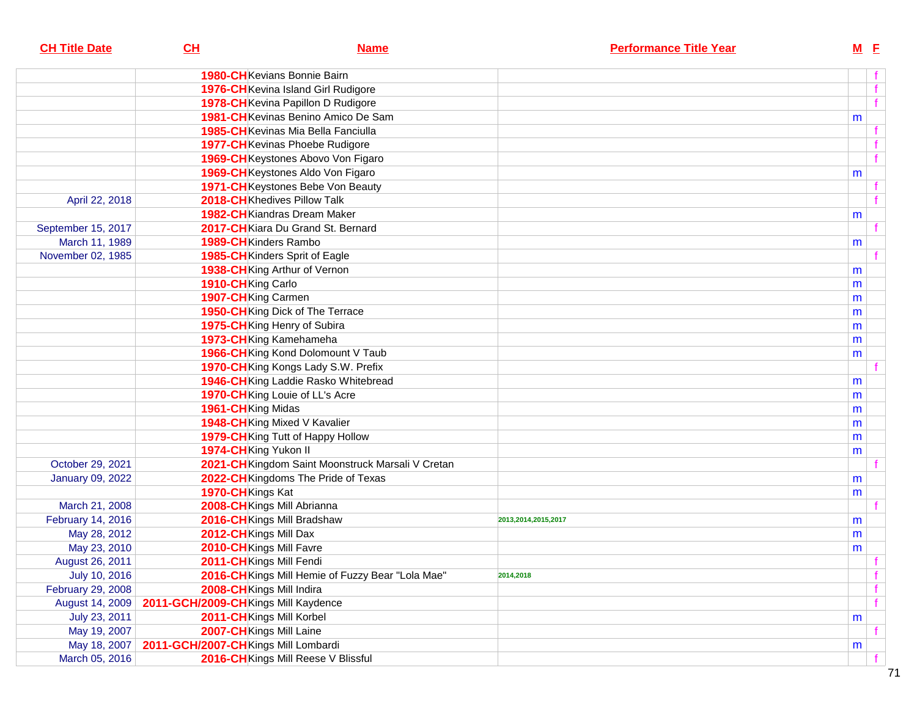| <b>CH Title Date</b>    | CL                                  | <b>Name</b>                                       | <b>Performance Title Year</b> |   | $M$ E |
|-------------------------|-------------------------------------|---------------------------------------------------|-------------------------------|---|-------|
|                         |                                     | <b>1980-CH</b> Kevians Bonnie Bairn               |                               |   |       |
|                         |                                     | 1976-CH Kevina Island Girl Rudigore               |                               |   |       |
|                         |                                     | 1978-CH Kevina Papillon D Rudigore                |                               |   |       |
|                         |                                     | 1981-CH Kevinas Benino Amico De Sam               |                               | m |       |
|                         |                                     | 1985-CHKevinas Mia Bella Fanciulla                |                               |   |       |
|                         |                                     | 1977-CHKevinas Phoebe Rudigore                    |                               |   |       |
|                         |                                     | 1969-CHKeystones Abovo Von Figaro                 |                               |   |       |
|                         |                                     | 1969-CHKeystones Aldo Von Figaro                  |                               | m |       |
|                         |                                     | 1971-CH Keystones Bebe Von Beauty                 |                               |   |       |
| April 22, 2018          |                                     | 2018-CHKhedives Pillow Talk                       |                               |   |       |
|                         |                                     | 1982-CH Kiandras Dream Maker                      |                               | m |       |
| September 15, 2017      |                                     | 2017-CHKiara Du Grand St. Bernard                 |                               |   |       |
| March 11, 1989          |                                     | 1989-CH Kinders Rambo                             |                               | m |       |
| November 02, 1985       |                                     | 1985-CH Kinders Sprit of Eagle                    |                               |   |       |
|                         |                                     | 1938-CH King Arthur of Vernon                     |                               | m |       |
|                         | 1910-CH King Carlo                  |                                                   |                               | m |       |
|                         | 1907-CH King Carmen                 |                                                   |                               | m |       |
|                         |                                     | 1950-CH King Dick of The Terrace                  |                               | m |       |
|                         |                                     | 1975-CH King Henry of Subira                      |                               | m |       |
|                         |                                     | 1973-CH King Kamehameha                           |                               | m |       |
|                         |                                     | 1966-CH King Kond Dolomount V Taub                |                               | m |       |
|                         |                                     | 1970-CH King Kongs Lady S.W. Prefix               |                               |   |       |
|                         |                                     | 1946-CH King Laddie Rasko Whitebread              |                               | m |       |
|                         |                                     | 1970-CH King Louie of LL's Acre                   |                               | m |       |
|                         | 1961-CH King Midas                  |                                                   |                               | m |       |
|                         |                                     | 1948-CH King Mixed V Kavalier                     |                               | m |       |
|                         |                                     | 1979-CH King Tutt of Happy Hollow                 |                               | m |       |
|                         | 1974-CH King Yukon II               |                                                   |                               | m |       |
| October 29, 2021        |                                     | 2021-CH Kingdom Saint Moonstruck Marsali V Cretan |                               |   |       |
| <b>January 09, 2022</b> |                                     | 2022-CHKingdoms The Pride of Texas                |                               | m |       |
|                         | 1970-CHKings Kat                    |                                                   |                               | m |       |
| March 21, 2008          |                                     | 2008-CH Kings Mill Abrianna                       |                               |   |       |
| February 14, 2016       |                                     | 2016-CH Kings Mill Bradshaw                       | 2013,2014,2015,2017           | m |       |
| May 28, 2012            | 2012-CHKings Mill Dax               |                                                   |                               | m |       |
| May 23, 2010            |                                     | 2010-CHKings Mill Favre                           |                               | m |       |
| August 26, 2011         |                                     | 2011-CHKings Mill Fendi                           |                               |   |       |
| July 10, 2016           |                                     | 2016-CH Kings Mill Hemie of Fuzzy Bear "Lola Mae" | 2014,2018                     |   |       |
| February 29, 2008       |                                     | 2008-CHKings Mill Indira                          |                               |   |       |
| August 14, 2009         | 2011-GCH/2009-CHKings Mill Kaydence |                                                   |                               |   |       |
| July 23, 2011           |                                     | 2011-CHKings Mill Korbel                          |                               | m |       |
| May 19, 2007            |                                     | 2007-CHKings Mill Laine                           |                               |   |       |
| May 18, 2007            | 2011-GCH/2007-CHKings Mill Lombardi |                                                   |                               | m |       |
| March 05, 2016          |                                     | 2016-CH Kings Mill Reese V Blissful               |                               |   |       |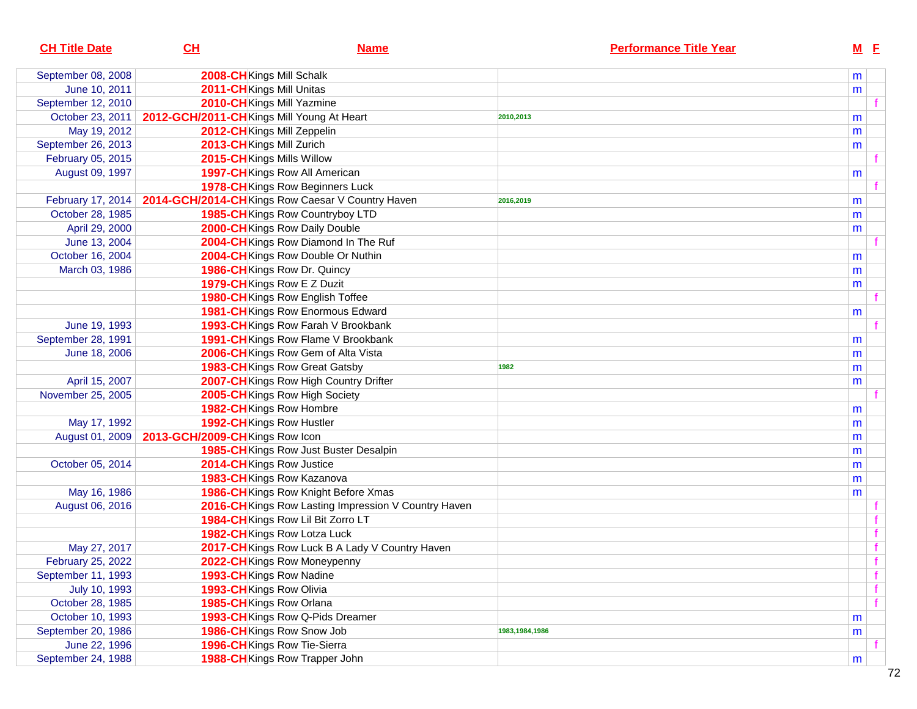| <b>CH Title Date</b> | CL                                        | <b>Name</b>                                          | <b>Performance Title Year</b> | $M$ E |   |
|----------------------|-------------------------------------------|------------------------------------------------------|-------------------------------|-------|---|
| September 08, 2008   | 2008-CHKings Mill Schalk                  |                                                      |                               | m     |   |
| June 10, 2011        | 2011-CH Kings Mill Unitas                 |                                                      |                               | m     |   |
| September 12, 2010   | 2010-CHKings Mill Yazmine                 |                                                      |                               |       |   |
| October 23, 2011     | 2012-GCH/2011-CHKings Mill Young At Heart |                                                      | 2010,2013                     | m     |   |
| May 19, 2012         | 2012-CH Kings Mill Zeppelin               |                                                      |                               | m     |   |
| September 26, 2013   | 2013-CH Kings Mill Zurich                 |                                                      |                               | m     |   |
| February 05, 2015    | 2015-CHKings Mills Willow                 |                                                      |                               |       |   |
| August 09, 1997      |                                           | 1997-CHKings Row All American                        |                               | m     |   |
|                      |                                           | 1978-CHKings Row Beginners Luck                      |                               |       |   |
| February 17, 2014    |                                           | 2014-GCH/2014-CHKings Row Caesar V Country Haven     | 2016,2019                     | m     |   |
| October 28, 1985     |                                           | 1985-CH Kings Row Countryboy LTD                     |                               | m     |   |
| April 29, 2000       |                                           | 2000-CH Kings Row Daily Double                       |                               | m     |   |
| June 13, 2004        |                                           | 2004-CHKings Row Diamond In The Ruf                  |                               |       |   |
| October 16, 2004     |                                           | 2004-CH Kings Row Double Or Nuthin                   |                               | m     |   |
| March 03, 1986       |                                           | 1986-CH Kings Row Dr. Quincy                         |                               | m     |   |
|                      |                                           | 1979-CH Kings Row E Z Duzit                          |                               | m     |   |
|                      |                                           | 1980-CHKings Row English Toffee                      |                               |       |   |
|                      |                                           | 1981-CH Kings Row Enormous Edward                    |                               | m     |   |
| June 19, 1993        |                                           | 1993-CH Kings Row Farah V Brookbank                  |                               |       |   |
| September 28, 1991   |                                           | 1991-CHKings Row Flame V Brookbank                   |                               | m     |   |
| June 18, 2006        |                                           | 2006-CH Kings Row Gem of Alta Vista                  |                               | m     |   |
|                      |                                           | 1983-CHKings Row Great Gatsby                        | 1982                          | m     |   |
| April 15, 2007       |                                           | 2007-CHKings Row High Country Drifter                |                               | m     |   |
| November 25, 2005    |                                           | 2005-CHKings Row High Society                        |                               |       |   |
|                      | 1982-CH Kings Row Hombre                  |                                                      |                               | m     |   |
| May 17, 1992         | 1992-CH Kings Row Hustler                 |                                                      |                               | m     |   |
| August 01, 2009      | 2013-GCH/2009-CHKings Row Icon            |                                                      |                               | m     |   |
|                      |                                           | 1985-CHKings Row Just Buster Desalpin                |                               | m     |   |
| October 05, 2014     | 2014-CHKings Row Justice                  |                                                      |                               | m     |   |
|                      |                                           | 1983-CHKings Row Kazanova                            |                               | m     |   |
| May 16, 1986         |                                           | 1986-CHKings Row Knight Before Xmas                  |                               | m     |   |
| August 06, 2016      |                                           | 2016-CH Kings Row Lasting Impression V Country Haven |                               |       |   |
|                      |                                           | 1984-CHKings Row Lil Bit Zorro LT                    |                               |       |   |
|                      |                                           | 1982-CHKings Row Lotza Luck                          |                               |       |   |
| May 27, 2017         |                                           | 2017-CH Kings Row Luck B A Lady V Country Haven      |                               |       |   |
| February 25, 2022    |                                           | 2022-CHKings Row Moneypenny                          |                               |       | f |
| September 11, 1993   | 1993-CHKings Row Nadine                   |                                                      |                               |       | f |
| July 10, 1993        | 1993-CHKings Row Olivia                   |                                                      |                               |       | f |
| October 28, 1985     | 1985-CHKings Row Orlana                   |                                                      |                               |       | f |
| October 10, 1993     |                                           | 1993-CH Kings Row Q-Pids Dreamer                     |                               | m     |   |
| September 20, 1986   |                                           | 1986-CHKings Row Snow Job                            | 1983,1984,1986                | m     |   |
| June 22, 1996        |                                           | 1996-CHKings Row Tie-Sierra                          |                               |       |   |
| September 24, 1988   |                                           | 1988-CHKings Row Trapper John                        |                               | m     |   |
|                      |                                           |                                                      |                               |       |   |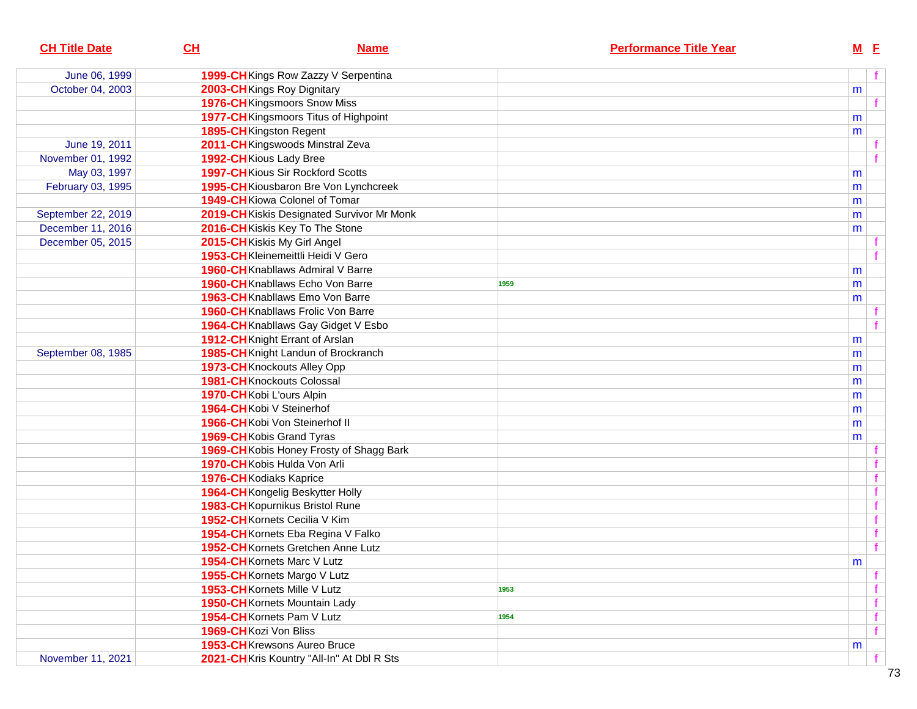| <b>CH Title Date</b> | CH                                   | <b>Name</b>                                | <b>Performance Title Year</b> |           | $M$ E |  |
|----------------------|--------------------------------------|--------------------------------------------|-------------------------------|-----------|-------|--|
| June 06, 1999        |                                      | 1999-CHKings Row Zazzy V Serpentina        |                               |           |       |  |
| October 04, 2003     | 2003-CH Kings Roy Dignitary          |                                            |                               | m         |       |  |
|                      | 1976-CH Kingsmoors Snow Miss         |                                            |                               |           |       |  |
|                      |                                      | 1977-CH Kingsmoors Titus of Highpoint      |                               | m         |       |  |
|                      | 1895-CH Kingston Regent              |                                            |                               | m         |       |  |
| June 19, 2011        |                                      | 2011-CH Kingswoods Minstral Zeva           |                               |           |       |  |
| November 01, 1992    | 1992-CH Kious Lady Bree              |                                            |                               |           |       |  |
| May 03, 1997         |                                      | <b>1997-CH</b> Kious Sir Rockford Scotts   |                               | m         |       |  |
| February 03, 1995    |                                      | 1995-CHKiousbaron Bre Von Lynchcreek       |                               | m         |       |  |
|                      | 1949-CH Kiowa Colonel of Tomar       |                                            |                               | m         |       |  |
| September 22, 2019   |                                      | 2019-CH Kiskis Designated Survivor Mr Monk |                               | m         |       |  |
| December 11, 2016    | 2016-CHKiskis Key To The Stone       |                                            |                               | m         |       |  |
| December 05, 2015    | 2015-CHKiskis My Girl Angel          |                                            |                               |           |       |  |
|                      |                                      | 1953-CHKleinemeittli Heidi V Gero          |                               |           |       |  |
|                      |                                      | <b>1960-CH</b> Knabllaws Admiral V Barre   |                               | m         |       |  |
|                      |                                      | 1960-CH Knabllaws Echo Von Barre           | 1959                          | m         |       |  |
|                      |                                      | 1963-CH Knabllaws Emo Von Barre            |                               | m         |       |  |
|                      |                                      | 1960-CH Knabllaws Frolic Von Barre         |                               |           |       |  |
|                      |                                      | 1964-CH Knabllaws Gay Gidget V Esbo        |                               |           |       |  |
|                      | 1912-CH Knight Errant of Arslan      |                                            |                               | m         |       |  |
| September 08, 1985   |                                      | 1985-CH Knight Landun of Brockranch        |                               | m         |       |  |
|                      | 1973-CHKnockouts Alley Opp           |                                            |                               | m         |       |  |
|                      | <b>1981-CH</b> Knockouts Colossal    |                                            |                               | m         |       |  |
|                      | 1970-CHKobi L'ours Alpin             |                                            |                               | m         |       |  |
|                      | 1964-CHKobi V Steinerhof             |                                            |                               | m         |       |  |
|                      | 1966-CH Kobi Von Steinerhof II       |                                            |                               | m         |       |  |
|                      | 1969-CH Kobis Grand Tyras            |                                            |                               | m         |       |  |
|                      |                                      | 1969-CH Kobis Honey Frosty of Shagg Bark   |                               |           |       |  |
|                      | 1970-CHKobis Hulda Von Arli          |                                            |                               |           |       |  |
|                      | 1976-CH Kodiaks Kaprice              |                                            |                               |           | f     |  |
|                      | 1964-CH Kongelig Beskytter Holly     |                                            |                               |           | f     |  |
|                      | 1983-CH Kopurnikus Bristol Rune      |                                            |                               |           | f     |  |
|                      | 1952-CH Kornets Cecilia V Kim        |                                            |                               |           | f     |  |
|                      |                                      | 1954-CH Kornets Eba Regina V Falko         |                               |           | f     |  |
|                      |                                      | 1952-CH Kornets Gretchen Anne Lutz         |                               |           | f     |  |
|                      | 1954-CH Kornets Marc V Lutz          |                                            |                               | ${\sf m}$ |       |  |
|                      | 1955-CH Kornets Margo V Lutz         |                                            |                               |           | f     |  |
|                      | 1953-CH Kornets Mille V Lutz         |                                            | 1953                          |           | f     |  |
|                      | <b>1950-CH</b> Kornets Mountain Lady |                                            |                               |           | f     |  |
|                      | 1954-CH Kornets Pam V Lutz           |                                            | 1954                          |           | f     |  |
|                      | 1969-CHKozi Von Bliss                |                                            |                               |           | f     |  |
|                      | 1953-CHKrewsons Aureo Bruce          |                                            |                               | m         |       |  |
| November 11, 2021    |                                      | 2021-CH Kris Kountry "All-In" At Dbl R Sts |                               |           |       |  |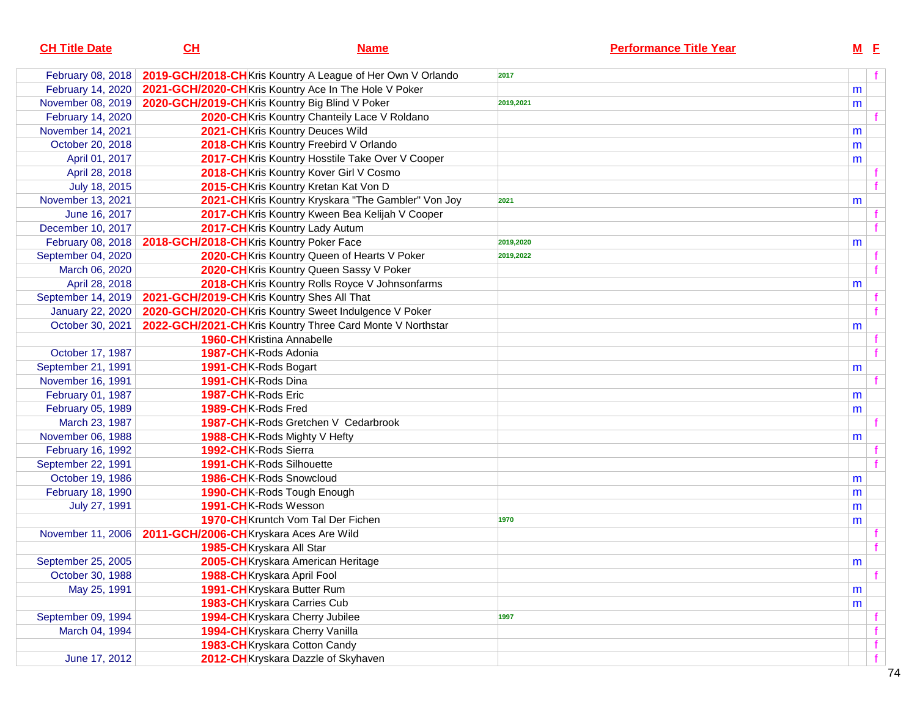| <b>CH Title Date</b>    | CH | <b>Name</b>                                                 | <b>Performance Title Year</b> |           | $M$ E |   |
|-------------------------|----|-------------------------------------------------------------|-------------------------------|-----------|-------|---|
| February 08, 2018       |    | 2019-GCH/2018-CH Kris Kountry A League of Her Own V Orlando | 2017                          |           | f     |   |
| February 14, 2020       |    | 2021-GCH/2020-CHKris Kountry Ace In The Hole V Poker        |                               | m         |       |   |
| November 08, 2019       |    | 2020-GCH/2019-CHKris Kountry Big Blind V Poker              | 2019,2021                     | m         |       |   |
| February 14, 2020       |    | 2020-CHKris Kountry Chanteily Lace V Roldano                |                               |           |       |   |
| November 14, 2021       |    | 2021-CHKris Kountry Deuces Wild                             |                               | m         |       |   |
| October 20, 2018        |    | 2018-CH Kris Kountry Freebird V Orlando                     |                               | m         |       |   |
| April 01, 2017          |    | 2017-CHKris Kountry Hosstile Take Over V Cooper             |                               | m         |       |   |
| April 28, 2018          |    | 2018-CHKris Kountry Kover Girl V Cosmo                      |                               |           |       |   |
| July 18, 2015           |    | 2015-CHKris Kountry Kretan Kat Von D                        |                               |           |       |   |
| November 13, 2021       |    | 2021-CH Kris Kountry Kryskara "The Gambler" Von Joy         | 2021                          | m         |       |   |
| June 16, 2017           |    | 2017-CHKris Kountry Kween Bea Kelijah V Cooper              |                               |           |       |   |
| December 10, 2017       |    | 2017-CHKris Kountry Lady Autum                              |                               |           |       |   |
| February 08, 2018       |    | 2018-GCH/2018-CHKris Kountry Poker Face                     | 2019,2020                     | m         |       |   |
| September 04, 2020      |    | 2020-CHKris Kountry Queen of Hearts V Poker                 | 2019,2022                     |           |       |   |
| March 06, 2020          |    | 2020-CHKris Kountry Queen Sassy V Poker                     |                               |           |       |   |
| April 28, 2018          |    | 2018-CH Kris Kountry Rolls Royce V Johnsonfarms             |                               | m         |       |   |
| September 14, 2019      |    | 2021-GCH/2019-CHKris Kountry Shes All That                  |                               |           |       |   |
| <b>January 22, 2020</b> |    | 2020-GCH/2020-CHKris Kountry Sweet Indulgence V Poker       |                               |           |       |   |
| October 30, 2021        |    | 2022-GCH/2021-CHKris Kountry Three Card Monte V Northstar   |                               | m         |       |   |
|                         |    | <b>1960-CH</b> Kristina Annabelle                           |                               |           |       |   |
| October 17, 1987        |    | 1987-CHK-Rods Adonia                                        |                               |           |       |   |
| September 21, 1991      |    | 1991-CHK-Rods Bogart                                        |                               | m         |       |   |
| November 16, 1991       |    | 1991-CHK-Rods Dina                                          |                               |           |       |   |
| February 01, 1987       |    | 1987-CHK-Rods Eric                                          |                               | m         |       |   |
| February 05, 1989       |    | 1989-CHK-Rods Fred                                          |                               | m         |       |   |
| March 23, 1987          |    | <b>1987-CH</b> K-Rods Gretchen V Cedarbrook                 |                               |           |       |   |
| November 06, 1988       |    | 1988-CHK-Rods Mighty V Hefty                                |                               | m         |       |   |
| February 16, 1992       |    | 1992-CHK-Rods Sierra                                        |                               |           |       |   |
| September 22, 1991      |    | 1991-CHK-Rods Silhouette                                    |                               |           |       |   |
| October 19, 1986        |    | 1986-CHK-Rods Snowcloud                                     |                               | m         |       |   |
| February 18, 1990       |    | 1990-CHK-Rods Tough Enough                                  |                               | m         |       |   |
| July 27, 1991           |    | 1991-CHK-Rods Wesson                                        |                               | m         |       |   |
|                         |    | 1970-CH Kruntch Vom Tal Der Fichen                          | 1970                          | m         |       |   |
| November 11, 2006       |    | 2011-GCH/2006-CHKryskara Aces Are Wild                      |                               |           |       |   |
|                         |    | 1985-CHKryskara All Star                                    |                               |           |       |   |
| September 25, 2005      |    | 2005-CH Kryskara American Heritage                          |                               | ${\sf m}$ |       |   |
| October 30, 1988        |    | 1988-CHKryskara April Fool                                  |                               |           |       |   |
| May 25, 1991            |    | 1991-CHKryskara Butter Rum                                  |                               | m         |       |   |
|                         |    | 1983-CH Kryskara Carries Cub                                |                               | m         |       |   |
| September 09, 1994      |    | 1994-CH Kryskara Cherry Jubilee                             | 1997                          |           |       |   |
| March 04, 1994          |    | 1994-CH Kryskara Cherry Vanilla                             |                               |           |       |   |
|                         |    | 1983-CH Kryskara Cotton Candy                               |                               |           | f     |   |
| June 17, 2012           |    | 2012-CH Kryskara Dazzle of Skyhaven                         |                               |           |       | f |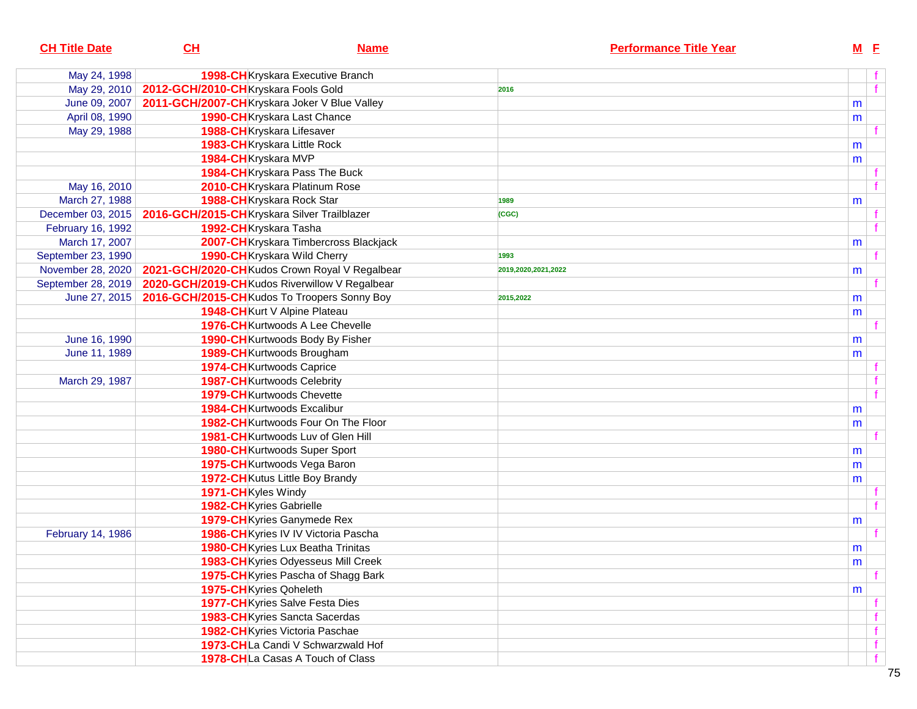| <b>CH Title Date</b> | CH                                                           | <b>Name</b>                                    |                     | <b>Performance Title Year</b> |           | $M$ E |
|----------------------|--------------------------------------------------------------|------------------------------------------------|---------------------|-------------------------------|-----------|-------|
| May 24, 1998         |                                                              | 1998-CHKryskara Executive Branch               |                     |                               |           | f     |
| May 29, 2010         | 2012-GCH/2010-CHKryskara Fools Gold                          |                                                | 2016                |                               |           | f     |
| June 09, 2007        | 2011-GCH/2007-CH Kryskara Joker V Blue Valley                |                                                |                     |                               | m         |       |
| April 08, 1990       |                                                              | 1990-CH Kryskara Last Chance                   |                     |                               | m         |       |
| May 29, 1988         |                                                              | 1988-CHKryskara Lifesaver                      |                     |                               |           |       |
|                      |                                                              | 1983-CHKryskara Little Rock                    |                     |                               | m         |       |
|                      | 1984-CHKryskara MVP                                          |                                                |                     |                               | m         |       |
|                      |                                                              | 1984-CHKryskara Pass The Buck                  |                     |                               |           |       |
| May 16, 2010         |                                                              | 2010-CHKryskara Platinum Rose                  |                     |                               |           |       |
| March 27, 1988       |                                                              | 1988-CHKryskara Rock Star                      | 1989                |                               | m         |       |
| December 03, 2015    | 2016-GCH/2015-CHKryskara Silver Trailblazer                  |                                                | (CGC)               |                               |           |       |
| February 16, 1992    | 1992-CHKryskara Tasha                                        |                                                |                     |                               |           | $-f$  |
| March 17, 2007       |                                                              | 2007-CHKryskara Timbercross Blackjack          |                     |                               | m         |       |
| September 23, 1990   |                                                              | 1990-CH Kryskara Wild Cherry                   | 1993                |                               |           |       |
| November 28, 2020    |                                                              | 2021-GCH/2020-CH Kudos Crown Royal V Regalbear | 2019,2020,2021,2022 |                               | m         |       |
| September 28, 2019   | 2020-GCH/2019-CH Kudos Riverwillow V Regalbear               |                                                |                     |                               |           |       |
|                      | June 27, 2015   2016-GCH/2015-CH Kudos To Troopers Sonny Boy |                                                | 2015,2022           |                               | m         |       |
|                      |                                                              | 1948-CH Kurt V Alpine Plateau                  |                     |                               | m         |       |
|                      |                                                              | 1976-CH Kurtwoods A Lee Chevelle               |                     |                               |           |       |
| June 16, 1990        |                                                              | 1990-CHKurtwoods Body By Fisher                |                     |                               | m         |       |
| June 11, 1989        |                                                              | 1989-CH Kurtwoods Brougham                     |                     |                               | m         |       |
|                      |                                                              | 1974-CHKurtwoods Caprice                       |                     |                               |           |       |
| March 29, 1987       |                                                              | <b>1987-CH</b> Kurtwoods Celebrity             |                     |                               |           |       |
|                      |                                                              | <b>1979-CH</b> Kurtwoods Chevette              |                     |                               |           | $-f$  |
|                      |                                                              | 1984-CHKurtwoods Excalibur                     |                     |                               | m         |       |
|                      |                                                              | 1982-CHKurtwoods Four On The Floor             |                     |                               | m         |       |
|                      |                                                              | 1981-CH Kurtwoods Luv of Glen Hill             |                     |                               |           |       |
|                      |                                                              | <b>1980-CH</b> Kurtwoods Super Sport           |                     |                               | m         |       |
|                      |                                                              | 1975-CH Kurtwoods Vega Baron                   |                     |                               | m         |       |
|                      |                                                              | <b>1972-CH</b> Kutus Little Boy Brandy         |                     |                               | m         |       |
|                      | 1971-CH Kyles Windy                                          |                                                |                     |                               |           |       |
|                      | 1982-CH Kyries Gabrielle                                     |                                                |                     |                               |           |       |
|                      |                                                              | 1979-CH Kyries Ganymede Rex                    |                     |                               | m         |       |
| February 14, 1986    |                                                              | 1986-CHKyries IV IV Victoria Pascha            |                     |                               |           |       |
|                      |                                                              | 1980-CHKyries Lux Beatha Trinitas              |                     |                               | m         |       |
|                      |                                                              | 1983-CH Kyries Odyesseus Mill Creek            |                     |                               | ${\sf m}$ |       |
|                      |                                                              | 1975-CH Kyries Pascha of Shagg Bark            |                     |                               |           | ੀ     |
|                      | 1975-CH Kyries Qoheleth                                      |                                                |                     |                               | m         |       |
|                      |                                                              | 1977-CH Kyries Salve Festa Dies                |                     |                               |           |       |
|                      |                                                              | 1983-CH Kyries Sancta Sacerdas                 |                     |                               |           | f.    |
|                      |                                                              | 1982-CH Kyries Victoria Paschae                |                     |                               |           | f     |
|                      |                                                              | 1973-CHLa Candi V Schwarzwald Hof              |                     |                               |           | f     |
|                      |                                                              | 1978-CHLa Casas A Touch of Class               |                     |                               |           | f     |
|                      |                                                              |                                                |                     |                               |           |       |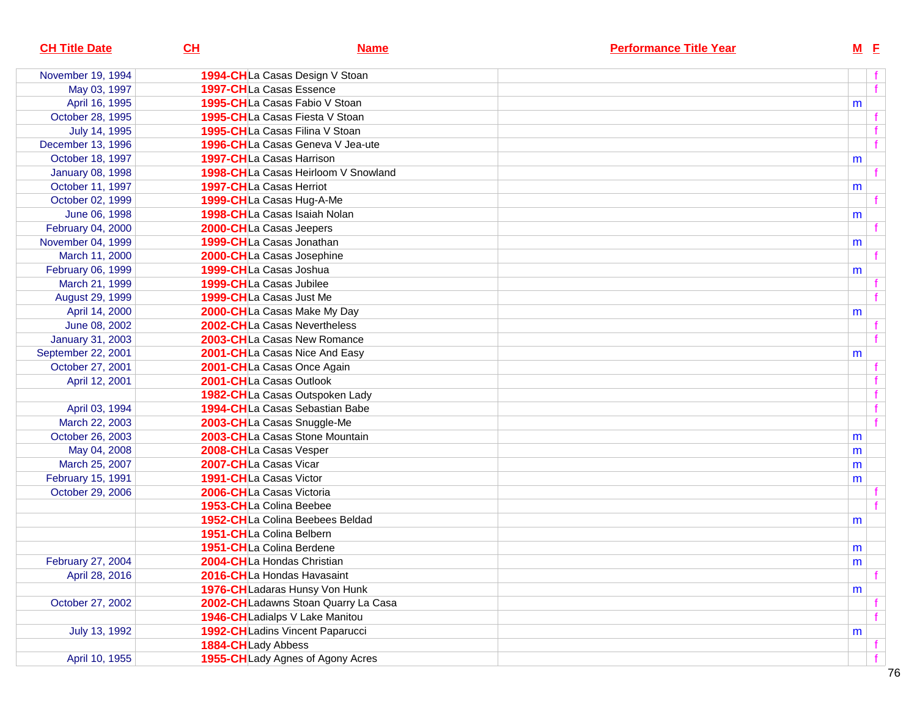| <b>CH Title Date</b>    | CL                                  | <b>Name</b> | <b>Performance Title Year</b> | $M$ E     |  |
|-------------------------|-------------------------------------|-------------|-------------------------------|-----------|--|
| November 19, 1994       | 1994-CHLa Casas Design V Stoan      |             |                               |           |  |
| May 03, 1997            | 1997-CHLa Casas Essence             |             |                               |           |  |
| April 16, 1995          | 1995-CHLa Casas Fabio V Stoan       |             |                               | m         |  |
| October 28, 1995        | 1995-CHLa Casas Fiesta V Stoan      |             |                               |           |  |
| July 14, 1995           | 1995-CHLa Casas Filina V Stoan      |             |                               |           |  |
| December 13, 1996       | 1996-CHLa Casas Geneva V Jea-ute    |             |                               |           |  |
| October 18, 1997        | 1997-CHLa Casas Harrison            |             |                               | m         |  |
| <b>January 08, 1998</b> | 1998-CHLa Casas Heirloom V Snowland |             |                               |           |  |
| October 11, 1997        | 1997-CHLa Casas Herriot             |             |                               | m         |  |
| October 02, 1999        | 1999-CHLa Casas Hug-A-Me            |             |                               |           |  |
| June 06, 1998           | 1998-CHLa Casas Isaiah Nolan        |             |                               | m         |  |
| February 04, 2000       | 2000-CHLa Casas Jeepers             |             |                               |           |  |
| November 04, 1999       | 1999-CHLa Casas Jonathan            |             |                               | m         |  |
| March 11, 2000          | 2000-CHLa Casas Josephine           |             |                               |           |  |
| February 06, 1999       | 1999-CHLa Casas Joshua              |             |                               | m         |  |
| March 21, 1999          | 1999-CHLa Casas Jubilee             |             |                               |           |  |
| August 29, 1999         | 1999-CHLa Casas Just Me             |             |                               |           |  |
| April 14, 2000          | 2000-CHLa Casas Make My Day         |             |                               | m         |  |
| June 08, 2002           | 2002-CHLa Casas Nevertheless        |             |                               |           |  |
| <b>January 31, 2003</b> | 2003-CHLa Casas New Romance         |             |                               |           |  |
| September 22, 2001      | 2001-CHLa Casas Nice And Easy       |             |                               | m         |  |
| October 27, 2001        | 2001-CHLa Casas Once Again          |             |                               |           |  |
| April 12, 2001          | 2001-CHLa Casas Outlook             |             |                               |           |  |
|                         | 1982-CHLa Casas Outspoken Lady      |             |                               |           |  |
| April 03, 1994          | 1994-CHLa Casas Sebastian Babe      |             |                               |           |  |
| March 22, 2003          | 2003-CHLa Casas Snuggle-Me          |             |                               |           |  |
| October 26, 2003        | 2003-CHLa Casas Stone Mountain      |             |                               | m         |  |
| May 04, 2008            | 2008-CHLa Casas Vesper              |             |                               | m         |  |
| March 25, 2007          | 2007-CHLa Casas Vicar               |             |                               | m         |  |
| February 15, 1991       | 1991-CHLa Casas Victor              |             |                               | m         |  |
| October 29, 2006        | 2006-CHLa Casas Victoria            |             |                               |           |  |
|                         | 1953-CHLa Colina Beebee             |             |                               |           |  |
|                         | 1952-CHLa Colina Beebees Beldad     |             |                               | m         |  |
|                         | 1951-CHLa Colina Belbern            |             |                               |           |  |
|                         | 1951-CHLa Colina Berdene            |             |                               | m         |  |
| February 27, 2004       | 2004-CHLa Hondas Christian          |             |                               | ${\sf m}$ |  |
| April 28, 2016          | 2016-CHLa Hondas Havasaint          |             |                               |           |  |
|                         | 1976-CHLadaras Hunsy Von Hunk       |             |                               | m         |  |
| October 27, 2002        | 2002-CHLadawns Stoan Quarry La Casa |             |                               |           |  |
|                         | 1946-CHLadialps V Lake Manitou      |             |                               |           |  |
| July 13, 1992           | 1992-CHLadins Vincent Paparucci     |             |                               | m         |  |
|                         | 1884-CHLady Abbess                  |             |                               |           |  |
| April 10, 1955          | 1955-CH Lady Agnes of Agony Acres   |             |                               |           |  |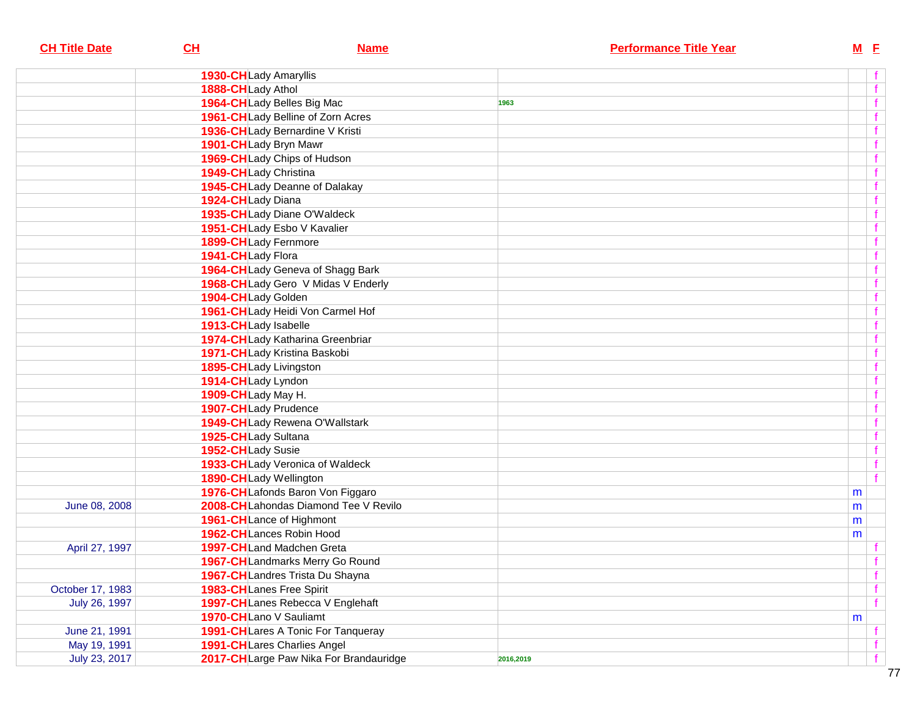| <b>CH Title Date</b> | CL<br><b>Name</b>                      | <b>Performance Title Year</b> |   | $M$ $E$     |
|----------------------|----------------------------------------|-------------------------------|---|-------------|
|                      | 1930-CHLady Amaryllis                  |                               |   |             |
|                      | 1888-CHLady Athol                      |                               |   | f           |
|                      | 1964-CHLady Belles Big Mac             | 1963                          |   | $\mathbf f$ |
|                      | 1961-CHLady Belline of Zorn Acres      |                               |   | f           |
|                      | 1936-CHLady Bernardine V Kristi        |                               |   | f           |
|                      | 1901-CHLady Bryn Mawr                  |                               |   | f           |
|                      | 1969-CHLady Chips of Hudson            |                               |   |             |
|                      | 1949-CHLady Christina                  |                               |   |             |
|                      | 1945-CHLady Deanne of Dalakay          |                               |   |             |
|                      | 1924-CHLady Diana                      |                               |   |             |
|                      | 1935-CHLady Diane O'Waldeck            |                               |   | f           |
|                      | 1951-CHLady Esbo V Kavalier            |                               |   | f           |
|                      | 1899-CHLady Fernmore                   |                               |   | f           |
|                      | 1941-CHLady Flora                      |                               |   | f           |
|                      | 1964-CH Lady Geneva of Shagg Bark      |                               |   | f           |
|                      | 1968-CHLady Gero V Midas V Enderly     |                               |   | f           |
|                      | 1904-CHLady Golden                     |                               |   | f           |
|                      | 1961-CHLady Heidi Von Carmel Hof       |                               |   | f           |
|                      | 1913-CHLady Isabelle                   |                               |   | f           |
|                      | 1974-CHLady Katharina Greenbriar       |                               |   | $\mathbf f$ |
|                      | 1971-CHLady Kristina Baskobi           |                               |   |             |
|                      | 1895-CHLady Livingston                 |                               |   |             |
|                      | 1914-CHLady Lyndon                     |                               |   |             |
|                      | 1909-CHLady May H.                     |                               |   |             |
|                      | 1907-CHLady Prudence                   |                               |   |             |
|                      | 1949-CHLady Rewena O'Wallstark         |                               |   | f           |
|                      | 1925-CHLady Sultana                    |                               |   | f           |
|                      | 1952-CHLady Susie                      |                               |   | f           |
|                      | 1933-CHLady Veronica of Waldeck        |                               |   | f           |
|                      | 1890-CHLady Wellington                 |                               |   | f           |
|                      | 1976-CHLafonds Baron Von Figgaro       |                               | m |             |
| June 08, 2008        | 2008-CHLahondas Diamond Tee V Revilo   |                               | m |             |
|                      | 1961-CHLance of Highmont               |                               | m |             |
|                      | 1962-CHLances Robin Hood               |                               | m |             |
| April 27, 1997       | 1997-CHLand Madchen Greta              |                               |   |             |
|                      | 1967-CHLandmarks Merry Go Round        |                               |   |             |
|                      | 1967-CHLandres Trista Du Shayna        |                               |   |             |
| October 17, 1983     | 1983-CHLanes Free Spirit               |                               |   |             |
| July 26, 1997        | 1997-CHLanes Rebecca V Englehaft       |                               |   |             |
|                      | 1970-CHLano V Sauliamt                 |                               | m |             |
| June 21, 1991        | 1991-CHLares A Tonic For Tanqueray     |                               |   |             |
| May 19, 1991         | 1991-CHLares Charlies Angel            |                               |   |             |
| July 23, 2017        | 2017-CHLarge Paw Nika For Brandauridge | 2016,2019                     |   | f           |
|                      |                                        |                               |   |             |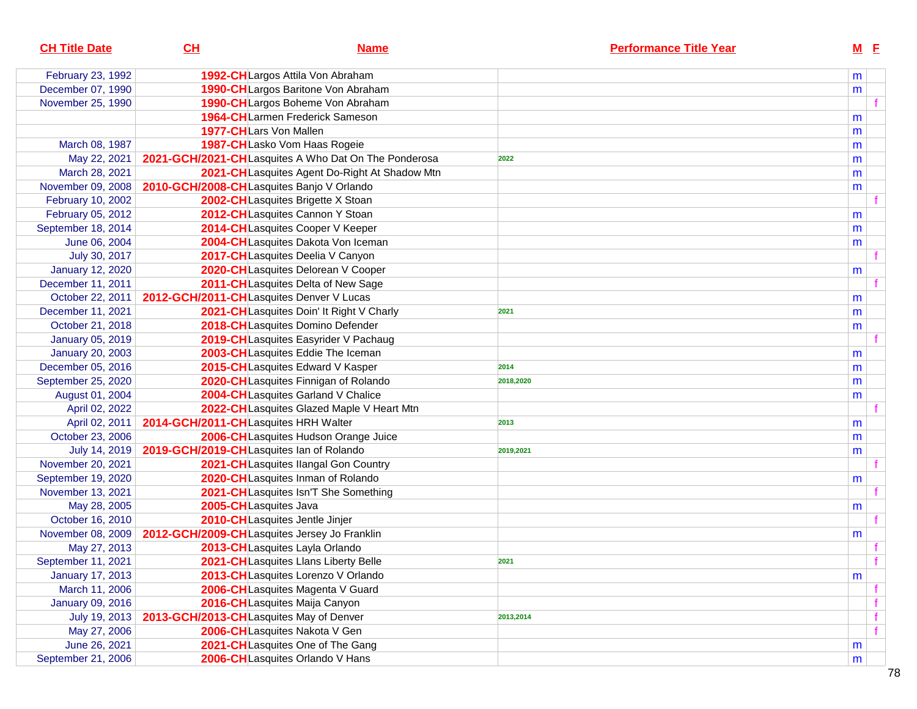| <b>CH Title Date</b>    | CL                                           | <b>Name</b>                                          |           | <b>Performance Title Year</b> |   | $M$ E |  |
|-------------------------|----------------------------------------------|------------------------------------------------------|-----------|-------------------------------|---|-------|--|
| February 23, 1992       |                                              | 1992-CHLargos Attila Von Abraham                     |           |                               | m |       |  |
| December 07, 1990       |                                              | 1990-CHLargos Baritone Von Abraham                   |           |                               | m |       |  |
| November 25, 1990       |                                              | 1990-CHLargos Boheme Von Abraham                     |           |                               |   |       |  |
|                         |                                              | 1964-CHLarmen Frederick Sameson                      |           |                               | m |       |  |
|                         | 1977-CHLars Von Mallen                       |                                                      |           |                               | m |       |  |
| March 08, 1987          |                                              | 1987-CHLasko Vom Haas Rogeie                         |           |                               | m |       |  |
| May 22, 2021            |                                              | 2021-GCH/2021-CHLasquites A Who Dat On The Ponderosa | 2022      |                               | m |       |  |
| March 28, 2021          |                                              | 2021-CHLasquites Agent Do-Right At Shadow Mtn        |           |                               | m |       |  |
| November 09, 2008       | 2010-GCH/2008-CHLasquites Banjo V Orlando    |                                                      |           |                               | m |       |  |
| February 10, 2002       |                                              | 2002-CHLasquites Brigette X Stoan                    |           |                               |   |       |  |
| February 05, 2012       |                                              | 2012-CHLasquites Cannon Y Stoan                      |           |                               | m |       |  |
| September 18, 2014      |                                              | 2014-CHLasquites Cooper V Keeper                     |           |                               | m |       |  |
| June 06, 2004           |                                              | 2004-CHLasquites Dakota Von Iceman                   |           |                               | m |       |  |
| July 30, 2017           |                                              | 2017-CHLasquites Deelia V Canyon                     |           |                               |   |       |  |
| <b>January 12, 2020</b> |                                              | 2020-CHLasquites Delorean V Cooper                   |           |                               | m |       |  |
| December 11, 2011       |                                              | 2011-CHLasquites Delta of New Sage                   |           |                               |   |       |  |
| October 22, 2011        | 2012-GCH/2011-CHLasquites Denver V Lucas     |                                                      |           |                               | m |       |  |
| December 11, 2021       |                                              | 2021-CHLasquites Doin' It Right V Charly             | 2021      |                               | m |       |  |
| October 21, 2018        |                                              | 2018-CHLasquites Domino Defender                     |           |                               | m |       |  |
| January 05, 2019        |                                              | 2019-CHLasquites Easyrider V Pachaug                 |           |                               |   |       |  |
| <b>January 20, 2003</b> |                                              | 2003-CHLasquites Eddie The Iceman                    |           |                               | m |       |  |
| December 05, 2016       |                                              | 2015-CHLasquites Edward V Kasper                     | 2014      |                               | m |       |  |
| September 25, 2020      |                                              | 2020-CHLasquites Finnigan of Rolando                 | 2018,2020 |                               | m |       |  |
| August 01, 2004         |                                              | 2004-CHLasquites Garland V Chalice                   |           |                               | m |       |  |
| April 02, 2022          |                                              | 2022-CHLasquites Glazed Maple V Heart Mtn            |           |                               |   |       |  |
| April 02, 2011          | 2014-GCH/2011-CHLasquites HRH Walter         |                                                      | 2013      |                               | m |       |  |
| October 23, 2006        |                                              | 2006-CH Lasquites Hudson Orange Juice                |           |                               | m |       |  |
| July 14, 2019           | 2019-GCH/2019-CHLasquites Ian of Rolando     |                                                      | 2019,2021 |                               | m |       |  |
| November 20, 2021       |                                              | 2021-CHLasquites Ilangal Gon Country                 |           |                               |   |       |  |
| September 19, 2020      |                                              | 2020-CHLasquites Inman of Rolando                    |           |                               | m |       |  |
| November 13, 2021       |                                              | 2021-CHLasquites Isn'T She Something                 |           |                               |   |       |  |
| May 28, 2005            | 2005-CHLasquites Java                        |                                                      |           |                               | m |       |  |
| October 16, 2010        | 2010-CHLasquites Jentle Jinjer               |                                                      |           |                               |   |       |  |
| November 08, 2009       | 2012-GCH/2009-CHLasquites Jersey Jo Franklin |                                                      |           |                               | m |       |  |
| May 27, 2013            |                                              | 2013-CHLasquites Layla Orlando                       |           |                               |   |       |  |
| September 11, 2021      |                                              | 2021-CH Lasquites Llans Liberty Belle                | 2021      |                               |   |       |  |
| <b>January 17, 2013</b> |                                              | 2013-CHLasquites Lorenzo V Orlando                   |           |                               | m |       |  |
| March 11, 2006          |                                              | 2006-CHLasquites Magenta V Guard                     |           |                               |   |       |  |
| January 09, 2016        |                                              | 2016-CHLasquites Maija Canyon                        |           |                               |   |       |  |
| July 19, 2013           | 2013-GCH/2013-CHLasquites May of Denver      |                                                      | 2013,2014 |                               |   |       |  |
| May 27, 2006            |                                              | 2006-CHLasquites Nakota V Gen                        |           |                               |   |       |  |
| June 26, 2021           |                                              | 2021-CHLasquites One of The Gang                     |           |                               | m |       |  |
| September 21, 2006      |                                              | 2006-CHLasquites Orlando V Hans                      |           |                               | m |       |  |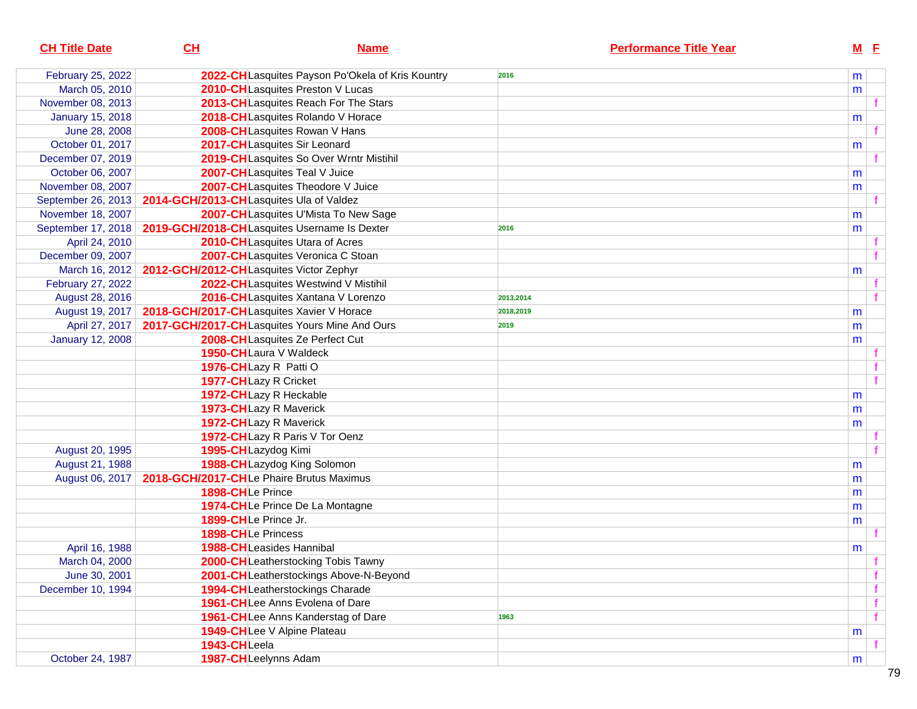| <b>CH Title Date</b>    | CL           | <b>Name</b>                                      | <b>Performance Title Year</b> | $M$ E |  |
|-------------------------|--------------|--------------------------------------------------|-------------------------------|-------|--|
| February 25, 2022       |              | 2022-CHLasquites Payson Po'Okela of Kris Kountry | 2016                          | m     |  |
| March 05, 2010          |              | 2010-CHLasquites Preston V Lucas                 |                               | m     |  |
| November 08, 2013       |              | 2013-CHLasquites Reach For The Stars             |                               |       |  |
| <b>January 15, 2018</b> |              | 2018-CHLasquites Rolando V Horace                |                               | m     |  |
| June 28, 2008           |              | 2008-CHLasquites Rowan V Hans                    |                               |       |  |
| October 01, 2017        |              | 2017-CHLasquites Sir Leonard                     |                               | m     |  |
| December 07, 2019       |              | 2019-CH Lasquites So Over Wrntr Mistihil         |                               |       |  |
| October 06, 2007        |              | 2007-CHLasquites Teal V Juice                    |                               | m     |  |
| November 08, 2007       |              | 2007-CHLasquites Theodore V Juice                |                               | m     |  |
| September 26, 2013      |              | 2014-GCH/2013-CHLasquites Ula of Valdez          |                               |       |  |
| November 18, 2007       |              | 2007-CH Lasquites U'Mista To New Sage            |                               | m     |  |
| September 17, 2018      |              | 2019-GCH/2018-CHLasquites Username Is Dexter     | 2016                          | m     |  |
| April 24, 2010          |              | 2010-CHLasquites Utara of Acres                  |                               |       |  |
| December 09, 2007       |              | 2007-CHLasquites Veronica C Stoan                |                               |       |  |
| March 16, 2012          |              | 2012-GCH/2012-CHLasquites Victor Zephyr          |                               | m     |  |
| February 27, 2022       |              | 2022-CHLasquites Westwind V Mistihil             |                               |       |  |
| August 28, 2016         |              | 2016-CHLasquites Xantana V Lorenzo               | 2013,2014                     |       |  |
| August 19, 2017         |              | 2018-GCH/2017-CHLasquites Xavier V Horace        | 2018,2019                     | m     |  |
| April 27, 2017          |              | 2017-GCH/2017-CHLasquites Yours Mine And Ours    | 2019                          | m     |  |
| <b>January 12, 2008</b> |              | 2008-CHLasquites Ze Perfect Cut                  |                               | m     |  |
|                         |              | 1950-CHLaura V Waldeck                           |                               |       |  |
|                         |              | 1976-CHLazy R Patti O                            |                               |       |  |
|                         |              | 1977-CHLazy R Cricket                            |                               |       |  |
|                         |              | 1972-CHLazy R Heckable                           |                               | m     |  |
|                         |              | 1973-CHLazy R Maverick                           |                               | m     |  |
|                         |              | 1972-CHLazy R Maverick                           |                               | m     |  |
|                         |              | 1972-CHLazy R Paris V Tor Oenz                   |                               |       |  |
| August 20, 1995         |              | 1995-CHLazydog Kimi                              |                               |       |  |
| August 21, 1988         |              | 1988-CHLazydog King Solomon                      |                               | m     |  |
| August 06, 2017         |              | 2018-GCH/2017-CHLe Phaire Brutus Maximus         |                               | m     |  |
|                         |              | 1898-CHLe Prince                                 |                               | m     |  |
|                         |              | 1974-CHLe Prince De La Montagne                  |                               | m     |  |
|                         |              | 1899-CHLe Prince Jr.                             |                               | m     |  |
|                         |              | 1898-CHLe Princess                               |                               |       |  |
| April 16, 1988          |              | 1988-CHLeasides Hannibal                         |                               | m     |  |
| March 04, 2000          |              | 2000-CHLeatherstocking Tobis Tawny               |                               |       |  |
| June 30, 2001           |              | 2001-CHLeatherstockings Above-N-Beyond           |                               |       |  |
| December 10, 1994       |              | 1994-CHLeatherstockings Charade                  |                               |       |  |
|                         |              | <b>1961-CH</b> Lee Anns Evolena of Dare          |                               |       |  |
|                         |              | 1961-CHLee Anns Kanderstag of Dare               | 1963                          |       |  |
|                         |              | 1949-CHLee V Alpine Plateau                      |                               | m     |  |
|                         | 1943-CHLeela |                                                  |                               |       |  |
| October 24, 1987        |              | 1987-CHLeelynns Adam                             |                               | m     |  |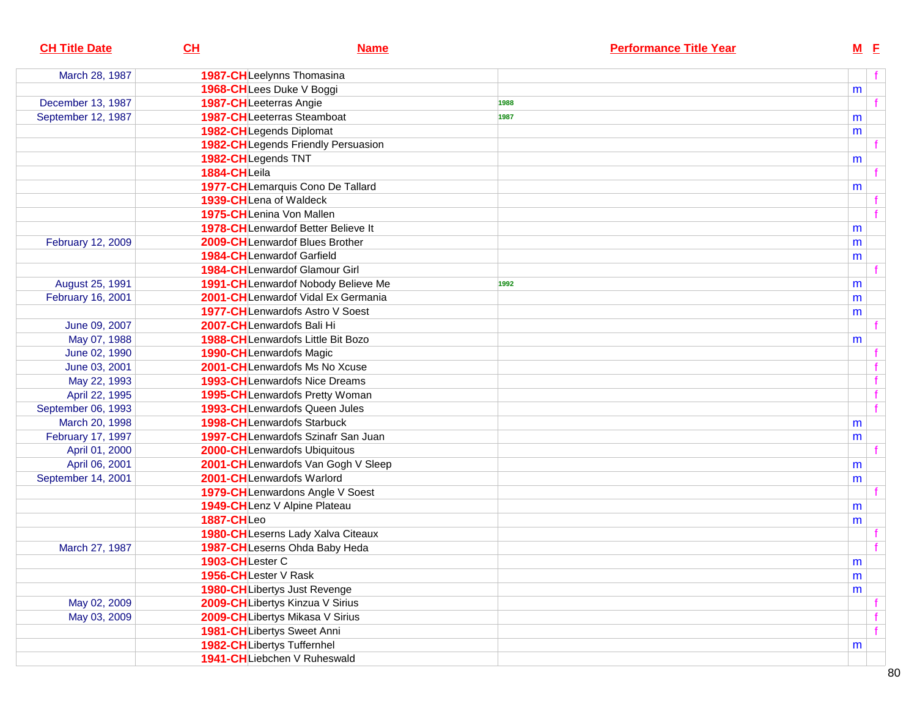| <b>CH Title Date</b> | CL<br><b>Name</b>                         | <b>Performance Title Year</b> | $M$ E     |
|----------------------|-------------------------------------------|-------------------------------|-----------|
| March 28, 1987       | 1987-CHLeelynns Thomasina                 |                               | f         |
|                      | 1968-CHLees Duke V Boggi                  |                               | m         |
| December 13, 1987    | 1987-CHLeeterras Angie                    | 1988                          |           |
| September 12, 1987   | <b>1987-CHLeeterras Steamboat</b>         | 1987                          | m         |
|                      | 1982-CHLegends Diplomat                   |                               | m         |
|                      | 1982-CHLegends Friendly Persuasion        |                               |           |
|                      | 1982-CHLegends TNT                        |                               | m         |
|                      | 1884-CHLeila                              |                               |           |
|                      | 1977-CHLemarquis Cono De Tallard          |                               | m         |
|                      | 1939-CHLena of Waldeck                    |                               |           |
|                      | 1975-CHLenina Von Mallen                  |                               |           |
|                      | 1978-CHLenwardof Better Believe It        |                               | m         |
| February 12, 2009    | 2009-CHLenwardof Blues Brother            |                               | m         |
|                      | 1984-CHLenwardof Garfield                 |                               | m         |
|                      | 1984-CHLenwardof Glamour Girl             |                               |           |
| August 25, 1991      | 1991-CHLenwardof Nobody Believe Me        | 1992                          | m         |
| February 16, 2001    | 2001-CHLenwardof Vidal Ex Germania        |                               | m         |
|                      | <b>1977-CHLenwardofs Astro V Soest</b>    |                               | m         |
| June 09, 2007        | 2007-CHLenwardofs Bali Hi                 |                               |           |
| May 07, 1988         | <b>1988-CHLenwardofs Little Bit Bozo</b>  |                               | m         |
| June 02, 1990        | 1990-CHLenwardofs Magic                   |                               |           |
| June 03, 2001        | 2001-CHLenwardofs Ms No Xcuse             |                               |           |
| May 22, 1993         | <b>1993-CH</b> Lenwardofs Nice Dreams     |                               |           |
| April 22, 1995       | 1995-CHLenwardofs Pretty Woman            |                               | f         |
| September 06, 1993   | <b>1993-CHLenwardofs Queen Jules</b>      |                               | f         |
| March 20, 1998       | <b>1998-CHLenwardofs Starbuck</b>         |                               | m         |
| February 17, 1997    | 1997-CHLenwardofs Szinafr San Juan        |                               | m         |
| April 01, 2000       | 2000-CHLenwardofs Ubiquitous              |                               |           |
| April 06, 2001       | 2001-CHLenwardofs Van Gogh V Sleep        |                               | m         |
| September 14, 2001   | 2001-CHLenwardofs Warlord                 |                               | m         |
|                      | 1979-CHLenwardons Angle V Soest           |                               |           |
|                      | 1949-CHLenz V Alpine Plateau              |                               | m         |
|                      | <b>1887-CHLeo</b>                         |                               | m         |
|                      | <b>1980-CH</b> Leserns Lady Xalva Citeaux |                               |           |
| March 27, 1987       | 1987-CHLeserns Ohda Baby Heda             |                               |           |
|                      | 1903-CHLester C                           |                               | ${\sf m}$ |
|                      | 1956-CHLester V Rask                      |                               | m         |
|                      | <b>1980-CH</b> Libertys Just Revenge      |                               | m         |
| May 02, 2009         | 2009-CHLibertys Kinzua V Sirius           |                               |           |
| May 03, 2009         | 2009-CHLibertys Mikasa V Sirius           |                               |           |
|                      | 1981-CHLibertys Sweet Anni                |                               | f         |
|                      | 1982-CHLibertys Tuffernhel                |                               | m         |
|                      | 1941-CHLiebchen V Ruheswald               |                               |           |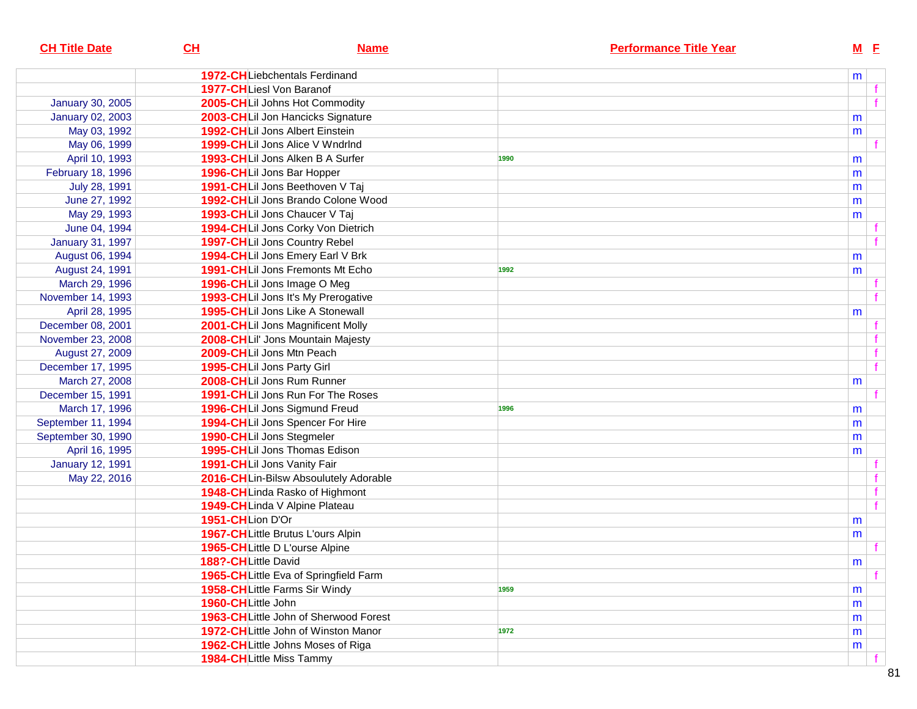| <b>CH Title Date</b>    | CL                  | <b>Name</b>                           |      | <b>Performance Title Year</b> |   | $M$ E |
|-------------------------|---------------------|---------------------------------------|------|-------------------------------|---|-------|
|                         |                     | <b>1972-CHLiebchentals Ferdinand</b>  |      |                               | m |       |
|                         |                     | <b>1977-CH</b> Liesl Von Baranof      |      |                               |   |       |
| <b>January 30, 2005</b> |                     | 2005-CHLil Johns Hot Commodity        |      |                               |   |       |
| January 02, 2003        |                     | 2003-CHLil Jon Hancicks Signature     |      |                               | m |       |
| May 03, 1992            |                     | 1992-CHLil Jons Albert Einstein       |      |                               | m |       |
| May 06, 1999            |                     | 1999-CHLII Jons Alice V WndrInd       |      |                               |   |       |
| April 10, 1993          |                     | 1993-CHLil Jons Alken B A Surfer      | 1990 |                               | m |       |
| February 18, 1996       |                     | 1996-CHLil Jons Bar Hopper            |      |                               | m |       |
| July 28, 1991           |                     | 1991-CHLil Jons Beethoven V Taj       |      |                               | m |       |
| June 27, 1992           |                     | 1992-CHLil Jons Brando Colone Wood    |      |                               | m |       |
| May 29, 1993            |                     | 1993-CHLil Jons Chaucer V Taj         |      |                               | m |       |
| June 04, 1994           |                     | 1994-CHLil Jons Corky Von Dietrich    |      |                               |   |       |
| January 31, 1997        |                     | 1997-CHLil Jons Country Rebel         |      |                               |   |       |
| August 06, 1994         |                     | 1994-CHLil Jons Emery Earl V Brk      |      |                               | m |       |
| August 24, 1991         |                     | 1991-CHLil Jons Fremonts Mt Echo      | 1992 |                               | m |       |
| March 29, 1996          |                     | 1996-CHLII Jons Image O Meg           |      |                               |   |       |
| November 14, 1993       |                     | 1993-CHLil Jons It's My Prerogative   |      |                               |   |       |
| April 28, 1995          |                     | 1995-CHLil Jons Like A Stonewall      |      |                               | m |       |
| December 08, 2001       |                     | 2001-CHLil Jons Magnificent Molly     |      |                               |   |       |
| November 23, 2008       |                     | 2008-CHLil' Jons Mountain Majesty     |      |                               |   |       |
| August 27, 2009         |                     | 2009-CHLil Jons Mtn Peach             |      |                               |   |       |
| December 17, 1995       |                     | 1995-CHLil Jons Party Girl            |      |                               |   |       |
| March 27, 2008          |                     | 2008-CHLil Jons Rum Runner            |      |                               | m |       |
| December 15, 1991       |                     | 1991-CHLil Jons Run For The Roses     |      |                               |   |       |
| March 17, 1996          |                     | 1996-CHLil Jons Sigmund Freud         | 1996 |                               | m |       |
| September 11, 1994      |                     | 1994-CHLil Jons Spencer For Hire      |      |                               | m |       |
| September 30, 1990      |                     | 1990-CHLil Jons Stegmeler             |      |                               | m |       |
| April 16, 1995          |                     | 1995-CHLII Jons Thomas Edison         |      |                               | m |       |
| <b>January 12, 1991</b> |                     | 1991-CHLil Jons Vanity Fair           |      |                               |   |       |
| May 22, 2016            |                     | 2016-CHLin-Bilsw Absoulutely Adorable |      |                               |   |       |
|                         |                     | 1948-CHLinda Rasko of Highmont        |      |                               |   |       |
|                         |                     | 1949-CHLinda V Alpine Plateau         |      |                               |   | f     |
|                         | 1951-CHLion D'Or    |                                       |      |                               | m |       |
|                         |                     | 1967-CHLittle Brutus L'ours Alpin     |      |                               | m |       |
|                         |                     | 1965-CHLittle D L'ourse Alpine        |      |                               |   |       |
|                         | 188?-CHLittle David |                                       |      |                               | m |       |
|                         |                     | 1965-CHLittle Eva of Springfield Farm |      |                               |   | f     |
|                         |                     | 1958-CHLittle Farms Sir Windy         | 1959 |                               | m |       |
|                         | 1960-CHLittle John  |                                       |      |                               | m |       |
|                         |                     | 1963-CHLittle John of Sherwood Forest |      |                               | m |       |
|                         |                     | 1972-CHLittle John of Winston Manor   | 1972 |                               | m |       |
|                         |                     | 1962-CHLittle Johns Moses of Riga     |      |                               | m |       |
|                         |                     | 1984-CHLittle Miss Tammy              |      |                               |   |       |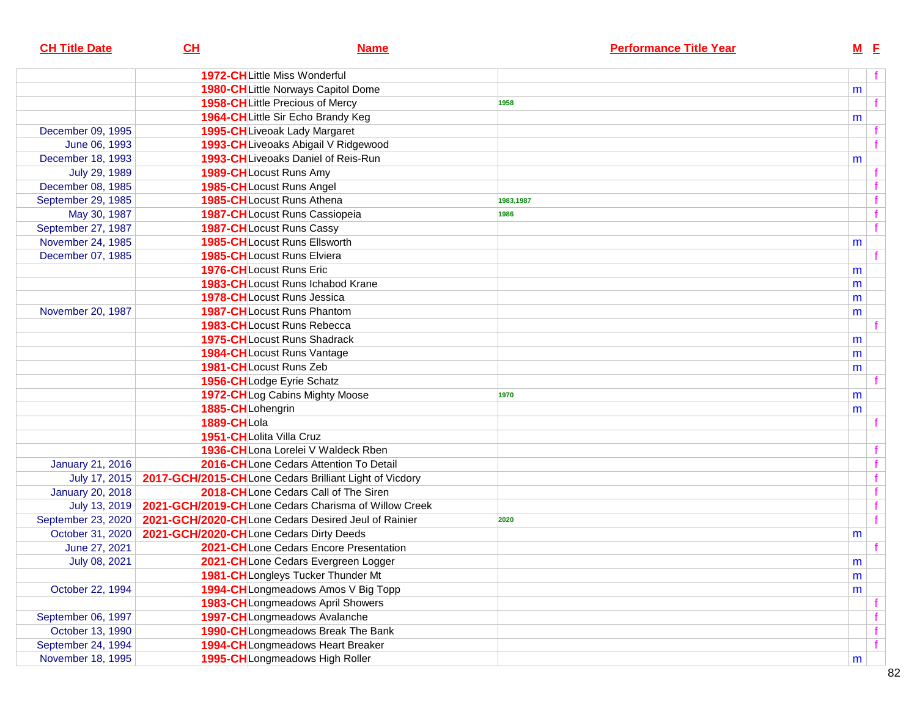| <b>CH Title Date</b>    | CH          | <b>Name</b>                                            | <b>Performance Title Year</b> | $M$ E     |   |
|-------------------------|-------------|--------------------------------------------------------|-------------------------------|-----------|---|
|                         |             | 1972-CHLittle Miss Wonderful                           |                               |           | f |
|                         |             | 1980-CHLittle Norways Capitol Dome                     |                               | m         |   |
|                         |             | <b>1958-CHLittle Precious of Mercy</b>                 | 1958                          |           |   |
|                         |             | 1964-CHLittle Sir Echo Brandy Keg                      |                               | m         |   |
| December 09, 1995       |             | 1995-CHLiveoak Lady Margaret                           |                               |           |   |
| June 06, 1993           |             | 1993-CH Liveoaks Abigail V Ridgewood                   |                               |           |   |
| December 18, 1993       |             | 1993-CHLiveoaks Daniel of Reis-Run                     |                               | m         |   |
| July 29, 1989           |             | 1989-CHLocust Runs Amy                                 |                               |           |   |
| December 08, 1985       |             | 1985-CHLocust Runs Angel                               |                               |           |   |
| September 29, 1985      |             | 1985-CHLocust Runs Athena                              | 1983,1987                     |           |   |
| May 30, 1987            |             | 1987-CHLocust Runs Cassiopeia                          | 1986                          |           |   |
| September 27, 1987      |             | 1987-CHLocust Runs Cassy                               |                               |           | f |
| November 24, 1985       |             | <b>1985-CHLocust Runs Ellsworth</b>                    |                               | m         |   |
| December 07, 1985       |             | <b>1985-CHLocust Runs Elviera</b>                      |                               |           |   |
|                         |             | 1976-CHLocust Runs Eric                                |                               | m         |   |
|                         |             | <b>1983-CHLocust Runs Ichabod Krane</b>                |                               | m         |   |
|                         |             | <b>1978-CHLocust Runs Jessica</b>                      |                               | m         |   |
| November 20, 1987       |             | <b>1987-CHLocust Runs Phantom</b>                      |                               | m         |   |
|                         |             | <b>1983-CHLocust Runs Rebecca</b>                      |                               |           |   |
|                         |             | 1975-CHLocust Runs Shadrack                            |                               | m         |   |
|                         |             | 1984-CHLocust Runs Vantage                             |                               | m         |   |
|                         |             | 1981-CHLocust Runs Zeb                                 |                               | m         |   |
|                         |             | 1956-CHLodge Eyrie Schatz                              |                               |           |   |
|                         |             | 1972-CHLog Cabins Mighty Moose                         | 1970                          | m         |   |
|                         |             | 1885-CHLohengrin                                       |                               | m         |   |
|                         | 1889-CHLola |                                                        |                               |           |   |
|                         |             | 1951-CHLolita Villa Cruz                               |                               |           |   |
|                         |             | 1936-CHLona Lorelei V Waldeck Rben                     |                               |           |   |
| <b>January 21, 2016</b> |             | 2016-CHLone Cedars Attention To Detail                 |                               |           |   |
| July 17, 2015           |             | 2017-GCH/2015-CHLone Cedars Brilliant Light of Vicdory |                               |           |   |
| <b>January 20, 2018</b> |             | 2018-CHLone Cedars Call of The Siren                   |                               |           |   |
| July 13, 2019           |             | 2021-GCH/2019-CHLone Cedars Charisma of Willow Creek   |                               |           |   |
| September 23, 2020      |             | 2021-GCH/2020-CHLone Cedars Desired Jeul of Rainier    | 2020                          |           | f |
| October 31, 2020        |             | 2021-GCH/2020-CHLone Cedars Dirty Deeds                |                               | m         |   |
| June 27, 2021           |             | 2021-CHLone Cedars Encore Presentation                 |                               |           |   |
| July 08, 2021           |             | 2021-CHLone Cedars Evergreen Logger                    |                               | ${\sf m}$ |   |
|                         |             | 1981-CHLongleys Tucker Thunder Mt                      |                               | m         |   |
| October 22, 1994        |             | 1994-CHLongmeadows Amos V Big Topp                     |                               | m         |   |
|                         |             | 1983-CHLongmeadows April Showers                       |                               |           |   |
| September 06, 1997      |             | 1997-CHLongmeadows Avalanche                           |                               |           |   |
| October 13, 1990        |             | 1990-CH Longmeadows Break The Bank                     |                               |           | f |
| September 24, 1994      |             | 1994-CHLongmeadows Heart Breaker                       |                               |           | f |
| November 18, 1995       |             | 1995-CHLongmeadows High Roller                         |                               | m         |   |
|                         |             |                                                        |                               |           |   |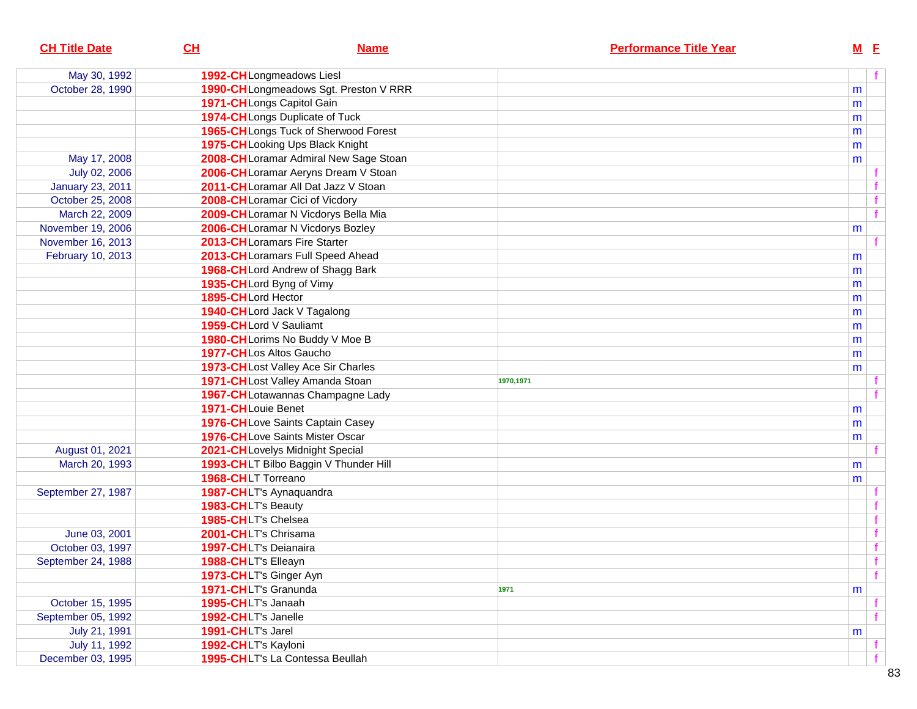| <b>CH Title Date</b>    | CH                       | <b>Name</b>                            |           | <b>Performance Title Year</b> |   | $M$ E        |  |
|-------------------------|--------------------------|----------------------------------------|-----------|-------------------------------|---|--------------|--|
| May 30, 1992            |                          | 1992-CHLongmeadows Liesl               |           |                               |   | f            |  |
| October 28, 1990        |                          | 1990-CHLongmeadows Sgt. Preston V RRR  |           |                               | m |              |  |
|                         |                          | 1971-CHLongs Capitol Gain              |           |                               | m |              |  |
|                         |                          | 1974-CHLongs Duplicate of Tuck         |           |                               | m |              |  |
|                         |                          | 1965-CHLongs Tuck of Sherwood Forest   |           |                               | m |              |  |
|                         |                          | 1975-CHLooking Ups Black Knight        |           |                               | m |              |  |
| May 17, 2008            |                          | 2008-CHLoramar Admiral New Sage Stoan  |           |                               | m |              |  |
| July 02, 2006           |                          | 2006-CHLoramar Aeryns Dream V Stoan    |           |                               |   |              |  |
| <b>January 23, 2011</b> |                          | 2011-CHLoramar All Dat Jazz V Stoan    |           |                               |   |              |  |
| October 25, 2008        |                          | 2008-CHLoramar Cici of Vicdory         |           |                               |   |              |  |
| March 22, 2009          |                          | 2009-CH Loramar N Vicdorys Bella Mia   |           |                               |   | f            |  |
| November 19, 2006       |                          | 2006-CHLoramar N Vicdorys Bozley       |           |                               | m |              |  |
| November 16, 2013       |                          | 2013-CHLoramars Fire Starter           |           |                               |   |              |  |
| February 10, 2013       |                          | 2013-CHLoramars Full Speed Ahead       |           |                               | m |              |  |
|                         |                          | 1968-CH Lord Andrew of Shagg Bark      |           |                               | m |              |  |
|                         | 1935-CHLord Byng of Vimy |                                        |           |                               | m |              |  |
|                         | 1895-CHLord Hector       |                                        |           |                               | m |              |  |
|                         |                          | 1940-CHLord Jack V Tagalong            |           |                               | m |              |  |
|                         | 1959-CHLord V Sauliamt   |                                        |           |                               | m |              |  |
|                         |                          | 1980-CHLorims No Buddy V Moe B         |           |                               | m |              |  |
|                         | 1977-CHLos Altos Gaucho  |                                        |           |                               | m |              |  |
|                         |                          | 1973-CHLost Valley Ace Sir Charles     |           |                               | m |              |  |
|                         |                          | 1971-CHLost Valley Amanda Stoan        | 1970,1971 |                               |   |              |  |
|                         |                          | 1967-CHLotawannas Champagne Lady       |           |                               |   |              |  |
|                         | 1971-CHLouie Benet       |                                        |           |                               | m |              |  |
|                         |                          | 1976-CHLove Saints Captain Casey       |           |                               | m |              |  |
|                         |                          | <b>1976-CHLove Saints Mister Oscar</b> |           |                               | m |              |  |
| August 01, 2021         |                          | 2021-CHLovelys Midnight Special        |           |                               |   |              |  |
| March 20, 1993          |                          | 1993-CHLT Bilbo Baggin V Thunder Hill  |           |                               | m |              |  |
|                         | 1968-CHLT Torreano       |                                        |           |                               | m |              |  |
| September 27, 1987      | 1987-CHLT's Aynaquandra  |                                        |           |                               |   |              |  |
|                         | 1983-CHLT's Beauty       |                                        |           |                               |   |              |  |
|                         | 1985-CHLT's Chelsea      |                                        |           |                               |   |              |  |
| June 03, 2001           | 2001-CHLT's Chrisama     |                                        |           |                               |   |              |  |
| October 03, 1997        | 1997-CHLT's Deianaira    |                                        |           |                               |   |              |  |
| September 24, 1988      | 1988-CHLT's Elleayn      |                                        |           |                               |   | $\mathbf{f}$ |  |
|                         | 1973-CHLT's Ginger Ayn   |                                        |           |                               |   | f            |  |
|                         | 1971-CHLT's Granunda     |                                        | 1971      |                               | m |              |  |
| October 15, 1995        | 1995-CHLT's Janaah       |                                        |           |                               |   |              |  |
| September 05, 1992      | 1992-CHLT's Janelle      |                                        |           |                               |   | f            |  |
| July 21, 1991           | 1991-CHLT's Jarel        |                                        |           |                               | m |              |  |
| July 11, 1992           | 1992-CHLT's Kayloni      |                                        |           |                               |   |              |  |
| December 03, 1995       |                          | 1995-CHLT's La Contessa Beullah        |           |                               |   |              |  |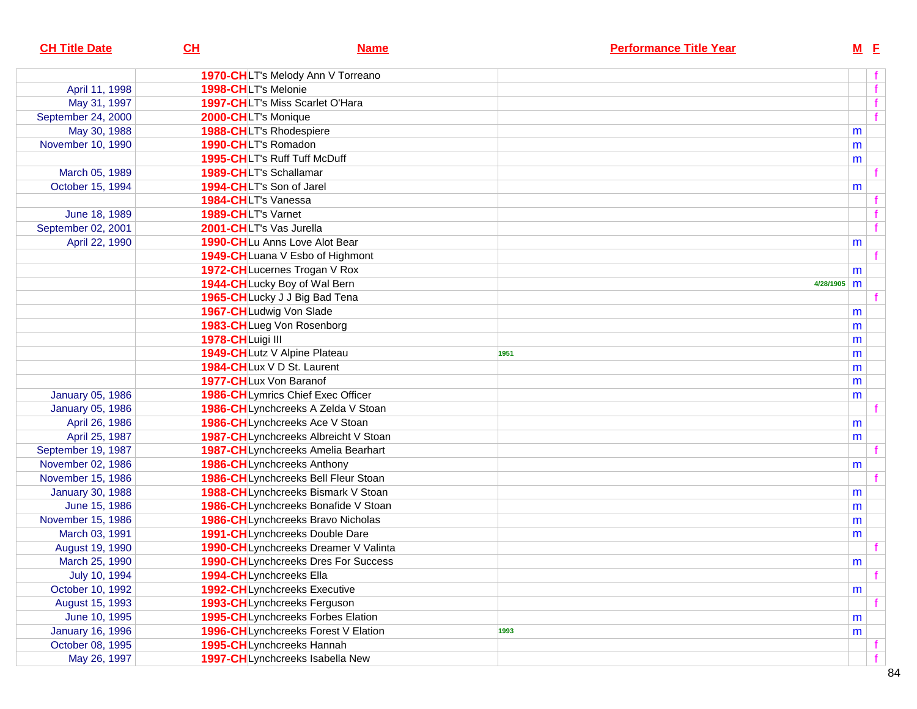| <b>CH Title Date</b>    | CL                  | <b>Name</b>                                |      | <b>Performance Title Year</b> |             | $M$ E |   |
|-------------------------|---------------------|--------------------------------------------|------|-------------------------------|-------------|-------|---|
|                         |                     | 1970-CHLT's Melody Ann V Torreano          |      |                               |             |       |   |
| April 11, 1998          | 1998-CHLT's Melonie |                                            |      |                               |             |       | f |
| May 31, 1997            |                     | 1997-CHLT's Miss Scarlet O'Hara            |      |                               |             |       |   |
| September 24, 2000      | 2000-CHLT's Monique |                                            |      |                               |             |       | f |
| May 30, 1988            |                     | 1988-CHLT's Rhodespiere                    |      |                               |             | m     |   |
| November 10, 1990       | 1990-CHLT's Romadon |                                            |      |                               |             | m     |   |
|                         |                     | <b>1995-CHLT's Ruff Tuff McDuff</b>        |      |                               |             | m     |   |
| March 05, 1989          |                     | 1989-CHLT's Schallamar                     |      |                               |             |       |   |
| October 15, 1994        |                     | 1994-CHLT's Son of Jarel                   |      |                               |             | m     |   |
|                         | 1984-CHLT's Vanessa |                                            |      |                               |             |       |   |
| June 18, 1989           | 1989-CHLT's Varnet  |                                            |      |                               |             |       |   |
| September 02, 2001      |                     | 2001-CHLT's Vas Jurella                    |      |                               |             |       | f |
| April 22, 1990          |                     | 1990-CHLu Anns Love Alot Bear              |      |                               |             | m     |   |
|                         |                     | 1949-CHLuana V Esbo of Highmont            |      |                               |             |       |   |
|                         |                     | 1972-CHLucernes Trogan V Rox               |      |                               |             | m     |   |
|                         |                     | 1944-CHLucky Boy of Wal Bern               |      |                               | 4/28/1905 m |       |   |
|                         |                     | 1965-CHLucky J J Big Bad Tena              |      |                               |             |       |   |
|                         |                     | 1967-CHLudwig Von Slade                    |      |                               |             | m     |   |
|                         |                     | 1983-CHLueg Von Rosenborg                  |      |                               |             | m     |   |
|                         | 1978-CHLuigi III    |                                            |      |                               |             | m     |   |
|                         |                     | 1949-CHLutz V Alpine Plateau               | 1951 |                               |             | m     |   |
|                         |                     | 1984-CHLux V D St. Laurent                 |      |                               |             | m     |   |
|                         |                     | 1977-CHLux Von Baranof                     |      |                               |             | m     |   |
| <b>January 05, 1986</b> |                     | 1986-CHLymrics Chief Exec Officer          |      |                               |             | m     |   |
| <b>January 05, 1986</b> |                     | 1986-CHLynchcreeks A Zelda V Stoan         |      |                               |             |       |   |
| April 26, 1986          |                     | 1986-CHLynchcreeks Ace V Stoan             |      |                               |             | m     |   |
| April 25, 1987          |                     | 1987-CHLynchcreeks Albreicht V Stoan       |      |                               |             | m     |   |
| September 19, 1987      |                     | 1987-CHLynchcreeks Amelia Bearhart         |      |                               |             |       |   |
| November 02, 1986       |                     | 1986-CHLynchcreeks Anthony                 |      |                               |             | m     |   |
| November 15, 1986       |                     | 1986-CHLynchcreeks Bell Fleur Stoan        |      |                               |             |       |   |
| <b>January 30, 1988</b> |                     | 1988-CHLynchcreeks Bismark V Stoan         |      |                               |             | m     |   |
| June 15, 1986           |                     | 1986-CHLynchcreeks Bonafide V Stoan        |      |                               |             | m     |   |
| November 15, 1986       |                     | 1986-CHLynchcreeks Bravo Nicholas          |      |                               |             | m     |   |
| March 03, 1991          |                     | 1991-CHLynchcreeks Double Dare             |      |                               |             | m     |   |
| August 19, 1990         |                     | 1990-CHLynchcreeks Dreamer V Valinta       |      |                               |             |       |   |
| March 25, 1990          |                     | <b>1990-CHLynchcreeks Dres For Success</b> |      |                               |             | m     |   |
| July 10, 1994           |                     | 1994-CHLynchcreeks Ella                    |      |                               |             |       | f |
| October 10, 1992        |                     | 1992-CHLynchcreeks Executive               |      |                               |             | m     |   |
| August 15, 1993         |                     | 1993-CHLynchcreeks Ferguson                |      |                               |             |       |   |
| June 10, 1995           |                     | 1995-CHLynchcreeks Forbes Elation          |      |                               |             | m     |   |
| <b>January 16, 1996</b> |                     | 1996-CHLynchcreeks Forest V Elation        | 1993 |                               |             | m     |   |
| October 08, 1995        |                     | 1995-CHLynchcreeks Hannah                  |      |                               |             |       |   |
| May 26, 1997            |                     | 1997-CHLynchcreeks Isabella New            |      |                               |             |       | f |
|                         |                     |                                            |      |                               |             |       |   |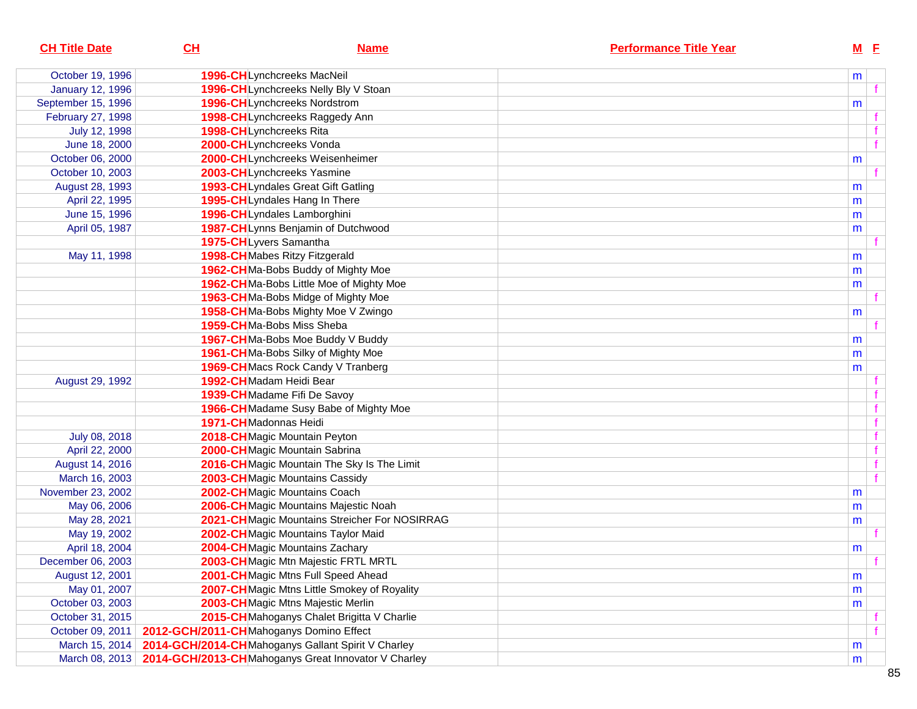| <b>CH Title Date</b>    | CL                                      | <b>Name</b>                                                        | <b>Performance Title Year</b> |   | $M$ E |  |
|-------------------------|-----------------------------------------|--------------------------------------------------------------------|-------------------------------|---|-------|--|
| October 19, 1996        |                                         | 1996-CHLynchcreeks MacNeil                                         |                               | m |       |  |
| <b>January 12, 1996</b> |                                         | 1996-CHLynchcreeks Nelly Bly V Stoan                               |                               |   |       |  |
| September 15, 1996      |                                         | 1996-CHLynchcreeks Nordstrom                                       |                               | m |       |  |
| February 27, 1998       |                                         | 1998-CHLynchcreeks Raggedy Ann                                     |                               |   |       |  |
| July 12, 1998           |                                         | 1998-CHLynchcreeks Rita                                            |                               |   |       |  |
| June 18, 2000           |                                         | 2000-CHLynchcreeks Vonda                                           |                               |   | f     |  |
| October 06, 2000        |                                         | 2000-CHLynchcreeks Weisenheimer                                    |                               | m |       |  |
| October 10, 2003        |                                         | 2003-CHLynchcreeks Yasmine                                         |                               |   |       |  |
| August 28, 1993         |                                         | 1993-CHLyndales Great Gift Gatling                                 |                               | m |       |  |
| April 22, 1995          |                                         | 1995-CHLyndales Hang In There                                      |                               | m |       |  |
| June 15, 1996           |                                         | 1996-CHLyndales Lamborghini                                        |                               | m |       |  |
| April 05, 1987          |                                         | 1987-CHLynns Benjamin of Dutchwood                                 |                               | m |       |  |
|                         |                                         | 1975-CHLyvers Samantha                                             |                               |   |       |  |
| May 11, 1998            |                                         | 1998-CHMabes Ritzy Fitzgerald                                      |                               | m |       |  |
|                         |                                         | 1962-CHMa-Bobs Buddy of Mighty Moe                                 |                               | m |       |  |
|                         |                                         | 1962-CHMa-Bobs Little Moe of Mighty Moe                            |                               | m |       |  |
|                         |                                         | 1963-CHMa-Bobs Midge of Mighty Moe                                 |                               |   |       |  |
|                         |                                         | 1958-CHMa-Bobs Mighty Moe V Zwingo                                 |                               | m |       |  |
|                         |                                         | 1959-CHMa-Bobs Miss Sheba                                          |                               |   |       |  |
|                         |                                         | 1967-CHMa-Bobs Moe Buddy V Buddy                                   |                               | m |       |  |
|                         |                                         | 1961-CHMa-Bobs Silky of Mighty Moe                                 |                               | m |       |  |
|                         |                                         | 1969-CHMacs Rock Candy V Tranberg                                  |                               | m |       |  |
| August 29, 1992         |                                         | 1992-CHMadam Heidi Bear                                            |                               |   |       |  |
|                         |                                         | 1939-CHMadame Fifi De Savoy                                        |                               |   |       |  |
|                         |                                         | 1966-CHMadame Susy Babe of Mighty Moe                              |                               |   |       |  |
|                         |                                         | 1971-CHMadonnas Heidi                                              |                               |   |       |  |
| July 08, 2018           |                                         | 2018-CHMagic Mountain Peyton                                       |                               |   |       |  |
| April 22, 2000          |                                         | 2000-CHMagic Mountain Sabrina                                      |                               |   |       |  |
| August 14, 2016         |                                         | 2016-CHMagic Mountain The Sky Is The Limit                         |                               |   |       |  |
| March 16, 2003          |                                         | 2003-CH Magic Mountains Cassidy                                    |                               |   |       |  |
| November 23, 2002       |                                         | 2002-CHMagic Mountains Coach                                       |                               | m |       |  |
| May 06, 2006            |                                         | 2006-CH Magic Mountains Majestic Noah                              |                               | m |       |  |
| May 28, 2021            |                                         | 2021-CHMagic Mountains Streicher For NOSIRRAG                      |                               | m |       |  |
| May 19, 2002            |                                         | 2002-CHMagic Mountains Taylor Maid                                 |                               |   |       |  |
| April 18, 2004          |                                         | 2004-CH Magic Mountains Zachary                                    |                               | m |       |  |
| December 06, 2003       |                                         | 2003-CHMagic Mtn Majestic FRTL MRTL                                |                               |   |       |  |
| August 12, 2001         |                                         | 2001-CHMagic Mtns Full Speed Ahead                                 |                               | m |       |  |
| May 01, 2007            |                                         | 2007-CHMagic Mtns Little Smokey of Royality                        |                               | m |       |  |
| October 03, 2003        |                                         | 2003-CH Magic Mtns Majestic Merlin                                 |                               | m |       |  |
| October 31, 2015        |                                         | 2015-CHMahoganys Chalet Brigitta V Charlie                         |                               |   |       |  |
| October 09, 2011        | 2012-GCH/2011-CHMahoganys Domino Effect |                                                                    |                               |   |       |  |
| March 15, 2014          |                                         | 2014-GCH/2014-CHMahoganys Gallant Spirit V Charley                 |                               | m |       |  |
|                         |                                         | March 08, 2013 2014-GCH/2013-CHMahoganys Great Innovator V Charley |                               | m |       |  |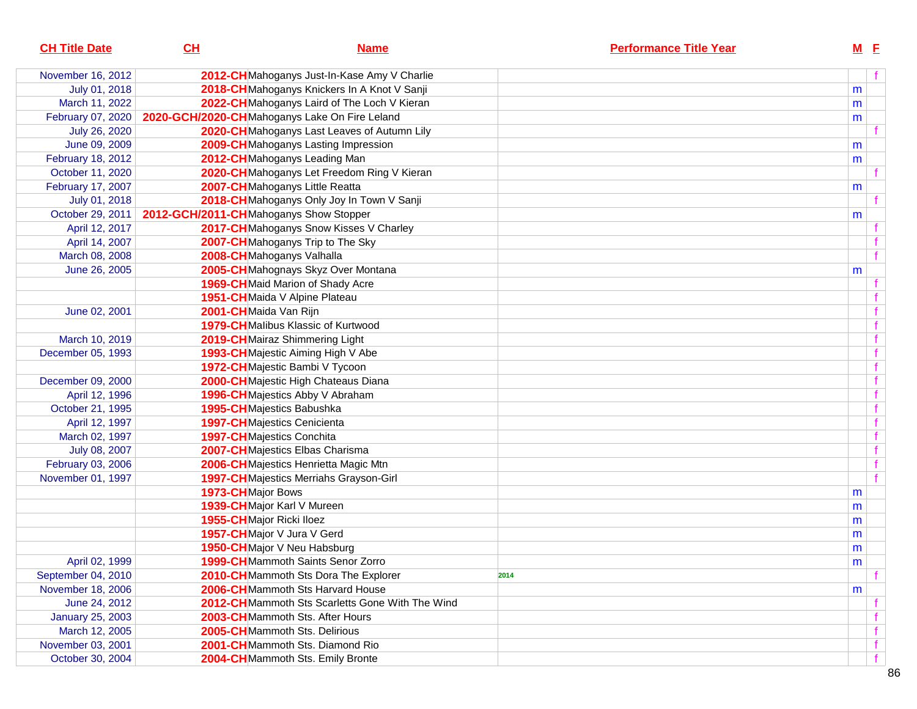| <b>CH Title Date</b>    | CL                                     | <b>Name</b>                                     | <b>Performance Title Year</b> | $M$ E |  |
|-------------------------|----------------------------------------|-------------------------------------------------|-------------------------------|-------|--|
| November 16, 2012       |                                        | 2012-CHMahoganys Just-In-Kase Amy V Charlie     |                               |       |  |
| July 01, 2018           |                                        | 2018-CHMahoganys Knickers In A Knot V Sanji     |                               | m     |  |
| March 11, 2022          |                                        | 2022-CHMahoganys Laird of The Loch V Kieran     |                               | m     |  |
| February 07, 2020       |                                        | 2020-GCH/2020-CHMahoganys Lake On Fire Leland   |                               | m     |  |
| July 26, 2020           |                                        | 2020-CHMahoganys Last Leaves of Autumn Lily     |                               |       |  |
| June 09, 2009           |                                        | 2009-CHMahoganys Lasting Impression             |                               | m     |  |
| February 18, 2012       |                                        | 2012-CHMahoganys Leading Man                    |                               | m     |  |
| October 11, 2020        |                                        | 2020-CHMahoganys Let Freedom Ring V Kieran      |                               |       |  |
| February 17, 2007       |                                        | 2007-CHMahoganys Little Reatta                  |                               | m     |  |
| July 01, 2018           |                                        | 2018-CH Mahoganys Only Joy In Town V Sanji      |                               |       |  |
| October 29, 2011        | 2012-GCH/2011-CHMahoganys Show Stopper |                                                 |                               | m     |  |
| April 12, 2017          |                                        | 2017-CHMahoganys Snow Kisses V Charley          |                               |       |  |
| April 14, 2007          |                                        | 2007-CHMahoganys Trip to The Sky                |                               |       |  |
| March 08, 2008          |                                        | 2008-CHMahoganys Valhalla                       |                               |       |  |
| June 26, 2005           |                                        | 2005-CH Mahognays Skyz Over Montana             |                               | m     |  |
|                         |                                        | 1969-CHMaid Marion of Shady Acre                |                               |       |  |
|                         |                                        | 1951-CHMaida V Alpine Plateau                   |                               |       |  |
| June 02, 2001           | 2001-CHMaida Van Rijn                  |                                                 |                               |       |  |
|                         |                                        | 1979-CHMalibus Klassic of Kurtwood              |                               |       |  |
| March 10, 2019          |                                        | 2019-CHMairaz Shimmering Light                  |                               |       |  |
| December 05, 1993       |                                        | 1993-CH Majestic Aiming High V Abe              |                               |       |  |
|                         |                                        | 1972-CH Majestic Bambi V Tycoon                 |                               |       |  |
| December 09, 2000       |                                        | 2000-CHMajestic High Chateaus Diana             |                               |       |  |
| April 12, 1996          |                                        | 1996-CHMajestics Abby V Abraham                 |                               |       |  |
| October 21, 1995        |                                        | 1995-CHMajestics Babushka                       |                               |       |  |
| April 12, 1997          |                                        | <b>1997-CH</b> Majestics Cenicienta             |                               |       |  |
| March 02, 1997          |                                        | <b>1997-CH</b> Majestics Conchita               |                               |       |  |
| July 08, 2007           |                                        | 2007-CHMajestics Elbas Charisma                 |                               |       |  |
| February 03, 2006       |                                        | 2006-CH Majestics Henrietta Magic Mtn           |                               |       |  |
| November 01, 1997       |                                        | 1997-CHMajestics Merriahs Grayson-Girl          |                               |       |  |
|                         | 1973-CH Major Bows                     |                                                 |                               | m     |  |
|                         |                                        | 1939-CHMajor Karl V Mureen                      |                               | m     |  |
|                         | 1955-CHMajor Ricki Iloez               |                                                 |                               | m     |  |
|                         |                                        | 1957-CHMajor V Jura V Gerd                      |                               | m     |  |
|                         |                                        | 1950-CHMajor V Neu Habsburg                     |                               | m     |  |
| April 02, 1999          |                                        | 1999-CHMammoth Saints Senor Zorro               |                               | m     |  |
| September 04, 2010      |                                        | 2010-CHMammoth Sts Dora The Explorer            | 2014                          |       |  |
| November 18, 2006       |                                        | 2006-CHMammoth Sts Harvard House                |                               | m     |  |
| June 24, 2012           |                                        | 2012-CHMammoth Sts Scarletts Gone With The Wind |                               |       |  |
| <b>January 25, 2003</b> |                                        | 2003-CHMammoth Sts. After Hours                 |                               |       |  |
| March 12, 2005          |                                        | 2005-CHMammoth Sts. Delirious                   |                               |       |  |
| November 03, 2001       |                                        | 2001-CHMammoth Sts. Diamond Rio                 |                               |       |  |
| October 30, 2004        |                                        | 2004-CHMammoth Sts. Emily Bronte                |                               |       |  |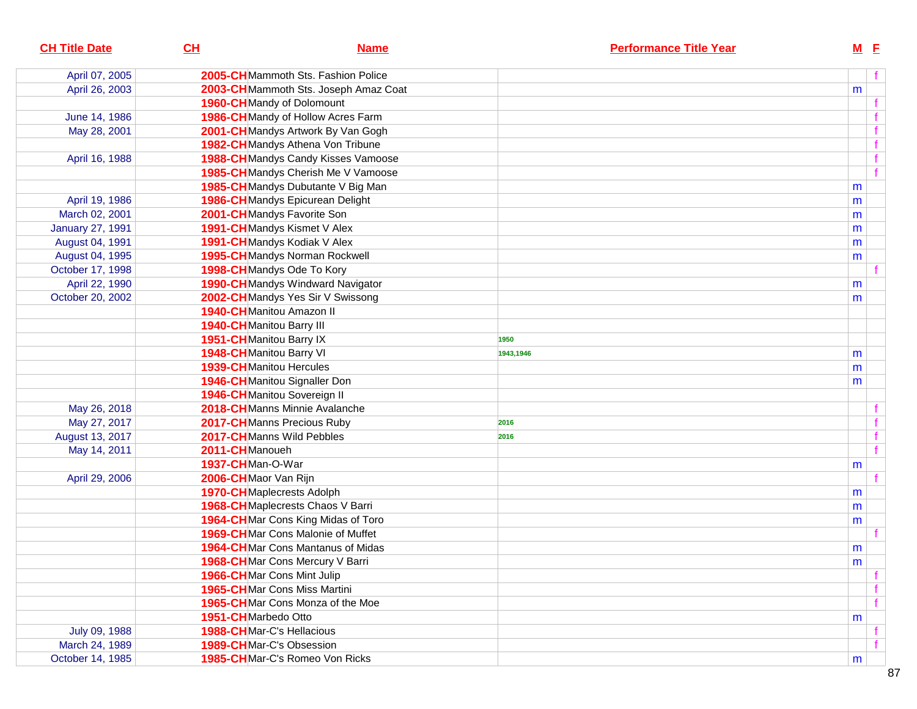| <b>CH Title Date</b>    | CH                                 | <b>Name</b>                          |           | <b>Performance Title Year</b> |   | $M$ E |
|-------------------------|------------------------------------|--------------------------------------|-----------|-------------------------------|---|-------|
| April 07, 2005          |                                    | 2005-CHMammoth Sts. Fashion Police   |           |                               |   |       |
| April 26, 2003          |                                    | 2003-CHMammoth Sts. Joseph Amaz Coat |           |                               | m |       |
|                         | 1960-CHMandy of Dolomount          |                                      |           |                               |   |       |
| June 14, 1986           |                                    | 1986-CHMandy of Hollow Acres Farm    |           |                               |   |       |
| May 28, 2001            |                                    | 2001-CH Mandys Artwork By Van Gogh   |           |                               |   |       |
|                         |                                    | 1982-CHMandys Athena Von Tribune     |           |                               |   |       |
| April 16, 1988          |                                    | 1988-CHMandys Candy Kisses Vamoose   |           |                               |   |       |
|                         |                                    | 1985-CHMandys Cherish Me V Vamoose   |           |                               |   |       |
|                         |                                    | 1985-CH Mandys Dubutante V Big Man   |           |                               | m |       |
| April 19, 1986          |                                    | 1986-CHMandys Epicurean Delight      |           |                               | m |       |
| March 02, 2001          | 2001-CHMandys Favorite Son         |                                      |           |                               | m |       |
| <b>January 27, 1991</b> |                                    | 1991-CHMandys Kismet V Alex          |           |                               | m |       |
| August 04, 1991         |                                    | 1991-CHMandys Kodiak V Alex          |           |                               | m |       |
| August 04, 1995         |                                    | 1995-CHMandys Norman Rockwell        |           |                               | m |       |
| October 17, 1998        | 1998-CHMandys Ode To Kory          |                                      |           |                               |   |       |
| April 22, 1990          |                                    | 1990-CHMandys Windward Navigator     |           |                               | m |       |
| October 20, 2002        |                                    | 2002-CH Mandys Yes Sir V Swissong    |           |                               | m |       |
|                         | 1940-CHManitou Amazon II           |                                      |           |                               |   |       |
|                         | 1940-CH Manitou Barry III          |                                      |           |                               |   |       |
|                         | 1951-CHManitou Barry IX            |                                      | 1950      |                               |   |       |
|                         | 1948-CH Manitou Barry VI           |                                      | 1943,1946 |                               | m |       |
|                         | <b>1939-CH</b> Manitou Hercules    |                                      |           |                               | m |       |
|                         |                                    | 1946-CHManitou Signaller Don         |           |                               | m |       |
|                         | 1946-CHManitou Sovereign II        |                                      |           |                               |   |       |
| May 26, 2018            |                                    | 2018-CHManns Minnie Avalanche        |           |                               |   |       |
| May 27, 2017            |                                    | 2017-CHManns Precious Ruby           | 2016      |                               |   |       |
| August 13, 2017         | 2017-CHManns Wild Pebbles          |                                      | 2016      |                               |   |       |
| May 14, 2011            | 2011-CHManoueh                     |                                      |           |                               |   |       |
|                         | 1937-CHMan-O-War                   |                                      |           |                               | m |       |
| April 29, 2006          | 2006-CHMaor Van Rijn               |                                      |           |                               |   |       |
|                         | <b>1970-CH</b> Maplecrests Adolph  |                                      |           |                               | m |       |
|                         |                                    | 1968-CHMaplecrests Chaos V Barri     |           |                               | m |       |
|                         |                                    | 1964-CHMar Cons King Midas of Toro   |           |                               | m |       |
|                         |                                    | 1969-CHMar Cons Malonie of Muffet    |           |                               |   |       |
|                         |                                    | 1964-CHMar Cons Mantanus of Midas    |           |                               | m |       |
|                         |                                    | 1968-CHMar Cons Mercury V Barri      |           |                               | m |       |
|                         | <b>1966-CH</b> Mar Cons Mint Julip |                                      |           |                               |   |       |
|                         |                                    | <b>1965-CH</b> Mar Cons Miss Martini |           |                               |   |       |
|                         |                                    | 1965-CHMar Cons Monza of the Moe     |           |                               |   |       |
|                         | 1951-CHMarbedo Otto                |                                      |           |                               | m |       |
| July 09, 1988           | <b>1988-CH</b> Mar-C's Hellacious  |                                      |           |                               |   |       |
| March 24, 1989          | 1989-CHMar-C's Obsession           |                                      |           |                               |   |       |
| October 14, 1985        |                                    | 1985-CHMar-C's Romeo Von Ricks       |           |                               | m |       |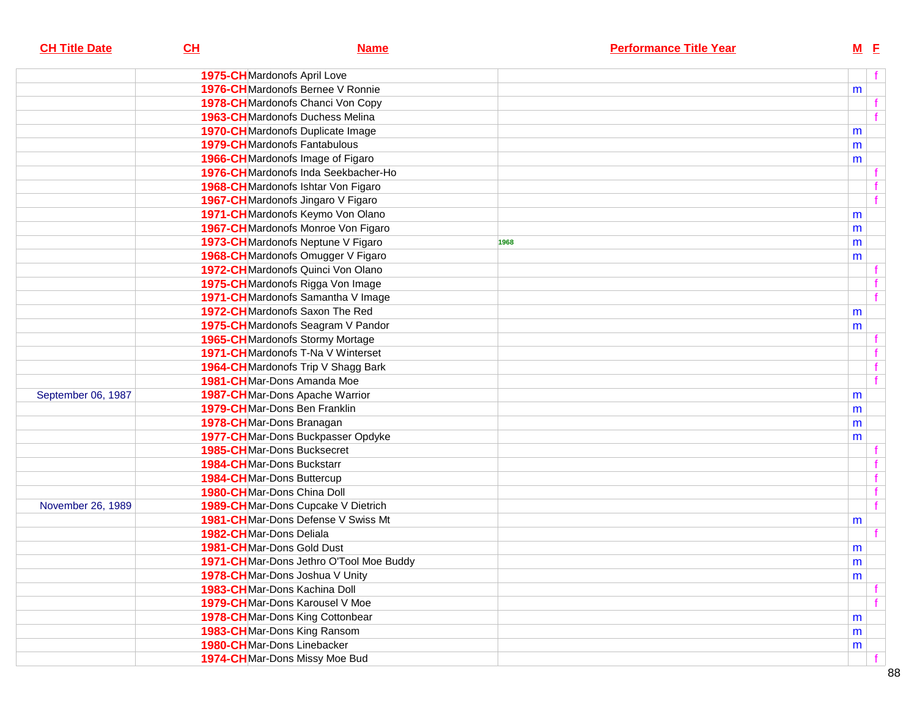| <b>CH Title Date</b> | $CH$ | <b>Name</b>                              | <b>Performance Title Year</b> | <u>M E</u> |              |
|----------------------|------|------------------------------------------|-------------------------------|------------|--------------|
|                      |      | 1975-CHMardonofs April Love              |                               |            | f            |
|                      |      | <b>1976-CH</b> Mardonofs Bernee V Ronnie |                               | m          |              |
|                      |      | 1978-CH Mardonofs Chanci Von Copy        |                               |            |              |
|                      |      | <b>1963-CH</b> Mardonofs Duchess Melina  |                               |            |              |
|                      |      | 1970-CHMardonofs Duplicate Image         |                               | m          |              |
|                      |      | <b>1979-CH</b> Mardonofs Fantabulous     |                               | m          |              |
|                      |      | 1966-CHMardonofs Image of Figaro         |                               | m          |              |
|                      |      | 1976-CHMardonofs Inda Seekbacher-Ho      |                               |            |              |
|                      |      | 1968-CHMardonofs Ishtar Von Figaro       |                               |            |              |
|                      |      | 1967-CHMardonofs Jingaro V Figaro        |                               |            | f            |
|                      |      | 1971-CH Mardonofs Keymo Von Olano        |                               | m          |              |
|                      |      | 1967-CHMardonofs Monroe Von Figaro       |                               | m          |              |
|                      |      | 1973-CH Mardonofs Neptune V Figaro       | 1968                          | m          |              |
|                      |      | 1968-CH Mardonofs Omugger V Figaro       |                               | m          |              |
|                      |      | 1972-CHMardonofs Quinci Von Olano        |                               |            |              |
|                      |      | 1975-CHMardonofs Rigga Von Image         |                               |            |              |
|                      |      | 1971-CH Mardonofs Samantha V Image       |                               |            | f            |
|                      |      | 1972-CH Mardonofs Saxon The Red          |                               | m          |              |
|                      |      | 1975-CH Mardonofs Seagram V Pandor       |                               | m          |              |
|                      |      | <b>1965-CH</b> Mardonofs Stormy Mortage  |                               |            |              |
|                      |      | 1971-CHMardonofs T-Na V Winterset        |                               |            | f.           |
|                      |      | 1964-CH Mardonofs Trip V Shagg Bark      |                               |            | f            |
|                      |      | 1981-CHMar-Dons Amanda Moe               |                               |            | f            |
| September 06, 1987   |      | 1987-CHMar-Dons Apache Warrior           |                               | m          |              |
|                      |      | 1979-CHMar-Dons Ben Franklin             |                               |            |              |
|                      |      | 1978-CHMar-Dons Branagan                 |                               | m          |              |
|                      |      | 1977-CHMar-Dons Buckpasser Opdyke        |                               | m          |              |
|                      |      | <b>1985-CH</b> Mar-Dons Bucksecret       |                               | m          |              |
|                      |      | 1984-CHMar-Dons Buckstarr                |                               |            | f.           |
|                      |      | 1984-CHMar-Dons Buttercup                |                               |            | $\mathbf{f}$ |
|                      |      | 1980-CHMar-Dons China Doll               |                               |            | f            |
| November 26, 1989    |      | 1989-CHMar-Dons Cupcake V Dietrich       |                               |            | f            |
|                      |      | 1981-CHMar-Dons Defense V Swiss Mt       |                               |            |              |
|                      |      | 1982-CHMar-Dons Deliala                  |                               | m          |              |
|                      |      | 1981-CHMar-Dons Gold Dust                |                               |            |              |
|                      |      | 1971-CHMar-Dons Jethro O'Tool Moe Buddy  |                               | m          |              |
|                      |      | 1978-CHMar-Dons Joshua V Unity           |                               | ${\sf m}$  |              |
|                      |      | 1983-CHMar-Dons Kachina Doll             |                               | m          |              |
|                      |      | 1979-CHMar-Dons Karousel V Moe           |                               |            |              |
|                      |      | 1978-CHMar-Dons King Cottonbear          |                               |            |              |
|                      |      | 1983-CHMar-Dons King Ransom              |                               | m          |              |
|                      |      | 1980-CHMar-Dons Linebacker               |                               | m          |              |
|                      |      | 1974-CHMar-Dons Missy Moe Bud            |                               | m          |              |
|                      |      |                                          |                               |            |              |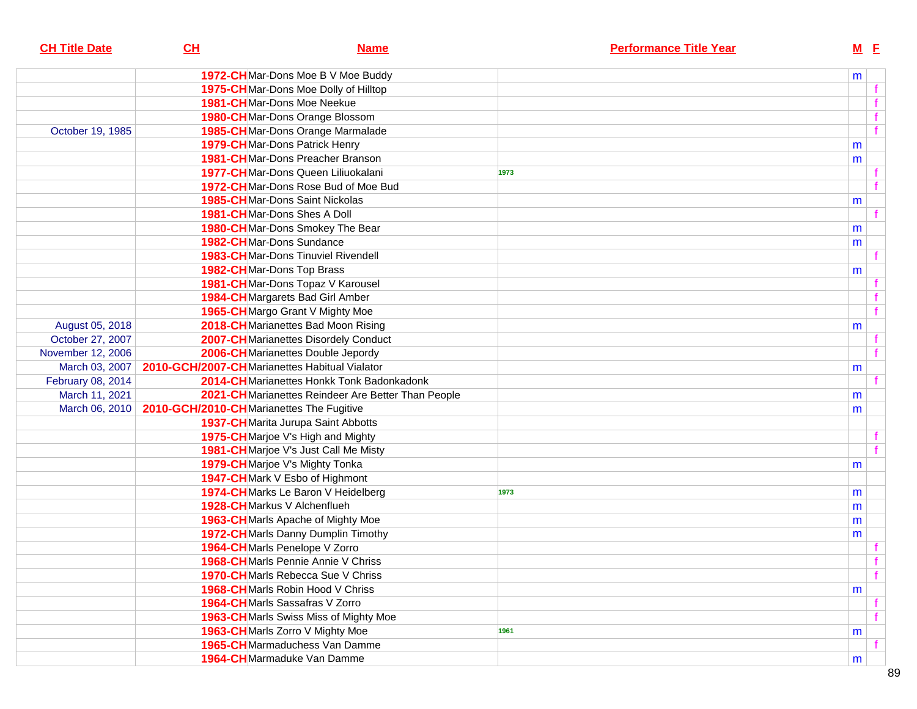| <b>CH Title Date</b> | CH                                       | <b>Name</b>                                        | <b>Performance Title Year</b> | $M$ E |              |
|----------------------|------------------------------------------|----------------------------------------------------|-------------------------------|-------|--------------|
|                      |                                          | 1972-CHMar-Dons Moe B V Moe Buddy                  |                               | m     |              |
|                      |                                          | 1975-CH Mar-Dons Moe Dolly of Hilltop              |                               |       |              |
|                      |                                          | 1981-CHMar-Dons Moe Neekue                         |                               |       |              |
|                      |                                          | 1980-CHMar-Dons Orange Blossom                     |                               |       | f            |
| October 19, 1985     |                                          | 1985-CH Mar-Dons Orange Marmalade                  |                               |       | $-f$         |
|                      |                                          | 1979-CHMar-Dons Patrick Henry                      |                               | m     |              |
|                      |                                          | <b>1981-CH</b> Mar-Dons Preacher Branson           |                               | m     |              |
|                      |                                          | 1977-CHMar-Dons Queen Liliuokalani                 | 1973                          |       |              |
|                      |                                          | 1972-CHMar-Dons Rose Bud of Moe Bud                |                               |       | $\mathbf{f}$ |
|                      |                                          | <b>1985-CH</b> Mar-Dons Saint Nickolas             |                               | m     |              |
|                      |                                          | 1981-CHMar-Dons Shes A Doll                        |                               |       | $\mathbf{f}$ |
|                      |                                          | 1980-CHMar-Dons Smokey The Bear                    |                               | m     |              |
|                      |                                          | 1982-CHMar-Dons Sundance                           |                               | m     |              |
|                      |                                          | 1983-CHMar-Dons Tinuviel Rivendell                 |                               |       |              |
|                      |                                          | 1982-CHMar-Dons Top Brass                          |                               | m     |              |
|                      |                                          | 1981-CHMar-Dons Topaz V Karousel                   |                               |       |              |
|                      |                                          | 1984-CH Margarets Bad Girl Amber                   |                               |       |              |
|                      |                                          | 1965-CHMargo Grant V Mighty Moe                    |                               |       | f            |
| August 05, 2018      |                                          | 2018-CH Marianettes Bad Moon Rising                |                               | m     |              |
| October 27, 2007     |                                          | 2007-CHMarianettes Disordely Conduct               |                               |       |              |
| November 12, 2006    |                                          | 2006-CH Marianettes Double Jepordy                 |                               |       | $\mathbf{f}$ |
| March 03, 2007       |                                          | 2010-GCH/2007-CH Marianettes Habitual Vialator     |                               | m     |              |
| February 08, 2014    |                                          | 2014-CHMarianettes Honkk Tonk Badonkadonk          |                               |       |              |
| March 11, 2021       |                                          | 2021-CHMarianettes Reindeer Are Better Than People |                               | m     |              |
| March 06, 2010       | 2010-GCH/2010-CHMarianettes The Fugitive |                                                    |                               | m     |              |
|                      |                                          | 1937-CH Marita Jurupa Saint Abbotts                |                               |       |              |
|                      |                                          | 1975-CHMarjoe V's High and Mighty                  |                               |       |              |
|                      |                                          | 1981-CH Marjoe V's Just Call Me Misty              |                               |       |              |
|                      |                                          | 1979-CHMarjoe V's Mighty Tonka                     |                               | m     |              |
|                      |                                          | 1947-CHMark V Esbo of Highmont                     |                               |       |              |
|                      |                                          | 1974-CH Marks Le Baron V Heidelberg                | 1973                          | m     |              |
|                      |                                          | 1928-CH Markus V Alchenflueh                       |                               | m     |              |
|                      |                                          | 1963-CHMarls Apache of Mighty Moe                  |                               | m     |              |
|                      |                                          | 1972-CH Marls Danny Dumplin Timothy                |                               | m     |              |
|                      |                                          | 1964-CHMarls Penelope V Zorro                      |                               |       |              |
|                      |                                          | 1968-CHMarls Pennie Annie V Chriss                 |                               |       | $-f$         |
|                      |                                          | 1970-CHMarls Rebecca Sue V Chriss                  |                               |       | f            |
|                      |                                          | 1968-CHMarls Robin Hood V Chriss                   |                               | m     |              |
|                      |                                          | 1964-CHMarls Sassafras V Zorro                     |                               |       |              |
|                      |                                          | 1963-CH Marls Swiss Miss of Mighty Moe             |                               |       | f            |
|                      |                                          | 1963-CHMarls Zorro V Mighty Moe                    | 1961                          | m     |              |
|                      |                                          | 1965-CHMarmaduchess Van Damme                      |                               |       |              |
|                      |                                          | 1964-CHMarmaduke Van Damme                         |                               | m     |              |
|                      |                                          |                                                    |                               |       |              |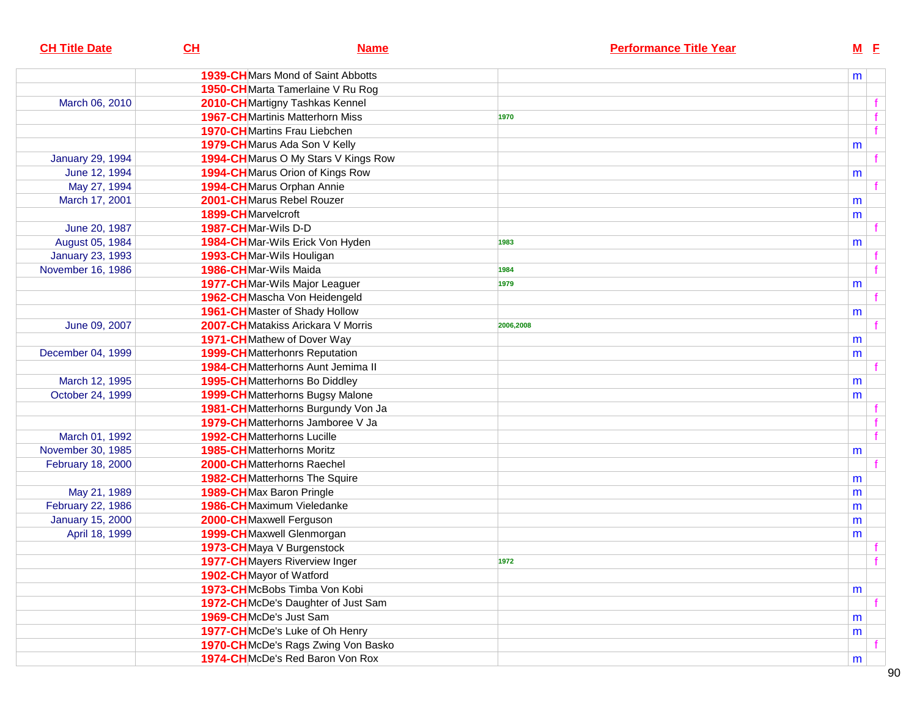| <b>CH Title Date</b>    | CH                                      | <b>Name</b>                         |           | <b>Performance Title Year</b> |   | $M$ E |
|-------------------------|-----------------------------------------|-------------------------------------|-----------|-------------------------------|---|-------|
|                         |                                         | 1939-CHMars Mond of Saint Abbotts   |           |                               | m |       |
|                         |                                         | 1950-CH Marta Tamerlaine V Ru Rog   |           |                               |   |       |
| March 06, 2010          | 2010-CH Martigny Tashkas Kennel         |                                     |           |                               |   |       |
|                         | <b>1967-CH</b> Martinis Matterhorn Miss |                                     | 1970      |                               |   |       |
|                         | <b>1970-CH</b> Martins Frau Liebchen    |                                     |           |                               |   |       |
|                         | 1979-CH Marus Ada Son V Kelly           |                                     |           |                               | m |       |
| <b>January 29, 1994</b> |                                         | 1994-CHMarus O My Stars V Kings Row |           |                               |   |       |
| June 12, 1994           | 1994-CHMarus Orion of Kings Row         |                                     |           |                               | m |       |
| May 27, 1994            | 1994-CHMarus Orphan Annie               |                                     |           |                               |   |       |
| March 17, 2001          | 2001-CHMarus Rebel Rouzer               |                                     |           |                               | m |       |
|                         | 1899-CHMarvelcroft                      |                                     |           |                               | m |       |
| June 20, 1987           | 1987-CHMar-Wils D-D                     |                                     |           |                               |   |       |
| August 05, 1984         | 1984-CHMar-Wils Erick Von Hyden         |                                     | 1983      |                               | m |       |
| <b>January 23, 1993</b> | 1993-CHMar-Wils Houligan                |                                     |           |                               |   |       |
| November 16, 1986       | 1986-CHMar-Wils Maida                   |                                     | 1984      |                               |   |       |
|                         | 1977-CHMar-Wils Major Leaguer           |                                     | 1979      |                               | m |       |
|                         | 1962-CHMascha Von Heidengeld            |                                     |           |                               |   |       |
|                         | 1961-CH Master of Shady Hollow          |                                     |           |                               | m |       |
| June 09, 2007           |                                         | 2007-CHMatakiss Arickara V Morris   | 2006,2008 |                               |   |       |
|                         | 1971-CHMathew of Dover Way              |                                     |           |                               | m |       |
| December 04, 1999       | <b>1999-CH</b> Matterhonrs Reputation   |                                     |           |                               | m |       |
|                         |                                         | 1984-CHMatterhorns Aunt Jemima II   |           |                               |   |       |
| March 12, 1995          | 1995-CH Matterhorns Bo Diddley          |                                     |           |                               | m |       |
| October 24, 1999        |                                         | 1999-CHMatterhorns Bugsy Malone     |           |                               | m |       |
|                         |                                         | 1981-CH Matterhorns Burgundy Von Ja |           |                               |   |       |
|                         |                                         | 1979-CHMatterhorns Jamboree V Ja    |           |                               |   |       |
| March 01, 1992          | <b>1992-CH</b> Matterhorns Lucille      |                                     |           |                               |   |       |
| November 30, 1985       | <b>1985-CH</b> Matterhorns Moritz       |                                     |           |                               | m |       |
| February 18, 2000       | 2000-CHMatterhorns Raechel              |                                     |           |                               |   |       |
|                         | <b>1982-CH</b> Matterhorns The Squire   |                                     |           |                               | m |       |
| May 21, 1989            | 1989-CHMax Baron Pringle                |                                     |           |                               | m |       |
| February 22, 1986       | 1986-CHMaximum Vieledanke               |                                     |           |                               | m |       |
| <b>January 15, 2000</b> | 2000-CHMaxwell Ferguson                 |                                     |           |                               | m |       |
| April 18, 1999          | 1999-CH Maxwell Glenmorgan              |                                     |           |                               | m |       |
|                         | 1973-CHMaya V Burgenstock               |                                     |           |                               |   |       |
|                         | 1977-CHMayers Riverview Inger           |                                     | 1972      |                               |   |       |
|                         | 1902-CH Mayor of Watford                |                                     |           |                               |   |       |
|                         | 1973-CHMcBobs Timba Von Kobi            |                                     |           |                               | m |       |
|                         |                                         | 1972-CHMcDe's Daughter of Just Sam  |           |                               |   |       |
|                         | 1969-CHMcDe's Just Sam                  |                                     |           |                               | m |       |
|                         | 1977-CHMcDe's Luke of Oh Henry          |                                     |           |                               | m |       |
|                         |                                         | 1970-CHMcDe's Rags Zwing Von Basko  |           |                               |   |       |
|                         |                                         | 1974-CHMcDe's Red Baron Von Rox     |           |                               | m |       |
|                         |                                         |                                     |           |                               |   |       |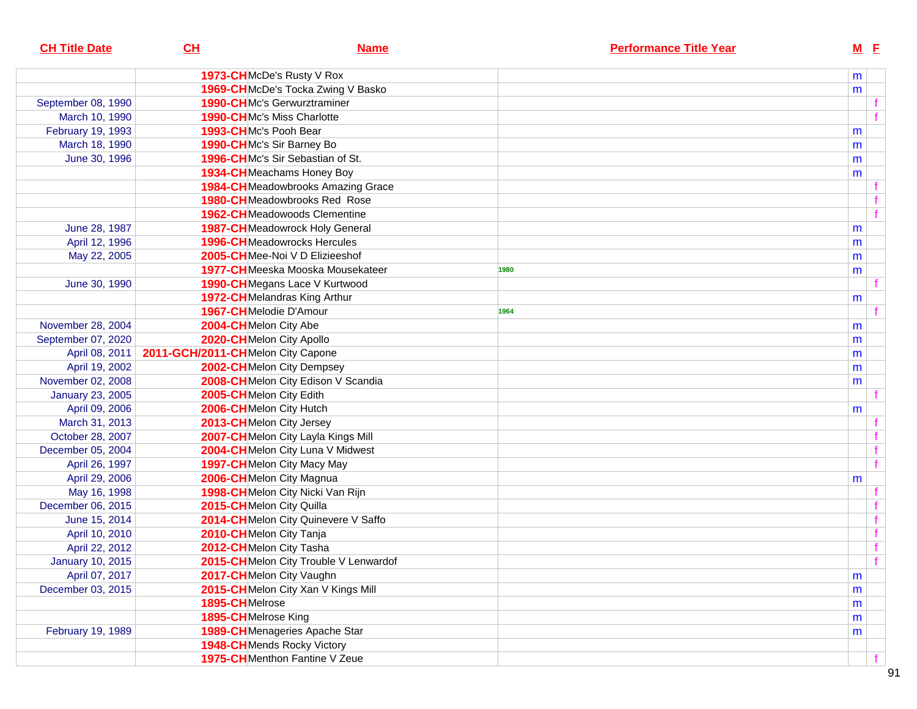| <b>CH Title Date</b>    | CL                                                 | <b>Name</b>                               |      | <b>Performance Title Year</b> | $M$ E |   |
|-------------------------|----------------------------------------------------|-------------------------------------------|------|-------------------------------|-------|---|
|                         |                                                    | 1973-CHMcDe's Rusty V Rox                 |      |                               | m     |   |
|                         |                                                    | 1969-CHMcDe's Tocka Zwing V Basko         |      |                               | m     |   |
| September 08, 1990      |                                                    | <b>1990-CHMc's Gerwurztraminer</b>        |      |                               |       |   |
| March 10, 1990          |                                                    | <b>1990-CHMc's Miss Charlotte</b>         |      |                               |       |   |
| February 19, 1993       | 1993-CHMc's Pooh Bear                              |                                           |      |                               | m     |   |
| March 18, 1990          |                                                    | 1990-CHMc's Sir Barney Bo                 |      |                               | m     |   |
| June 30, 1996           |                                                    | 1996-CHMc's Sir Sebastian of St.          |      |                               | m     |   |
|                         |                                                    | 1934-CHMeachams Honey Boy                 |      |                               | m     |   |
|                         |                                                    | <b>1984-CH</b> Meadowbrooks Amazing Grace |      |                               |       |   |
|                         |                                                    | <b>1980-CH</b> Meadowbrooks Red Rose      |      |                               |       |   |
|                         |                                                    | <b>1962-CH</b> Meadowoods Clementine      |      |                               |       | f |
| June 28, 1987           |                                                    | 1987-CHMeadowrock Holy General            |      |                               | m     |   |
| April 12, 1996          |                                                    | <b>1996-CH</b> Meadowrocks Hercules       |      |                               | m     |   |
| May 22, 2005            |                                                    | 2005-CHMee-Noi V D Elizieeshof            |      |                               | m     |   |
|                         |                                                    | 1977-CHMeeska Mooska Mousekateer          | 1980 |                               | m     |   |
| June 30, 1990           |                                                    | 1990-CHMegans Lace V Kurtwood             |      |                               |       |   |
|                         |                                                    | 1972-CHMelandras King Arthur              |      |                               | m     |   |
|                         |                                                    | 1967-CHMelodie D'Amour                    | 1964 |                               |       |   |
| November 28, 2004       | 2004-CHMelon City Abe                              |                                           |      |                               | m     |   |
| September 07, 2020      |                                                    | 2020-CHMelon City Apollo                  |      |                               | m     |   |
|                         | April 08, 2011   2011-GCH/2011-CHMelon City Capone |                                           |      |                               | m     |   |
| April 19, 2002          |                                                    | 2002-CHMelon City Dempsey                 |      |                               | m     |   |
| November 02, 2008       |                                                    | 2008-CHMelon City Edison V Scandia        |      |                               | m     |   |
| <b>January 23, 2005</b> |                                                    | 2005-CHMelon City Edith                   |      |                               |       |   |
| April 09, 2006          |                                                    | 2006-CHMelon City Hutch                   |      |                               | m     |   |
| March 31, 2013          |                                                    | 2013-CHMelon City Jersey                  |      |                               |       |   |
| October 28, 2007        |                                                    | 2007-CHMelon City Layla Kings Mill        |      |                               |       |   |
| December 05, 2004       |                                                    | 2004-CHMelon City Luna V Midwest          |      |                               |       |   |
| April 26, 1997          |                                                    | 1997-CHMelon City Macy May                |      |                               |       | f |
| April 29, 2006          |                                                    | 2006-CHMelon City Magnua                  |      |                               | m     |   |
| May 16, 1998            |                                                    | 1998-CHMelon City Nicki Van Rijn          |      |                               |       |   |
| December 06, 2015       |                                                    | 2015-CHMelon City Quilla                  |      |                               |       |   |
| June 15, 2014           |                                                    | 2014-CHMelon City Quinevere V Saffo       |      |                               |       | f |
| April 10, 2010          |                                                    | 2010-CHMelon City Tanja                   |      |                               |       | f |
| April 22, 2012          |                                                    | 2012-CHMelon City Tasha                   |      |                               |       | f |
| <b>January 10, 2015</b> |                                                    | 2015-CHMelon City Trouble V Lenwardof     |      |                               |       | f |
| April 07, 2017          |                                                    | 2017-CHMelon City Vaughn                  |      |                               | m     |   |
| December 03, 2015       |                                                    | 2015-CHMelon City Xan V Kings Mill        |      |                               | m     |   |
|                         | 1895-CHMelrose                                     |                                           |      |                               | m     |   |
|                         | 1895-CHMelrose King                                |                                           |      |                               | m     |   |
| February 19, 1989       |                                                    | 1989-CHMenageries Apache Star             |      |                               | m     |   |
|                         |                                                    | 1948-CHMends Rocky Victory                |      |                               |       |   |
|                         |                                                    | 1975-CHMenthon Fantine V Zeue             |      |                               |       |   |
|                         |                                                    |                                           |      |                               |       |   |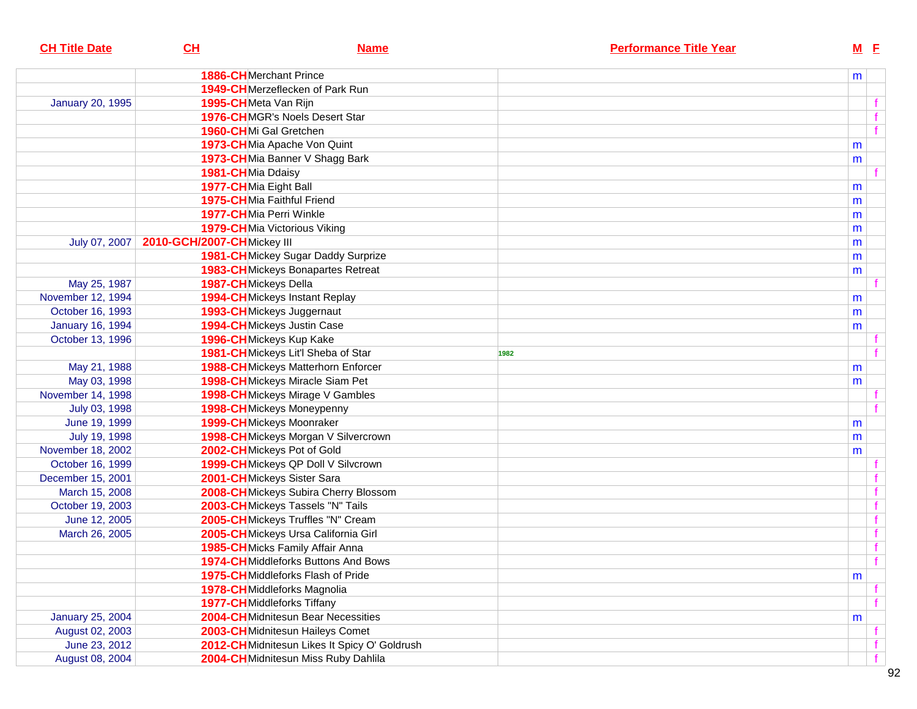| CL | <b>Name</b> | <b>Performance Title Year</b>                                                                                                                                                                                                                                                                                                                                                                                                                                                                                                                                                                                                                                                                                                                                                                                                                                                                                                                                                                                                                                                                                                                                                                                                                                                                                                                                                                                                                                                                                                              | $M$ E |                                                                         |
|----|-------------|--------------------------------------------------------------------------------------------------------------------------------------------------------------------------------------------------------------------------------------------------------------------------------------------------------------------------------------------------------------------------------------------------------------------------------------------------------------------------------------------------------------------------------------------------------------------------------------------------------------------------------------------------------------------------------------------------------------------------------------------------------------------------------------------------------------------------------------------------------------------------------------------------------------------------------------------------------------------------------------------------------------------------------------------------------------------------------------------------------------------------------------------------------------------------------------------------------------------------------------------------------------------------------------------------------------------------------------------------------------------------------------------------------------------------------------------------------------------------------------------------------------------------------------------|-------|-------------------------------------------------------------------------|
|    |             |                                                                                                                                                                                                                                                                                                                                                                                                                                                                                                                                                                                                                                                                                                                                                                                                                                                                                                                                                                                                                                                                                                                                                                                                                                                                                                                                                                                                                                                                                                                                            |       |                                                                         |
|    |             |                                                                                                                                                                                                                                                                                                                                                                                                                                                                                                                                                                                                                                                                                                                                                                                                                                                                                                                                                                                                                                                                                                                                                                                                                                                                                                                                                                                                                                                                                                                                            |       |                                                                         |
|    |             |                                                                                                                                                                                                                                                                                                                                                                                                                                                                                                                                                                                                                                                                                                                                                                                                                                                                                                                                                                                                                                                                                                                                                                                                                                                                                                                                                                                                                                                                                                                                            |       |                                                                         |
|    |             |                                                                                                                                                                                                                                                                                                                                                                                                                                                                                                                                                                                                                                                                                                                                                                                                                                                                                                                                                                                                                                                                                                                                                                                                                                                                                                                                                                                                                                                                                                                                            |       |                                                                         |
|    |             |                                                                                                                                                                                                                                                                                                                                                                                                                                                                                                                                                                                                                                                                                                                                                                                                                                                                                                                                                                                                                                                                                                                                                                                                                                                                                                                                                                                                                                                                                                                                            |       |                                                                         |
|    |             |                                                                                                                                                                                                                                                                                                                                                                                                                                                                                                                                                                                                                                                                                                                                                                                                                                                                                                                                                                                                                                                                                                                                                                                                                                                                                                                                                                                                                                                                                                                                            |       |                                                                         |
|    |             |                                                                                                                                                                                                                                                                                                                                                                                                                                                                                                                                                                                                                                                                                                                                                                                                                                                                                                                                                                                                                                                                                                                                                                                                                                                                                                                                                                                                                                                                                                                                            |       |                                                                         |
|    |             |                                                                                                                                                                                                                                                                                                                                                                                                                                                                                                                                                                                                                                                                                                                                                                                                                                                                                                                                                                                                                                                                                                                                                                                                                                                                                                                                                                                                                                                                                                                                            |       |                                                                         |
|    |             |                                                                                                                                                                                                                                                                                                                                                                                                                                                                                                                                                                                                                                                                                                                                                                                                                                                                                                                                                                                                                                                                                                                                                                                                                                                                                                                                                                                                                                                                                                                                            |       |                                                                         |
|    |             |                                                                                                                                                                                                                                                                                                                                                                                                                                                                                                                                                                                                                                                                                                                                                                                                                                                                                                                                                                                                                                                                                                                                                                                                                                                                                                                                                                                                                                                                                                                                            |       |                                                                         |
|    |             |                                                                                                                                                                                                                                                                                                                                                                                                                                                                                                                                                                                                                                                                                                                                                                                                                                                                                                                                                                                                                                                                                                                                                                                                                                                                                                                                                                                                                                                                                                                                            |       |                                                                         |
|    |             |                                                                                                                                                                                                                                                                                                                                                                                                                                                                                                                                                                                                                                                                                                                                                                                                                                                                                                                                                                                                                                                                                                                                                                                                                                                                                                                                                                                                                                                                                                                                            |       |                                                                         |
|    |             |                                                                                                                                                                                                                                                                                                                                                                                                                                                                                                                                                                                                                                                                                                                                                                                                                                                                                                                                                                                                                                                                                                                                                                                                                                                                                                                                                                                                                                                                                                                                            |       |                                                                         |
|    |             |                                                                                                                                                                                                                                                                                                                                                                                                                                                                                                                                                                                                                                                                                                                                                                                                                                                                                                                                                                                                                                                                                                                                                                                                                                                                                                                                                                                                                                                                                                                                            |       |                                                                         |
|    |             |                                                                                                                                                                                                                                                                                                                                                                                                                                                                                                                                                                                                                                                                                                                                                                                                                                                                                                                                                                                                                                                                                                                                                                                                                                                                                                                                                                                                                                                                                                                                            |       |                                                                         |
|    |             |                                                                                                                                                                                                                                                                                                                                                                                                                                                                                                                                                                                                                                                                                                                                                                                                                                                                                                                                                                                                                                                                                                                                                                                                                                                                                                                                                                                                                                                                                                                                            |       |                                                                         |
|    |             |                                                                                                                                                                                                                                                                                                                                                                                                                                                                                                                                                                                                                                                                                                                                                                                                                                                                                                                                                                                                                                                                                                                                                                                                                                                                                                                                                                                                                                                                                                                                            |       |                                                                         |
|    |             |                                                                                                                                                                                                                                                                                                                                                                                                                                                                                                                                                                                                                                                                                                                                                                                                                                                                                                                                                                                                                                                                                                                                                                                                                                                                                                                                                                                                                                                                                                                                            |       |                                                                         |
|    |             |                                                                                                                                                                                                                                                                                                                                                                                                                                                                                                                                                                                                                                                                                                                                                                                                                                                                                                                                                                                                                                                                                                                                                                                                                                                                                                                                                                                                                                                                                                                                            |       |                                                                         |
|    |             |                                                                                                                                                                                                                                                                                                                                                                                                                                                                                                                                                                                                                                                                                                                                                                                                                                                                                                                                                                                                                                                                                                                                                                                                                                                                                                                                                                                                                                                                                                                                            |       |                                                                         |
|    |             | 1982                                                                                                                                                                                                                                                                                                                                                                                                                                                                                                                                                                                                                                                                                                                                                                                                                                                                                                                                                                                                                                                                                                                                                                                                                                                                                                                                                                                                                                                                                                                                       |       |                                                                         |
|    |             |                                                                                                                                                                                                                                                                                                                                                                                                                                                                                                                                                                                                                                                                                                                                                                                                                                                                                                                                                                                                                                                                                                                                                                                                                                                                                                                                                                                                                                                                                                                                            |       |                                                                         |
|    |             |                                                                                                                                                                                                                                                                                                                                                                                                                                                                                                                                                                                                                                                                                                                                                                                                                                                                                                                                                                                                                                                                                                                                                                                                                                                                                                                                                                                                                                                                                                                                            |       |                                                                         |
|    |             |                                                                                                                                                                                                                                                                                                                                                                                                                                                                                                                                                                                                                                                                                                                                                                                                                                                                                                                                                                                                                                                                                                                                                                                                                                                                                                                                                                                                                                                                                                                                            |       |                                                                         |
|    |             |                                                                                                                                                                                                                                                                                                                                                                                                                                                                                                                                                                                                                                                                                                                                                                                                                                                                                                                                                                                                                                                                                                                                                                                                                                                                                                                                                                                                                                                                                                                                            |       |                                                                         |
|    |             |                                                                                                                                                                                                                                                                                                                                                                                                                                                                                                                                                                                                                                                                                                                                                                                                                                                                                                                                                                                                                                                                                                                                                                                                                                                                                                                                                                                                                                                                                                                                            | m     |                                                                         |
|    |             |                                                                                                                                                                                                                                                                                                                                                                                                                                                                                                                                                                                                                                                                                                                                                                                                                                                                                                                                                                                                                                                                                                                                                                                                                                                                                                                                                                                                                                                                                                                                            | m     |                                                                         |
|    |             |                                                                                                                                                                                                                                                                                                                                                                                                                                                                                                                                                                                                                                                                                                                                                                                                                                                                                                                                                                                                                                                                                                                                                                                                                                                                                                                                                                                                                                                                                                                                            | m     |                                                                         |
|    |             |                                                                                                                                                                                                                                                                                                                                                                                                                                                                                                                                                                                                                                                                                                                                                                                                                                                                                                                                                                                                                                                                                                                                                                                                                                                                                                                                                                                                                                                                                                                                            |       |                                                                         |
|    |             |                                                                                                                                                                                                                                                                                                                                                                                                                                                                                                                                                                                                                                                                                                                                                                                                                                                                                                                                                                                                                                                                                                                                                                                                                                                                                                                                                                                                                                                                                                                                            |       |                                                                         |
|    |             |                                                                                                                                                                                                                                                                                                                                                                                                                                                                                                                                                                                                                                                                                                                                                                                                                                                                                                                                                                                                                                                                                                                                                                                                                                                                                                                                                                                                                                                                                                                                            |       |                                                                         |
|    |             |                                                                                                                                                                                                                                                                                                                                                                                                                                                                                                                                                                                                                                                                                                                                                                                                                                                                                                                                                                                                                                                                                                                                                                                                                                                                                                                                                                                                                                                                                                                                            |       |                                                                         |
|    |             |                                                                                                                                                                                                                                                                                                                                                                                                                                                                                                                                                                                                                                                                                                                                                                                                                                                                                                                                                                                                                                                                                                                                                                                                                                                                                                                                                                                                                                                                                                                                            |       |                                                                         |
|    |             |                                                                                                                                                                                                                                                                                                                                                                                                                                                                                                                                                                                                                                                                                                                                                                                                                                                                                                                                                                                                                                                                                                                                                                                                                                                                                                                                                                                                                                                                                                                                            |       |                                                                         |
|    |             |                                                                                                                                                                                                                                                                                                                                                                                                                                                                                                                                                                                                                                                                                                                                                                                                                                                                                                                                                                                                                                                                                                                                                                                                                                                                                                                                                                                                                                                                                                                                            |       |                                                                         |
|    |             |                                                                                                                                                                                                                                                                                                                                                                                                                                                                                                                                                                                                                                                                                                                                                                                                                                                                                                                                                                                                                                                                                                                                                                                                                                                                                                                                                                                                                                                                                                                                            |       |                                                                         |
|    |             |                                                                                                                                                                                                                                                                                                                                                                                                                                                                                                                                                                                                                                                                                                                                                                                                                                                                                                                                                                                                                                                                                                                                                                                                                                                                                                                                                                                                                                                                                                                                            | m     |                                                                         |
|    |             |                                                                                                                                                                                                                                                                                                                                                                                                                                                                                                                                                                                                                                                                                                                                                                                                                                                                                                                                                                                                                                                                                                                                                                                                                                                                                                                                                                                                                                                                                                                                            |       |                                                                         |
|    |             |                                                                                                                                                                                                                                                                                                                                                                                                                                                                                                                                                                                                                                                                                                                                                                                                                                                                                                                                                                                                                                                                                                                                                                                                                                                                                                                                                                                                                                                                                                                                            |       |                                                                         |
|    |             |                                                                                                                                                                                                                                                                                                                                                                                                                                                                                                                                                                                                                                                                                                                                                                                                                                                                                                                                                                                                                                                                                                                                                                                                                                                                                                                                                                                                                                                                                                                                            | m     |                                                                         |
|    |             |                                                                                                                                                                                                                                                                                                                                                                                                                                                                                                                                                                                                                                                                                                                                                                                                                                                                                                                                                                                                                                                                                                                                                                                                                                                                                                                                                                                                                                                                                                                                            |       |                                                                         |
|    |             |                                                                                                                                                                                                                                                                                                                                                                                                                                                                                                                                                                                                                                                                                                                                                                                                                                                                                                                                                                                                                                                                                                                                                                                                                                                                                                                                                                                                                                                                                                                                            |       |                                                                         |
|    |             |                                                                                                                                                                                                                                                                                                                                                                                                                                                                                                                                                                                                                                                                                                                                                                                                                                                                                                                                                                                                                                                                                                                                                                                                                                                                                                                                                                                                                                                                                                                                            |       | f                                                                       |
|    |             | <b>1886-CH</b> Merchant Prince<br>1949-CHMerzeflecken of Park Run<br>1995-CHMeta Van Rijn<br>1976-CHMGR's Noels Desert Star<br>1960-CHMi Gal Gretchen<br>1973-CHMia Apache Von Quint<br>1973-CHMia Banner V Shagg Bark<br>1981-CHMia Ddaisy<br>1977-CHMia Eight Ball<br>1975-CHMia Faithful Friend<br>1977-CHMia Perri Winkle<br><b>1979-CH</b> Mia Victorious Viking<br>2010-GCH/2007-CHMickey III<br>1981-CH Mickey Sugar Daddy Surprize<br><b>1983-CH</b> Mickeys Bonapartes Retreat<br>1987-CH Mickeys Della<br><b>1994-CH</b> Mickeys Instant Replay<br>1993-CH Mickeys Juggernaut<br><b>1994-CH</b> Mickeys Justin Case<br>1996-CHMickeys Kup Kake<br>1981-CHMickeys Lit'l Sheba of Star<br>1988-CHMickeys Matterhorn Enforcer<br>1998-CH Mickeys Miracle Siam Pet<br>1998-CH Mickeys Mirage V Gambles<br>1998-CHMickeys Moneypenny<br>1999-CHMickeys Moonraker<br>1998-CH Mickeys Morgan V Silvercrown<br>2002-CH Mickeys Pot of Gold<br>1999-CHMickeys QP Doll V Silvcrown<br>2001-CH Mickeys Sister Sara<br>2008-CHMickeys Subira Cherry Blossom<br>2003-CHMickeys Tassels "N" Tails<br>2005-CHMickeys Truffles "N" Cream<br>2005-CH Mickeys Ursa California Girl<br><b>1985-CH</b> Micks Family Affair Anna<br>1974-CH Middleforks Buttons And Bows<br>1975-CH Middleforks Flash of Pride<br>1978-CH Middleforks Magnolia<br><b>1977-CH</b> Middleforks Tiffany<br>2004-CHMidnitesun Bear Necessities<br>2003-CHMidnitesun Haileys Comet<br>2012-CH Midnitesun Likes It Spicy O' Goldrush<br>2004-CHMidnitesun Miss Ruby Dahlila |       | m<br>m<br>m<br>m<br>m<br>m<br>m<br>m<br>m<br>m<br>m<br>m<br>m<br>m<br>m |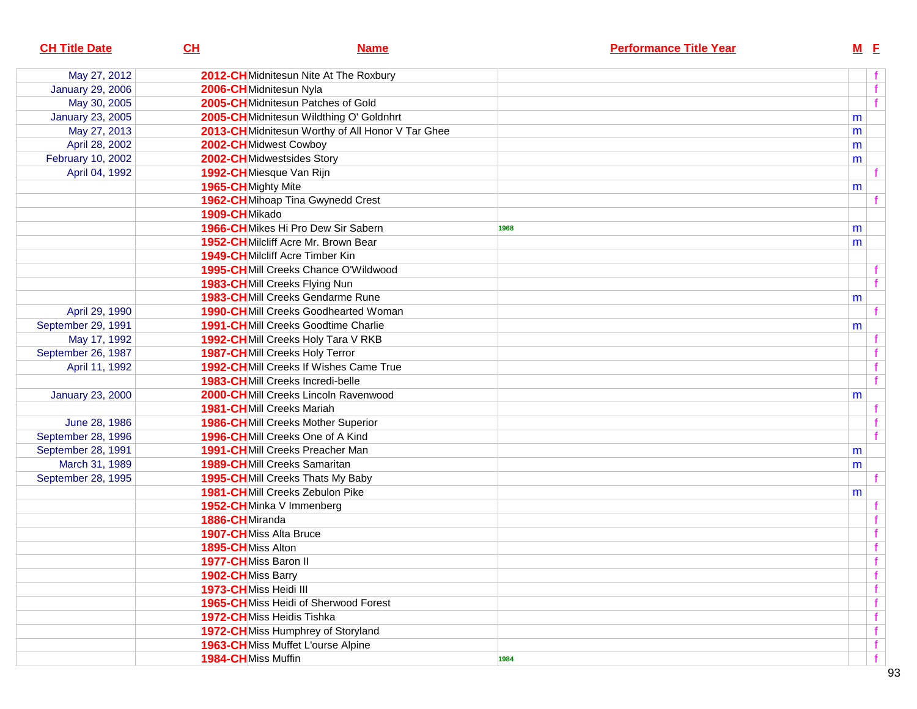| <b>CH Title Date</b>    | CL<br><b>Name</b>                                |      | <b>Performance Title Year</b> | $M$ E |      |
|-------------------------|--------------------------------------------------|------|-------------------------------|-------|------|
| May 27, 2012            | 2012-CHMidnitesun Nite At The Roxbury            |      |                               |       | f    |
| <b>January 29, 2006</b> | 2006-CHMidnitesun Nyla                           |      |                               |       | f    |
| May 30, 2005            | 2005-CHMidnitesun Patches of Gold                |      |                               |       | f    |
| <b>January 23, 2005</b> | 2005-CHMidnitesun Wildthing O' Goldnhrt          |      |                               | m     |      |
| May 27, 2013            | 2013-CHMidnitesun Worthy of All Honor V Tar Ghee |      |                               | m     |      |
| April 28, 2002          | 2002-CHMidwest Cowboy                            |      |                               | m     |      |
| February 10, 2002       | 2002-CHMidwestsides Story                        |      |                               | m     |      |
| April 04, 1992          | 1992-CHMiesque Van Rijn                          |      |                               |       |      |
|                         | 1965-CH Mighty Mite                              |      |                               | m     |      |
|                         | 1962-CHMihoap Tina Gwynedd Crest                 |      |                               |       |      |
|                         | 1909-CHMikado                                    |      |                               |       |      |
|                         | 1966-CHMikes Hi Pro Dew Sir Sabern               | 1968 |                               | m     |      |
|                         | 1952-CHMilcliff Acre Mr. Brown Bear              |      |                               | m     |      |
|                         | <b>1949-CH</b> Milcliff Acre Timber Kin          |      |                               |       |      |
|                         | 1995-CHMill Creeks Chance O'Wildwood             |      |                               |       |      |
|                         | 1983-CHMill Creeks Flying Nun                    |      |                               |       | f    |
|                         | 1983-CHMill Creeks Gendarme Rune                 |      |                               | m     |      |
| April 29, 1990          | <b>1990-CHMill Creeks Goodhearted Woman</b>      |      |                               |       |      |
| September 29, 1991      | <b>1991-CH</b> Mill Creeks Goodtime Charlie      |      |                               | m     |      |
| May 17, 1992            | 1992-CHMill Creeks Holy Tara V RKB               |      |                               |       |      |
| September 26, 1987      | <b>1987-CHMill Creeks Holy Terror</b>            |      |                               |       | $-f$ |
| April 11, 1992          | 1992-CHMill Creeks If Wishes Came True           |      |                               |       | f    |
|                         | 1983-CHMill Creeks Incredi-belle                 |      |                               |       | f    |
| <b>January 23, 2000</b> | 2000-CHMill Creeks Lincoln Ravenwood             |      |                               | m     |      |
|                         | <b>1981-CHMill Creeks Mariah</b>                 |      |                               |       |      |
| June 28, 1986           | <b>1986-CHMill Creeks Mother Superior</b>        |      |                               |       | f.   |
| September 28, 1996      | 1996-CHMill Creeks One of A Kind                 |      |                               |       | f    |
| September 28, 1991      | <b>1991-CHMill Creeks Preacher Man</b>           |      |                               | m     |      |
| March 31, 1989          | <b>1989-CHMill Creeks Samaritan</b>              |      |                               | m     |      |
| September 28, 1995      | 1995-CHMill Creeks Thats My Baby                 |      |                               |       |      |
|                         | <b>1981-CHMill Creeks Zebulon Pike</b>           |      |                               | m     |      |
|                         | 1952-CHMinka V Immenberg                         |      |                               |       |      |
|                         | 1886-CHMiranda                                   |      |                               |       |      |
|                         | 1907-CHMiss Alta Bruce                           |      |                               |       | f    |
|                         | 1895-CHMiss Alton                                |      |                               |       | f    |
|                         | 1977-CHMiss Baron II                             |      |                               |       | f    |
|                         | 1902-CHMiss Barry                                |      |                               |       | f    |
|                         | 1973-CHMiss Heidi III                            |      |                               |       | f    |
|                         | 1965-CHMiss Heidi of Sherwood Forest             |      |                               |       | f    |
|                         | 1972-CHMiss Heidis Tishka                        |      |                               |       | f    |
|                         | 1972-CH Miss Humphrey of Storyland               |      |                               |       | f    |
|                         | 1963-CHMiss Muffet L'ourse Alpine                |      |                               |       | f    |
|                         | 1984-CHMiss Muffin                               | 1984 |                               |       | f    |
|                         |                                                  |      |                               |       |      |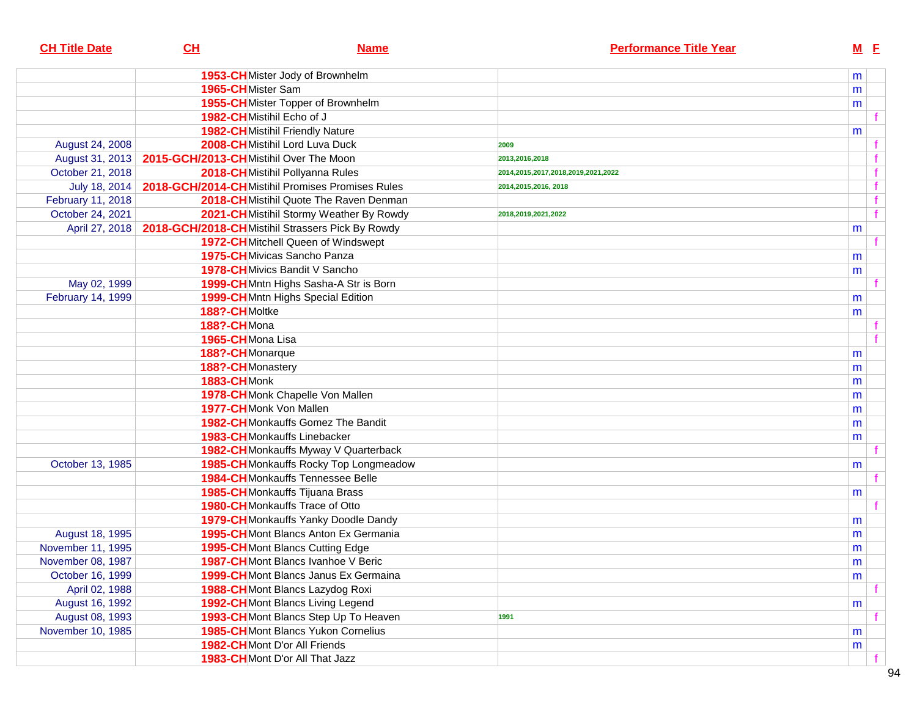| <b>CH Title Date</b> | CL                                     | <b>Name</b>                                      | <b>Performance Title Year</b>      |   | $M$ E       |
|----------------------|----------------------------------------|--------------------------------------------------|------------------------------------|---|-------------|
|                      |                                        | 1953-CHMister Jody of Brownhelm                  |                                    | m |             |
|                      | 1965-CHMister Sam                      |                                                  |                                    | m |             |
|                      |                                        | 1955-CHMister Topper of Brownhelm                |                                    | m |             |
|                      | 1982-CHMistihil Echo of J              |                                                  |                                    |   |             |
|                      |                                        | <b>1982-CH</b> Mistihil Friendly Nature          |                                    | m |             |
| August 24, 2008      |                                        | 2008-CHMistihil Lord Luva Duck                   | 2009                               |   |             |
| August 31, 2013      | 2015-GCH/2013-CHMistihil Over The Moon |                                                  | 2013.2016.2018                     |   |             |
| October 21, 2018     |                                        | 2018-CHMistihil Pollyanna Rules                  | 2014,2015,2017,2018,2019,2021,2022 |   |             |
| July 18, 2014        |                                        | 2018-GCH/2014-CHMistihil Promises Promises Rules | 2014,2015,2016, 2018               |   | $\mathbf f$ |
| February 11, 2018    |                                        | 2018-CHMistihil Quote The Raven Denman           |                                    |   |             |
| October 24, 2021     |                                        | 2021-CH Mistihil Stormy Weather By Rowdy         | 2018,2019,2021,2022                |   | f           |
| April 27, 2018       |                                        | 2018-GCH/2018-CHMistihil Strassers Pick By Rowdy |                                    | m |             |
|                      |                                        | 1972-CHMitchell Queen of Windswept               |                                    |   |             |
|                      |                                        | 1975-CHMivicas Sancho Panza                      |                                    | m |             |
|                      |                                        | 1978-CH Mivics Bandit V Sancho                   |                                    | m |             |
| May 02, 1999         |                                        | 1999-CHMntn Highs Sasha-A Str is Born            |                                    |   |             |
| February 14, 1999    |                                        | 1999-CHMntn Highs Special Edition                |                                    | m |             |
|                      | 188?-CHMoltke                          |                                                  |                                    | m |             |
|                      | 188?-CHMona                            |                                                  |                                    |   |             |
|                      | 1965-CHMona Lisa                       |                                                  |                                    |   |             |
|                      | 188?-CHMonarque                        |                                                  |                                    | m |             |
|                      | 188?-CHMonastery                       |                                                  |                                    | m |             |
|                      | 1883-CHMonk                            |                                                  |                                    | m |             |
|                      |                                        | 1978-CHMonk Chapelle Von Mallen                  |                                    | m |             |
|                      | 1977-CHMonk Von Mallen                 |                                                  |                                    | m |             |
|                      |                                        | <b>1982-CH</b> Monkauffs Gomez The Bandit        |                                    | m |             |
|                      |                                        | 1983-CHMonkauffs Linebacker                      |                                    | m |             |
|                      |                                        | 1982-CHMonkauffs Myway V Quarterback             |                                    |   |             |
| October 13, 1985     |                                        | 1985-CHMonkauffs Rocky Top Longmeadow            |                                    | m |             |
|                      |                                        | <b>1984-CH</b> Monkauffs Tennessee Belle         |                                    |   |             |
|                      |                                        | <b>1985-CH</b> Monkauffs Tijuana Brass           |                                    | m |             |
|                      |                                        | <b>1980-CH</b> Monkauffs Trace of Otto           |                                    |   |             |
|                      |                                        | 1979-CH Monkauffs Yanky Doodle Dandy             |                                    | m |             |
| August 18, 1995      |                                        | 1995-CHMont Blancs Anton Ex Germania             |                                    | m |             |
| November 11, 1995    |                                        | 1995-CHMont Blancs Cutting Edge                  |                                    | m |             |
| November 08, 1987    |                                        | 1987-CHMont Blancs Ivanhoe V Beric               |                                    | m |             |
| October 16, 1999     |                                        | <b>1999-CH</b> Mont Blancs Janus Ex Germaina     |                                    | m |             |
| April 02, 1988       |                                        | 1988-CHMont Blancs Lazydog Roxi                  |                                    |   |             |
| August 16, 1992      |                                        | 1992-CHMont Blancs Living Legend                 |                                    | m |             |
| August 08, 1993      |                                        | 1993-CHMont Blancs Step Up To Heaven             | 1991                               |   |             |
| November 10, 1985    |                                        | <b>1985-CH</b> Mont Blancs Yukon Cornelius       |                                    | m |             |
|                      |                                        | 1982-CHMont D'or All Friends                     |                                    | m |             |
|                      |                                        | 1983-CHMont D'or All That Jazz                   |                                    |   |             |
|                      |                                        |                                                  |                                    |   |             |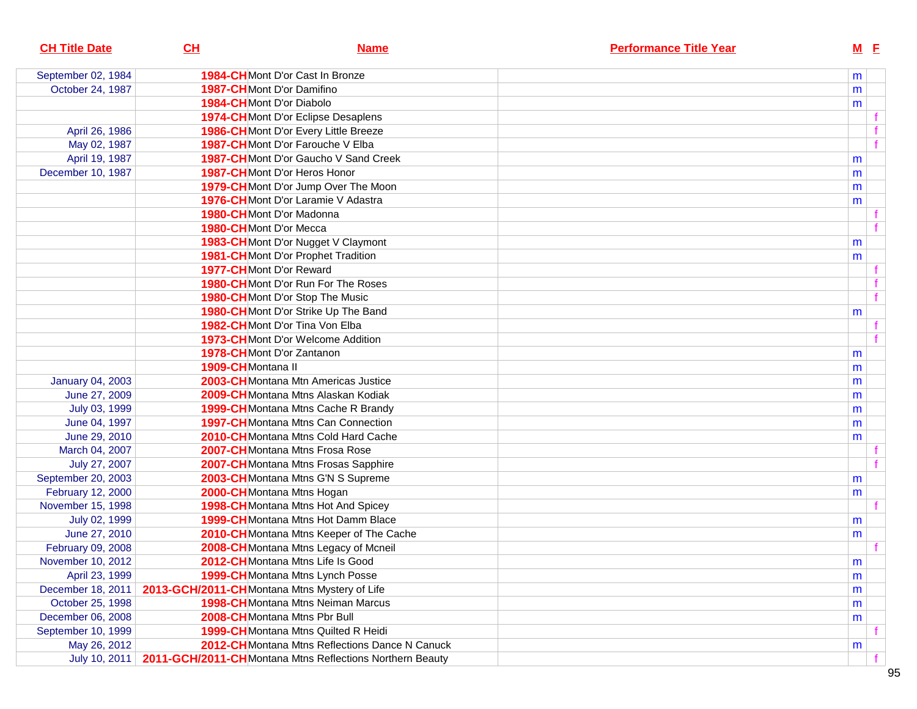| <b>CH Title Date</b>    | CL                                           | <b>Name</b>                                              | <b>Performance Title Year</b> |   | <b>M</b> E   |
|-------------------------|----------------------------------------------|----------------------------------------------------------|-------------------------------|---|--------------|
| September 02, 1984      |                                              | <b>1984-CH</b> Mont D'or Cast In Bronze                  |                               | m |              |
| October 24, 1987        |                                              | <b>1987-CH</b> Mont D'or Damifino                        |                               | m |              |
|                         | 1984-CHMont D'or Diabolo                     |                                                          |                               | m |              |
|                         |                                              | <b>1974-CH</b> Mont D'or Eclipse Desaplens               |                               |   |              |
| April 26, 1986          |                                              | 1986-CHMont D'or Every Little Breeze                     |                               |   |              |
| May 02, 1987            |                                              | 1987-CHMont D'or Farouche V Elba                         |                               |   | $\mathbf{f}$ |
| April 19, 1987          |                                              | <b>1987-CH</b> Mont D'or Gaucho V Sand Creek             |                               | m |              |
| December 10, 1987       |                                              | 1987-CHMont D'or Heros Honor                             |                               | m |              |
|                         |                                              | 1979-CH Mont D'or Jump Over The Moon                     |                               | m |              |
|                         |                                              | 1976-CHMont D'or Laramie V Adastra                       |                               | m |              |
|                         |                                              | 1980-CHMont D'or Madonna                                 |                               |   |              |
|                         | 1980-CHMont D'or Mecca                       |                                                          |                               |   | f            |
|                         |                                              | 1983-CH Mont D'or Nugget V Claymont                      |                               | m |              |
|                         |                                              | <b>1981-CH</b> Mont D'or Prophet Tradition               |                               | m |              |
|                         | <b>1977-CH</b> Mont D'or Reward              |                                                          |                               |   |              |
|                         |                                              | 1980-CHMont D'or Run For The Roses                       |                               |   | f            |
|                         |                                              | 1980-CHMont D'or Stop The Music                          |                               |   | $\mathbf{f}$ |
|                         |                                              | 1980-CH Mont D'or Strike Up The Band                     |                               | m |              |
|                         |                                              | <b>1982-CH</b> Mont D'or Tina Von Elba                   |                               |   |              |
|                         |                                              | <b>1973-CH</b> Mont D'or Welcome Addition                |                               |   | f            |
|                         |                                              | 1978-CHMont D'or Zantanon                                |                               | m |              |
|                         | 1909-CHMontana II                            |                                                          |                               | m |              |
| <b>January 04, 2003</b> |                                              | 2003-CHMontana Mtn Americas Justice                      |                               | m |              |
| June 27, 2009           |                                              | <b>2009-CH</b> Montana Mtns Alaskan Kodiak               |                               | m |              |
| July 03, 1999           |                                              | <b>1999-CH</b> Montana Mtns Cache R Brandy               |                               | m |              |
| June 04, 1997           |                                              | <b>1997-CH</b> Montana Mtns Can Connection               |                               | m |              |
| June 29, 2010           |                                              | <b>2010-CH</b> Montana Mtns Cold Hard Cache              |                               | m |              |
| March 04, 2007          |                                              | 2007-CHMontana Mtns Frosa Rose                           |                               |   |              |
| July 27, 2007           |                                              | 2007-CHMontana Mtns Frosas Sapphire                      |                               |   | f            |
| September 20, 2003      |                                              | 2003-CHMontana Mtns G'N S Supreme                        |                               | m |              |
| February 12, 2000       |                                              | 2000-CHMontana Mtns Hogan                                |                               | m |              |
| November 15, 1998       |                                              | <b>1998-CH</b> Montana Mtns Hot And Spicey               |                               |   |              |
| July 02, 1999           |                                              | <b>1999-CH</b> Montana Mtns Hot Damm Blace               |                               | m |              |
| June 27, 2010           |                                              | 2010-CH Montana Mtns Keeper of The Cache                 |                               | m |              |
| February 09, 2008       |                                              | 2008-CH Montana Mtns Legacy of Mcneil                    |                               |   |              |
| November 10, 2012       |                                              | 2012-CHMontana Mtns Life Is Good                         |                               | m |              |
| April 23, 1999          |                                              | 1999-CHMontana Mtns Lynch Posse                          |                               | m |              |
| December 18, 2011       | 2013-GCH/2011-CHMontana Mtns Mystery of Life |                                                          |                               | m |              |
| October 25, 1998        |                                              | <b>1998-CH</b> Montana Mtns Neiman Marcus                |                               | m |              |
| December 06, 2008       |                                              | 2008-CHMontana Mtns Pbr Bull                             |                               | m |              |
| September 10, 1999      |                                              | 1999-CHMontana Mtns Quilted R Heidi                      |                               |   |              |
| May 26, 2012            |                                              | 2012-CHMontana Mtns Reflections Dance N Canuck           |                               | m |              |
| July 10, 2011           |                                              | 2011-GCH/2011-CHMontana Mtns Reflections Northern Beauty |                               |   |              |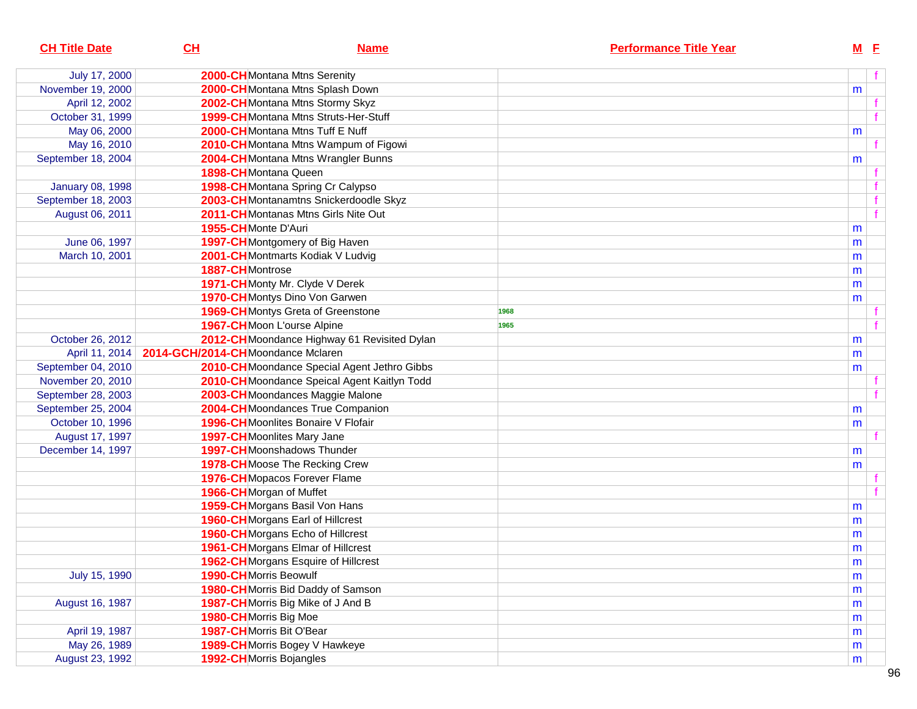| <b>CH Title Date</b>    | CL                                | <b>Name</b>                                 | <b>Performance Title Year</b> | $M$ E |   |
|-------------------------|-----------------------------------|---------------------------------------------|-------------------------------|-------|---|
| July 17, 2000           |                                   | 2000-CH Montana Mtns Serenity               |                               |       | f |
| November 19, 2000       |                                   | 2000-CHMontana Mtns Splash Down             |                               | m     |   |
| April 12, 2002          |                                   | 2002-CHMontana Mtns Stormy Skyz             |                               |       |   |
| October 31, 1999        |                                   | 1999-CHMontana Mtns Struts-Her-Stuff        |                               |       | f |
| May 06, 2000            |                                   | 2000-CHMontana Mtns Tuff E Nuff             |                               | m     |   |
| May 16, 2010            |                                   | 2010-CHMontana Mtns Wampum of Figowi        |                               |       | f |
| September 18, 2004      |                                   | 2004-CHMontana Mtns Wrangler Bunns          |                               | m     |   |
|                         |                                   | 1898-CHMontana Queen                        |                               |       |   |
| <b>January 08, 1998</b> |                                   | 1998-CHMontana Spring Cr Calypso            |                               |       |   |
| September 18, 2003      |                                   | 2003-CHMontanamtns Snickerdoodle Skyz       |                               |       |   |
| August 06, 2011         |                                   | 2011-CHMontanas Mtns Girls Nite Out         |                               |       | f |
|                         | 1955-CHMonte D'Auri               |                                             |                               | m     |   |
| June 06, 1997           |                                   | 1997-CH Montgomery of Big Haven             |                               | m     |   |
| March 10, 2001          |                                   | 2001-CHMontmarts Kodiak V Ludvig            |                               | m     |   |
|                         | 1887-CHMontrose                   |                                             |                               | m     |   |
|                         |                                   | 1971-CH Monty Mr. Clyde V Derek             |                               | m     |   |
|                         |                                   | 1970-CHMontys Dino Von Garwen               |                               | m     |   |
|                         |                                   | <b>1969-CH</b> Montys Greta of Greenstone   | 1968                          |       |   |
|                         |                                   | 1967-CHMoon L'ourse Alpine                  | 1965                          |       |   |
| October 26, 2012        |                                   | 2012-CHMoondance Highway 61 Revisited Dylan |                               | m     |   |
| April 11, 2014          | 2014-GCH/2014-CHMoondance Mclaren |                                             |                               | m     |   |
| September 04, 2010      |                                   | 2010-CHMoondance Special Agent Jethro Gibbs |                               | m     |   |
| November 20, 2010       |                                   | 2010-CHMoondance Speical Agent Kaitlyn Todd |                               |       |   |
| September 28, 2003      |                                   | 2003-CH Moondances Maggie Malone            |                               |       |   |
| September 25, 2004      |                                   | 2004-CHMoondances True Companion            |                               | m     |   |
| October 10, 1996        |                                   | 1996-CH Moonlites Bonaire V Flofair         |                               | m     |   |
| August 17, 1997         |                                   | <b>1997-CH</b> Moonlites Mary Jane          |                               |       |   |
| December 14, 1997       |                                   | <b>1997-CH</b> Moonshadows Thunder          |                               | m     |   |
|                         |                                   | <b>1978-CH</b> Moose The Recking Crew       |                               | m     |   |
|                         |                                   | 1976-CHMopacos Forever Flame                |                               |       |   |
|                         |                                   | 1966-CH Morgan of Muffet                    |                               |       |   |
|                         |                                   | 1959-CHMorgans Basil Von Hans               |                               | m     |   |
|                         |                                   | 1960-CH Morgans Earl of Hillcrest           |                               | m     |   |
|                         |                                   | 1960-CHMorgans Echo of Hillcrest            |                               | m     |   |
|                         |                                   | 1961-CHMorgans Elmar of Hillcrest           |                               | m     |   |
|                         |                                   | 1962-CH Morgans Esquire of Hillcrest        |                               | m     |   |
| July 15, 1990           |                                   | 1990-CHMorris Beowulf                       |                               | m     |   |
|                         |                                   | 1980-CHMorris Bid Daddy of Samson           |                               | m     |   |
| August 16, 1987         |                                   | 1987-CHMorris Big Mike of J And B           |                               | m     |   |
|                         |                                   | 1980-CHMorris Big Moe                       |                               | m     |   |
| April 19, 1987          |                                   | 1987-CHMorris Bit O'Bear                    |                               | m     |   |
| May 26, 1989            |                                   | 1989-CHMorris Bogey V Hawkeye               |                               | m     |   |
| August 23, 1992         |                                   | 1992-CHMorris Bojangles                     |                               | m     |   |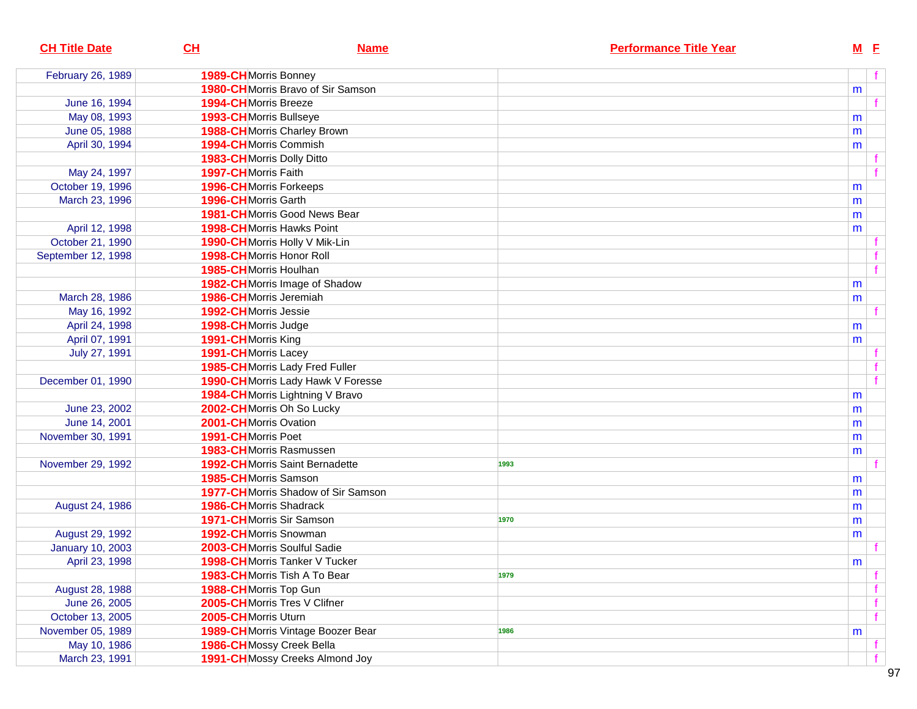| <b>CH Title Date</b>    | CL<br><b>Name</b>                      | <b>Performance Title Year</b> | $M$ E |  |
|-------------------------|----------------------------------------|-------------------------------|-------|--|
| February 26, 1989       | 1989-CHMorris Bonney                   |                               |       |  |
|                         | 1980-CHMorris Bravo of Sir Samson      |                               | m     |  |
| June 16, 1994           | <b>1994-CH</b> Morris Breeze           |                               |       |  |
| May 08, 1993            | 1993-CH Morris Bullseye                |                               | m     |  |
| June 05, 1988           | 1988-CHMorris Charley Brown            |                               | m     |  |
| April 30, 1994          | 1994-CHMorris Commish                  |                               | m     |  |
|                         | 1983-CH Morris Dolly Ditto             |                               |       |  |
| May 24, 1997            | 1997-CH Morris Faith                   |                               |       |  |
| October 19, 1996        | <b>1996-CH</b> Morris Forkeeps         |                               | m     |  |
| March 23, 1996          | 1996-CHMorris Garth                    |                               | m     |  |
|                         | <b>1981-CH</b> Morris Good News Bear   |                               | m     |  |
| April 12, 1998          | <b>1998-CH</b> Morris Hawks Point      |                               | m     |  |
| October 21, 1990        | 1990-CHMorris Holly V Mik-Lin          |                               |       |  |
| September 12, 1998      | 1998-CH Morris Honor Roll              |                               |       |  |
|                         | 1985-CH Morris Houlhan                 |                               |       |  |
|                         | 1982-CH Morris Image of Shadow         |                               | m     |  |
| March 28, 1986          | 1986-CHMorris Jeremiah                 |                               | m     |  |
| May 16, 1992            | 1992-CHMorris Jessie                   |                               |       |  |
| April 24, 1998          | 1998-CHMorris Judge                    |                               | m     |  |
| April 07, 1991          | 1991-CH Morris King                    |                               | m     |  |
| July 27, 1991           | 1991-CH Morris Lacey                   |                               |       |  |
|                         | 1985-CHMorris Lady Fred Fuller         |                               |       |  |
| December 01, 1990       | 1990-CHMorris Lady Hawk V Foresse      |                               |       |  |
|                         | 1984-CHMorris Lightning V Bravo        |                               | m     |  |
| June 23, 2002           | 2002-CHMorris Oh So Lucky              |                               | m     |  |
| June 14, 2001           | 2001-CHMorris Ovation                  |                               | m     |  |
| November 30, 1991       | 1991-CHMorris Poet                     |                               | m     |  |
|                         | 1983-CHMorris Rasmussen                |                               | m     |  |
| November 29, 1992       | <b>1992-CH</b> Morris Saint Bernadette | 1993                          |       |  |
|                         | 1985-CH Morris Samson                  |                               | m     |  |
|                         | 1977-CHMorris Shadow of Sir Samson     |                               | m     |  |
| August 24, 1986         | <b>1986-CH</b> Morris Shadrack         |                               | m     |  |
|                         | 1971-CHMorris Sir Samson               | 1970                          | m     |  |
| August 29, 1992         | 1992-CHMorris Snowman                  |                               | m     |  |
| <b>January 10, 2003</b> | 2003-CH Morris Soulful Sadie           |                               |       |  |
| April 23, 1998          | 1998-CHMorris Tanker V Tucker          |                               | m     |  |
|                         | 1983-CHMorris Tish A To Bear           | 1979                          |       |  |
| August 28, 1988         | 1988-CHMorris Top Gun                  |                               |       |  |
| June 26, 2005           | 2005-CHMorris Tres V Clifner           |                               |       |  |
| October 13, 2005        | 2005-CHMorris Uturn                    |                               |       |  |
| November 05, 1989       | 1989-CH Morris Vintage Boozer Bear     | 1986                          | m     |  |
| May 10, 1986            | 1986-CH Mossy Creek Bella              |                               |       |  |
| March 23, 1991          | 1991-CHMossy Creeks Almond Joy         |                               |       |  |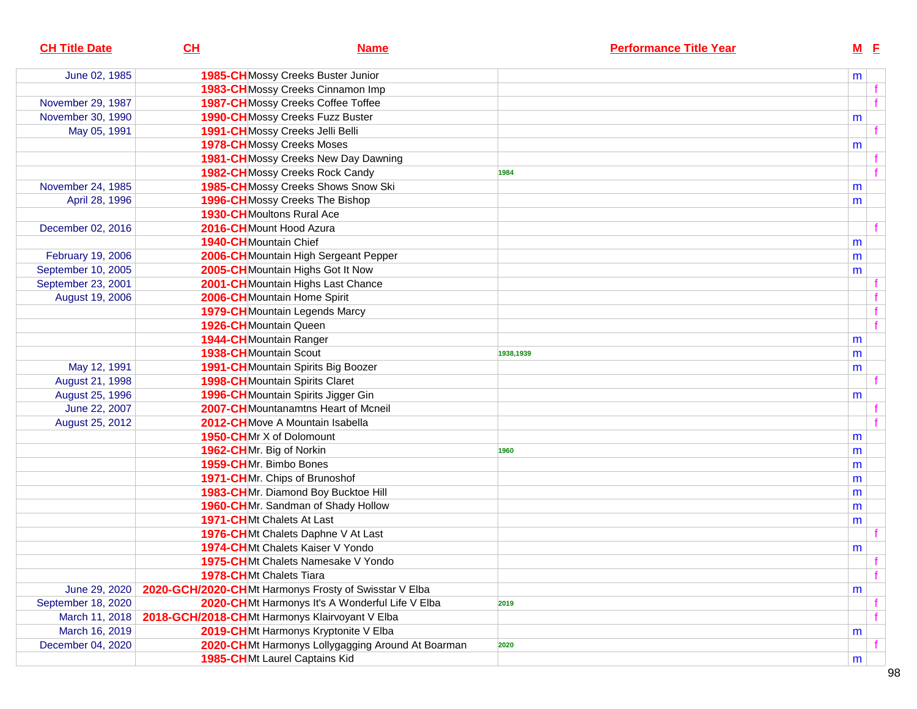| <b>CH Title Date</b> | CL                     | <b>Name</b>                                           | <b>Performance Title Year</b> |   | $M$ E        |
|----------------------|------------------------|-------------------------------------------------------|-------------------------------|---|--------------|
| June 02, 1985        |                        | 1985-CHMossy Creeks Buster Junior                     |                               | m |              |
|                      |                        | 1983-CH Mossy Creeks Cinnamon Imp                     |                               |   |              |
| November 29, 1987    |                        | 1987-CH Mossy Creeks Coffee Toffee                    |                               |   |              |
| November 30, 1990    |                        | <b>1990-CH</b> Mossy Creeks Fuzz Buster               |                               | m |              |
| May 05, 1991         |                        | 1991-CH Mossy Creeks Jelli Belli                      |                               |   |              |
|                      |                        | <b>1978-CH</b> Mossy Creeks Moses                     |                               | m |              |
|                      |                        | 1981-CHMossy Creeks New Day Dawning                   |                               |   |              |
|                      |                        | 1982-CHMossy Creeks Rock Candy                        | 1984                          |   |              |
| November 24, 1985    |                        | 1985-CHMossy Creeks Shows Snow Ski                    |                               | m |              |
| April 28, 1996       |                        | 1996-CHMossy Creeks The Bishop                        |                               | m |              |
|                      |                        | <b>1930-CH</b> Moultons Rural Ace                     |                               |   |              |
| December 02, 2016    |                        | 2016-CHMount Hood Azura                               |                               |   |              |
|                      | 1940-CH Mountain Chief |                                                       |                               | m |              |
| February 19, 2006    |                        | 2006-CH Mountain High Sergeant Pepper                 |                               | m |              |
| September 10, 2005   |                        | 2005-CHMountain Highs Got It Now                      |                               | m |              |
| September 23, 2001   |                        | 2001-CHMountain Highs Last Chance                     |                               |   |              |
| August 19, 2006      |                        | 2006-CHMountain Home Spirit                           |                               |   |              |
|                      |                        | 1979-CH Mountain Legends Marcy                        |                               |   |              |
|                      |                        | 1926-CHMountain Queen                                 |                               |   |              |
|                      |                        | 1944-CHMountain Ranger                                |                               | m |              |
|                      | 1938-CHMountain Scout  |                                                       | 1938,1939                     | m |              |
| May 12, 1991         |                        | 1991-CHMountain Spirits Big Boozer                    |                               | m |              |
| August 21, 1998      |                        | <b>1998-CH</b> Mountain Spirits Claret                |                               |   |              |
| August 25, 1996      |                        | 1996-CH Mountain Spirits Jigger Gin                   |                               | m |              |
| June 22, 2007        |                        | 2007-CH Mountanamtns Heart of Mcneil                  |                               |   |              |
| August 25, 2012      |                        | 2012-CHMove A Mountain Isabella                       |                               |   |              |
|                      |                        | 1950-CHMr X of Dolomount                              |                               | m |              |
|                      |                        | 1962-CHMr. Big of Norkin                              | 1960                          | m |              |
|                      |                        | 1959-CHMr. Bimbo Bones                                |                               | m |              |
|                      |                        | 1971-CHMr. Chips of Brunoshof                         |                               | m |              |
|                      |                        | 1983-CHMr. Diamond Boy Bucktoe Hill                   |                               | m |              |
|                      |                        | 1960-CHMr. Sandman of Shady Hollow                    |                               | m |              |
|                      |                        | 1971-CHMt Chalets At Last                             |                               | m |              |
|                      |                        | 1976-CHMt Chalets Daphne V At Last                    |                               |   |              |
|                      |                        | 1974-CHMt Chalets Kaiser V Yondo                      |                               | m |              |
|                      |                        | 1975-CHMt Chalets Namesake V Yondo                    |                               |   |              |
|                      |                        | 1978-CHMt Chalets Tiara                               |                               |   | $\mathbf{f}$ |
| June 29, 2020        |                        | 2020-GCH/2020-CHMt Harmonys Frosty of Swisstar V Elba |                               | m |              |
| September 18, 2020   |                        | 2020-CHMt Harmonys It's A Wonderful Life V Elba       | 2019                          |   |              |
| March 11, 2018       |                        | 2018-GCH/2018-CHMt Harmonys Klairvoyant V Elba        |                               |   |              |
| March 16, 2019       |                        | 2019-CHMt Harmonys Kryptonite V Elba                  |                               | m |              |
| December 04, 2020    |                        | 2020-CHMt Harmonys Lollygagging Around At Boarman     | 2020                          |   |              |
|                      |                        | 1985-CHMt Laurel Captains Kid                         |                               | m |              |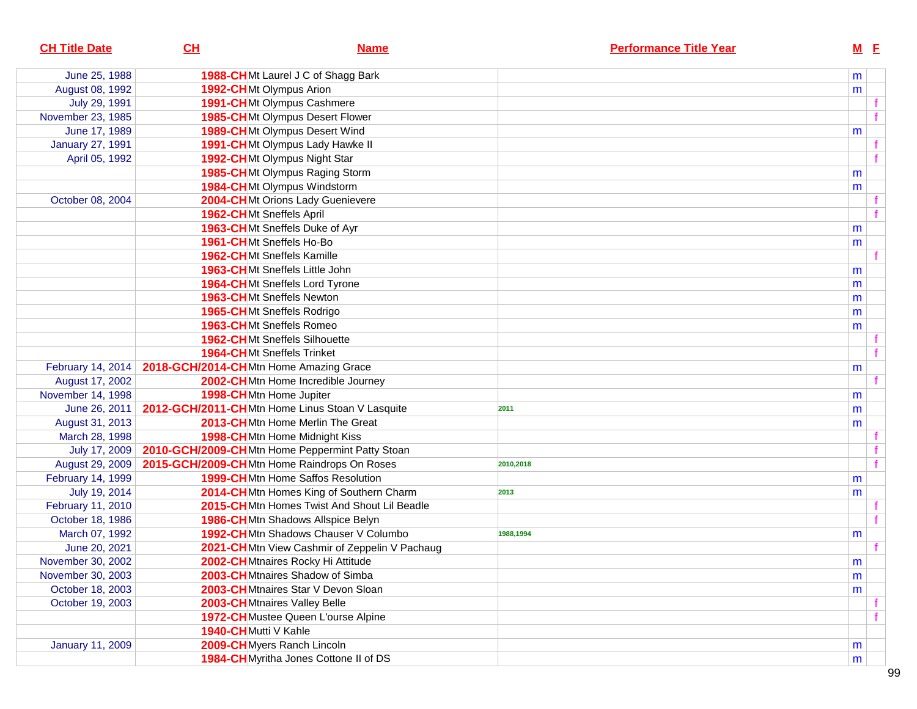| <b>CH Title Date</b>    | CL                                          | <b>Name</b>                                     | <b>Performance Title Year</b> | $M$ E     |  |
|-------------------------|---------------------------------------------|-------------------------------------------------|-------------------------------|-----------|--|
| June 25, 1988           |                                             | 1988-CHMt Laurel J C of Shagg Bark              |                               | m         |  |
| August 08, 1992         | 1992-CHMt Olympus Arion                     |                                                 |                               | m         |  |
| July 29, 1991           |                                             | 1991-CHMt Olympus Cashmere                      |                               |           |  |
| November 23, 1985       |                                             | 1985-CHMt Olympus Desert Flower                 |                               |           |  |
| June 17, 1989           |                                             | 1989-CHMt Olympus Desert Wind                   |                               | m         |  |
| <b>January 27, 1991</b> |                                             | 1991-CHMt Olympus Lady Hawke II                 |                               |           |  |
| April 05, 1992          |                                             | 1992-CHMt Olympus Night Star                    |                               |           |  |
|                         |                                             | 1985-CHMt Olympus Raging Storm                  |                               | m         |  |
|                         |                                             | 1984-CHMt Olympus Windstorm                     |                               | m         |  |
| October 08, 2004        |                                             | 2004-CHMt Orions Lady Guenievere                |                               |           |  |
|                         | 1962-CHMt Sneffels April                    |                                                 |                               |           |  |
|                         |                                             | 1963-CHMt Sneffels Duke of Ayr                  |                               | m         |  |
|                         | 1961-CHMt Sneffels Ho-Bo                    |                                                 |                               | m         |  |
|                         |                                             | <b>1962-CHMt Sneffels Kamille</b>               |                               |           |  |
|                         |                                             | 1963-CHMt Sneffels Little John                  |                               | m         |  |
|                         |                                             | <b>1964-CHMt Sneffels Lord Tyrone</b>           |                               | m         |  |
|                         |                                             | 1963-CHMt Sneffels Newton                       |                               | m         |  |
|                         |                                             | <b>1965-CHMt Sneffels Rodrigo</b>               |                               | m         |  |
|                         | 1963-CHMt Sneffels Romeo                    |                                                 |                               | m         |  |
|                         |                                             | <b>1962-CHMt Sneffels Silhouette</b>            |                               |           |  |
|                         | <b>1964-CHMt Sneffels Trinket</b>           |                                                 |                               |           |  |
| February 14, 2014       | 2018-GCH/2014-CHMtn Home Amazing Grace      |                                                 |                               | m         |  |
| August 17, 2002         |                                             | 2002-CHMtn Home Incredible Journey              |                               |           |  |
| November 14, 1998       | 1998-CHMtn Home Jupiter                     |                                                 |                               | m         |  |
| June 26, 2011           |                                             | 2012-GCH/2011-CHMtn Home Linus Stoan V Lasquite | 2011                          | m         |  |
| August 31, 2013         |                                             | 2013-CHMtn Home Merlin The Great                |                               | m         |  |
| March 28, 1998          |                                             | 1998-CHMtn Home Midnight Kiss                   |                               |           |  |
| July 17, 2009           |                                             | 2010-GCH/2009-CHMtn Home Peppermint Patty Stoan |                               |           |  |
| August 29, 2009         | 2015-GCH/2009-CHMtn Home Raindrops On Roses |                                                 | 2010,2018                     |           |  |
| February 14, 1999       |                                             | <b>1999-CH</b> Mtn Home Saffos Resolution       |                               | m         |  |
| July 19, 2014           |                                             | 2014-CHMtn Homes King of Southern Charm         | 2013                          | m         |  |
| February 11, 2010       |                                             | 2015-CHMtn Homes Twist And Shout Lil Beadle     |                               |           |  |
| October 18, 1986        |                                             | 1986-CHMtn Shadows Allspice Belyn               |                               |           |  |
| March 07, 1992          |                                             | 1992-CHMtn Shadows Chauser V Columbo            | 1988,1994                     | m         |  |
| June 20, 2021           |                                             | 2021-CHMtn View Cashmir of Zeppelin V Pachaug   |                               |           |  |
| November 30, 2002       |                                             | 2002-CHMtnaires Rocky Hi Attitude               |                               | ${\sf m}$ |  |
| November 30, 2003       |                                             | 2003-CHMtnaires Shadow of Simba                 |                               | m         |  |
| October 18, 2003        |                                             | 2003-CHMtnaires Star V Devon Sloan              |                               | m         |  |
| October 19, 2003        |                                             | 2003-CHMtnaires Valley Belle                    |                               |           |  |
|                         |                                             | 1972-CH Mustee Queen L'ourse Alpine             |                               |           |  |
|                         | 1940-CHMutti V Kahle                        |                                                 |                               |           |  |
| <b>January 11, 2009</b> |                                             | 2009-CHMyers Ranch Lincoln                      |                               | m         |  |
|                         |                                             | 1984-CHMyritha Jones Cottone II of DS           |                               | m         |  |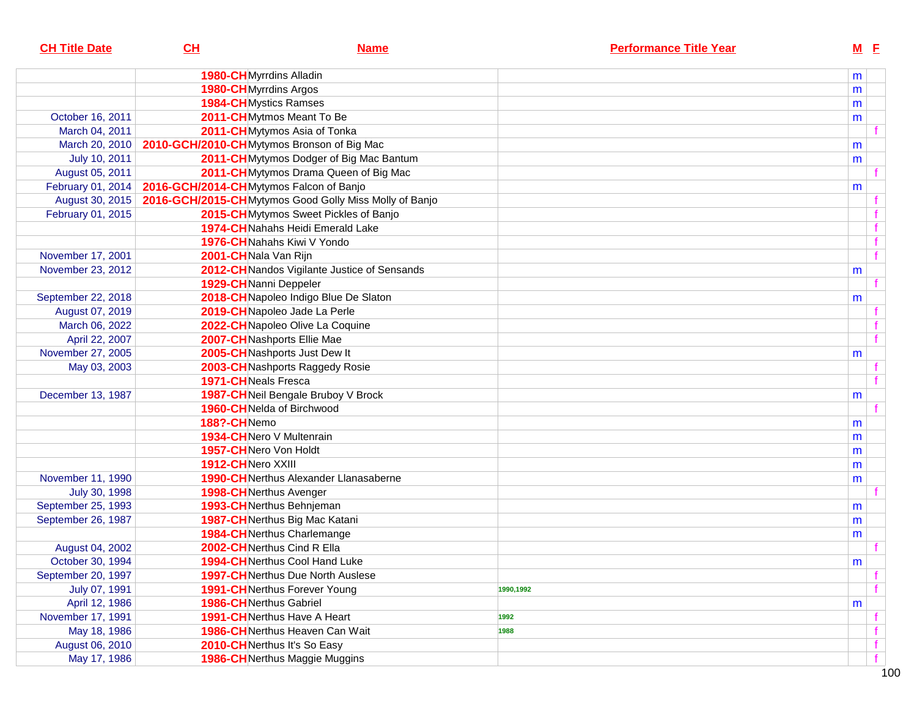| <b>CH Title Date</b> | CL                                         | <b>Name</b>                                            |           | <b>Performance Title Year</b> | $M$ E |   |
|----------------------|--------------------------------------------|--------------------------------------------------------|-----------|-------------------------------|-------|---|
|                      | 1980-CHMyrrdins Alladin                    |                                                        |           |                               | m     |   |
|                      | <b>1980-CH</b> Myrrdins Argos              |                                                        |           |                               | m     |   |
|                      | <b>1984-CH</b> Mystics Ramses              |                                                        |           |                               | m     |   |
| October 16, 2011     |                                            | 2011-CHMytmos Meant To Be                              |           |                               | m     |   |
| March 04, 2011       |                                            | 2011-CHMytymos Asia of Tonka                           |           |                               |       |   |
| March 20, 2010       | 2010-GCH/2010-CHMytymos Bronson of Big Mac |                                                        |           |                               | m     |   |
| July 10, 2011        |                                            | 2011-CH Mytymos Dodger of Big Mac Bantum               |           |                               | m     |   |
| August 05, 2011      |                                            | 2011-CHMytymos Drama Queen of Big Mac                  |           |                               |       |   |
| February 01, 2014    | 2016-GCH/2014-CHMytymos Falcon of Banjo    |                                                        |           |                               | m     |   |
| August 30, 2015      |                                            | 2016-GCH/2015-CHMytymos Good Golly Miss Molly of Banjo |           |                               |       |   |
| February 01, 2015    |                                            | 2015-CHMytymos Sweet Pickles of Banjo                  |           |                               |       |   |
|                      |                                            | 1974-CH Nahahs Heidi Emerald Lake                      |           |                               |       |   |
|                      |                                            | 1976-CH Nahahs Kiwi V Yondo                            |           |                               |       |   |
| November 17, 2001    | 2001-CHNala Van Rijn                       |                                                        |           |                               |       |   |
| November 23, 2012    |                                            | 2012-CH Nandos Vigilante Justice of Sensands           |           |                               | m     |   |
|                      | 1929-CH Nanni Deppeler                     |                                                        |           |                               |       |   |
| September 22, 2018   |                                            | 2018-CH Napoleo Indigo Blue De Slaton                  |           |                               | m     |   |
| August 07, 2019      |                                            | 2019-CHNapoleo Jade La Perle                           |           |                               |       |   |
| March 06, 2022       |                                            | 2022-CHNapoleo Olive La Coquine                        |           |                               |       |   |
| April 22, 2007       |                                            | 2007-CH Nashports Ellie Mae                            |           |                               |       |   |
| November 27, 2005    |                                            | 2005-CH Nashports Just Dew It                          |           |                               | m     |   |
| May 03, 2003         |                                            | 2003-CHNashports Raggedy Rosie                         |           |                               |       |   |
|                      | <b>1971-CH</b> Neals Fresca                |                                                        |           |                               |       |   |
| December 13, 1987    |                                            | 1987-CHNeil Bengale Bruboy V Brock                     |           |                               | m     |   |
|                      |                                            | 1960-CHNelda of Birchwood                              |           |                               |       |   |
|                      | 188?-CHNemo                                |                                                        |           |                               | m     |   |
|                      |                                            | 1934-CHNero V Multenrain                               |           |                               | m     |   |
|                      | 1957-CHNero Von Holdt                      |                                                        |           |                               | m     |   |
|                      | 1912-CHNero XXIII                          |                                                        |           |                               | m     |   |
| November 11, 1990    |                                            | <b>1990-CH</b> Nerthus Alexander Llanasaberne          |           |                               | m     |   |
| July 30, 1998        | 1998-CHNerthus Avenger                     |                                                        |           |                               |       |   |
| September 25, 1993   |                                            | 1993-CHNerthus Behnjeman                               |           |                               | m     |   |
| September 26, 1987   |                                            | 1987-CHNerthus Big Mac Katani                          |           |                               | m     |   |
|                      |                                            | <b>1984-CH</b> Nerthus Charlemange                     |           |                               | m     |   |
| August 04, 2002      |                                            | 2002-CHNerthus Cind R Ella                             |           |                               |       |   |
| October 30, 1994     |                                            | 1994-CHNerthus Cool Hand Luke                          |           |                               | m     |   |
| September 20, 1997   |                                            | <b>1997-CH</b> Nerthus Due North Auslese               |           |                               |       |   |
| July 07, 1991        |                                            | <b>1991-CH</b> Nerthus Forever Young                   | 1990,1992 |                               |       |   |
| April 12, 1986       | 1986-CHNerthus Gabriel                     |                                                        |           |                               | m     |   |
| November 17, 1991    |                                            | <b>1991-CH</b> Nerthus Have A Heart                    | 1992      |                               |       |   |
| May 18, 1986         |                                            | <b>1986-CH</b> Nerthus Heaven Can Wait                 | 1988      |                               |       |   |
| August 06, 2010      |                                            | 2010-CHNerthus It's So Easy                            |           |                               |       |   |
| May 17, 1986         |                                            | 1986-CHNerthus Maggie Muggins                          |           |                               |       | f |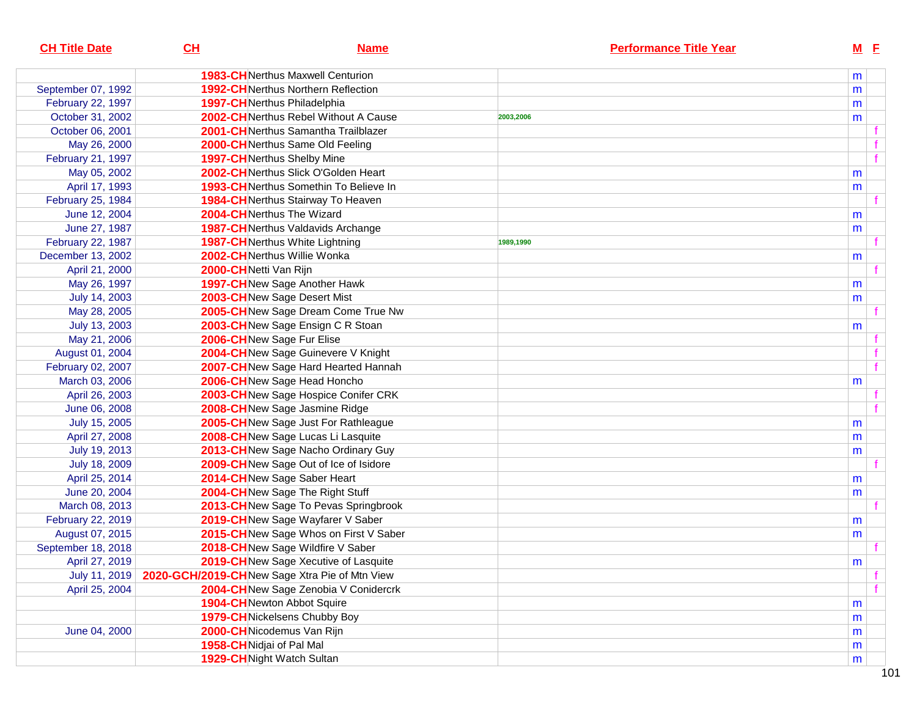| <b>CH Title Date</b> | CH                       | <b>Name</b>                                   |           | <b>Performance Title Year</b> |   | $M$ E |  |
|----------------------|--------------------------|-----------------------------------------------|-----------|-------------------------------|---|-------|--|
|                      |                          | <b>1983-CH</b> Nerthus Maxwell Centurion      |           |                               | m |       |  |
| September 07, 1992   |                          | <b>1992-CH</b> Nerthus Northern Reflection    |           |                               | m |       |  |
| February 22, 1997    |                          | <b>1997-CH</b> Nerthus Philadelphia           |           |                               | m |       |  |
| October 31, 2002     |                          | 2002-CHNerthus Rebel Without A Cause          | 2003,2006 |                               | m |       |  |
| October 06, 2001     |                          | 2001-CHNerthus Samantha Trailblazer           |           |                               |   |       |  |
| May 26, 2000         |                          | 2000-CHNerthus Same Old Feeling               |           |                               |   |       |  |
| February 21, 1997    |                          | 1997-CHNerthus Shelby Mine                    |           |                               |   |       |  |
| May 05, 2002         |                          | 2002-CHNerthus Slick O'Golden Heart           |           |                               | m |       |  |
| April 17, 1993       |                          | 1993-CHNerthus Somethin To Believe In         |           |                               | m |       |  |
| February 25, 1984    |                          | 1984-CHNerthus Stairway To Heaven             |           |                               |   |       |  |
| June 12, 2004        |                          | 2004-CHNerthus The Wizard                     |           |                               | m |       |  |
| June 27, 1987        |                          | <b>1987-CH</b> Nerthus Valdavids Archange     |           |                               | m |       |  |
| February 22, 1987    |                          | <b>1987-CH</b> Nerthus White Lightning        | 1989,1990 |                               |   |       |  |
| December 13, 2002    |                          | 2002-CHNerthus Willie Wonka                   |           |                               | m |       |  |
| April 21, 2000       | 2000-CHNetti Van Rijn    |                                               |           |                               |   |       |  |
| May 26, 1997         |                          | 1997-CHNew Sage Another Hawk                  |           |                               | m |       |  |
| July 14, 2003        |                          | 2003-CHNew Sage Desert Mist                   |           |                               | m |       |  |
| May 28, 2005         |                          | 2005-CHNew Sage Dream Come True Nw            |           |                               |   |       |  |
| July 13, 2003        |                          | 2003-CHNew Sage Ensign C R Stoan              |           |                               | m |       |  |
| May 21, 2006         |                          | 2006-CHNew Sage Fur Elise                     |           |                               |   |       |  |
| August 01, 2004      |                          | 2004-CHNew Sage Guinevere V Knight            |           |                               |   |       |  |
| February 02, 2007    |                          | 2007-CHNew Sage Hard Hearted Hannah           |           |                               |   |       |  |
| March 03, 2006       |                          | 2006-CHNew Sage Head Honcho                   |           |                               | m |       |  |
| April 26, 2003       |                          | 2003-CHNew Sage Hospice Conifer CRK           |           |                               |   |       |  |
| June 06, 2008        |                          | 2008-CHNew Sage Jasmine Ridge                 |           |                               |   |       |  |
| July 15, 2005        |                          | 2005-CHNew Sage Just For Rathleague           |           |                               | m |       |  |
| April 27, 2008       |                          | 2008-CHNew Sage Lucas Li Lasquite             |           |                               | m |       |  |
| July 19, 2013        |                          | 2013-CHNew Sage Nacho Ordinary Guy            |           |                               | m |       |  |
| July 18, 2009        |                          | 2009-CHNew Sage Out of Ice of Isidore         |           |                               |   |       |  |
| April 25, 2014       |                          | 2014-CHNew Sage Saber Heart                   |           |                               | m |       |  |
| June 20, 2004        |                          | 2004-CHNew Sage The Right Stuff               |           |                               | m |       |  |
| March 08, 2013       |                          | 2013-CHNew Sage To Pevas Springbrook          |           |                               |   |       |  |
| February 22, 2019    |                          | 2019-CHNew Sage Wayfarer V Saber              |           |                               | m |       |  |
| August 07, 2015      |                          | 2015-CHNew Sage Whos on First V Saber         |           |                               | m |       |  |
| September 18, 2018   |                          | 2018-CHNew Sage Wildfire V Saber              |           |                               |   |       |  |
| April 27, 2019       |                          | 2019-CH New Sage Xecutive of Lasquite         |           |                               | m |       |  |
| July 11, 2019        |                          | 2020-GCH/2019-CHNew Sage Xtra Pie of Mtn View |           |                               |   |       |  |
| April 25, 2004       |                          | 2004-CHNew Sage Zenobia V Conidercrk          |           |                               |   |       |  |
|                      |                          | <b>1904-CH</b> Newton Abbot Squire            |           |                               | m |       |  |
|                      |                          | 1979-CH Nickelsens Chubby Boy                 |           |                               | m |       |  |
| June 04, 2000        |                          | 2000-CHNicodemus Van Rijn                     |           |                               | m |       |  |
|                      | 1958-CHNidjai of Pal Mal |                                               |           |                               | m |       |  |
|                      |                          | 1929-CHNight Watch Sultan                     |           |                               | m |       |  |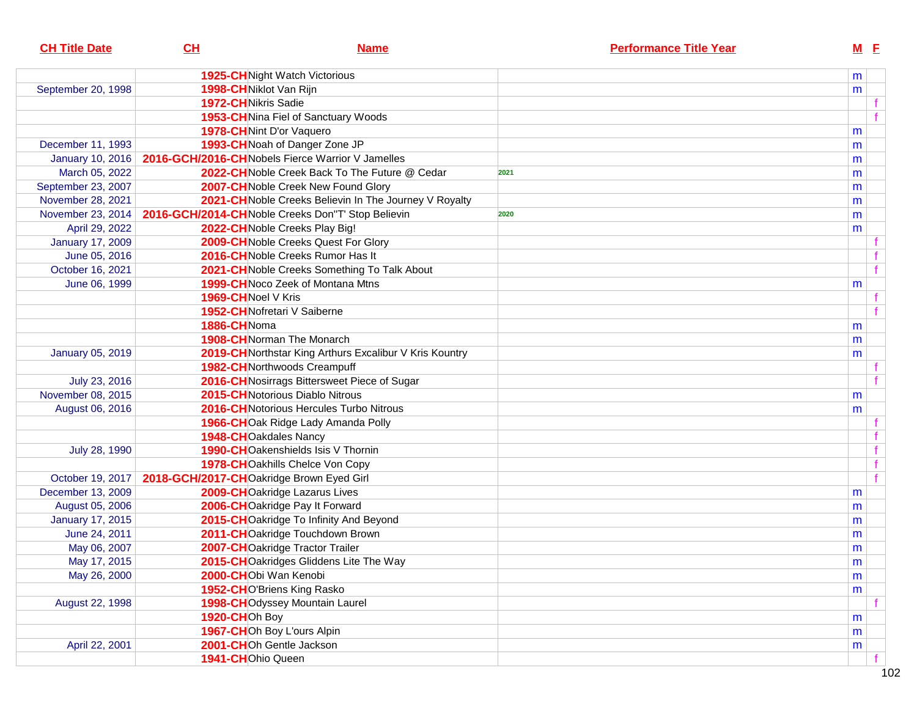| <b>CH Title Date</b>    | CH                                       | <b>Name</b>                                             | <b>Performance Title Year</b> |           | $M$ E |
|-------------------------|------------------------------------------|---------------------------------------------------------|-------------------------------|-----------|-------|
|                         |                                          | <b>1925-CH</b> Night Watch Victorious                   |                               | m         |       |
| September 20, 1998      | 1998-CHNiklot Van Rijn                   |                                                         |                               | m         |       |
|                         | <b>1972-CH</b> Nikris Sadie              |                                                         |                               |           |       |
|                         |                                          | 1953-CHNina Fiel of Sanctuary Woods                     |                               |           |       |
|                         |                                          | 1978-CHNint D'or Vaquero                                |                               | m         |       |
| December 11, 1993       |                                          | 1993-CH Noah of Danger Zone JP                          |                               | m         |       |
| <b>January 10, 2016</b> |                                          | 2016-GCH/2016-CH Nobels Fierce Warrior V Jamelles       |                               | m         |       |
| March 05, 2022          |                                          | 2022-CH Noble Creek Back To The Future @ Cedar          | 2021                          | m         |       |
| September 23, 2007      |                                          | 2007-CH Noble Creek New Found Glory                     |                               | m         |       |
| November 28, 2021       |                                          | 2021-CH Noble Creeks Believin In The Journey V Royalty  |                               | m         |       |
| November 23, 2014       |                                          | 2016-GCH/2014-CH Noble Creeks Don"T' Stop Believin      | 2020                          | m         |       |
| April 29, 2022          |                                          | 2022-CH Noble Creeks Play Big!                          |                               | m         |       |
| <b>January 17, 2009</b> |                                          | 2009-CHNoble Creeks Quest For Glory                     |                               |           |       |
| June 05, 2016           |                                          | 2016-CHNoble Creeks Rumor Has It                        |                               |           |       |
| October 16, 2021        |                                          | 2021-CHNoble Creeks Something To Talk About             |                               |           |       |
| June 06, 1999           |                                          | 1999-CHNoco Zeek of Montana Mtns                        |                               | m         |       |
|                         | 1969-CH Noel V Kris                      |                                                         |                               |           |       |
|                         |                                          | 1952-CHNofretari V Saiberne                             |                               |           |       |
|                         | 1886-CHNoma                              |                                                         |                               | m         |       |
|                         |                                          | <b>1908-CH</b> Norman The Monarch                       |                               | m         |       |
| <b>January 05, 2019</b> |                                          | 2019-CH Northstar King Arthurs Excalibur V Kris Kountry |                               | m         |       |
|                         |                                          | 1982-CHNorthwoods Creampuff                             |                               |           |       |
| July 23, 2016           |                                          | 2016-CH Nosirrags Bittersweet Piece of Sugar            |                               |           |       |
| November 08, 2015       |                                          | 2015-CHNotorious Diablo Nitrous                         |                               | m         |       |
| August 06, 2016         |                                          | 2016-CH Notorious Hercules Turbo Nitrous                |                               | m         |       |
|                         |                                          | 1966-CHOak Ridge Lady Amanda Polly                      |                               |           |       |
|                         | 1948-CHOakdales Nancy                    |                                                         |                               |           |       |
| July 28, 1990           |                                          | 1990-CHOakenshields Isis V Thornin                      |                               |           |       |
|                         |                                          | 1978-CHOakhills Chelce Von Copy                         |                               |           |       |
| October 19, 2017        | 2018-GCH/2017-CHOakridge Brown Eyed Girl |                                                         |                               |           |       |
| December 13, 2009       |                                          | 2009-CHOakridge Lazarus Lives                           |                               | m         |       |
| August 05, 2006         |                                          | 2006-CHOakridge Pay It Forward                          |                               | m         |       |
| <b>January 17, 2015</b> |                                          | 2015-CHOakridge To Infinity And Beyond                  |                               | m         |       |
| June 24, 2011           |                                          | 2011-CHOakridge Touchdown Brown                         |                               | m         |       |
| May 06, 2007            |                                          | 2007-CHOakridge Tractor Trailer                         |                               | m         |       |
| May 17, 2015            |                                          | 2015-CHOakridges Gliddens Lite The Way                  |                               | ${\sf m}$ |       |
| May 26, 2000            | 2000-CHObi Wan Kenobi                    |                                                         |                               | m         |       |
|                         |                                          | 1952-CHO'Briens King Rasko                              |                               | m         |       |
| August 22, 1998         |                                          | 1998-CHOdyssey Mountain Laurel                          |                               |           |       |
|                         | 1920-CHOh Boy                            |                                                         |                               | m         |       |
|                         |                                          | 1967-CHOh Boy L'ours Alpin                              |                               | m         |       |
| April 22, 2001          |                                          | 2001-CHOh Gentle Jackson                                |                               | m         |       |
|                         | 1941-CHOhio Queen                        |                                                         |                               |           |       |
|                         |                                          |                                                         |                               |           |       |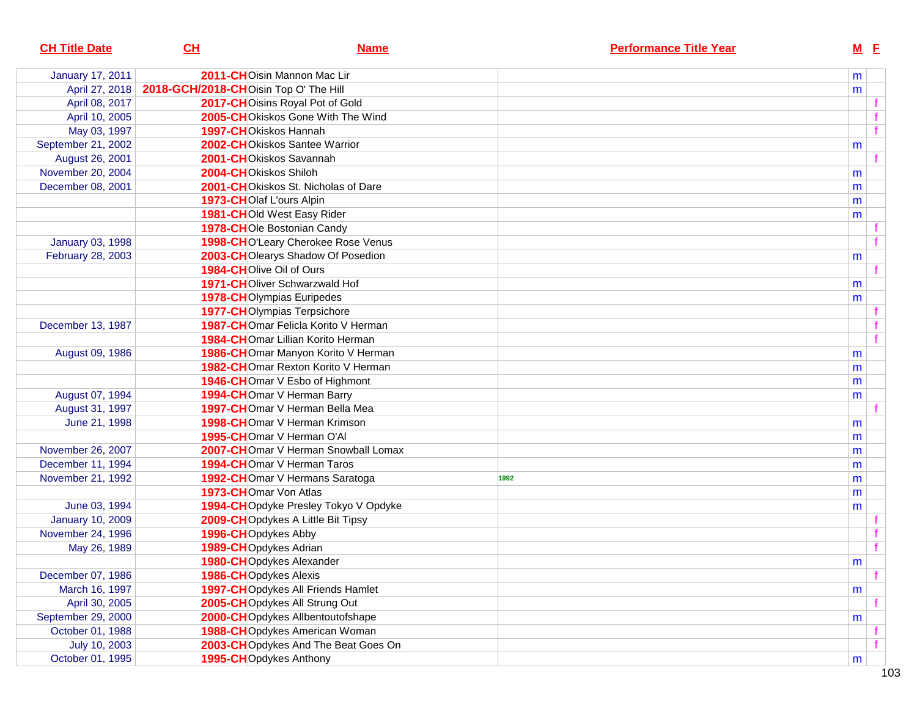| <b>CH Title Date</b>    | CL                                    | <b>Name</b>                          |      | <b>Performance Title Year</b> |   | $M$ E |
|-------------------------|---------------------------------------|--------------------------------------|------|-------------------------------|---|-------|
| <b>January 17, 2011</b> |                                       | 2011-CHOisin Mannon Mac Lir          |      |                               | m |       |
| April 27, 2018          | 2018-GCH/2018-CHOisin Top O' The Hill |                                      |      |                               | m |       |
| April 08, 2017          |                                       | 2017-CHOisins Royal Pot of Gold      |      |                               |   |       |
| April 10, 2005          |                                       | 2005-CHOKiskos Gone With The Wind    |      |                               |   |       |
| May 03, 1997            | 1997-CHOkiskos Hannah                 |                                      |      |                               |   |       |
| September 21, 2002      |                                       | 2002-CHOkiskos Santee Warrior        |      |                               | m |       |
| August 26, 2001         |                                       | 2001-CHOkiskos Savannah              |      |                               |   |       |
| November 20, 2004       | 2004-CHOkiskos Shiloh                 |                                      |      |                               | m |       |
| December 08, 2001       |                                       | 2001-CHOkiskos St. Nicholas of Dare  |      |                               | m |       |
|                         | 1973-CHOlaf L'ours Alpin              |                                      |      |                               | m |       |
|                         |                                       | 1981-CHOld West Easy Rider           |      |                               | m |       |
|                         |                                       | 1978-CHOIe Bostonian Candy           |      |                               |   |       |
| <b>January 03, 1998</b> |                                       | 1998-CHO'Leary Cherokee Rose Venus   |      |                               |   |       |
| February 28, 2003       |                                       | 2003-CHOlearys Shadow Of Posedion    |      |                               | m |       |
|                         | 1984-CHOlive Oil of Ours              |                                      |      |                               |   |       |
|                         |                                       | 1971-CHOliver Schwarzwald Hof        |      |                               | m |       |
|                         |                                       | <b>1978-CHOlympias Euripedes</b>     |      |                               | m |       |
|                         |                                       | <b>1977-CHOlympias Terpsichore</b>   |      |                               |   |       |
| December 13, 1987       |                                       | 1987-CHOmar Felicla Korito V Herman  |      |                               |   |       |
|                         |                                       | 1984-CHOmar Lillian Korito Herman    |      |                               |   |       |
| August 09, 1986         |                                       | 1986-CHOmar Manyon Korito V Herman   |      |                               | m |       |
|                         |                                       | 1982-CHOmar Rexton Korito V Herman   |      |                               | m |       |
|                         |                                       | 1946-CHOmar V Esbo of Highmont       |      |                               | m |       |
| August 07, 1994         |                                       | 1994-CHOmar V Herman Barry           |      |                               | m |       |
| August 31, 1997         |                                       | 1997-CHOmar V Herman Bella Mea       |      |                               |   |       |
| June 21, 1998           |                                       | 1998-CHOmar V Herman Krimson         |      |                               | m |       |
|                         |                                       | 1995-CHOmar V Herman O'Al            |      |                               | m |       |
| November 26, 2007       |                                       | 2007-CHOmar V Herman Snowball Lomax  |      |                               | m |       |
| December 11, 1994       |                                       | 1994-CHOmar V Herman Taros           |      |                               | m |       |
| November 21, 1992       |                                       | 1992-CHOmar V Hermans Saratoga       | 1992 |                               | m |       |
|                         | 1973-CHOmar Von Atlas                 |                                      |      |                               | m |       |
| June 03, 1994           |                                       | 1994-CHOpdyke Presley Tokyo V Opdyke |      |                               | m |       |
| <b>January 10, 2009</b> |                                       | 2009-CHOpdykes A Little Bit Tipsy    |      |                               |   |       |
| November 24, 1996       | 1996-CHOpdykes Abby                   |                                      |      |                               |   |       |
| May 26, 1989            | 1989-CHOpdykes Adrian                 |                                      |      |                               |   |       |
|                         |                                       | 1980-CHOpdykes Alexander             |      |                               | m |       |
| December 07, 1986       | 1986-CHOpdykes Alexis                 |                                      |      |                               |   |       |
| March 16, 1997          |                                       | 1997-CHOpdykes All Friends Hamlet    |      |                               | m |       |
| April 30, 2005          |                                       | 2005-CHOpdykes All Strung Out        |      |                               |   |       |
| September 29, 2000      |                                       | 2000-CHOpdykes Allbentoutofshape     |      |                               | m |       |
| October 01, 1988        |                                       | 1988-CHOpdykes American Woman        |      |                               |   |       |
| July 10, 2003           |                                       | 2003-CHOpdykes And The Beat Goes On  |      |                               |   |       |
| October 01, 1995        |                                       | 1995-CHOpdykes Anthony               |      |                               | m |       |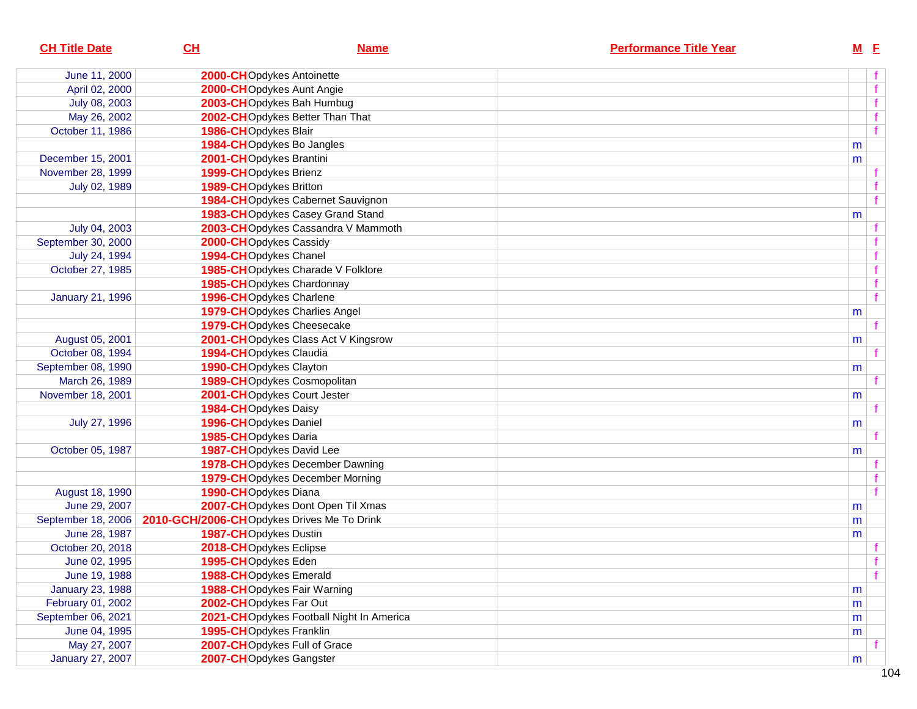| <b>CH Title Date</b>    | CL                                                              | <b>Name</b>                              | <b>Performance Title Year</b> | $M$ E |              |
|-------------------------|-----------------------------------------------------------------|------------------------------------------|-------------------------------|-------|--------------|
| June 11, 2000           |                                                                 | 2000-CHOpdykes Antoinette                |                               |       |              |
| April 02, 2000          |                                                                 | 2000-CHOpdykes Aunt Angie                |                               |       | f            |
| July 08, 2003           |                                                                 | 2003-CHOpdykes Bah Humbug                |                               |       | $\mathbf{f}$ |
| May 26, 2002            |                                                                 | 2002-CHOpdykes Better Than That          |                               |       |              |
| October 11, 1986        | 1986-CHOpdykes Blair                                            |                                          |                               |       | f            |
|                         |                                                                 | 1984-CHOpdykes Bo Jangles                |                               | m     |              |
| December 15, 2001       | 2001-CHOpdykes Brantini                                         |                                          |                               | m     |              |
| November 28, 1999       | 1999-CHOpdykes Brienz                                           |                                          |                               |       |              |
| July 02, 1989           | 1989-CHOpdykes Britton                                          |                                          |                               |       |              |
|                         |                                                                 | 1984-CHOpdykes Cabernet Sauvignon        |                               |       | $\mathbf{f}$ |
|                         |                                                                 | 1983-CHOpdykes Casey Grand Stand         |                               | m     |              |
| July 04, 2003           |                                                                 | 2003-CHOpdykes Cassandra V Mammoth       |                               |       |              |
| September 30, 2000      | 2000-CHOpdykes Cassidy                                          |                                          |                               |       |              |
| July 24, 1994           | 1994-CHOpdykes Chanel                                           |                                          |                               |       | $\mathbf{f}$ |
| October 27, 1985        |                                                                 | 1985-CHOpdykes Charade V Folklore        |                               |       | $\mathbf{f}$ |
|                         |                                                                 | 1985-CHOpdykes Chardonnay                |                               |       | $\mathbf{f}$ |
| <b>January 21, 1996</b> |                                                                 | 1996-CHOpdykes Charlene                  |                               |       | f            |
|                         |                                                                 | <b>1979-CHOpdykes Charlies Angel</b>     |                               | m     |              |
|                         |                                                                 | 1979-CHOpdykes Cheesecake                |                               |       |              |
| August 05, 2001         |                                                                 | 2001-CHOpdykes Class Act V Kingsrow      |                               | m     |              |
| October 08, 1994        | 1994-CHOpdykes Claudia                                          |                                          |                               |       |              |
| September 08, 1990      | 1990-CHOpdykes Clayton                                          |                                          |                               | m     |              |
| March 26, 1989          |                                                                 | 1989-CHOpdykes Cosmopolitan              |                               |       |              |
| November 18, 2001       |                                                                 | 2001-CHOpdykes Court Jester              |                               | m     |              |
|                         | 1984-CHOpdykes Daisy                                            |                                          |                               |       |              |
| July 27, 1996           | 1996-CHOpdykes Daniel                                           |                                          |                               | m     |              |
|                         | 1985-CHOpdykes Daria                                            |                                          |                               |       |              |
| October 05, 1987        |                                                                 | 1987-CHOpdykes David Lee                 |                               | m     |              |
|                         |                                                                 | 1978-CHOpdykes December Dawning          |                               |       |              |
|                         |                                                                 | 1979-CHOpdykes December Morning          |                               |       |              |
| August 18, 1990         | 1990-CHOpdykes Diana                                            |                                          |                               |       | $\mathbf{f}$ |
| June 29, 2007           |                                                                 | 2007-CHOpdykes Dont Open Til Xmas        |                               | m     |              |
|                         | September 18, 2006   2010-GCH/2006-CHOpdykes Drives Me To Drink |                                          |                               | m     |              |
| June 28, 1987           | 1987-CHOpdykes Dustin                                           |                                          |                               | m     |              |
| October 20, 2018        | 2018-CHOpdykes Eclipse                                          |                                          |                               |       |              |
| June 02, 1995           | 1995-CHOpdykes Eden                                             |                                          |                               |       | f            |
| June 19, 1988           |                                                                 | 1988-CHOpdykes Emerald                   |                               |       | f            |
| <b>January 23, 1988</b> |                                                                 | 1988-CHOpdykes Fair Warning              |                               | m     |              |
| February 01, 2002       | 2002-CHOpdykes Far Out                                          |                                          |                               | m     |              |
| September 06, 2021      |                                                                 | 2021-CHOpdykes Football Night In America |                               | m     |              |
| June 04, 1995           |                                                                 | 1995-CHOpdykes Franklin                  |                               | m     |              |
| May 27, 2007            |                                                                 | 2007-CHOpdykes Full of Grace             |                               |       |              |
| <b>January 27, 2007</b> |                                                                 | 2007-CHOpdykes Gangster                  |                               | m     |              |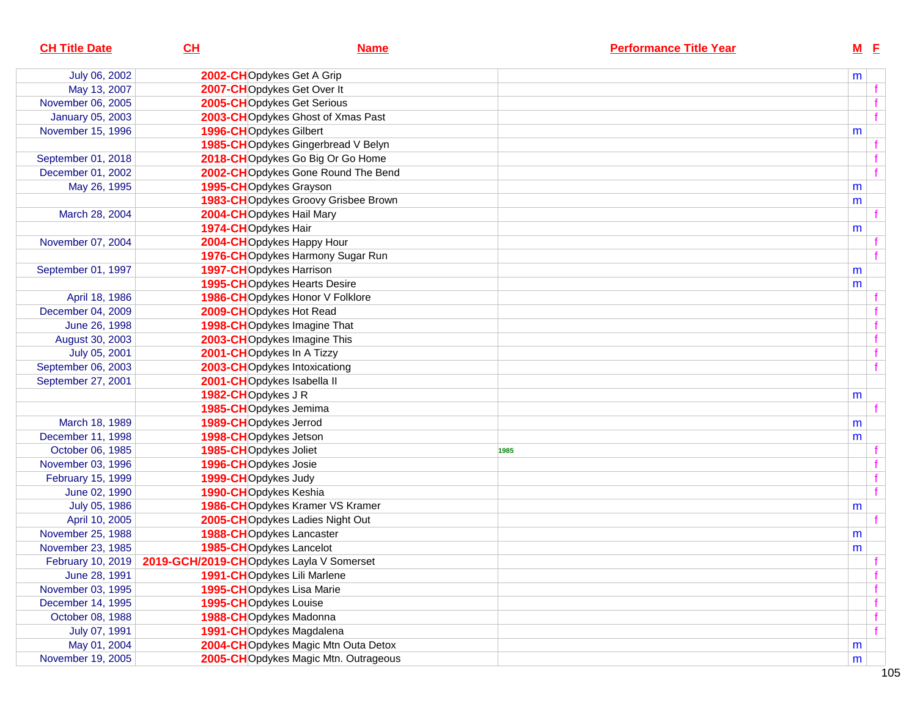| <b>CH Title Date</b>    | CL                                                         | <b>Name</b>                          |      | <b>Performance Title Year</b> | $M$ E |              |
|-------------------------|------------------------------------------------------------|--------------------------------------|------|-------------------------------|-------|--------------|
| July 06, 2002           |                                                            | 2002-CHOpdykes Get A Grip            |      |                               | m     |              |
| May 13, 2007            |                                                            | 2007-CHOpdykes Get Over It           |      |                               |       |              |
| November 06, 2005       |                                                            | 2005-CHOpdykes Get Serious           |      |                               |       |              |
| <b>January 05, 2003</b> |                                                            | 2003-CHOpdykes Ghost of Xmas Past    |      |                               |       | f            |
| November 15, 1996       | 1996-CHOpdykes Gilbert                                     |                                      |      |                               | m     |              |
|                         |                                                            | 1985-CHOpdykes Gingerbread V Belyn   |      |                               |       |              |
| September 01, 2018      |                                                            | 2018-CHOpdykes Go Big Or Go Home     |      |                               |       |              |
| December 01, 2002       |                                                            | 2002-CHOpdykes Gone Round The Bend   |      |                               |       | f            |
| May 26, 1995            |                                                            | 1995-CHOpdykes Grayson               |      |                               | m     |              |
|                         |                                                            | 1983-CHOpdykes Groovy Grisbee Brown  |      |                               | m     |              |
| March 28, 2004          |                                                            | 2004-CHOpdykes Hail Mary             |      |                               |       |              |
|                         | 1974-CHOpdykes Hair                                        |                                      |      |                               | m     |              |
| November 07, 2004       |                                                            | 2004-CHOpdykes Happy Hour            |      |                               |       |              |
|                         |                                                            | 1976-CHOpdykes Harmony Sugar Run     |      |                               |       |              |
| September 01, 1997      |                                                            | 1997-CHOpdykes Harrison              |      |                               | m     |              |
|                         |                                                            | 1995-CHOpdykes Hearts Desire         |      |                               | m     |              |
| April 18, 1986          |                                                            | 1986-CHOpdykes Honor V Folklore      |      |                               |       |              |
| December 04, 2009       |                                                            | 2009-CHOpdykes Hot Read              |      |                               |       |              |
| June 26, 1998           |                                                            | 1998-CHOpdykes Imagine That          |      |                               |       | f            |
| August 30, 2003         |                                                            | 2003-CHOpdykes Imagine This          |      |                               |       | f            |
| July 05, 2001           |                                                            | 2001-CHOpdykes In A Tizzy            |      |                               |       | f            |
| September 06, 2003      |                                                            | 2003-CHOpdykes Intoxicationg         |      |                               |       |              |
| September 27, 2001      |                                                            | 2001-CHOpdykes Isabella II           |      |                               |       |              |
|                         | 1982-CHOpdykes J R                                         |                                      |      |                               | m     |              |
|                         |                                                            | 1985-CHOpdykes Jemima                |      |                               |       |              |
| March 18, 1989          | 1989-CHOpdykes Jerrod                                      |                                      |      |                               | m     |              |
| December 11, 1998       | 1998-CHOpdykes Jetson                                      |                                      |      |                               | m     |              |
| October 06, 1985        | 1985-CHOpdykes Joliet                                      |                                      | 1985 |                               |       |              |
| November 03, 1996       | 1996-CHOpdykes Josie                                       |                                      |      |                               |       |              |
| February 15, 1999       | 1999-CHOpdykes Judy                                        |                                      |      |                               |       | f            |
| June 02, 1990           |                                                            | 1990-CHOpdykes Keshia                |      |                               |       | $\mathbf{f}$ |
| July 05, 1986           |                                                            | 1986-CHOpdykes Kramer VS Kramer      |      |                               | m     |              |
| April 10, 2005          |                                                            | 2005-CHOpdykes Ladies Night Out      |      |                               |       |              |
| November 25, 1988       |                                                            | 1988-CHOpdykes Lancaster             |      |                               | m     |              |
| November 23, 1985       |                                                            | 1985-CHOpdykes Lancelot              |      |                               | m     |              |
|                         | February 10, 2019 2019-GCH/2019-CHOpdykes Layla V Somerset |                                      |      |                               |       |              |
| June 28, 1991           |                                                            | 1991-CHOpdykes Lili Marlene          |      |                               |       | f            |
| November 03, 1995       |                                                            | 1995-CHOpdykes Lisa Marie            |      |                               |       | f            |
| December 14, 1995       | 1995-CHOpdykes Louise                                      |                                      |      |                               |       | f            |
| October 08, 1988        |                                                            | 1988-CHOpdykes Madonna               |      |                               |       | f            |
| July 07, 1991           |                                                            | 1991-CHOpdykes Magdalena             |      |                               |       | f            |
| May 01, 2004            |                                                            | 2004-CHOpdykes Magic Mtn Outa Detox  |      |                               | m     |              |
| November 19, 2005       |                                                            | 2005-CHOpdykes Magic Mtn. Outrageous |      |                               | m     |              |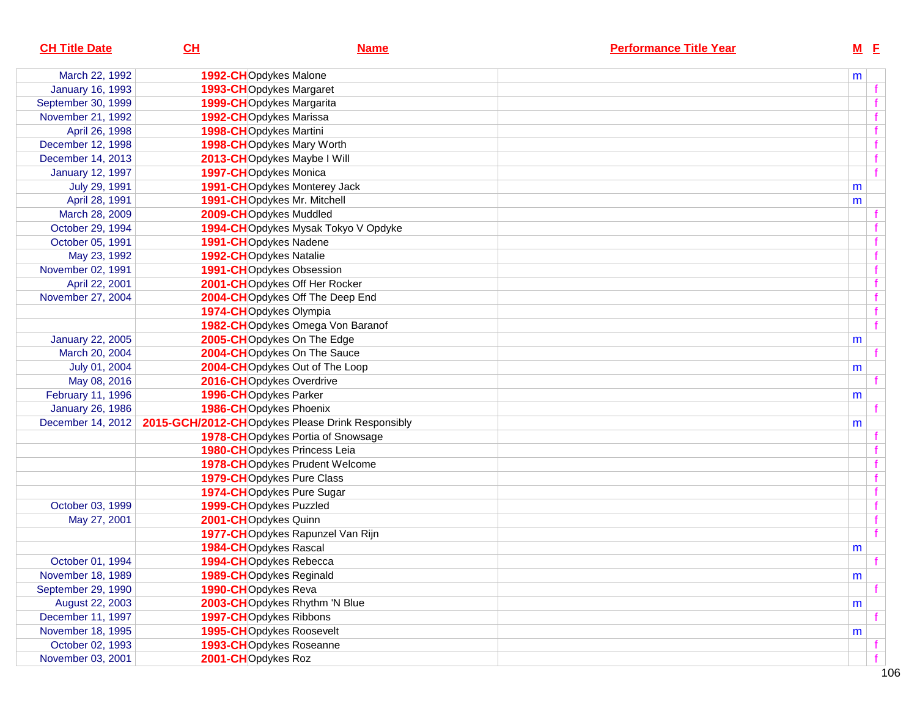| <b>CH Title Date</b>    | CL                       | <b>Name</b>                                      | <b>Performance Title Year</b> | $M$ E |              |
|-------------------------|--------------------------|--------------------------------------------------|-------------------------------|-------|--------------|
| March 22, 1992          | 1992-CHOpdykes Malone    |                                                  |                               | m     |              |
| <b>January 16, 1993</b> | 1993-CHOpdykes Margaret  |                                                  |                               |       |              |
| September 30, 1999      | 1999-CHOpdykes Margarita |                                                  |                               |       |              |
| November 21, 1992       | 1992-CHOpdykes Marissa   |                                                  |                               |       |              |
| April 26, 1998          | 1998-CHOpdykes Martini   |                                                  |                               |       |              |
| December 12, 1998       |                          | 1998-CHOpdykes Mary Worth                        |                               |       |              |
| December 14, 2013       |                          | 2013-CHOpdykes Maybe I Will                      |                               |       |              |
| <b>January 12, 1997</b> | 1997-CHOpdykes Monica    |                                                  |                               |       |              |
| July 29, 1991           |                          | 1991-CHOpdykes Monterey Jack                     |                               | m     |              |
| April 28, 1991          |                          | 1991-CHOpdykes Mr. Mitchell                      |                               | m     |              |
| March 28, 2009          | 2009-CHOpdykes Muddled   |                                                  |                               |       |              |
| October 29, 1994        |                          | 1994-CHOpdykes Mysak Tokyo V Opdyke              |                               |       |              |
| October 05, 1991        | 1991-CHOpdykes Nadene    |                                                  |                               |       |              |
| May 23, 1992            | 1992-CHOpdykes Natalie   |                                                  |                               |       |              |
| November 02, 1991       |                          | 1991-CHOpdykes Obsession                         |                               |       |              |
| April 22, 2001          |                          | 2001-CHOpdykes Off Her Rocker                    |                               |       |              |
| November 27, 2004       |                          | 2004-CHOpdykes Off The Deep End                  |                               |       |              |
|                         | 1974-CHOpdykes Olympia   |                                                  |                               |       |              |
|                         |                          | 1982-CHOpdykes Omega Von Baranof                 |                               |       | $\mathbf{f}$ |
| <b>January 22, 2005</b> |                          | 2005-CHOpdykes On The Edge                       |                               | m     |              |
| March 20, 2004          |                          | 2004-CHOpdykes On The Sauce                      |                               |       |              |
| July 01, 2004           |                          | 2004-CHOpdykes Out of The Loop                   |                               | m     |              |
| May 08, 2016            | 2016-CHOpdykes Overdrive |                                                  |                               |       |              |
| February 11, 1996       | 1996-CHOpdykes Parker    |                                                  |                               | m     |              |
| <b>January 26, 1986</b> | 1986-CHOpdykes Phoenix   |                                                  |                               |       |              |
| December 14, 2012       |                          | 2015-GCH/2012-CHOpdykes Please Drink Responsibly |                               | m     |              |
|                         |                          | 1978-CHOpdykes Portia of Snowsage                |                               |       |              |
|                         |                          | 1980-CHOpdykes Princess Leia                     |                               |       |              |
|                         |                          | 1978-CHOpdykes Prudent Welcome                   |                               |       |              |
|                         |                          | 1979-CHOpdykes Pure Class                        |                               |       |              |
|                         |                          | 1974-CHOpdykes Pure Sugar                        |                               |       |              |
| October 03, 1999        | 1999-CHOpdykes Puzzled   |                                                  |                               |       |              |
| May 27, 2001            | 2001-CHOpdykes Quinn     |                                                  |                               |       |              |
|                         |                          | 1977-CHOpdykes Rapunzel Van Rijn                 |                               |       |              |
|                         | 1984-CHOpdykes Rascal    |                                                  |                               | m     |              |
| October 01, 1994        | 1994-CHOpdykes Rebecca   |                                                  |                               |       |              |
| November 18, 1989       | 1989-CHOpdykes Reginald  |                                                  |                               | m     |              |
| September 29, 1990      | 1990-CHOpdykes Reva      |                                                  |                               |       |              |
| August 22, 2003         |                          | 2003-CHOpdykes Rhythm 'N Blue                    |                               | m     |              |
| December 11, 1997       | 1997-CHOpdykes Ribbons   |                                                  |                               |       |              |
| November 18, 1995       |                          | 1995-CHOpdykes Roosevelt                         |                               | m     |              |
| October 02, 1993        |                          | 1993-CHOpdykes Roseanne                          |                               |       |              |
| November 03, 2001       | 2001-CHOpdykes Roz       |                                                  |                               |       |              |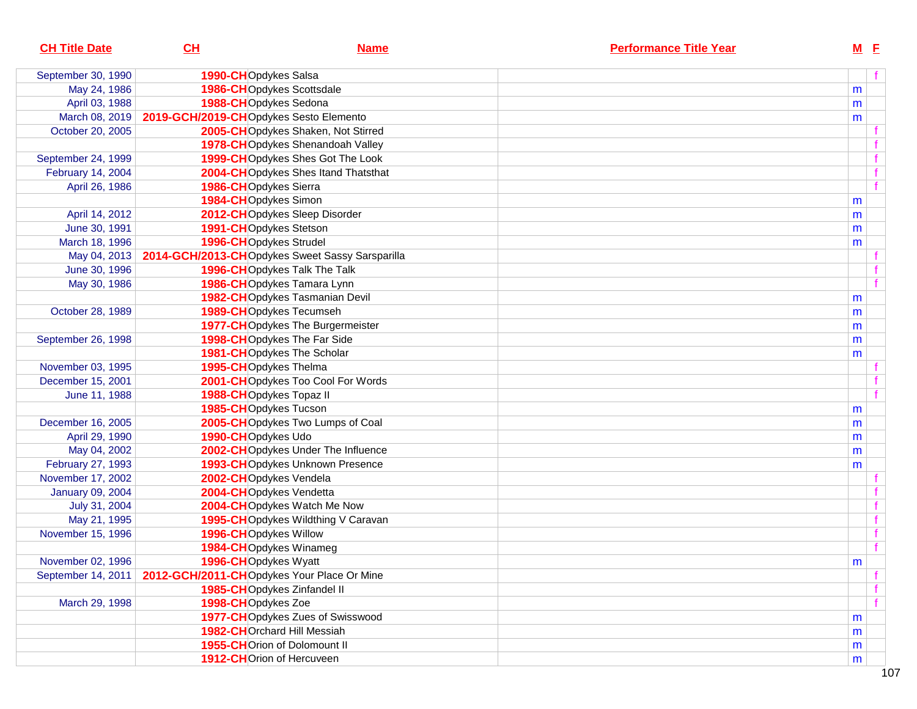| September 30, 1990      | 1990-CHOpdykes Salsa                       |                                                 |   |  |
|-------------------------|--------------------------------------------|-------------------------------------------------|---|--|
|                         |                                            |                                                 |   |  |
| May 24, 1986            |                                            | 1986-CHOpdykes Scottsdale                       | m |  |
| April 03, 1988          | 1988-CHOpdykes Sedona                      |                                                 | m |  |
| March 08, 2019          | 2019-GCH/2019-CHOpdykes Sesto Elemento     |                                                 | m |  |
| October 20, 2005        |                                            | 2005-CHOpdykes Shaken, Not Stirred              |   |  |
|                         |                                            | 1978-CHOpdykes Shenandoah Valley                |   |  |
| September 24, 1999      |                                            | 1999-CHOpdykes Shes Got The Look                |   |  |
| February 14, 2004       |                                            | 2004-CHOpdykes Shes Itand Thatsthat             |   |  |
| April 26, 1986          | 1986-CHOpdykes Sierra                      |                                                 |   |  |
|                         | 1984-CHOpdykes Simon                       |                                                 | m |  |
| April 14, 2012          |                                            | 2012-CHOpdykes Sleep Disorder                   | m |  |
| June 30, 1991           | 1991-CHOpdykes Stetson                     |                                                 | m |  |
| March 18, 1996          | 1996-CHOpdykes Strudel                     |                                                 | m |  |
| May 04, 2013            |                                            | 2014-GCH/2013-CHOpdykes Sweet Sassy Sarsparilla |   |  |
| June 30, 1996           |                                            | 1996-CHOpdykes Talk The Talk                    |   |  |
| May 30, 1986            |                                            | 1986-CHOpdykes Tamara Lynn                      |   |  |
|                         |                                            | 1982-CHOpdykes Tasmanian Devil                  | m |  |
| October 28, 1989        |                                            | 1989-CHOpdykes Tecumseh                         | m |  |
|                         |                                            | 1977-CHOpdykes The Burgermeister                | m |  |
| September 26, 1998      |                                            | 1998-CHOpdykes The Far Side                     | m |  |
|                         |                                            | 1981-CHOpdykes The Scholar                      | m |  |
| November 03, 1995       | 1995-CHOpdykes Thelma                      |                                                 |   |  |
| December 15, 2001       |                                            | 2001-CHOpdykes Too Cool For Words               |   |  |
| June 11, 1988           | 1988-CHOpdykes Topaz II                    |                                                 |   |  |
|                         | 1985-CHOpdykes Tucson                      |                                                 | m |  |
| December 16, 2005       |                                            | 2005-CHOpdykes Two Lumps of Coal                | m |  |
| April 29, 1990          | 1990-CHOpdykes Udo                         |                                                 | m |  |
| May 04, 2002            |                                            | 2002-CHOpdykes Under The Influence              | m |  |
| February 27, 1993       |                                            | 1993-CHOpdykes Unknown Presence                 | m |  |
| November 17, 2002       | 2002-CHOpdykes Vendela                     |                                                 |   |  |
| <b>January 09, 2004</b> | 2004-CHOpdykes Vendetta                    |                                                 |   |  |
| July 31, 2004           |                                            | 2004-CHOpdykes Watch Me Now                     |   |  |
| May 21, 1995            |                                            | 1995-CHOpdykes Wildthing V Caravan              |   |  |
| November 15, 1996       | 1996-CHOpdykes Willow                      |                                                 |   |  |
|                         | 1984-CHOpdykes Winameg                     |                                                 |   |  |
| November 02, 1996       | 1996-CHOpdykes Wyatt                       |                                                 | m |  |
| September 14, 2011      | 2012-GCH/2011-CHOpdykes Your Place Or Mine |                                                 |   |  |
|                         |                                            | 1985-CHOpdykes Zinfandel II                     |   |  |
| March 29, 1998          | 1998-CHOpdykes Zoe                         |                                                 |   |  |
|                         |                                            | 1977-CHOpdykes Zues of Swisswood                | m |  |
|                         |                                            | 1982-CHOrchard Hill Messiah                     | m |  |
|                         |                                            | 1955-CHOrion of Dolomount II                    | m |  |
|                         |                                            | 1912-CHOrion of Hercuveen                       | m |  |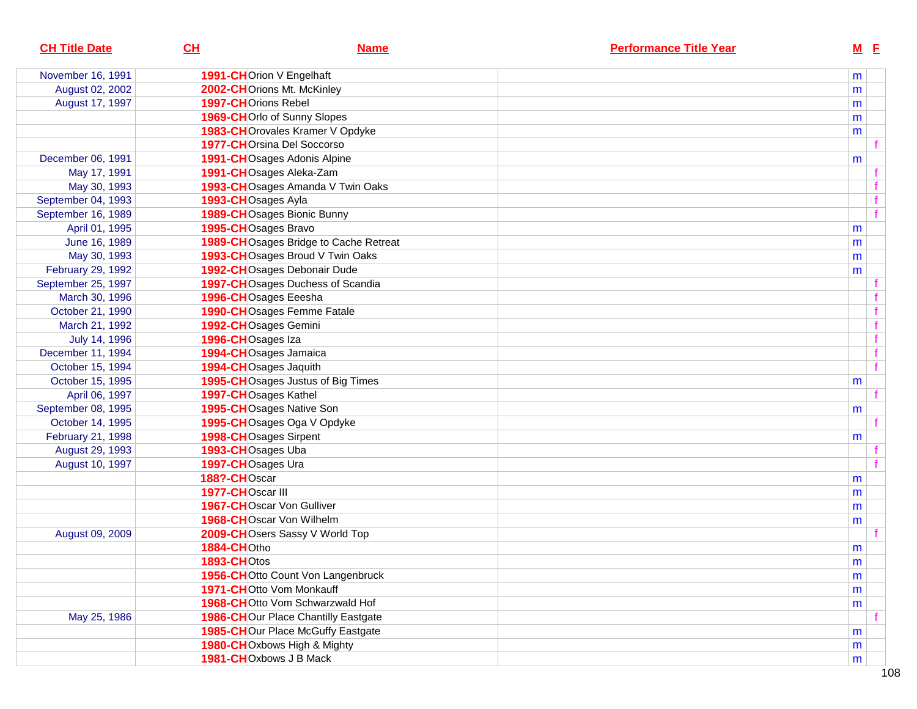| <b>CH Title Date</b> | CL                          | <b>Name</b>                           | <b>Performance Title Year</b> |           | $M$ E       |
|----------------------|-----------------------------|---------------------------------------|-------------------------------|-----------|-------------|
| November 16, 1991    | 1991-CHOrion V Engelhaft    |                                       |                               | m         |             |
| August 02, 2002      | 2002-CHOrions Mt. McKinley  |                                       |                               | m         |             |
| August 17, 1997      | 1997-CHOrions Rebel         |                                       |                               | m         |             |
|                      | 1969-CHOrlo of Sunny Slopes |                                       |                               | m         |             |
|                      |                             | 1983-CHOrovales Kramer V Opdyke       |                               | m         |             |
|                      | 1977-CHOrsina Del Soccorso  |                                       |                               |           |             |
| December 06, 1991    | 1991-CHOsages Adonis Alpine |                                       |                               | m         |             |
| May 17, 1991         | 1991-CHOsages Aleka-Zam     |                                       |                               |           |             |
| May 30, 1993         |                             | 1993-CHOsages Amanda V Twin Oaks      |                               |           |             |
| September 04, 1993   | 1993-CHOsages Ayla          |                                       |                               |           | f           |
| September 16, 1989   | 1989-CHOsages Bionic Bunny  |                                       |                               |           | f           |
| April 01, 1995       | 1995-CHOsages Bravo         |                                       |                               | m         |             |
| June 16, 1989        |                             | 1989-CHOsages Bridge to Cache Retreat |                               | m         |             |
| May 30, 1993         |                             | 1993-CHOsages Broud V Twin Oaks       |                               | m         |             |
| February 29, 1992    |                             | 1992-CHOsages Debonair Dude           |                               | m         |             |
| September 25, 1997   |                             | 1997-CHOsages Duchess of Scandia      |                               |           |             |
| March 30, 1996       | 1996-CHOsages Eeesha        |                                       |                               |           |             |
| October 21, 1990     | 1990-CHOsages Femme Fatale  |                                       |                               |           | $\mathbf f$ |
| March 21, 1992       | 1992-CHOsages Gemini        |                                       |                               |           | f           |
| July 14, 1996        | 1996-CHOsages Iza           |                                       |                               |           | f           |
| December 11, 1994    | 1994-CHOsages Jamaica       |                                       |                               |           | f           |
| October 15, 1994     | 1994-CHOsages Jaquith       |                                       |                               |           | f           |
| October 15, 1995     |                             | 1995-CHOsages Justus of Big Times     |                               | m         |             |
| April 06, 1997       | 1997-CHOsages Kathel        |                                       |                               |           |             |
| September 08, 1995   | 1995-CHOsages Native Son    |                                       |                               | m         |             |
| October 14, 1995     | 1995-CHOsages Oga V Opdyke  |                                       |                               |           |             |
| February 21, 1998    | 1998-CHOsages Sirpent       |                                       |                               | m         |             |
| August 29, 1993      | 1993-CHOsages Uba           |                                       |                               |           |             |
| August 10, 1997      | 1997-CHOsages Ura           |                                       |                               |           |             |
|                      | 188?-CHOscar                |                                       |                               | m         |             |
|                      | 1977-CHOscar III            |                                       |                               | m         |             |
|                      | 1967-CHOscar Von Gulliver   |                                       |                               | m         |             |
|                      | 1968-CHOscar Von Wilhelm    |                                       |                               | m         |             |
| August 09, 2009      |                             | 2009-CHOsers Sassy V World Top        |                               |           |             |
|                      | 1884-CHOtho                 |                                       |                               | m         |             |
|                      | 1893-CHOtos                 |                                       |                               | ${\sf m}$ |             |
|                      |                             | 1956-CHOtto Count Von Langenbruck     |                               | m         |             |
|                      | 1971-CHOtto Vom Monkauff    |                                       |                               | m         |             |
|                      |                             | 1968-CHOtto Vom Schwarzwald Hof       |                               | m         |             |
| May 25, 1986         |                             | 1986-CHOur Place Chantilly Eastgate   |                               |           |             |
|                      |                             | 1985-CHOur Place McGuffy Eastgate     |                               | m         |             |
|                      | 1980-CHOxbows High & Mighty |                                       |                               | m         |             |
|                      | 1981-CHOxbows J B Mack      |                                       |                               | m         |             |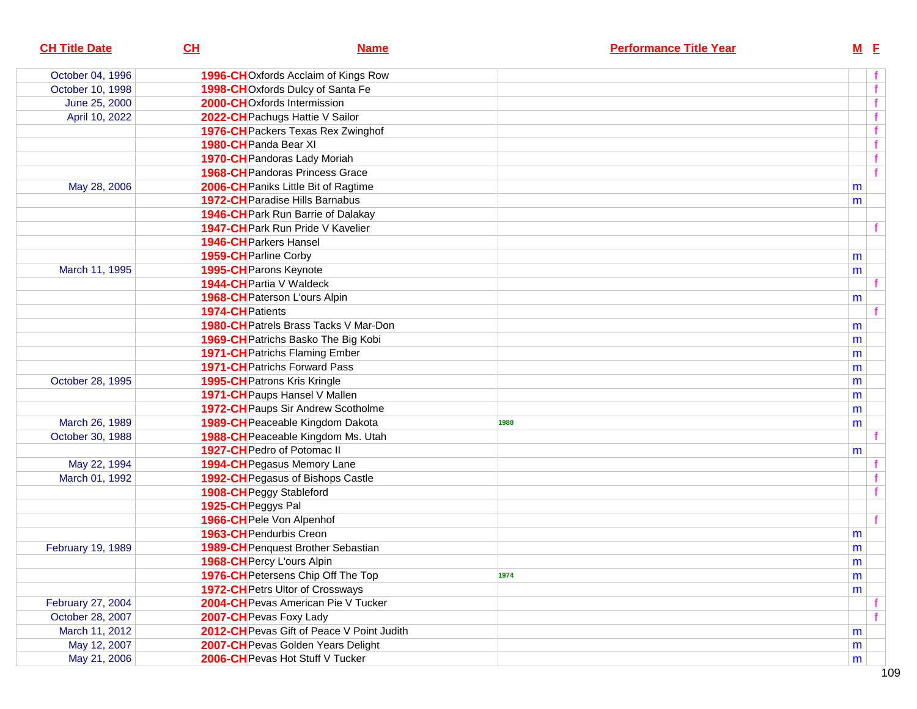| <b>CH Title Date</b> | CH<br><b>Name</b>                            | <b>Performance Title Year</b> | $M$ E |   |
|----------------------|----------------------------------------------|-------------------------------|-------|---|
| October 04, 1996     | 1996-CHOxfords Acclaim of Kings Row          |                               |       |   |
| October 10, 1998     | 1998-CHOxfords Dulcy of Santa Fe             |                               |       | f |
| June 25, 2000        | 2000-CHOxfords Intermission                  |                               |       |   |
| April 10, 2022       | 2022-CH Pachugs Hattie V Sailor              |                               |       |   |
|                      | 1976-CH Packers Texas Rex Zwinghof           |                               |       |   |
|                      | 1980-CH Panda Bear XI                        |                               |       |   |
|                      | 1970-CH Pandoras Lady Moriah                 |                               |       |   |
|                      | <b>1968-CH</b> Pandoras Princess Grace       |                               |       |   |
| May 28, 2006         | 2006-CH Paniks Little Bit of Ragtime         |                               | m     |   |
|                      | <b>1972-CH</b> Paradise Hills Barnabus       |                               | m     |   |
|                      | <b>1946-CH</b> Park Run Barrie of Dalakay    |                               |       |   |
|                      | 1947-CH Park Run Pride V Kavelier            |                               |       |   |
|                      | <b>1946-CH</b> Parkers Hansel                |                               |       |   |
|                      | 1959-CH Parline Corby                        |                               | m     |   |
| March 11, 1995       | 1995-CH Parons Keynote                       |                               | m     |   |
|                      | 1944-CH Partia V Waldeck                     |                               |       |   |
|                      | <b>1968-CH</b> Paterson L'ours Alpin         |                               | m     |   |
|                      | 1974-CH Patients                             |                               |       |   |
|                      | <b>1980-CH</b> Patrels Brass Tacks V Mar-Don |                               | m     |   |
|                      | 1969-CH Patrichs Basko The Big Kobi          |                               | m     |   |
|                      | 1971-CH Patrichs Flaming Ember               |                               | m     |   |
|                      | <b>1971-CH</b> Patrichs Forward Pass         |                               | m     |   |
| October 28, 1995     | <b>1995-CH</b> Patrons Kris Kringle          |                               | m     |   |
|                      | 1971-CH Paups Hansel V Mallen                |                               | m     |   |
|                      | 1972-CH Paups Sir Andrew Scotholme           |                               | m     |   |
| March 26, 1989       | 1989-CH Peaceable Kingdom Dakota             | 1988                          | m     |   |
| October 30, 1988     | 1988-CH Peaceable Kingdom Ms. Utah           |                               |       |   |
|                      | 1927-CH Pedro of Potomac II                  |                               | m     |   |
| May 22, 1994         | 1994-CH Pegasus Memory Lane                  |                               |       |   |
| March 01, 1992       | 1992-CH Pegasus of Bishops Castle            |                               |       |   |
|                      | 1908-CH Peggy Stableford                     |                               |       |   |
|                      | 1925-CH Peggys Pal                           |                               |       |   |
|                      | 1966-CH Pele Von Alpenhof                    |                               |       |   |
|                      | 1963-CH Pendurbis Creon                      |                               | m     |   |
| February 19, 1989    | 1989-CH Penquest Brother Sebastian           |                               | m     |   |
|                      | 1968-CH Percy L'ours Alpin                   |                               | m     |   |
|                      | 1976-CH Petersens Chip Off The Top           | 1974                          | m     |   |
|                      | 1972-CH Petrs Ultor of Crossways             |                               | m     |   |
| February 27, 2004    | 2004-CH Pevas American Pie V Tucker          |                               |       |   |
| October 28, 2007     | 2007-CH Pevas Foxy Lady                      |                               |       |   |
| March 11, 2012       | 2012-CH Pevas Gift of Peace V Point Judith   |                               | m     |   |
| May 12, 2007         | 2007-CH Pevas Golden Years Delight           |                               | m     |   |
| May 21, 2006         | 2006-CH Pevas Hot Stuff V Tucker             |                               | m     |   |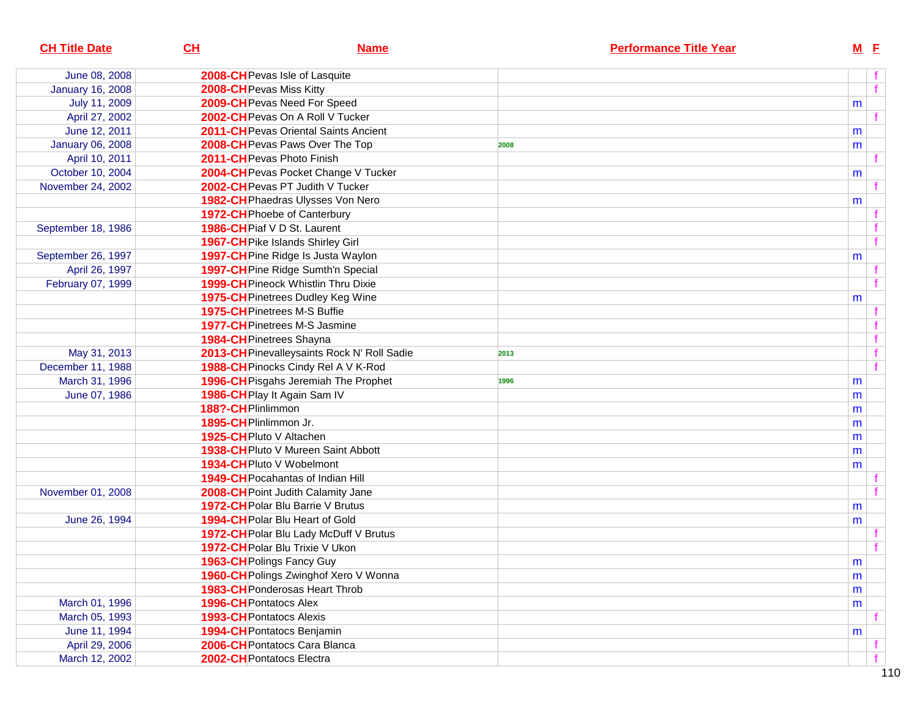| <b>CH Title Date</b>    | CH                                         | <b>Name</b>                                 |      | <b>Performance Title Year</b> |           | $M$ E |                |
|-------------------------|--------------------------------------------|---------------------------------------------|------|-------------------------------|-----------|-------|----------------|
| June 08, 2008           | 2008-CH Pevas Isle of Lasquite             |                                             |      |                               |           |       |                |
| <b>January 16, 2008</b> | 2008-CH Pevas Miss Kitty                   |                                             |      |                               |           |       | $\overline{f}$ |
| July 11, 2009           | 2009-CH Pevas Need For Speed               |                                             |      |                               | m         |       |                |
| April 27, 2002          | 2002-CH Pevas On A Roll V Tucker           |                                             |      |                               |           |       |                |
| June 12, 2011           |                                            | 2011-CH Pevas Oriental Saints Ancient       |      |                               | m         |       |                |
| <b>January 06, 2008</b> | 2008-CH Pevas Paws Over The Top            |                                             | 2008 |                               | m         |       |                |
| April 10, 2011          | 2011-CH Pevas Photo Finish                 |                                             |      |                               |           |       |                |
| October 10, 2004        |                                            | 2004-CH Pevas Pocket Change V Tucker        |      |                               | m         |       |                |
| November 24, 2002       | 2002-CH Pevas PT Judith V Tucker           |                                             |      |                               |           |       |                |
|                         |                                            | 1982-CH Phaedras Ulysses Von Nero           |      |                               | m         |       |                |
|                         | 1972-CH Phoebe of Canterbury               |                                             |      |                               |           |       |                |
| September 18, 1986      | 1986-CH Piaf V D St. Laurent               |                                             |      |                               |           |       |                |
|                         | 1967-CH Pike Islands Shirley Girl          |                                             |      |                               |           |       | f              |
| September 26, 1997      | 1997-CH Pine Ridge Is Justa Waylon         |                                             |      |                               | m         |       |                |
| April 26, 1997          |                                            | 1997-CH Pine Ridge Sumth'n Special          |      |                               |           |       |                |
| February 07, 1999       | <b>1999-CH Pineock Whistlin Thru Dixie</b> |                                             |      |                               |           |       | f              |
|                         | 1975-CH Pinetrees Dudley Keg Wine          |                                             |      |                               | m         |       |                |
|                         | 1975-CH Pinetrees M-S Buffie               |                                             |      |                               |           |       |                |
|                         | <b>1977-CH</b> Pinetrees M-S Jasmine       |                                             |      |                               |           |       |                |
|                         | 1984-CH Pinetrees Shayna                   |                                             |      |                               |           |       | f              |
| May 31, 2013            |                                            | 2013-CH Pinevalleysaints Rock N' Roll Sadie | 2013 |                               |           |       | f              |
| December 11, 1988       |                                            | 1988-CH Pinocks Cindy Rel A V K-Rod         |      |                               |           |       | f              |
| March 31, 1996          |                                            | 1996-CH Pisgahs Jeremiah The Prophet        | 1996 |                               | m         |       |                |
| June 07, 1986           | 1986-CH Play It Again Sam IV               |                                             |      |                               | m         |       |                |
|                         | 188?-CH Plinlimmon                         |                                             |      |                               | m         |       |                |
|                         | 1895-CH Plinlimmon Jr.                     |                                             |      |                               | m         |       |                |
|                         | 1925-CH Pluto V Altachen                   |                                             |      |                               | m         |       |                |
|                         |                                            | 1938-CH Pluto V Mureen Saint Abbott         |      |                               | m         |       |                |
|                         | 1934-CH Pluto V Wobelmont                  |                                             |      |                               | m         |       |                |
|                         | <b>1949-CH</b> Pocahantas of Indian Hill   |                                             |      |                               |           |       |                |
| November 01, 2008       | 2008-CH Point Judith Calamity Jane         |                                             |      |                               |           |       |                |
|                         | 1972-CH Polar Blu Barrie V Brutus          |                                             |      |                               | m         |       |                |
| June 26, 1994           | 1994-CH Polar Blu Heart of Gold            |                                             |      |                               | m         |       |                |
|                         |                                            | 1972-CH Polar Blu Lady McDuff V Brutus      |      |                               |           |       |                |
|                         | 1972-CH Polar Blu Trixie V Ukon            |                                             |      |                               |           |       |                |
|                         | 1963-CH Polings Fancy Guy                  |                                             |      |                               | ${\sf m}$ |       |                |
|                         |                                            | 1960-CH Polings Zwinghof Xero V Wonna       |      |                               | m         |       |                |
|                         | <b>1983-CH</b> Ponderosas Heart Throb      |                                             |      |                               | m         |       |                |
| March 01, 1996          | <b>1996-CH</b> Pontatocs Alex              |                                             |      |                               | m         |       |                |
| March 05, 1993          | <b>1993-CH</b> Pontatocs Alexis            |                                             |      |                               |           |       |                |
| June 11, 1994           | 1994-CH Pontatocs Benjamin                 |                                             |      |                               | m         |       |                |
| April 29, 2006          | 2006-CH Pontatocs Cara Blanca              |                                             |      |                               |           |       |                |
| March 12, 2002          | 2002-CH Pontatocs Electra                  |                                             |      |                               |           |       |                |
|                         |                                            |                                             |      |                               |           |       |                |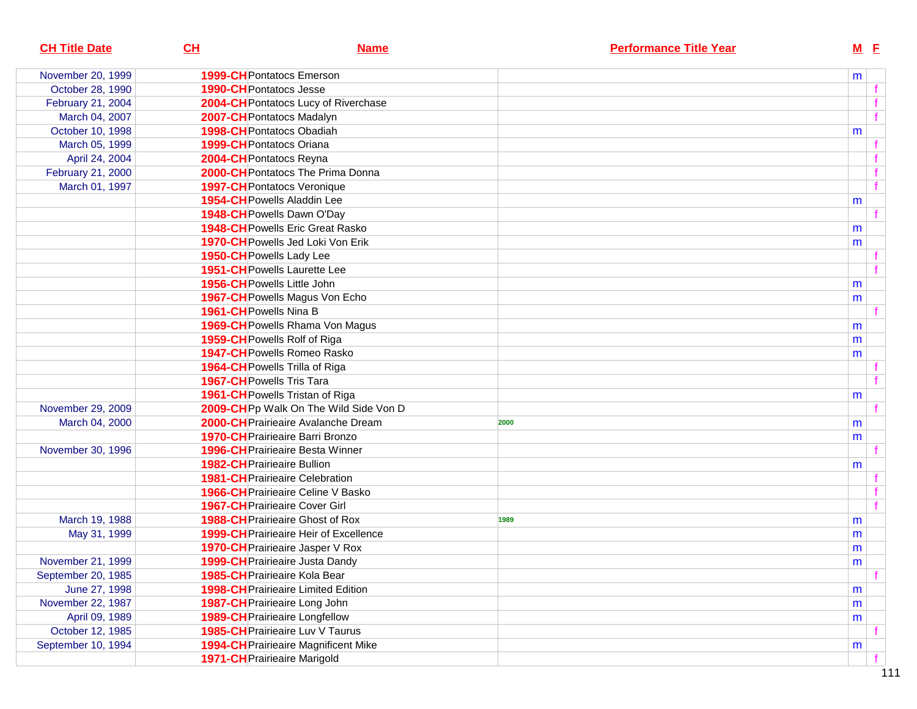| <b>CH Title Date</b> | CL<br><b>Name</b>                             | <b>Performance Title Year</b> | $M$ E     |              |
|----------------------|-----------------------------------------------|-------------------------------|-----------|--------------|
| November 20, 1999    | <b>1999-CH</b> Pontatocs Emerson              |                               | m         |              |
| October 28, 1990     | <b>1990-CH</b> Pontatocs Jesse                |                               |           |              |
| February 21, 2004    | 2004-CH Pontatocs Lucy of Riverchase          |                               |           |              |
| March 04, 2007       | 2007-CH Pontatocs Madalyn                     |                               |           |              |
| October 10, 1998     | 1998-CH Pontatocs Obadiah                     |                               | m         |              |
| March 05, 1999       | 1999-CH Pontatocs Oriana                      |                               |           |              |
| April 24, 2004       | 2004-CH Pontatocs Reyna                       |                               |           |              |
| February 21, 2000    | 2000-CH Pontatocs The Prima Donna             |                               |           |              |
| March 01, 1997       | <b>1997-CH</b> Pontatocs Veronique            |                               |           | $\mathbf{f}$ |
|                      | 1954-CH Powells Aladdin Lee                   |                               | m         |              |
|                      | 1948-CH Powells Dawn O'Day                    |                               |           |              |
|                      | 1948-CH Powells Eric Great Rasko              |                               | m         |              |
|                      | 1970-CH Powells Jed Loki Von Erik             |                               | m         |              |
|                      | 1950-CH Powells Lady Lee                      |                               |           |              |
|                      | <b>1951-CH</b> Powells Laurette Lee           |                               |           |              |
|                      | 1956-CH Powells Little John                   |                               | m         |              |
|                      | 1967-CH Powells Magus Von Echo                |                               | m         |              |
|                      | 1961-CH Powells Nina B                        |                               |           |              |
|                      | 1969-CH Powells Rhama Von Magus               |                               | m         |              |
|                      | 1959-CH Powells Rolf of Riga                  |                               | m         |              |
|                      | 1947-CH Powells Romeo Rasko                   |                               | m         |              |
|                      | 1964-CH Powells Trilla of Riga                |                               |           |              |
|                      | 1967-CH Powells Tris Tara                     |                               |           |              |
|                      | 1961-CH Powells Tristan of Riga               |                               | m         |              |
| November 29, 2009    | 2009-CHPp Walk On The Wild Side Von D         |                               |           |              |
| March 04, 2000       | 2000-CH Prairieaire Avalanche Dream           | 2000                          | m         |              |
|                      | <b>1970-CH</b> Prairieaire Barri Bronzo       |                               | m         |              |
| November 30, 1996    | <b>1996-CH</b> Prairieaire Besta Winner       |                               |           |              |
|                      | <b>1982-CH</b> Prairieaire Bullion            |                               | m         |              |
|                      | <b>1981-CH</b> Prairieaire Celebration        |                               |           |              |
|                      | <b>1966-CH</b> Prairieaire Celine V Basko     |                               |           |              |
|                      | <b>1967-CH</b> Prairieaire Cover Girl         |                               |           |              |
| March 19, 1988       | <b>1988-CH</b> Prairieaire Ghost of Rox       | 1989                          | m         |              |
| May 31, 1999         | <b>1999-CH</b> Prairieaire Heir of Excellence |                               | m         |              |
|                      | 1970-CH Prairieaire Jasper V Rox              |                               | m         |              |
| November 21, 1999    | 1999-CH Prairieaire Justa Dandy               |                               | ${\sf m}$ |              |
| September 20, 1985   | <b>1985-CH</b> Prairieaire Kola Bear          |                               |           |              |
| June 27, 1998        | <b>1998-CH</b> Prairieaire Limited Edition    |                               | m         |              |
| November 22, 1987    | 1987-CH Prairieaire Long John                 |                               | m         |              |
| April 09, 1989       | <b>1989-CH</b> Prairieaire Longfellow         |                               | m         |              |
| October 12, 1985     | 1985-CH Prairieaire Luv V Taurus              |                               |           |              |
| September 10, 1994   | <b>1994-CH</b> Prairieaire Magnificent Mike   |                               | m         |              |
|                      | 1971-CH Prairieaire Marigold                  |                               |           |              |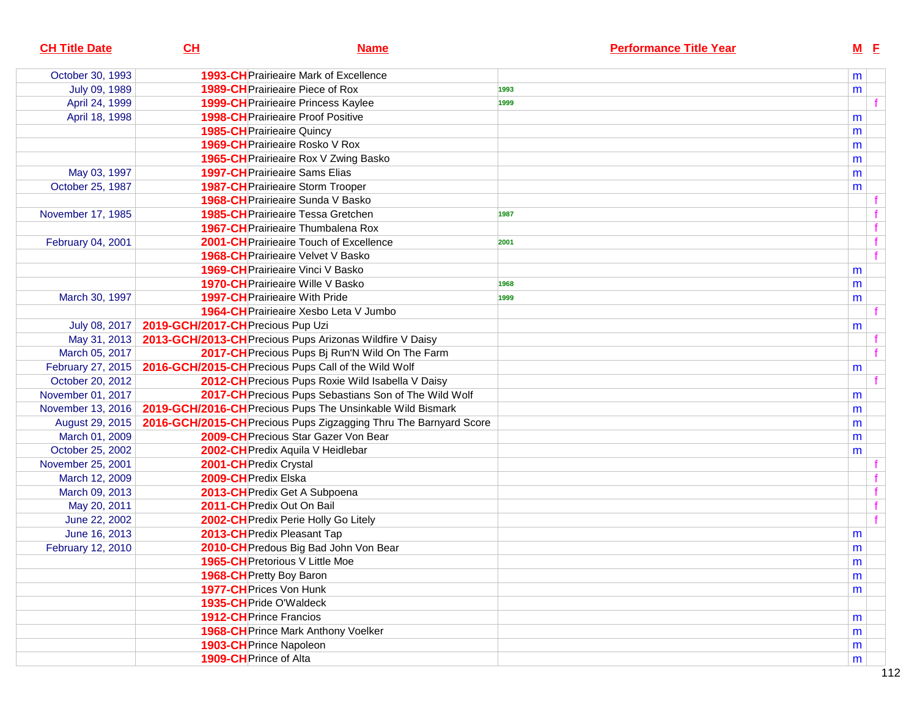| <b>CH Title Date</b> | CL                                | <b>Name</b>                                                       | <b>Performance Title Year</b> |           | $M$ E       |
|----------------------|-----------------------------------|-------------------------------------------------------------------|-------------------------------|-----------|-------------|
| October 30, 1993     |                                   | <b>1993-CH</b> Prairieaire Mark of Excellence                     |                               | m         |             |
| July 09, 1989        |                                   | 1989-CH Prairieaire Piece of Rox                                  | 1993                          | m         |             |
| April 24, 1999       |                                   | <b>1999-CH</b> Prairieaire Princess Kaylee                        | 1999                          |           |             |
| April 18, 1998       |                                   | <b>1998-CH</b> Prairieaire Proof Positive                         |                               | m         |             |
|                      |                                   | <b>1985-CH</b> Prairieaire Quincy                                 |                               | m         |             |
|                      |                                   | 1969-CH Prairieaire Rosko V Rox                                   |                               | m         |             |
|                      |                                   | 1965-CH Prairieaire Rox V Zwing Basko                             |                               | m         |             |
| May 03, 1997         |                                   | <b>1997-CH</b> Prairieaire Sams Elias                             |                               | m         |             |
| October 25, 1987     |                                   | <b>1987-CH</b> Prairieaire Storm Trooper                          |                               | m         |             |
|                      |                                   | 1968-CH Prairieaire Sunda V Basko                                 |                               |           |             |
| November 17, 1985    |                                   | <b>1985-CH</b> Prairieaire Tessa Gretchen                         | 1987                          |           |             |
|                      |                                   | <b>1967-CH</b> Prairieaire Thumbalena Rox                         |                               |           | $\mathbf f$ |
| February 04, 2001    |                                   | 2001-CH Prairieaire Touch of Excellence                           | 2001                          |           | f           |
|                      |                                   | <b>1968-CH</b> Prairieaire Velvet V Basko                         |                               |           | f           |
|                      |                                   | <b>1969-CH</b> Prairieaire Vinci V Basko                          |                               | m         |             |
|                      |                                   | <b>1970-CH</b> Prairieaire Wille V Basko                          | 1968                          | m         |             |
| March 30, 1997       |                                   | <b>1997-CH</b> Prairieaire With Pride                             | 1999                          | m         |             |
|                      |                                   | 1964-CH Prairieaire Xesbo Leta V Jumbo                            |                               |           |             |
| July 08, 2017        | 2019-GCH/2017-CH Precious Pup Uzi |                                                                   |                               | m         |             |
| May 31, 2013         |                                   | 2013-GCH/2013-CH Precious Pups Arizonas Wildfire V Daisy          |                               |           |             |
| March 05, 2017       |                                   | 2017-CH Precious Pups Bj Run'N Wild On The Farm                   |                               |           |             |
| February 27, 2015    |                                   | 2016-GCH/2015-CH Precious Pups Call of the Wild Wolf              |                               | m         |             |
| October 20, 2012     |                                   | 2012-CH Precious Pups Roxie Wild Isabella V Daisy                 |                               |           |             |
| November 01, 2017    |                                   | 2017-CH Precious Pups Sebastians Son of The Wild Wolf             |                               | m         |             |
| November 13, 2016    |                                   | 2019-GCH/2016-CH Precious Pups The Unsinkable Wild Bismark        |                               | m         |             |
| August 29, 2015      |                                   | 2016-GCH/2015-CH Precious Pups Zigzagging Thru The Barnyard Score |                               | m         |             |
| March 01, 2009       |                                   | 2009-CH Precious Star Gazer Von Bear                              |                               | m         |             |
| October 25, 2002     |                                   | 2002-CH Predix Aquila V Heidlebar                                 |                               | m         |             |
| November 25, 2001    |                                   | 2001-CH Predix Crystal                                            |                               |           |             |
| March 12, 2009       |                                   | 2009-CH Predix Elska                                              |                               |           |             |
| March 09, 2013       |                                   | 2013-CH Predix Get A Subpoena                                     |                               |           | $\mathbf f$ |
| May 20, 2011         |                                   | 2011-CH Predix Out On Bail                                        |                               |           | f           |
| June 22, 2002        |                                   | 2002-CH Predix Perie Holly Go Litely                              |                               |           |             |
| June 16, 2013        |                                   | 2013-CH Predix Pleasant Tap                                       |                               | m         |             |
| February 12, 2010    |                                   | 2010-CH Predous Big Bad John Von Bear                             |                               | m         |             |
|                      |                                   | 1965-CH Pretorious V Little Moe                                   |                               | ${\sf m}$ |             |
|                      |                                   | 1968-CH Pretty Boy Baron                                          |                               | m         |             |
|                      |                                   | 1977-CH Prices Von Hunk                                           |                               | m         |             |
|                      |                                   | 1935-CH Pride O'Waldeck                                           |                               |           |             |
|                      |                                   | <b>1912-CH</b> Prince Francios                                    |                               | m         |             |
|                      |                                   | <b>1968-CH</b> Prince Mark Anthony Voelker                        |                               | m         |             |
|                      |                                   | 1903-CH Prince Napoleon                                           |                               | m         |             |
|                      |                                   | 1909-CH Prince of Alta                                            |                               | m         |             |
|                      |                                   |                                                                   |                               |           |             |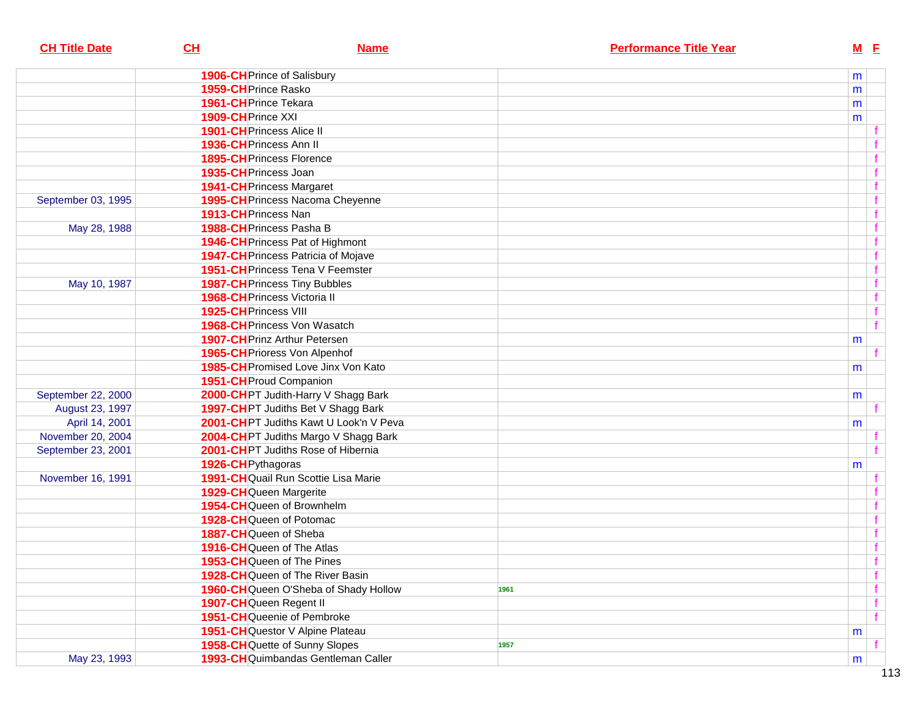| <b>CH Title Date</b> | CL                                  | <b>Name</b>                                |      | <b>Performance Title Year</b> |   | $M$ E |             |
|----------------------|-------------------------------------|--------------------------------------------|------|-------------------------------|---|-------|-------------|
|                      | 1906-CH Prince of Salisbury         |                                            |      |                               | m |       |             |
|                      | 1959-CH Prince Rasko                |                                            |      |                               | m |       |             |
|                      | 1961-CH Prince Tekara               |                                            |      |                               | m |       |             |
|                      | 1909-CH Prince XXI                  |                                            |      |                               | m |       |             |
|                      | <b>1901-CH</b> Princess Alice II    |                                            |      |                               |   |       |             |
|                      | 1936-CH Princess Ann II             |                                            |      |                               |   |       |             |
|                      | <b>1895-CH</b> Princess Florence    |                                            |      |                               |   |       |             |
|                      | 1935-CH Princess Joan               |                                            |      |                               |   |       |             |
|                      | <b>1941-CH</b> Princess Margaret    |                                            |      |                               |   |       |             |
| September 03, 1995   |                                     | 1995-CH Princess Nacoma Cheyenne           |      |                               |   |       |             |
|                      | 1913-CH Princess Nan                |                                            |      |                               |   |       |             |
| May 28, 1988         | 1988-CH Princess Pasha B            |                                            |      |                               |   |       | f           |
|                      |                                     | 1946-CH Princess Pat of Highmont           |      |                               |   |       | f           |
|                      |                                     | <b>1947-CH</b> Princess Patricia of Mojave |      |                               |   |       | f           |
|                      |                                     | 1951-CH Princess Tena V Feemster           |      |                               |   |       | $\mathbf f$ |
| May 10, 1987         |                                     | <b>1987-CH</b> Princess Tiny Bubbles       |      |                               |   |       | $\mathbf f$ |
|                      | <b>1968-CH</b> Princess Victoria II |                                            |      |                               |   |       | $\mathbf f$ |
|                      | 1925-CH Princess VIII               |                                            |      |                               |   |       | $\mathbf f$ |
|                      |                                     | 1968-CH Princess Von Wasatch               |      |                               |   |       | f           |
|                      |                                     | <b>1907-CH</b> Prinz Arthur Petersen       |      |                               | m |       |             |
|                      |                                     | 1965-CH Prioress Von Alpenhof              |      |                               |   |       |             |
|                      |                                     | 1985-CH Promised Love Jinx Von Kato        |      |                               | m |       |             |
|                      | 1951-CH Proud Companion             |                                            |      |                               |   |       |             |
| September 22, 2000   |                                     | 2000-CHPT Judith-Harry V Shagg Bark        |      |                               | m |       |             |
| August 23, 1997      |                                     | 1997-CHPT Judiths Bet V Shagg Bark         |      |                               |   |       |             |
| April 14, 2001       |                                     | 2001-CHPT Judiths Kawt U Look'n V Peva     |      |                               | m |       |             |
| November 20, 2004    |                                     | 2004-CHPT Judiths Margo V Shagg Bark       |      |                               |   |       |             |
| September 23, 2001   |                                     | 2001-CHPT Judiths Rose of Hibernia         |      |                               |   |       |             |
|                      | 1926-CH Pythagoras                  |                                            |      |                               | m |       |             |
| November 16, 1991    |                                     | 1991-CHQuail Run Scottie Lisa Marie        |      |                               |   |       |             |
|                      | 1929-CHQueen Margerite              |                                            |      |                               |   |       |             |
|                      |                                     | 1954-CHQueen of Brownhelm                  |      |                               |   |       |             |
|                      |                                     | 1928-CHQueen of Potomac                    |      |                               |   |       |             |
|                      | 1887-CHQueen of Sheba               |                                            |      |                               |   |       |             |
|                      |                                     | 1916-CHQueen of The Atlas                  |      |                               |   |       |             |
|                      |                                     | 1953-CHQueen of The Pines                  |      |                               |   |       | Ŧ           |
|                      |                                     | 1928-CHQueen of The River Basin            |      |                               |   |       | $\mathbf f$ |
|                      |                                     | 1960-CH Queen O'Sheba of Shady Hollow      | 1961 |                               |   |       |             |
|                      | 1907-CHQueen Regent II              |                                            |      |                               |   |       | $\mathbf f$ |
|                      |                                     | <b>1951-CH</b> Queenie of Pembroke         |      |                               |   |       | f           |
|                      |                                     | 1951-CHQuestor V Alpine Plateau            |      |                               | m |       |             |
|                      |                                     | 1958-CHQuette of Sunny Slopes              | 1957 |                               |   |       |             |
| May 23, 1993         |                                     | 1993-CHQuimbandas Gentleman Caller         |      |                               | m |       |             |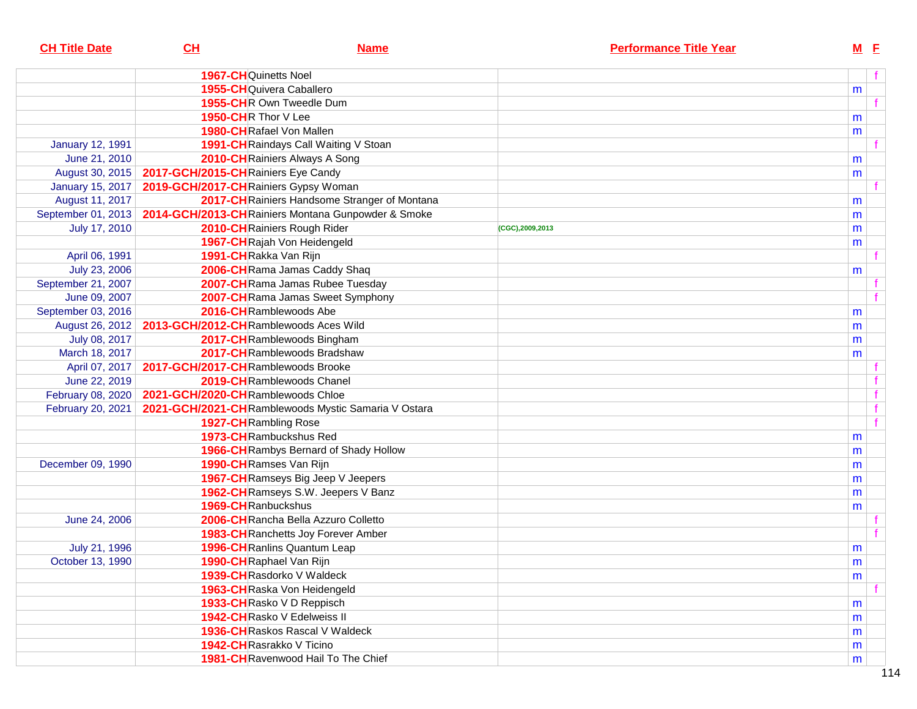| <b>CH Title Date</b>    | CL                                    | <b>Name</b>                                               |                 | <b>Performance Title Year</b> | $M$ E |   |
|-------------------------|---------------------------------------|-----------------------------------------------------------|-----------------|-------------------------------|-------|---|
|                         | <b>1967-CH</b> Quinetts Noel          |                                                           |                 |                               |       | f |
|                         | 1955-CHQuivera Caballero              |                                                           |                 |                               | m     |   |
|                         |                                       | 1955-CHR Own Tweedle Dum                                  |                 |                               |       |   |
|                         | 1950-CHR Thor V Lee                   |                                                           |                 |                               | m     |   |
|                         | 1980-CHRafael Von Mallen              |                                                           |                 |                               | m     |   |
| <b>January 12, 1991</b> |                                       | 1991-CH Raindays Call Waiting V Stoan                     |                 |                               |       |   |
| June 21, 2010           |                                       | 2010-CH Rainiers Always A Song                            |                 |                               | m     |   |
| August 30, 2015         | 2017-GCH/2015-CH Rainiers Eye Candy   |                                                           |                 |                               | m     |   |
| <b>January 15, 2017</b> | 2019-GCH/2017-CHRainiers Gypsy Woman  |                                                           |                 |                               |       |   |
| August 11, 2017         |                                       | 2017-CH Rainiers Handsome Stranger of Montana             |                 |                               | m     |   |
| September 01, 2013      |                                       | 2014-GCH/2013-CHRainiers Montana Gunpowder & Smoke        |                 |                               |       |   |
| July 17, 2010           |                                       | 2010-CHRainiers Rough Rider                               | (CGC),2009,2013 |                               | m     |   |
|                         |                                       | 1967-CHRajah Von Heidengeld                               |                 |                               | m     |   |
| April 06, 1991          | 1991-CHRakka Van Rijn                 |                                                           |                 |                               | m     |   |
| July 23, 2006           |                                       | 2006-CHRama Jamas Caddy Shaq                              |                 |                               |       |   |
| September 21, 2007      |                                       | 2007-CH Rama Jamas Rubee Tuesday                          |                 |                               | m     |   |
| June 09, 2007           |                                       | 2007-CHRama Jamas Sweet Symphony                          |                 |                               |       |   |
| September 03, 2016      |                                       | 2016-CHRamblewoods Abe                                    |                 |                               |       |   |
|                         | 2013-GCH/2012-CHRamblewoods Aces Wild |                                                           |                 |                               | m     |   |
| August 26, 2012         |                                       |                                                           |                 |                               | m     |   |
| July 08, 2017           |                                       | 2017-CHRamblewoods Bingham<br>2017-CHRamblewoods Bradshaw |                 |                               | m     |   |
| March 18, 2017          |                                       |                                                           |                 |                               | m     |   |
| April 07, 2017          | 2017-GCH/2017-CHRamblewoods Brooke    |                                                           |                 |                               |       |   |
| June 22, 2019           |                                       | 2019-CHRamblewoods Chanel                                 |                 |                               |       |   |
| February 08, 2020       | 2021-GCH/2020-CHRamblewoods Chloe     |                                                           |                 |                               |       |   |
| February 20, 2021       |                                       | 2021-GCH/2021-CHRamblewoods Mystic Samaria V Ostara       |                 |                               |       |   |
|                         | 1927-CH Rambling Rose                 |                                                           |                 |                               |       |   |
|                         |                                       | 1973-CHRambuckshus Red                                    |                 |                               | m     |   |
|                         |                                       | 1966-CH Rambys Bernard of Shady Hollow                    |                 |                               | m     |   |
| December 09, 1990       | 1990-CHRamses Van Rijn                |                                                           |                 |                               | m     |   |
|                         |                                       | 1967-CH Ramseys Big Jeep V Jeepers                        |                 |                               | m     |   |
|                         |                                       | 1962-CH Ramseys S.W. Jeepers V Banz                       |                 |                               | m     |   |
|                         | 1969-CHRanbuckshus                    |                                                           |                 |                               | m     |   |
| June 24, 2006           |                                       | 2006-CHRancha Bella Azzuro Colletto                       |                 |                               |       |   |
|                         |                                       | <b>1983-CH</b> Ranchetts Joy Forever Amber                |                 |                               |       |   |
| July 21, 1996           |                                       | <b>1996-CH</b> Ranlins Quantum Leap                       |                 |                               | m     |   |
| October 13, 1990        | 1990-CHRaphael Van Rijn               |                                                           |                 |                               | m     |   |
|                         |                                       | 1939-CHRasdorko V Waldeck                                 |                 |                               | m     |   |
|                         |                                       | 1963-CHRaska Von Heidengeld                               |                 |                               |       |   |
|                         |                                       | 1933-CHRasko V D Reppisch                                 |                 |                               | m     |   |
|                         |                                       | 1942-CHRasko V Edelweiss II                               |                 |                               | m     |   |
|                         |                                       | <b>1936-CH</b> Raskos Rascal V Waldeck                    |                 |                               | m     |   |
|                         | 1942-CHRasrakko V Ticino              |                                                           |                 |                               | m     |   |
|                         |                                       | 1981-CHRavenwood Hail To The Chief                        |                 |                               | m     |   |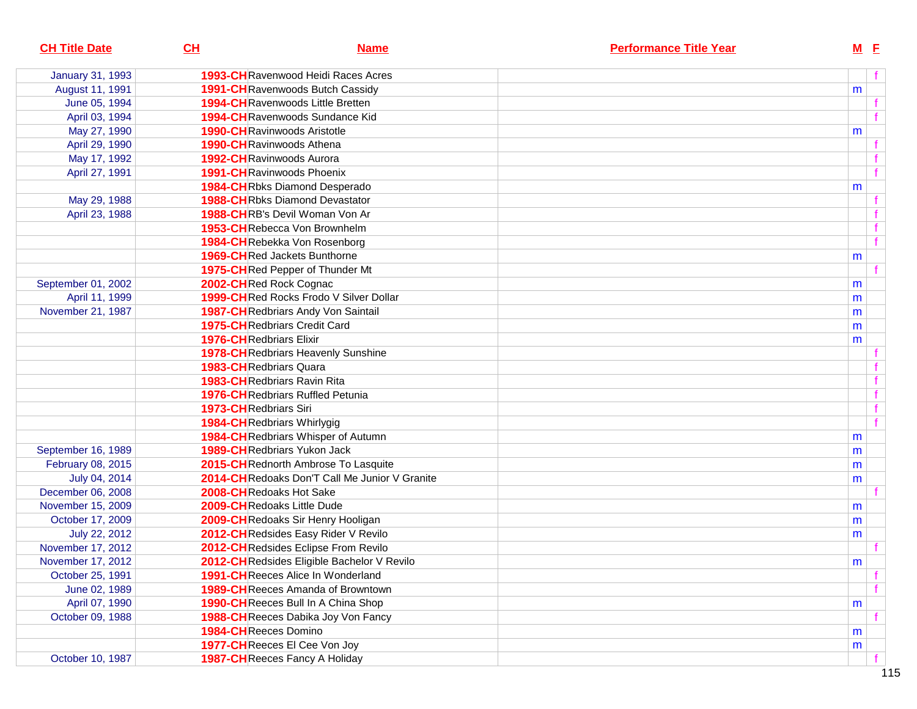| <b>CH Title Date</b>    | CH                            | <b>Name</b>                                    | <b>Performance Title Year</b> | $M$ E |  |
|-------------------------|-------------------------------|------------------------------------------------|-------------------------------|-------|--|
| <b>January 31, 1993</b> |                               | <b>1993-CH</b> Ravenwood Heidi Races Acres     |                               |       |  |
| August 11, 1991         |                               | 1991-CHRavenwoods Butch Cassidy                |                               | m     |  |
| June 05, 1994           |                               | <b>1994-CH</b> Ravenwoods Little Bretten       |                               |       |  |
| April 03, 1994          |                               | 1994-CHRavenwoods Sundance Kid                 |                               |       |  |
| May 27, 1990            |                               | <b>1990-CH Ravinwoods Aristotle</b>            |                               | m     |  |
| April 29, 1990          |                               | 1990-CHRavinwoods Athena                       |                               |       |  |
| May 17, 1992            |                               | 1992-CHRavinwoods Aurora                       |                               |       |  |
| April 27, 1991          |                               | <b>1991-CH</b> Ravinwoods Phoenix              |                               |       |  |
|                         |                               | <b>1984-CH</b> Rbks Diamond Desperado          |                               | m     |  |
| May 29, 1988            |                               | <b>1988-CH</b> Rbks Diamond Devastator         |                               |       |  |
| April 23, 1988          |                               | 1988-CHRB's Devil Woman Von Ar                 |                               |       |  |
|                         |                               | 1953-CHRebecca Von Brownhelm                   |                               |       |  |
|                         |                               | 1984-CHRebekka Von Rosenborg                   |                               |       |  |
|                         |                               | <b>1969-CH</b> Red Jackets Bunthorne           |                               | m     |  |
|                         |                               | 1975-CHRed Pepper of Thunder Mt                |                               |       |  |
| September 01, 2002      |                               | 2002-CHRed Rock Cognac                         |                               | m     |  |
| April 11, 1999          |                               | 1999-CHRed Rocks Frodo V Silver Dollar         |                               | m     |  |
| November 21, 1987       |                               | 1987-CHRedbriars Andy Von Saintail             |                               | m     |  |
|                         |                               | <b>1975-CH</b> Redbriars Credit Card           |                               | m     |  |
|                         |                               | <b>1976-CH</b> Redbriars Elixir                |                               | m     |  |
|                         |                               | <b>1978-CH</b> Redbriars Heavenly Sunshine     |                               |       |  |
|                         |                               | <b>1983-CH</b> Redbriars Quara                 |                               |       |  |
|                         |                               | <b>1983-CH</b> Redbriars Ravin Rita            |                               |       |  |
|                         |                               | <b>1976-CH</b> Redbriars Ruffled Petunia       |                               |       |  |
|                         | <b>1973-CH</b> Redbriars Siri |                                                |                               |       |  |
|                         |                               | 1984-CHRedbriars Whirlygig                     |                               |       |  |
|                         |                               | 1984-CHRedbriars Whisper of Autumn             |                               | m     |  |
| September 16, 1989      |                               | <b>1989-CH</b> Redbriars Yukon Jack            |                               | m     |  |
| February 08, 2015       |                               | 2015-CH Rednorth Ambrose To Lasquite           |                               | m     |  |
| July 04, 2014           |                               | 2014-CH Redoaks Don'T Call Me Junior V Granite |                               | m     |  |
| December 06, 2008       |                               | 2008-CHRedoaks Hot Sake                        |                               |       |  |
| November 15, 2009       |                               | 2009-CHRedoaks Little Dude                     |                               | m     |  |
| October 17, 2009        |                               | 2009-CHRedoaks Sir Henry Hooligan              |                               | m     |  |
| July 22, 2012           |                               | 2012-CH Redsides Easy Rider V Revilo           |                               | m     |  |
| November 17, 2012       |                               | 2012-CHRedsides Eclipse From Revilo            |                               |       |  |
| November 17, 2012       |                               | 2012-CHRedsides Eligible Bachelor V Revilo     |                               | m     |  |
| October 25, 1991        |                               | <b>1991-CH</b> Reeces Alice In Wonderland      |                               |       |  |
| June 02, 1989           |                               | <b>1989-CH</b> Reeces Amanda of Browntown      |                               |       |  |
| April 07, 1990          |                               | 1990-CHReeces Bull In A China Shop             |                               | m     |  |
| October 09, 1988        |                               | 1988-CH Reeces Dabika Joy Von Fancy            |                               |       |  |
|                         |                               | 1984-CHReeces Domino                           |                               | m     |  |
|                         |                               | 1977-CHReeces El Cee Von Joy                   |                               | m     |  |
| October 10, 1987        |                               | <b>1987-CH</b> Reeces Fancy A Holiday          |                               |       |  |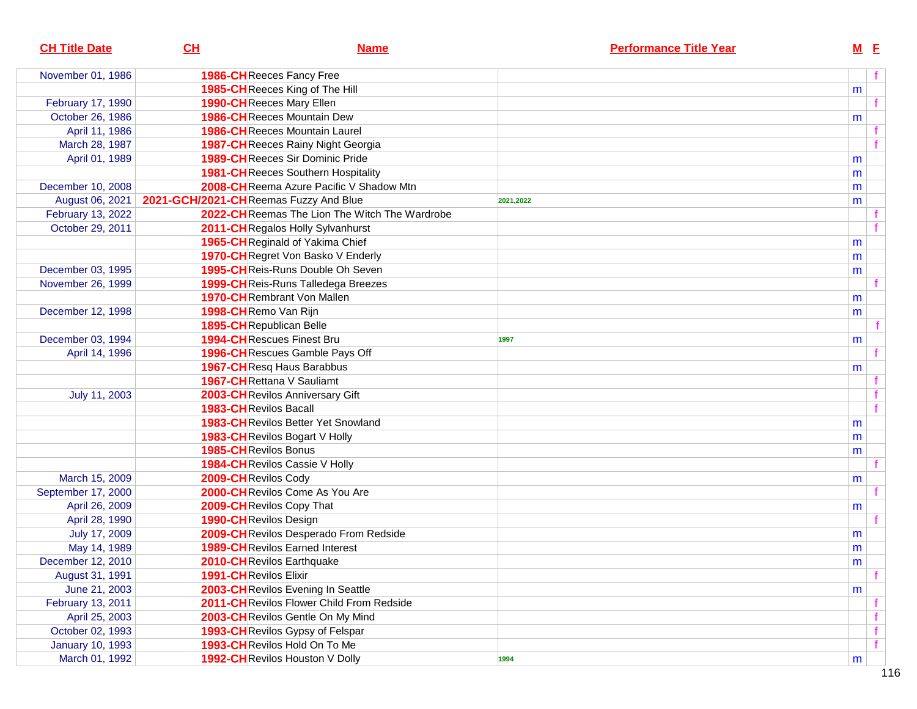| <b>CH Title Date</b>    | CL                                    | <b>Name</b>                                   | <b>Performance Title Year</b> |           | $M$ E |  |
|-------------------------|---------------------------------------|-----------------------------------------------|-------------------------------|-----------|-------|--|
| November 01, 1986       |                                       | <b>1986-CH</b> Reeces Fancy Free              |                               |           |       |  |
|                         |                                       | 1985-CHReeces King of The Hill                |                               | m         |       |  |
| February 17, 1990       |                                       | 1990-CHReeces Mary Ellen                      |                               |           |       |  |
| October 26, 1986        |                                       | <b>1986-CH</b> Reeces Mountain Dew            |                               | m         |       |  |
| April 11, 1986          |                                       | <b>1986-CH</b> Reeces Mountain Laurel         |                               |           |       |  |
| March 28, 1987          |                                       | <b>1987-CH</b> Reeces Rainy Night Georgia     |                               |           |       |  |
| April 01, 1989          |                                       | <b>1989-CH</b> Reeces Sir Dominic Pride       |                               | m         |       |  |
|                         |                                       | <b>1981-CH</b> Reeces Southern Hospitality    |                               | m         |       |  |
| December 10, 2008       |                                       | 2008-CHReema Azure Pacific V Shadow Mtn       |                               | m         |       |  |
| August 06, 2021         | 2021-GCH/2021-CHReemas Fuzzy And Blue |                                               | 2021,2022                     | m         |       |  |
| February 13, 2022       |                                       | 2022-CHReemas The Lion The Witch The Wardrobe |                               |           |       |  |
| October 29, 2011        |                                       | 2011-CHRegalos Holly Sylvanhurst              |                               |           |       |  |
|                         |                                       | 1965-CH Reginald of Yakima Chief              |                               | m         |       |  |
|                         |                                       | 1970-CHRegret Von Basko V Enderly             |                               | m         |       |  |
| December 03, 1995       |                                       | 1995-CHReis-Runs Double Oh Seven              |                               | m         |       |  |
| November 26, 1999       |                                       | 1999-CHReis-Runs Talledega Breezes            |                               |           |       |  |
|                         |                                       | <b>1970-CH</b> Rembrant Von Mallen            |                               | m         |       |  |
| December 12, 1998       | 1998-CHRemo Van Rijn                  |                                               |                               | m         |       |  |
|                         | 1895-CHRepublican Belle               |                                               |                               |           |       |  |
| December 03, 1994       |                                       | <b>1994-CH</b> Rescues Finest Bru             | 1997                          | m         |       |  |
| April 14, 1996          |                                       | 1996-CHRescues Gamble Pays Off                |                               |           |       |  |
|                         |                                       | 1967-CHResq Haus Barabbus                     |                               | m         |       |  |
|                         |                                       | 1967-CHRettana V Sauliamt                     |                               |           |       |  |
| July 11, 2003           |                                       | 2003-CHRevilos Anniversary Gift               |                               |           |       |  |
|                         | <b>1983-CH</b> Revilos Bacall         |                                               |                               |           |       |  |
|                         |                                       | <b>1983-CH</b> Revilos Better Yet Snowland    |                               | m         |       |  |
|                         |                                       | <b>1983-CH</b> Revilos Bogart V Holly         |                               | m         |       |  |
|                         | 1985-CHRevilos Bonus                  |                                               |                               | m         |       |  |
|                         |                                       | 1984-CHRevilos Cassie V Holly                 |                               |           |       |  |
| March 15, 2009          | 2009-CHRevilos Cody                   |                                               |                               | m         |       |  |
| September 17, 2000      |                                       | 2000-CHRevilos Come As You Are                |                               |           |       |  |
| April 26, 2009          |                                       | 2009-CHRevilos Copy That                      |                               | m         |       |  |
| April 28, 1990          | 1990-CH Revilos Design                |                                               |                               |           |       |  |
| July 17, 2009           |                                       | 2009-CHRevilos Desperado From Redside         |                               | m         |       |  |
| May 14, 1989            |                                       | <b>1989-CH</b> Revilos Earned Interest        |                               | m         |       |  |
| December 12, 2010       |                                       | 2010-CHRevilos Earthquake                     |                               | ${\sf m}$ |       |  |
| August 31, 1991         | 1991-CHRevilos Elixir                 |                                               |                               |           |       |  |
| June 21, 2003           |                                       | 2003-CHRevilos Evening In Seattle             |                               | m         |       |  |
| February 13, 2011       |                                       | 2011-CHRevilos Flower Child From Redside      |                               |           |       |  |
| April 25, 2003          |                                       | 2003-CHRevilos Gentle On My Mind              |                               |           |       |  |
| October 02, 1993        |                                       | 1993-CH Revilos Gypsy of Felspar              |                               |           |       |  |
| <b>January 10, 1993</b> |                                       | 1993-CH Revilos Hold On To Me                 |                               |           |       |  |
| March 01, 1992          |                                       | 1992-CH Revilos Houston V Dolly               | 1994                          | m         |       |  |
|                         |                                       |                                               |                               |           |       |  |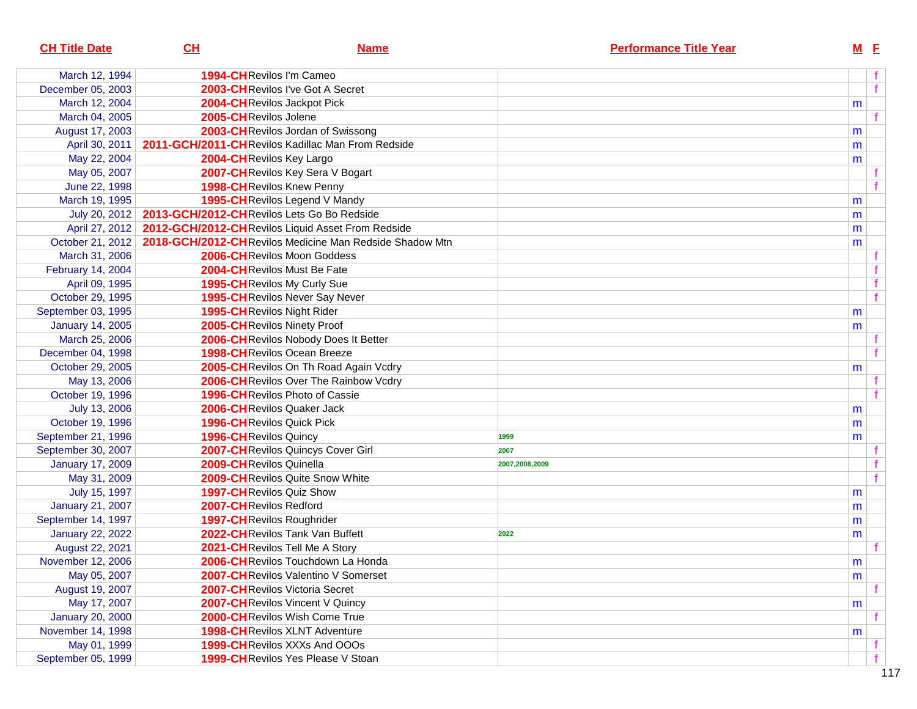| <b>CH Title Date</b>    | CL                                         | <b>Name</b>                                             |                | <b>Performance Title Year</b> |   | $M$ E        |  |
|-------------------------|--------------------------------------------|---------------------------------------------------------|----------------|-------------------------------|---|--------------|--|
| March 12, 1994          |                                            | 1994-CHRevilos I'm Cameo                                |                |                               |   |              |  |
| December 05, 2003       |                                            | 2003-CHRevilos I've Got A Secret                        |                |                               |   | $\mathbf{f}$ |  |
| March 12, 2004          |                                            | 2004-CHRevilos Jackpot Pick                             |                |                               | m |              |  |
| March 04, 2005          | 2005-CHRevilos Jolene                      |                                                         |                |                               |   |              |  |
| August 17, 2003         |                                            | 2003-CHRevilos Jordan of Swissong                       |                |                               | m |              |  |
| April 30, 2011          |                                            | 2011-GCH/2011-CHRevilos Kadillac Man From Redside       |                |                               | m |              |  |
| May 22, 2004            |                                            | 2004-CHRevilos Key Largo                                |                |                               | m |              |  |
| May 05, 2007            |                                            | 2007-CH Revilos Key Sera V Bogart                       |                |                               |   |              |  |
| June 22, 1998           |                                            | 1998-CH Revilos Knew Penny                              |                |                               |   |              |  |
| March 19, 1995          |                                            | 1995-CH Revilos Legend V Mandy                          |                |                               | m |              |  |
| July 20, 2012           | 2013-GCH/2012-CHRevilos Lets Go Bo Redside |                                                         |                |                               | m |              |  |
| April 27, 2012          |                                            | 2012-GCH/2012-CHRevilos Liquid Asset From Redside       |                |                               | m |              |  |
| October 21, 2012        |                                            | 2018-GCH/2012-CHRevilos Medicine Man Redside Shadow Mtn |                |                               | m |              |  |
| March 31, 2006          |                                            | <b>2006-CH</b> Revilos Moon Goddess                     |                |                               |   |              |  |
| February 14, 2004       |                                            | 2004-CHRevilos Must Be Fate                             |                |                               |   |              |  |
| April 09, 1995          |                                            | <b>1995-CH</b> Revilos My Curly Sue                     |                |                               |   |              |  |
| October 29, 1995        |                                            | <b>1995-CH</b> Revilos Never Say Never                  |                |                               |   | f            |  |
| September 03, 1995      |                                            | 1995-CHRevilos Night Rider                              |                |                               | m |              |  |
| <b>January 14, 2005</b> |                                            | 2005-CH Revilos Ninety Proof                            |                |                               | m |              |  |
| March 25, 2006          |                                            | 2006-CHRevilos Nobody Does It Better                    |                |                               |   |              |  |
| December 04, 1998       |                                            | <b>1998-CH</b> Revilos Ocean Breeze                     |                |                               |   |              |  |
| October 29, 2005        |                                            | 2005-CHRevilos On Th Road Again Vcdry                   |                |                               | m |              |  |
| May 13, 2006            |                                            | 2006-CH Revilos Over The Rainbow Vcdry                  |                |                               |   |              |  |
| October 19, 1996        |                                            | <b>1996-CH</b> Revilos Photo of Cassie                  |                |                               |   |              |  |
| July 13, 2006           |                                            | <b>2006-CH</b> Revilos Quaker Jack                      |                |                               | m |              |  |
| October 19, 1996        |                                            | <b>1996-CH</b> Revilos Quick Pick                       |                |                               | m |              |  |
| September 21, 1996      | <b>1996-CH</b> Revilos Quincy              |                                                         | 1999           |                               | m |              |  |
| September 30, 2007      |                                            | 2007-CHRevilos Quincys Cover Girl                       | 2007           |                               |   |              |  |
| <b>January 17, 2009</b> |                                            | 2009-CHRevilos Quinella                                 | 2007,2008,2009 |                               |   |              |  |
| May 31, 2009            |                                            | 2009-CHRevilos Quite Snow White                         |                |                               |   |              |  |
| July 15, 1997           |                                            | <b>1997-CH</b> Revilos Quiz Show                        |                |                               | m |              |  |
| <b>January 21, 2007</b> |                                            | 2007-CHRevilos Redford                                  |                |                               | m |              |  |
| September 14, 1997      |                                            | 1997-CHRevilos Roughrider                               |                |                               | m |              |  |
| <b>January 22, 2022</b> |                                            | 2022-CHRevilos Tank Van Buffett                         | 2022           |                               | m |              |  |
| August 22, 2021         |                                            | 2021-CH Revilos Tell Me A Story                         |                |                               |   |              |  |
| November 12, 2006       |                                            | 2006-CHRevilos Touchdown La Honda                       |                |                               | m |              |  |
| May 05, 2007            |                                            | <b>2007-CH</b> Revilos Valentino V Somerset             |                |                               | m |              |  |
| August 19, 2007         |                                            | <b>2007-CH</b> Revilos Victoria Secret                  |                |                               |   |              |  |
| May 17, 2007            |                                            | 2007-CHRevilos Vincent V Quincy                         |                |                               | m |              |  |
| <b>January 20, 2000</b> |                                            | 2000-CHRevilos Wish Come True                           |                |                               |   |              |  |
| November 14, 1998       |                                            | <b>1998-CH</b> Revilos XLNT Adventure                   |                |                               | m |              |  |
| May 01, 1999            |                                            | <b>1999-CH</b> Revilos XXXs And OOOs                    |                |                               |   |              |  |
| September 05, 1999      |                                            | 1999-CHRevilos Yes Please V Stoan                       |                |                               |   |              |  |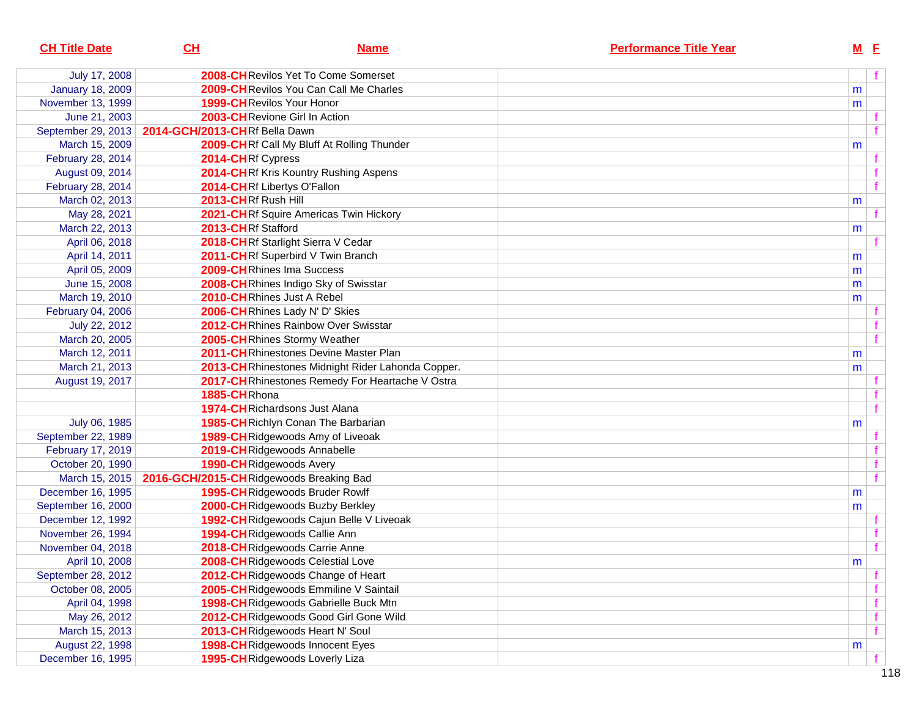| <b>CH Title Date</b>    | CL                                      | <b>Name</b>                                       | <b>Performance Title Year</b> |           | $M$ E |
|-------------------------|-----------------------------------------|---------------------------------------------------|-------------------------------|-----------|-------|
| July 17, 2008           |                                         | 2008-CHRevilos Yet To Come Somerset               |                               |           |       |
| <b>January 18, 2009</b> |                                         | 2009-CHRevilos You Can Call Me Charles            |                               | m         |       |
| November 13, 1999       |                                         | 1999-CHRevilos Your Honor                         |                               | m         |       |
| June 21, 2003           |                                         | 2003-CHRevione Girl In Action                     |                               |           |       |
| September 29, 2013      | 2014-GCH/2013-CHRf Bella Dawn           |                                                   |                               |           |       |
| March 15, 2009          |                                         | 2009-CHRf Call My Bluff At Rolling Thunder        |                               | m         |       |
| February 28, 2014       | 2014-CHRf Cypress                       |                                                   |                               |           |       |
| August 09, 2014         |                                         | 2014-CHRf Kris Kountry Rushing Aspens             |                               |           |       |
| February 28, 2014       |                                         | 2014-CHRf Libertys O'Fallon                       |                               |           |       |
| March 02, 2013          | 2013-CHRf Rush Hill                     |                                                   |                               | m         |       |
| May 28, 2021            |                                         | 2021-CHRf Squire Americas Twin Hickory            |                               |           |       |
| March 22, 2013          | 2013-CHRf Stafford                      |                                                   |                               | m         |       |
| April 06, 2018          |                                         | 2018-CHRf Starlight Sierra V Cedar                |                               |           |       |
| April 14, 2011          |                                         | 2011-CHRf Superbird V Twin Branch                 |                               | m         |       |
| April 05, 2009          |                                         | 2009-CHRhines Ima Success                         |                               | m         |       |
| June 15, 2008           |                                         | 2008-CHRhines Indigo Sky of Swisstar              |                               | m         |       |
| March 19, 2010          |                                         | 2010-CHRhines Just A Rebel                        |                               | m         |       |
| February 04, 2006       |                                         | 2006-CHRhines Lady N' D' Skies                    |                               |           |       |
| July 22, 2012           |                                         | 2012-CHRhines Rainbow Over Swisstar               |                               |           |       |
| March 20, 2005          |                                         | 2005-CHRhines Stormy Weather                      |                               |           |       |
| March 12, 2011          |                                         | 2011-CHRhinestones Devine Master Plan             |                               | m         |       |
| March 21, 2013          |                                         | 2013-CHRhinestones Midnight Rider Lahonda Copper. |                               | m         |       |
| August 19, 2017         |                                         | 2017-CH Rhinestones Remedy For Heartache V Ostra  |                               |           |       |
|                         | 1885-CHRhona                            |                                                   |                               |           |       |
|                         |                                         | 1974-CHRichardsons Just Alana                     |                               |           |       |
| July 06, 1985           |                                         | 1985-CHRichlyn Conan The Barbarian                |                               | m         |       |
| September 22, 1989      |                                         | 1989-CHRidgewoods Amy of Liveoak                  |                               |           |       |
| February 17, 2019       |                                         | 2019-CHRidgewoods Annabelle                       |                               |           |       |
| October 20, 1990        |                                         | 1990-CHRidgewoods Avery                           |                               |           |       |
| March 15, 2015          | 2016-GCH/2015-CHRidgewoods Breaking Bad |                                                   |                               |           |       |
| December 16, 1995       |                                         | 1995-CHRidgewoods Bruder Rowlf                    |                               | m         |       |
| September 16, 2000      |                                         | 2000-CHRidgewoods Buzby Berkley                   |                               | m         |       |
| December 12, 1992       |                                         | 1992-CHRidgewoods Cajun Belle V Liveoak           |                               |           |       |
| November 26, 1994       |                                         | 1994-CHRidgewoods Callie Ann                      |                               |           |       |
| November 04, 2018       |                                         | 2018-CHRidgewoods Carrie Anne                     |                               |           |       |
| April 10, 2008          |                                         | 2008-CHRidgewoods Celestial Love                  |                               | ${\sf m}$ |       |
| September 28, 2012      |                                         | 2012-CH Ridgewoods Change of Heart                |                               |           |       |
| October 08, 2005        |                                         | 2005-CHRidgewoods Emmiline V Saintail             |                               |           |       |
| April 04, 1998          |                                         | 1998-CHRidgewoods Gabrielle Buck Mtn              |                               |           | f     |
| May 26, 2012            |                                         | 2012-CH Ridgewoods Good Girl Gone Wild            |                               |           | f     |
| March 15, 2013          |                                         | 2013-CHRidgewoods Heart N' Soul                   |                               |           | f     |
| August 22, 1998         |                                         | 1998-CHRidgewoods Innocent Eyes                   |                               | m         |       |
| December 16, 1995       |                                         | 1995-CHRidgewoods Loverly Liza                    |                               |           |       |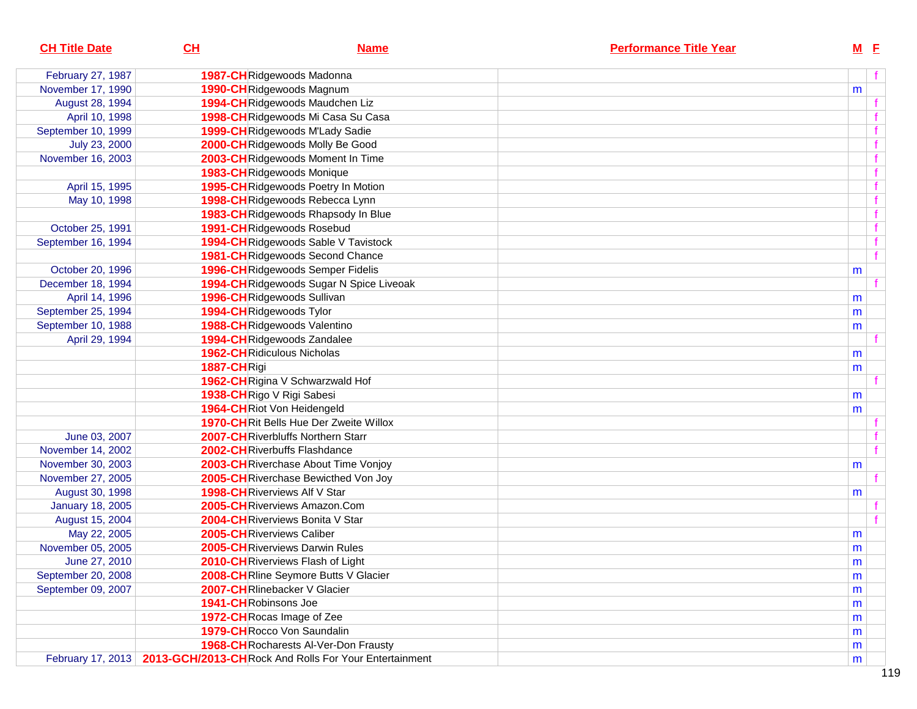| <b>CH Title Date</b>    | CL                   | <b>Name</b>                                                                | <b>Performance Title Year</b> |   | $M$ E        |
|-------------------------|----------------------|----------------------------------------------------------------------------|-------------------------------|---|--------------|
| February 27, 1987       |                      | 1987-CHRidgewoods Madonna                                                  |                               |   | f            |
| November 17, 1990       |                      | 1990-CHRidgewoods Magnum                                                   |                               | m |              |
| August 28, 1994         |                      | 1994-CHRidgewoods Maudchen Liz                                             |                               |   |              |
| April 10, 1998          |                      | 1998-CHRidgewoods Mi Casa Su Casa                                          |                               |   |              |
| September 10, 1999      |                      | 1999-CHRidgewoods M'Lady Sadie                                             |                               |   | $\mathbf f$  |
| July 23, 2000           |                      | 2000-CHRidgewoods Molly Be Good                                            |                               |   |              |
| November 16, 2003       |                      | 2003-CHRidgewoods Moment In Time                                           |                               |   |              |
|                         |                      | 1983-CHRidgewoods Monique                                                  |                               |   |              |
| April 15, 1995          |                      | 1995-CHRidgewoods Poetry In Motion                                         |                               |   |              |
| May 10, 1998            |                      | 1998-CHRidgewoods Rebecca Lynn                                             |                               |   |              |
|                         |                      | 1983-CH Ridgewoods Rhapsody In Blue                                        |                               |   |              |
| October 25, 1991        |                      | 1991-CHRidgewoods Rosebud                                                  |                               |   | f            |
| September 16, 1994      |                      | 1994-CHRidgewoods Sable V Tavistock                                        |                               |   | f            |
|                         |                      | 1981-CH Ridgewoods Second Chance                                           |                               |   | $\mathbf{f}$ |
| October 20, 1996        |                      | 1996-CHRidgewoods Semper Fidelis                                           |                               | m |              |
| December 18, 1994       |                      | 1994-CH Ridgewoods Sugar N Spice Liveoak                                   |                               |   | $\mathbf{f}$ |
| April 14, 1996          |                      | 1996-CHRidgewoods Sullivan                                                 |                               | m |              |
| September 25, 1994      |                      | 1994-CHRidgewoods Tylor                                                    |                               | m |              |
| September 10, 1988      |                      | 1988-CHRidgewoods Valentino                                                |                               | m |              |
| April 29, 1994          |                      | 1994-CHRidgewoods Zandalee                                                 |                               |   |              |
|                         |                      | <b>1962-CH</b> Ridiculous Nicholas                                         |                               | m |              |
|                         | 1887-CHRigi          |                                                                            |                               | m |              |
|                         |                      | 1962-CHRigina V Schwarzwald Hof                                            |                               |   |              |
|                         |                      | 1938-CHRigo V Rigi Sabesi                                                  |                               | m |              |
|                         |                      | 1964-CHRiot Von Heidengeld                                                 |                               | m |              |
|                         |                      | <b>1970-CH</b> Rit Bells Hue Der Zweite Willox                             |                               |   |              |
| June 03, 2007           |                      | 2007-CHRiverbluffs Northern Starr                                          |                               |   | f            |
| November 14, 2002       |                      | 2002-CHRiverbuffs Flashdance                                               |                               |   | $\mathbf{f}$ |
| November 30, 2003       |                      | 2003-CHRiverchase About Time Vonjoy                                        |                               | m |              |
| November 27, 2005       |                      | 2005-CHRiverchase Bewicthed Von Joy                                        |                               |   | f            |
| August 30, 1998         |                      | 1998-CHRiverviews Alf V Star                                               |                               | m |              |
| <b>January 18, 2005</b> |                      | 2005-CHRiverviews Amazon.Com                                               |                               |   |              |
| August 15, 2004         |                      | 2004-CHRiverviews Bonita V Star                                            |                               |   | f            |
| May 22, 2005            |                      | 2005-CHRiverviews Caliber                                                  |                               | m |              |
| November 05, 2005       |                      | 2005-CHRiverviews Darwin Rules                                             |                               | m |              |
| June 27, 2010           |                      | 2010-CHRiverviews Flash of Light                                           |                               | m |              |
| September 20, 2008      |                      | 2008-CHRIine Seymore Butts V Glacier                                       |                               | m |              |
| September 09, 2007      |                      | 2007-CHRIinebacker V Glacier                                               |                               | m |              |
|                         | 1941-CHRobinsons Joe |                                                                            |                               | m |              |
|                         |                      | 1972-CH Rocas Image of Zee                                                 |                               | m |              |
|                         |                      | 1979-CH Rocco Von Saundalin                                                |                               | m |              |
|                         |                      | 1968-CH Rocharests Al-Ver-Don Frausty                                      |                               | m |              |
|                         |                      | February 17, 2013   2013-GCH/2013-CH Rock And Rolls For Your Entertainment |                               | m |              |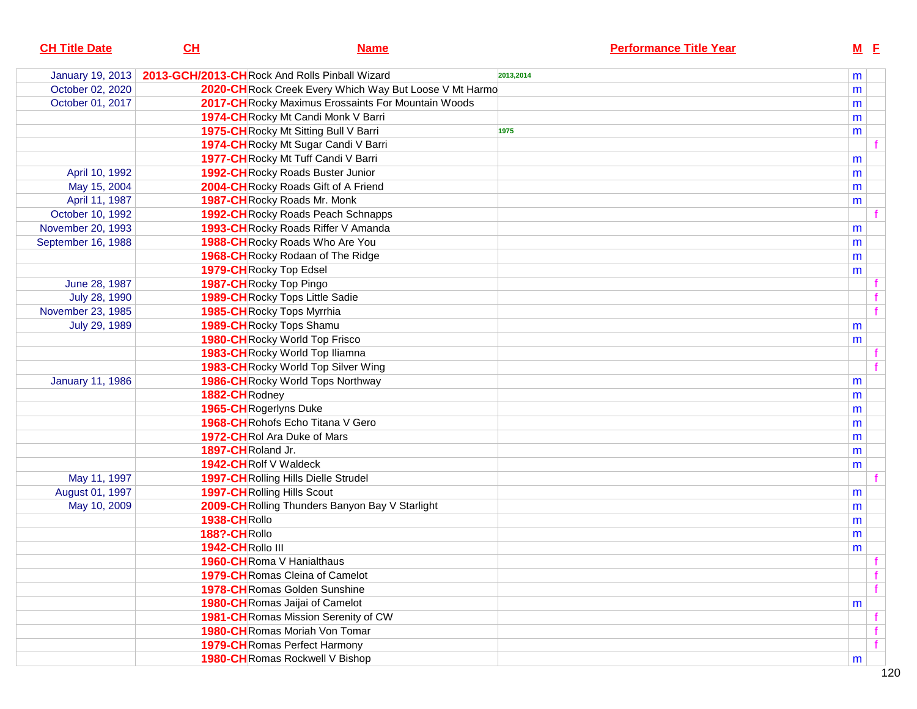| <b>CH Title Date</b>    | CL                      | <b>Name</b>                                             |           | <b>Performance Title Year</b> |   | <u>M E</u> |
|-------------------------|-------------------------|---------------------------------------------------------|-----------|-------------------------------|---|------------|
| January 19, 2013        |                         | 2013-GCH/2013-CH Rock And Rolls Pinball Wizard          | 2013,2014 |                               | m |            |
| October 02, 2020        |                         | 2020-CH Rock Creek Every Which Way But Loose V Mt Harmo |           |                               | m |            |
| October 01, 2017        |                         | 2017-CH Rocky Maximus Erossaints For Mountain Woods     |           |                               | m |            |
|                         |                         | 1974-CH Rocky Mt Candi Monk V Barri                     |           |                               | m |            |
|                         |                         | 1975-CH Rocky Mt Sitting Bull V Barri                   | 1975      |                               | m |            |
|                         |                         | 1974-CH Rocky Mt Sugar Candi V Barri                    |           |                               |   |            |
|                         |                         | 1977-CHRocky Mt Tuff Candi V Barri                      |           |                               | m |            |
| April 10, 1992          |                         | 1992-CH Rocky Roads Buster Junior                       |           |                               | m |            |
| May 15, 2004            |                         | 2004-CH Rocky Roads Gift of A Friend                    |           |                               | m |            |
| April 11, 1987          |                         | 1987-CHRocky Roads Mr. Monk                             |           |                               | m |            |
| October 10, 1992        |                         | 1992-CH Rocky Roads Peach Schnapps                      |           |                               |   |            |
| November 20, 1993       |                         | 1993-CH Rocky Roads Riffer V Amanda                     |           |                               | m |            |
| September 16, 1988      |                         | 1988-CH Rocky Roads Who Are You                         |           |                               | m |            |
|                         |                         | 1968-CH Rocky Rodaan of The Ridge                       |           |                               | m |            |
|                         | 1979-CH Rocky Top Edsel |                                                         |           |                               | m |            |
| June 28, 1987           |                         | 1987-CH Rocky Top Pingo                                 |           |                               |   |            |
| July 28, 1990           |                         | 1989-CH Rocky Tops Little Sadie                         |           |                               |   |            |
| November 23, 1985       |                         | 1985-CHRocky Tops Myrrhia                               |           |                               |   |            |
| July 29, 1989           |                         | 1989-CHRocky Tops Shamu                                 |           |                               | m |            |
|                         |                         | <b>1980-CH</b> Rocky World Top Frisco                   |           |                               | m |            |
|                         |                         | 1983-CH Rocky World Top Iliamna                         |           |                               |   |            |
|                         |                         | 1983-CH Rocky World Top Silver Wing                     |           |                               |   |            |
| <b>January 11, 1986</b> |                         | 1986-CH Rocky World Tops Northway                       |           |                               | m |            |
|                         | 1882-CHRodney           |                                                         |           |                               | m |            |
|                         | 1965-CHRogerlyns Duke   |                                                         |           |                               | m |            |
|                         |                         | 1968-CHRohofs Echo Titana V Gero                        |           |                               | m |            |
|                         |                         | 1972-CHRol Ara Duke of Mars                             |           |                               | m |            |
|                         | 1897-CHRoland Jr.       |                                                         |           |                               | m |            |
|                         | 1942-CHRolf V Waldeck   |                                                         |           |                               | m |            |
| May 11, 1997            |                         | 1997-CH Rolling Hills Dielle Strudel                    |           |                               |   |            |
| August 01, 1997         |                         | <b>1997-CH</b> Rolling Hills Scout                      |           |                               | m |            |
| May 10, 2009            |                         | 2009-CH Rolling Thunders Banyon Bay V Starlight         |           |                               | m |            |
|                         | 1938-CHRollo            |                                                         |           |                               | m |            |
|                         | 188?-CHRollo            |                                                         |           |                               | m |            |
|                         | 1942-CHRollo III        |                                                         |           |                               | m |            |
|                         |                         | 1960-CHRoma V Hanialthaus                               |           |                               |   |            |
|                         |                         | <b>1979-CH</b> Romas Cleina of Camelot                  |           |                               |   | f          |
|                         |                         | <b>1978-CH</b> Romas Golden Sunshine                    |           |                               |   |            |
|                         |                         | <b>1980-CH</b> Romas Jaijai of Camelot                  |           |                               | m |            |
|                         |                         | 1981-CH Romas Mission Serenity of CW                    |           |                               |   |            |
|                         |                         | <b>1980-CH</b> Romas Moriah Von Tomar                   |           |                               |   |            |
|                         |                         | <b>1979-CH</b> Romas Perfect Harmony                    |           |                               |   | f          |
|                         |                         | 1980-CHRomas Rockwell V Bishop                          |           |                               | m |            |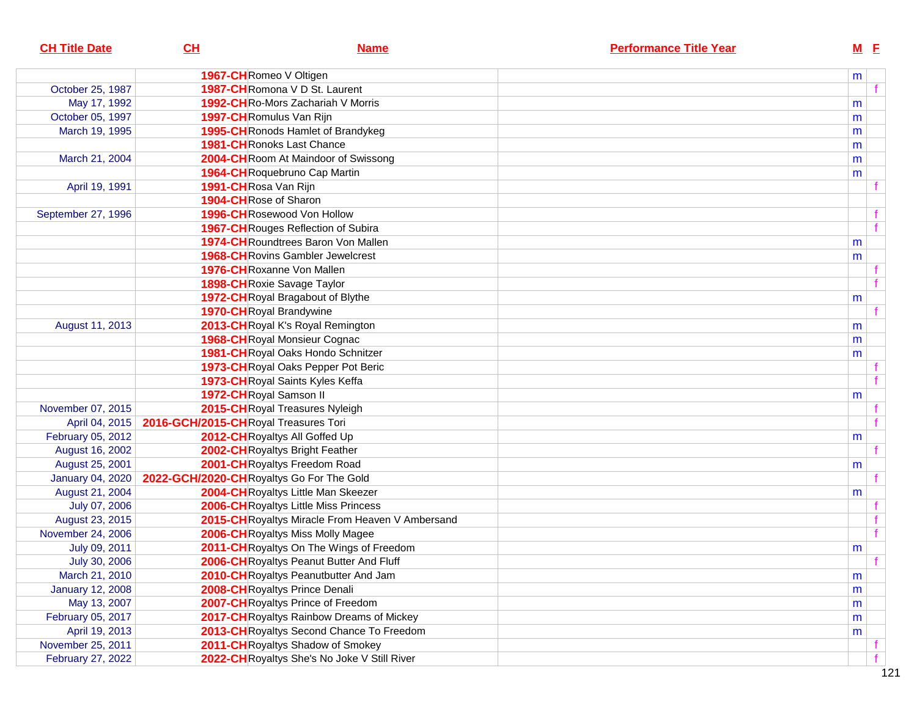| <b>CH Title Date</b>    | CL                                       | <b>Name</b>                                      | <b>Performance Title Year</b> | $M$ E |              |
|-------------------------|------------------------------------------|--------------------------------------------------|-------------------------------|-------|--------------|
|                         |                                          | 1967-CHRomeo V Oltigen                           |                               |       |              |
| October 25, 1987        |                                          | 1987-CHRomona V D St. Laurent                    |                               | m     | $\mathbf{f}$ |
|                         |                                          | 1992-CHRo-Mors Zachariah V Morris                |                               |       |              |
| May 17, 1992            |                                          | 1997-CHRomulus Van Rijn                          |                               | m     |              |
| October 05, 1997        |                                          |                                                  |                               | m     |              |
| March 19, 1995          |                                          | 1995-CH Ronods Hamlet of Brandykeg               |                               | m     |              |
|                         |                                          | <b>1981-CH</b> Ronoks Last Chance                |                               | m     |              |
| March 21, 2004          |                                          | 2004-CHRoom At Maindoor of Swissong              |                               | m     |              |
|                         |                                          | 1964-CHRoquebruno Cap Martin                     |                               | m     |              |
| April 19, 1991          | 1991-CHRosa Van Rijn                     |                                                  |                               |       |              |
|                         |                                          | 1904-CH Rose of Sharon                           |                               |       |              |
| September 27, 1996      |                                          | 1996-CHRosewood Von Hollow                       |                               |       |              |
|                         |                                          | 1967-CH Rouges Reflection of Subira              |                               |       | $\mathbf{f}$ |
|                         |                                          | 1974-CHRoundtrees Baron Von Mallen               |                               | m     |              |
|                         |                                          | <b>1968-CH</b> Rovins Gambler Jewelcrest         |                               | m     |              |
|                         |                                          | 1976-CHRoxanne Von Mallen                        |                               |       |              |
|                         |                                          | 1898-CHRoxie Savage Taylor                       |                               |       | $\mathbf{f}$ |
|                         |                                          | 1972-CH Royal Bragabout of Blythe                |                               | m     |              |
|                         |                                          | 1970-CHRoyal Brandywine                          |                               |       | f            |
| August 11, 2013         |                                          | 2013-CHRoyal K's Royal Remington                 |                               | m     |              |
|                         |                                          | 1968-CHRoyal Monsieur Cognac                     |                               | m     |              |
|                         |                                          | 1981-CHRoyal Oaks Hondo Schnitzer                |                               | m     |              |
|                         |                                          | 1973-CH Royal Oaks Pepper Pot Beric              |                               |       |              |
|                         |                                          | 1973-CHRoyal Saints Kyles Keffa                  |                               |       | $\mathbf{f}$ |
|                         |                                          | 1972-CH Royal Samson II                          |                               | m     |              |
| November 07, 2015       |                                          | 2015-CHRoyal Treasures Nyleigh                   |                               |       |              |
| April 04, 2015          | 2016-GCH/2015-CHRoyal Treasures Tori     |                                                  |                               |       | f            |
| February 05, 2012       |                                          | 2012-CHRoyaltys All Goffed Up                    |                               | m     |              |
| August 16, 2002         |                                          | 2002-CHRoyaltys Bright Feather                   |                               |       | f            |
| August 25, 2001         |                                          | 2001-CHRoyaltys Freedom Road                     |                               | m     |              |
| <b>January 04, 2020</b> | 2022-GCH/2020-CHRoyaltys Go For The Gold |                                                  |                               |       |              |
| August 21, 2004         |                                          | 2004-CHRoyaltys Little Man Skeezer               |                               | m     |              |
| July 07, 2006           |                                          | 2006-CHRoyaltys Little Miss Princess             |                               |       |              |
| August 23, 2015         |                                          | 2015-CH Royaltys Miracle From Heaven V Ambersand |                               |       | $\mathbf{f}$ |
| November 24, 2006       |                                          | 2006-CH Royaltys Miss Molly Magee                |                               |       | $\mathbf{f}$ |
| July 09, 2011           |                                          | 2011-CH Royaltys On The Wings of Freedom         |                               | m     |              |
| July 30, 2006           |                                          | 2006-CH Royaltys Peanut Butter And Fluff         |                               |       | f            |
| March 21, 2010          |                                          | 2010-CH Royaltys Peanutbutter And Jam            |                               | m     |              |
| <b>January 12, 2008</b> |                                          | 2008-CHRoyaltys Prince Denali                    |                               | m     |              |
| May 13, 2007            |                                          | 2007-CH Royaltys Prince of Freedom               |                               | m     |              |
| February 05, 2017       |                                          | 2017-CH Royaltys Rainbow Dreams of Mickey        |                               | m     |              |
| April 19, 2013          |                                          | 2013-CH Royaltys Second Chance To Freedom        |                               | m     |              |
| November 25, 2011       |                                          | 2011-CH Royaltys Shadow of Smokey                |                               |       |              |
| February 27, 2022       |                                          | 2022-CH Royaltys She's No Joke V Still River     |                               |       | f            |
|                         |                                          |                                                  |                               |       |              |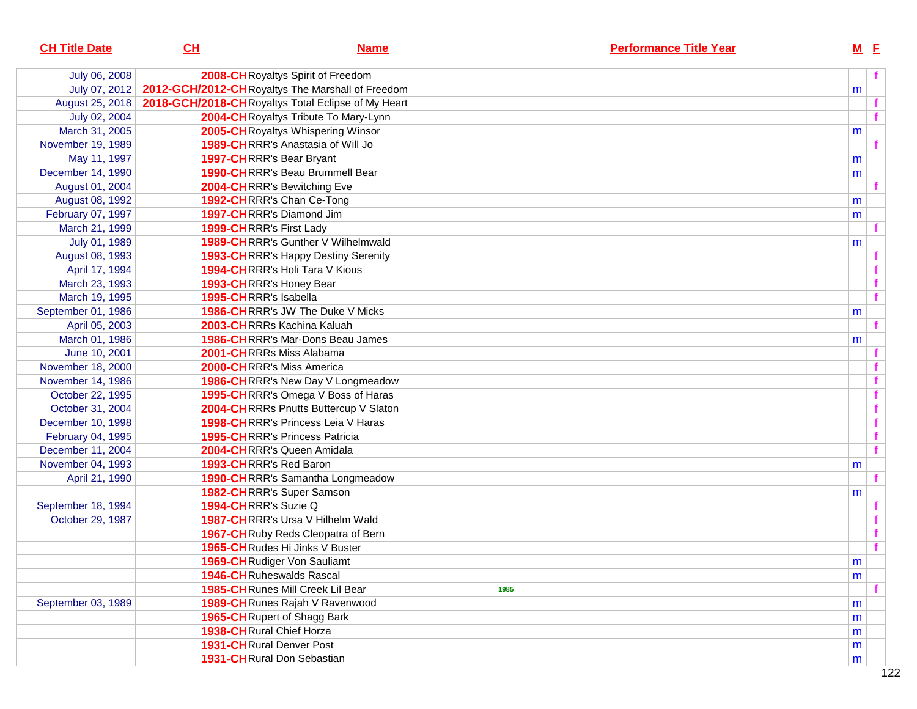| <b>CH Title Date</b> | CL                    | <b>Name</b>                                        | <b>Performance Title Year</b> | $M$ E |  |
|----------------------|-----------------------|----------------------------------------------------|-------------------------------|-------|--|
| July 06, 2008        |                       | 2008-CHRoyaltys Spirit of Freedom                  |                               |       |  |
| July 07, 2012        |                       | 2012-GCH/2012-CHRoyaltys The Marshall of Freedom   |                               | m     |  |
| August 25, 2018      |                       | 2018-GCH/2018-CHRoyaltys Total Eclipse of My Heart |                               |       |  |
| July 02, 2004        |                       | 2004-CH Royaltys Tribute To Mary-Lynn              |                               |       |  |
| March 31, 2005       |                       | 2005-CH Royaltys Whispering Winsor                 |                               | m     |  |
| November 19, 1989    |                       | 1989-CHRRR's Anastasia of Will Jo                  |                               |       |  |
| May 11, 1997         |                       | 1997-CHRRR's Bear Bryant                           |                               | m     |  |
| December 14, 1990    |                       | 1990-CHRRR's Beau Brummell Bear                    |                               | m     |  |
| August 01, 2004      |                       | 2004-CHRRR's Bewitching Eve                        |                               |       |  |
| August 08, 1992      |                       | 1992-CHRRR's Chan Ce-Tong                          |                               | m     |  |
| February 07, 1997    |                       | 1997-CHRRR's Diamond Jim                           |                               | m     |  |
| March 21, 1999       |                       | 1999-CHRRR's First Lady                            |                               |       |  |
| July 01, 1989        |                       | 1989-CHRRR's Gunther V Wilhelmwald                 |                               | m     |  |
| August 08, 1993      |                       | <b>1993-CH</b> RRR's Happy Destiny Serenity        |                               |       |  |
| April 17, 1994       |                       | 1994-CHRRR's Holi Tara V Kious                     |                               |       |  |
| March 23, 1993       |                       | 1993-CHRRR's Honey Bear                            |                               |       |  |
| March 19, 1995       | 1995-CHRRR's Isabella |                                                    |                               |       |  |
| September 01, 1986   |                       | <b>1986-CHRRR's JW The Duke V Micks</b>            |                               | m     |  |
| April 05, 2003       |                       | 2003-CHRRRs Kachina Kaluah                         |                               |       |  |
| March 01, 1986       |                       | <b>1986-CH</b> RRR's Mar-Dons Beau James           |                               | m     |  |
| June 10, 2001        |                       | 2001-CHRRRs Miss Alabama                           |                               |       |  |
| November 18, 2000    |                       | 2000-CHRRR's Miss America                          |                               |       |  |
| November 14, 1986    |                       | 1986-CHRRR's New Day V Longmeadow                  |                               |       |  |
| October 22, 1995     |                       | 1995-CHRRR's Omega V Boss of Haras                 |                               |       |  |
| October 31, 2004     |                       | 2004-CHRRRs Pnutts Buttercup V Slaton              |                               |       |  |
| December 10, 1998    |                       | 1998-CHRRR's Princess Leia V Haras                 |                               |       |  |
| February 04, 1995    |                       | <b>1995-CHRRR's Princess Patricia</b>              |                               |       |  |
| December 11, 2004    |                       | 2004-CHRRR's Queen Amidala                         |                               |       |  |
| November 04, 1993    |                       | 1993-CHRRR's Red Baron                             |                               | m     |  |
| April 21, 1990       |                       | 1990-CHRRR's Samantha Longmeadow                   |                               |       |  |
|                      |                       | 1982-CHRRR's Super Samson                          |                               | m     |  |
| September 18, 1994   | 1994-CHRRR's Suzie Q  |                                                    |                               |       |  |
| October 29, 1987     |                       | 1987-CHRRR's Ursa V Hilhelm Wald                   |                               |       |  |
|                      |                       | 1967-CHRuby Reds Cleopatra of Bern                 |                               |       |  |
|                      |                       | 1965-CHRudes Hi Jinks V Buster                     |                               |       |  |
|                      |                       | 1969-CH Rudiger Von Sauliamt                       |                               | m     |  |
|                      |                       | 1946-CHRuheswalds Rascal                           |                               | m     |  |
|                      |                       | 1985-CHRunes Mill Creek Lil Bear                   | 1985                          |       |  |
| September 03, 1989   |                       | 1989-CH Runes Rajah V Ravenwood                    |                               | m     |  |
|                      |                       | 1965-CH Rupert of Shagg Bark                       |                               | m     |  |
|                      |                       | 1938-CHRural Chief Horza                           |                               | m     |  |
|                      |                       | 1931-CHRural Denver Post                           |                               | m     |  |
|                      |                       | 1931-CHRural Don Sebastian                         |                               | m     |  |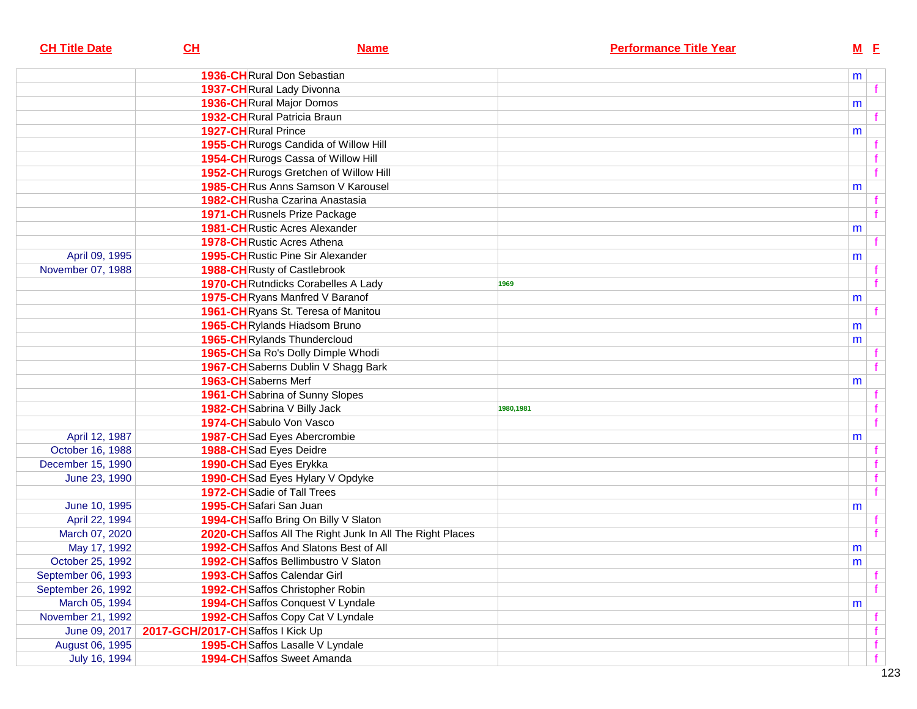| <b>CH Title Date</b> | $CH$                             | <b>Name</b>                                               | <b>Performance Title Year</b> |   | $M$ E |              |
|----------------------|----------------------------------|-----------------------------------------------------------|-------------------------------|---|-------|--------------|
|                      |                                  | 1936-CHRural Don Sebastian                                |                               | m |       |              |
|                      |                                  | 1937-CHRural Lady Divonna                                 |                               |   |       | $\mathbf{f}$ |
|                      |                                  | 1936-CHRural Major Domos                                  |                               | m |       |              |
|                      |                                  | <b>1932-CH</b> Rural Patricia Braun                       |                               |   |       |              |
|                      | <b>1927-CH</b> Rural Prince      |                                                           |                               | m |       |              |
|                      |                                  | 1955-CH Rurogs Candida of Willow Hill                     |                               |   |       |              |
|                      |                                  | 1954-CH Rurogs Cassa of Willow Hill                       |                               |   |       |              |
|                      |                                  | 1952-CH Rurogs Gretchen of Willow Hill                    |                               |   |       | $\mathbf f$  |
|                      |                                  | 1985-CHRus Anns Samson V Karousel                         |                               | m |       |              |
|                      |                                  | <b>1982-CH</b> Rusha Czarina Anastasia                    |                               |   |       |              |
|                      |                                  | <b>1971-CH</b> Rusnels Prize Package                      |                               |   |       |              |
|                      |                                  | <b>1981-CH</b> Rustic Acres Alexander                     |                               | m |       |              |
|                      |                                  | <b>1978-CH</b> Rustic Acres Athena                        |                               |   |       |              |
| April 09, 1995       |                                  | <b>1995-CH</b> Rustic Pine Sir Alexander                  |                               | m |       |              |
| November 07, 1988    |                                  | <b>1988-CH</b> Rusty of Castlebrook                       |                               |   |       |              |
|                      |                                  | <b>1970-CH</b> Rutndicks Corabelles A Lady                | 1969                          |   |       |              |
|                      |                                  | 1975-CHRyans Manfred V Baranof                            |                               | m |       |              |
|                      |                                  | 1961-CHRyans St. Teresa of Manitou                        |                               |   |       |              |
|                      |                                  | 1965-CHRylands Hiadsom Bruno                              |                               | m |       |              |
|                      |                                  | 1965-CHRylands Thundercloud                               |                               | m |       |              |
|                      |                                  | 1965-CHSa Ro's Dolly Dimple Whodi                         |                               |   |       |              |
|                      |                                  | 1967-CH Saberns Dublin V Shagg Bark                       |                               |   |       |              |
|                      | 1963-CHSaberns Merf              |                                                           |                               | m |       |              |
|                      |                                  | 1961-CH Sabrina of Sunny Slopes                           |                               |   |       |              |
|                      |                                  | 1982-CH Sabrina V Billy Jack                              | 1980,1981                     |   |       |              |
|                      | 1974-CH Sabulo Von Vasco         |                                                           |                               |   |       |              |
| April 12, 1987       |                                  | 1987-CHSad Eyes Abercrombie                               |                               | m |       |              |
| October 16, 1988     | 1988-CH Sad Eyes Deidre          |                                                           |                               |   |       |              |
| December 15, 1990    | 1990-CHSad Eyes Erykka           |                                                           |                               |   |       |              |
| June 23, 1990        |                                  | 1990-CH Sad Eyes Hylary V Opdyke                          |                               |   |       | $\mathbf f$  |
|                      |                                  | 1972-CH Sadie of Tall Trees                               |                               |   |       | $\mathbf{f}$ |
| June 10, 1995        | 1995-CH Safari San Juan          |                                                           |                               | m |       |              |
| April 22, 1994       |                                  | 1994-CH Saffo Bring On Billy V Slaton                     |                               |   |       |              |
| March 07, 2020       |                                  | 2020-CH Saffos All The Right Junk In All The Right Places |                               |   |       |              |
| May 17, 1992         |                                  | 1992-CH Saffos And Slatons Best of All                    |                               | m |       |              |
| October 25, 1992     |                                  | <b>1992-CH</b> Saffos Bellimbustro V Slaton               |                               | m |       |              |
| September 06, 1993   |                                  | 1993-CH Saffos Calendar Girl                              |                               |   |       | f            |
| September 26, 1992   |                                  | 1992-CH Saffos Christopher Robin                          |                               |   |       |              |
| March 05, 1994       |                                  | 1994-CH Saffos Conquest V Lyndale                         |                               | m |       |              |
| November 21, 1992    |                                  | 1992-CH Saffos Copy Cat V Lyndale                         |                               |   |       |              |
| June 09, 2017        | 2017-GCH/2017-CHSaffos I Kick Up |                                                           |                               |   |       | $\mathbf f$  |
| August 06, 1995      |                                  | 1995-CH Saffos Lasalle V Lyndale                          |                               |   |       | f            |
| July 16, 1994        |                                  | <b>1994-CH</b> Saffos Sweet Amanda                        |                               |   |       | f            |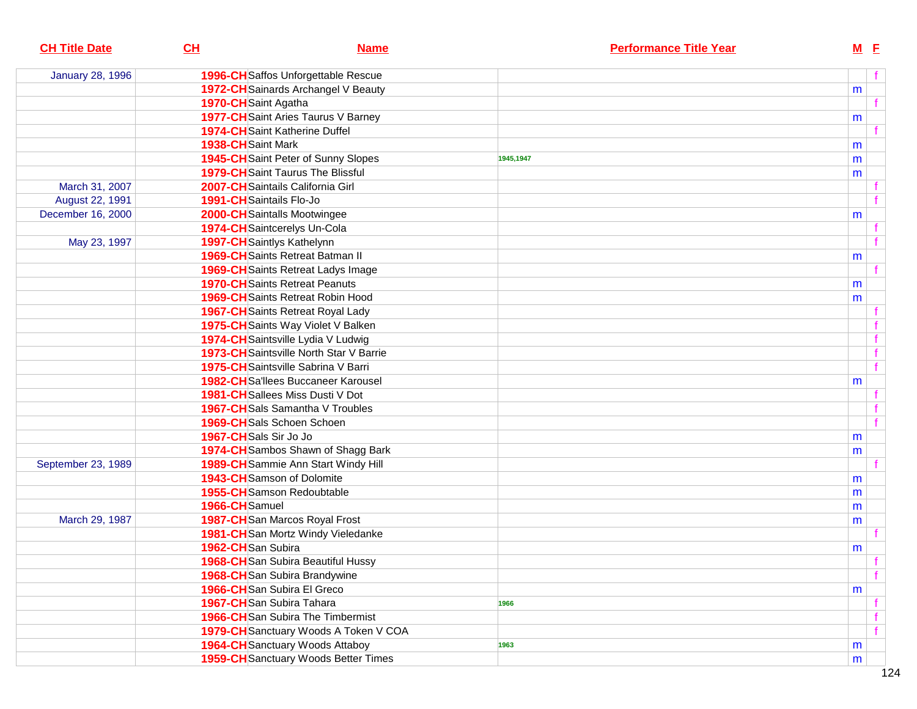| <b>CH Title Date</b>    | CL<br><b>Name</b>                           | <b>Performance Title Year</b> | M E            |
|-------------------------|---------------------------------------------|-------------------------------|----------------|
| <b>January 28, 1996</b> | 1996-CH Saffos Unforgettable Rescue         |                               | f              |
|                         | 1972-CH Sainards Archangel V Beauty         |                               | m              |
|                         | 1970-CH Saint Agatha                        |                               | f              |
|                         | 1977-CH Saint Aries Taurus V Barney         |                               | m              |
|                         | 1974-CH Saint Katherine Duffel              |                               | f              |
|                         | 1938-CHSaint Mark                           |                               | m              |
|                         | 1945-CH Saint Peter of Sunny Slopes         | 1945,1947                     | m              |
|                         | <b>1979-CH</b> Saint Taurus The Blissful    |                               | m              |
| March 31, 2007          | 2007-CH Saintails California Girl           |                               |                |
| August 22, 1991         | 1991-CH Saintails Flo-Jo                    |                               | $\mathbf{f}$   |
| December 16, 2000       | 2000-CH Saintalls Mootwingee                |                               | m              |
|                         | 1974-CH Saintcerelys Un-Cola                |                               |                |
| May 23, 1997            | 1997-CH Saintlys Kathelynn                  |                               | $\mathbf{f}$   |
|                         | 1969-CH Saints Retreat Batman II            |                               | m              |
|                         | <b>1969-CH</b> Saints Retreat Ladys Image   |                               | f              |
|                         | <b>1970-CH</b> Saints Retreat Peanuts       |                               | m              |
|                         | <b>1969-CH</b> Saints Retreat Robin Hood    |                               | m              |
|                         | <b>1967-CH</b> Saints Retreat Royal Lady    |                               |                |
|                         | 1975-CH Saints Way Violet V Balken          |                               | f              |
|                         | 1974-CH Saintsville Lydia V Ludwig          |                               | $\mathbf{f}$   |
|                         | 1973-CH Saintsville North Star V Barrie     |                               | $\mathbf{f}$   |
|                         | 1975-CH Saintsville Sabrina V Barri         |                               | $\overline{f}$ |
|                         | 1982-CHSa'llees Buccaneer Karousel          |                               |                |
|                         | 1981-CH Sallees Miss Dusti V Dot            |                               | m              |
|                         | 1967-CHSals Samantha V Troubles             |                               |                |
|                         | 1969-CH Sals Schoen Schoen                  |                               | $\mathbf{f}$   |
|                         | 1967-CHSals Sir Jo Jo                       |                               |                |
|                         | 1974-CH Sambos Shawn of Shagg Bark          |                               | m              |
| September 23, 1989      | 1989-CH Sammie Ann Start Windy Hill         |                               | m              |
|                         | 1943-CHSamson of Dolomite                   |                               |                |
|                         | 1955-CH Samson Redoubtable                  |                               | m              |
|                         | 1966-CHSamuel                               |                               | m              |
| March 29, 1987          | 1987-CHSan Marcos Royal Frost               |                               | m              |
|                         |                                             |                               | m              |
|                         | 1981-CHSan Mortz Windy Vieledanke           |                               |                |
|                         | 1962-CHSan Subira                           |                               | m              |
|                         | 1968-CH San Subira Beautiful Hussy          |                               | $-f$<br>f      |
|                         | 1968-CHSan Subira Brandywine                |                               |                |
|                         | 1966-CH San Subira El Greco                 |                               | m              |
|                         | 1967-CHSan Subira Tahara                    | 1966                          | f              |
|                         | <b>1966-CH</b> San Subira The Timbermist    |                               | f              |
|                         | 1979-CH Sanctuary Woods A Token V COA       |                               | f              |
|                         | <b>1964-CH</b> Sanctuary Woods Attaboy      | 1963                          | m              |
|                         | <b>1959-CH</b> Sanctuary Woods Better Times |                               | m              |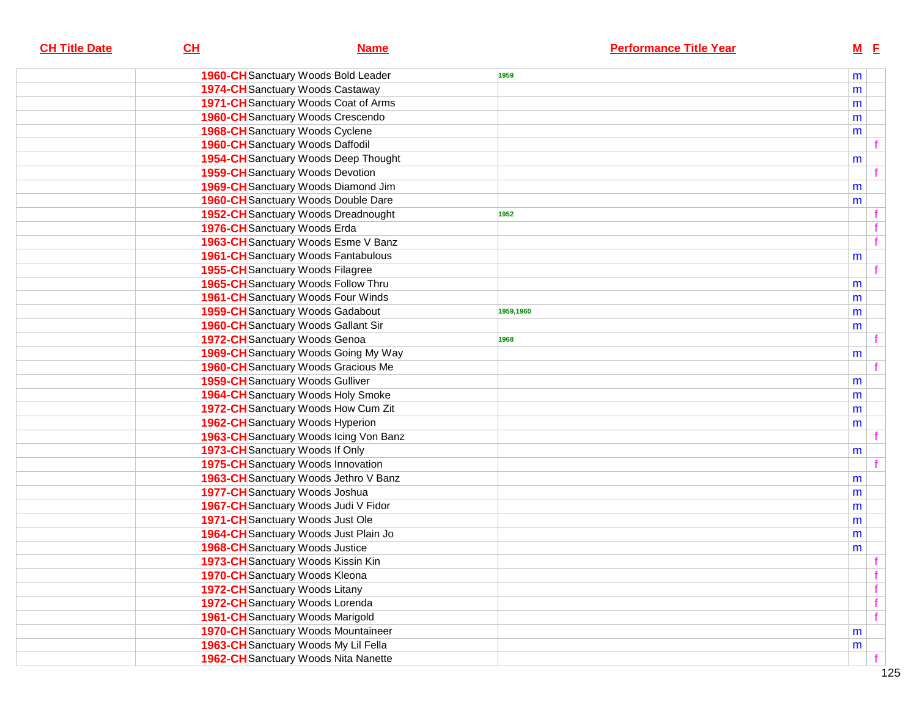| <b>CH Title Date</b> | CL<br><b>Name</b>                           | <b>Performance Title Year</b> | $M$ $E$      |
|----------------------|---------------------------------------------|-------------------------------|--------------|
|                      | <b>1960-CH</b> Sanctuary Woods Bold Leader  | 1959                          | m            |
|                      | <b>1974-CH</b> Sanctuary Woods Castaway     |                               | m            |
|                      | 1971-CH Sanctuary Woods Coat of Arms        |                               | m            |
|                      | <b>1960-CH</b> Sanctuary Woods Crescendo    |                               | m            |
|                      | <b>1968-CH</b> Sanctuary Woods Cyclene      |                               | m            |
|                      | <b>1960-CH</b> Sanctuary Woods Daffodil     |                               |              |
|                      | <b>1954-CH</b> Sanctuary Woods Deep Thought |                               | m            |
|                      | <b>1959-CH</b> Sanctuary Woods Devotion     |                               |              |
|                      | 1969-CH Sanctuary Woods Diamond Jim         |                               | m            |
|                      | <b>1960-CH</b> Sanctuary Woods Double Dare  |                               | m            |
|                      | <b>1952-CH</b> Sanctuary Woods Dreadnought  | 1952                          |              |
|                      | 1976-CH Sanctuary Woods Erda                |                               |              |
|                      | 1963-CH Sanctuary Woods Esme V Banz         |                               | $\mathbf f$  |
|                      | <b>1961-CH</b> Sanctuary Woods Fantabulous  |                               | m            |
|                      | <b>1955-CH</b> Sanctuary Woods Filagree     |                               |              |
|                      | 1965-CH Sanctuary Woods Follow Thru         |                               | m            |
|                      | <b>1961-CH</b> Sanctuary Woods Four Winds   |                               | m            |
|                      | <b>1959-CH</b> Sanctuary Woods Gadabout     | 1959,1960                     | m            |
|                      | <b>1960-CH</b> Sanctuary Woods Gallant Sir  |                               | m            |
|                      | 1972-CH Sanctuary Woods Genoa               | 1968                          |              |
|                      | <b>1969-CH</b> Sanctuary Woods Going My Way |                               | m            |
|                      | <b>1960-CH</b> Sanctuary Woods Gracious Me  |                               |              |
|                      | <b>1959-CH</b> Sanctuary Woods Gulliver     |                               | m            |
|                      | <b>1964-CH</b> Sanctuary Woods Holy Smoke   |                               | m            |
|                      | 1972-CH Sanctuary Woods How Cum Zit         |                               | m            |
|                      | <b>1962-CH</b> Sanctuary Woods Hyperion     |                               | m            |
|                      | 1963-CH Sanctuary Woods Icing Von Banz      |                               |              |
|                      | 1973-CH Sanctuary Woods If Only             |                               | m            |
|                      | <b>1975-CH</b> Sanctuary Woods Innovation   |                               |              |
|                      | 1963-CH Sanctuary Woods Jethro V Banz       |                               | m            |
|                      | 1977-CH Sanctuary Woods Joshua              |                               | m            |
|                      | 1967-CH Sanctuary Woods Judi V Fidor        |                               | m            |
|                      | 1971-CH Sanctuary Woods Just Ole            |                               | m            |
|                      | 1964-CH Sanctuary Woods Just Plain Jo       |                               | m            |
|                      | <b>1968-CH</b> Sanctuary Woods Justice      |                               | m            |
|                      | 1973-CH Sanctuary Woods Kissin Kin          |                               | $-f$         |
|                      | 1970-CH Sanctuary Woods Kleona              |                               | $\mathbf{f}$ |
|                      | <b>1972-CH</b> Sanctuary Woods Litany       |                               |              |
|                      | 1972-CH Sanctuary Woods Lorenda             |                               | $\mathbf{f}$ |
|                      | <b>1961-CH</b> Sanctuary Woods Marigold     |                               |              |
|                      | 1970-CH Sanctuary Woods Mountaineer         |                               | m            |
|                      | 1963-CH Sanctuary Woods My Lil Fella        |                               | m            |
|                      | 1962-CH Sanctuary Woods Nita Nanette        |                               |              |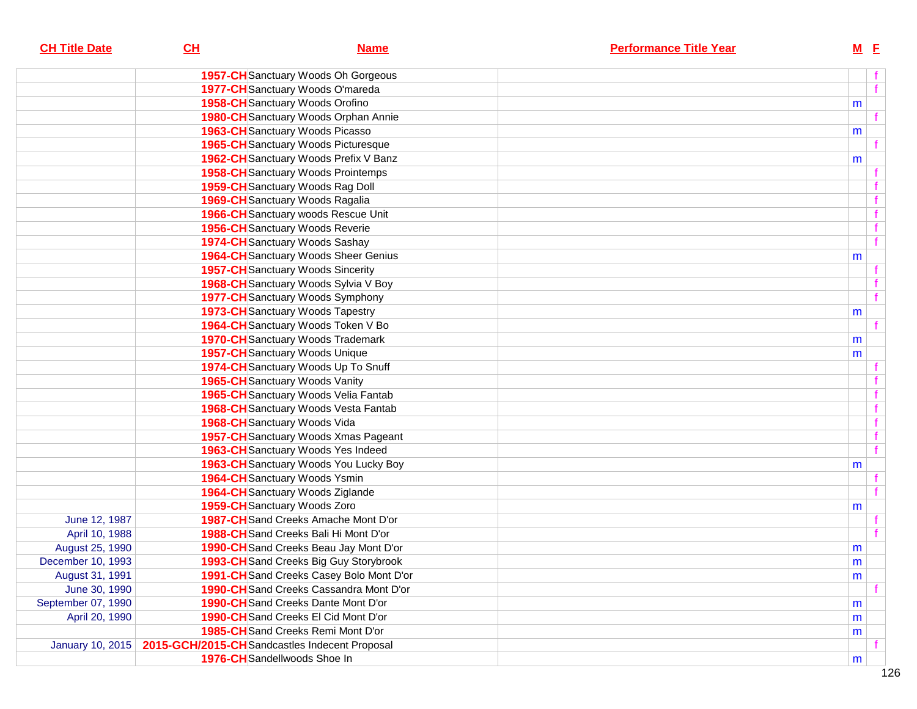| <b>CH Title Date</b>    | CL                                             | <b>Name</b> | <b>Performance Title Year</b> | $M$ E |              |
|-------------------------|------------------------------------------------|-------------|-------------------------------|-------|--------------|
|                         | <b>1957-CH</b> Sanctuary Woods Oh Gorgeous     |             |                               |       |              |
|                         | 1977-CH Sanctuary Woods O'mareda               |             |                               |       | f            |
|                         | 1958-CH Sanctuary Woods Orofino                |             |                               | m     |              |
|                         | 1980-CH Sanctuary Woods Orphan Annie           |             |                               |       | f            |
|                         | <b>1963-CH</b> Sanctuary Woods Picasso         |             |                               | m     |              |
|                         | 1965-CH Sanctuary Woods Picturesque            |             |                               |       |              |
|                         | 1962-CH Sanctuary Woods Prefix V Banz          |             |                               | m     |              |
|                         | <b>1958-CH</b> Sanctuary Woods Prointemps      |             |                               |       |              |
|                         | 1959-CH Sanctuary Woods Rag Doll               |             |                               |       |              |
|                         | <b>1969-CH</b> Sanctuary Woods Ragalia         |             |                               |       |              |
|                         | 1966-CH Sanctuary woods Rescue Unit            |             |                               |       | f            |
|                         | 1956-CH Sanctuary Woods Reverie                |             |                               |       |              |
|                         | 1974-CH Sanctuary Woods Sashay                 |             |                               |       | $\mathbf{f}$ |
|                         | 1964-CH Sanctuary Woods Sheer Genius           |             |                               | m     |              |
|                         | <b>1957-CH</b> Sanctuary Woods Sincerity       |             |                               |       |              |
|                         | 1968-CH Sanctuary Woods Sylvia V Boy           |             |                               |       |              |
|                         | <b>1977-CH</b> Sanctuary Woods Symphony        |             |                               |       | f            |
|                         | <b>1973-CH</b> Sanctuary Woods Tapestry        |             |                               | m     |              |
|                         | 1964-CH Sanctuary Woods Token V Bo             |             |                               |       |              |
|                         | <b>1970-CH</b> Sanctuary Woods Trademark       |             |                               | m     |              |
|                         | 1957-CH Sanctuary Woods Unique                 |             |                               | m     |              |
|                         | 1974-CH Sanctuary Woods Up To Snuff            |             |                               |       |              |
|                         | 1965-CH Sanctuary Woods Vanity                 |             |                               |       |              |
|                         | 1965-CH Sanctuary Woods Velia Fantab           |             |                               |       |              |
|                         | 1968-CH Sanctuary Woods Vesta Fantab           |             |                               |       |              |
|                         | 1968-CH Sanctuary Woods Vida                   |             |                               |       |              |
|                         | 1957-CH Sanctuary Woods Xmas Pageant           |             |                               |       |              |
|                         | 1963-CH Sanctuary Woods Yes Indeed             |             |                               |       | f            |
|                         | 1963-CH Sanctuary Woods You Lucky Boy          |             |                               | m     |              |
|                         | 1964-CH Sanctuary Woods Ysmin                  |             |                               |       |              |
|                         | 1964-CH Sanctuary Woods Ziglande               |             |                               |       |              |
|                         | 1959-CH Sanctuary Woods Zoro                   |             |                               | m     |              |
| June 12, 1987           | 1987-CH Sand Creeks Amache Mont D'or           |             |                               |       |              |
| April 10, 1988          | 1988-CH Sand Creeks Bali Hi Mont D'or          |             |                               |       |              |
| August 25, 1990         | 1990-CH Sand Creeks Beau Jay Mont D'or         |             |                               | m     |              |
| December 10, 1993       | 1993-CH Sand Creeks Big Guy Storybrook         |             |                               | m     |              |
| August 31, 1991         | 1991-CH Sand Creeks Casey Bolo Mont D'or       |             |                               | m     |              |
| June 30, 1990           | <b>1990-CH</b> Sand Creeks Cassandra Mont D'or |             |                               |       |              |
| September 07, 1990      | 1990-CH Sand Creeks Dante Mont D'or            |             |                               | m     |              |
| April 20, 1990          | 1990-CH Sand Creeks El Cid Mont D'or           |             |                               | m     |              |
|                         | 1985-CH Sand Creeks Remi Mont D'or             |             |                               | m     |              |
| <b>January 10, 2015</b> | 2015-GCH/2015-CH Sandcastles Indecent Proposal |             |                               |       |              |
|                         | 1976-CH Sandellwoods Shoe In                   |             |                               | m     |              |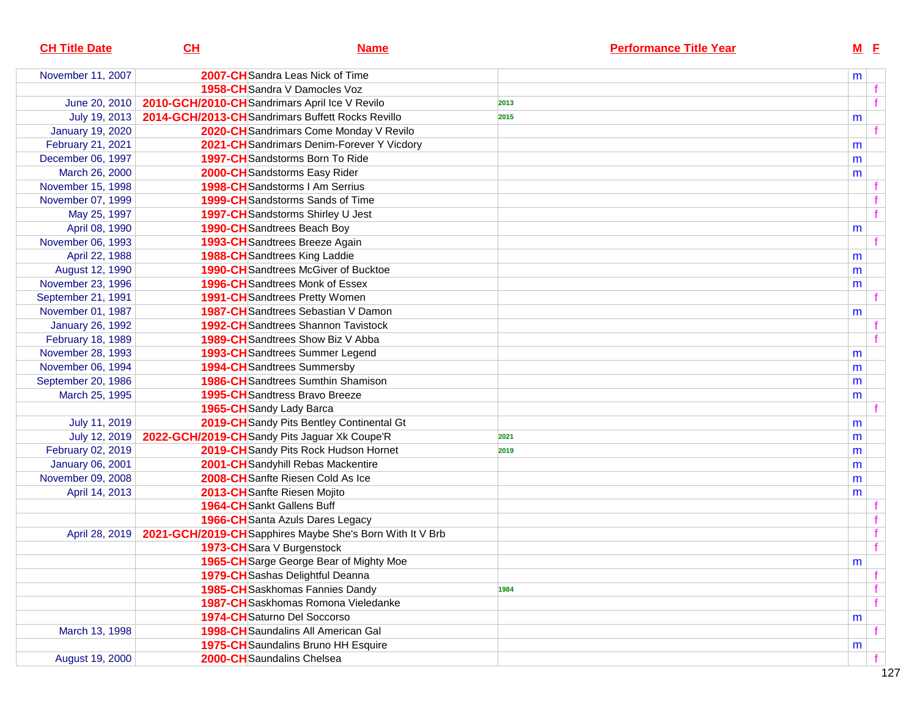| <b>CH Title Date</b>    | CL                                               | <b>Name</b>                                               | <b>Performance Title Year</b> |   | $M$ $E$     |  |
|-------------------------|--------------------------------------------------|-----------------------------------------------------------|-------------------------------|---|-------------|--|
| November 11, 2007       |                                                  | 2007-CH Sandra Leas Nick of Time                          |                               | m |             |  |
|                         |                                                  | <b>1958-CH</b> Sandra V Damocles Voz                      |                               |   |             |  |
| June 20, 2010           |                                                  | 2010-GCH/2010-CH Sandrimars April Ice V Revilo            | 2013                          |   |             |  |
| July 19, 2013           | 2014-GCH/2013-CHSandrimars Buffett Rocks Revillo |                                                           | 2015                          | m |             |  |
| <b>January 19, 2020</b> |                                                  | 2020-CH Sandrimars Come Monday V Revilo                   |                               |   |             |  |
| February 21, 2021       |                                                  | 2021-CH Sandrimars Denim-Forever Y Vicdory                |                               | m |             |  |
| December 06, 1997       |                                                  | <b>1997-CH</b> Sandstorms Born To Ride                    |                               | m |             |  |
| March 26, 2000          |                                                  | 2000-CH Sandstorms Easy Rider                             |                               | m |             |  |
| November 15, 1998       |                                                  | 1998-CH Sandstorms I Am Serrius                           |                               |   |             |  |
| November 07, 1999       |                                                  | <b>1999-CH</b> Sandstorms Sands of Time                   |                               |   |             |  |
| May 25, 1997            |                                                  | 1997-CH Sandstorms Shirley U Jest                         |                               |   |             |  |
| April 08, 1990          |                                                  | 1990-CH Sandtrees Beach Boy                               |                               | m |             |  |
| November 06, 1993       |                                                  | 1993-CH Sandtrees Breeze Again                            |                               |   |             |  |
| April 22, 1988          |                                                  | 1988-CH Sandtrees King Laddie                             |                               | m |             |  |
| August 12, 1990         |                                                  | <b>1990-CH</b> Sandtrees McGiver of Bucktoe               |                               | m |             |  |
| November 23, 1996       |                                                  | <b>1996-CH</b> Sandtrees Monk of Essex                    |                               | m |             |  |
| September 21, 1991      |                                                  | <b>1991-CH</b> Sandtrees Pretty Women                     |                               |   |             |  |
| November 01, 1987       |                                                  | 1987-CH Sandtrees Sebastian V Damon                       |                               | m |             |  |
| <b>January 26, 1992</b> |                                                  | <b>1992-CH</b> Sandtrees Shannon Tavistock                |                               |   |             |  |
| February 18, 1989       |                                                  | <b>1989-CH</b> Sandtrees Show Biz V Abba                  |                               |   |             |  |
| November 28, 1993       |                                                  | 1993-CH Sandtrees Summer Legend                           |                               | m |             |  |
| November 06, 1994       |                                                  | 1994-CH Sandtrees Summersby                               |                               | m |             |  |
| September 20, 1986      |                                                  | <b>1986-CH</b> Sandtrees Sumthin Shamison                 |                               | m |             |  |
| March 25, 1995          |                                                  | <b>1995-CH</b> Sandtress Bravo Breeze                     |                               | m |             |  |
|                         |                                                  | 1965-CH Sandy Lady Barca                                  |                               |   |             |  |
| July 11, 2019           |                                                  | 2019-CH Sandy Pits Bentley Continental Gt                 |                               | m |             |  |
| July 12, 2019           |                                                  | 2022-GCH/2019-CH Sandy Pits Jaguar Xk Coupe'R             | 2021                          | m |             |  |
| February 02, 2019       |                                                  | 2019-CH Sandy Pits Rock Hudson Hornet                     | 2019                          | m |             |  |
| <b>January 06, 2001</b> |                                                  | 2001-CH Sandyhill Rebas Mackentire                        |                               | m |             |  |
| November 09, 2008       |                                                  | 2008-CH Sanfte Riesen Cold As Ice                         |                               | m |             |  |
| April 14, 2013          |                                                  | 2013-CH Sanfte Riesen Mojito                              |                               | m |             |  |
|                         |                                                  | 1964-CH Sankt Gallens Buff                                |                               |   |             |  |
|                         |                                                  | 1966-CH Santa Azuls Dares Legacy                          |                               |   |             |  |
| April 28, 2019          |                                                  | 2021-GCH/2019-CH Sapphires Maybe She's Born With It V Brb |                               |   |             |  |
|                         |                                                  | 1973-CH Sara V Burgenstock                                |                               |   | $\mathbf f$ |  |
|                         |                                                  | 1965-CH Sarge George Bear of Mighty Moe                   |                               | m |             |  |
|                         |                                                  | 1979-CH Sashas Delightful Deanna                          |                               |   |             |  |
|                         |                                                  | 1985-CH Saskhomas Fannies Dandy                           | 1984                          |   |             |  |
|                         |                                                  | 1987-CH Saskhomas Romona Vieledanke                       |                               |   |             |  |
|                         |                                                  | 1974-CH Saturno Del Soccorso                              |                               | m |             |  |
| March 13, 1998          |                                                  | 1998-CH Saundalins All American Gal                       |                               |   |             |  |
|                         |                                                  | 1975-CH Saundalins Bruno HH Esquire                       |                               | m |             |  |
| August 19, 2000         |                                                  | 2000-CH Saundalins Chelsea                                |                               |   |             |  |
|                         |                                                  |                                                           |                               |   |             |  |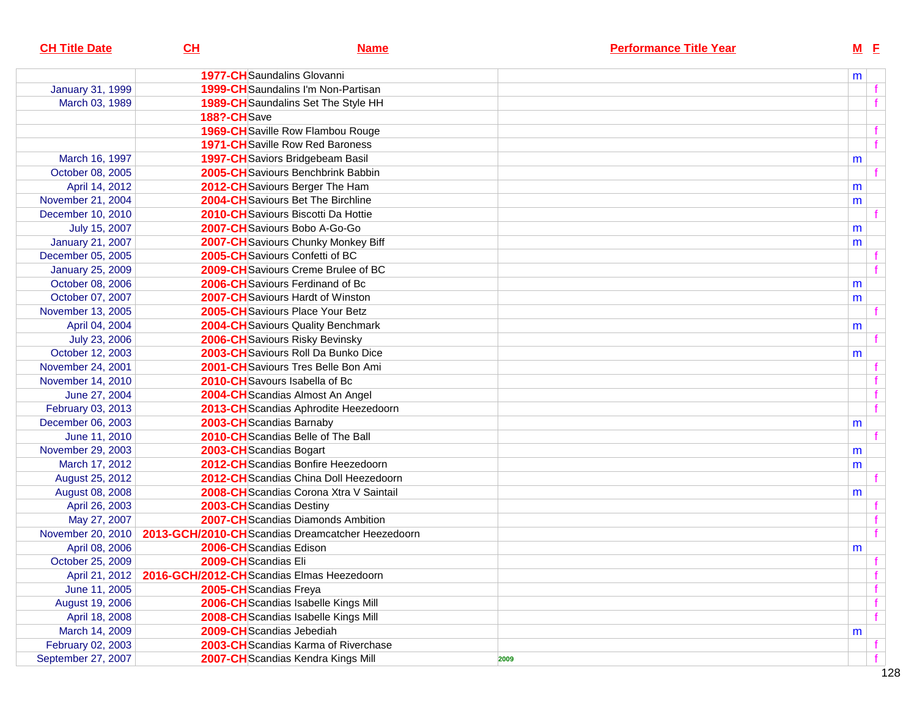| <b>CH Title Date</b>    | CL                                        | <b>Name</b>                                      | <b>Performance Title Year</b> | M <sub>E</sub> |              |
|-------------------------|-------------------------------------------|--------------------------------------------------|-------------------------------|----------------|--------------|
|                         |                                           |                                                  |                               |                |              |
|                         |                                           | <b>1977-CH</b> Saundalins Glovanni               |                               | m              |              |
| January 31, 1999        |                                           | 1999-CH Saundalins I'm Non-Partisan              |                               |                |              |
| March 03, 1989          |                                           | 1989-CH Saundalins Set The Style HH              |                               |                | $\mathbf{f}$ |
|                         | 188?-CHSave                               |                                                  |                               |                |              |
|                         |                                           | <b>1969-CH</b> Saville Row Flambou Rouge         |                               |                | $\mathbf f$  |
|                         |                                           | <b>1971-CH</b> Saville Row Red Baroness          |                               |                | f            |
| March 16, 1997          |                                           | 1997-CH Saviors Bridgebeam Basil                 |                               | m              |              |
| October 08, 2005        |                                           | 2005-CH Saviours Benchbrink Babbin               |                               |                | $\mathbf{f}$ |
| April 14, 2012          |                                           | 2012-CH Saviours Berger The Ham                  |                               | m              |              |
| November 21, 2004       |                                           | 2004-CH Saviours Bet The Birchline               |                               | m              |              |
| December 10, 2010       |                                           | 2010-CH Saviours Biscotti Da Hottie              |                               |                |              |
| July 15, 2007           |                                           | 2007-CH Saviours Bobo A-Go-Go                    |                               | m              |              |
| <b>January 21, 2007</b> |                                           | 2007-CH Saviours Chunky Monkey Biff              |                               | m              |              |
| December 05, 2005       |                                           | 2005-CH Saviours Confetti of BC                  |                               |                |              |
| <b>January 25, 2009</b> |                                           | 2009-CH Saviours Creme Brulee of BC              |                               |                | $\mathbf{f}$ |
| October 08, 2006        |                                           | 2006-CH Saviours Ferdinand of Bc                 |                               | m              |              |
| October 07, 2007        |                                           | 2007-CH Saviours Hardt of Winston                |                               | m              |              |
| November 13, 2005       |                                           | 2005-CH Saviours Place Your Betz                 |                               |                |              |
| April 04, 2004          |                                           | <b>2004-CH</b> Saviours Quality Benchmark        |                               | m              |              |
| July 23, 2006           |                                           | 2006-CH Saviours Risky Bevinsky                  |                               |                |              |
| October 12, 2003        |                                           | 2003-CH Saviours Roll Da Bunko Dice              |                               | m              |              |
| November 24, 2001       |                                           | 2001-CH Saviours Tres Belle Bon Ami              |                               |                |              |
| November 14, 2010       |                                           | 2010-CH Savours Isabella of Bc                   |                               |                |              |
| June 27, 2004           |                                           | 2004-CHScandias Almost An Angel                  |                               |                | f            |
| February 03, 2013       |                                           | 2013-CH Scandias Aphrodite Heezedoorn            |                               |                | f            |
| December 06, 2003       | 2003-CH Scandias Barnaby                  |                                                  |                               | m              |              |
| June 11, 2010           |                                           | 2010-CH Scandias Belle of The Ball               |                               |                | $\mathbf{f}$ |
| November 29, 2003       | 2003-CH Scandias Bogart                   |                                                  |                               | m              |              |
| March 17, 2012          |                                           | 2012-CHScandias Bonfire Heezedoorn               |                               | m              |              |
| August 25, 2012         |                                           | 2012-CHScandias China Doll Heezedoorn            |                               |                |              |
| August 08, 2008         |                                           | 2008-CH Scandias Corona Xtra V Saintail          |                               | m              |              |
| April 26, 2003          | 2003-CHScandias Destiny                   |                                                  |                               |                |              |
| May 27, 2007            |                                           | 2007-CHScandias Diamonds Ambition                |                               |                | $\mathbf f$  |
| November 20, 2010       |                                           | 2013-GCH/2010-CHScandias Dreamcatcher Heezedoorn |                               |                | f            |
| April 08, 2006          | 2006-CH Scandias Edison                   |                                                  |                               | m              |              |
| October 25, 2009        | 2009-CHScandias Eli                       |                                                  |                               |                | f            |
| April 21, 2012          | 2016-GCH/2012-CHScandias Elmas Heezedoorn |                                                  |                               |                | $\mathbf f$  |
| June 11, 2005           | 2005-CH Scandias Freya                    |                                                  |                               |                |              |
| August 19, 2006         |                                           | 2006-CH Scandias Isabelle Kings Mill             |                               |                | $\mathbf{f}$ |
| April 18, 2008          |                                           | 2008-CH Scandias Isabelle Kings Mill             |                               |                | f            |
| March 14, 2009          |                                           | 2009-CHScandias Jebediah                         |                               | m              |              |
| February 02, 2003       |                                           | 2003-CH Scandias Karma of Riverchase             |                               |                |              |
| September 27, 2007      |                                           | 2007-CH Scandias Kendra Kings Mill               | 2009                          |                | f            |
|                         |                                           |                                                  |                               |                |              |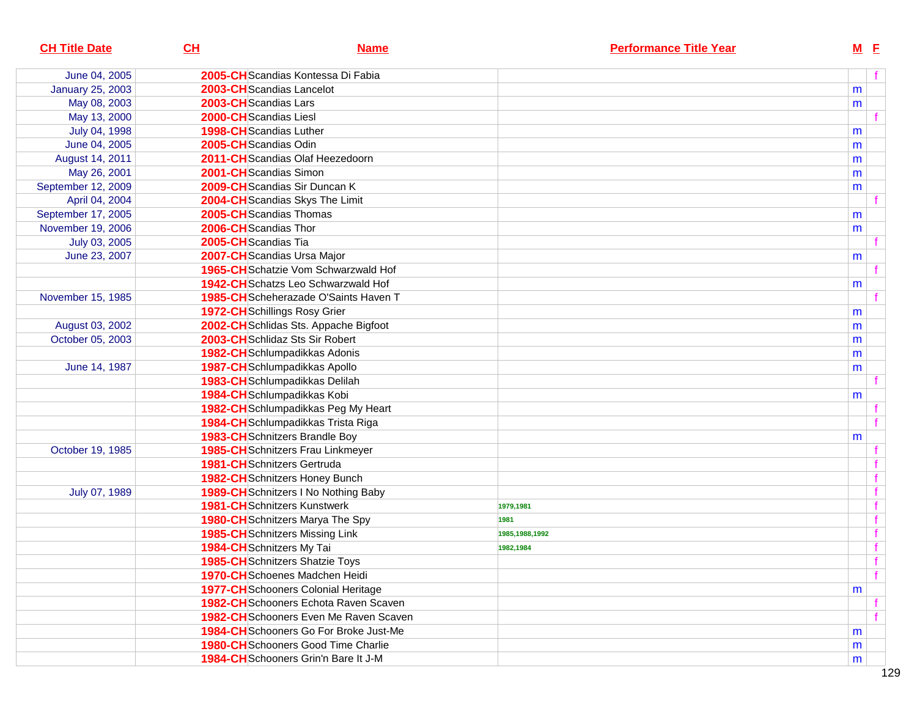| <b>CH Title Date</b>    | CL<br><b>Name</b>                             | <b>Performance Title Year</b> | $M$ E |              |
|-------------------------|-----------------------------------------------|-------------------------------|-------|--------------|
| June 04, 2005           | 2005-CH Scandias Kontessa Di Fabia            |                               |       |              |
| <b>January 25, 2003</b> | 2003-CH Scandias Lancelot                     |                               | m     |              |
| May 08, 2003            | 2003-CH Scandias Lars                         |                               | m     |              |
| May 13, 2000            | 2000-CHScandias Liesl                         |                               |       |              |
| July 04, 1998           | 1998-CHScandias Luther                        |                               | m     |              |
| June 04, 2005           | 2005-CHScandias Odin                          |                               | m     |              |
| August 14, 2011         | 2011-CH Scandias Olaf Heezedoorn              |                               | m     |              |
| May 26, 2001            | 2001-CHScandias Simon                         |                               | m     |              |
| September 12, 2009      | 2009-CHScandias Sir Duncan K                  |                               | m     |              |
| April 04, 2004          | 2004-CH Scandias Skys The Limit               |                               |       |              |
| September 17, 2005      | 2005-CH Scandias Thomas                       |                               | m     |              |
| November 19, 2006       | 2006-CHScandias Thor                          |                               | m     |              |
| July 03, 2005           | 2005-CHScandias Tia                           |                               |       |              |
| June 23, 2007           | 2007-CH Scandias Ursa Major                   |                               | m     |              |
|                         | 1965-CHSchatzie Vom Schwarzwald Hof           |                               |       |              |
|                         | <b>1942-CH</b> Schatzs Leo Schwarzwald Hof    |                               | m     |              |
| November 15, 1985       | 1985-CH Scheherazade O'Saints Haven T         |                               |       |              |
|                         | 1972-CH Schillings Rosy Grier                 |                               | m     |              |
| August 03, 2002         | 2002-CH Schlidas Sts. Appache Bigfoot         |                               | m     |              |
| October 05, 2003        | 2003-CH Schlidaz Sts Sir Robert               |                               | m     |              |
|                         | 1982-CHSchlumpadikkas Adonis                  |                               | m     |              |
| June 14, 1987           | 1987-CHSchlumpadikkas Apollo                  |                               | m     |              |
|                         | 1983-CH Schlumpadikkas Delilah                |                               |       |              |
|                         | 1984-CHSchlumpadikkas Kobi                    |                               | m     |              |
|                         | 1982-CH Schlumpadikkas Peg My Heart           |                               |       |              |
|                         | 1984-CH Schlumpadikkas Trista Riga            |                               |       |              |
|                         | 1983-CH Schnitzers Brandle Boy                |                               | m     |              |
| October 19, 1985        | 1985-CH Schnitzers Frau Linkmeyer             |                               |       |              |
|                         | 1981-CH Schnitzers Gertruda                   |                               |       |              |
|                         | 1982-CHSchnitzers Honey Bunch                 |                               |       |              |
| July 07, 1989           | 1989-CH Schnitzers I No Nothing Baby          |                               |       | f            |
|                         | <b>1981-CH</b> Schnitzers Kunstwerk           | 1979,1981                     |       | f            |
|                         | 1980-CHSchnitzers Marya The Spy               | 1981                          |       | f            |
|                         | <b>1985-CH</b> Schnitzers Missing Link        | 1985,1988,1992                |       | f            |
|                         | 1984-CHSchnitzers My Tai                      | 1982,1984                     |       | $\mathbf{f}$ |
|                         | <b>1985-CH</b> Schnitzers Shatzie Toys        |                               |       | f            |
|                         | <b>1970-CH</b> Schoenes Madchen Heidi         |                               |       |              |
|                         | 1977-CH Schooners Colonial Heritage           |                               | m     |              |
|                         | 1982-CH Schooners Echota Raven Scaven         |                               |       |              |
|                         | 1982-CH Schooners Even Me Raven Scaven        |                               |       |              |
|                         | <b>1984-CH</b> Schooners Go For Broke Just-Me |                               | m     |              |
|                         | <b>1980-CH</b> Schooners Good Time Charlie    |                               | m     |              |
|                         | 1984-CHSchooners Grin'n Bare It J-M           |                               | m     |              |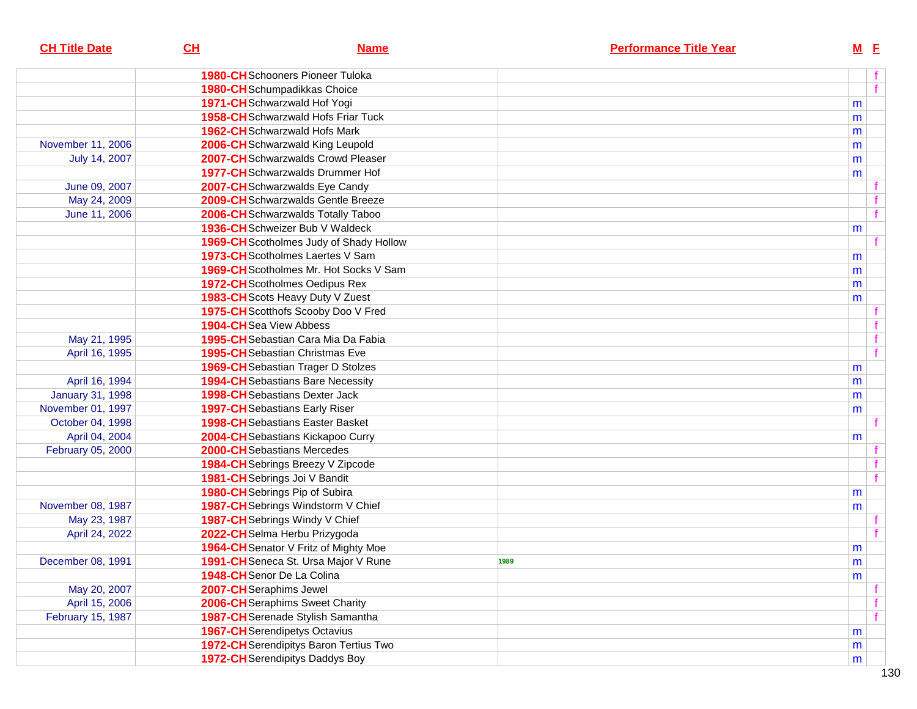| <b>CH Title Date</b>    | C <sub>H</sub>                 | <b>Name</b>                                |      | <b>Performance Title Year</b> |   | $M$ E        |
|-------------------------|--------------------------------|--------------------------------------------|------|-------------------------------|---|--------------|
|                         |                                | <b>1980-CH</b> Schooners Pioneer Tuloka    |      |                               |   |              |
|                         |                                | 1980-CHSchumpadikkas Choice                |      |                               |   | f            |
|                         |                                | 1971-CHSchwarzwald Hof Yogi                |      |                               | m |              |
|                         |                                | <b>1958-CH</b> Schwarzwald Hofs Friar Tuck |      |                               | m |              |
|                         |                                | <b>1962-CH</b> Schwarzwald Hofs Mark       |      |                               | m |              |
| November 11, 2006       |                                | 2006-CHSchwarzwald King Leupold            |      |                               | m |              |
| July 14, 2007           |                                | 2007-CH Schwarzwalds Crowd Pleaser         |      |                               | m |              |
|                         |                                | <b>1977-CH</b> Schwarzwalds Drummer Hof    |      |                               | m |              |
| June 09, 2007           |                                | 2007-CHSchwarzwalds Eye Candy              |      |                               |   |              |
| May 24, 2009            |                                | 2009-CHSchwarzwalds Gentle Breeze          |      |                               |   |              |
| June 11, 2006           |                                | 2006-CHSchwarzwalds Totally Taboo          |      |                               |   | $\mathbf{f}$ |
|                         |                                | 1936-CH Schweizer Bub V Waldeck            |      |                               | m |              |
|                         |                                | 1969-CH Scotholmes Judy of Shady Hollow    |      |                               |   |              |
|                         |                                | 1973-CH Scotholmes Laertes V Sam           |      |                               | m |              |
|                         |                                | 1969-CH Scotholmes Mr. Hot Socks V Sam     |      |                               | m |              |
|                         |                                | 1972-CH Scotholmes Oedipus Rex             |      |                               | m |              |
|                         |                                | 1983-CH Scots Heavy Duty V Zuest           |      |                               | m |              |
|                         |                                | 1975-CH Scotthofs Scooby Doo V Fred        |      |                               |   |              |
|                         | <b>1904-CH</b> Sea View Abbess |                                            |      |                               |   |              |
| May 21, 1995            |                                | 1995-CH Sebastian Cara Mia Da Fabia        |      |                               |   | f            |
| April 16, 1995          |                                | <b>1995-CH</b> Sebastian Christmas Eve     |      |                               |   | $\mathbf{f}$ |
|                         |                                | 1969-CH Sebastian Trager D Stolzes         |      |                               | m |              |
| April 16, 1994          |                                | <b>1994-CH</b> Sebastians Bare Necessity   |      |                               | m |              |
| <b>January 31, 1998</b> |                                | <b>1998-CH</b> Sebastians Dexter Jack      |      |                               | m |              |
| November 01, 1997       |                                | <b>1997-CH</b> Sebastians Early Riser      |      |                               | m |              |
| October 04, 1998        |                                | <b>1998-CH</b> Sebastians Easter Basket    |      |                               |   |              |
| April 04, 2004          |                                | 2004-CH Sebastians Kickapoo Curry          |      |                               | m |              |
| February 05, 2000       |                                | 2000-CH Sebastians Mercedes                |      |                               |   |              |
|                         |                                | 1984-CH Sebrings Breezy V Zipcode          |      |                               |   |              |
|                         |                                | 1981-CH Sebrings Joi V Bandit              |      |                               |   | $\mathbf{f}$ |
|                         |                                | 1980-CH Sebrings Pip of Subira             |      |                               | m |              |
| November 08, 1987       |                                | 1987-CH Sebrings Windstorm V Chief         |      |                               | m |              |
| May 23, 1987            |                                | 1987-CH Sebrings Windy V Chief             |      |                               |   |              |
| April 24, 2022          |                                | 2022-CHSelma Herbu Prizygoda               |      |                               |   |              |
|                         |                                | 1964-CH Senator V Fritz of Mighty Moe      |      |                               | m |              |
| December 08, 1991       |                                | 1991-CH Seneca St. Ursa Major V Rune       | 1989 |                               | m |              |
|                         | 1948-CH Senor De La Colina     |                                            |      |                               | m |              |
| May 20, 2007            | 2007-CHSeraphims Jewel         |                                            |      |                               |   |              |
| April 15, 2006          |                                | 2006-CHSeraphims Sweet Charity             |      |                               |   | f            |
| February 15, 1987       |                                | <b>1987-CH</b> Serenade Stylish Samantha   |      |                               |   | f            |
|                         |                                | <b>1967-CH</b> Serendipetys Octavius       |      |                               | m |              |
|                         |                                | 1972-CH Serendipitys Baron Tertius Two     |      |                               | m |              |
|                         |                                | <b>1972-CH</b> Serendipitys Daddys Boy     |      |                               | m |              |
|                         |                                |                                            |      |                               |   |              |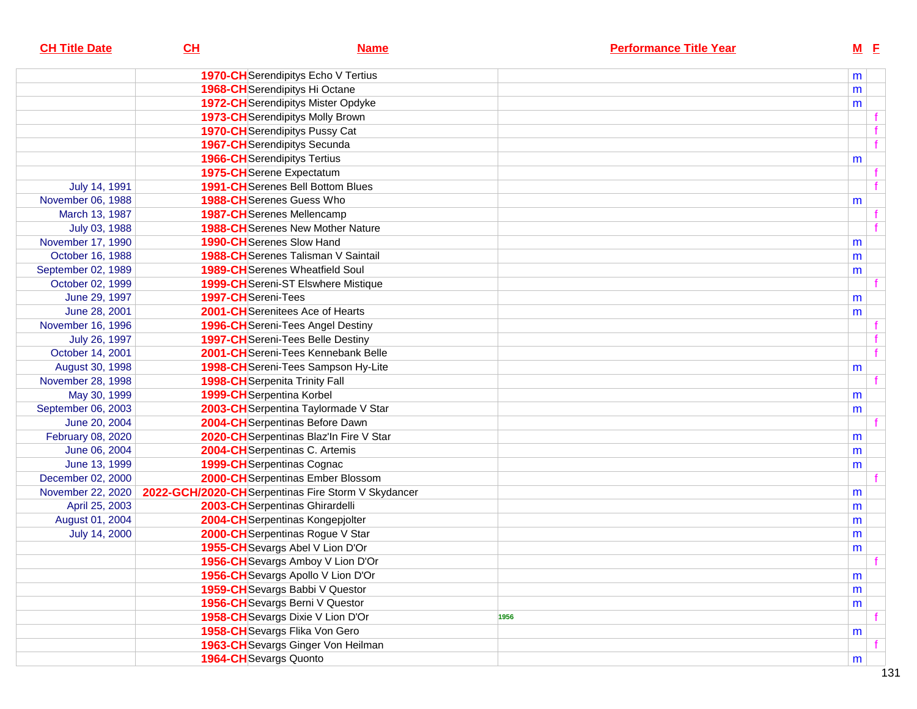| <b>CH Title Date</b> | CL                    | <b>Name</b>                                         |      | <b>Performance Title Year</b> | M <sub>E</sub> |  |
|----------------------|-----------------------|-----------------------------------------------------|------|-------------------------------|----------------|--|
|                      |                       | <b>1970-CH</b> Serendipitys Echo V Tertius          |      |                               | m              |  |
|                      |                       | 1968-CH Serendipitys Hi Octane                      |      |                               | m              |  |
|                      |                       | <b>1972-CH</b> Serendipitys Mister Opdyke           |      |                               | m              |  |
|                      |                       | <b>1973-CH</b> Serendipitys Molly Brown             |      |                               |                |  |
|                      |                       | <b>1970-CH</b> Serendipitys Pussy Cat               |      |                               |                |  |
|                      |                       | <b>1967-CH</b> Serendipitys Secunda                 |      |                               | f              |  |
|                      |                       | <b>1966-CH</b> Serendipitys Tertius                 |      |                               | m              |  |
|                      |                       | 1975-CH Serene Expectatum                           |      |                               |                |  |
| July 14, 1991        |                       | <b>1991-CH</b> Serenes Bell Bottom Blues            |      |                               | $\mathbf{f}$   |  |
| November 06, 1988    |                       | <b>1988-CH</b> Serenes Guess Who                    |      |                               | m              |  |
| March 13, 1987       |                       | <b>1987-CH</b> Serenes Mellencamp                   |      |                               |                |  |
| July 03, 1988        |                       | <b>1988-CH</b> Serenes New Mother Nature            |      |                               | $\mathbf{f}$   |  |
| November 17, 1990    |                       | 1990-CH Serenes Slow Hand                           |      |                               | m              |  |
| October 16, 1988     |                       | 1988-CH Serenes Talisman V Saintail                 |      |                               | m              |  |
| September 02, 1989   |                       | <b>1989-CH</b> Serenes Wheatfield Soul              |      |                               | m              |  |
| October 02, 1999     |                       | <b>1999-CH</b> Sereni-ST Elswhere Mistique          |      |                               |                |  |
| June 29, 1997        | 1997-CHSereni-Tees    |                                                     |      |                               | m              |  |
| June 28, 2001        |                       | 2001-CHSerenitees Ace of Hearts                     |      |                               | m              |  |
| November 16, 1996    |                       | 1996-CH Sereni-Tees Angel Destiny                   |      |                               |                |  |
| July 26, 1997        |                       | 1997-CH Sereni-Tees Belle Destiny                   |      |                               | $\mathbf f$    |  |
| October 14, 2001     |                       | 2001-CH Sereni-Tees Kennebank Belle                 |      |                               | $\mathbf{f}$   |  |
| August 30, 1998      |                       | 1998-CH Sereni-Tees Sampson Hy-Lite                 |      |                               | m              |  |
| November 28, 1998    |                       | <b>1998-CH</b> Serpenita Trinity Fall               |      |                               | $\mathbf{f}$   |  |
| May 30, 1999         |                       | 1999-CH Serpentina Korbel                           |      |                               | m              |  |
| September 06, 2003   |                       | 2003-CH Serpentina Taylormade V Star                |      |                               | m              |  |
| June 20, 2004        |                       | 2004-CH Serpentinas Before Dawn                     |      |                               | $\mathbf{f}$   |  |
| February 08, 2020    |                       | 2020-CH Serpentinas Blaz'In Fire V Star             |      |                               | m              |  |
| June 06, 2004        |                       | 2004-CH Serpentinas C. Artemis                      |      |                               | m              |  |
| June 13, 1999        |                       | <b>1999-CH</b> Serpentinas Cognac                   |      |                               | m              |  |
| December 02, 2000    |                       | 2000-CHSerpentinas Ember Blossom                    |      |                               |                |  |
| November 22, 2020    |                       | 2022-GCH/2020-CH Serpentinas Fire Storm V Skydancer |      |                               | m              |  |
| April 25, 2003       |                       | 2003-CH Serpentinas Ghirardelli                     |      |                               | m              |  |
| August 01, 2004      |                       | 2004-CH Serpentinas Kongepjolter                    |      |                               | m              |  |
| July 14, 2000        |                       | 2000-CH Serpentinas Rogue V Star                    |      |                               | m              |  |
|                      |                       | 1955-CH Sevargs Abel V Lion D'Or                    |      |                               | m              |  |
|                      |                       | 1956-CH Sevargs Amboy V Lion D'Or                   |      |                               | . .            |  |
|                      |                       | 1956-CH Sevargs Apollo V Lion D'Or                  |      |                               | m              |  |
|                      |                       | 1959-CH Sevargs Babbi V Questor                     |      |                               | m              |  |
|                      |                       | 1956-CHSevargs Berni V Questor                      |      |                               | m              |  |
|                      |                       | 1958-CH Sevargs Dixie V Lion D'Or                   | 1956 |                               |                |  |
|                      |                       | 1958-CH Sevargs Flika Von Gero                      |      |                               | m              |  |
|                      |                       | 1963-CH Sevargs Ginger Von Heilman                  |      |                               |                |  |
|                      | 1964-CHSevargs Quonto |                                                     |      |                               | m              |  |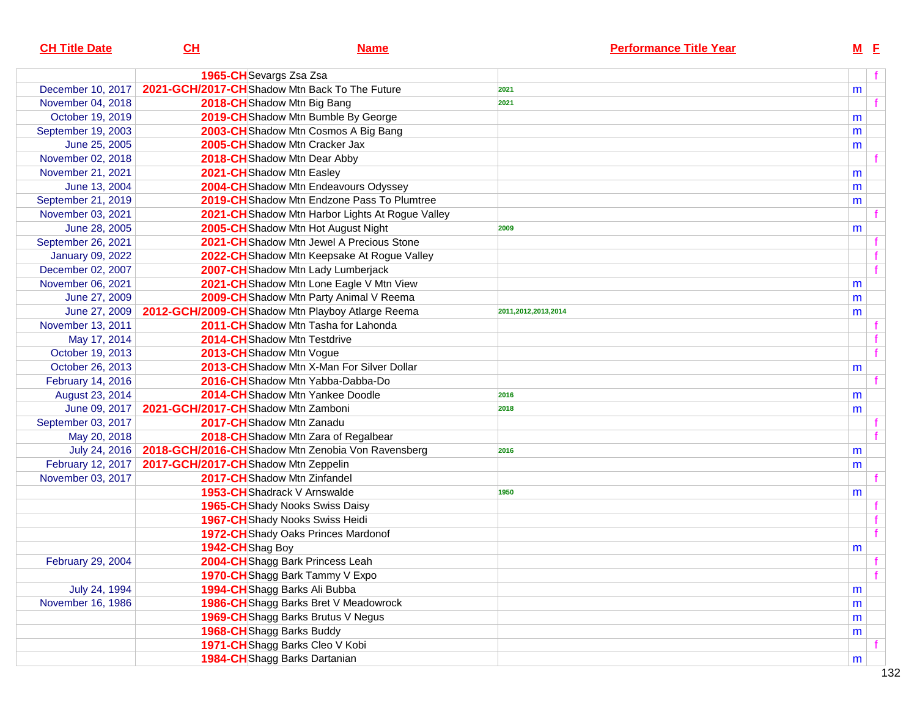| <b>CH Title Date</b>    | CH                                  | <b>Name</b>                                                       | <b>Performance Title Year</b> | $M$ E |  |
|-------------------------|-------------------------------------|-------------------------------------------------------------------|-------------------------------|-------|--|
|                         | 1965-CH Sevargs Zsa Zsa             |                                                                   |                               | f.    |  |
| December 10, 2017       |                                     | 2021-GCH/2017-CHShadow Mtn Back To The Future                     | 2021                          | m     |  |
| November 04, 2018       |                                     | 2018-CH Shadow Mtn Big Bang                                       | 2021                          |       |  |
| October 19, 2019        |                                     | 2019-CH Shadow Mtn Bumble By George                               |                               | m     |  |
| September 19, 2003      |                                     | 2003-CH Shadow Mtn Cosmos A Big Bang                              |                               | m     |  |
| June 25, 2005           |                                     | 2005-CH Shadow Mtn Cracker Jax                                    |                               | m     |  |
| November 02, 2018       |                                     | 2018-CHShadow Mtn Dear Abby                                       |                               |       |  |
| November 21, 2021       |                                     | 2021-CH Shadow Mtn Easley                                         |                               | m     |  |
| June 13, 2004           |                                     | 2004-CH Shadow Mtn Endeavours Odyssey                             |                               | m     |  |
| September 21, 2019      |                                     | 2019-CH Shadow Mtn Endzone Pass To Plumtree                       |                               | m     |  |
| November 03, 2021       |                                     | 2021-CH Shadow Mtn Harbor Lights At Rogue Valley                  |                               |       |  |
| June 28, 2005           |                                     | 2005-CHShadow Mtn Hot August Night                                | 2009                          | m     |  |
| September 26, 2021      |                                     | 2021-CH Shadow Mtn Jewel A Precious Stone                         |                               |       |  |
| <b>January 09, 2022</b> |                                     | 2022-CH Shadow Mtn Keepsake At Rogue Valley                       |                               | f     |  |
| December 02, 2007       |                                     | 2007-CH Shadow Mtn Lady Lumberjack                                |                               | f     |  |
| November 06, 2021       |                                     | 2021-CH Shadow Mtn Lone Eagle V Mtn View                          |                               | m     |  |
| June 27, 2009           |                                     | 2009-CH Shadow Mtn Party Animal V Reema                           |                               | m     |  |
| June 27, 2009           |                                     | 2012-GCH/2009-CHShadow Mtn Playboy Atlarge Reema                  | 2011,2012,2013,2014           | m     |  |
| November 13, 2011       |                                     | 2011-CH Shadow Mtn Tasha for Lahonda                              |                               |       |  |
| May 17, 2014            |                                     | 2014-CHShadow Mtn Testdrive                                       |                               | f     |  |
| October 19, 2013        |                                     | 2013-CH Shadow Mtn Vogue                                          |                               | f     |  |
| October 26, 2013        |                                     | 2013-CH Shadow Mtn X-Man For Silver Dollar                        |                               | m     |  |
| February 14, 2016       |                                     | 2016-CHShadow Mtn Yabba-Dabba-Do                                  |                               |       |  |
| August 23, 2014         |                                     | <b>2014-CH</b> Shadow Mtn Yankee Doodle                           | 2016                          | m     |  |
| June 09, 2017           | 2021-GCH/2017-CHShadow Mtn Zamboni  |                                                                   | 2018                          | m     |  |
| September 03, 2017      |                                     | 2017-CHShadow Mtn Zanadu                                          |                               |       |  |
| May 20, 2018            |                                     | 2018-CH Shadow Mtn Zara of Regalbear                              |                               |       |  |
|                         |                                     | July 24, 2016   2018-GCH/2016-CHShadow Mtn Zenobia Von Ravensberg | 2016                          | m     |  |
| February 12, 2017       | 2017-GCH/2017-CHShadow Mtn Zeppelin |                                                                   |                               | m     |  |
| November 03, 2017       |                                     | 2017-CHShadow Mtn Zinfandel                                       |                               |       |  |
|                         |                                     | 1953-CHShadrack V Arnswalde                                       | 1950                          | m     |  |
|                         |                                     | 1965-CH Shady Nooks Swiss Daisy                                   |                               |       |  |
|                         |                                     | 1967-CH Shady Nooks Swiss Heidi                                   |                               | f     |  |
|                         |                                     | 1972-CH Shady Oaks Princes Mardonof                               |                               | f     |  |
|                         | 1942-CHShag Boy                     |                                                                   |                               | m     |  |
| February 29, 2004       |                                     | 2004-CHShagg Bark Princess Leah                                   |                               |       |  |
|                         |                                     | 1970-CHShagg Bark Tammy V Expo                                    |                               | f     |  |
| July 24, 1994           |                                     | 1994-CHShagg Barks Ali Bubba                                      |                               | m     |  |
| November 16, 1986       |                                     | 1986-CH Shagg Barks Bret V Meadowrock                             |                               | m     |  |
|                         |                                     | 1969-CH Shagg Barks Brutus V Negus                                |                               | m     |  |
|                         |                                     | 1968-CH Shagg Barks Buddy                                         |                               | m     |  |
|                         |                                     | 1971-CH Shagg Barks Cleo V Kobi                                   |                               |       |  |
|                         |                                     | 1984-CHShagg Barks Dartanian                                      |                               | m     |  |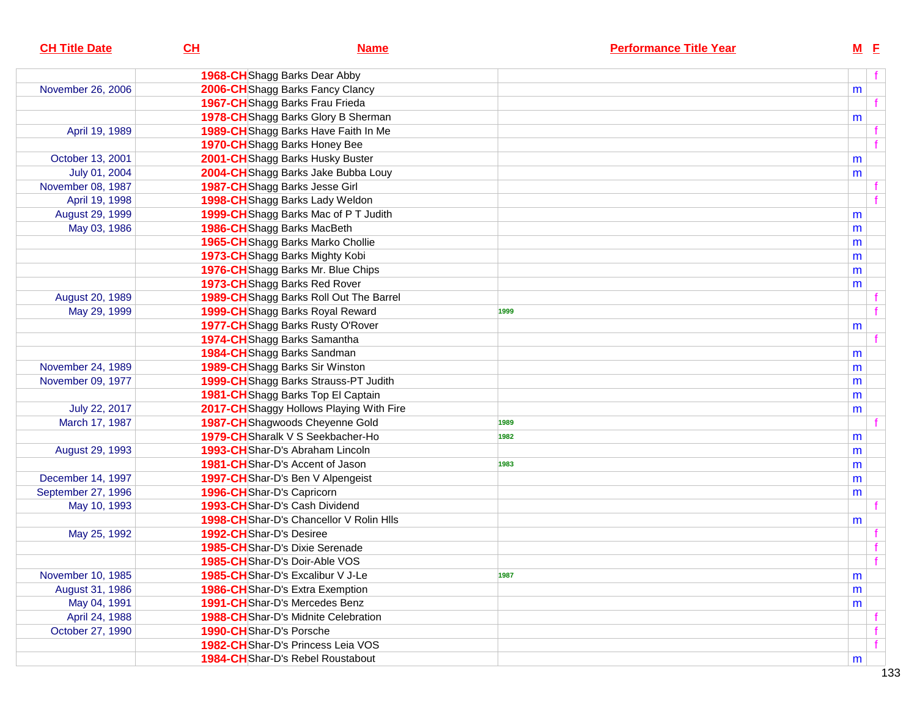| <b>CH Title Date</b> | CL<br><b>Name</b>                           | <b>Performance Title Year</b> | $M$ E |              |
|----------------------|---------------------------------------------|-------------------------------|-------|--------------|
|                      | 1968-CHShagg Barks Dear Abby                |                               |       | f            |
| November 26, 2006    | 2006-CH Shagg Barks Fancy Clancy            |                               | m     |              |
|                      | 1967-CHShagg Barks Frau Frieda              |                               |       | f            |
|                      | 1978-CH Shagg Barks Glory B Sherman         |                               | m     |              |
| April 19, 1989       | 1989-CH Shagg Barks Have Faith In Me        |                               |       |              |
|                      | 1970-CH Shagg Barks Honey Bee               |                               |       | $\mathbf{f}$ |
| October 13, 2001     | 2001-CHShagg Barks Husky Buster             |                               | m     |              |
| July 01, 2004        | 2004-CH Shagg Barks Jake Bubba Louy         |                               | m     |              |
| November 08, 1987    | 1987-CHShagg Barks Jesse Girl               |                               |       |              |
| April 19, 1998       | 1998-CHShagg Barks Lady Weldon              |                               |       |              |
| August 29, 1999      | 1999-CH Shagg Barks Mac of PT Judith        |                               | m     |              |
| May 03, 1986         | 1986-CH Shagg Barks MacBeth                 |                               | m     |              |
|                      | 1965-CHShagg Barks Marko Chollie            |                               | m     |              |
|                      | 1973-CH Shagg Barks Mighty Kobi             |                               | m     |              |
|                      | 1976-CH Shagg Barks Mr. Blue Chips          |                               | m     |              |
|                      | 1973-CHShagg Barks Red Rover                |                               | m     |              |
| August 20, 1989      | 1989-CH Shagg Barks Roll Out The Barrel     |                               |       |              |
| May 29, 1999         | 1999-CHShagg Barks Royal Reward             | 1999                          |       |              |
|                      | 1977-CH Shagg Barks Rusty O'Rover           |                               | m     |              |
|                      | 1974-CHShagg Barks Samantha                 |                               |       |              |
|                      | 1984-CH Shagg Barks Sandman                 |                               | m     |              |
| November 24, 1989    | 1989-CH Shagg Barks Sir Winston             |                               | m     |              |
| November 09, 1977    | 1999-CH Shagg Barks Strauss-PT Judith       |                               | m     |              |
|                      | 1981-CH Shagg Barks Top El Captain          |                               | m     |              |
| July 22, 2017        | 2017-CH Shaggy Hollows Playing With Fire    |                               | m     |              |
| March 17, 1987       | 1987-CH Shagwoods Cheyenne Gold             | 1989                          |       |              |
|                      | 1979-CH Sharalk V S Seekbacher-Ho           | 1982                          | m     |              |
| August 29, 1993      | <b>1993-CH</b> Shar-D's Abraham Lincoln     |                               | m     |              |
|                      | 1981-CHShar-D's Accent of Jason             | 1983                          | m     |              |
| December 14, 1997    | 1997-CHShar-D's Ben V Alpengeist            |                               | m     |              |
| September 27, 1996   | 1996-CHShar-D's Capricorn                   |                               | m     |              |
| May 10, 1993         | 1993-CHShar-D's Cash Dividend               |                               |       |              |
|                      | 1998-CHShar-D's Chancellor V Rolin Hils     |                               | m     |              |
| May 25, 1992         | 1992-CHShar-D's Desiree                     |                               |       |              |
|                      | 1985-CHShar-D's Dixie Serenade              |                               |       | $-f$         |
|                      | 1985-CHShar-D's Doir-Able VOS               |                               |       | f            |
| November 10, 1985    | 1985-CHShar-D's Excalibur V J-Le            | 1987                          | m     |              |
| August 31, 1986      | 1986-CHShar-D's Extra Exemption             |                               | m     |              |
| May 04, 1991         | 1991-CHShar-D's Mercedes Benz               |                               | m     |              |
| April 24, 1988       | <b>1988-CH</b> Shar-D's Midnite Celebration |                               |       |              |
| October 27, 1990     | 1990-CHShar-D's Porsche                     |                               |       |              |
|                      | 1982-CHShar-D's Princess Leia VOS           |                               |       | f            |
|                      | <b>1984-CH</b> Shar-D's Rebel Roustabout    |                               | m     |              |
|                      |                                             |                               |       |              |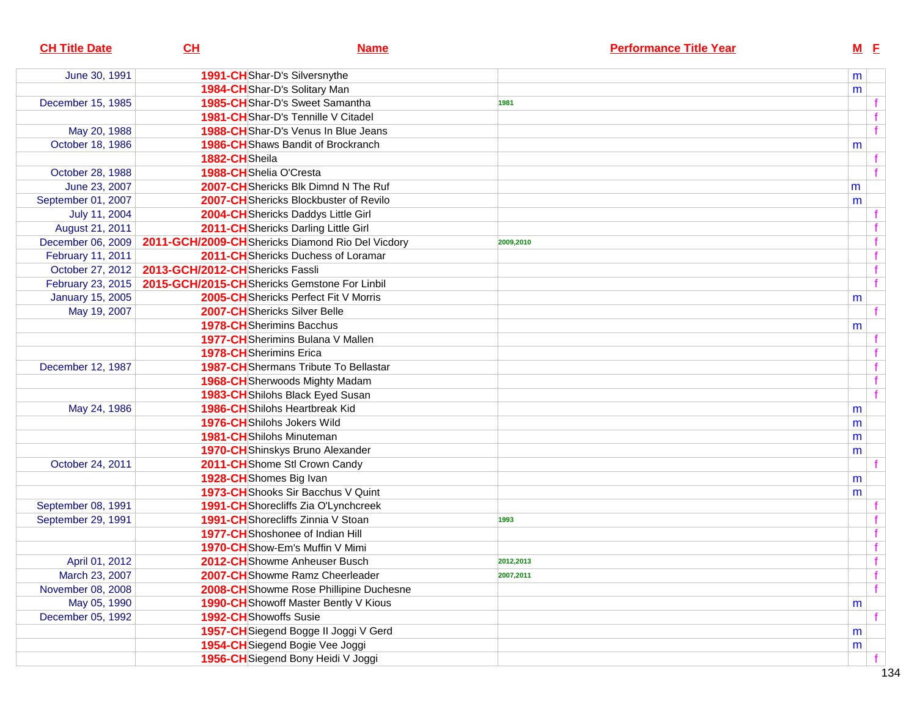| <b>CH Title Date</b>    | CL                                                | <b>Name</b>                                  |           | <b>Performance Title Year</b> | M E          |  |
|-------------------------|---------------------------------------------------|----------------------------------------------|-----------|-------------------------------|--------------|--|
| June 30, 1991           | 1991-CHShar-D's Silversnythe                      |                                              |           |                               | m            |  |
|                         | 1984-CHShar-D's Solitary Man                      |                                              |           |                               | m            |  |
| December 15, 1985       |                                                   | 1985-CHShar-D's Sweet Samantha               | 1981      |                               |              |  |
|                         |                                                   | 1981-CHShar-D's Tennille V Citadel           |           |                               |              |  |
| May 20, 1988            |                                                   | 1988-CHShar-D's Venus In Blue Jeans          |           |                               |              |  |
| October 18, 1986        |                                                   | 1986-CHShaws Bandit of Brockranch            |           |                               | m            |  |
|                         | 1882-CHSheila                                     |                                              |           |                               |              |  |
| October 28, 1988        | 1988-CHShelia O'Cresta                            |                                              |           |                               |              |  |
| June 23, 2007           |                                                   | 2007-CHShericks Blk Dimnd N The Ruf          |           |                               | m            |  |
| September 01, 2007      |                                                   | 2007-CH Shericks Blockbuster of Revilo       |           |                               | m            |  |
| July 11, 2004           |                                                   | 2004-CH Shericks Daddys Little Girl          |           |                               |              |  |
| August 21, 2011         |                                                   | 2011-CH Shericks Darling Little Girl         |           |                               |              |  |
| December 06, 2009       | 2011-GCH/2009-CH Shericks Diamond Rio Del Vicdory |                                              | 2009,2010 |                               |              |  |
| February 11, 2011       |                                                   | 2011-CH Shericks Duchess of Loramar          |           |                               |              |  |
| October 27, 2012        | 2013-GCH/2012-CHShericks Fassli                   |                                              |           |                               |              |  |
| February 23, 2015       | 2015-GCH/2015-CH Shericks Gemstone For Linbil     |                                              |           |                               |              |  |
| <b>January 15, 2005</b> |                                                   | 2005-CH Shericks Perfect Fit V Morris        |           |                               | m            |  |
| May 19, 2007            | 2007-CHShericks Silver Belle                      |                                              |           |                               |              |  |
|                         | <b>1978-CH</b> Sherimins Bacchus                  |                                              |           |                               | m            |  |
|                         |                                                   | 1977-CH Sherimins Bulana V Mallen            |           |                               |              |  |
|                         | <b>1978-CH</b> Sherimins Erica                    |                                              |           |                               |              |  |
| December 12, 1987       |                                                   | <b>1987-CH</b> Shermans Tribute To Bellastar |           |                               |              |  |
|                         |                                                   | 1968-CH Sherwoods Mighty Madam               |           |                               |              |  |
|                         |                                                   | 1983-CHShilohs Black Eyed Susan              |           |                               |              |  |
| May 24, 1986            | 1986-CHShilohs Heartbreak Kid                     |                                              |           |                               | m            |  |
|                         | 1976-CHShilohs Jokers Wild                        |                                              |           |                               | m            |  |
|                         | 1981-CHShilohs Minuteman                          |                                              |           |                               | m            |  |
|                         |                                                   | 1970-CHShinskys Bruno Alexander              |           |                               | m            |  |
| October 24, 2011        |                                                   | 2011-CH Shome Stl Crown Candy                |           |                               |              |  |
|                         | 1928-CHShomes Big Ivan                            |                                              |           |                               | m            |  |
|                         |                                                   | 1973-CH Shooks Sir Bacchus V Quint           |           |                               | m            |  |
| September 08, 1991      |                                                   | 1991-CHShorecliffs Zia O'Lynchcreek          |           |                               |              |  |
| September 29, 1991      |                                                   | 1991-CH Shorecliffs Zinnia V Stoan           | 1993      |                               |              |  |
|                         |                                                   | 1977-CHShoshonee of Indian Hill              |           |                               |              |  |
|                         |                                                   | 1970-CHShow-Em's Muffin V Mimi               |           |                               | $\mathbf{f}$ |  |
| April 01, 2012          |                                                   | 2012-CHShowme Anheuser Busch                 | 2012,2013 |                               |              |  |
| March 23, 2007          |                                                   | 2007-CHShowme Ramz Cheerleader               | 2007,2011 |                               |              |  |
| November 08, 2008       |                                                   | 2008-CH Showme Rose Phillipine Duchesne      |           |                               |              |  |
| May 05, 1990            |                                                   | 1990-CH Showoff Master Bently V Kious        |           |                               | m            |  |
| December 05, 1992       | 1992-CH Showoffs Susie                            |                                              |           |                               |              |  |
|                         |                                                   | 1957-CH Siegend Bogge II Joggi V Gerd        |           |                               | m            |  |
|                         |                                                   | 1954-CH Siegend Bogie Vee Joggi              |           |                               | m            |  |
|                         |                                                   | 1956-CH Siegend Bony Heidi V Joggi           |           |                               |              |  |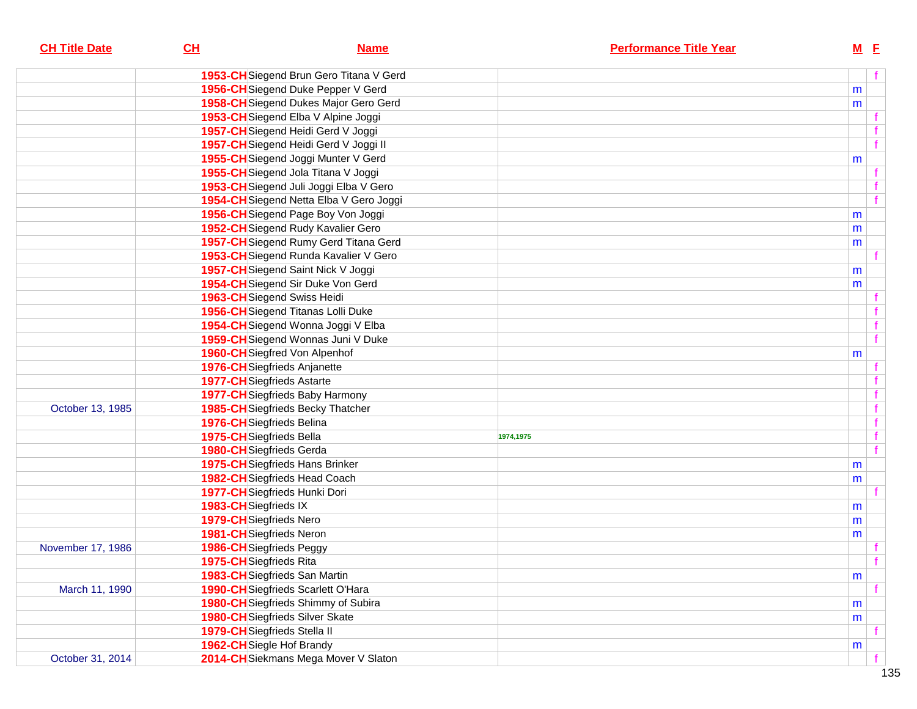| <b>CH Title Date</b> | CL                                | <b>Name</b>                             |           | <b>Performance Title Year</b> | <u>M E</u> |              |
|----------------------|-----------------------------------|-----------------------------------------|-----------|-------------------------------|------------|--------------|
|                      |                                   | 1953-CH Siegend Brun Gero Titana V Gerd |           |                               |            | f            |
|                      |                                   | 1956-CH Siegend Duke Pepper V Gerd      |           |                               | m          |              |
|                      |                                   | 1958-CH Siegend Dukes Major Gero Gerd   |           |                               | m          |              |
|                      |                                   | 1953-CH Siegend Elba V Alpine Joggi     |           |                               |            |              |
|                      |                                   | 1957-CH Siegend Heidi Gerd V Joggi      |           |                               |            |              |
|                      |                                   | 1957-CH Siegend Heidi Gerd V Joggi II   |           |                               |            | f            |
|                      |                                   | 1955-CH Siegend Joggi Munter V Gerd     |           |                               | m          |              |
|                      |                                   | 1955-CH Siegend Jola Titana V Joggi     |           |                               |            |              |
|                      |                                   | 1953-CH Siegend Juli Joggi Elba V Gero  |           |                               |            |              |
|                      |                                   | 1954-CH Siegend Netta Elba V Gero Joggi |           |                               |            | $\mathbf{f}$ |
|                      |                                   | 1956-CH Siegend Page Boy Von Joggi      |           |                               | m          |              |
|                      |                                   | 1952-CH Siegend Rudy Kavalier Gero      |           |                               | m          |              |
|                      |                                   | 1957-CH Siegend Rumy Gerd Titana Gerd   |           |                               | m          |              |
|                      |                                   | 1953-CH Siegend Runda Kavalier V Gero   |           |                               |            |              |
|                      |                                   | 1957-CH Siegend Saint Nick V Joggi      |           |                               | m          |              |
|                      |                                   | 1954-CH Siegend Sir Duke Von Gerd       |           |                               | m          |              |
|                      | 1963-CH Siegend Swiss Heidi       |                                         |           |                               |            |              |
|                      |                                   | 1956-CH Siegend Titanas Lolli Duke      |           |                               |            |              |
|                      |                                   | 1954-CH Siegend Wonna Joggi V Elba      |           |                               |            | $\mathbf{f}$ |
|                      |                                   | 1959-CH Siegend Wonnas Juni V Duke      |           |                               |            | f            |
|                      |                                   | 1960-CH Siegfred Von Alpenhof           |           |                               | m          |              |
|                      | 1976-CH Siegfrieds Anjanette      |                                         |           |                               |            |              |
|                      | <b>1977-CH</b> Siegfrieds Astarte |                                         |           |                               |            |              |
|                      |                                   | <b>1977-CH</b> Siegfrieds Baby Harmony  |           |                               |            | $\mathbf f$  |
| October 13, 1985     |                                   | 1985-CH Siegfrieds Becky Thatcher       |           |                               |            | $\mathbf{f}$ |
|                      | 1976-CH Siegfrieds Belina         |                                         |           |                               |            | $\mathbf{f}$ |
|                      | 1975-CH Siegfrieds Bella          |                                         | 1974,1975 |                               |            | f            |
|                      | 1980-CH Siegfrieds Gerda          |                                         |           |                               |            | f            |
|                      |                                   | 1975-CH Siegfrieds Hans Brinker         |           |                               | m          |              |
|                      |                                   | 1982-CH Siegfrieds Head Coach           |           |                               | m          |              |
|                      |                                   | 1977-CH Siegfrieds Hunki Dori           |           |                               |            |              |
|                      | 1983-CH Siegfrieds IX             |                                         |           |                               | m          |              |
|                      | 1979-CH Siegfrieds Nero           |                                         |           |                               | m          |              |
|                      | 1981-CH Siegfrieds Neron          |                                         |           |                               | m          |              |
| November 17, 1986    | <b>1986-CH</b> Siegfrieds Peggy   |                                         |           |                               |            |              |
|                      | 1975-CHSiegfrieds Rita            |                                         |           |                               |            | f            |
|                      |                                   | 1983-CH Siegfrieds San Martin           |           |                               | m          |              |
| March 11, 1990       |                                   | 1990-CH Siegfrieds Scarlett O'Hara      |           |                               |            | f            |
|                      |                                   | 1980-CH Siegfrieds Shimmy of Subira     |           |                               | m          |              |
|                      |                                   | <b>1980-CH</b> Siegfrieds Silver Skate  |           |                               | m          |              |
|                      | 1979-CH Siegfrieds Stella II      |                                         |           |                               |            |              |
|                      | 1962-CH Siegle Hof Brandy         |                                         |           |                               | m          |              |
| October 31, 2014     |                                   | 2014-CH Siekmans Mega Mover V Slaton    |           |                               |            |              |
|                      |                                   |                                         |           |                               |            |              |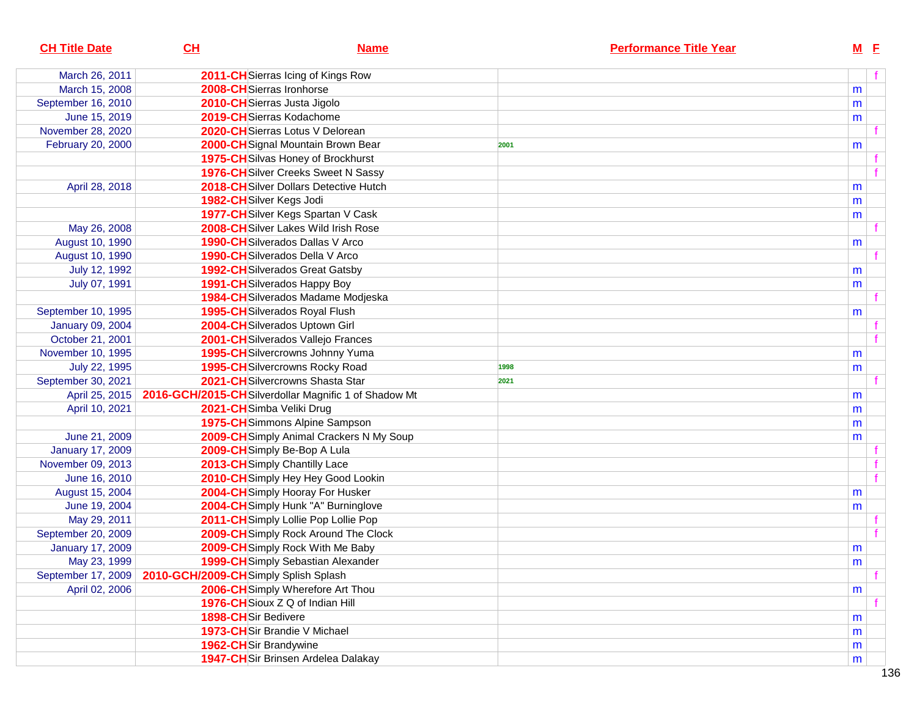| <b>CH Title Date</b><br>CL<br><b>Name</b>                              | <b>Performance Title Year</b> | $M$ E     |  |
|------------------------------------------------------------------------|-------------------------------|-----------|--|
| March 26, 2011<br>2011-CH Sierras Icing of Kings Row                   |                               |           |  |
| March 15, 2008<br>2008-CHSierras Ironhorse                             |                               | m         |  |
| September 16, 2010<br>2010-CHSierras Justa Jigolo                      |                               | m         |  |
| June 15, 2019<br>2019-CH Sierras Kodachome                             |                               | m         |  |
| November 28, 2020<br>2020-CH Sierras Lotus V Delorean                  |                               |           |  |
| February 20, 2000<br>2000-CHSignal Mountain Brown Bear                 | 2001                          | m         |  |
| 1975-CH Silvas Honey of Brockhurst                                     |                               |           |  |
| 1976-CH Silver Creeks Sweet N Sassy                                    |                               |           |  |
| 2018-CH Silver Dollars Detective Hutch<br>April 28, 2018               |                               | m         |  |
| 1982-CHSilver Kegs Jodi                                                |                               | m         |  |
| 1977-CHSilver Kegs Spartan V Cask                                      |                               | m         |  |
| 2008-CHSilver Lakes Wild Irish Rose<br>May 26, 2008                    |                               |           |  |
| August 10, 1990<br><b>1990-CH</b> Silverados Dallas V Arco             |                               | m         |  |
| August 10, 1990<br>1990-CH Silverados Della V Arco                     |                               |           |  |
| July 12, 1992<br><b>1992-CH</b> Silverados Great Gatsby                |                               | m         |  |
| <b>1991-CH</b> Silverados Happy Boy<br>July 07, 1991                   |                               | m         |  |
| 1984-CHSilverados Madame Modjeska                                      |                               |           |  |
| 1995-CHSilverados Royal Flush<br>September 10, 1995                    |                               | m         |  |
| January 09, 2004<br>2004-CHSilverados Uptown Girl                      |                               |           |  |
| October 21, 2001<br>2001-CHSilverados Vallejo Frances                  |                               |           |  |
| November 10, 1995<br>1995-CHSilvercrowns Johnny Yuma                   |                               | m         |  |
| 1995-CH Silvercrowns Rocky Road<br>July 22, 1995                       | 1998                          | m         |  |
| 2021-CHSilvercrowns Shasta Star<br>September 30, 2021                  | 2021                          |           |  |
| 2016-GCH/2015-CHSilverdollar Magnific 1 of Shadow Mt<br>April 25, 2015 |                               | m         |  |
| April 10, 2021<br>2021-CHSimba Veliki Drug                             |                               | m         |  |
| 1975-CHSimmons Alpine Sampson                                          |                               | m         |  |
| 2009-CH Simply Animal Crackers N My Soup<br>June 21, 2009              |                               | m         |  |
| <b>January 17, 2009</b><br>2009-CH Simply Be-Bop A Lula                |                               |           |  |
| November 09, 2013<br>2013-CH Simply Chantilly Lace                     |                               |           |  |
| June 16, 2010<br>2010-CH Simply Hey Hey Good Lookin                    |                               |           |  |
| August 15, 2004<br>2004-CH Simply Hooray For Husker                    |                               | m         |  |
| June 19, 2004<br>2004-CH Simply Hunk "A" Burninglove                   |                               | m         |  |
| May 29, 2011<br>2011-CHSimply Lollie Pop Lollie Pop                    |                               |           |  |
| 2009-CH Simply Rock Around The Clock<br>September 20, 2009             |                               |           |  |
| 2009-CH Simply Rock With Me Baby<br><b>January 17, 2009</b>            |                               | m         |  |
| May 23, 1999<br>1999-CH Simply Sebastian Alexander                     |                               | ${\sf m}$ |  |
| September 17, 2009<br>2010-GCH/2009-CHSimply Splish Splash             |                               |           |  |
| April 02, 2006<br>2006-CHSimply Wherefore Art Thou                     |                               | m         |  |
| 1976-CH Sioux Z Q of Indian Hill                                       |                               |           |  |
| 1898-CHSir Bedivere                                                    |                               | m         |  |
| 1973-CHSir Brandie V Michael                                           |                               | m         |  |
| 1962-CHSir Brandywine                                                  |                               | m         |  |
| <b>1947-CH</b> Sir Brinsen Ardelea Dalakay                             |                               | m         |  |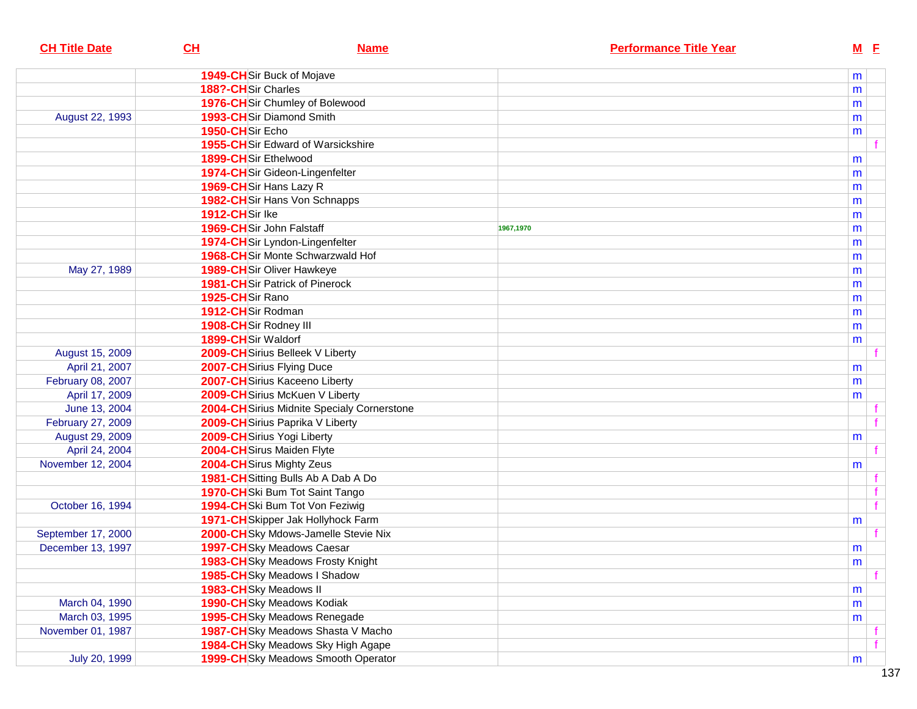| <b>CH Title Date</b> | CL                                         | <b>Name</b> |           | <b>Performance Title Year</b> | $M$ E |  |
|----------------------|--------------------------------------------|-------------|-----------|-------------------------------|-------|--|
|                      | <b>1949-CH</b> Sir Buck of Mojave          |             |           |                               | m     |  |
|                      | 188?-CHSir Charles                         |             |           |                               | m     |  |
|                      | 1976-CHSir Chumley of Bolewood             |             |           |                               | m     |  |
| August 22, 1993      | 1993-CHSir Diamond Smith                   |             |           |                               | m     |  |
|                      | 1950-CHSir Echo                            |             |           |                               | m     |  |
|                      | <b>1955-CH</b> Sir Edward of Warsickshire  |             |           |                               |       |  |
|                      | 1899-CHSir Ethelwood                       |             |           |                               | m     |  |
|                      | 1974-CHSir Gideon-Lingenfelter             |             |           |                               | m     |  |
|                      | 1969-CHSir Hans Lazy R                     |             |           |                               | m     |  |
|                      | 1982-CHSir Hans Von Schnapps               |             |           |                               | m     |  |
|                      | 1912-CHSir Ike                             |             |           |                               | m     |  |
|                      | 1969-CHSir John Falstaff                   |             | 1967,1970 |                               | m     |  |
|                      | 1974-CHSir Lyndon-Lingenfelter             |             |           |                               | m     |  |
|                      | 1968-CHSir Monte Schwarzwald Hof           |             |           |                               | m     |  |
| May 27, 1989         | <b>1989-CH</b> Sir Oliver Hawkeye          |             |           |                               | m     |  |
|                      | <b>1981-CH</b> Sir Patrick of Pinerock     |             |           |                               | m     |  |
|                      | 1925-CHSir Rano                            |             |           |                               | m     |  |
|                      | 1912-CHSir Rodman                          |             |           |                               | m     |  |
|                      | 1908-CHSir Rodney III                      |             |           |                               | m     |  |
|                      | 1899-CHSir Waldorf                         |             |           |                               | m     |  |
| August 15, 2009      | 2009-CH Sirius Belleek V Liberty           |             |           |                               |       |  |
| April 21, 2007       | 2007-CHSirius Flying Duce                  |             |           |                               | m     |  |
| February 08, 2007    | 2007-CHSirius Kaceeno Liberty              |             |           |                               | m     |  |
| April 17, 2009       | 2009-CH Sirius McKuen V Liberty            |             |           |                               | m     |  |
| June 13, 2004        | 2004-CHSirius Midnite Specialy Cornerstone |             |           |                               |       |  |
| February 27, 2009    | 2009-CH Sirius Paprika V Liberty           |             |           |                               |       |  |
| August 29, 2009      | 2009-CH Sirius Yogi Liberty                |             |           |                               | m     |  |
| April 24, 2004       | 2004-CH Sirus Maiden Flyte                 |             |           |                               |       |  |
| November 12, 2004    | 2004-CH Sirus Mighty Zeus                  |             |           |                               | m     |  |
|                      | 1981-CH Sitting Bulls Ab A Dab A Do        |             |           |                               |       |  |
|                      | 1970-CHSki Bum Tot Saint Tango             |             |           |                               |       |  |
| October 16, 1994     | 1994-CHSki Bum Tot Von Feziwig             |             |           |                               |       |  |
|                      | 1971-CH Skipper Jak Hollyhock Farm         |             |           |                               | m     |  |
| September 17, 2000   | 2000-CHSky Mdows-Jamelle Stevie Nix        |             |           |                               |       |  |
| December 13, 1997    | 1997-CHSky Meadows Caesar                  |             |           |                               | m     |  |
|                      | 1983-CHSky Meadows Frosty Knight           |             |           |                               | m     |  |
|                      | 1985-CHSky Meadows I Shadow                |             |           |                               |       |  |
|                      | 1983-CHSky Meadows II                      |             |           |                               | m     |  |
| March 04, 1990       | 1990-CHSky Meadows Kodiak                  |             |           |                               | m     |  |
| March 03, 1995       | 1995-CHSky Meadows Renegade                |             |           |                               | m     |  |
| November 01, 1987    | 1987-CHSky Meadows Shasta V Macho          |             |           |                               |       |  |
|                      | 1984-CHSky Meadows Sky High Agape          |             |           |                               |       |  |
| July 20, 1999        | 1999-CHSky Meadows Smooth Operator         |             |           |                               | m     |  |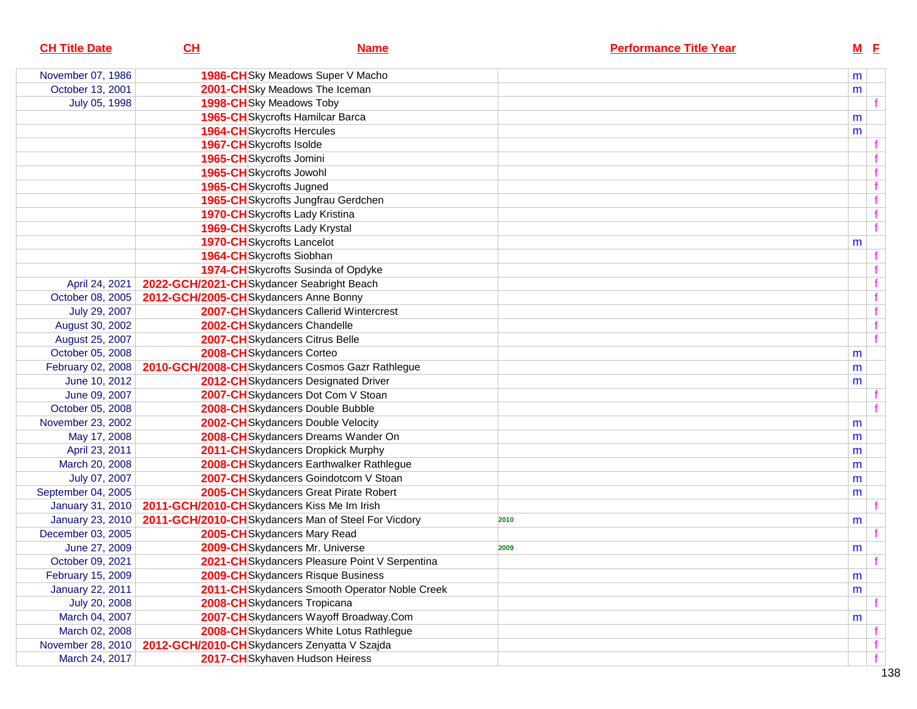| <b>CH Title Date</b>    | CL | <b>Name</b>                                         | <b>Performance Title Year</b> |   | $M$ E |              |
|-------------------------|----|-----------------------------------------------------|-------------------------------|---|-------|--------------|
| November 07, 1986       |    | 1986-CHSky Meadows Super V Macho                    |                               | m |       |              |
| October 13, 2001        |    | 2001-CHSky Meadows The Iceman                       |                               | m |       |              |
| July 05, 1998           |    | 1998-CHSky Meadows Toby                             |                               |   |       |              |
|                         |    | 1965-CHSkycrofts Hamilcar Barca                     |                               | m |       |              |
|                         |    | <b>1964-CH</b> Skycrofts Hercules                   |                               | m |       |              |
|                         |    | 1967-CHSkycrofts Isolde                             |                               |   |       |              |
|                         |    | 1965-CHSkycrofts Jomini                             |                               |   |       |              |
|                         |    | 1965-CHSkycrofts Jowohl                             |                               |   |       |              |
|                         |    | 1965-CH Skycrofts Jugned                            |                               |   |       |              |
|                         |    | 1965-CH Skycrofts Jungfrau Gerdchen                 |                               |   |       | $\mathbf f$  |
|                         |    | 1970-CH Skycrofts Lady Kristina                     |                               |   |       | $\mathbf f$  |
|                         |    | 1969-CH Skycrofts Lady Krystal                      |                               |   |       | $\mathbf{f}$ |
|                         |    | <b>1970-CH</b> Skycrofts Lancelot                   |                               | m |       |              |
|                         |    | 1964-CHSkycrofts Siobhan                            |                               |   |       |              |
|                         |    | 1974-CHSkycrofts Susinda of Opdyke                  |                               |   |       |              |
| April 24, 2021          |    | 2022-GCH/2021-CHSkydancer Seabright Beach           |                               |   |       |              |
| October 08, 2005        |    | 2012-GCH/2005-CHSkydancers Anne Bonny               |                               |   |       |              |
| July 29, 2007           |    | 2007-CH Skydancers Callerid Wintercrest             |                               |   |       |              |
| August 30, 2002         |    | 2002-CHSkydancers Chandelle                         |                               |   |       |              |
| August 25, 2007         |    | 2007-CHSkydancers Citrus Belle                      |                               |   |       |              |
| October 05, 2008        |    | 2008-CHSkydancers Corteo                            |                               | m |       |              |
| February 02, 2008       |    | 2010-GCH/2008-CHSkydancers Cosmos Gazr Rathlegue    |                               | m |       |              |
| June 10, 2012           |    | 2012-CH Skydancers Designated Driver                |                               | m |       |              |
| June 09, 2007           |    | 2007-CHSkydancers Dot Com V Stoan                   |                               |   |       |              |
| October 05, 2008        |    | 2008-CHSkydancers Double Bubble                     |                               |   |       |              |
| November 23, 2002       |    | 2002-CHSkydancers Double Velocity                   |                               | m |       |              |
| May 17, 2008            |    | 2008-CHSkydancers Dreams Wander On                  |                               | m |       |              |
| April 23, 2011          |    | 2011-CH Skydancers Dropkick Murphy                  |                               | m |       |              |
| March 20, 2008          |    | 2008-CHSkydancers Earthwalker Rathlegue             |                               | m |       |              |
| July 07, 2007           |    | 2007-CHSkydancers Goindotcom V Stoan                |                               | m |       |              |
| September 04, 2005      |    | 2005-CH Skydancers Great Pirate Robert              |                               | m |       |              |
| January 31, 2010        |    | 2011-GCH/2010-CHSkydancers Kiss Me Im Irish         |                               |   |       |              |
| <b>January 23, 2010</b> |    | 2011-GCH/2010-CHSkydancers Man of Steel For Vicdory | 2010                          | m |       |              |
| December 03, 2005       |    | 2005-CHSkydancers Mary Read                         |                               |   |       |              |
| June 27, 2009           |    | 2009-CHSkydancers Mr. Universe                      | 2009                          | m |       |              |
| October 09, 2021        |    | 2021-CH Skydancers Pleasure Point V Serpentina      |                               |   |       |              |
| February 15, 2009       |    | 2009-CH Skydancers Risque Business                  |                               | m |       |              |
| <b>January 22, 2011</b> |    | 2011-CH Skydancers Smooth Operator Noble Creek      |                               | m |       |              |
| July 20, 2008           |    | 2008-CHSkydancers Tropicana                         |                               |   |       |              |
| March 04, 2007          |    | 2007-CHSkydancers Wayoff Broadway.Com               |                               | m |       |              |
| March 02, 2008          |    | 2008-CHSkydancers White Lotus Rathlegue             |                               |   |       |              |
| November 28, 2010       |    | 2012-GCH/2010-CHSkydancers Zenyatta V Szajda        |                               |   |       |              |
| March 24, 2017          |    | 2017-CHSkyhaven Hudson Heiress                      |                               |   |       |              |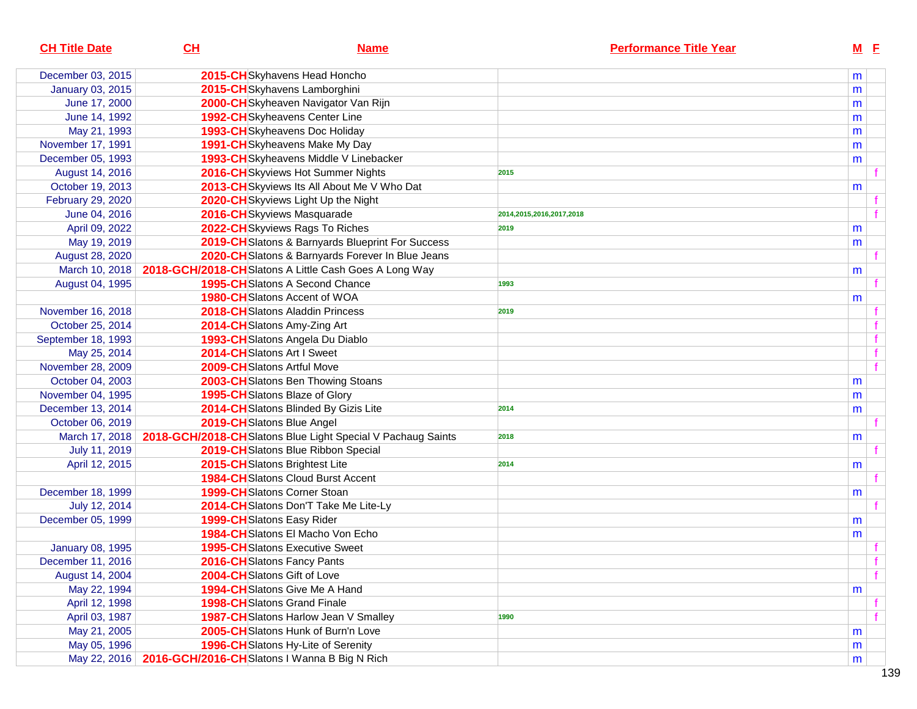| <b>CH Title Date</b>    | CL                                                          | <b>Name</b>                                                                  | <b>Performance Title Year</b> | $M$ $E$ |  |
|-------------------------|-------------------------------------------------------------|------------------------------------------------------------------------------|-------------------------------|---------|--|
| December 03, 2015       |                                                             | 2015-CHSkyhavens Head Honcho                                                 |                               | m       |  |
| <b>January 03, 2015</b> |                                                             | 2015-CHSkyhavens Lamborghini                                                 |                               | m       |  |
| June 17, 2000           |                                                             | 2000-CHSkyheaven Navigator Van Rijn                                          |                               | m       |  |
| June 14, 1992           |                                                             | 1992-CHSkyheavens Center Line                                                |                               | m       |  |
| May 21, 1993            |                                                             | 1993-CHSkyheavens Doc Holiday                                                |                               | m       |  |
| November 17, 1991       |                                                             | 1991-CH Skyheavens Make My Day                                               |                               | m       |  |
| December 05, 1993       |                                                             | 1993-CH Skyheavens Middle V Linebacker                                       |                               | m       |  |
| August 14, 2016         |                                                             | 2016-CH Skyviews Hot Summer Nights                                           | 2015                          |         |  |
| October 19, 2013        |                                                             | 2013-CH Skyviews Its All About Me V Who Dat                                  |                               | m       |  |
| February 29, 2020       |                                                             | 2020-CH Skyviews Light Up the Night                                          |                               |         |  |
| June 04, 2016           |                                                             | 2016-CHSkyviews Masquarade                                                   | 2014,2015,2016,2017,2018      |         |  |
| April 09, 2022          |                                                             | 2022-CHSkyviews Rags To Riches                                               | 2019                          | m       |  |
| May 19, 2019            |                                                             | 2019-CH Slatons & Barnyards Blueprint For Success                            |                               | m       |  |
| August 28, 2020         |                                                             | 2020-CHSlatons & Barnyards Forever In Blue Jeans                             |                               |         |  |
| March 10, 2018          |                                                             | 2018-GCH/2018-CHSlatons A Little Cash Goes A Long Way                        |                               | m       |  |
| August 04, 1995         |                                                             | 1995-CHSlatons A Second Chance                                               | 1993                          |         |  |
|                         |                                                             | <b>1980-CH</b> Slatons Accent of WOA                                         |                               | m       |  |
| November 16, 2018       |                                                             | 2018-CHSlatons Aladdin Princess                                              | 2019                          |         |  |
| October 25, 2014        |                                                             | 2014-CHSlatons Amy-Zing Art                                                  |                               |         |  |
| September 18, 1993      |                                                             | 1993-CH Slatons Angela Du Diablo                                             |                               |         |  |
| May 25, 2014            |                                                             | 2014-CHSlatons Art I Sweet                                                   |                               |         |  |
| November 28, 2009       |                                                             | 2009-CHSlatons Artful Move                                                   |                               |         |  |
| October 04, 2003        |                                                             | 2003-CHSlatons Ben Thowing Stoans                                            |                               | m       |  |
| November 04, 1995       |                                                             | 1995-CH Slatons Blaze of Glory                                               |                               | m       |  |
| December 13, 2014       |                                                             | 2014-CHSlatons Blinded By Gizis Lite                                         | 2014                          | m       |  |
| October 06, 2019        |                                                             | 2019-CHSlatons Blue Angel                                                    |                               |         |  |
|                         |                                                             | March 17, 2018   2018-GCH/2018-CHSIatons Blue Light Special V Pachaug Saints | 2018                          | m       |  |
| July 11, 2019           |                                                             | 2019-CHSlatons Blue Ribbon Special                                           |                               |         |  |
| April 12, 2015          |                                                             | 2015-CHSlatons Brightest Lite                                                | 2014                          | m       |  |
|                         |                                                             | <b>1984-CH</b> Slatons Cloud Burst Accent                                    |                               |         |  |
| December 18, 1999       |                                                             | <b>1999-CH</b> Slatons Corner Stoan                                          |                               | m       |  |
| July 12, 2014           |                                                             | 2014-CHSlatons Don'T Take Me Lite-Ly                                         |                               |         |  |
| December 05, 1999       |                                                             | 1999-CHSlatons Easy Rider                                                    |                               | m       |  |
|                         |                                                             | 1984-CH Slatons El Macho Von Echo                                            |                               | m       |  |
| <b>January 08, 1995</b> |                                                             | <b>1995-CH</b> Slatons Executive Sweet                                       |                               |         |  |
| December 11, 2016       |                                                             | 2016-CH Slatons Fancy Pants                                                  |                               |         |  |
| August 14, 2004         |                                                             | 2004-CHSlatons Gift of Love                                                  |                               |         |  |
| May 22, 1994            |                                                             | 1994-CHSlatons Give Me A Hand                                                |                               | m       |  |
| April 12, 1998          |                                                             | <b>1998-CH</b> Slatons Grand Finale                                          |                               |         |  |
| April 03, 1987          |                                                             | 1987-CH Slatons Harlow Jean V Smalley                                        | 1990                          |         |  |
| May 21, 2005            |                                                             | 2005-CH Slatons Hunk of Burn'n Love                                          |                               | m       |  |
| May 05, 1996            |                                                             | 1996-CHSlatons Hy-Lite of Serenity                                           |                               | m       |  |
|                         | May 22, 2016   2016-GCH/2016-CHSIatons I Wanna B Big N Rich |                                                                              |                               | m       |  |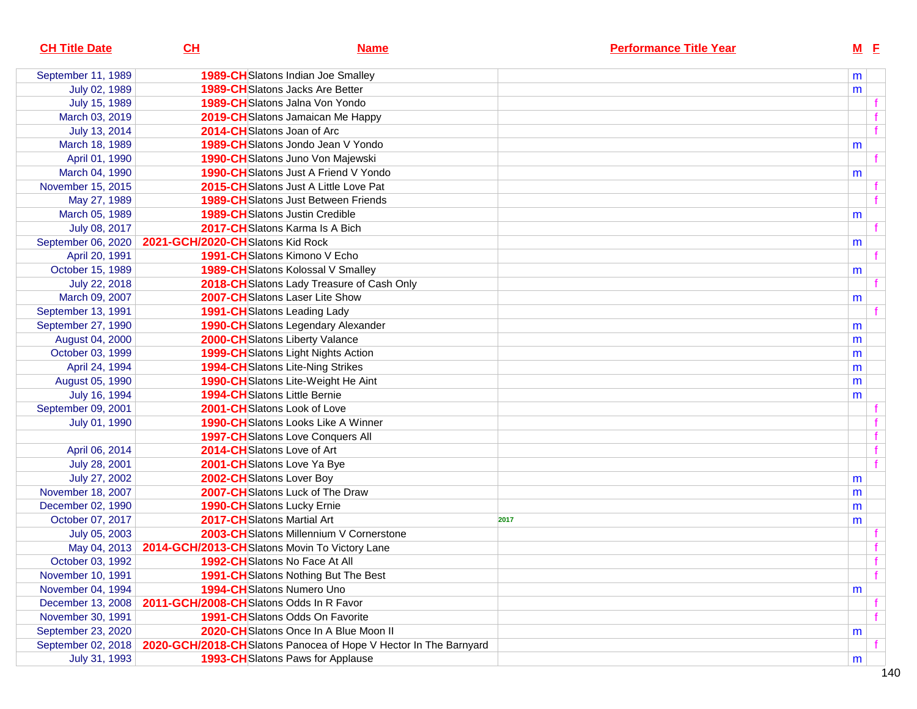| <b>CH Title Date</b> | CL                                                            | <b>Name</b>                                                      | <b>Performance Title Year</b> |   | $M$ E |  |
|----------------------|---------------------------------------------------------------|------------------------------------------------------------------|-------------------------------|---|-------|--|
| September 11, 1989   |                                                               | 1989-CH Slatons Indian Joe Smalley                               |                               | m |       |  |
| July 02, 1989        |                                                               | <b>1989-CH</b> Slatons Jacks Are Better                          |                               | m |       |  |
| July 15, 1989        |                                                               | 1989-CHSlatons Jalna Von Yondo                                   |                               |   |       |  |
| March 03, 2019       |                                                               | 2019-CH Slatons Jamaican Me Happy                                |                               |   |       |  |
| July 13, 2014        |                                                               | 2014-CHSlatons Joan of Arc                                       |                               |   |       |  |
| March 18, 1989       |                                                               | 1989-CHSlatons Jondo Jean V Yondo                                |                               | m |       |  |
| April 01, 1990       |                                                               | 1990-CH Slatons Juno Von Majewski                                |                               |   |       |  |
| March 04, 1990       |                                                               | <b>1990-CH</b> Slatons Just A Friend V Yondo                     |                               | m |       |  |
| November 15, 2015    |                                                               | 2015-CHSlatons Just A Little Love Pat                            |                               |   |       |  |
| May 27, 1989         |                                                               | <b>1989-CH</b> Slatons Just Between Friends                      |                               |   |       |  |
| March 05, 1989       |                                                               | <b>1989-CH</b> Slatons Justin Credible                           |                               | m |       |  |
| July 08, 2017        |                                                               | 2017-CHSlatons Karma Is A Bich                                   |                               |   |       |  |
| September 06, 2020   | 2021-GCH/2020-CHSlatons Kid Rock                              |                                                                  |                               | m |       |  |
| April 20, 1991       |                                                               | 1991-CHSlatons Kimono V Echo                                     |                               |   |       |  |
| October 15, 1989     |                                                               | 1989-CH Slatons Kolossal V Smalley                               |                               | m |       |  |
| July 22, 2018        |                                                               | 2018-CH Slatons Lady Treasure of Cash Only                       |                               |   |       |  |
| March 09, 2007       |                                                               | 2007-CHSlatons Laser Lite Show                                   |                               | m |       |  |
| September 13, 1991   |                                                               | 1991-CH Slatons Leading Lady                                     |                               |   |       |  |
| September 27, 1990   |                                                               | <b>1990-CH</b> Slatons Legendary Alexander                       |                               | m |       |  |
| August 04, 2000      |                                                               | 2000-CHSlatons Liberty Valance                                   |                               | m |       |  |
| October 03, 1999     |                                                               | 1999-CHSlatons Light Nights Action                               |                               | m |       |  |
| April 24, 1994       |                                                               | 1994-CH Slatons Lite-Ning Strikes                                |                               | m |       |  |
| August 05, 1990      |                                                               | 1990-CHSlatons Lite-Weight He Aint                               |                               | m |       |  |
| July 16, 1994        |                                                               | 1994-CH Slatons Little Bernie                                    |                               | m |       |  |
| September 09, 2001   |                                                               | 2001-CHSlatons Look of Love                                      |                               |   |       |  |
| July 01, 1990        |                                                               | 1990-CH Slatons Looks Like A Winner                              |                               |   |       |  |
|                      |                                                               | <b>1997-CH</b> Slatons Love Conquers All                         |                               |   |       |  |
| April 06, 2014       |                                                               | 2014-CHSlatons Love of Art                                       |                               |   |       |  |
| July 28, 2001        |                                                               | 2001-CHSlatons Love Ya Bye                                       |                               |   |       |  |
| July 27, 2002        |                                                               | 2002-CHSlatons Lover Boy                                         |                               | m |       |  |
| November 18, 2007    |                                                               | 2007-CHSlatons Luck of The Draw                                  |                               | m |       |  |
| December 02, 1990    |                                                               | 1990-CHSlatons Lucky Ernie                                       |                               | m |       |  |
| October 07, 2017     |                                                               | 2017-CH Slatons Martial Art                                      | 2017                          | m |       |  |
| July 05, 2003        |                                                               | 2003-CH Slatons Millennium V Cornerstone                         |                               |   |       |  |
|                      | May 04, 2013   2014-GCH/2013-CH Slatons Movin To Victory Lane |                                                                  |                               |   |       |  |
| October 03, 1992     |                                                               | 1992-CH Slatons No Face At All                                   |                               |   |       |  |
| November 10, 1991    |                                                               | 1991-CH Slatons Nothing But The Best                             |                               |   | f     |  |
| November 04, 1994    |                                                               | <b>1994-CH</b> Slatons Numero Uno                                |                               | m |       |  |
| December 13, 2008    | 2011-GCH/2008-CHSlatons Odds In R Favor                       |                                                                  |                               |   |       |  |
| November 30, 1991    |                                                               | <b>1991-CH</b> Slatons Odds On Favorite                          |                               |   |       |  |
| September 23, 2020   |                                                               | 2020-CH Slatons Once In A Blue Moon II                           |                               | m |       |  |
| September 02, 2018   |                                                               | 2020-GCH/2018-CHSlatons Panocea of Hope V Hector In The Barnyard |                               |   |       |  |
| July 31, 1993        |                                                               | <b>1993-CH</b> Slatons Paws for Applause                         |                               | m |       |  |
|                      |                                                               |                                                                  |                               |   |       |  |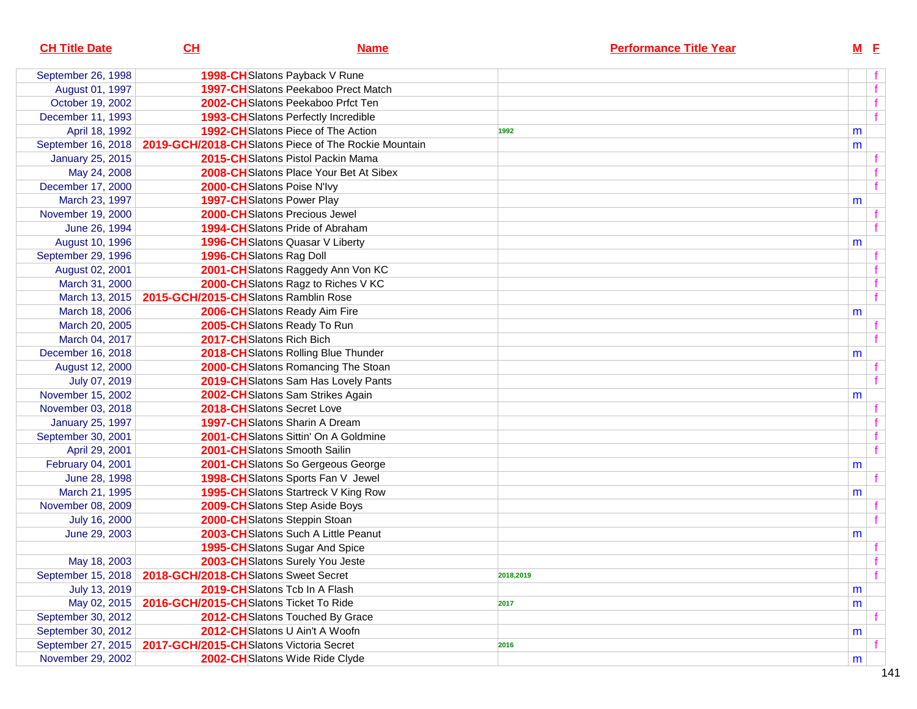| <b>CH Title Date</b>    | CH                                      | <b>Name</b>                                          |           | <b>Performance Title Year</b> |   | $M$ E |   |
|-------------------------|-----------------------------------------|------------------------------------------------------|-----------|-------------------------------|---|-------|---|
| September 26, 1998      |                                         | 1998-CHSlatons Payback V Rune                        |           |                               |   |       |   |
| August 01, 1997         |                                         | 1997-CH Slatons Peekaboo Prect Match                 |           |                               |   |       |   |
| October 19, 2002        |                                         | 2002-CHSlatons Peekaboo Prfct Ten                    |           |                               |   |       |   |
| December 11, 1993       |                                         | <b>1993-CH</b> Slatons Perfectly Incredible          |           |                               |   |       |   |
| April 18, 1992          |                                         | 1992-CH Slatons Piece of The Action                  | 1992      |                               | m |       |   |
| September 16, 2018      |                                         | 2019-GCH/2018-CHSlatons Piece of The Rockie Mountain |           |                               | m |       |   |
| <b>January 25, 2015</b> |                                         | 2015-CHSlatons Pistol Packin Mama                    |           |                               |   |       |   |
| May 24, 2008            |                                         | 2008-CHSlatons Place Your Bet At Sibex               |           |                               |   |       |   |
| December 17, 2000       | 2000-CHSlatons Poise N'Ivy              |                                                      |           |                               |   |       |   |
| March 23, 1997          | <b>1997-CH</b> Slatons Power Play       |                                                      |           |                               | m |       |   |
| November 19, 2000       |                                         | 2000-CHSlatons Precious Jewel                        |           |                               |   |       |   |
| June 26, 1994           |                                         | <b>1994-CH</b> Slatons Pride of Abraham              |           |                               |   |       |   |
| August 10, 1996         |                                         | <b>1996-CH</b> Slatons Quasar V Liberty              |           |                               | m |       |   |
| September 29, 1996      | 1996-CH Slatons Rag Doll                |                                                      |           |                               |   |       |   |
| August 02, 2001         |                                         | 2001-CH Slatons Raggedy Ann Von KC                   |           |                               |   |       |   |
| March 31, 2000          |                                         | 2000-CH Slatons Ragz to Riches V KC                  |           |                               |   |       |   |
| March 13, 2015          | 2015-GCH/2015-CHSlatons Ramblin Rose    |                                                      |           |                               |   |       |   |
| March 18, 2006          |                                         | 2006-CHSlatons Ready Aim Fire                        |           |                               | m |       |   |
| March 20, 2005          |                                         | 2005-CHSlatons Ready To Run                          |           |                               |   |       |   |
| March 04, 2017          | 2017-CHSlatons Rich Bich                |                                                      |           |                               |   |       |   |
| December 16, 2018       |                                         | 2018-CH Slatons Rolling Blue Thunder                 |           |                               | m |       |   |
| August 12, 2000         |                                         | 2000-CHSlatons Romancing The Stoan                   |           |                               |   |       |   |
| July 07, 2019           |                                         | 2019-CH Slatons Sam Has Lovely Pants                 |           |                               |   |       |   |
| November 15, 2002       |                                         | 2002-CHSlatons Sam Strikes Again                     |           |                               | m |       |   |
| November 03, 2018       | 2018-CHSlatons Secret Love              |                                                      |           |                               |   |       |   |
| <b>January 25, 1997</b> |                                         | <b>1997-CH</b> Slatons Sharin A Dream                |           |                               |   |       |   |
| September 30, 2001      |                                         | 2001-CHSlatons Sittin' On A Goldmine                 |           |                               |   |       |   |
| April 29, 2001          |                                         | 2001-CHSlatons Smooth Sailin                         |           |                               |   |       |   |
| February 04, 2001       |                                         | 2001-CHSlatons So Gergeous George                    |           |                               | m |       |   |
| June 28, 1998           |                                         | 1998-CHSlatons Sports Fan V Jewel                    |           |                               |   |       |   |
| March 21, 1995          |                                         | 1995-CH Slatons Startreck V King Row                 |           |                               | m |       |   |
| November 08, 2009       |                                         | 2009-CHSlatons Step Aside Boys                       |           |                               |   |       |   |
| July 16, 2000           |                                         | 2000-CHSlatons Steppin Stoan                         |           |                               |   |       |   |
| June 29, 2003           |                                         | 2003-CH Slatons Such A Little Peanut                 |           |                               | m |       |   |
|                         |                                         | 1995-CHSlatons Sugar And Spice                       |           |                               |   |       |   |
| May 18, 2003            |                                         | 2003-CHSlatons Surely You Jeste                      |           |                               |   |       |   |
| September 15, 2018      | 2018-GCH/2018-CHSlatons Sweet Secret    |                                                      | 2018,2019 |                               |   |       | f |
| July 13, 2019           |                                         | 2019-CHSlatons Tcb In A Flash                        |           |                               | m |       |   |
| May 02, 2015            | 2016-GCH/2015-CHSlatons Ticket To Ride  |                                                      | 2017      |                               | m |       |   |
| September 30, 2012      |                                         | 2012-CHSlatons Touched By Grace                      |           |                               |   |       |   |
| September 30, 2012      |                                         | 2012-CHSlatons U Ain't A Woofn                       |           |                               | m |       |   |
| September 27, 2015      | 2017-GCH/2015-CHSlatons Victoria Secret |                                                      | 2016      |                               |   |       |   |
| November 29, 2002       |                                         | 2002-CHSlatons Wide Ride Clyde                       |           |                               | m |       |   |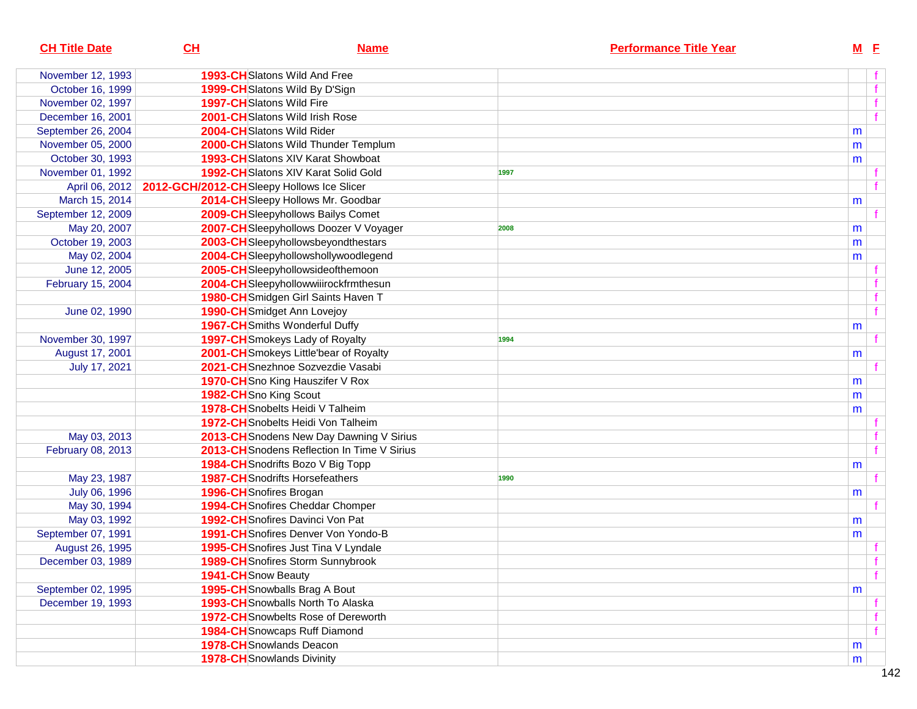| <b>CH Title Date</b> | CL                                        | <b>Name</b>                                 |      | <b>Performance Title Year</b> | $M$ E |      |
|----------------------|-------------------------------------------|---------------------------------------------|------|-------------------------------|-------|------|
| November 12, 1993    |                                           | <b>1993-CH</b> Slatons Wild And Free        |      |                               |       |      |
| October 16, 1999     |                                           | 1999-CH Slatons Wild By D'Sign              |      |                               |       | f    |
| November 02, 1997    |                                           | 1997-CHSlatons Wild Fire                    |      |                               |       |      |
| December 16, 2001    |                                           | 2001-CHSlatons Wild Irish Rose              |      |                               |       |      |
| September 26, 2004   |                                           | 2004-CHSlatons Wild Rider                   |      |                               | m     |      |
| November 05, 2000    |                                           | 2000-CHSlatons Wild Thunder Templum         |      |                               | m     |      |
| October 30, 1993     |                                           | 1993-CH Slatons XIV Karat Showboat          |      |                               | m     |      |
| November 01, 1992    |                                           | <b>1992-CH</b> Slatons XIV Karat Solid Gold | 1997 |                               |       |      |
| April 06, 2012       | 2012-GCH/2012-CHSleepy Hollows Ice Slicer |                                             |      |                               |       |      |
| March 15, 2014       |                                           | 2014-CHSleepy Hollows Mr. Goodbar           |      |                               | m     |      |
| September 12, 2009   |                                           | 2009-CHSleepyhollows Bailys Comet           |      |                               |       |      |
| May 20, 2007         |                                           | 2007-CH Sleepyhollows Doozer V Voyager      | 2008 |                               | m     |      |
| October 19, 2003     |                                           | 2003-CH Sleepyhollowsbeyond the stars       |      |                               | m     |      |
| May 02, 2004         |                                           | 2004-CHSleepyhollowshollywoodlegend         |      |                               | m     |      |
| June 12, 2005        |                                           | 2005-CHSleepyhollowsideofthemoon            |      |                               |       |      |
| February 15, 2004    |                                           | 2004-CHSleepyhollowwiiirockfrmthesun        |      |                               |       |      |
|                      |                                           | 1980-CHSmidgen Girl Saints Haven T          |      |                               |       |      |
| June 02, 1990        |                                           | 1990-CHSmidget Ann Lovejoy                  |      |                               |       |      |
|                      |                                           | <b>1967-CH</b> Smiths Wonderful Duffy       |      |                               | m     |      |
| November 30, 1997    |                                           | 1997-CH Smokeys Lady of Royalty             | 1994 |                               |       |      |
| August 17, 2001      |                                           | 2001-CH Smokeys Little'bear of Royalty      |      |                               | m     |      |
| July 17, 2021        |                                           | 2021-CHSnezhnoe Sozvezdie Vasabi            |      |                               |       |      |
|                      |                                           | 1970-CHSno King Hauszifer V Rox             |      |                               | m     |      |
|                      | 1982-CHSno King Scout                     |                                             |      |                               | m     |      |
|                      |                                           | 1978-CH Snobelts Heidi V Talheim            |      |                               | m     |      |
|                      |                                           | 1972-CH Snobelts Heidi Von Talheim          |      |                               |       |      |
| May 03, 2013         |                                           | 2013-CH Snodens New Day Dawning V Sirius    |      |                               |       |      |
| February 08, 2013    |                                           | 2013-CH Snodens Reflection In Time V Sirius |      |                               |       |      |
|                      |                                           | 1984-CH Snodrifts Bozo V Big Topp           |      |                               | m     |      |
| May 23, 1987         |                                           | <b>1987-CH</b> Snodrifts Horsefeathers      | 1990 |                               |       |      |
| July 06, 1996        | 1996-CH Snofires Brogan                   |                                             |      |                               | m     |      |
| May 30, 1994         |                                           | <b>1994-CH</b> Snofires Cheddar Chomper     |      |                               |       |      |
| May 03, 1992         |                                           | <b>1992-CH</b> Snofires Davinci Von Pat     |      |                               | m     |      |
| September 07, 1991   |                                           | 1991-CH Snofires Denver Von Yondo-B         |      |                               | m     |      |
| August 26, 1995      |                                           | 1995-CH Snofires Just Tina V Lyndale        |      |                               |       |      |
| December 03, 1989    |                                           | 1989-CH Snofires Storm Sunnybrook           |      |                               |       |      |
|                      | 1941-CH Snow Beauty                       |                                             |      |                               |       | $-f$ |
| September 02, 1995   |                                           | 1995-CH Snowballs Brag A Bout               |      |                               | m     |      |
| December 19, 1993    |                                           | <b>1993-CH</b> Snowballs North To Alaska    |      |                               |       |      |
|                      |                                           | 1972-CH Snowbelts Rose of Dereworth         |      |                               |       |      |
|                      |                                           | 1984-CH Snowcaps Ruff Diamond               |      |                               |       |      |
|                      |                                           | <b>1978-CH</b> Snowlands Deacon             |      |                               | m     |      |
|                      |                                           | <b>1978-CH</b> Snowlands Divinity           |      |                               | m     |      |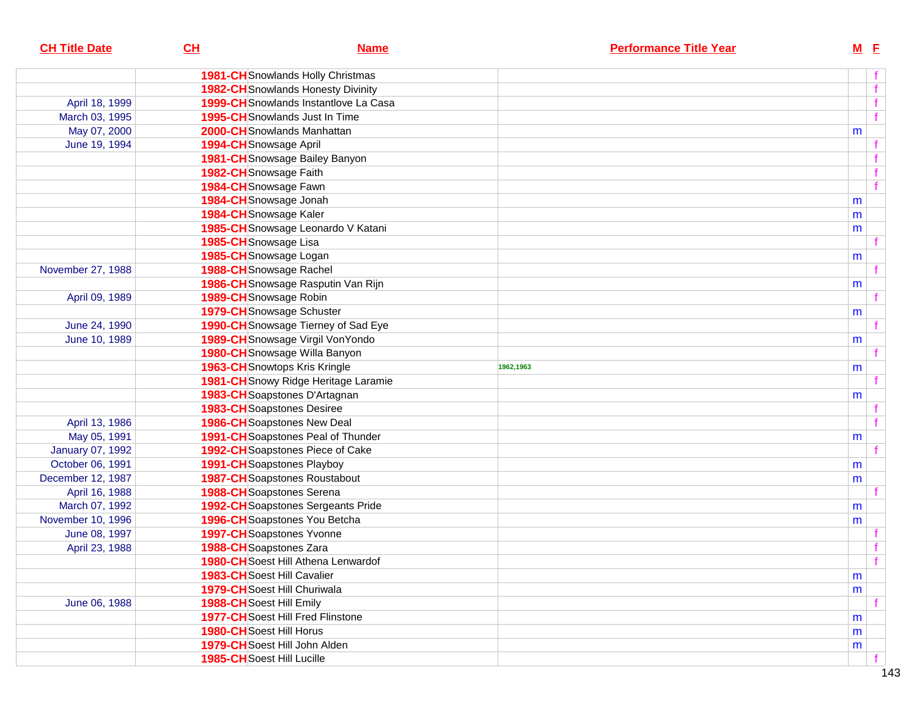| <b>CH Title Date</b> | CL                                  | <b>Name</b>                               |           | <b>Performance Title Year</b> | $M$ E |                     |
|----------------------|-------------------------------------|-------------------------------------------|-----------|-------------------------------|-------|---------------------|
|                      |                                     | 1981-CH Snowlands Holly Christmas         |           |                               |       |                     |
|                      |                                     | <b>1982-CH</b> Snowlands Honesty Divinity |           |                               |       | f                   |
| April 18, 1999       |                                     | 1999-CH Snowlands Instantlove La Casa     |           |                               |       | f                   |
| March 03, 1995       |                                     | <b>1995-CH</b> Snowlands Just In Time     |           |                               |       | f                   |
| May 07, 2000         |                                     | 2000-CHSnowlands Manhattan                |           |                               | m     |                     |
| June 19, 1994        | 1994-CH Snowsage April              |                                           |           |                               |       |                     |
|                      |                                     | 1981-CH Snowsage Bailey Banyon            |           |                               |       |                     |
|                      | 1982-CH Snowsage Faith              |                                           |           |                               |       |                     |
|                      | 1984-CHSnowsage Fawn                |                                           |           |                               |       | $\mathbf{f}$        |
|                      | 1984-CH Snowsage Jonah              |                                           |           |                               | m     |                     |
|                      | 1984-CHSnowsage Kaler               |                                           |           |                               | m     |                     |
|                      |                                     | 1985-CH Snowsage Leonardo V Katani        |           |                               | m     |                     |
|                      | 1985-CHSnowsage Lisa                |                                           |           |                               |       |                     |
|                      | 1985-CHSnowsage Logan               |                                           |           |                               | m     |                     |
| November 27, 1988    | 1988-CH Snowsage Rachel             |                                           |           |                               |       |                     |
|                      |                                     | 1986-CHSnowsage Rasputin Van Rijn         |           |                               | m     |                     |
| April 09, 1989       | 1989-CH Snowsage Robin              |                                           |           |                               |       |                     |
|                      | <b>1979-CH</b> Snowsage Schuster    |                                           |           |                               | m     |                     |
| June 24, 1990        |                                     | 1990-CH Snowsage Tierney of Sad Eye       |           |                               |       |                     |
| June 10, 1989        |                                     | 1989-CHSnowsage Virgil VonYondo           |           |                               | m     |                     |
|                      |                                     | 1980-CH Snowsage Willa Banyon             |           |                               |       |                     |
|                      |                                     | <b>1963-CH</b> Snowtops Kris Kringle      | 1962,1963 |                               | m     |                     |
|                      |                                     | 1981-CH Snowy Ridge Heritage Laramie      |           |                               |       |                     |
|                      |                                     | 1983-CH Soapstones D'Artagnan             |           |                               | m     |                     |
|                      | <b>1983-CH</b> Soapstones Desiree   |                                           |           |                               |       |                     |
| April 13, 1986       |                                     | <b>1986-CH</b> Soapstones New Deal        |           |                               |       |                     |
| May 05, 1991         |                                     | 1991-CH Soapstones Peal of Thunder        |           |                               | m     |                     |
| January 07, 1992     |                                     | 1992-CH Soapstones Piece of Cake          |           |                               |       |                     |
| October 06, 1991     | <b>1991-CH</b> Soapstones Playboy   |                                           |           |                               | m     |                     |
| December 12, 1987    |                                     | <b>1987-CH</b> Soapstones Roustabout      |           |                               | m     |                     |
| April 16, 1988       | <b>1988-CH</b> Soapstones Serena    |                                           |           |                               |       |                     |
| March 07, 1992       |                                     | <b>1992-CH</b> Soapstones Sergeants Pride |           |                               | m     |                     |
| November 10, 1996    |                                     | 1996-CH Soapstones You Betcha             |           |                               | m     |                     |
| June 08, 1997        | 1997-CH Soapstones Yvonne           |                                           |           |                               |       |                     |
| April 23, 1988       | 1988-CH Soapstones Zara             |                                           |           |                               |       |                     |
|                      |                                     | 1980-CH Soest Hill Athena Lenwardof       |           |                               |       | $\ddot{\mathbf{f}}$ |
|                      | 1983-CH Soest Hill Cavalier         |                                           |           |                               | m     |                     |
|                      | <b>1979-CH</b> Soest Hill Churiwala |                                           |           |                               | m     |                     |
| June 06, 1988        | 1988-CH Soest Hill Emily            |                                           |           |                               |       |                     |
|                      |                                     | <b>1977-CH</b> Soest Hill Fred Flinstone  |           |                               | m     |                     |
|                      | <b>1980-CH</b> Soest Hill Horus     |                                           |           |                               | m     |                     |
|                      | 1979-CH Soest Hill John Alden       |                                           |           |                               | m     |                     |
|                      | 1985-CH Soest Hill Lucille          |                                           |           |                               |       |                     |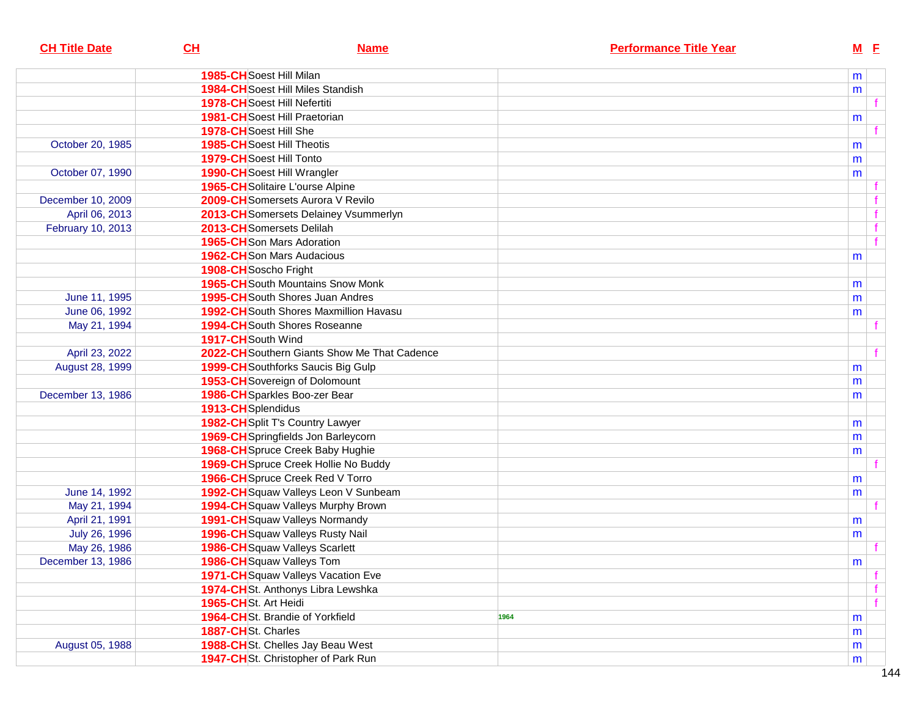| <b>CH Title Date</b> | CL                       | <b>Name</b>                                   |      | <b>Performance Title Year</b> | $M$ E |  |
|----------------------|--------------------------|-----------------------------------------------|------|-------------------------------|-------|--|
|                      | 1985-CH Soest Hill Milan |                                               |      |                               | m     |  |
|                      |                          | <b>1984-CH</b> Soest Hill Miles Standish      |      |                               | m     |  |
|                      |                          | <b>1978-CH</b> Soest Hill Nefertiti           |      |                               |       |  |
|                      |                          | 1981-CHSoest Hill Praetorian                  |      |                               | m     |  |
|                      | 1978-CH Soest Hill She   |                                               |      |                               |       |  |
| October 20, 1985     |                          | <b>1985-CH</b> Soest Hill Theotis             |      |                               | m     |  |
|                      | 1979-CH Soest Hill Tonto |                                               |      |                               | m     |  |
| October 07, 1990     |                          | 1990-CH Soest Hill Wrangler                   |      |                               | m     |  |
|                      |                          | 1965-CH Solitaire L'ourse Alpine              |      |                               |       |  |
| December 10, 2009    |                          | 2009-CH Somersets Aurora V Revilo             |      |                               |       |  |
| April 06, 2013       |                          | 2013-CH Somersets Delainey Vsummerlyn         |      |                               |       |  |
| February 10, 2013    |                          | 2013-CH Somersets Delilah                     |      |                               |       |  |
|                      |                          | 1965-CHSon Mars Adoration                     |      |                               |       |  |
|                      |                          | <b>1962-CH</b> Son Mars Audacious             |      |                               | m     |  |
|                      | 1908-CH Soscho Fright    |                                               |      |                               |       |  |
|                      |                          | <b>1965-CH</b> South Mountains Snow Monk      |      |                               | m     |  |
| June 11, 1995        |                          | <b>1995-CH</b> South Shores Juan Andres       |      |                               | m     |  |
| June 06, 1992        |                          | <b>1992-CH</b> South Shores Maxmillion Havasu |      |                               | m     |  |
| May 21, 1994         |                          | <b>1994-CH</b> South Shores Roseanne          |      |                               |       |  |
|                      | 1917-CH South Wind       |                                               |      |                               |       |  |
| April 23, 2022       |                          | 2022-CH Southern Giants Show Me That Cadence  |      |                               |       |  |
| August 28, 1999      |                          | 1999-CH Southforks Saucis Big Gulp            |      |                               | m     |  |
|                      |                          | 1953-CH Sovereign of Dolomount                |      |                               | m     |  |
| December 13, 1986    |                          | 1986-CH Sparkles Boo-zer Bear                 |      |                               | m     |  |
|                      | 1913-CH Splendidus       |                                               |      |                               |       |  |
|                      |                          | 1982-CHSplit T's Country Lawyer               |      |                               | m     |  |
|                      |                          | 1969-CH Springfields Jon Barleycorn           |      |                               | m     |  |
|                      |                          | 1968-CH Spruce Creek Baby Hughie              |      |                               | m     |  |
|                      |                          | 1969-CH Spruce Creek Hollie No Buddy          |      |                               |       |  |
|                      |                          | 1966-CHSpruce Creek Red V Torro               |      |                               | m     |  |
| June 14, 1992        |                          | 1992-CH Squaw Valleys Leon V Sunbeam          |      |                               | m     |  |
| May 21, 1994         |                          | 1994-CH Squaw Valleys Murphy Brown            |      |                               |       |  |
| April 21, 1991       |                          | 1991-CH Squaw Valleys Normandy                |      |                               | m     |  |
| July 26, 1996        |                          | 1996-CH Squaw Valleys Rusty Nail              |      |                               | m     |  |
| May 26, 1986         |                          | <b>1986-CH</b> Squaw Valleys Scarlett         |      |                               |       |  |
| December 13, 1986    |                          | 1986-CH Squaw Valleys Tom                     |      |                               | m     |  |
|                      |                          | 1971-CH Squaw Valleys Vacation Eve            |      |                               |       |  |
|                      |                          | 1974-CHSt. Anthonys Libra Lewshka             |      |                               |       |  |
|                      | 1965-CHSt. Art Heidi     |                                               |      |                               |       |  |
|                      |                          | 1964-CHSt. Brandie of Yorkfield               | 1964 |                               | m     |  |
|                      | 1887-CHSt. Charles       |                                               |      |                               | m     |  |
| August 05, 1988      |                          | 1988-CHSt. Chelles Jay Beau West              |      |                               | m     |  |
|                      |                          | 1947-CHSt. Christopher of Park Run            |      |                               | m     |  |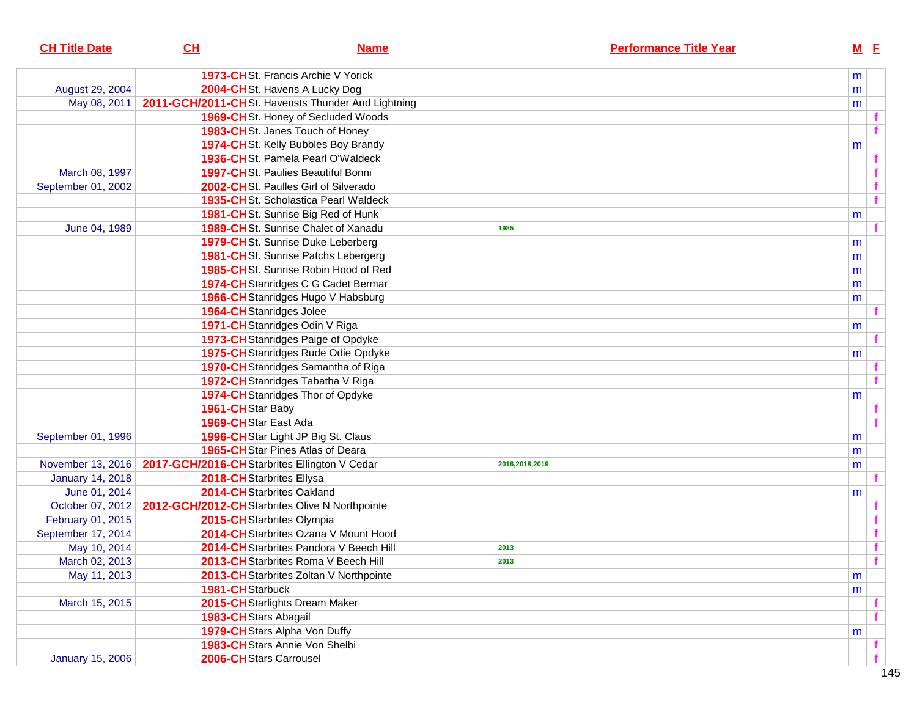| <b>CH Title Date</b>    | CL                                             | <b>Name</b>                                        |                | <b>Performance Title Year</b> |   | $M$ E        |
|-------------------------|------------------------------------------------|----------------------------------------------------|----------------|-------------------------------|---|--------------|
|                         |                                                | 1973-CHSt. Francis Archie V Yorick                 |                |                               | m |              |
| August 29, 2004         |                                                | 2004-CHSt. Havens A Lucky Dog                      |                |                               | m |              |
| May 08, 2011            |                                                | 2011-GCH/2011-CHSt. Havensts Thunder And Lightning |                |                               | m |              |
|                         |                                                | 1969-CHSt. Honey of Secluded Woods                 |                |                               |   |              |
|                         |                                                | 1983-CHSt. Janes Touch of Honey                    |                |                               |   |              |
|                         |                                                | 1974-CHSt. Kelly Bubbles Boy Brandy                |                |                               | m |              |
|                         |                                                | 1936-CHSt. Pamela Pearl O'Waldeck                  |                |                               |   |              |
| March 08, 1997          |                                                | <b>1997-CH</b> St. Paulies Beautiful Bonni         |                |                               |   |              |
| September 01, 2002      |                                                | 2002-CHSt. Paulles Girl of Silverado               |                |                               |   |              |
|                         |                                                | 1935-CHSt. Scholastica Pearl Waldeck               |                |                               |   | $\mathbf{f}$ |
|                         |                                                | 1981-CHSt. Sunrise Big Red of Hunk                 |                |                               | m |              |
| June 04, 1989           |                                                | 1989-CHSt. Sunrise Chalet of Xanadu                | 1985           |                               |   |              |
|                         |                                                | 1979-CHSt. Sunrise Duke Leberberg                  |                |                               | m |              |
|                         |                                                | 1981-CHSt. Sunrise Patchs Lebergerg                |                |                               | m |              |
|                         |                                                | 1985-CHSt. Sunrise Robin Hood of Red               |                |                               | m |              |
|                         |                                                | 1974-CH Stanridges C G Cadet Bermar                |                |                               | m |              |
|                         |                                                | 1966-CH Stanridges Hugo V Habsburg                 |                |                               | m |              |
|                         | 1964-CH Stanridges Jolee                       |                                                    |                |                               |   |              |
|                         |                                                | 1971-CH Stanridges Odin V Riga                     |                |                               | m |              |
|                         |                                                | 1973-CH Stanridges Paige of Opdyke                 |                |                               |   |              |
|                         |                                                | 1975-CH Stanridges Rude Odie Opdyke                |                |                               | m |              |
|                         |                                                | 1970-CH Stanridges Samantha of Riga                |                |                               |   |              |
|                         |                                                | 1972-CH Stanridges Tabatha V Riga                  |                |                               |   |              |
|                         |                                                | 1974-CH Stanridges Thor of Opdyke                  |                |                               | m |              |
|                         | 1961-CHStar Baby                               |                                                    |                |                               |   |              |
|                         | 1969-CHStar East Ada                           |                                                    |                |                               |   |              |
| September 01, 1996      |                                                | 1996-CHStar Light JP Big St. Claus                 |                |                               | m |              |
|                         |                                                | 1965-CH Star Pines Atlas of Deara                  |                |                               | m |              |
| November 13, 2016       | 2017-GCH/2016-CHStarbrites Ellington V Cedar   |                                                    | 2016,2018,2019 |                               | m |              |
| <b>January 14, 2018</b> | 2018-CH Starbrites Ellysa                      |                                                    |                |                               |   |              |
| June 01, 2014           | 2014-CH Starbrites Oakland                     |                                                    |                |                               | m |              |
| October 07, 2012        | 2012-GCH/2012-CHStarbrites Olive N Northpointe |                                                    |                |                               |   |              |
| February 01, 2015       | 2015-CH Starbrites Olympia                     |                                                    |                |                               |   |              |
| September 17, 2014      |                                                | 2014-CH Starbrites Ozana V Mount Hood              |                |                               |   |              |
| May 10, 2014            |                                                | 2014-CH Starbrites Pandora V Beech Hill            | 2013           |                               |   |              |
| March 02, 2013          |                                                | 2013-CH Starbrites Roma V Beech Hill               | 2013           |                               |   | f            |
| May 11, 2013            |                                                | 2013-CH Starbrites Zoltan V Northpointe            |                |                               | m |              |
|                         | 1981-CHStarbuck                                |                                                    |                |                               | m |              |
| March 15, 2015          |                                                | 2015-CH Starlights Dream Maker                     |                |                               |   |              |
|                         | 1983-CHStars Abagail                           |                                                    |                |                               |   |              |
|                         |                                                | 1979-CH Stars Alpha Von Duffy                      |                |                               | m |              |
|                         |                                                | 1983-CH Stars Annie Von Shelbi                     |                |                               |   |              |
| <b>January 15, 2006</b> | 2006-CH Stars Carrousel                        |                                                    |                |                               |   |              |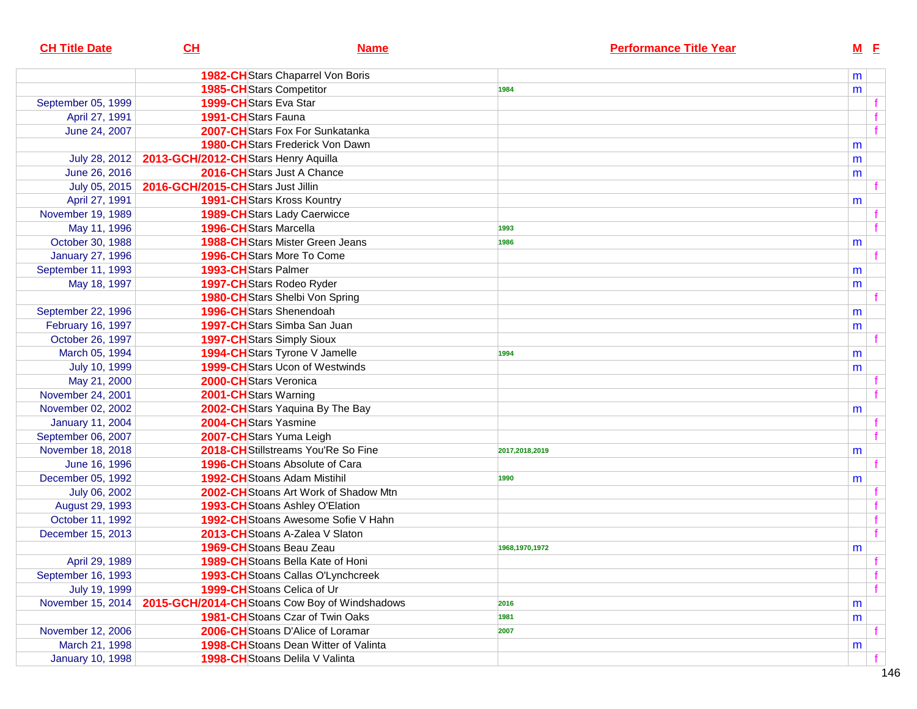| <b>CH Title Date</b>    | CH                                            | <b>Name</b>                                  |                | <b>Performance Title Year</b> |   | $M$ E |
|-------------------------|-----------------------------------------------|----------------------------------------------|----------------|-------------------------------|---|-------|
|                         | <b>1982-CH</b> Stars Chaparrel Von Boris      |                                              |                |                               | m |       |
|                         | <b>1985-CH</b> Stars Competitor               |                                              | 1984           |                               | m |       |
| September 05, 1999      | <b>1999-CH</b> Stars Eva Star                 |                                              |                |                               |   |       |
| April 27, 1991          | <b>1991-CH</b> Stars Fauna                    |                                              |                |                               |   |       |
| June 24, 2007           | 2007-CH Stars Fox For Sunkatanka              |                                              |                |                               |   |       |
|                         | <b>1980-CH</b> Stars Frederick Von Dawn       |                                              |                |                               | m |       |
| July 28, 2012           | 2013-GCH/2012-CHStars Henry Aquilla           |                                              |                |                               | m |       |
| June 26, 2016           | 2016-CHStars Just A Chance                    |                                              |                |                               | m |       |
| July 05, 2015           | 2016-GCH/2015-CHStars Just Jillin             |                                              |                |                               |   |       |
| April 27, 1991          | <b>1991-CH</b> Stars Kross Kountry            |                                              |                |                               | m |       |
| November 19, 1989       | <b>1989-CH</b> Stars Lady Caerwicce           |                                              |                |                               |   |       |
| May 11, 1996            | 1996-CH Stars Marcella                        |                                              | 1993           |                               |   |       |
| October 30, 1988        | <b>1988-CH</b> Stars Mister Green Jeans       |                                              | 1986           |                               | m |       |
| <b>January 27, 1996</b> | <b>1996-CH</b> Stars More To Come             |                                              |                |                               |   |       |
| September 11, 1993      | 1993-CHStars Palmer                           |                                              |                |                               | m |       |
| May 18, 1997            | 1997-CHStars Rodeo Ryder                      |                                              |                |                               | m |       |
|                         | 1980-CH Stars Shelbi Von Spring               |                                              |                |                               |   |       |
| September 22, 1996      | 1996-CHStars Shenendoah                       |                                              |                |                               | m |       |
| February 16, 1997       | <b>1997-CH</b> Stars Simba San Juan           |                                              |                |                               | m |       |
| October 26, 1997        | <b>1997-CH</b> Stars Simply Sioux             |                                              |                |                               |   |       |
| March 05, 1994          | 1994-CH Stars Tyrone V Jamelle                |                                              | 1994           |                               | m |       |
| July 10, 1999           | <b>1999-CH</b> Stars Ucon of Westwinds        |                                              |                |                               | m |       |
| May 21, 2000            | 2000-CHStars Veronica                         |                                              |                |                               |   |       |
| November 24, 2001       | 2001-CH Stars Warning                         |                                              |                |                               |   |       |
| November 02, 2002       | 2002-CHStars Yaquina By The Bay               |                                              |                |                               | m |       |
| <b>January 11, 2004</b> | 2004-CH Stars Yasmine                         |                                              |                |                               |   |       |
| September 06, 2007      | 2007-CHStars Yuma Leigh                       |                                              |                |                               |   |       |
| November 18, 2018       |                                               | 2018-CHStillstreams You'Re So Fine           | 2017,2018,2019 |                               | m |       |
| June 16, 1996           | <b>1996-CH</b> Stoans Absolute of Cara        |                                              |                |                               |   |       |
| December 05, 1992       | <b>1992-CH</b> Stoans Adam Mistihil           |                                              | 1990           |                               | m |       |
| July 06, 2002           |                                               | 2002-CHStoans Art Work of Shadow Mtn         |                |                               |   |       |
| August 29, 1993         | 1993-CH Stoans Ashley O'Elation               |                                              |                |                               |   |       |
| October 11, 1992        |                                               | 1992-CH Stoans Awesome Sofie V Hahn          |                |                               |   |       |
| December 15, 2013       | 2013-CH Stoans A-Zalea V Slaton               |                                              |                |                               |   |       |
|                         | 1969-CHStoans Beau Zeau                       |                                              | 1968,1970,1972 |                               | m |       |
| April 29, 1989          | 1989-CH Stoans Bella Kate of Honi             |                                              |                |                               |   |       |
| September 16, 1993      |                                               | 1993-CHStoans Callas O'Lynchcreek            |                |                               |   |       |
| July 19, 1999           | 1999-CH Stoans Celica of Ur                   |                                              |                |                               |   |       |
| November 15, 2014       | 2015-GCH/2014-CHStoans Cow Boy of Windshadows |                                              | 2016           |                               | m |       |
|                         | 1981-CHStoans Czar of Twin Oaks               |                                              | 1981           |                               | m |       |
| November 12, 2006       | 2006-CHStoans D'Alice of Loramar              |                                              | 2007           |                               |   |       |
| March 21, 1998          |                                               | <b>1998-CH</b> Stoans Dean Witter of Valinta |                |                               | m |       |
| <b>January 10, 1998</b> | 1998-CHStoans Delila V Valinta                |                                              |                |                               |   |       |
|                         |                                               |                                              |                |                               |   |       |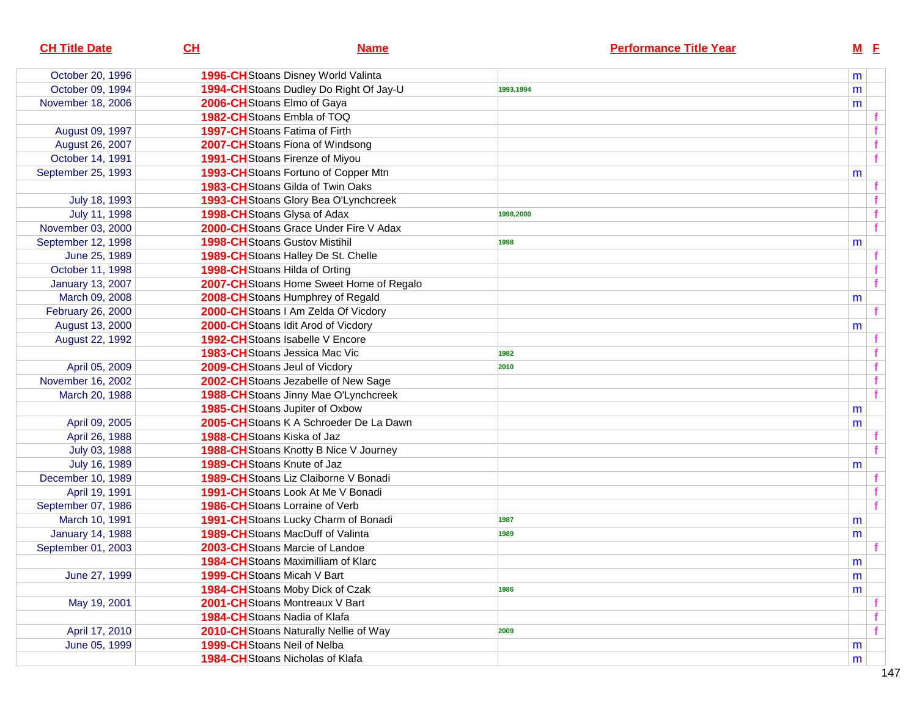| <b>CH Title Date</b>    | CL | <b>Name</b>                              | <b>Performance Title Year</b> |   | $M$ E |  |
|-------------------------|----|------------------------------------------|-------------------------------|---|-------|--|
| October 20, 1996        |    | 1996-CH Stoans Disney World Valinta      |                               | m |       |  |
| October 09, 1994        |    | 1994-CH Stoans Dudley Do Right Of Jay-U  | 1993,1994                     | m |       |  |
| November 18, 2006       |    | 2006-CH Stoans Elmo of Gaya              |                               | m |       |  |
|                         |    | 1982-CH Stoans Embla of TOQ              |                               |   |       |  |
| August 09, 1997         |    | <b>1997-CH</b> Stoans Fatima of Firth    |                               |   |       |  |
| August 26, 2007         |    | 2007-CH Stoans Fiona of Windsong         |                               |   |       |  |
| October 14, 1991        |    | 1991-CHStoans Firenze of Miyou           |                               |   |       |  |
| September 25, 1993      |    | 1993-CH Stoans Fortuno of Copper Mtn     |                               | m |       |  |
|                         |    | 1983-CH Stoans Gilda of Twin Oaks        |                               |   |       |  |
| July 18, 1993           |    | 1993-CH Stoans Glory Bea O'Lynchcreek    |                               |   |       |  |
| July 11, 1998           |    | 1998-CH Stoans Glysa of Adax             | 1998,2000                     |   |       |  |
| November 03, 2000       |    | 2000-CH Stoans Grace Under Fire V Adax   |                               |   |       |  |
| September 12, 1998      |    | <b>1998-CH</b> Stoans Gustov Mistihil    | 1998                          | m |       |  |
| June 25, 1989           |    | 1989-CH Stoans Halley De St. Chelle      |                               |   |       |  |
| October 11, 1998        |    | 1998-CH Stoans Hilda of Orting           |                               |   |       |  |
| <b>January 13, 2007</b> |    | 2007-CH Stoans Home Sweet Home of Regalo |                               |   |       |  |
| March 09, 2008          |    | 2008-CH Stoans Humphrey of Regald        |                               | m |       |  |
| February 26, 2000       |    | 2000-CH Stoans I Am Zelda Of Vicdory     |                               |   |       |  |
| August 13, 2000         |    | 2000-CH Stoans Idit Arod of Vicdory      |                               | m |       |  |
| August 22, 1992         |    | <b>1992-CH</b> Stoans Isabelle V Encore  |                               |   |       |  |
|                         |    | <b>1983-CH</b> Stoans Jessica Mac Vic    | 1982                          |   |       |  |
| April 05, 2009          |    | 2009-CHStoans Jeul of Vicdory            | 2010                          |   |       |  |
| November 16, 2002       |    | 2002-CH Stoans Jezabelle of New Sage     |                               |   |       |  |
| March 20, 1988          |    | 1988-CH Stoans Jinny Mae O'Lynchcreek    |                               |   |       |  |
|                         |    | 1985-CHStoans Jupiter of Oxbow           |                               | m |       |  |
| April 09, 2005          |    | 2005-CHStoans K A Schroeder De La Dawn   |                               | m |       |  |
| April 26, 1988          |    | 1988-CH Stoans Kiska of Jaz              |                               |   |       |  |
| July 03, 1988           |    | 1988-CH Stoans Knotty B Nice V Journey   |                               |   |       |  |
| July 16, 1989           |    | 1989-CH Stoans Knute of Jaz              |                               | m |       |  |
| December 10, 1989       |    | 1989-CH Stoans Liz Claiborne V Bonadi    |                               |   |       |  |
| April 19, 1991          |    | 1991-CH Stoans Look At Me V Bonadi       |                               |   |       |  |
| September 07, 1986      |    | <b>1986-CH</b> Stoans Lorraine of Verb   |                               |   |       |  |
| March 10, 1991          |    | 1991-CH Stoans Lucky Charm of Bonadi     | 1987                          | m |       |  |
| <b>January 14, 1988</b> |    | <b>1989-CH</b> Stoans MacDuff of Valinta | 1989                          | m |       |  |
| September 01, 2003      |    | 2003-CH Stoans Marcie of Landoe          |                               |   |       |  |
|                         |    | 1984-CH Stoans Maximilliam of Klarc      |                               | m |       |  |
| June 27, 1999           |    | 1999-CHStoans Micah V Bart               |                               | m |       |  |
|                         |    | 1984-CH Stoans Moby Dick of Czak         | 1986                          | m |       |  |
| May 19, 2001            |    | 2001-CHStoans Montreaux V Bart           |                               |   |       |  |
|                         |    | 1984-CH Stoans Nadia of Klafa            |                               |   |       |  |
| April 17, 2010          |    | 2010-CH Stoans Naturally Nellie of Way   | 2009                          |   | f     |  |
| June 05, 1999           |    | 1999-CHStoans Neil of Nelba              |                               | m |       |  |
|                         |    | 1984-CH Stoans Nicholas of Klafa         |                               | m |       |  |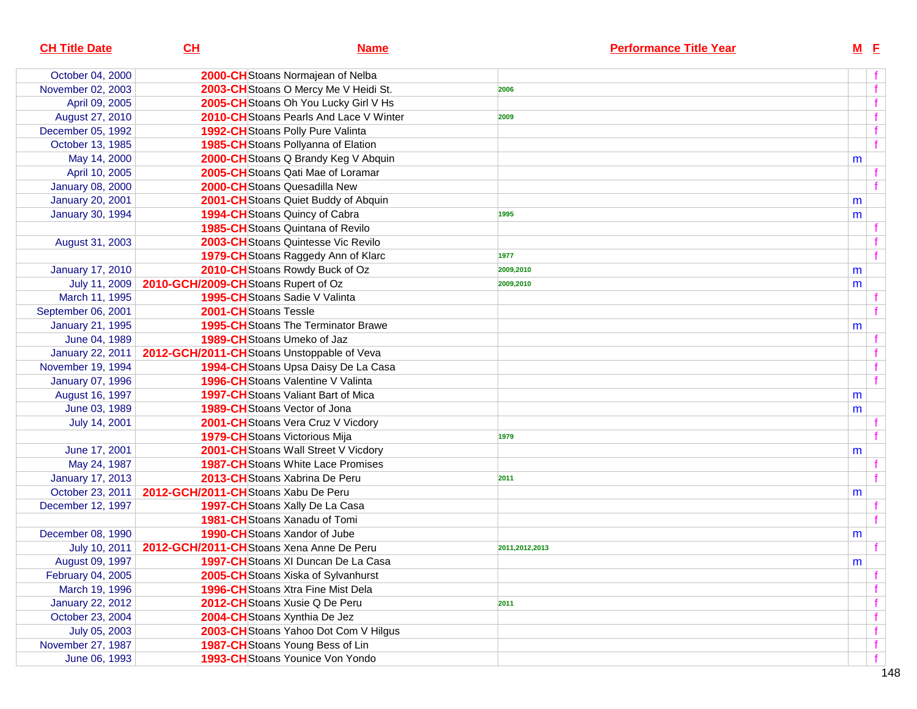| <b>CH Title Date</b>    | CH                                                       | <b>Name</b>                                | <b>Performance Title Year</b> | $M$ E |              |
|-------------------------|----------------------------------------------------------|--------------------------------------------|-------------------------------|-------|--------------|
| October 04, 2000        |                                                          | 2000-CHStoans Normajean of Nelba           |                               |       |              |
| November 02, 2003       |                                                          | 2003-CH Stoans O Mercy Me V Heidi St.      | 2006                          |       | $\mathbf{f}$ |
| April 09, 2005          |                                                          | 2005-CH Stoans Oh You Lucky Girl V Hs      |                               |       |              |
| August 27, 2010         |                                                          | 2010-CH Stoans Pearls And Lace V Winter    | 2009                          |       |              |
| December 05, 1992       |                                                          | 1992-CH Stoans Polly Pure Valinta          |                               |       |              |
| October 13, 1985        |                                                          | 1985-CH Stoans Pollyanna of Elation        |                               |       |              |
| May 14, 2000            |                                                          | 2000-CH Stoans Q Brandy Keg V Abquin       |                               | m     |              |
| April 10, 2005          |                                                          | 2005-CHStoans Qati Mae of Loramar          |                               |       |              |
| <b>January 08, 2000</b> |                                                          | <b>2000-CH</b> Stoans Quesadilla New       |                               |       |              |
| <b>January 20, 2001</b> |                                                          | 2001-CHStoans Quiet Buddy of Abquin        |                               | m     |              |
| <b>January 30, 1994</b> |                                                          | 1994-CH Stoans Quincy of Cabra             | 1995                          | m     |              |
|                         |                                                          | 1985-CHStoans Quintana of Revilo           |                               |       |              |
| August 31, 2003         |                                                          | 2003-CHStoans Quintesse Vic Revilo         |                               |       |              |
|                         |                                                          | 1979-CH Stoans Raggedy Ann of Klarc        | 1977                          |       |              |
| <b>January 17, 2010</b> |                                                          | 2010-CH Stoans Rowdy Buck of Oz            | 2009,2010                     | m     |              |
| July 11, 2009           | 2010-GCH/2009-CHStoans Rupert of Oz                      |                                            | 2009,2010                     | m     |              |
| March 11, 1995          |                                                          | 1995-CH Stoans Sadie V Valinta             |                               |       |              |
| September 06, 2001      | 2001-CHStoans Tessle                                     |                                            |                               |       |              |
| <b>January 21, 1995</b> |                                                          | <b>1995-CH</b> Stoans The Terminator Brawe |                               | m     |              |
| June 04, 1989           |                                                          | <b>1989-CH</b> Stoans Umeko of Jaz         |                               |       |              |
| <b>January 22, 2011</b> |                                                          | 2012-GCH/2011-CHStoans Unstoppable of Veva |                               |       |              |
| November 19, 1994       |                                                          | 1994-CH Stoans Upsa Daisy De La Casa       |                               |       |              |
| <b>January 07, 1996</b> |                                                          | <b>1996-CH</b> Stoans Valentine V Valinta  |                               |       |              |
| August 16, 1997         |                                                          | <b>1997-CH</b> Stoans Valiant Bart of Mica |                               | m     |              |
| June 03, 1989           |                                                          | <b>1989-CH</b> Stoans Vector of Jona       |                               | m     |              |
| July 14, 2001           |                                                          | 2001-CHStoans Vera Cruz V Vicdory          |                               |       |              |
|                         |                                                          | 1979-CH Stoans Victorious Mija             | 1979                          |       |              |
| June 17, 2001           |                                                          | 2001-CH Stoans Wall Street V Vicdory       |                               | m     |              |
| May 24, 1987            |                                                          | <b>1987-CH</b> Stoans White Lace Promises  |                               |       |              |
| <b>January 17, 2013</b> |                                                          | 2013-CHStoans Xabrina De Peru              | 2011                          |       |              |
| October 23, 2011        | 2012-GCH/2011-CHStoans Xabu De Peru                      |                                            |                               | m     |              |
| December 12, 1997       |                                                          | 1997-CH Stoans Xally De La Casa            |                               |       |              |
|                         |                                                          | 1981-CHStoans Xanadu of Tomi               |                               |       |              |
| December 08, 1990       |                                                          | <b>1990-CH</b> Stoans Xandor of Jube       |                               | m     |              |
|                         | July 10, 2011   2012-GCH/2011-CHStoans Xena Anne De Peru |                                            | 2011,2012,2013                |       |              |
| August 09, 1997         |                                                          | <b>1997-CH</b> Stoans XI Duncan De La Casa |                               | m     |              |
| February 04, 2005       |                                                          | 2005-CHStoans Xiska of Sylvanhurst         |                               |       |              |
| March 19, 1996          |                                                          | <b>1996-CH</b> Stoans Xtra Fine Mist Dela  |                               |       |              |
| <b>January 22, 2012</b> |                                                          | 2012-CHStoans Xusie Q De Peru              | 2011                          |       |              |
| October 23, 2004        |                                                          | 2004-CHStoans Xynthia De Jez               |                               |       |              |
| July 05, 2003           |                                                          | 2003-CH Stoans Yahoo Dot Com V Hilgus      |                               |       |              |
| November 27, 1987       |                                                          | 1987-CH Stoans Young Bess of Lin           |                               |       |              |
| June 06, 1993           |                                                          | 1993-CH Stoans Younice Von Yondo           |                               |       |              |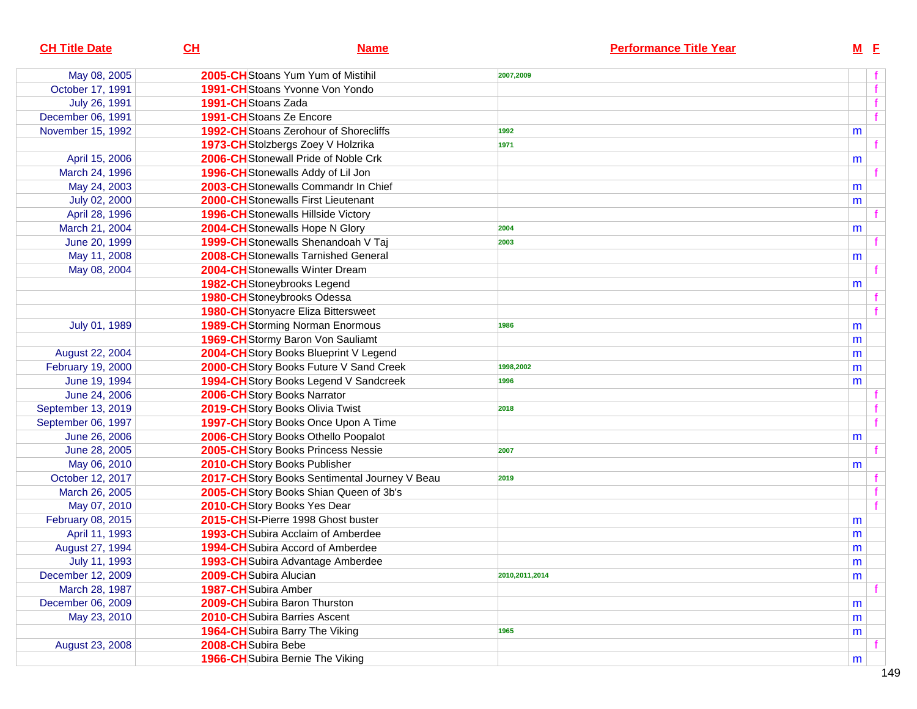| <b>CH Title Date</b> | CL                   | <b>Name</b>                                    | <b>Performance Title Year</b> | $M$ E |  |
|----------------------|----------------------|------------------------------------------------|-------------------------------|-------|--|
| May 08, 2005         |                      | 2005-CHStoans Yum Yum of Mistihil              | 2007,2009                     |       |  |
| October 17, 1991     |                      | <b>1991-CH</b> Stoans Yvonne Von Yondo         |                               |       |  |
| July 26, 1991        | 1991-CHStoans Zada   |                                                |                               |       |  |
| December 06, 1991    |                      | 1991-CH Stoans Ze Encore                       |                               |       |  |
| November 15, 1992    |                      | 1992-CH Stoans Zerohour of Shorecliffs         | 1992                          | m     |  |
|                      |                      | 1973-CH Stolzbergs Zoey V Holzrika             | 1971                          |       |  |
| April 15, 2006       |                      | 2006-CH Stonewall Pride of Noble Crk           |                               | m     |  |
| March 24, 1996       |                      | 1996-CH Stonewalls Addy of Lil Jon             |                               |       |  |
| May 24, 2003         |                      | 2003-CH Stonewalls Commandr In Chief           |                               | m     |  |
| July 02, 2000        |                      | <b>2000-CH</b> Stonewalls First Lieutenant     |                               | m     |  |
| April 28, 1996       |                      | <b>1996-CH</b> Stonewalls Hillside Victory     |                               |       |  |
| March 21, 2004       |                      | 2004-CH Stonewalls Hope N Glory                | 2004                          | m     |  |
| June 20, 1999        |                      | 1999-CH Stonewalls Shenandoah V Taj            | 2003                          |       |  |
| May 11, 2008         |                      | 2008-CHStonewalls Tarnished General            |                               | m     |  |
| May 08, 2004         |                      | 2004-CHStonewalls Winter Dream                 |                               |       |  |
|                      |                      | 1982-CHStoneybrooks Legend                     |                               | m     |  |
|                      |                      | 1980-CH Stoneybrooks Odessa                    |                               |       |  |
|                      |                      | <b>1980-CH</b> Stonyacre Eliza Bittersweet     |                               |       |  |
| July 01, 1989        |                      | <b>1989-CH</b> Storming Norman Enormous        | 1986                          | m     |  |
|                      |                      | 1969-CH Stormy Baron Von Sauliamt              |                               | m     |  |
| August 22, 2004      |                      | 2004-CH Story Books Blueprint V Legend         |                               | m     |  |
| February 19, 2000    |                      | 2000-CH Story Books Future V Sand Creek        | 1998,2002                     | m     |  |
| June 19, 1994        |                      | 1994-CH Story Books Legend V Sandcreek         | 1996                          | m     |  |
| June 24, 2006        |                      | 2006-CH Story Books Narrator                   |                               |       |  |
| September 13, 2019   |                      | 2019-CH Story Books Olivia Twist               | 2018                          |       |  |
| September 06, 1997   |                      | 1997-CH Story Books Once Upon A Time           |                               |       |  |
| June 26, 2006        |                      | 2006-CH Story Books Othello Poopalot           |                               | m     |  |
| June 28, 2005        |                      | 2005-CH Story Books Princess Nessie            | 2007                          |       |  |
| May 06, 2010         |                      | 2010-CH Story Books Publisher                  |                               | m     |  |
| October 12, 2017     |                      | 2017-CH Story Books Sentimental Journey V Beau | 2019                          |       |  |
| March 26, 2005       |                      | 2005-CH Story Books Shian Queen of 3b's        |                               |       |  |
| May 07, 2010         |                      | 2010-CH Story Books Yes Dear                   |                               |       |  |
| February 08, 2015    |                      | 2015-CHSt-Pierre 1998 Ghost buster             |                               | m     |  |
| April 11, 1993       |                      | <b>1993-CH</b> Subira Acclaim of Amberdee      |                               | m     |  |
| August 27, 1994      |                      | 1994-CH Subira Accord of Amberdee              |                               | m     |  |
| July 11, 1993        |                      | 1993-CH Subira Advantage Amberdee              |                               | m     |  |
| December 12, 2009    |                      | 2009-CH Subira Alucian                         | 2010,2011,2014                | m     |  |
| March 28, 1987       | 1987-CH Subira Amber |                                                |                               |       |  |
| December 06, 2009    |                      | 2009-CH Subira Baron Thurston                  |                               | m     |  |
| May 23, 2010         |                      | <b>2010-CH</b> Subira Barries Ascent           |                               | m     |  |
|                      |                      | <b>1964-CH</b> Subira Barry The Viking         | 1965                          | m     |  |
| August 23, 2008      | 2008-CH Subira Bebe  |                                                |                               |       |  |
|                      |                      | 1966-CH Subira Bernie The Viking               |                               | m     |  |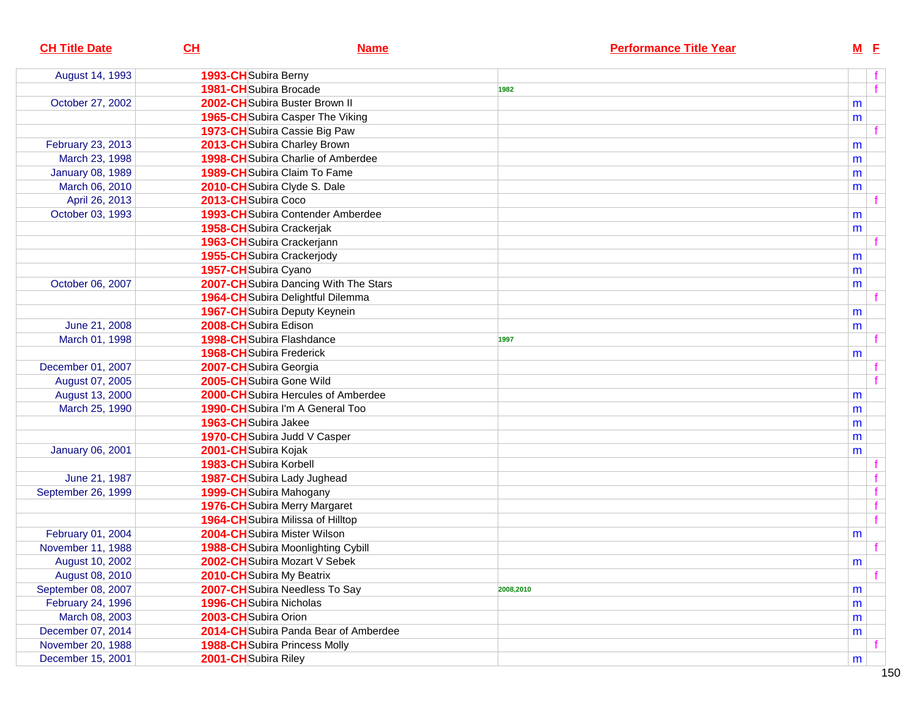| <b>CH Title Date</b>    | CL<br><b>Name</b>                         | <b>Performance Title Year</b> | $M$ E |
|-------------------------|-------------------------------------------|-------------------------------|-------|
| August 14, 1993         | 1993-CH Subira Berny                      |                               |       |
|                         | <b>1981-CH</b> Subira Brocade             | 1982                          | f     |
| October 27, 2002        | 2002-CH Subira Buster Brown II            |                               | m     |
|                         | <b>1965-CH</b> Subira Casper The Viking   |                               | m     |
|                         | 1973-CH Subira Cassie Big Paw             |                               |       |
| February 23, 2013       | 2013-CH Subira Charley Brown              |                               | m     |
| March 23, 1998          | 1998-CH Subira Charlie of Amberdee        |                               | m     |
| <b>January 08, 1989</b> | <b>1989-CH</b> Subira Claim To Fame       |                               | m     |
| March 06, 2010          | 2010-CHSubira Clyde S. Dale               |                               | m     |
| April 26, 2013          | 2013-CHSubira Coco                        |                               |       |
| October 03, 1993        | <b>1993-CH</b> Subira Contender Amberdee  |                               | m     |
|                         | 1958-CH Subira Crackerjak                 |                               | m     |
|                         | 1963-CH Subira Crackerjann                |                               |       |
|                         | 1955-CH Subira Crackerjody                |                               | m     |
|                         | 1957-CHSubira Cyano                       |                               | m     |
| October 06, 2007        | 2007-CH Subira Dancing With The Stars     |                               | m     |
|                         | 1964-CH Subira Delightful Dilemma         |                               |       |
|                         | <b>1967-CH</b> Subira Deputy Keynein      |                               | m     |
| June 21, 2008           | 2008-CH Subira Edison                     |                               | m     |
| March 01, 1998          | 1998-CH Subira Flashdance                 | 1997                          |       |
|                         | <b>1968-CH</b> Subira Frederick           |                               | m     |
| December 01, 2007       | 2007-CH Subira Georgia                    |                               |       |
| August 07, 2005         | 2005-CH Subira Gone Wild                  |                               |       |
| August 13, 2000         | 2000-CH Subira Hercules of Amberdee       |                               | m     |
| March 25, 1990          | <b>1990-CH</b> Subira I'm A General Too   |                               | m     |
|                         | 1963-CH Subira Jakee                      |                               | m     |
|                         | 1970-CH Subira Judd V Casper              |                               | m     |
| <b>January 06, 2001</b> | 2001-CHSubira Kojak                       |                               | m     |
|                         | 1983-CH Subira Korbell                    |                               |       |
| June 21, 1987           | 1987-CH Subira Lady Jughead               |                               |       |
| September 26, 1999      | 1999-CH Subira Mahogany                   |                               | f     |
|                         | <b>1976-CH</b> Subira Merry Margaret      |                               | f     |
|                         | <b>1964-CH</b> Subira Milissa of Hilltop  |                               | f     |
| February 01, 2004       | 2004-CHSubira Mister Wilson               |                               | m     |
| November 11, 1988       | <b>1988-CH</b> Subira Moonlighting Cybill |                               |       |
| August 10, 2002         | 2002-CH Subira Mozart V Sebek             |                               | m     |
| August 08, 2010         | 2010-CH Subira My Beatrix                 |                               |       |
| September 08, 2007      | 2007-CH Subira Needless To Say            | 2008,2010                     | m     |
| February 24, 1996       | 1996-CH Subira Nicholas                   |                               | m     |
| March 08, 2003          | 2003-CH Subira Orion                      |                               | m     |
| December 07, 2014       | 2014-CH Subira Panda Bear of Amberdee     |                               | m     |
| November 20, 1988       | <b>1988-CH</b> Subira Princess Molly      |                               |       |
| December 15, 2001       | 2001-CHSubira Riley                       |                               | m     |
|                         |                                           |                               |       |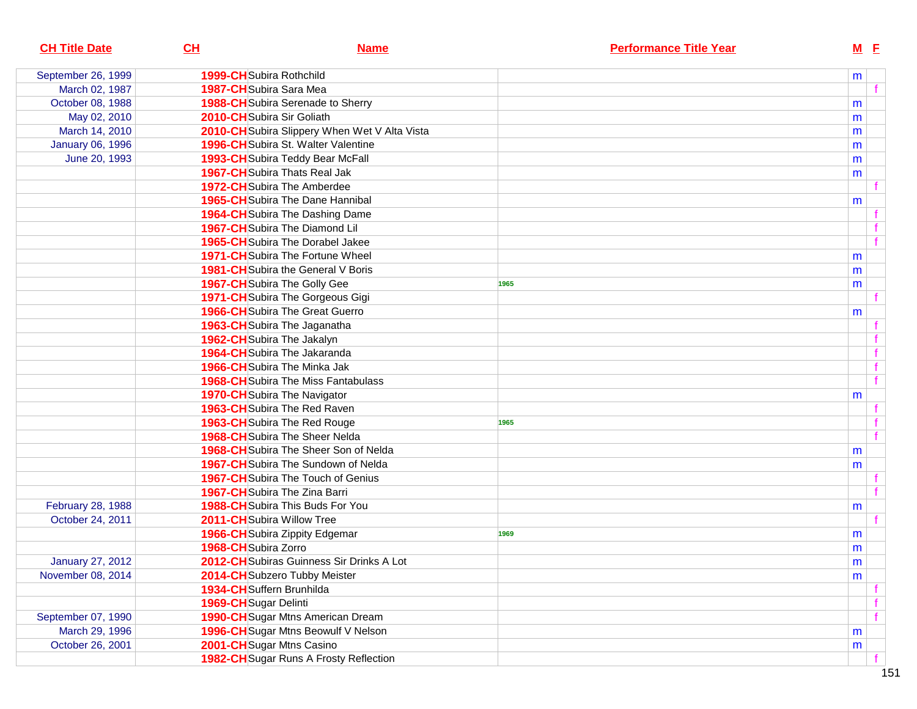| <b>CH Title Date</b>    | CL<br><b>Name</b>                             | <b>Performance Title Year</b> | $M$ $E$ |
|-------------------------|-----------------------------------------------|-------------------------------|---------|
| September 26, 1999      | <b>1999-CH</b> Subira Rothchild               |                               | m       |
| March 02, 1987          | 1987-CH Subira Sara Mea                       |                               |         |
| October 08, 1988        | 1988-CH Subira Serenade to Sherry             |                               | m       |
| May 02, 2010            | 2010-CH Subira Sir Goliath                    |                               | m       |
| March 14, 2010          | 2010-CH Subira Slippery When Wet V Alta Vista |                               | m       |
| <b>January 06, 1996</b> | 1996-CH Subira St. Walter Valentine           |                               | m       |
| June 20, 1993           | 1993-CH Subira Teddy Bear McFall              |                               | m       |
|                         | <b>1967-CH</b> Subira Thats Real Jak          |                               | m       |
|                         | <b>1972-CH</b> Subira The Amberdee            |                               |         |
|                         | <b>1965-CH</b> Subira The Dane Hannibal       |                               | m       |
|                         | 1964-CH Subira The Dashing Dame               |                               |         |
|                         | 1967-CH Subira The Diamond Lil                |                               |         |
|                         | <b>1965-CH</b> Subira The Dorabel Jakee       |                               |         |
|                         | <b>1971-CH</b> Subira The Fortune Wheel       |                               | m       |
|                         | <b>1981-CH</b> Subira the General V Boris     |                               | m       |
|                         | <b>1967-CH</b> Subira The Golly Gee           | 1965                          | m       |
|                         | 1971-CH Subira The Gorgeous Gigi              |                               |         |
|                         | <b>1966-CH</b> Subira The Great Guerro        |                               | m       |
|                         | 1963-CH Subira The Jaganatha                  |                               |         |
|                         | 1962-CHSubira The Jakalyn                     |                               |         |
|                         | 1964-CH Subira The Jakaranda                  |                               |         |
|                         | <b>1966-CH</b> Subira The Minka Jak           |                               | f       |
|                         | <b>1968-CH</b> Subira The Miss Fantabulass    |                               |         |
|                         | <b>1970-CH</b> Subira The Navigator           |                               | m       |
|                         | 1963-CH Subira The Red Raven                  |                               |         |
|                         | 1963-CH Subira The Red Rouge                  | 1965                          |         |
|                         | <b>1968-CH</b> Subira The Sheer Nelda         |                               |         |
|                         | <b>1968-CH</b> Subira The Sheer Son of Nelda  |                               | m       |
|                         | <b>1967-CH</b> Subira The Sundown of Nelda    |                               | m       |
|                         | <b>1967-CH</b> Subira The Touch of Genius     |                               |         |
|                         | 1967-CH Subira The Zina Barri                 |                               |         |
| February 28, 1988       | <b>1988-CH</b> Subira This Buds For You       |                               | m       |
| October 24, 2011        | 2011-CHSubira Willow Tree                     |                               |         |
|                         | <b>1966-CH</b> Subira Zippity Edgemar         | 1969                          | m       |
|                         | 1968-CH Subira Zorro                          |                               | m       |
| <b>January 27, 2012</b> | 2012-CH Subiras Guinness Sir Drinks A Lot     |                               | m       |
| November 08, 2014       | 2014-CH Subzero Tubby Meister                 |                               | m       |
|                         | 1934-CH Suffern Brunhilda                     |                               |         |
|                         | 1969-CH Sugar Delinti                         |                               |         |
| September 07, 1990      | <b>1990-CH</b> Sugar Mtns American Dream      |                               |         |
| March 29, 1996          | 1996-CH Sugar Mtns Beowulf V Nelson           |                               | m       |
| October 26, 2001        | 2001-CH Sugar Mtns Casino                     |                               | m       |
|                         | 1982-CH Sugar Runs A Frosty Reflection        |                               |         |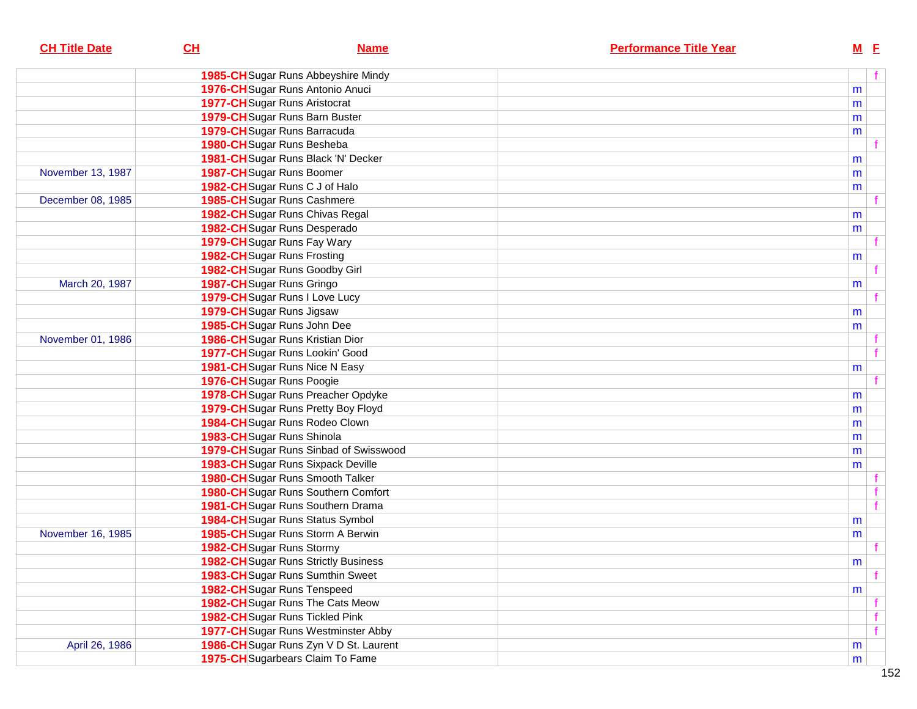| <b>CH Title Date</b> | CL                                         | <b>Name</b> | <b>Performance Title Year</b> | $M$ E |              |
|----------------------|--------------------------------------------|-------------|-------------------------------|-------|--------------|
|                      | 1985-CH Sugar Runs Abbeyshire Mindy        |             |                               |       | f            |
|                      | 1976-CH Sugar Runs Antonio Anuci           |             |                               | m     |              |
|                      | <b>1977-CH</b> Sugar Runs Aristocrat       |             |                               | m     |              |
|                      | 1979-CH Sugar Runs Barn Buster             |             |                               | m     |              |
|                      | 1979-CH Sugar Runs Barracuda               |             |                               | m     |              |
|                      | 1980-CH Sugar Runs Besheba                 |             |                               |       |              |
|                      | 1981-CH Sugar Runs Black 'N' Decker        |             |                               | m     |              |
| November 13, 1987    | 1987-CH Sugar Runs Boomer                  |             |                               | m     |              |
|                      | 1982-CH Sugar Runs C J of Halo             |             |                               | m     |              |
| December 08, 1985    | <b>1985-CH</b> Sugar Runs Cashmere         |             |                               |       |              |
|                      | 1982-CH Sugar Runs Chivas Regal            |             |                               | m     |              |
|                      | 1982-CH Sugar Runs Desperado               |             |                               | m     |              |
|                      | 1979-CH Sugar Runs Fay Wary                |             |                               |       |              |
|                      | 1982-CH Sugar Runs Frosting                |             |                               | m     |              |
|                      | 1982-CH Sugar Runs Goodby Girl             |             |                               |       |              |
| March 20, 1987       | 1987-CH Sugar Runs Gringo                  |             |                               | m     |              |
|                      | 1979-CH Sugar Runs I Love Lucy             |             |                               |       |              |
|                      | 1979-CH Sugar Runs Jigsaw                  |             |                               | m     |              |
|                      | 1985-CH Sugar Runs John Dee                |             |                               | m     |              |
| November 01, 1986    | 1986-CH Sugar Runs Kristian Dior           |             |                               |       |              |
|                      | 1977-CH Sugar Runs Lookin' Good            |             |                               |       | $\mathbf{f}$ |
|                      | 1981-CH Sugar Runs Nice N Easy             |             |                               | m     |              |
|                      | 1976-CH Sugar Runs Poogie                  |             |                               |       |              |
|                      | 1978-CH Sugar Runs Preacher Opdyke         |             |                               | m     |              |
|                      | 1979-CH Sugar Runs Pretty Boy Floyd        |             |                               | m     |              |
|                      | 1984-CH Sugar Runs Rodeo Clown             |             |                               | m     |              |
|                      | 1983-CH Sugar Runs Shinola                 |             |                               | m     |              |
|                      | 1979-CH Sugar Runs Sinbad of Swisswood     |             |                               | m     |              |
|                      | 1983-CH Sugar Runs Sixpack Deville         |             |                               | m     |              |
|                      | 1980-CH Sugar Runs Smooth Talker           |             |                               |       |              |
|                      | 1980-CH Sugar Runs Southern Comfort        |             |                               |       |              |
|                      | 1981-CH Sugar Runs Southern Drama          |             |                               |       | $\mathbf{f}$ |
|                      | 1984-CH Sugar Runs Status Symbol           |             |                               | m     |              |
| November 16, 1985    | 1985-CH Sugar Runs Storm A Berwin          |             |                               | m     |              |
|                      | 1982-CH Sugar Runs Stormy                  |             |                               |       |              |
|                      | 1982-CH Sugar Runs Strictly Business       |             |                               | m     |              |
|                      | 1983-CH Sugar Runs Sumthin Sweet           |             |                               |       | f            |
|                      | 1982-CH Sugar Runs Tenspeed                |             |                               | m     |              |
|                      | 1982-CH Sugar Runs The Cats Meow           |             |                               |       |              |
|                      | 1982-CH Sugar Runs Tickled Pink            |             |                               |       | f            |
|                      | <b>1977-CH</b> Sugar Runs Westminster Abby |             |                               |       | f            |
| April 26, 1986       | 1986-CH Sugar Runs Zyn V D St. Laurent     |             |                               | m     |              |
|                      | 1975-CH Sugarbears Claim To Fame           |             |                               | m     |              |
|                      |                                            |             |                               |       |              |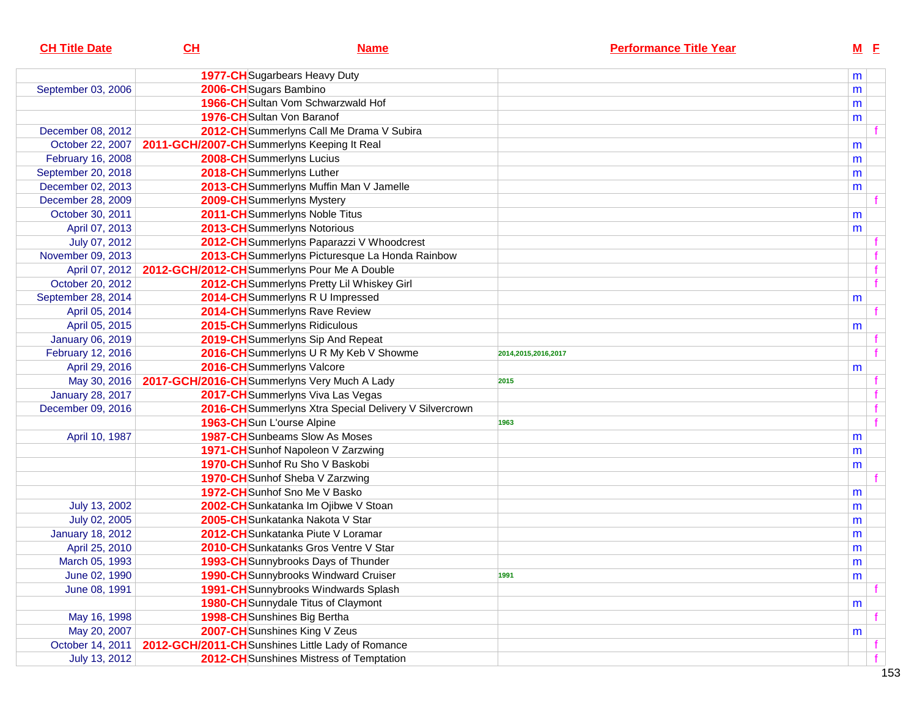| <b>CH Title Date</b>    | CL                                           | <b>Name</b>                                            | <b>Performance Title Year</b> | $M$ E     |   |
|-------------------------|----------------------------------------------|--------------------------------------------------------|-------------------------------|-----------|---|
|                         |                                              | 1977-CH Sugarbears Heavy Duty                          |                               | m         |   |
| September 03, 2006      | 2006-CHSugars Bambino                        |                                                        |                               | m         |   |
|                         |                                              | 1966-CHSultan Vom Schwarzwald Hof                      |                               | m         |   |
|                         |                                              | 1976-CH Sultan Von Baranof                             |                               | m         |   |
| December 08, 2012       |                                              | 2012-CH Summerlyns Call Me Drama V Subira              |                               |           |   |
| October 22, 2007        | 2011-GCH/2007-CHSummerlyns Keeping It Real   |                                                        |                               | m         |   |
| February 16, 2008       |                                              | 2008-CHSummerlyns Lucius                               |                               | m         |   |
| September 20, 2018      |                                              | 2018-CHSummerlyns Luther                               |                               | m         |   |
| December 02, 2013       |                                              | 2013-CH Summerlyns Muffin Man V Jamelle                |                               | m         |   |
| December 28, 2009       |                                              | 2009-CH Summerlyns Mystery                             |                               |           |   |
| October 30, 2011        |                                              | 2011-CHSummerlyns Noble Titus                          |                               | m         |   |
| April 07, 2013          |                                              | 2013-CHSummerlyns Notorious                            |                               | m         |   |
| July 07, 2012           |                                              | 2012-CH Summerlyns Paparazzi V Whoodcrest              |                               |           |   |
| November 09, 2013       |                                              | 2013-CH Summerlyns Picturesque La Honda Rainbow        |                               |           |   |
| April 07, 2012          | 2012-GCH/2012-CH Summerlyns Pour Me A Double |                                                        |                               |           | f |
| October 20, 2012        |                                              | 2012-CH Summerlyns Pretty Lil Whiskey Girl             |                               |           | f |
| September 28, 2014      |                                              | 2014-CHSummerlyns R U Impressed                        |                               | m         |   |
| April 05, 2014          |                                              | 2014-CHSummerlyns Rave Review                          |                               |           |   |
| April 05, 2015          |                                              | 2015-CHSummerlyns Ridiculous                           |                               | m         |   |
| <b>January 06, 2019</b> |                                              | 2019-CH Summerlyns Sip And Repeat                      |                               |           |   |
| February 12, 2016       |                                              | 2016-CH Summerlyns U R My Keb V Showme                 | 2014,2015,2016,2017           |           |   |
| April 29, 2016          |                                              | 2016-CH Summerlyns Valcore                             |                               | m         |   |
| May 30, 2016            | 2017-GCH/2016-CH Summerlyns Very Much A Lady |                                                        | 2015                          |           |   |
| <b>January 28, 2017</b> |                                              | 2017-CHSummerlyns Viva Las Vegas                       |                               |           |   |
| December 09, 2016       |                                              | 2016-CH Summerlyns Xtra Special Delivery V Silvercrown |                               |           | f |
|                         | 1963-CHSun L'ourse Alpine                    |                                                        | 1963                          |           | f |
| April 10, 1987          |                                              | <b>1987-CH</b> Sunbeams Slow As Moses                  |                               | m         |   |
|                         |                                              | 1971-CH Sunhof Napoleon V Zarzwing                     |                               | m         |   |
|                         |                                              | 1970-CH Sunhof Ru Sho V Baskobi                        |                               | m         |   |
|                         |                                              | 1970-CH Sunhof Sheba V Zarzwing                        |                               |           |   |
|                         |                                              | 1972-CH Sunhof Sno Me V Basko                          |                               | m         |   |
| July 13, 2002           |                                              | 2002-CH Sunkatanka Im Ojibwe V Stoan                   |                               | m         |   |
| July 02, 2005           |                                              | 2005-CH Sunkatanka Nakota V Star                       |                               | m         |   |
| <b>January 18, 2012</b> |                                              | 2012-CH Sunkatanka Piute V Loramar                     |                               | m         |   |
| April 25, 2010          |                                              | 2010-CH Sunkatanks Gros Ventre V Star                  |                               | m         |   |
| March 05, 1993          |                                              | 1993-CH Sunnybrooks Days of Thunder                    |                               | ${\sf m}$ |   |
| June 02, 1990           |                                              | 1990-CH Sunnybrooks Windward Cruiser                   | 1991                          | m         |   |
| June 08, 1991           |                                              | 1991-CH Sunnybrooks Windwards Splash                   |                               |           |   |
|                         |                                              | <b>1980-CH</b> Sunnydale Titus of Claymont             |                               | m         |   |
| May 16, 1998            |                                              | 1998-CH Sunshines Big Bertha                           |                               |           |   |
| May 20, 2007            |                                              | 2007-CH Sunshines King V Zeus                          |                               | m         |   |
| October 14, 2011        |                                              | 2012-GCH/2011-CHSunshines Little Lady of Romance       |                               |           |   |
| July 13, 2012           |                                              | 2012-CH Sunshines Mistress of Temptation               |                               |           |   |
|                         |                                              |                                                        |                               |           |   |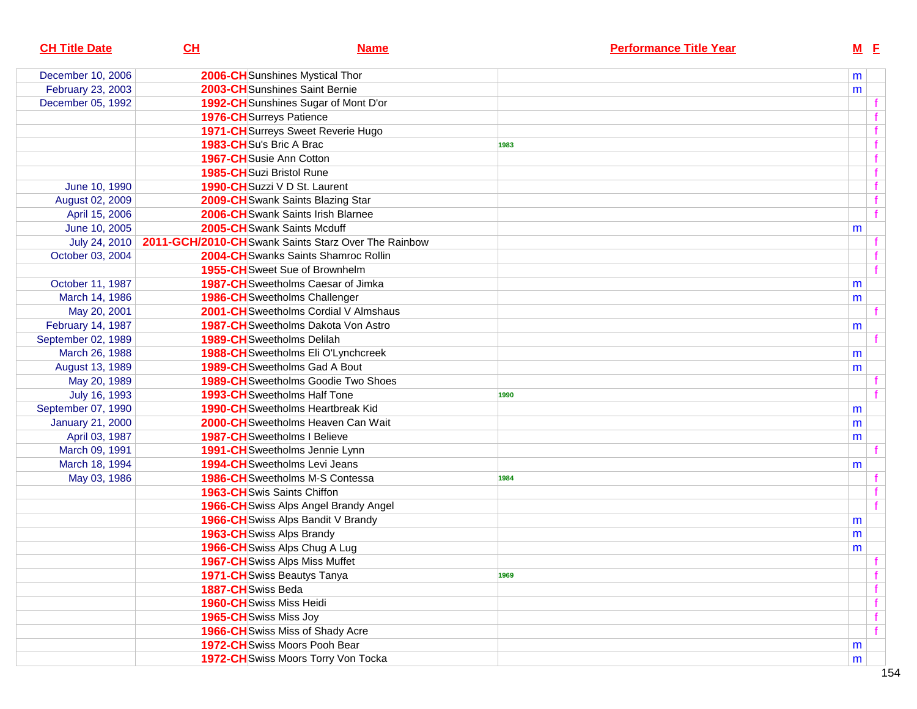| <b>CH Title Date</b>    | CL                                 | <b>Name</b>                                         |      | <b>Performance Title Year</b> |   | M E         |
|-------------------------|------------------------------------|-----------------------------------------------------|------|-------------------------------|---|-------------|
| December 10, 2006       |                                    | 2006-CH Sunshines Mystical Thor                     |      |                               | m |             |
| February 23, 2003       |                                    | 2003-CH Sunshines Saint Bernie                      |      |                               | m |             |
| December 05, 1992       |                                    | 1992-CH Sunshines Sugar of Mont D'or                |      |                               |   |             |
|                         | <b>1976-CH</b> Surreys Patience    |                                                     |      |                               |   |             |
|                         |                                    | <b>1971-CH</b> Surreys Sweet Reverie Hugo           |      |                               |   |             |
|                         | 1983-CHSu's Bric A Brac            |                                                     | 1983 |                               |   |             |
|                         | 1967-CH Susie Ann Cotton           |                                                     |      |                               |   |             |
|                         | 1985-CHSuzi Bristol Rune           |                                                     |      |                               |   | f           |
| June 10, 1990           |                                    | 1990-CH Suzzi V D St. Laurent                       |      |                               |   | $\mathbf f$ |
| August 02, 2009         |                                    | 2009-CH Swank Saints Blazing Star                   |      |                               |   | $\mathbf f$ |
| April 15, 2006          |                                    | 2006-CH Swank Saints Irish Blarnee                  |      |                               |   | f           |
| June 10, 2005           | 2005-CH Swank Saints Mcduff        |                                                     |      |                               | m |             |
| July 24, 2010           |                                    | 2011-GCH/2010-CHSwank Saints Starz Over The Rainbow |      |                               |   |             |
| October 03, 2004        |                                    | 2004-CH Swanks Saints Shamroc Rollin                |      |                               |   |             |
|                         |                                    | 1955-CHSweet Sue of Brownhelm                       |      |                               |   |             |
| October 11, 1987        |                                    | 1987-CH Sweetholms Caesar of Jimka                  |      |                               | m |             |
| March 14, 1986          |                                    | <b>1986-CH</b> Sweetholms Challenger                |      |                               | m |             |
| May 20, 2001            |                                    | 2001-CH Sweetholms Cordial V Almshaus               |      |                               |   |             |
| February 14, 1987       |                                    | <b>1987-CH</b> Sweetholms Dakota Von Astro          |      |                               | m |             |
| September 02, 1989      | <b>1989-CH</b> Sweetholms Delilah  |                                                     |      |                               |   |             |
| March 26, 1988          |                                    | 1988-CH Sweetholms Eli O'Lynchcreek                 |      |                               | m |             |
| August 13, 1989         |                                    | <b>1989-CH</b> Sweetholms Gad A Bout                |      |                               | m |             |
| May 20, 1989            |                                    | <b>1989-CH</b> Sweetholms Goodie Two Shoes          |      |                               |   |             |
| July 16, 1993           |                                    | <b>1993-CH</b> Sweetholms Half Tone                 | 1990 |                               |   |             |
| September 07, 1990      |                                    | <b>1990-CH</b> Sweetholms Heartbreak Kid            |      |                               | m |             |
| <b>January 21, 2000</b> |                                    | 2000-CH Sweetholms Heaven Can Wait                  |      |                               | m |             |
| April 03, 1987          | 1987-CH Sweetholms I Believe       |                                                     |      |                               | m |             |
| March 09, 1991          |                                    | 1991-CH Sweetholms Jennie Lynn                      |      |                               |   |             |
| March 18, 1994          |                                    | <b>1994-CH</b> Sweetholms Levi Jeans                |      |                               | m |             |
| May 03, 1986            |                                    | <b>1986-CH</b> Sweetholms M-S Contessa              | 1984 |                               |   |             |
|                         | <b>1963-CH</b> Swis Saints Chiffon |                                                     |      |                               |   |             |
|                         |                                    | 1966-CH Swiss Alps Angel Brandy Angel               |      |                               |   |             |
|                         |                                    | 1966-CH Swiss Alps Bandit V Brandy                  |      |                               | m |             |
|                         | <b>1963-CH</b> Swiss Alps Brandy   |                                                     |      |                               | m |             |
|                         |                                    | 1966-CH Swiss Alps Chug A Lug                       |      |                               | m |             |
|                         |                                    | 1967-CH Swiss Alps Miss Muffet                      |      |                               |   |             |
|                         | 1971-CHSwiss Beautys Tanya         |                                                     | 1969 |                               |   | $\mathbf f$ |
|                         | 1887-CHSwiss Beda                  |                                                     |      |                               |   | f.          |
|                         | 1960-CH Swiss Miss Heidi           |                                                     |      |                               |   | $\mathbf f$ |
|                         | 1965-CH Swiss Miss Joy             |                                                     |      |                               |   | $\mathbf f$ |
|                         |                                    | 1966-CH Swiss Miss of Shady Acre                    |      |                               |   |             |
|                         |                                    | <b>1972-CH</b> Swiss Moors Pooh Bear                |      |                               | m |             |
|                         |                                    | 1972-CH Swiss Moors Torry Von Tocka                 |      |                               | m |             |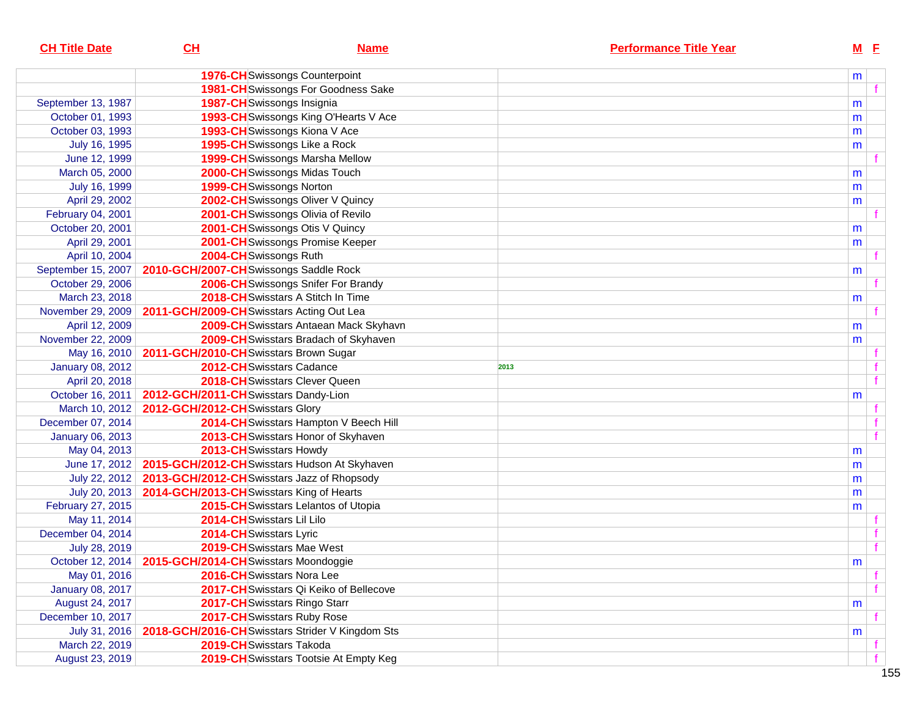| <b>CH Title Date</b>    | CL                                                          | <b>Name</b>                                                   |      | <b>Performance Title Year</b> |   | $M$ E |  |
|-------------------------|-------------------------------------------------------------|---------------------------------------------------------------|------|-------------------------------|---|-------|--|
|                         |                                                             | <b>1976-CH</b> Swissongs Counterpoint                         |      |                               | m |       |  |
|                         |                                                             | <b>1981-CH</b> Swissongs For Goodness Sake                    |      |                               |   |       |  |
| September 13, 1987      |                                                             | 1987-CHSwissongs Insignia                                     |      |                               | m |       |  |
| October 01, 1993        |                                                             | 1993-CH Swissongs King O'Hearts V Ace                         |      |                               | m |       |  |
| October 03, 1993        |                                                             | 1993-CH Swissongs Kiona V Ace                                 |      |                               | m |       |  |
| July 16, 1995           |                                                             | 1995-CH Swissongs Like a Rock                                 |      |                               | m |       |  |
| June 12, 1999           |                                                             | 1999-CH Swissongs Marsha Mellow                               |      |                               |   |       |  |
| March 05, 2000          |                                                             | 2000-CH Swissongs Midas Touch                                 |      |                               | m |       |  |
| July 16, 1999           |                                                             | 1999-CHSwissongs Norton                                       |      |                               | m |       |  |
| April 29, 2002          |                                                             | 2002-CHSwissongs Oliver V Quincy                              |      |                               | m |       |  |
| February 04, 2001       |                                                             | 2001-CH Swissongs Olivia of Revilo                            |      |                               |   |       |  |
| October 20, 2001        |                                                             | 2001-CH Swissongs Otis V Quincy                               |      |                               | m |       |  |
| April 29, 2001          |                                                             | 2001-CH Swissongs Promise Keeper                              |      |                               | m |       |  |
| April 10, 2004          | 2004-CHSwissongs Ruth                                       |                                                               |      |                               |   |       |  |
| September 15, 2007      | 2010-GCH/2007-CHSwissongs Saddle Rock                       |                                                               |      |                               | m |       |  |
| October 29, 2006        |                                                             | 2006-CH Swissongs Snifer For Brandy                           |      |                               |   |       |  |
| March 23, 2018          |                                                             | 2018-CH Swisstars A Stitch In Time                            |      |                               | m |       |  |
| November 29, 2009       | 2011-GCH/2009-CH Swisstars Acting Out Lea                   |                                                               |      |                               |   |       |  |
| April 12, 2009          |                                                             | 2009-CH Swisstars Antaean Mack Skyhavn                        |      |                               | m |       |  |
| November 22, 2009       |                                                             | 2009-CH Swisstars Bradach of Skyhaven                         |      |                               | m |       |  |
| May 16, 2010            | 2011-GCH/2010-CHSwisstars Brown Sugar                       |                                                               |      |                               |   |       |  |
| <b>January 08, 2012</b> |                                                             | 2012-CHSwisstars Cadance                                      | 2013 |                               |   |       |  |
| April 20, 2018          |                                                             | 2018-CH Swisstars Clever Queen                                |      |                               |   | f     |  |
| October 16, 2011        | 2012-GCH/2011-CHSwisstars Dandy-Lion                        |                                                               |      |                               | m |       |  |
| March 10, 2012          | 2012-GCH/2012-CHSwisstars Glory                             |                                                               |      |                               |   |       |  |
| December 07, 2014       |                                                             | 2014-CH Swisstars Hampton V Beech Hill                        |      |                               |   |       |  |
| <b>January 06, 2013</b> |                                                             | 2013-CH Swisstars Honor of Skyhaven                           |      |                               |   |       |  |
| May 04, 2013            |                                                             | 2013-CH Swisstars Howdy                                       |      |                               | m |       |  |
|                         |                                                             | June 17, 2012   2015-GCH/2012-CH Swisstars Hudson At Skyhaven |      |                               | m |       |  |
|                         | July 22, 2012   2013-GCH/2012-CH Swisstars Jazz of Rhopsody |                                                               |      |                               | m |       |  |
|                         | July 20, 2013 2014-GCH/2013-CH Swisstars King of Hearts     |                                                               |      |                               | m |       |  |
| February 27, 2015       |                                                             | 2015-CH Swisstars Lelantos of Utopia                          |      |                               | m |       |  |
| May 11, 2014            | 2014-CH Swisstars Lil Lilo                                  |                                                               |      |                               |   |       |  |
| December 04, 2014       | 2014-CH Swisstars Lyric                                     |                                                               |      |                               |   |       |  |
| July 28, 2019           |                                                             | 2019-CH Swisstars Mae West                                    |      |                               |   |       |  |
|                         | October 12, 2014   2015-GCH/2014-CH Swisstars Moondoggie    |                                                               |      |                               | m |       |  |
| May 01, 2016            |                                                             | 2016-CH Swisstars Nora Lee                                    |      |                               |   |       |  |
| <b>January 08, 2017</b> |                                                             | 2017-CH Swisstars Qi Keiko of Bellecove                       |      |                               |   |       |  |
| August 24, 2017         |                                                             | 2017-CH Swisstars Ringo Starr                                 |      |                               | m |       |  |
| December 10, 2017       |                                                             | 2017-CH Swisstars Ruby Rose                                   |      |                               |   |       |  |
| July 31, 2016           |                                                             | 2018-GCH/2016-CHSwisstars Strider V Kingdom Sts               |      |                               | m |       |  |
| March 22, 2019          |                                                             | 2019-CH Swisstars Takoda                                      |      |                               |   |       |  |
| August 23, 2019         |                                                             | 2019-CH Swisstars Tootsie At Empty Keg                        |      |                               |   |       |  |
|                         |                                                             |                                                               |      |                               |   |       |  |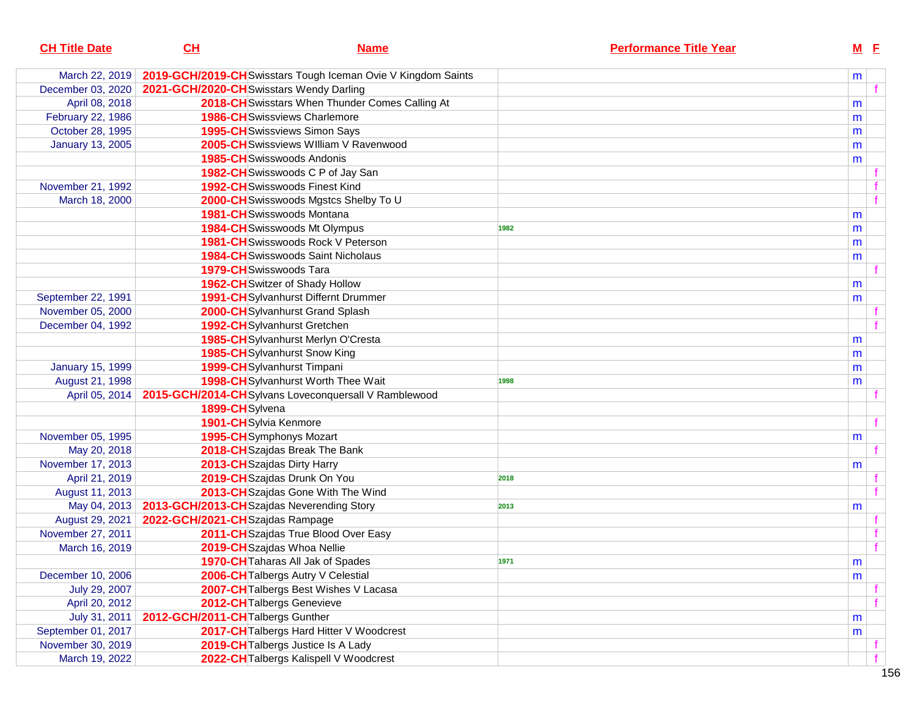| <b>CH Title Date</b>    | <u>СН</u>                                | <u>Name</u>                                                   | <b>Performance Title Year</b> | <u>M E</u> |              |
|-------------------------|------------------------------------------|---------------------------------------------------------------|-------------------------------|------------|--------------|
| March 22, 2019          |                                          | 2019-GCH/2019-CH Swisstars Tough Iceman Ovie V Kingdom Saints |                               | m          |              |
| December 03, 2020       | 2021-GCH/2020-CH Swisstars Wendy Darling |                                                               |                               |            |              |
| April 08, 2018          |                                          | 2018-CH Swisstars When Thunder Comes Calling At               |                               | m          |              |
| February 22, 1986       |                                          | <b>1986-CH</b> Swissviews Charlemore                          |                               | m          |              |
| October 28, 1995        |                                          | <b>1995-CH</b> Swissviews Simon Says                          |                               | m          |              |
| <b>January 13, 2005</b> |                                          | 2005-CH Swissviews William V Ravenwood                        |                               | m          |              |
|                         |                                          | <b>1985-CH</b> Swisswoods Andonis                             |                               | m          |              |
|                         |                                          | 1982-CHSwisswoods C P of Jay San                              |                               |            |              |
| November 21, 1992       |                                          | <b>1992-CH</b> Swisswoods Finest Kind                         |                               |            |              |
| March 18, 2000          |                                          | 2000-CHSwisswoods Mgstcs Shelby To U                          |                               |            | f            |
|                         |                                          | 1981-CHSwisswoods Montana                                     |                               | m          |              |
|                         |                                          | 1984-CHSwisswoods Mt Olympus                                  | 1982                          | m          |              |
|                         |                                          | 1981-CH Swisswoods Rock V Peterson                            |                               | m          |              |
|                         |                                          | <b>1984-CH</b> Swisswoods Saint Nicholaus                     |                               | m          |              |
|                         |                                          | 1979-CHSwisswoods Tara                                        |                               |            |              |
|                         |                                          | <b>1962-CH</b> Switzer of Shady Hollow                        |                               | m          |              |
| September 22, 1991      |                                          | 1991-CHSylvanhurst Differnt Drummer                           |                               | m          |              |
| November 05, 2000       |                                          | 2000-CHSylvanhurst Grand Splash                               |                               |            |              |
| December 04, 1992       |                                          | 1992-CHSylvanhurst Gretchen                                   |                               |            |              |
|                         |                                          | 1985-CHSylvanhurst Merlyn O'Cresta                            |                               | m          |              |
|                         |                                          | 1985-CHSylvanhurst Snow King                                  |                               | m          |              |
| <b>January 15, 1999</b> |                                          | 1999-CHSylvanhurst Timpani                                    |                               | m          |              |
| August 21, 1998         |                                          | 1998-CHSylvanhurst Worth Thee Wait                            | 1998                          | m          |              |
| April 05, 2014          |                                          | 2015-GCH/2014-CHSylvans Loveconquersall V Ramblewood          |                               |            |              |
|                         | 1899-CHSylvena                           |                                                               |                               |            |              |
|                         |                                          | 1901-CH Sylvia Kenmore                                        |                               |            | f            |
| November 05, 1995       |                                          | 1995-CHSymphonys Mozart                                       |                               | m          |              |
| May 20, 2018            |                                          | 2018-CHSzajdas Break The Bank                                 |                               |            |              |
| November 17, 2013       |                                          | 2013-CHSzajdas Dirty Harry                                    |                               | m          |              |
| April 21, 2019          |                                          | 2019-CHSzajdas Drunk On You                                   | 2018                          |            |              |
| August 11, 2013         |                                          | 2013-CH Szajdas Gone With The Wind                            |                               |            |              |
| May 04, 2013            |                                          | 2013-GCH/2013-CHSzajdas Neverending Story                     | 2013                          | m          |              |
| August 29, 2021         | 2022-GCH/2021-CHSzajdas Rampage          |                                                               |                               |            |              |
| November 27, 2011       |                                          | 2011-CHSzajdas True Blood Over Easy                           |                               |            |              |
| March 16, 2019          |                                          | 2019-CHSzajdas Whoa Nellie                                    |                               |            | $\mathbf{f}$ |
|                         |                                          | 1970-CH Taharas All Jak of Spades                             | 1971                          | ${\sf m}$  |              |
| December 10, 2006       |                                          | 2006-CH Talbergs Autry V Celestial                            |                               | m          |              |
| July 29, 2007           |                                          | 2007-CH Talbergs Best Wishes V Lacasa                         |                               |            |              |
| April 20, 2012          |                                          | 2012-CH Talbergs Genevieve                                    |                               |            |              |
| July 31, 2011           | 2012-GCH/2011-CH Talbergs Gunther        |                                                               |                               | m          |              |
| September 01, 2017      |                                          | 2017-CH Talbergs Hard Hitter V Woodcrest                      |                               | m          |              |
| November 30, 2019       |                                          | 2019-CH Talbergs Justice Is A Lady                            |                               |            |              |
| March 19, 2022          |                                          | 2022-CH Talbergs Kalispell V Woodcrest                        |                               |            |              |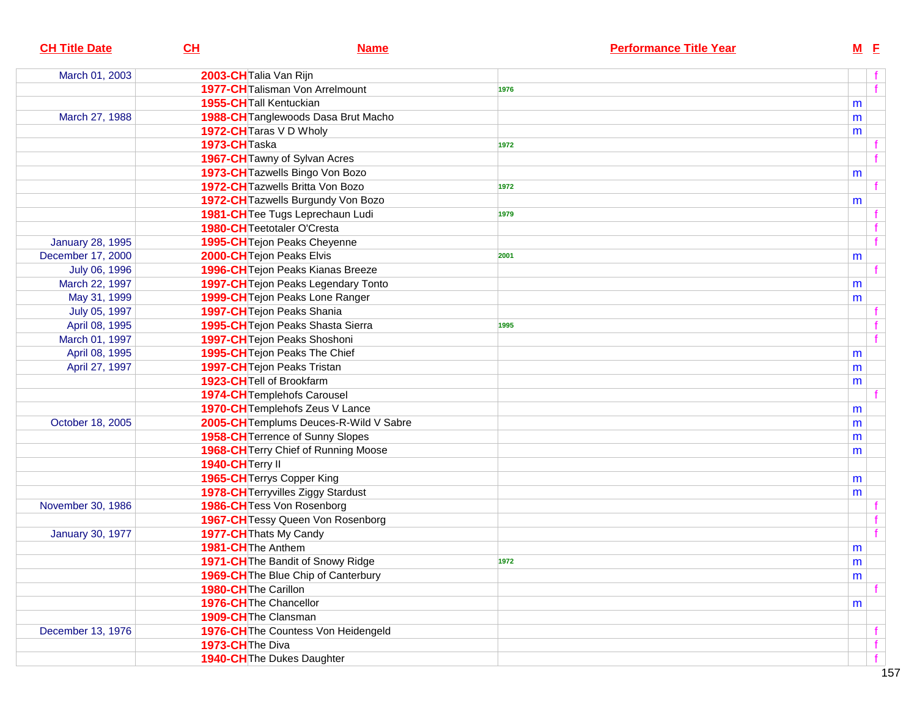| 2003-CH Talia Van Rijn<br>March 01, 2003<br>1977-CH Talisman Von Arrelmount<br>1976<br>1955-CH Tall Kentuckian<br>m<br>1988-CH Tanglewoods Dasa Brut Macho<br>March 27, 1988<br>m<br>1972-CH Taras V D Wholy<br>m<br>1973-CHTaska<br>1972<br>1967-CH Tawny of Sylvan Acres<br>f<br>1973-CH Tazwells Bingo Von Bozo<br>m<br>1972-CH Tazwells Britta Von Bozo<br>1972<br>1972-CH Tazwells Burgundy Von Bozo<br>m<br>1981-CH Tee Tugs Leprechaun Ludi<br>1979<br>1980-CH Teetotaler O'Cresta<br>f<br><b>January 28, 1995</b><br>1995-CH Tejon Peaks Cheyenne<br>2000-CH Tejon Peaks Elvis<br>December 17, 2000<br>2001<br>m<br>1996-CH Tejon Peaks Kianas Breeze<br>July 06, 1996<br>March 22, 1997<br>1997-CH Tejon Peaks Legendary Tonto<br>m<br>1999-CH Tejon Peaks Lone Ranger<br>May 31, 1999<br>m<br><b>1997-CH</b> Tejon Peaks Shania<br>July 05, 1997<br>1995-CH Tejon Peaks Shasta Sierra<br>April 08, 1995<br>1995<br>1997-CH Tejon Peaks Shoshoni<br>f<br>March 01, 1997<br>1995-CH Tejon Peaks The Chief<br>April 08, 1995<br>m<br>April 27, 1997<br><b>1997-CH</b> Tejon Peaks Tristan<br>m<br>1923-CHTell of Brookfarm<br>m<br>1974-CH Templehofs Carousel<br>1970-CH Templehofs Zeus V Lance<br>m<br>2005-CH Templums Deuces-R-Wild V Sabre<br>October 18, 2005<br>m<br>1958-CH Terrence of Sunny Slopes<br>m<br>1968-CH Terry Chief of Running Moose<br>m<br>1940-CH Terry II<br>1965-CH Terrys Copper King<br>m<br><b>1978-CH</b> Terryvilles Ziggy Stardust<br>m<br>1986-CHTess Von Rosenborg<br>November 30, 1986<br>1967-CH Tessy Queen Von Rosenborg<br>f<br>1977-CH Thats My Candy<br><b>January 30, 1977</b><br>1981-CH The Anthem<br>m<br>1971-CH The Bandit of Snowy Ridge<br>m<br>1972<br>1969-CH The Blue Chip of Canterbury<br>m<br>1980-CH The Carillon<br>1976-CH The Chancellor<br>m<br>1909-CH The Clansman<br>1976-CH The Countess Von Heidengeld<br>December 13, 1976<br>1973-CH The Diva<br>f | <b>CH Title Date</b> | CL<br><b>Name</b>          | <b>Performance Title Year</b> | $M$ E |                |
|-------------------------------------------------------------------------------------------------------------------------------------------------------------------------------------------------------------------------------------------------------------------------------------------------------------------------------------------------------------------------------------------------------------------------------------------------------------------------------------------------------------------------------------------------------------------------------------------------------------------------------------------------------------------------------------------------------------------------------------------------------------------------------------------------------------------------------------------------------------------------------------------------------------------------------------------------------------------------------------------------------------------------------------------------------------------------------------------------------------------------------------------------------------------------------------------------------------------------------------------------------------------------------------------------------------------------------------------------------------------------------------------------------------------------------------------------------------------------------------------------------------------------------------------------------------------------------------------------------------------------------------------------------------------------------------------------------------------------------------------------------------------------------------------------------------------------------------------------------------------------------------------------------------------------------|----------------------|----------------------------|-------------------------------|-------|----------------|
|                                                                                                                                                                                                                                                                                                                                                                                                                                                                                                                                                                                                                                                                                                                                                                                                                                                                                                                                                                                                                                                                                                                                                                                                                                                                                                                                                                                                                                                                                                                                                                                                                                                                                                                                                                                                                                                                                                                               |                      |                            |                               |       |                |
|                                                                                                                                                                                                                                                                                                                                                                                                                                                                                                                                                                                                                                                                                                                                                                                                                                                                                                                                                                                                                                                                                                                                                                                                                                                                                                                                                                                                                                                                                                                                                                                                                                                                                                                                                                                                                                                                                                                               |                      |                            |                               |       | $\overline{f}$ |
|                                                                                                                                                                                                                                                                                                                                                                                                                                                                                                                                                                                                                                                                                                                                                                                                                                                                                                                                                                                                                                                                                                                                                                                                                                                                                                                                                                                                                                                                                                                                                                                                                                                                                                                                                                                                                                                                                                                               |                      |                            |                               |       |                |
|                                                                                                                                                                                                                                                                                                                                                                                                                                                                                                                                                                                                                                                                                                                                                                                                                                                                                                                                                                                                                                                                                                                                                                                                                                                                                                                                                                                                                                                                                                                                                                                                                                                                                                                                                                                                                                                                                                                               |                      |                            |                               |       |                |
|                                                                                                                                                                                                                                                                                                                                                                                                                                                                                                                                                                                                                                                                                                                                                                                                                                                                                                                                                                                                                                                                                                                                                                                                                                                                                                                                                                                                                                                                                                                                                                                                                                                                                                                                                                                                                                                                                                                               |                      |                            |                               |       |                |
|                                                                                                                                                                                                                                                                                                                                                                                                                                                                                                                                                                                                                                                                                                                                                                                                                                                                                                                                                                                                                                                                                                                                                                                                                                                                                                                                                                                                                                                                                                                                                                                                                                                                                                                                                                                                                                                                                                                               |                      |                            |                               |       |                |
|                                                                                                                                                                                                                                                                                                                                                                                                                                                                                                                                                                                                                                                                                                                                                                                                                                                                                                                                                                                                                                                                                                                                                                                                                                                                                                                                                                                                                                                                                                                                                                                                                                                                                                                                                                                                                                                                                                                               |                      |                            |                               |       |                |
|                                                                                                                                                                                                                                                                                                                                                                                                                                                                                                                                                                                                                                                                                                                                                                                                                                                                                                                                                                                                                                                                                                                                                                                                                                                                                                                                                                                                                                                                                                                                                                                                                                                                                                                                                                                                                                                                                                                               |                      |                            |                               |       |                |
|                                                                                                                                                                                                                                                                                                                                                                                                                                                                                                                                                                                                                                                                                                                                                                                                                                                                                                                                                                                                                                                                                                                                                                                                                                                                                                                                                                                                                                                                                                                                                                                                                                                                                                                                                                                                                                                                                                                               |                      |                            |                               |       |                |
|                                                                                                                                                                                                                                                                                                                                                                                                                                                                                                                                                                                                                                                                                                                                                                                                                                                                                                                                                                                                                                                                                                                                                                                                                                                                                                                                                                                                                                                                                                                                                                                                                                                                                                                                                                                                                                                                                                                               |                      |                            |                               |       |                |
|                                                                                                                                                                                                                                                                                                                                                                                                                                                                                                                                                                                                                                                                                                                                                                                                                                                                                                                                                                                                                                                                                                                                                                                                                                                                                                                                                                                                                                                                                                                                                                                                                                                                                                                                                                                                                                                                                                                               |                      |                            |                               |       |                |
|                                                                                                                                                                                                                                                                                                                                                                                                                                                                                                                                                                                                                                                                                                                                                                                                                                                                                                                                                                                                                                                                                                                                                                                                                                                                                                                                                                                                                                                                                                                                                                                                                                                                                                                                                                                                                                                                                                                               |                      |                            |                               |       |                |
|                                                                                                                                                                                                                                                                                                                                                                                                                                                                                                                                                                                                                                                                                                                                                                                                                                                                                                                                                                                                                                                                                                                                                                                                                                                                                                                                                                                                                                                                                                                                                                                                                                                                                                                                                                                                                                                                                                                               |                      |                            |                               |       |                |
|                                                                                                                                                                                                                                                                                                                                                                                                                                                                                                                                                                                                                                                                                                                                                                                                                                                                                                                                                                                                                                                                                                                                                                                                                                                                                                                                                                                                                                                                                                                                                                                                                                                                                                                                                                                                                                                                                                                               |                      |                            |                               |       |                |
|                                                                                                                                                                                                                                                                                                                                                                                                                                                                                                                                                                                                                                                                                                                                                                                                                                                                                                                                                                                                                                                                                                                                                                                                                                                                                                                                                                                                                                                                                                                                                                                                                                                                                                                                                                                                                                                                                                                               |                      |                            |                               |       |                |
|                                                                                                                                                                                                                                                                                                                                                                                                                                                                                                                                                                                                                                                                                                                                                                                                                                                                                                                                                                                                                                                                                                                                                                                                                                                                                                                                                                                                                                                                                                                                                                                                                                                                                                                                                                                                                                                                                                                               |                      |                            |                               |       |                |
|                                                                                                                                                                                                                                                                                                                                                                                                                                                                                                                                                                                                                                                                                                                                                                                                                                                                                                                                                                                                                                                                                                                                                                                                                                                                                                                                                                                                                                                                                                                                                                                                                                                                                                                                                                                                                                                                                                                               |                      |                            |                               |       |                |
|                                                                                                                                                                                                                                                                                                                                                                                                                                                                                                                                                                                                                                                                                                                                                                                                                                                                                                                                                                                                                                                                                                                                                                                                                                                                                                                                                                                                                                                                                                                                                                                                                                                                                                                                                                                                                                                                                                                               |                      |                            |                               |       |                |
|                                                                                                                                                                                                                                                                                                                                                                                                                                                                                                                                                                                                                                                                                                                                                                                                                                                                                                                                                                                                                                                                                                                                                                                                                                                                                                                                                                                                                                                                                                                                                                                                                                                                                                                                                                                                                                                                                                                               |                      |                            |                               |       |                |
|                                                                                                                                                                                                                                                                                                                                                                                                                                                                                                                                                                                                                                                                                                                                                                                                                                                                                                                                                                                                                                                                                                                                                                                                                                                                                                                                                                                                                                                                                                                                                                                                                                                                                                                                                                                                                                                                                                                               |                      |                            |                               |       |                |
|                                                                                                                                                                                                                                                                                                                                                                                                                                                                                                                                                                                                                                                                                                                                                                                                                                                                                                                                                                                                                                                                                                                                                                                                                                                                                                                                                                                                                                                                                                                                                                                                                                                                                                                                                                                                                                                                                                                               |                      |                            |                               |       |                |
|                                                                                                                                                                                                                                                                                                                                                                                                                                                                                                                                                                                                                                                                                                                                                                                                                                                                                                                                                                                                                                                                                                                                                                                                                                                                                                                                                                                                                                                                                                                                                                                                                                                                                                                                                                                                                                                                                                                               |                      |                            |                               |       |                |
|                                                                                                                                                                                                                                                                                                                                                                                                                                                                                                                                                                                                                                                                                                                                                                                                                                                                                                                                                                                                                                                                                                                                                                                                                                                                                                                                                                                                                                                                                                                                                                                                                                                                                                                                                                                                                                                                                                                               |                      |                            |                               |       |                |
|                                                                                                                                                                                                                                                                                                                                                                                                                                                                                                                                                                                                                                                                                                                                                                                                                                                                                                                                                                                                                                                                                                                                                                                                                                                                                                                                                                                                                                                                                                                                                                                                                                                                                                                                                                                                                                                                                                                               |                      |                            |                               |       |                |
|                                                                                                                                                                                                                                                                                                                                                                                                                                                                                                                                                                                                                                                                                                                                                                                                                                                                                                                                                                                                                                                                                                                                                                                                                                                                                                                                                                                                                                                                                                                                                                                                                                                                                                                                                                                                                                                                                                                               |                      |                            |                               |       |                |
|                                                                                                                                                                                                                                                                                                                                                                                                                                                                                                                                                                                                                                                                                                                                                                                                                                                                                                                                                                                                                                                                                                                                                                                                                                                                                                                                                                                                                                                                                                                                                                                                                                                                                                                                                                                                                                                                                                                               |                      |                            |                               |       |                |
|                                                                                                                                                                                                                                                                                                                                                                                                                                                                                                                                                                                                                                                                                                                                                                                                                                                                                                                                                                                                                                                                                                                                                                                                                                                                                                                                                                                                                                                                                                                                                                                                                                                                                                                                                                                                                                                                                                                               |                      |                            |                               |       |                |
|                                                                                                                                                                                                                                                                                                                                                                                                                                                                                                                                                                                                                                                                                                                                                                                                                                                                                                                                                                                                                                                                                                                                                                                                                                                                                                                                                                                                                                                                                                                                                                                                                                                                                                                                                                                                                                                                                                                               |                      |                            |                               |       |                |
|                                                                                                                                                                                                                                                                                                                                                                                                                                                                                                                                                                                                                                                                                                                                                                                                                                                                                                                                                                                                                                                                                                                                                                                                                                                                                                                                                                                                                                                                                                                                                                                                                                                                                                                                                                                                                                                                                                                               |                      |                            |                               |       |                |
|                                                                                                                                                                                                                                                                                                                                                                                                                                                                                                                                                                                                                                                                                                                                                                                                                                                                                                                                                                                                                                                                                                                                                                                                                                                                                                                                                                                                                                                                                                                                                                                                                                                                                                                                                                                                                                                                                                                               |                      |                            |                               |       |                |
|                                                                                                                                                                                                                                                                                                                                                                                                                                                                                                                                                                                                                                                                                                                                                                                                                                                                                                                                                                                                                                                                                                                                                                                                                                                                                                                                                                                                                                                                                                                                                                                                                                                                                                                                                                                                                                                                                                                               |                      |                            |                               |       |                |
|                                                                                                                                                                                                                                                                                                                                                                                                                                                                                                                                                                                                                                                                                                                                                                                                                                                                                                                                                                                                                                                                                                                                                                                                                                                                                                                                                                                                                                                                                                                                                                                                                                                                                                                                                                                                                                                                                                                               |                      |                            |                               |       |                |
|                                                                                                                                                                                                                                                                                                                                                                                                                                                                                                                                                                                                                                                                                                                                                                                                                                                                                                                                                                                                                                                                                                                                                                                                                                                                                                                                                                                                                                                                                                                                                                                                                                                                                                                                                                                                                                                                                                                               |                      |                            |                               |       |                |
|                                                                                                                                                                                                                                                                                                                                                                                                                                                                                                                                                                                                                                                                                                                                                                                                                                                                                                                                                                                                                                                                                                                                                                                                                                                                                                                                                                                                                                                                                                                                                                                                                                                                                                                                                                                                                                                                                                                               |                      |                            |                               |       |                |
|                                                                                                                                                                                                                                                                                                                                                                                                                                                                                                                                                                                                                                                                                                                                                                                                                                                                                                                                                                                                                                                                                                                                                                                                                                                                                                                                                                                                                                                                                                                                                                                                                                                                                                                                                                                                                                                                                                                               |                      |                            |                               |       |                |
|                                                                                                                                                                                                                                                                                                                                                                                                                                                                                                                                                                                                                                                                                                                                                                                                                                                                                                                                                                                                                                                                                                                                                                                                                                                                                                                                                                                                                                                                                                                                                                                                                                                                                                                                                                                                                                                                                                                               |                      |                            |                               |       |                |
|                                                                                                                                                                                                                                                                                                                                                                                                                                                                                                                                                                                                                                                                                                                                                                                                                                                                                                                                                                                                                                                                                                                                                                                                                                                                                                                                                                                                                                                                                                                                                                                                                                                                                                                                                                                                                                                                                                                               |                      |                            |                               |       |                |
|                                                                                                                                                                                                                                                                                                                                                                                                                                                                                                                                                                                                                                                                                                                                                                                                                                                                                                                                                                                                                                                                                                                                                                                                                                                                                                                                                                                                                                                                                                                                                                                                                                                                                                                                                                                                                                                                                                                               |                      |                            |                               |       |                |
|                                                                                                                                                                                                                                                                                                                                                                                                                                                                                                                                                                                                                                                                                                                                                                                                                                                                                                                                                                                                                                                                                                                                                                                                                                                                                                                                                                                                                                                                                                                                                                                                                                                                                                                                                                                                                                                                                                                               |                      |                            |                               |       |                |
|                                                                                                                                                                                                                                                                                                                                                                                                                                                                                                                                                                                                                                                                                                                                                                                                                                                                                                                                                                                                                                                                                                                                                                                                                                                                                                                                                                                                                                                                                                                                                                                                                                                                                                                                                                                                                                                                                                                               |                      |                            |                               |       |                |
|                                                                                                                                                                                                                                                                                                                                                                                                                                                                                                                                                                                                                                                                                                                                                                                                                                                                                                                                                                                                                                                                                                                                                                                                                                                                                                                                                                                                                                                                                                                                                                                                                                                                                                                                                                                                                                                                                                                               |                      |                            |                               |       |                |
|                                                                                                                                                                                                                                                                                                                                                                                                                                                                                                                                                                                                                                                                                                                                                                                                                                                                                                                                                                                                                                                                                                                                                                                                                                                                                                                                                                                                                                                                                                                                                                                                                                                                                                                                                                                                                                                                                                                               |                      |                            |                               |       |                |
|                                                                                                                                                                                                                                                                                                                                                                                                                                                                                                                                                                                                                                                                                                                                                                                                                                                                                                                                                                                                                                                                                                                                                                                                                                                                                                                                                                                                                                                                                                                                                                                                                                                                                                                                                                                                                                                                                                                               |                      | 1940-CH The Dukes Daughter |                               |       | f              |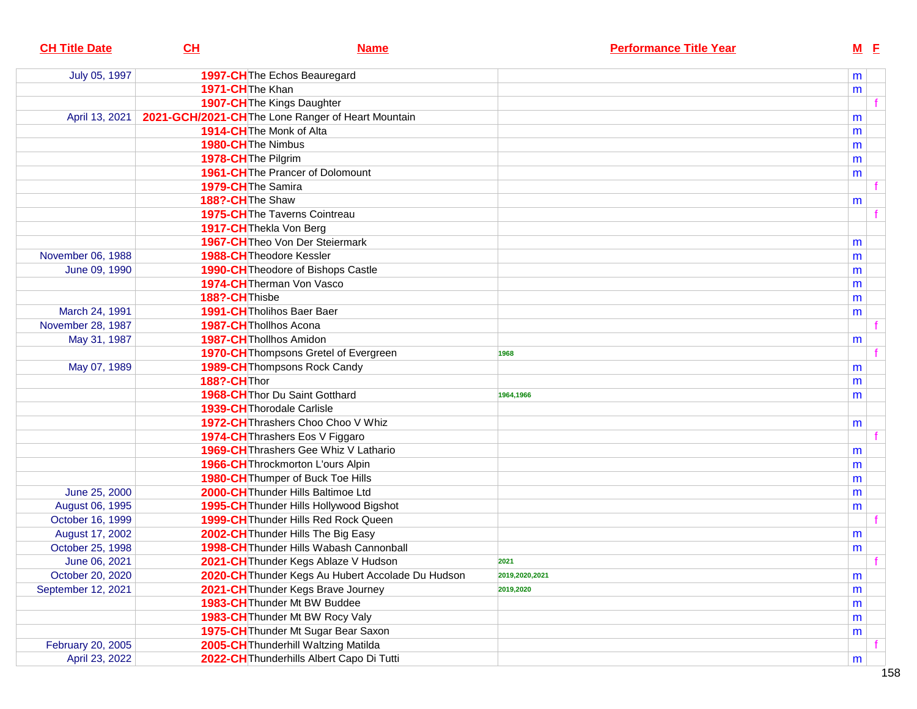| <b>CH Title Date</b> | <u>СН</u>              | <b>Name</b>                                        | <b>Performance Title Year</b> | <u>M E</u> |  |
|----------------------|------------------------|----------------------------------------------------|-------------------------------|------------|--|
| July 05, 1997        |                        | 1997-CH The Echos Beauregard                       |                               | m          |  |
|                      | 1971-CHThe Khan        |                                                    |                               | m          |  |
|                      |                        | 1907-CH The Kings Daughter                         |                               |            |  |
| April 13, 2021       |                        | 2021-GCH/2021-CH The Lone Ranger of Heart Mountain |                               | m          |  |
|                      |                        | 1914-CH The Monk of Alta                           |                               | m          |  |
|                      | 1980-CH The Nimbus     |                                                    |                               | m          |  |
|                      | 1978-CH The Pilgrim    |                                                    |                               | m          |  |
|                      |                        | 1961-CH The Prancer of Dolomount                   |                               | m          |  |
|                      | 1979-CH The Samira     |                                                    |                               |            |  |
|                      | 188?-CH The Shaw       |                                                    |                               | m          |  |
|                      |                        | 1975-CH The Taverns Cointreau                      |                               |            |  |
|                      |                        | 1917-CH Thekla Von Berg                            |                               |            |  |
|                      |                        | 1967-CH Theo Von Der Steiermark                    |                               | m          |  |
| November 06, 1988    |                        | <b>1988-CH</b> Theodore Kessler                    |                               | m          |  |
| June 09, 1990        |                        | 1990-CH Theodore of Bishops Castle                 |                               | m          |  |
|                      |                        | 1974-CH Therman Von Vasco                          |                               | m          |  |
|                      | 188?-CH Thisbe         |                                                    |                               | m          |  |
| March 24, 1991       |                        | 1991-CH Tholihos Baer Baer                         |                               | m          |  |
| November 28, 1987    | 1987-CH Thollhos Acona |                                                    |                               |            |  |
| May 31, 1987         |                        | 1987-CH Thollhos Amidon                            |                               | m          |  |
|                      |                        | 1970-CH Thompsons Gretel of Evergreen              | 1968                          |            |  |
| May 07, 1989         |                        | <b>1989-CH</b> Thompsons Rock Candy                |                               | m          |  |
|                      | 188?-CH Thor           |                                                    |                               | m          |  |
|                      |                        | 1968-CH Thor Du Saint Gotthard                     | 1964,1966                     | m          |  |
|                      |                        | 1939-CH Thorodale Carlisle                         |                               |            |  |
|                      |                        | 1972-CH Thrashers Choo Choo V Whiz                 |                               | m          |  |
|                      |                        | 1974-CH Thrashers Eos V Figgaro                    |                               |            |  |
|                      |                        | <b>1969-CH</b> Thrashers Gee Whiz V Lathario       |                               | m          |  |
|                      |                        | 1966-CH Throckmorton L'ours Alpin                  |                               | m          |  |
|                      |                        | 1980-CH Thumper of Buck Toe Hills                  |                               | m          |  |
| June 25, 2000        |                        | 2000-CH Thunder Hills Baltimoe Ltd                 |                               | m          |  |
| August 06, 1995      |                        | 1995-CH Thunder Hills Hollywood Bigshot            |                               | m          |  |
| October 16, 1999     |                        | 1999-CH Thunder Hills Red Rock Queen               |                               |            |  |
| August 17, 2002      |                        | 2002-CH Thunder Hills The Big Easy                 |                               | m          |  |
| October 25, 1998     |                        | 1998-CH Thunder Hills Wabash Cannonball            |                               | m          |  |
| June 06, 2021        |                        | 2021-CH Thunder Kegs Ablaze V Hudson               | 2021                          |            |  |
| October 20, 2020     |                        | 2020-CH Thunder Kegs Au Hubert Accolade Du Hudson  | 2019,2020,2021                | m          |  |
| September 12, 2021   |                        | 2021-CH Thunder Kegs Brave Journey                 | 2019,2020                     | m          |  |
|                      |                        | 1983-CH Thunder Mt BW Buddee                       |                               | m          |  |
|                      |                        | 1983-CH Thunder Mt BW Rocy Valy                    |                               | m          |  |
|                      |                        | 1975-CH Thunder Mt Sugar Bear Saxon                |                               | m          |  |
| February 20, 2005    |                        | 2005-CH Thunderhill Waltzing Matilda               |                               |            |  |
| April 23, 2022       |                        | 2022-CH Thunderhills Albert Capo Di Tutti          |                               | m          |  |
|                      |                        |                                                    |                               |            |  |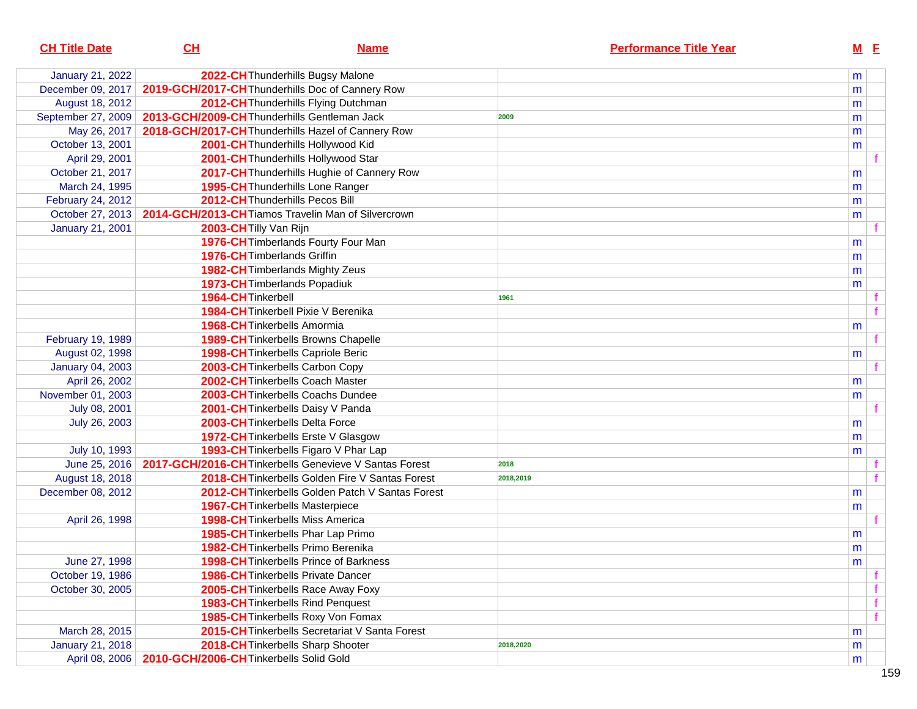| <b>CH Title Date</b>    | CL                                           | <b>Name</b>                                            |           | <b>Performance Title Year</b> |   | $M$ E |  |
|-------------------------|----------------------------------------------|--------------------------------------------------------|-----------|-------------------------------|---|-------|--|
| <b>January 21, 2022</b> |                                              | 2022-CH Thunderhills Bugsy Malone                      |           |                               | m |       |  |
| December 09, 2017       |                                              | 2019-GCH/2017-CH Thunderhills Doc of Cannery Row       |           |                               | m |       |  |
| August 18, 2012         |                                              | 2012-CH Thunderhills Flying Dutchman                   |           |                               | m |       |  |
| September 27, 2009      | 2013-GCH/2009-CH Thunderhills Gentleman Jack |                                                        | 2009      |                               | m |       |  |
| May 26, 2017            |                                              | 2018-GCH/2017-CH Thunderhills Hazel of Cannery Row     |           |                               | m |       |  |
| October 13, 2001        |                                              | 2001-CH Thunderhills Hollywood Kid                     |           |                               | m |       |  |
| April 29, 2001          |                                              | 2001-CH Thunderhills Hollywood Star                    |           |                               |   |       |  |
| October 21, 2017        |                                              | 2017-CH Thunderhills Hughie of Cannery Row             |           |                               | m |       |  |
| March 24, 1995          |                                              | 1995-CH Thunderhills Lone Ranger                       |           |                               | m |       |  |
| February 24, 2012       |                                              | 2012-CH Thunderhills Pecos Bill                        |           |                               | m |       |  |
| October 27, 2013        |                                              | 2014-GCH/2013-CH Tiamos Travelin Man of Silvercrown    |           |                               | m |       |  |
| <b>January 21, 2001</b> | 2003-CH Tilly Van Rijn                       |                                                        |           |                               |   |       |  |
|                         |                                              | 1976-CH Timberlands Fourty Four Man                    |           |                               | m |       |  |
|                         |                                              | 1976-CH Timberlands Griffin                            |           |                               | m |       |  |
|                         |                                              | 1982-CH Timberlands Mighty Zeus                        |           |                               | m |       |  |
|                         |                                              | 1973-CH Timberlands Popadiuk                           |           |                               | m |       |  |
|                         | 1964-CH Tinkerbell                           |                                                        | 1961      |                               |   |       |  |
|                         |                                              | 1984-CH Tinkerbell Pixie V Berenika                    |           |                               |   |       |  |
|                         |                                              | 1968-CH Tinkerbells Amormia                            |           |                               | m |       |  |
| February 19, 1989       |                                              | 1989-CH Tinkerbells Browns Chapelle                    |           |                               |   | f     |  |
| August 02, 1998         |                                              | 1998-CH Tinkerbells Capriole Beric                     |           |                               | m |       |  |
| <b>January 04, 2003</b> |                                              | 2003-CH Tinkerbells Carbon Copy                        |           |                               |   |       |  |
| April 26, 2002          |                                              | 2002-CH Tinkerbells Coach Master                       |           |                               | m |       |  |
| November 01, 2003       |                                              | 2003-CH Tinkerbells Coachs Dundee                      |           |                               | m |       |  |
| July 08, 2001           |                                              | 2001-CH Tinkerbells Daisy V Panda                      |           |                               |   |       |  |
| July 26, 2003           |                                              | 2003-CH Tinkerbells Delta Force                        |           |                               | m |       |  |
|                         |                                              | 1972-CH Tinkerbells Erste V Glasgow                    |           |                               | m |       |  |
| July 10, 1993           |                                              | 1993-CH Tinkerbells Figaro V Phar Lap                  |           |                               | m |       |  |
| June 25, 2016           |                                              | 2017-GCH/2016-CH Tinkerbells Genevieve V Santas Forest | 2018      |                               |   |       |  |
| August 18, 2018         |                                              | 2018-CH Tinkerbells Golden Fire V Santas Forest        | 2018,2019 |                               |   |       |  |
| December 08, 2012       |                                              | 2012-CH Tinkerbells Golden Patch V Santas Forest       |           |                               | m |       |  |
|                         |                                              | 1967-CH Tinkerbells Masterpiece                        |           |                               | m |       |  |
| April 26, 1998          |                                              | <b>1998-CH</b> Tinkerbells Miss America                |           |                               |   |       |  |
|                         |                                              | 1985-CH Tinkerbells Phar Lap Primo                     |           |                               | m |       |  |
|                         |                                              | 1982-CH Tinkerbells Primo Berenika                     |           |                               | m |       |  |
| June 27, 1998           |                                              | 1998-CH Tinkerbells Prince of Barkness                 |           |                               | m |       |  |
| October 19, 1986        |                                              | <b>1986-CH</b> Tinkerbells Private Dancer              |           |                               |   |       |  |
| October 30, 2005        |                                              | 2005-CH Tinkerbells Race Away Foxy                     |           |                               |   |       |  |
|                         |                                              | 1983-CH Tinkerbells Rind Penquest                      |           |                               |   |       |  |
|                         |                                              | 1985-CH Tinkerbells Roxy Von Fomax                     |           |                               |   |       |  |
| March 28, 2015          |                                              | 2015-CH Tinkerbells Secretariat V Santa Forest         |           |                               | m |       |  |
| <b>January 21, 2018</b> |                                              | 2018-CH Tinkerbells Sharp Shooter                      | 2018,2020 |                               | m |       |  |
| April 08, 2006          | 2010-GCH/2006-CH Tinkerbells Solid Gold      |                                                        |           |                               | m |       |  |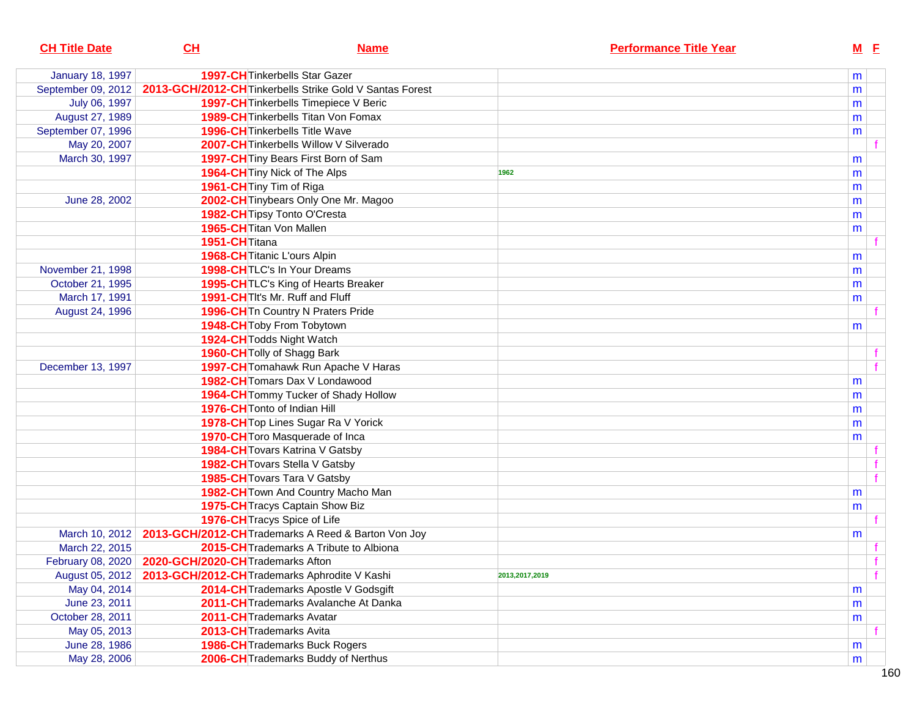| <b>CH Title Date</b>    | CH                                                    | <b>Name</b>                                                          | <b>Performance Title Year</b> | <u>M E</u> |
|-------------------------|-------------------------------------------------------|----------------------------------------------------------------------|-------------------------------|------------|
| <b>January 18, 1997</b> |                                                       | <b>1997-CH</b> Tinkerbells Star Gazer                                |                               | m          |
| September 09, 2012      |                                                       | 2013-GCH/2012-CH Tinkerbells Strike Gold V Santas Forest             |                               | m          |
| July 06, 1997           |                                                       | 1997-CH Tinkerbells Timepiece V Beric                                |                               | m          |
| August 27, 1989         |                                                       | <b>1989-CH</b> Tinkerbells Titan Von Fomax                           |                               | m          |
| September 07, 1996      |                                                       | <b>1996-CH</b> Tinkerbells Title Wave                                |                               | m          |
| May 20, 2007            |                                                       | 2007-CH Tinkerbells Willow V Silverado                               |                               |            |
| March 30, 1997          |                                                       | 1997-CH Tiny Bears First Born of Sam                                 |                               | m          |
|                         |                                                       | 1964-CH Tiny Nick of The Alps                                        | 1962                          | m          |
|                         |                                                       | 1961-CH Tiny Tim of Riga                                             |                               | m          |
| June 28, 2002           |                                                       | 2002-CH Tinybears Only One Mr. Magoo                                 |                               | m          |
|                         |                                                       | 1982-CH Tipsy Tonto O'Cresta                                         |                               | m          |
|                         |                                                       | 1965-CH Titan Von Mallen                                             |                               | m          |
|                         | 1951-CH <sub>Titana</sub>                             |                                                                      |                               |            |
|                         |                                                       | 1968-CH Titanic L'ours Alpin                                         |                               | m          |
| November 21, 1998       |                                                       | 1998-CHTLC's In Your Dreams                                          |                               | m          |
| October 21, 1995        |                                                       | 1995-CH TLC's King of Hearts Breaker                                 |                               | m          |
| March 17, 1991          |                                                       | 1991-CH TIt's Mr. Ruff and Fluff                                     |                               | m          |
| August 24, 1996         |                                                       | 1996-CH Tn Country N Praters Pride                                   |                               |            |
|                         |                                                       | 1948-CH Toby From Tobytown                                           |                               | m          |
|                         |                                                       | 1924-CH Todds Night Watch                                            |                               |            |
|                         |                                                       | 1960-CH Tolly of Shagg Bark                                          |                               |            |
| December 13, 1997       |                                                       | 1997-CH Tomahawk Run Apache V Haras                                  |                               |            |
|                         |                                                       | 1982-CH Tomars Dax V Londawood                                       |                               | m          |
|                         |                                                       | 1964-CH Tommy Tucker of Shady Hollow                                 |                               | m          |
|                         |                                                       | 1976-CH Tonto of Indian Hill                                         |                               | m          |
|                         |                                                       | 1978-CH Top Lines Sugar Ra V Yorick                                  |                               | m          |
|                         |                                                       | 1970-CH Toro Masquerade of Inca                                      |                               | m          |
|                         |                                                       | 1984-CH Tovars Katrina V Gatsby                                      |                               |            |
|                         |                                                       | <b>1982-CH</b> Tovars Stella V Gatsby                                |                               |            |
|                         |                                                       | 1985-CH Tovars Tara V Gatsby                                         |                               |            |
|                         |                                                       | 1982-CH Town And Country Macho Man                                   |                               | m          |
|                         |                                                       | 1975-CH Tracys Captain Show Biz                                      |                               | m          |
|                         |                                                       | 1976-CH Tracys Spice of Life                                         |                               |            |
|                         |                                                       | March 10, 2012   2013-GCH/2012-CH Trademarks A Reed & Barton Von Joy |                               | m          |
| March 22, 2015          |                                                       | 2015-CH Trademarks A Tribute to Albiona                              |                               |            |
|                         | February 08, 2020   2020-GCH/2020-CH Trademarks Afton |                                                                      |                               |            |
| August 05, 2012         |                                                       | 2013-GCH/2012-CH Trademarks Aphrodite V Kashi                        | 2013,2017,2019                |            |
| May 04, 2014            |                                                       | 2014-CH Trademarks Apostle V Godsgift                                |                               | m          |
| June 23, 2011           |                                                       | 2011-CH Trademarks Avalanche At Danka                                |                               | m          |
| October 28, 2011        |                                                       | 2011-CH Trademarks Avatar                                            |                               | m          |
| May 05, 2013            |                                                       | 2013-CH Trademarks Avita                                             |                               |            |
| June 28, 1986           |                                                       | 1986-CH Trademarks Buck Rogers                                       |                               | m          |
| May 28, 2006            |                                                       | 2006-CH Trademarks Buddy of Nerthus                                  |                               | m          |
|                         |                                                       |                                                                      |                               |            |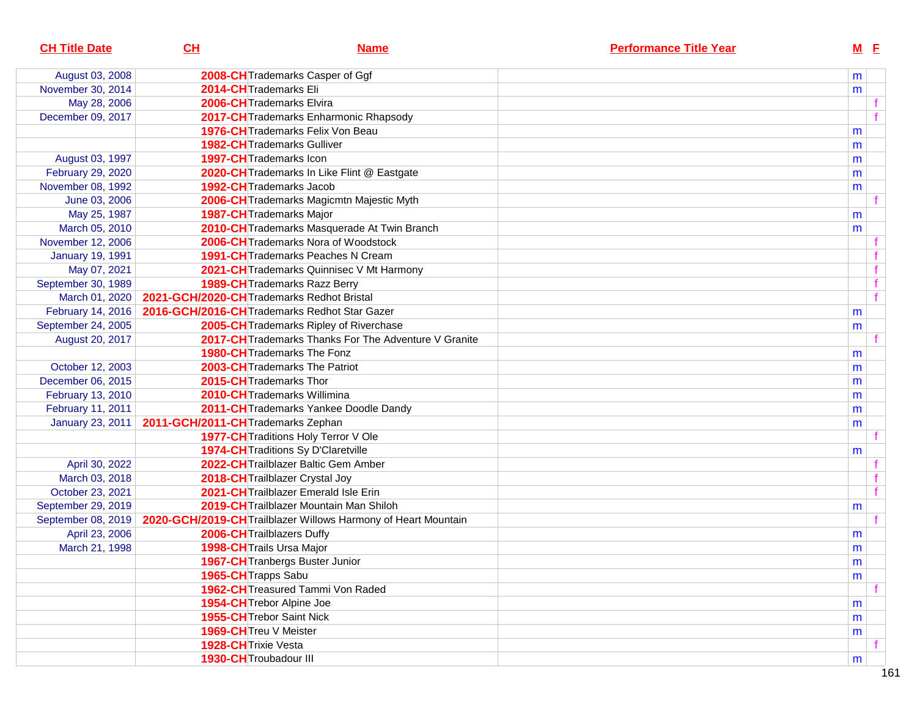| <b>CH Title Date</b>    | CL                                         | <b>Name</b>                                                    | <b>Performance Title Year</b> |   | $M$ E        |
|-------------------------|--------------------------------------------|----------------------------------------------------------------|-------------------------------|---|--------------|
| August 03, 2008         |                                            | 2008-CH Trademarks Casper of Ggf                               |                               | m |              |
| November 30, 2014       | 2014-CH Trademarks Eli                     |                                                                |                               | m |              |
| May 28, 2006            |                                            | 2006-CHTrademarks Elvira                                       |                               |   |              |
| December 09, 2017       |                                            | 2017-CH Trademarks Enharmonic Rhapsody                         |                               |   |              |
|                         |                                            | 1976-CH Trademarks Felix Von Beau                              |                               | m |              |
|                         |                                            | <b>1982-CH</b> Trademarks Gulliver                             |                               | m |              |
| August 03, 1997         | 1997-CH Trademarks Icon                    |                                                                |                               | m |              |
| February 29, 2020       |                                            | 2020-CH Trademarks In Like Flint @ Eastgate                    |                               | m |              |
| November 08, 1992       |                                            | 1992-CH Trademarks Jacob                                       |                               | m |              |
| June 03, 2006           |                                            | 2006-CH Trademarks Magicmtn Majestic Myth                      |                               |   |              |
| May 25, 1987            |                                            | 1987-CH Trademarks Major                                       |                               | m |              |
| March 05, 2010          |                                            | 2010-CH Trademarks Masquerade At Twin Branch                   |                               | m |              |
| November 12, 2006       |                                            | 2006-CHTrademarks Nora of Woodstock                            |                               |   |              |
| <b>January 19, 1991</b> |                                            | <b>1991-CH</b> Trademarks Peaches N Cream                      |                               |   |              |
| May 07, 2021            |                                            | 2021-CH Trademarks Quinnisec V Mt Harmony                      |                               |   | f            |
| September 30, 1989      |                                            | 1989-CH Trademarks Razz Berry                                  |                               |   | $\mathbf f$  |
| March 01, 2020          | 2021-GCH/2020-CH Trademarks Redhot Bristal |                                                                |                               |   | $\mathbf{f}$ |
| February 14, 2016       |                                            | 2016-GCH/2016-CH Trademarks Redhot Star Gazer                  |                               | m |              |
| September 24, 2005      |                                            | 2005-CH Trademarks Ripley of Riverchase                        |                               | m |              |
| August 20, 2017         |                                            | 2017-CH Trademarks Thanks For The Adventure V Granite          |                               |   |              |
|                         |                                            | <b>1980-CH</b> Trademarks The Fonz                             |                               | m |              |
| October 12, 2003        |                                            | 2003-CH Trademarks The Patriot                                 |                               | m |              |
| December 06, 2015       |                                            | 2015-CH Trademarks Thor                                        |                               | m |              |
| February 13, 2010       |                                            | 2010-CHTrademarks Willimina                                    |                               | m |              |
| February 11, 2011       |                                            | 2011-CH Trademarks Yankee Doodle Dandy                         |                               | m |              |
| January 23, 2011        | 2011-GCH/2011-CH Trademarks Zephan         |                                                                |                               | m |              |
|                         |                                            | 1977-CH Traditions Holy Terror V Ole                           |                               |   |              |
|                         |                                            | 1974-CH Traditions Sy D'Claretville                            |                               | m |              |
| April 30, 2022          |                                            | 2022-CH Trailblazer Baltic Gem Amber                           |                               |   |              |
| March 03, 2018          |                                            | 2018-CH Trailblazer Crystal Joy                                |                               |   |              |
| October 23, 2021        |                                            | 2021-CH Trailblazer Emerald Isle Erin                          |                               |   | $\mathbf{f}$ |
| September 29, 2019      |                                            | 2019-CH Trailblazer Mountain Man Shiloh                        |                               | m |              |
| September 08, 2019      |                                            | 2020-GCH/2019-CH Trailblazer Willows Harmony of Heart Mountain |                               |   | f            |
| April 23, 2006          |                                            | 2006-CH Trailblazers Duffy                                     |                               | m |              |
| March 21, 1998          |                                            | 1998-CH Trails Ursa Major                                      |                               | m |              |
|                         |                                            | 1967-CH Tranbergs Buster Junior                                |                               | m |              |
|                         | 1965-CH Trapps Sabu                        |                                                                |                               | m |              |
|                         |                                            | 1962-CH Treasured Tammi Von Raded                              |                               |   |              |
|                         |                                            | 1954-CH Trebor Alpine Joe                                      |                               | m |              |
|                         |                                            | 1955-CH Trebor Saint Nick                                      |                               | m |              |
|                         | 1969-CH Treu V Meister                     |                                                                |                               | m |              |
|                         | 1928-CH Trixie Vesta                       |                                                                |                               |   |              |
|                         | 1930-CH Troubadour III                     |                                                                |                               | m |              |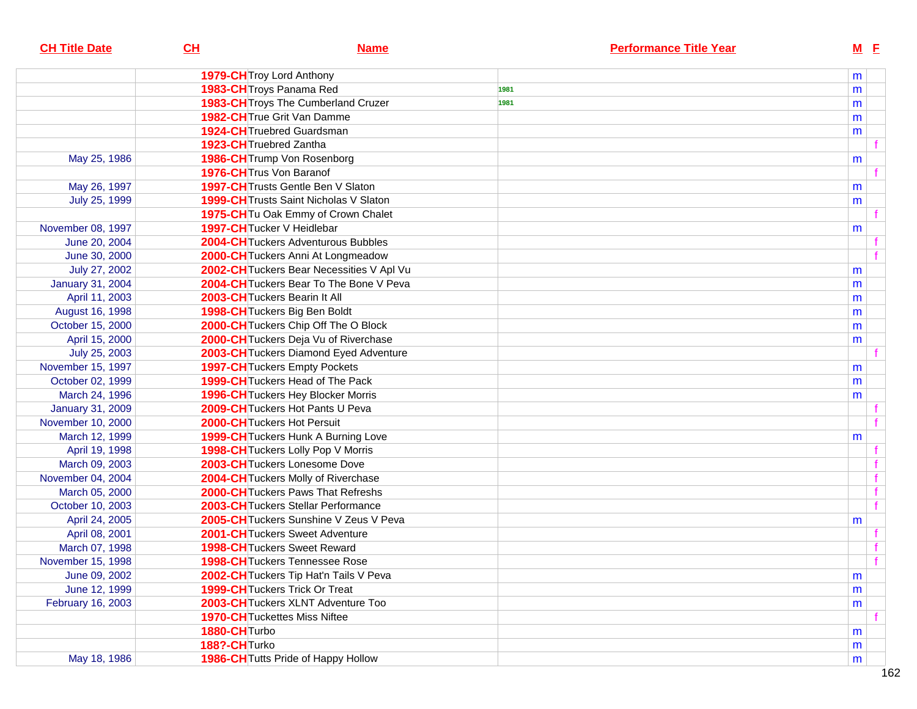| <b>CH Title Date</b>    | CL                       | <b>Name</b>                                   | <b>Performance Title Year</b> | $M$ $E$ |  |
|-------------------------|--------------------------|-----------------------------------------------|-------------------------------|---------|--|
|                         |                          | 1979-CH Troy Lord Anthony                     |                               | m       |  |
|                         |                          | 1983-CH Troys Panama Red                      | 1981                          | m       |  |
|                         |                          | 1983-CH Troys The Cumberland Cruzer           | 1981                          | m       |  |
|                         |                          | 1982-CH True Grit Van Damme                   |                               | m       |  |
|                         |                          | <b>1924-CH</b> Truebred Guardsman             |                               | m       |  |
|                         | 1923-CH Truebred Zantha  |                                               |                               |         |  |
| May 25, 1986            |                          | 1986-CH Trump Von Rosenborg                   |                               | m       |  |
|                         |                          | 1976-CH Trus Von Baranof                      |                               |         |  |
| May 26, 1997            |                          | 1997-CH Trusts Gentle Ben V Slaton            |                               | m       |  |
| July 25, 1999           |                          | <b>1999-CH</b> Trusts Saint Nicholas V Slaton |                               | m       |  |
|                         |                          | 1975-CH Tu Oak Emmy of Crown Chalet           |                               |         |  |
| November 08, 1997       |                          | 1997-CH Tucker V Heidlebar                    |                               | m       |  |
| June 20, 2004           |                          | 2004-CH Tuckers Adventurous Bubbles           |                               |         |  |
| June 30, 2000           |                          | 2000-CH Tuckers Anni At Longmeadow            |                               |         |  |
| July 27, 2002           |                          | 2002-CH Tuckers Bear Necessities V Apl Vu     |                               | m       |  |
| <b>January 31, 2004</b> |                          | 2004-CHTuckers Bear To The Bone V Peva        |                               | m       |  |
| April 11, 2003          |                          | 2003-CH Tuckers Bearin It All                 |                               | m       |  |
| August 16, 1998         |                          | 1998-CH Tuckers Big Ben Boldt                 |                               | m       |  |
| October 15, 2000        |                          | 2000-CH Tuckers Chip Off The O Block          |                               | m       |  |
| April 15, 2000          |                          | 2000-CH Tuckers Deja Vu of Riverchase         |                               | m       |  |
| July 25, 2003           |                          | 2003-CH Tuckers Diamond Eyed Adventure        |                               |         |  |
| November 15, 1997       |                          | <b>1997-CH</b> Tuckers Empty Pockets          |                               | m       |  |
| October 02, 1999        |                          | 1999-CH Tuckers Head of The Pack              |                               | m       |  |
| March 24, 1996          |                          | 1996-CH Tuckers Hey Blocker Morris            |                               | m       |  |
| <b>January 31, 2009</b> |                          | 2009-CH Tuckers Hot Pants U Peva              |                               |         |  |
| November 10, 2000       |                          | 2000-CH Tuckers Hot Persuit                   |                               |         |  |
| March 12, 1999          |                          | 1999-CH Tuckers Hunk A Burning Love           |                               | m       |  |
| April 19, 1998          |                          | 1998-CH Tuckers Lolly Pop V Morris            |                               |         |  |
| March 09, 2003          |                          | 2003-CH Tuckers Lonesome Dove                 |                               |         |  |
| November 04, 2004       |                          | 2004-CH Tuckers Molly of Riverchase           |                               |         |  |
| March 05, 2000          |                          | 2000-CH Tuckers Paws That Refreshs            |                               |         |  |
| October 10, 2003        |                          | 2003-CHTuckers Stellar Performance            |                               |         |  |
| April 24, 2005          |                          | 2005-CHTuckers Sunshine V Zeus V Peva         |                               | m       |  |
| April 08, 2001          |                          | <b>2001-CH</b> Tuckers Sweet Adventure        |                               |         |  |
| March 07, 1998          |                          | <b>1998-CH</b> Tuckers Sweet Reward           |                               |         |  |
| November 15, 1998       |                          | 1998-CH Tuckers Tennessee Rose                |                               |         |  |
| June 09, 2002           |                          | 2002-CH Tuckers Tip Hat'n Tails V Peva        |                               | m       |  |
| June 12, 1999           |                          | <b>1999-CH</b> Tuckers Trick Or Treat         |                               | m       |  |
| February 16, 2003       |                          | 2003-CH Tuckers XLNT Adventure Too            |                               | m       |  |
|                         |                          | <b>1970-CH</b> Tuckettes Miss Niftee          |                               |         |  |
|                         | 1880-CH <sub>Turbo</sub> |                                               |                               | m       |  |
|                         | 188?-CHTurko             |                                               |                               | m       |  |
| May 18, 1986            |                          | 1986-CH Tutts Pride of Happy Hollow           |                               | m       |  |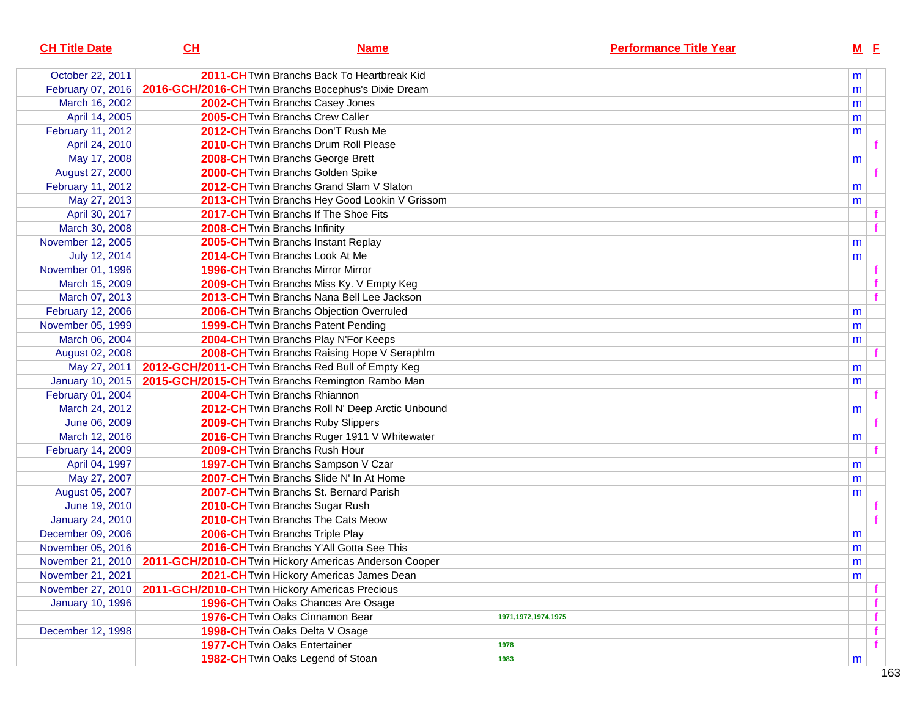| 2011-CH Twin Branchs Back To Heartbreak Kid<br>October 22, 2011<br>2016-GCH/2016-CH Twin Branchs Bocephus's Dixie Dream<br>February 07, 2016<br>March 16, 2002<br>2002-CH Twin Branchs Casey Jones | m<br>m<br>m<br>m |
|----------------------------------------------------------------------------------------------------------------------------------------------------------------------------------------------------|------------------|
|                                                                                                                                                                                                    |                  |
|                                                                                                                                                                                                    |                  |
|                                                                                                                                                                                                    |                  |
| April 14, 2005<br>2005-CH Twin Branchs Crew Caller                                                                                                                                                 |                  |
| February 11, 2012<br>2012-CHTwin Branchs Don'T Rush Me                                                                                                                                             | m                |
| 2010-CH Twin Branchs Drum Roll Please<br>April 24, 2010                                                                                                                                            |                  |
| May 17, 2008<br>2008-CH Twin Branchs George Brett                                                                                                                                                  | m                |
| August 27, 2000<br>2000-CH Twin Branchs Golden Spike                                                                                                                                               |                  |
| February 11, 2012<br>2012-CH Twin Branchs Grand Slam V Slaton                                                                                                                                      | m                |
| 2013-CH Twin Branchs Hey Good Lookin V Grissom<br>May 27, 2013                                                                                                                                     | m                |
| April 30, 2017<br>2017-CH Twin Branchs If The Shoe Fits                                                                                                                                            |                  |
| March 30, 2008<br>2008-CH Twin Branchs Infinity                                                                                                                                                    |                  |
| November 12, 2005<br>2005-CH Twin Branchs Instant Replay                                                                                                                                           | m                |
| 2014-CH Twin Branchs Look At Me<br>July 12, 2014                                                                                                                                                   | m                |
| November 01, 1996<br><b>1996-CH</b> Twin Branchs Mirror Mirror                                                                                                                                     |                  |
| March 15, 2009<br>2009-CH Twin Branchs Miss Ky. V Empty Keg                                                                                                                                        |                  |
| March 07, 2013<br>2013-CH Twin Branchs Nana Bell Lee Jackson                                                                                                                                       |                  |
| February 12, 2006<br>2006-CH Twin Branchs Objection Overruled                                                                                                                                      | m                |
| November 05, 1999<br>1999-CH Twin Branchs Patent Pending                                                                                                                                           | m                |
| March 06, 2004<br>2004-CH Twin Branchs Play N'For Keeps                                                                                                                                            | m                |
| August 02, 2008<br>2008-CH Twin Branchs Raising Hope V Seraphlm                                                                                                                                    |                  |
| 2012-GCH/2011-CH Twin Branchs Red Bull of Empty Keg<br>May 27, 2011                                                                                                                                | m                |
| January 10, 2015<br>2015-GCH/2015-CH Twin Branchs Remington Rambo Man                                                                                                                              | m                |
| February 01, 2004<br>2004-CH Twin Branchs Rhiannon                                                                                                                                                 |                  |
| March 24, 2012<br>2012-CH Twin Branchs Roll N' Deep Arctic Unbound                                                                                                                                 | m                |
| June 06, 2009<br>2009-CH Twin Branchs Ruby Slippers                                                                                                                                                |                  |
| March 12, 2016<br>2016-CH Twin Branchs Ruger 1911 V Whitewater                                                                                                                                     | m                |
| February 14, 2009<br>2009-CH Twin Branchs Rush Hour                                                                                                                                                |                  |
| 1997-CH Twin Branchs Sampson V Czar<br>April 04, 1997                                                                                                                                              | m                |
| May 27, 2007<br>2007-CH Twin Branchs Slide N' In At Home                                                                                                                                           | m                |
| August 05, 2007<br>2007-CH Twin Branchs St. Bernard Parish                                                                                                                                         | m                |
| June 19, 2010<br>2010-CH Twin Branchs Sugar Rush                                                                                                                                                   |                  |
| <b>January 24, 2010</b><br>2010-CH Twin Branchs The Cats Meow                                                                                                                                      |                  |
| December 09, 2006<br>2006-CH Twin Branchs Triple Play                                                                                                                                              | m                |
| 2016-CH Twin Branchs Y'All Gotta See This<br>November 05, 2016                                                                                                                                     | m                |
| November 21, 2010   2011-GCH/2010-CH Twin Hickory Americas Anderson Cooper                                                                                                                         | m                |
| 2021-CH Twin Hickory Americas James Dean<br>November 21, 2021                                                                                                                                      | m                |
| November 27, 2010<br>2011-GCH/2010-CH Twin Hickory Americas Precious                                                                                                                               |                  |
| 1996-CH Twin Oaks Chances Are Osage<br><b>January 10, 1996</b>                                                                                                                                     |                  |
| 1976-CH Twin Oaks Cinnamon Bear<br>1971, 1972, 1974, 1975                                                                                                                                          |                  |
| December 12, 1998<br>1998-CH Twin Oaks Delta V Osage                                                                                                                                               |                  |
| <b>1977-CH</b> Twin Oaks Entertainer<br>1978                                                                                                                                                       |                  |
| 1982-CH Twin Oaks Legend of Stoan<br>1983                                                                                                                                                          | m                |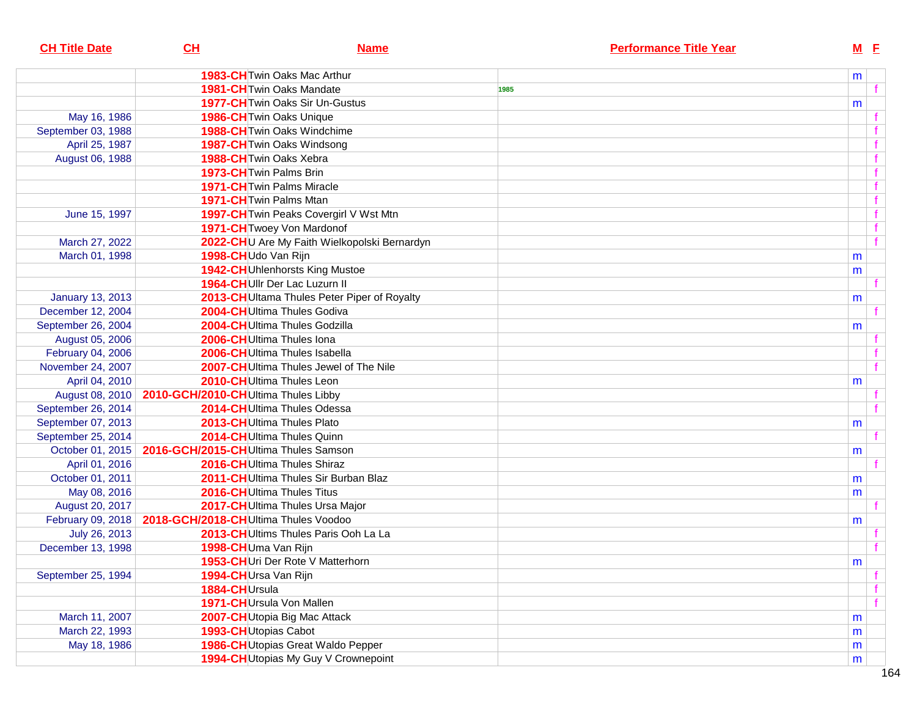| <b>CH Title Date</b>    | CL                                                       | <b>Name</b>                                  |      | <b>Performance Title Year</b> |   | $M$ E       |                |
|-------------------------|----------------------------------------------------------|----------------------------------------------|------|-------------------------------|---|-------------|----------------|
|                         |                                                          | <b>1983-CH</b> Twin Oaks Mac Arthur          |      |                               | m |             |                |
|                         | 1981-CH Twin Oaks Mandate                                |                                              | 1985 |                               |   |             |                |
|                         |                                                          | <b>1977-CH</b> Twin Oaks Sir Un-Gustus       |      |                               |   |             |                |
| May 16, 1986            | 1986-CH Twin Oaks Unique                                 |                                              |      |                               | m |             |                |
| September 03, 1988      |                                                          | 1988-CH Twin Oaks Windchime                  |      |                               |   |             |                |
| April 25, 1987          | 1987-CH Twin Oaks Windsong                               |                                              |      |                               |   |             |                |
| August 06, 1988         | 1988-CH Twin Oaks Xebra                                  |                                              |      |                               |   |             |                |
|                         | 1973-CH Twin Palms Brin                                  |                                              |      |                               |   |             |                |
|                         | <b>1971-CH</b> Twin Palms Miracle                        |                                              |      |                               |   |             |                |
|                         | 1971-CH Twin Palms Mtan                                  |                                              |      |                               |   |             |                |
| June 15, 1997           |                                                          | 1997-CH Twin Peaks Covergirl V Wst Mtn       |      |                               |   | f           |                |
|                         | 1971-CH Twoey Von Mardonof                               |                                              |      |                               |   | $\mathbf f$ |                |
| March 27, 2022          |                                                          | 2022-CHU Are My Faith Wielkopolski Bernardyn |      |                               |   |             | $\mathbf{f}$   |
|                         | 1998-CHUdo Van Rijn                                      |                                              |      |                               |   |             |                |
| March 01, 1998          |                                                          | 1942-CHUhlenhorsts King Mustoe               |      |                               | m |             |                |
|                         | 1964-CHUIIr Der Lac Luzurn II                            |                                              |      |                               | m |             | f              |
|                         |                                                          |                                              |      |                               |   |             |                |
| <b>January 13, 2013</b> |                                                          | 2013-CH Ultama Thules Peter Piper of Royalty |      |                               | m |             |                |
| December 12, 2004       | 2004-CHUltima Thules Godiva                              |                                              |      |                               |   |             |                |
| September 26, 2004      |                                                          | 2004-CHUltima Thules Godzilla                |      |                               | m |             |                |
| August 05, 2006         | 2006-CHUltima Thules Iona                                |                                              |      |                               |   |             |                |
| February 04, 2006       |                                                          | 2006-CHUltima Thules Isabella                |      |                               |   |             |                |
| November 24, 2007       |                                                          | 2007-CHUltima Thules Jewel of The Nile       |      |                               |   |             | $\mathbf{f}$   |
| April 04, 2010          | 2010-CHUltima Thules Leon                                |                                              |      |                               | m |             |                |
| August 08, 2010         | 2010-GCH/2010-CHUltima Thules Libby                      |                                              |      |                               |   |             |                |
| September 26, 2014      |                                                          | 2014-CHUltima Thules Odessa                  |      |                               |   |             | f              |
| September 07, 2013      | 2013-CHUltima Thules Plato                               |                                              |      |                               | m |             |                |
| September 25, 2014      | 2014-CHUltima Thules Quinn                               |                                              |      |                               |   |             |                |
| October 01, 2015        | 2016-GCH/2015-CHUltima Thules Samson                     |                                              |      |                               | m |             |                |
| April 01, 2016          | 2016-CHUltima Thules Shiraz                              |                                              |      |                               |   |             |                |
| October 01, 2011        |                                                          | 2011-CHUltima Thules Sir Burban Blaz         |      |                               | m |             |                |
| May 08, 2016            | 2016-CHUltima Thules Titus                               |                                              |      |                               | m |             |                |
| August 20, 2017         |                                                          | 2017-CHUltima Thules Ursa Major              |      |                               |   |             |                |
|                         | February 09, 2018   2018-GCH/2018-CHUltima Thules Voodoo |                                              |      |                               | m |             |                |
| July 26, 2013           |                                                          | 2013-CHUltims Thules Paris Ooh La La         |      |                               |   |             |                |
| December 13, 1998       | 1998-CHUma Van Rijn                                      |                                              |      |                               |   |             |                |
|                         |                                                          | 1953-CHUri Der Rote V Matterhorn             |      |                               | m |             |                |
| September 25, 1994      | 1994-CHUrsa Van Rijn                                     |                                              |      |                               |   |             |                |
|                         | 1884-CHUrsula                                            |                                              |      |                               |   |             | f              |
|                         | 1971-CHUrsula Von Mallen                                 |                                              |      |                               |   |             | $\overline{f}$ |
| March 11, 2007          |                                                          | 2007-CHUtopia Big Mac Attack                 |      |                               | m |             |                |
| March 22, 1993          | 1993-CH Utopias Cabot                                    |                                              |      |                               | m |             |                |
| May 18, 1986            |                                                          | 1986-CH Utopias Great Waldo Pepper           |      |                               | m |             |                |
|                         |                                                          | 1994-CH Utopias My Guy V Crownepoint         |      |                               | m |             |                |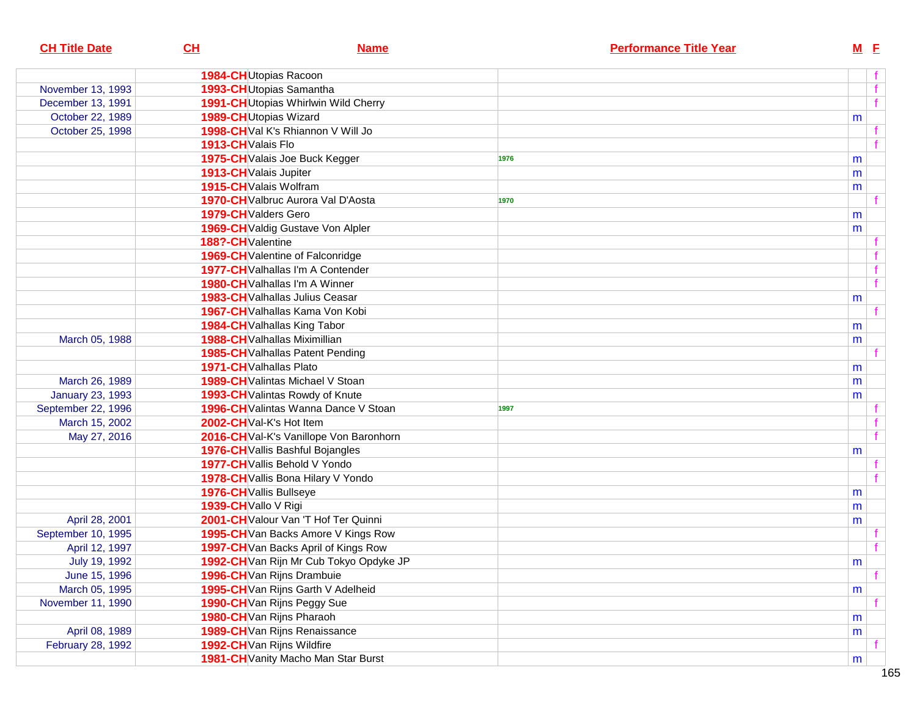| <b>CH Title Date</b>    | CL                         | <b>Name</b>                             | <b>Performance Title Year</b> | $M$ E        |  |
|-------------------------|----------------------------|-----------------------------------------|-------------------------------|--------------|--|
|                         | 1984-CHUtopias Racoon      |                                         |                               |              |  |
| November 13, 1993       |                            | 1993-CH Utopias Samantha                |                               | f            |  |
| December 13, 1991       |                            | 1991-CH Utopias Whirlwin Wild Cherry    |                               | f            |  |
| October 22, 1989        | 1989-CH Utopias Wizard     |                                         |                               | m            |  |
| October 25, 1998        |                            | 1998-CHVal K's Rhiannon V Will Jo       |                               |              |  |
|                         | 1913-CH Valais Flo         |                                         |                               |              |  |
|                         |                            | 1975-CH Valais Joe Buck Kegger          | 1976                          | m            |  |
|                         | 1913-CH Valais Jupiter     |                                         |                               | m            |  |
|                         | 1915-CH Valais Wolfram     |                                         |                               | m            |  |
|                         |                            | 1970-CH Valbruc Aurora Val D'Aosta      | 1970                          |              |  |
|                         | 1979-CH Valders Gero       |                                         |                               | m            |  |
|                         |                            | 1969-CH Valdig Gustave Von Alpler       |                               | m            |  |
|                         | 188?-CHValentine           |                                         |                               |              |  |
|                         |                            | 1969-CH Valentine of Falconridge        |                               |              |  |
|                         |                            | 1977-CH Valhallas I'm A Contender       |                               |              |  |
|                         |                            | <b>1980-CH</b> Valhallas I'm A Winner   |                               | $\mathbf{f}$ |  |
|                         |                            | 1983-CH Valhallas Julius Ceasar         |                               | m            |  |
|                         |                            | 1967-CH Valhallas Kama Von Kobi         |                               |              |  |
|                         |                            | 1984-CH Valhallas King Tabor            |                               | m            |  |
| March 05, 1988          |                            | 1988-CH Valhallas Miximillian           |                               | m            |  |
|                         |                            | 1985-CH Valhallas Patent Pending        |                               |              |  |
|                         | 1971-CH Valhallas Plato    |                                         |                               | m            |  |
| March 26, 1989          |                            | 1989-CH Valintas Michael V Stoan        |                               | m            |  |
| <b>January 23, 1993</b> |                            | 1993-CH Valintas Rowdy of Knute         |                               | m            |  |
| September 22, 1996      |                            | 1996-CH Valintas Wanna Dance V Stoan    | 1997                          |              |  |
| March 15, 2002          | 2002-CHVal-K's Hot Item    |                                         |                               |              |  |
| May 27, 2016            |                            | 2016-CH Val-K's Vanillope Von Baronhorn |                               |              |  |
|                         |                            | 1976-CH Vallis Bashful Bojangles        |                               | m            |  |
|                         |                            | 1977-CH Vallis Behold V Yondo           |                               |              |  |
|                         |                            | 1978-CH Vallis Bona Hilary V Yondo      |                               |              |  |
|                         | 1976-CH Vallis Bullseye    |                                         |                               | m            |  |
|                         | 1939-CH Vallo V Rigi       |                                         |                               | m            |  |
| April 28, 2001          |                            | 2001-CH Valour Van 'T Hof Ter Quinni    |                               | m            |  |
| September 10, 1995      |                            | 1995-CH Van Backs Amore V Kings Row     |                               |              |  |
| April 12, 1997          |                            | 1997-CH Van Backs April of Kings Row    |                               |              |  |
| July 19, 1992           |                            | 1992-CH Van Rijn Mr Cub Tokyo Opdyke JP |                               | ${\sf m}$    |  |
| June 15, 1996           |                            | 1996-CH Van Rijns Drambuie              |                               |              |  |
| March 05, 1995          |                            | 1995-CH Van Rijns Garth V Adelheid      |                               | m            |  |
| November 11, 1990       |                            | 1990-CH Van Rijns Peggy Sue             |                               |              |  |
|                         |                            | 1980-CH Van Rijns Pharaoh               |                               | m            |  |
| April 08, 1989          |                            | 1989-CH Van Rijns Renaissance           |                               | m            |  |
| February 28, 1992       | 1992-CH Van Rijns Wildfire |                                         |                               |              |  |
|                         |                            | 1981-CH Vanity Macho Man Star Burst     |                               | m            |  |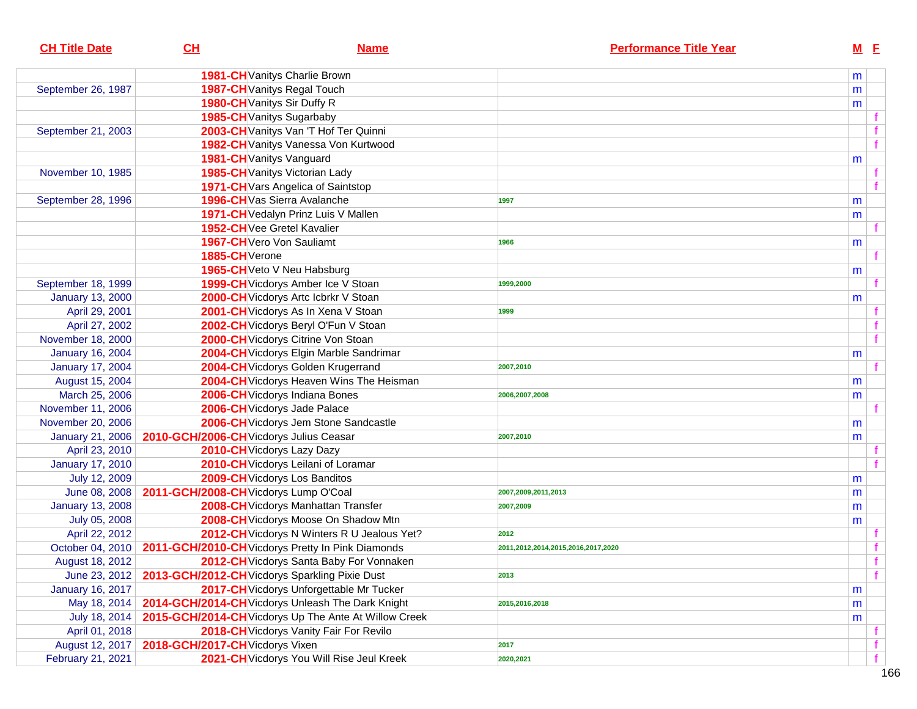| <b>CH Title Date</b>    | CH                                    | <b>Name</b>                                                          | <b>Performance Title Year</b>      |   | $M$ E        |  |
|-------------------------|---------------------------------------|----------------------------------------------------------------------|------------------------------------|---|--------------|--|
|                         |                                       | 1981-CH Vanitys Charlie Brown                                        |                                    | m |              |  |
| September 26, 1987      |                                       | 1987-CH Vanitys Regal Touch                                          |                                    | m |              |  |
|                         |                                       | 1980-CH Vanitys Sir Duffy R                                          |                                    | m |              |  |
|                         |                                       | 1985-CH Vanitys Sugarbaby                                            |                                    |   |              |  |
| September 21, 2003      |                                       | 2003-CH Vanitys Van 'T Hof Ter Quinni                                |                                    |   |              |  |
|                         |                                       | 1982-CH Vanitys Vanessa Von Kurtwood                                 |                                    |   | $\mathbf f$  |  |
|                         |                                       | 1981-CH Vanitys Vanguard                                             |                                    | m |              |  |
| November 10, 1985       |                                       | 1985-CH Vanitys Victorian Lady                                       |                                    |   |              |  |
|                         |                                       | 1971-CH Vars Angelica of Saintstop                                   |                                    |   |              |  |
| September 28, 1996      |                                       | 1996-CHVas Sierra Avalanche                                          | 1997                               | m |              |  |
|                         |                                       | 1971-CH Vedalyn Prinz Luis V Mallen                                  |                                    | m |              |  |
|                         |                                       | 1952-CH Vee Gretel Kavalier                                          |                                    |   |              |  |
|                         |                                       | 1967-CH Vero Von Sauliamt                                            | 1966                               | m |              |  |
|                         | 1885-CH <sub>Verone</sub>             |                                                                      |                                    |   |              |  |
|                         |                                       | 1965-CH Veto V Neu Habsburg                                          |                                    | m |              |  |
| September 18, 1999      |                                       | 1999-CH Vicdorys Amber Ice V Stoan                                   | 1999,2000                          |   |              |  |
| <b>January 13, 2000</b> |                                       | 2000-CH Vicdorys Artc Icbrkr V Stoan                                 |                                    | m |              |  |
| April 29, 2001          |                                       | 2001-CH Vicdorys As In Xena V Stoan                                  | 1999                               |   |              |  |
| April 27, 2002          |                                       | 2002-CH Vicdorys Beryl O'Fun V Stoan                                 |                                    |   |              |  |
| November 18, 2000       |                                       | 2000-CH Vicdorys Citrine Von Stoan                                   |                                    |   |              |  |
| <b>January 16, 2004</b> |                                       | 2004-CH Vicdorys Elgin Marble Sandrimar                              |                                    | m |              |  |
| <b>January 17, 2004</b> |                                       | 2004-CH Vicdorys Golden Krugerrand                                   | 2007,2010                          |   |              |  |
| August 15, 2004         |                                       | 2004-CH Vicdorys Heaven Wins The Heisman                             |                                    | m |              |  |
| March 25, 2006          |                                       | 2006-CH Vicdorys Indiana Bones                                       | 2006,2007,2008                     | m |              |  |
| November 11, 2006       |                                       | 2006-CH Vicdorys Jade Palace                                         |                                    |   |              |  |
| November 20, 2006       |                                       | 2006-CH Vicdorys Jem Stone Sandcastle                                |                                    | m |              |  |
| <b>January 21, 2006</b> |                                       | 2010-GCH/2006-CH Vicdorys Julius Ceasar                              | 2007,2010                          | m |              |  |
| April 23, 2010          |                                       | 2010-CH Vicdorys Lazy Dazy                                           |                                    |   |              |  |
| <b>January 17, 2010</b> |                                       | 2010-CH Vicdorys Leilani of Loramar                                  |                                    |   |              |  |
| July 12, 2009           |                                       | 2009-CH Vicdorys Los Banditos                                        |                                    | m |              |  |
| June 08, 2008           | 2011-GCH/2008-CH Vicdorys Lump O'Coal |                                                                      | 2007,2009,2011,2013                | m |              |  |
| <b>January 13, 2008</b> |                                       | 2008-CH Vicdorys Manhattan Transfer                                  | 2007,2009                          | m |              |  |
| July 05, 2008           |                                       | 2008-CH Vicdorys Moose On Shadow Mtn                                 |                                    | m |              |  |
| April 22, 2012          |                                       | 2012-CH Vicdorys N Winters R U Jealous Yet?                          | 2012                               |   |              |  |
|                         |                                       | October 04, 2010   2011-GCH/2010-CH Vicdorys Pretty In Pink Diamonds | 2011,2012,2014,2015,2016,2017,2020 |   |              |  |
| August 18, 2012         |                                       | 2012-CH Vicdorys Santa Baby For Vonnaken                             |                                    |   | $\mathbf{f}$ |  |
| June 23, 2012           |                                       | 2013-GCH/2012-CH Vicdorys Sparkling Pixie Dust                       | 2013                               |   | f            |  |
| <b>January 16, 2017</b> |                                       | 2017-CH Vicdorys Unforgettable Mr Tucker                             |                                    | m |              |  |
| May 18, 2014            |                                       | 2014-GCH/2014-CH Vicdorys Unleash The Dark Knight                    | 2015,2016,2018                     | m |              |  |
| July 18, 2014           |                                       | 2015-GCH/2014-CH Vicdorys Up The Ante At Willow Creek                |                                    | m |              |  |
| April 01, 2018          |                                       | 2018-CH Vicdorys Vanity Fair For Revilo                              |                                    |   |              |  |
| August 12, 2017         | 2018-GCH/2017-CH Vicdorys Vixen       |                                                                      | 2017                               |   |              |  |
| February 21, 2021       |                                       | 2021-CH Vicdorys You Will Rise Jeul Kreek                            | 2020,2021                          |   | f            |  |
|                         |                                       |                                                                      |                                    |   |              |  |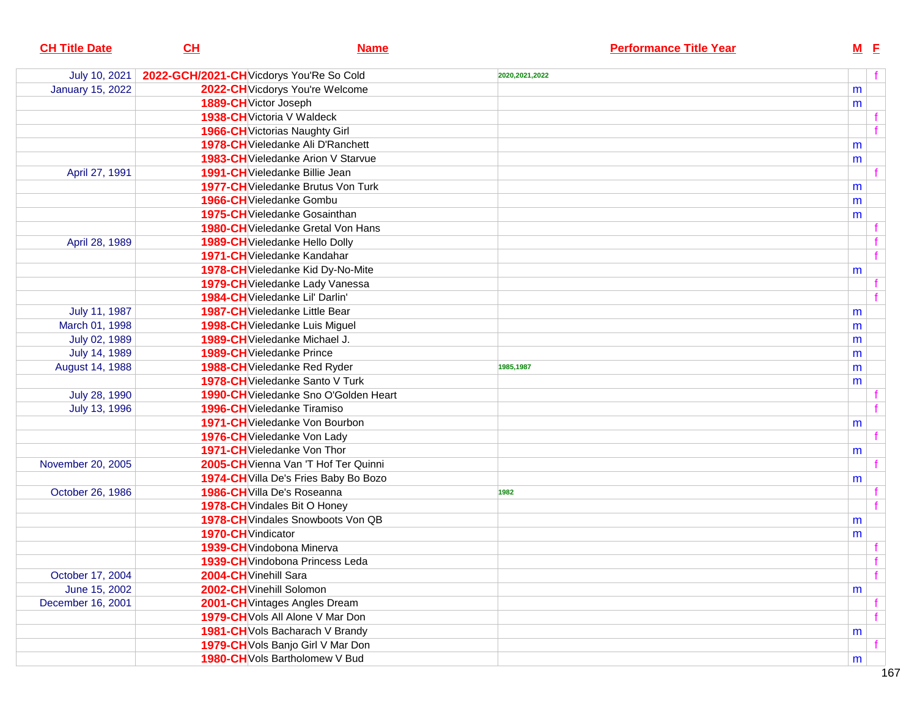| <b>CH Title Date</b>    | CL                                       | <b>Name</b>                               |                  | <b>Performance Title Year</b> |   | $M$ E |   |
|-------------------------|------------------------------------------|-------------------------------------------|------------------|-------------------------------|---|-------|---|
| July 10, 2021           | 2022-GCH/2021-CH Vicdorys You'Re So Cold |                                           | 2020, 2021, 2022 |                               |   |       | f |
| <b>January 15, 2022</b> |                                          | 2022-CH Vicdorys You're Welcome           |                  |                               | m |       |   |
|                         | 1889-CH Victor Joseph                    |                                           |                  |                               | m |       |   |
|                         |                                          | 1938-CH Victoria V Waldeck                |                  |                               |   |       |   |
|                         |                                          | 1966-CH Victorias Naughty Girl            |                  |                               |   |       |   |
|                         |                                          | 1978-CH Vieledanke Ali D'Ranchett         |                  |                               | m |       |   |
|                         |                                          | <b>1983-CH</b> Vieledanke Arion V Starvue |                  |                               | m |       |   |
| April 27, 1991          |                                          | 1991-CH Vieledanke Billie Jean            |                  |                               |   |       |   |
|                         |                                          | <b>1977-CH</b> Vieledanke Brutus Von Turk |                  |                               | m |       |   |
|                         |                                          | 1966-CH Vieledanke Gombu                  |                  |                               | m |       |   |
|                         |                                          | <b>1975-CH</b> Vieledanke Gosainthan      |                  |                               | m |       |   |
|                         |                                          | <b>1980-CH</b> Vieledanke Gretal Von Hans |                  |                               |   |       |   |
| April 28, 1989          |                                          | 1989-CH Vieledanke Hello Dolly            |                  |                               |   |       |   |
|                         |                                          | 1971-CH Vieledanke Kandahar               |                  |                               |   |       | f |
|                         |                                          | 1978-CH Vieledanke Kid Dy-No-Mite         |                  |                               | m |       |   |
|                         |                                          | 1979-CH Vieledanke Lady Vanessa           |                  |                               |   |       |   |
|                         |                                          | 1984-CH Vieledanke Lil' Darlin'           |                  |                               |   |       |   |
| July 11, 1987           |                                          | <b>1987-CH</b> Vieledanke Little Bear     |                  |                               | m |       |   |
| March 01, 1998          |                                          | 1998-CH Vieledanke Luis Miguel            |                  |                               | m |       |   |
| July 02, 1989           |                                          | 1989-CH Vieledanke Michael J.             |                  |                               | m |       |   |
| July 14, 1989           |                                          | 1989-CH Vieledanke Prince                 |                  |                               | m |       |   |
| August 14, 1988         |                                          | 1988-CH Vieledanke Red Ryder              | 1985,1987        |                               | m |       |   |
|                         |                                          | 1978-CH Vieledanke Santo V Turk           |                  |                               | m |       |   |
| July 28, 1990           |                                          | 1990-CH Vieledanke Sno O'Golden Heart     |                  |                               |   |       |   |
| July 13, 1996           |                                          | <b>1996-CH</b> Vieledanke Tiramiso        |                  |                               |   |       |   |
|                         |                                          | <b>1971-CH</b> Vieledanke Von Bourbon     |                  |                               | m |       |   |
|                         |                                          | 1976-CH Vieledanke Von Lady               |                  |                               |   |       |   |
|                         |                                          | 1971-CH Vieledanke Von Thor               |                  |                               | m |       |   |
| November 20, 2005       |                                          | 2005-CH Vienna Van 'T Hof Ter Quinni      |                  |                               |   |       |   |
|                         |                                          | 1974-CH Villa De's Fries Baby Bo Bozo     |                  |                               | m |       |   |
| October 26, 1986        |                                          | 1986-CH Villa De's Roseanna               | 1982             |                               |   |       |   |
|                         |                                          | 1978-CH Vindales Bit O Honey              |                  |                               |   |       |   |
|                         |                                          | 1978-CH Vindales Snowboots Von QB         |                  |                               | m |       |   |
|                         | 1970-CH Vindicator                       |                                           |                  |                               | m |       |   |
|                         |                                          | 1939-CH Vindobona Minerva                 |                  |                               |   |       |   |
|                         |                                          | <b>1939-CH</b> Vindobona Princess Leda    |                  |                               |   |       |   |
| October 17, 2004        | 2004-CH Vinehill Sara                    |                                           |                  |                               |   |       | f |
| June 15, 2002           | 2002-CH Vinehill Solomon                 |                                           |                  |                               | m |       |   |
| December 16, 2001       |                                          | 2001-CH Vintages Angles Dream             |                  |                               |   |       |   |
|                         |                                          | 1979-CH Vols All Alone V Mar Don          |                  |                               |   |       |   |
|                         |                                          | 1981-CH Vols Bacharach V Brandy           |                  |                               | m |       |   |
|                         |                                          | 1979-CH Vols Banjo Girl V Mar Don         |                  |                               |   |       |   |
|                         |                                          | 1980-CH Vols Bartholomew V Bud            |                  |                               | m |       |   |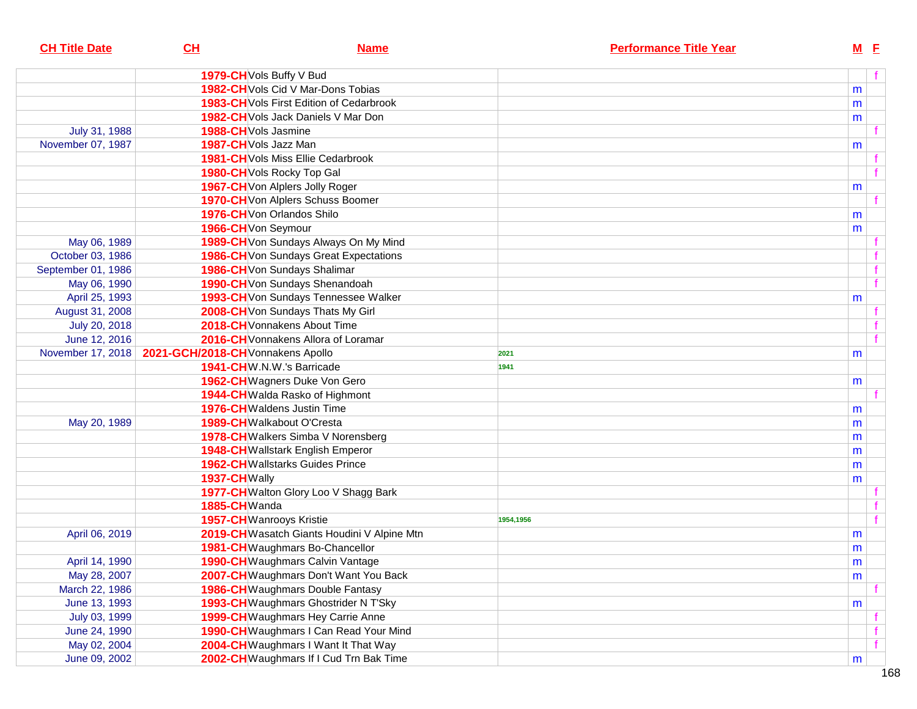| 1979-CH Vols Buffy V Bud<br>1982-CH Vols Cid V Mar-Dons Tobias<br><b>1983-CH</b> Vols First Edition of Cedarbrook<br>1982-CH Vols Jack Daniels V Mar Don<br>July 31, 1988<br>1988-CH Vols Jasmine<br>November 07, 1987<br>1987-CH Vols Jazz Man<br><b>1981-CH</b> Vols Miss Ellie Cedarbrook<br>1980-CH Vols Rocky Top Gal<br>1967-CH Von Alplers Jolly Roger<br>1970-CH Von Alplers Schuss Boomer<br>1976-CHVon Orlandos Shilo<br>1966-CH Von Seymour<br>1989-CH Von Sundays Always On My Mind<br>May 06, 1989<br>1986-CH Von Sundays Great Expectations<br>October 03, 1986 |   | $M$ E |
|-------------------------------------------------------------------------------------------------------------------------------------------------------------------------------------------------------------------------------------------------------------------------------------------------------------------------------------------------------------------------------------------------------------------------------------------------------------------------------------------------------------------------------------------------------------------------------|---|-------|
|                                                                                                                                                                                                                                                                                                                                                                                                                                                                                                                                                                               |   | f     |
|                                                                                                                                                                                                                                                                                                                                                                                                                                                                                                                                                                               | m |       |
|                                                                                                                                                                                                                                                                                                                                                                                                                                                                                                                                                                               | m |       |
|                                                                                                                                                                                                                                                                                                                                                                                                                                                                                                                                                                               | m |       |
|                                                                                                                                                                                                                                                                                                                                                                                                                                                                                                                                                                               |   |       |
|                                                                                                                                                                                                                                                                                                                                                                                                                                                                                                                                                                               | m |       |
|                                                                                                                                                                                                                                                                                                                                                                                                                                                                                                                                                                               |   |       |
|                                                                                                                                                                                                                                                                                                                                                                                                                                                                                                                                                                               |   |       |
|                                                                                                                                                                                                                                                                                                                                                                                                                                                                                                                                                                               | m |       |
|                                                                                                                                                                                                                                                                                                                                                                                                                                                                                                                                                                               |   |       |
|                                                                                                                                                                                                                                                                                                                                                                                                                                                                                                                                                                               | m |       |
|                                                                                                                                                                                                                                                                                                                                                                                                                                                                                                                                                                               | m |       |
|                                                                                                                                                                                                                                                                                                                                                                                                                                                                                                                                                                               |   |       |
|                                                                                                                                                                                                                                                                                                                                                                                                                                                                                                                                                                               |   |       |
| 1986-CH Von Sundays Shalimar<br>September 01, 1986                                                                                                                                                                                                                                                                                                                                                                                                                                                                                                                            |   |       |
| 1990-CH Von Sundays Shenandoah<br>May 06, 1990                                                                                                                                                                                                                                                                                                                                                                                                                                                                                                                                |   |       |
| 1993-CH Von Sundays Tennessee Walker<br>April 25, 1993                                                                                                                                                                                                                                                                                                                                                                                                                                                                                                                        | m |       |
| 2008-CH Von Sundays Thats My Girl<br>August 31, 2008                                                                                                                                                                                                                                                                                                                                                                                                                                                                                                                          |   |       |
| 2018-CH Vonnakens About Time<br>July 20, 2018                                                                                                                                                                                                                                                                                                                                                                                                                                                                                                                                 |   |       |
| June 12, 2016<br>2016-CH Vonnakens Allora of Loramar                                                                                                                                                                                                                                                                                                                                                                                                                                                                                                                          |   |       |
| 2021-GCH/2018-CH Vonnakens Apollo<br>November 17, 2018<br>2021                                                                                                                                                                                                                                                                                                                                                                                                                                                                                                                | m |       |
| 1941-CHW.N.W.'s Barricade<br>1941                                                                                                                                                                                                                                                                                                                                                                                                                                                                                                                                             |   |       |
| 1962-CH Wagners Duke Von Gero                                                                                                                                                                                                                                                                                                                                                                                                                                                                                                                                                 | m |       |
| 1944-CH Walda Rasko of Highmont                                                                                                                                                                                                                                                                                                                                                                                                                                                                                                                                               |   |       |
| <b>1976-CH</b> Waldens Justin Time                                                                                                                                                                                                                                                                                                                                                                                                                                                                                                                                            | m |       |
| May 20, 1989<br>1989-CH Walkabout O'Cresta                                                                                                                                                                                                                                                                                                                                                                                                                                                                                                                                    | m |       |
| 1978-CH Walkers Simba V Norensberg                                                                                                                                                                                                                                                                                                                                                                                                                                                                                                                                            | m |       |
| 1948-CH Wallstark English Emperor                                                                                                                                                                                                                                                                                                                                                                                                                                                                                                                                             | m |       |
| <b>1962-CH</b> Wallstarks Guides Prince                                                                                                                                                                                                                                                                                                                                                                                                                                                                                                                                       | m |       |
| 1937-CHWally                                                                                                                                                                                                                                                                                                                                                                                                                                                                                                                                                                  | m |       |
| 1977-CH Walton Glory Loo V Shagg Bark                                                                                                                                                                                                                                                                                                                                                                                                                                                                                                                                         |   |       |
| 1885-CHWanda                                                                                                                                                                                                                                                                                                                                                                                                                                                                                                                                                                  |   |       |
| 1957-CHWanrooys Kristie<br>1954,1956                                                                                                                                                                                                                                                                                                                                                                                                                                                                                                                                          |   |       |
| 2019-CH Wasatch Giants Houdini V Alpine Mtn<br>April 06, 2019                                                                                                                                                                                                                                                                                                                                                                                                                                                                                                                 | m |       |
| 1981-CH Waughmars Bo-Chancellor                                                                                                                                                                                                                                                                                                                                                                                                                                                                                                                                               | m |       |
| 1990-CH Waughmars Calvin Vantage<br>April 14, 1990                                                                                                                                                                                                                                                                                                                                                                                                                                                                                                                            | m |       |
| 2007-CH Waughmars Don't Want You Back<br>May 28, 2007                                                                                                                                                                                                                                                                                                                                                                                                                                                                                                                         | m |       |
| March 22, 1986<br><b>1986-CH</b> Waughmars Double Fantasy                                                                                                                                                                                                                                                                                                                                                                                                                                                                                                                     |   |       |
| 1993-CH Waughmars Ghostrider N T'Sky<br>June 13, 1993                                                                                                                                                                                                                                                                                                                                                                                                                                                                                                                         | m |       |
| 1999-CH Waughmars Hey Carrie Anne<br>July 03, 1999                                                                                                                                                                                                                                                                                                                                                                                                                                                                                                                            |   |       |
| 1990-CH Waughmars I Can Read Your Mind<br>June 24, 1990                                                                                                                                                                                                                                                                                                                                                                                                                                                                                                                       |   |       |
| 2004-CH Waughmars I Want It That Way<br>May 02, 2004                                                                                                                                                                                                                                                                                                                                                                                                                                                                                                                          |   |       |
| 2002-CH Waughmars If I Cud Trn Bak Time<br>June 09, 2002                                                                                                                                                                                                                                                                                                                                                                                                                                                                                                                      | m |       |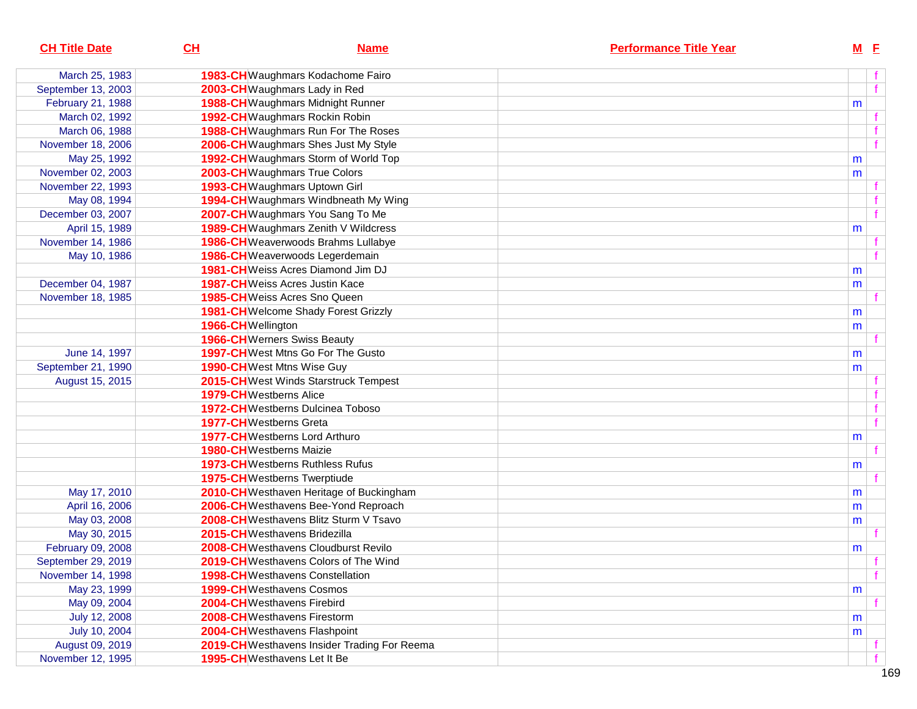| <b>CH Title Date</b> | CL                             | <b>Name</b>                                  | <b>Performance Title Year</b> |   | $M$ E        |  |
|----------------------|--------------------------------|----------------------------------------------|-------------------------------|---|--------------|--|
| March 25, 1983       |                                | 1983-CH Waughmars Kodachome Fairo            |                               |   |              |  |
| September 13, 2003   |                                | 2003-CH Waughmars Lady in Red                |                               |   | f            |  |
| February 21, 1988    |                                | 1988-CH Waughmars Midnight Runner            |                               | m |              |  |
| March 02, 1992       |                                | 1992-CH Waughmars Rockin Robin               |                               |   |              |  |
| March 06, 1988       |                                | 1988-CH Waughmars Run For The Roses          |                               |   |              |  |
| November 18, 2006    |                                | 2006-CH Waughmars Shes Just My Style         |                               |   |              |  |
| May 25, 1992         |                                | 1992-CH Waughmars Storm of World Top         |                               | m |              |  |
| November 02, 2003    |                                | 2003-CH Waughmars True Colors                |                               | m |              |  |
| November 22, 1993    |                                | 1993-CH Waughmars Uptown Girl                |                               |   |              |  |
| May 08, 1994         |                                | 1994-CH Waughmars Windbneath My Wing         |                               |   |              |  |
| December 03, 2007    |                                | 2007-CH Waughmars You Sang To Me             |                               |   |              |  |
| April 15, 1989       |                                | 1989-CH Waughmars Zenith V Wildcress         |                               | m |              |  |
| November 14, 1986    |                                | 1986-CH Weaverwoods Brahms Lullabye          |                               |   |              |  |
| May 10, 1986         |                                | 1986-CH Weaverwoods Legerdemain              |                               |   |              |  |
|                      |                                | 1981-CH Weiss Acres Diamond Jim DJ           |                               | m |              |  |
| December 04, 1987    |                                | <b>1987-CH</b> Weiss Acres Justin Kace       |                               | m |              |  |
| November 18, 1985    |                                | 1985-CHWeiss Acres Sno Queen                 |                               |   |              |  |
|                      |                                | 1981-CH Welcome Shady Forest Grizzly         |                               | m |              |  |
|                      | 1966-CHWellington              |                                              |                               | m |              |  |
|                      |                                | <b>1966-CH</b> Werners Swiss Beauty          |                               |   |              |  |
| June 14, 1997        |                                | 1997-CH West Mtns Go For The Gusto           |                               | m |              |  |
| September 21, 1990   |                                | <b>1990-CH</b> West Mtns Wise Guy            |                               | m |              |  |
| August 15, 2015      |                                | 2015-CHWest Winds Starstruck Tempest         |                               |   |              |  |
|                      | <b>1979-CH</b> Westberns Alice |                                              |                               |   |              |  |
|                      |                                | <b>1972-CH</b> Westberns Dulcinea Toboso     |                               |   |              |  |
|                      |                                | <b>1977-CH</b> Westberns Greta               |                               |   |              |  |
|                      |                                | <b>1977-CH</b> Westberns Lord Arthuro        |                               | m |              |  |
|                      |                                | <b>1980-CH</b> Westberns Maizie              |                               |   |              |  |
|                      |                                | <b>1973-CH</b> Westberns Ruthless Rufus      |                               | m |              |  |
|                      |                                | <b>1975-CH</b> Westberns Twerptiude          |                               |   |              |  |
| May 17, 2010         |                                | 2010-CH Westhaven Heritage of Buckingham     |                               | m |              |  |
| April 16, 2006       |                                | 2006-CHWesthavens Bee-Yond Reproach          |                               | m |              |  |
| May 03, 2008         |                                | 2008-CHWesthavens Blitz Sturm V Tsavo        |                               | m |              |  |
| May 30, 2015         |                                | 2015-CHWesthavens Bridezilla                 |                               |   |              |  |
| February 09, 2008    |                                | 2008-CH Westhavens Cloudburst Revilo         |                               | m |              |  |
| September 29, 2019   |                                | 2019-CH Westhavens Colors of The Wind        |                               |   |              |  |
| November 14, 1998    |                                | <b>1998-CH</b> Westhavens Constellation      |                               |   | $\mathbf{f}$ |  |
| May 23, 1999         |                                | <b>1999-CH</b> Westhavens Cosmos             |                               | m |              |  |
| May 09, 2004         |                                | 2004-CHWesthavens Firebird                   |                               |   |              |  |
| July 12, 2008        |                                | 2008-CHWesthavens Firestorm                  |                               | m |              |  |
| July 10, 2004        |                                | 2004-CHWesthavens Flashpoint                 |                               | m |              |  |
| August 09, 2019      |                                | 2019-CH Westhavens Insider Trading For Reema |                               |   |              |  |
| November 12, 1995    |                                | 1995-CHWesthavens Let It Be                  |                               |   |              |  |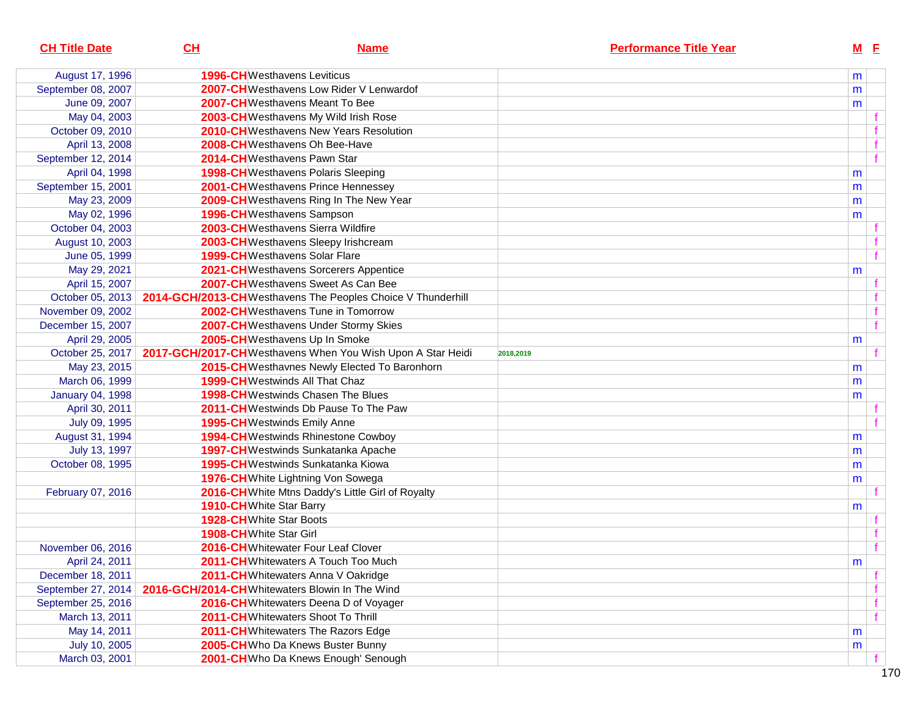| <b>CH Title Date</b>    | CL                             | <b>Name</b>                                                 | <b>Performance Title Year</b> | $M$ E       |
|-------------------------|--------------------------------|-------------------------------------------------------------|-------------------------------|-------------|
| August 17, 1996         |                                | <b>1996-CH</b> Westhavens Leviticus                         |                               | m           |
| September 08, 2007      |                                | 2007-CH Westhavens Low Rider V Lenwardof                    |                               | m           |
| June 09, 2007           |                                | 2007-CHWesthavens Meant To Bee                              |                               | m           |
| May 04, 2003            |                                | 2003-CH Westhavens My Wild Irish Rose                       |                               |             |
| October 09, 2010        |                                | 2010-CH Westhavens New Years Resolution                     |                               |             |
| April 13, 2008          |                                | 2008-CHWesthavens Oh Bee-Have                               |                               | f           |
| September 12, 2014      |                                | 2014-CHWesthavens Pawn Star                                 |                               | $\mathbf f$ |
| April 04, 1998          |                                | 1998-CH Westhavens Polaris Sleeping                         |                               | m           |
| September 15, 2001      |                                | 2001-CH Westhavens Prince Hennessey                         |                               | m           |
| May 23, 2009            |                                | 2009-CH Westhavens Ring In The New Year                     |                               | m           |
| May 02, 1996            |                                | 1996-CHWesthavens Sampson                                   |                               | m           |
| October 04, 2003        |                                | 2003-CHWesthavens Sierra Wildfire                           |                               |             |
| August 10, 2003         |                                | 2003-CH Westhavens Sleepy Irishcream                        |                               |             |
| June 05, 1999           |                                | <b>1999-CH</b> Westhavens Solar Flare                       |                               |             |
| May 29, 2021            |                                | 2021-CH Westhavens Sorcerers Appentice                      |                               | m           |
| April 15, 2007          |                                | 2007-CHWesthavens Sweet As Can Bee                          |                               |             |
| October 05, 2013        |                                | 2014-GCH/2013-CHWesthavens The Peoples Choice V Thunderhill |                               |             |
| November 09, 2002       |                                | 2002-CHWesthavens Tune in Tomorrow                          |                               |             |
| December 15, 2007       |                                | <b>2007-CH</b> Westhavens Under Stormy Skies                |                               |             |
| April 29, 2005          |                                | 2005-CHWesthavens Up In Smoke                               |                               | m           |
| October 25, 2017        |                                | 2017-GCH/2017-CHWesthavens When You Wish Upon A Star Heidi  | 2018,2019                     |             |
| May 23, 2015            |                                | 2015-CH Westhavnes Newly Elected To Baronhorn               |                               | m           |
| March 06, 1999          |                                | <b>1999-CH</b> Westwinds All That Chaz                      |                               | m           |
| <b>January 04, 1998</b> |                                | <b>1998-CH</b> Westwinds Chasen The Blues                   |                               | m           |
| April 30, 2011          |                                | 2011-CHWestwinds Db Pause To The Paw                        |                               |             |
| July 09, 1995           |                                | <b>1995-CH</b> Westwinds Emily Anne                         |                               |             |
| August 31, 1994         |                                | <b>1994-CH</b> Westwinds Rhinestone Cowboy                  |                               | m           |
| July 13, 1997           |                                | 1997-CHWestwinds Sunkatanka Apache                          |                               | m           |
| October 08, 1995        |                                | 1995-CH Westwinds Sunkatanka Kiowa                          |                               | m           |
|                         |                                | 1976-CH White Lightning Von Sowega                          |                               | m           |
| February 07, 2016       |                                | 2016-CH White Mtns Daddy's Little Girl of Royalty           |                               |             |
|                         |                                | 1910-CH White Star Barry                                    |                               | m           |
|                         |                                | 1928-CH White Star Boots                                    |                               |             |
|                         | <b>1908-CH</b> White Star Girl |                                                             |                               |             |
| November 06, 2016       |                                | 2016-CHWhitewater Four Leaf Clover                          |                               |             |
| April 24, 2011          |                                | 2011-CH Whitewaters A Touch Too Much                        |                               | m           |
| December 18, 2011       |                                | 2011-CH Whitewaters Anna V Oakridge                         |                               |             |
| September 27, 2014      |                                | 2016-GCH/2014-CHWhitewaters Blowin In The Wind              |                               |             |
| September 25, 2016      |                                | 2016-CH Whitewaters Deena D of Voyager                      |                               |             |
| March 13, 2011          |                                | 2011-CHWhitewaters Shoot To Thrill                          |                               |             |
| May 14, 2011            |                                | 2011-CH Whitewaters The Razors Edge                         |                               | m           |
| July 10, 2005           |                                | 2005-CHWho Da Knews Buster Bunny                            |                               | m           |
| March 03, 2001          |                                | 2001-CHWho Da Knews Enough' Senough                         |                               |             |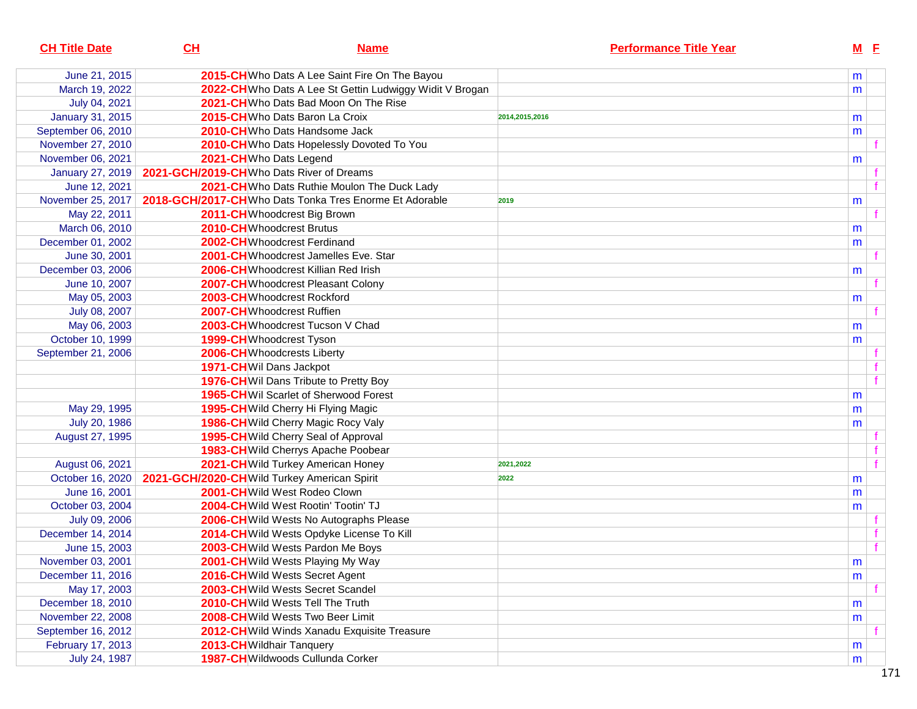| <b>CH Title Date</b>    | CL                                                     | <b>Name</b>                                              | <b>Performance Title Year</b> |   | $M$ E |
|-------------------------|--------------------------------------------------------|----------------------------------------------------------|-------------------------------|---|-------|
| June 21, 2015           | 2015-CH Who Dats A Lee Saint Fire On The Bayou         |                                                          |                               | m |       |
| March 19, 2022          |                                                        | 2022-CH Who Dats A Lee St Gettin Ludwiggy Widit V Brogan |                               | m |       |
| July 04, 2021           | 2021-CHWho Dats Bad Moon On The Rise                   |                                                          |                               |   |       |
| <b>January 31, 2015</b> | 2015-CHWho Dats Baron La Croix                         |                                                          | 2014,2015,2016                | m |       |
| September 06, 2010      | 2010-CHWho Dats Handsome Jack                          |                                                          |                               | m |       |
| November 27, 2010       | 2010-CH Who Dats Hopelessly Dovoted To You             |                                                          |                               |   |       |
| November 06, 2021       | 2021-CH Who Dats Legend                                |                                                          |                               | m |       |
| January 27, 2019        | 2021-GCH/2019-CH Who Dats River of Dreams              |                                                          |                               |   |       |
| June 12, 2021           | 2021-CHWho Dats Ruthie Moulon The Duck Lady            |                                                          |                               |   |       |
| November 25, 2017       | 2018-GCH/2017-CHWho Dats Tonka Tres Enorme Et Adorable |                                                          | 2019                          | m |       |
| May 22, 2011            | 2011-CHWhoodcrest Big Brown                            |                                                          |                               |   |       |
| March 06, 2010          | 2010-CHWhoodcrest Brutus                               |                                                          |                               | m |       |
| December 01, 2002       | 2002-CHWhoodcrest Ferdinand                            |                                                          |                               | m |       |
| June 30, 2001           | 2001-CHWhoodcrest Jamelles Eve. Star                   |                                                          |                               |   |       |
| December 03, 2006       | 2006-CHWhoodcrest Killian Red Irish                    |                                                          |                               | m |       |
| June 10, 2007           | 2007-CHWhoodcrest Pleasant Colony                      |                                                          |                               |   |       |
| May 05, 2003            | 2003-CHWhoodcrest Rockford                             |                                                          |                               | m |       |
| July 08, 2007           | 2007-CHWhoodcrest Ruffien                              |                                                          |                               |   |       |
| May 06, 2003            | 2003-CHWhoodcrest Tucson V Chad                        |                                                          |                               | m |       |
| October 10, 1999        | 1999-CHWhoodcrest Tyson                                |                                                          |                               | m |       |
| September 21, 2006      | 2006-CHWhoodcrests Liberty                             |                                                          |                               |   |       |
|                         | 1971-CHWil Dans Jackpot                                |                                                          |                               |   |       |
|                         | 1976-CH Wil Dans Tribute to Pretty Boy                 |                                                          |                               |   |       |
|                         | 1965-CH Wil Scarlet of Sherwood Forest                 |                                                          |                               | m |       |
| May 29, 1995            | 1995-CH Wild Cherry Hi Flying Magic                    |                                                          |                               | m |       |
| July 20, 1986           | 1986-CH Wild Cherry Magic Rocy Valy                    |                                                          |                               | m |       |
| August 27, 1995         | 1995-CH Wild Cherry Seal of Approval                   |                                                          |                               |   |       |
|                         | 1983-CH Wild Cherrys Apache Poobear                    |                                                          |                               |   |       |
| August 06, 2021         | 2021-CH Wild Turkey American Honey                     |                                                          | 2021,2022                     |   |       |
| October 16, 2020        | 2021-GCH/2020-CH Wild Turkey American Spirit           |                                                          | 2022                          | m |       |
| June 16, 2001           | 2001-CH Wild West Rodeo Clown                          |                                                          |                               | m |       |
| October 03, 2004        | 2004-CH Wild West Rootin' Tootin' TJ                   |                                                          |                               | m |       |
| July 09, 2006           | 2006-CH Wild Wests No Autographs Please                |                                                          |                               |   |       |
| December 14, 2014       | 2014-CH Wild Wests Opdyke License To Kill              |                                                          |                               |   |       |
| June 15, 2003           | 2003-CH Wild Wests Pardon Me Boys                      |                                                          |                               |   |       |
| November 03, 2001       | 2001-CH Wild Wests Playing My Way                      |                                                          |                               | m |       |
| December 11, 2016       | 2016-CH Wild Wests Secret Agent                        |                                                          |                               | m |       |
| May 17, 2003            | 2003-CH Wild Wests Secret Scandel                      |                                                          |                               |   |       |
| December 18, 2010       | 2010-CH Wild Wests Tell The Truth                      |                                                          |                               | m |       |
| November 22, 2008       | 2008-CH Wild Wests Two Beer Limit                      |                                                          |                               | m |       |
| September 16, 2012      | 2012-CH Wild Winds Xanadu Exquisite Treasure           |                                                          |                               |   |       |
| February 17, 2013       | 2013-CH Wildhair Tanquery                              |                                                          |                               | m |       |
| July 24, 1987           | 1987-CH Wildwoods Cullunda Corker                      |                                                          |                               | m |       |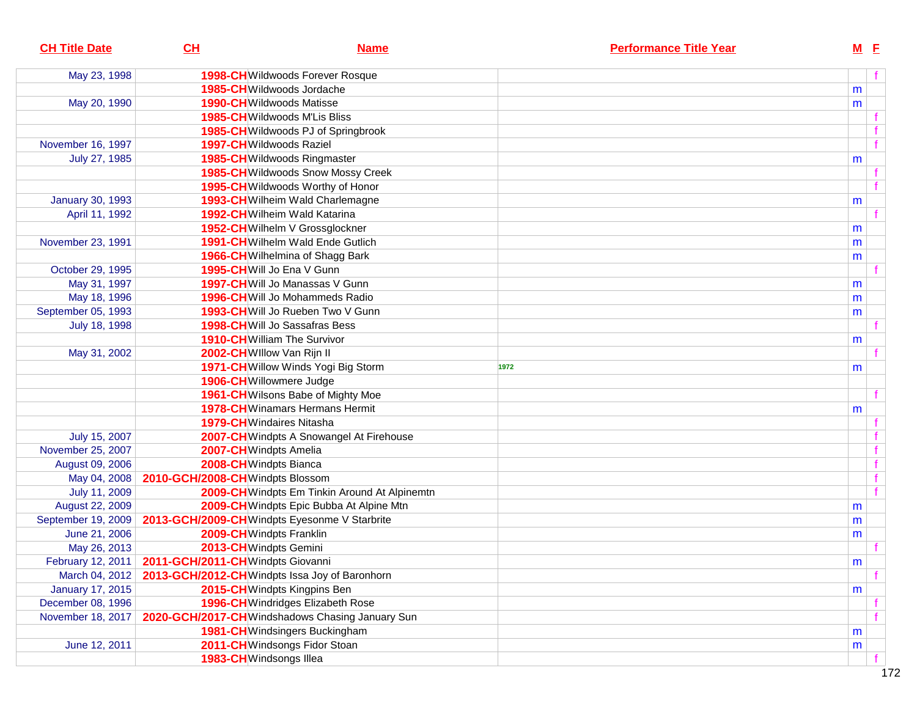| f<br>May 23, 1998<br>1998-CHWildwoods Forever Rosque<br>1985-CHWildwoods Jordache<br>m<br>1990-CH Wildwoods Matisse<br>May 20, 1990<br>m<br>1985-CH Wildwoods M'Lis Bliss<br><b>1985-CH</b> Wildwoods PJ of Springbrook<br>f<br>November 16, 1997<br>1997-CH Wildwoods Raziel<br>July 27, 1985<br>1985-CHWildwoods Ringmaster<br>m<br>1985-CH Wildwoods Snow Mossy Creek<br>f<br>1995-CH Wildwoods Worthy of Honor<br><b>January 30, 1993</b><br>1993-CH Wilheim Wald Charlemagne<br>m<br><b>1992-CH</b> Wilheim Wald Katarina<br>April 11, 1992<br>1952-CH Wilhelm V Grossglockner<br>m<br>1991-CH Wilhelm Wald Ende Gutlich<br>November 23, 1991<br>m<br>1966-CH Wilhelmina of Shagg Bark<br>m<br>October 29, 1995<br>1995-CHWill Jo Ena V Gunn<br>May 31, 1997<br>1997-CHWill Jo Manassas V Gunn<br>m<br>May 18, 1996<br><b>1996-CH</b> Will Jo Mohammeds Radio<br>m<br>September 05, 1993<br>1993-CHWill Jo Rueben Two V Gunn<br>m<br>July 18, 1998<br><b>1998-CH</b> Will Jo Sassafras Bess<br><b>1910-CH</b> William The Survivor<br>m<br>May 31, 2002<br>2002-CHWIllow Van Rijn II<br>1971-CH Willow Winds Yogi Big Storm<br>1972<br>m<br>1906-CHWillowmere Judge<br>1961-CH Wilsons Babe of Mighty Moe<br><b>1978-CH</b> Winamars Hermans Hermit<br>m<br>1979-CHWindaires Nitasha<br>July 15, 2007<br>2007-CH Windpts A Snowangel At Firehouse<br>November 25, 2007<br>2007-CHWindpts Amelia<br>2008-CHWindpts Bianca<br>$\mathbf f$<br>August 09, 2006<br>f<br>May 04, 2008<br>2010-GCH/2008-CHWindpts Blossom<br>f<br>July 11, 2009<br>2009-CH Windpts Em Tinkin Around At Alpinemtn<br>August 22, 2009<br>2009-CH Windpts Epic Bubba At Alpine Mtn<br>m<br>2013-GCH/2009-CH Windpts Eyesonme V Starbrite<br>September 19, 2009<br>m<br>2009-CHWindpts Franklin<br>June 21, 2006<br>m<br>May 26, 2013<br>2013-CH Windpts Gemini<br>February 12, 2011   2011-GCH/2011-CH Windpts Giovanni<br>${\sf m}$<br>2013-GCH/2012-CH Windpts Issa Joy of Baronhorn<br>March 04, 2012<br><b>January 17, 2015</b><br>2015-CH Windpts Kingpins Ben<br>m<br>December 08, 1996<br>1996-CH Windridges Elizabeth Rose<br>2020-GCH/2017-CH Windshadows Chasing January Sun<br>November 18, 2017<br>1981-CH Windsingers Buckingham<br>m<br>2011-CH Windsongs Fidor Stoan<br>June 12, 2011<br>m<br>1983-CHWindsongs Illea | <b>CH Title Date</b> | CL | <b>Name</b> | <b>Performance Title Year</b> | $M$ E |  |
|----------------------------------------------------------------------------------------------------------------------------------------------------------------------------------------------------------------------------------------------------------------------------------------------------------------------------------------------------------------------------------------------------------------------------------------------------------------------------------------------------------------------------------------------------------------------------------------------------------------------------------------------------------------------------------------------------------------------------------------------------------------------------------------------------------------------------------------------------------------------------------------------------------------------------------------------------------------------------------------------------------------------------------------------------------------------------------------------------------------------------------------------------------------------------------------------------------------------------------------------------------------------------------------------------------------------------------------------------------------------------------------------------------------------------------------------------------------------------------------------------------------------------------------------------------------------------------------------------------------------------------------------------------------------------------------------------------------------------------------------------------------------------------------------------------------------------------------------------------------------------------------------------------------------------------------------------------------------------------------------------------------------------------------------------------------------------------------------------------------------------------------------------------------------------------------------------------------------------------------------------------------------------------------------------------------|----------------------|----|-------------|-------------------------------|-------|--|
|                                                                                                                                                                                                                                                                                                                                                                                                                                                                                                                                                                                                                                                                                                                                                                                                                                                                                                                                                                                                                                                                                                                                                                                                                                                                                                                                                                                                                                                                                                                                                                                                                                                                                                                                                                                                                                                                                                                                                                                                                                                                                                                                                                                                                                                                                                                |                      |    |             |                               |       |  |
|                                                                                                                                                                                                                                                                                                                                                                                                                                                                                                                                                                                                                                                                                                                                                                                                                                                                                                                                                                                                                                                                                                                                                                                                                                                                                                                                                                                                                                                                                                                                                                                                                                                                                                                                                                                                                                                                                                                                                                                                                                                                                                                                                                                                                                                                                                                |                      |    |             |                               |       |  |
|                                                                                                                                                                                                                                                                                                                                                                                                                                                                                                                                                                                                                                                                                                                                                                                                                                                                                                                                                                                                                                                                                                                                                                                                                                                                                                                                                                                                                                                                                                                                                                                                                                                                                                                                                                                                                                                                                                                                                                                                                                                                                                                                                                                                                                                                                                                |                      |    |             |                               |       |  |
|                                                                                                                                                                                                                                                                                                                                                                                                                                                                                                                                                                                                                                                                                                                                                                                                                                                                                                                                                                                                                                                                                                                                                                                                                                                                                                                                                                                                                                                                                                                                                                                                                                                                                                                                                                                                                                                                                                                                                                                                                                                                                                                                                                                                                                                                                                                |                      |    |             |                               |       |  |
|                                                                                                                                                                                                                                                                                                                                                                                                                                                                                                                                                                                                                                                                                                                                                                                                                                                                                                                                                                                                                                                                                                                                                                                                                                                                                                                                                                                                                                                                                                                                                                                                                                                                                                                                                                                                                                                                                                                                                                                                                                                                                                                                                                                                                                                                                                                |                      |    |             |                               |       |  |
|                                                                                                                                                                                                                                                                                                                                                                                                                                                                                                                                                                                                                                                                                                                                                                                                                                                                                                                                                                                                                                                                                                                                                                                                                                                                                                                                                                                                                                                                                                                                                                                                                                                                                                                                                                                                                                                                                                                                                                                                                                                                                                                                                                                                                                                                                                                |                      |    |             |                               |       |  |
|                                                                                                                                                                                                                                                                                                                                                                                                                                                                                                                                                                                                                                                                                                                                                                                                                                                                                                                                                                                                                                                                                                                                                                                                                                                                                                                                                                                                                                                                                                                                                                                                                                                                                                                                                                                                                                                                                                                                                                                                                                                                                                                                                                                                                                                                                                                |                      |    |             |                               |       |  |
|                                                                                                                                                                                                                                                                                                                                                                                                                                                                                                                                                                                                                                                                                                                                                                                                                                                                                                                                                                                                                                                                                                                                                                                                                                                                                                                                                                                                                                                                                                                                                                                                                                                                                                                                                                                                                                                                                                                                                                                                                                                                                                                                                                                                                                                                                                                |                      |    |             |                               |       |  |
|                                                                                                                                                                                                                                                                                                                                                                                                                                                                                                                                                                                                                                                                                                                                                                                                                                                                                                                                                                                                                                                                                                                                                                                                                                                                                                                                                                                                                                                                                                                                                                                                                                                                                                                                                                                                                                                                                                                                                                                                                                                                                                                                                                                                                                                                                                                |                      |    |             |                               |       |  |
|                                                                                                                                                                                                                                                                                                                                                                                                                                                                                                                                                                                                                                                                                                                                                                                                                                                                                                                                                                                                                                                                                                                                                                                                                                                                                                                                                                                                                                                                                                                                                                                                                                                                                                                                                                                                                                                                                                                                                                                                                                                                                                                                                                                                                                                                                                                |                      |    |             |                               |       |  |
|                                                                                                                                                                                                                                                                                                                                                                                                                                                                                                                                                                                                                                                                                                                                                                                                                                                                                                                                                                                                                                                                                                                                                                                                                                                                                                                                                                                                                                                                                                                                                                                                                                                                                                                                                                                                                                                                                                                                                                                                                                                                                                                                                                                                                                                                                                                |                      |    |             |                               |       |  |
|                                                                                                                                                                                                                                                                                                                                                                                                                                                                                                                                                                                                                                                                                                                                                                                                                                                                                                                                                                                                                                                                                                                                                                                                                                                                                                                                                                                                                                                                                                                                                                                                                                                                                                                                                                                                                                                                                                                                                                                                                                                                                                                                                                                                                                                                                                                |                      |    |             |                               |       |  |
|                                                                                                                                                                                                                                                                                                                                                                                                                                                                                                                                                                                                                                                                                                                                                                                                                                                                                                                                                                                                                                                                                                                                                                                                                                                                                                                                                                                                                                                                                                                                                                                                                                                                                                                                                                                                                                                                                                                                                                                                                                                                                                                                                                                                                                                                                                                |                      |    |             |                               |       |  |
|                                                                                                                                                                                                                                                                                                                                                                                                                                                                                                                                                                                                                                                                                                                                                                                                                                                                                                                                                                                                                                                                                                                                                                                                                                                                                                                                                                                                                                                                                                                                                                                                                                                                                                                                                                                                                                                                                                                                                                                                                                                                                                                                                                                                                                                                                                                |                      |    |             |                               |       |  |
|                                                                                                                                                                                                                                                                                                                                                                                                                                                                                                                                                                                                                                                                                                                                                                                                                                                                                                                                                                                                                                                                                                                                                                                                                                                                                                                                                                                                                                                                                                                                                                                                                                                                                                                                                                                                                                                                                                                                                                                                                                                                                                                                                                                                                                                                                                                |                      |    |             |                               |       |  |
|                                                                                                                                                                                                                                                                                                                                                                                                                                                                                                                                                                                                                                                                                                                                                                                                                                                                                                                                                                                                                                                                                                                                                                                                                                                                                                                                                                                                                                                                                                                                                                                                                                                                                                                                                                                                                                                                                                                                                                                                                                                                                                                                                                                                                                                                                                                |                      |    |             |                               |       |  |
|                                                                                                                                                                                                                                                                                                                                                                                                                                                                                                                                                                                                                                                                                                                                                                                                                                                                                                                                                                                                                                                                                                                                                                                                                                                                                                                                                                                                                                                                                                                                                                                                                                                                                                                                                                                                                                                                                                                                                                                                                                                                                                                                                                                                                                                                                                                |                      |    |             |                               |       |  |
|                                                                                                                                                                                                                                                                                                                                                                                                                                                                                                                                                                                                                                                                                                                                                                                                                                                                                                                                                                                                                                                                                                                                                                                                                                                                                                                                                                                                                                                                                                                                                                                                                                                                                                                                                                                                                                                                                                                                                                                                                                                                                                                                                                                                                                                                                                                |                      |    |             |                               |       |  |
|                                                                                                                                                                                                                                                                                                                                                                                                                                                                                                                                                                                                                                                                                                                                                                                                                                                                                                                                                                                                                                                                                                                                                                                                                                                                                                                                                                                                                                                                                                                                                                                                                                                                                                                                                                                                                                                                                                                                                                                                                                                                                                                                                                                                                                                                                                                |                      |    |             |                               |       |  |
|                                                                                                                                                                                                                                                                                                                                                                                                                                                                                                                                                                                                                                                                                                                                                                                                                                                                                                                                                                                                                                                                                                                                                                                                                                                                                                                                                                                                                                                                                                                                                                                                                                                                                                                                                                                                                                                                                                                                                                                                                                                                                                                                                                                                                                                                                                                |                      |    |             |                               |       |  |
|                                                                                                                                                                                                                                                                                                                                                                                                                                                                                                                                                                                                                                                                                                                                                                                                                                                                                                                                                                                                                                                                                                                                                                                                                                                                                                                                                                                                                                                                                                                                                                                                                                                                                                                                                                                                                                                                                                                                                                                                                                                                                                                                                                                                                                                                                                                |                      |    |             |                               |       |  |
|                                                                                                                                                                                                                                                                                                                                                                                                                                                                                                                                                                                                                                                                                                                                                                                                                                                                                                                                                                                                                                                                                                                                                                                                                                                                                                                                                                                                                                                                                                                                                                                                                                                                                                                                                                                                                                                                                                                                                                                                                                                                                                                                                                                                                                                                                                                |                      |    |             |                               |       |  |
|                                                                                                                                                                                                                                                                                                                                                                                                                                                                                                                                                                                                                                                                                                                                                                                                                                                                                                                                                                                                                                                                                                                                                                                                                                                                                                                                                                                                                                                                                                                                                                                                                                                                                                                                                                                                                                                                                                                                                                                                                                                                                                                                                                                                                                                                                                                |                      |    |             |                               |       |  |
|                                                                                                                                                                                                                                                                                                                                                                                                                                                                                                                                                                                                                                                                                                                                                                                                                                                                                                                                                                                                                                                                                                                                                                                                                                                                                                                                                                                                                                                                                                                                                                                                                                                                                                                                                                                                                                                                                                                                                                                                                                                                                                                                                                                                                                                                                                                |                      |    |             |                               |       |  |
|                                                                                                                                                                                                                                                                                                                                                                                                                                                                                                                                                                                                                                                                                                                                                                                                                                                                                                                                                                                                                                                                                                                                                                                                                                                                                                                                                                                                                                                                                                                                                                                                                                                                                                                                                                                                                                                                                                                                                                                                                                                                                                                                                                                                                                                                                                                |                      |    |             |                               |       |  |
|                                                                                                                                                                                                                                                                                                                                                                                                                                                                                                                                                                                                                                                                                                                                                                                                                                                                                                                                                                                                                                                                                                                                                                                                                                                                                                                                                                                                                                                                                                                                                                                                                                                                                                                                                                                                                                                                                                                                                                                                                                                                                                                                                                                                                                                                                                                |                      |    |             |                               |       |  |
|                                                                                                                                                                                                                                                                                                                                                                                                                                                                                                                                                                                                                                                                                                                                                                                                                                                                                                                                                                                                                                                                                                                                                                                                                                                                                                                                                                                                                                                                                                                                                                                                                                                                                                                                                                                                                                                                                                                                                                                                                                                                                                                                                                                                                                                                                                                |                      |    |             |                               |       |  |
|                                                                                                                                                                                                                                                                                                                                                                                                                                                                                                                                                                                                                                                                                                                                                                                                                                                                                                                                                                                                                                                                                                                                                                                                                                                                                                                                                                                                                                                                                                                                                                                                                                                                                                                                                                                                                                                                                                                                                                                                                                                                                                                                                                                                                                                                                                                |                      |    |             |                               |       |  |
|                                                                                                                                                                                                                                                                                                                                                                                                                                                                                                                                                                                                                                                                                                                                                                                                                                                                                                                                                                                                                                                                                                                                                                                                                                                                                                                                                                                                                                                                                                                                                                                                                                                                                                                                                                                                                                                                                                                                                                                                                                                                                                                                                                                                                                                                                                                |                      |    |             |                               |       |  |
|                                                                                                                                                                                                                                                                                                                                                                                                                                                                                                                                                                                                                                                                                                                                                                                                                                                                                                                                                                                                                                                                                                                                                                                                                                                                                                                                                                                                                                                                                                                                                                                                                                                                                                                                                                                                                                                                                                                                                                                                                                                                                                                                                                                                                                                                                                                |                      |    |             |                               |       |  |
|                                                                                                                                                                                                                                                                                                                                                                                                                                                                                                                                                                                                                                                                                                                                                                                                                                                                                                                                                                                                                                                                                                                                                                                                                                                                                                                                                                                                                                                                                                                                                                                                                                                                                                                                                                                                                                                                                                                                                                                                                                                                                                                                                                                                                                                                                                                |                      |    |             |                               |       |  |
|                                                                                                                                                                                                                                                                                                                                                                                                                                                                                                                                                                                                                                                                                                                                                                                                                                                                                                                                                                                                                                                                                                                                                                                                                                                                                                                                                                                                                                                                                                                                                                                                                                                                                                                                                                                                                                                                                                                                                                                                                                                                                                                                                                                                                                                                                                                |                      |    |             |                               |       |  |
|                                                                                                                                                                                                                                                                                                                                                                                                                                                                                                                                                                                                                                                                                                                                                                                                                                                                                                                                                                                                                                                                                                                                                                                                                                                                                                                                                                                                                                                                                                                                                                                                                                                                                                                                                                                                                                                                                                                                                                                                                                                                                                                                                                                                                                                                                                                |                      |    |             |                               |       |  |
|                                                                                                                                                                                                                                                                                                                                                                                                                                                                                                                                                                                                                                                                                                                                                                                                                                                                                                                                                                                                                                                                                                                                                                                                                                                                                                                                                                                                                                                                                                                                                                                                                                                                                                                                                                                                                                                                                                                                                                                                                                                                                                                                                                                                                                                                                                                |                      |    |             |                               |       |  |
|                                                                                                                                                                                                                                                                                                                                                                                                                                                                                                                                                                                                                                                                                                                                                                                                                                                                                                                                                                                                                                                                                                                                                                                                                                                                                                                                                                                                                                                                                                                                                                                                                                                                                                                                                                                                                                                                                                                                                                                                                                                                                                                                                                                                                                                                                                                |                      |    |             |                               |       |  |
|                                                                                                                                                                                                                                                                                                                                                                                                                                                                                                                                                                                                                                                                                                                                                                                                                                                                                                                                                                                                                                                                                                                                                                                                                                                                                                                                                                                                                                                                                                                                                                                                                                                                                                                                                                                                                                                                                                                                                                                                                                                                                                                                                                                                                                                                                                                |                      |    |             |                               |       |  |
|                                                                                                                                                                                                                                                                                                                                                                                                                                                                                                                                                                                                                                                                                                                                                                                                                                                                                                                                                                                                                                                                                                                                                                                                                                                                                                                                                                                                                                                                                                                                                                                                                                                                                                                                                                                                                                                                                                                                                                                                                                                                                                                                                                                                                                                                                                                |                      |    |             |                               |       |  |
|                                                                                                                                                                                                                                                                                                                                                                                                                                                                                                                                                                                                                                                                                                                                                                                                                                                                                                                                                                                                                                                                                                                                                                                                                                                                                                                                                                                                                                                                                                                                                                                                                                                                                                                                                                                                                                                                                                                                                                                                                                                                                                                                                                                                                                                                                                                |                      |    |             |                               |       |  |
|                                                                                                                                                                                                                                                                                                                                                                                                                                                                                                                                                                                                                                                                                                                                                                                                                                                                                                                                                                                                                                                                                                                                                                                                                                                                                                                                                                                                                                                                                                                                                                                                                                                                                                                                                                                                                                                                                                                                                                                                                                                                                                                                                                                                                                                                                                                |                      |    |             |                               |       |  |
|                                                                                                                                                                                                                                                                                                                                                                                                                                                                                                                                                                                                                                                                                                                                                                                                                                                                                                                                                                                                                                                                                                                                                                                                                                                                                                                                                                                                                                                                                                                                                                                                                                                                                                                                                                                                                                                                                                                                                                                                                                                                                                                                                                                                                                                                                                                |                      |    |             |                               |       |  |
|                                                                                                                                                                                                                                                                                                                                                                                                                                                                                                                                                                                                                                                                                                                                                                                                                                                                                                                                                                                                                                                                                                                                                                                                                                                                                                                                                                                                                                                                                                                                                                                                                                                                                                                                                                                                                                                                                                                                                                                                                                                                                                                                                                                                                                                                                                                |                      |    |             |                               |       |  |
|                                                                                                                                                                                                                                                                                                                                                                                                                                                                                                                                                                                                                                                                                                                                                                                                                                                                                                                                                                                                                                                                                                                                                                                                                                                                                                                                                                                                                                                                                                                                                                                                                                                                                                                                                                                                                                                                                                                                                                                                                                                                                                                                                                                                                                                                                                                |                      |    |             |                               |       |  |
|                                                                                                                                                                                                                                                                                                                                                                                                                                                                                                                                                                                                                                                                                                                                                                                                                                                                                                                                                                                                                                                                                                                                                                                                                                                                                                                                                                                                                                                                                                                                                                                                                                                                                                                                                                                                                                                                                                                                                                                                                                                                                                                                                                                                                                                                                                                |                      |    |             |                               |       |  |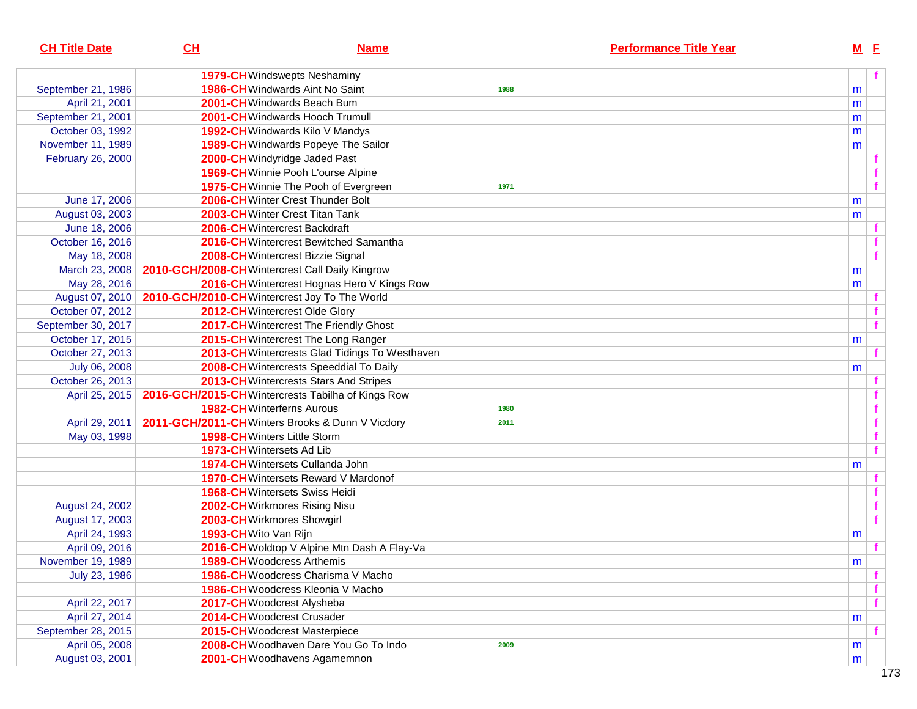| <b>CH Title Date</b> | CL                    | <b>Name</b>                                                     | <b>Performance Title Year</b> | $M$ E     |  |
|----------------------|-----------------------|-----------------------------------------------------------------|-------------------------------|-----------|--|
|                      |                       | <b>1979-CH</b> Windswepts Neshaminy                             |                               |           |  |
| September 21, 1986   |                       | 1986-CH Windwards Aint No Saint                                 | 1988                          | m         |  |
| April 21, 2001       |                       | 2001-CHWindwards Beach Bum                                      |                               | m         |  |
| September 21, 2001   |                       | 2001-CH Windwards Hooch Trumull                                 |                               | m         |  |
| October 03, 1992     |                       | 1992-CH Windwards Kilo V Mandys                                 |                               | m         |  |
| November 11, 1989    |                       | <b>1989-CH</b> Windwards Popeye The Sailor                      |                               | m         |  |
| February 26, 2000    |                       | 2000-CH Windyridge Jaded Past                                   |                               |           |  |
|                      |                       | 1969-CH Winnie Pooh L'ourse Alpine                              |                               |           |  |
|                      |                       | 1975-CH Winnie The Pooh of Evergreen                            | 1971                          |           |  |
| June 17, 2006        |                       | 2006-CH Winter Crest Thunder Bolt                               |                               | m         |  |
| August 03, 2003      |                       | 2003-CH Winter Crest Titan Tank                                 |                               | m         |  |
| June 18, 2006        |                       | 2006-CHWintercrest Backdraft                                    |                               |           |  |
| October 16, 2016     |                       | 2016-CH Wintercrest Bewitched Samantha                          |                               |           |  |
| May 18, 2008         |                       | 2008-CH Wintercrest Bizzie Signal                               |                               |           |  |
| March 23, 2008       |                       | 2010-GCH/2008-CH Wintercrest Call Daily Kingrow                 |                               | m         |  |
| May 28, 2016         |                       | 2016-CH Wintercrest Hognas Hero V Kings Row                     |                               | m         |  |
|                      |                       | August 07, 2010   2010-GCH/2010-CH Wintercrest Joy To The World |                               |           |  |
| October 07, 2012     |                       | 2012-CH Wintercrest Olde Glory                                  |                               |           |  |
| September 30, 2017   |                       | 2017-CH Wintercrest The Friendly Ghost                          |                               |           |  |
| October 17, 2015     |                       | 2015-CH Wintercrest The Long Ranger                             |                               | m         |  |
| October 27, 2013     |                       | 2013-CH Wintercrests Glad Tidings To Westhaven                  |                               |           |  |
| July 06, 2008        |                       | 2008-CH Wintercrests Speeddial To Daily                         |                               | m         |  |
| October 26, 2013     |                       | 2013-CH Wintercrests Stars And Stripes                          |                               |           |  |
| April 25, 2015       |                       | 2016-GCH/2015-CH Wintercrests Tabilha of Kings Row              |                               |           |  |
|                      |                       | <b>1982-CH</b> Winterferns Aurous                               | 1980                          |           |  |
| April 29, 2011       |                       | 2011-GCH/2011-CHWinters Brooks & Dunn V Vicdory                 | 2011                          |           |  |
| May 03, 1998         |                       | 1998-CH Winters Little Storm                                    |                               |           |  |
|                      |                       | 1973-CH Wintersets Ad Lib                                       |                               |           |  |
|                      |                       | 1974-CH Wintersets Cullanda John                                |                               | m         |  |
|                      |                       | <b>1970-CH</b> Wintersets Reward V Mardonof                     |                               |           |  |
|                      |                       | <b>1968-CH</b> Wintersets Swiss Heidi                           |                               |           |  |
| August 24, 2002      |                       | 2002-CH Wirkmores Rising Nisu                                   |                               |           |  |
| August 17, 2003      |                       | 2003-CHWirkmores Showgirl                                       |                               |           |  |
| April 24, 1993       | 1993-CH Wito Van Rijn |                                                                 |                               | m         |  |
| April 09, 2016       |                       | 2016-CH Woldtop V Alpine Mtn Dash A Flay-Va                     |                               |           |  |
| November 19, 1989    |                       | 1989-CH Woodcress Arthemis                                      |                               | ${\sf m}$ |  |
| July 23, 1986        |                       | <b>1986-CH</b> Woodcress Charisma V Macho                       |                               |           |  |
|                      |                       | 1986-CHWoodcress Kleonia V Macho                                |                               |           |  |
| April 22, 2017       |                       | 2017-CH Woodcrest Alysheba                                      |                               |           |  |
| April 27, 2014       |                       | 2014-CHWoodcrest Crusader                                       |                               | m         |  |
| September 28, 2015   |                       | 2015-CHWoodcrest Masterpiece                                    |                               |           |  |
| April 05, 2008       |                       | 2008-CHWoodhaven Dare You Go To Indo                            | 2009                          | m         |  |
| August 03, 2001      |                       | 2001-CHWoodhavens Agamemnon                                     |                               | m         |  |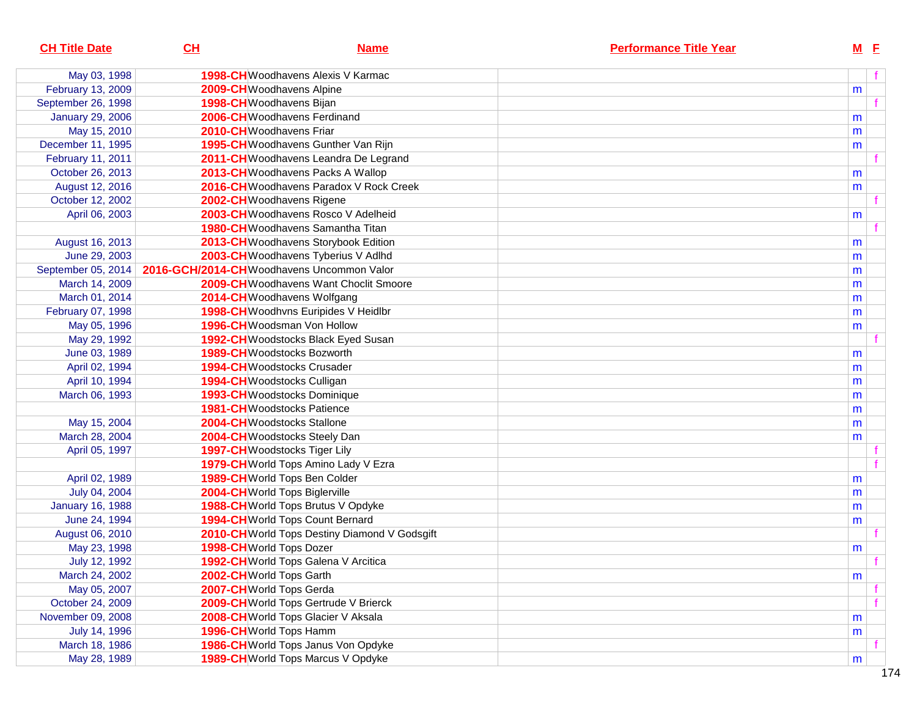| <b>CH Title Date</b>    | CL                                                              | <b>Name</b>                                   | <b>Performance Title Year</b> |   | $M$ E |
|-------------------------|-----------------------------------------------------------------|-----------------------------------------------|-------------------------------|---|-------|
| May 03, 1998            |                                                                 | <b>1998-CH</b> Woodhavens Alexis V Karmac     |                               |   | f     |
| February 13, 2009       |                                                                 | 2009-CHWoodhavens Alpine                      |                               | m |       |
| September 26, 1998      |                                                                 | 1998-CH Woodhavens Bijan                      |                               |   |       |
| <b>January 29, 2006</b> |                                                                 | 2006-CHWoodhavens Ferdinand                   |                               | m |       |
| May 15, 2010            | 2010-CHWoodhavens Friar                                         |                                               |                               | m |       |
| December 11, 1995       |                                                                 | 1995-CH Woodhavens Gunther Van Rijn           |                               | m |       |
| February 11, 2011       |                                                                 | 2011-CH Woodhavens Leandra De Legrand         |                               |   |       |
| October 26, 2013        |                                                                 | 2013-CH Woodhavens Packs A Wallop             |                               | m |       |
| August 12, 2016         |                                                                 | 2016-CH Woodhavens Paradox V Rock Creek       |                               | m |       |
| October 12, 2002        |                                                                 | 2002-CHWoodhavens Rigene                      |                               |   |       |
| April 06, 2003          |                                                                 | 2003-CH Woodhavens Rosco V Adelheid           |                               | m |       |
|                         |                                                                 | <b>1980-CH</b> Woodhavens Samantha Titan      |                               |   |       |
| August 16, 2013         |                                                                 | 2013-CH Woodhavens Storybook Edition          |                               | m |       |
| June 29, 2003           |                                                                 | 2003-CH Woodhavens Tyberius V Adlhd           |                               | m |       |
|                         | September 05, 2014   2016-GCH/2014-CH Woodhavens Uncommon Valor |                                               |                               | m |       |
| March 14, 2009          |                                                                 | 2009-CH Woodhavens Want Choclit Smoore        |                               | m |       |
| March 01, 2014          |                                                                 | 2014-CHWoodhavens Wolfgang                    |                               | m |       |
| February 07, 1998       |                                                                 | 1998-CH Woodhvns Euripides V Heidlbr          |                               | m |       |
| May 05, 1996            |                                                                 | 1996-CHWoodsman Von Hollow                    |                               | m |       |
| May 29, 1992            |                                                                 | 1992-CH Woodstocks Black Eyed Susan           |                               |   |       |
| June 03, 1989           |                                                                 | 1989-CH Woodstocks Bozworth                   |                               | m |       |
| April 02, 1994          |                                                                 | <b>1994-CH</b> Woodstocks Crusader            |                               | m |       |
| April 10, 1994          |                                                                 | 1994-CH Woodstocks Culligan                   |                               | m |       |
| March 06, 1993          |                                                                 | 1993-CHWoodstocks Dominique                   |                               | m |       |
|                         |                                                                 | <b>1981-CH</b> Woodstocks Patience            |                               | m |       |
| May 15, 2004            |                                                                 | 2004-CHWoodstocks Stallone                    |                               | m |       |
| March 28, 2004          |                                                                 | 2004-CHWoodstocks Steely Dan                  |                               | m |       |
| April 05, 1997          |                                                                 | 1997-CHWoodstocks Tiger Lily                  |                               |   |       |
|                         |                                                                 | 1979-CH World Tops Amino Lady V Ezra          |                               |   |       |
| April 02, 1989          |                                                                 | 1989-CH World Tops Ben Colder                 |                               | m |       |
| July 04, 2004           |                                                                 | 2004-CHWorld Tops Biglerville                 |                               | m |       |
| <b>January 16, 1988</b> |                                                                 | 1988-CH World Tops Brutus V Opdyke            |                               | m |       |
| June 24, 1994           |                                                                 | 1994-CH World Tops Count Bernard              |                               | m |       |
| August 06, 2010         |                                                                 | 2010-CH World Tops Destiny Diamond V Godsgift |                               |   |       |
| May 23, 1998            | 1998-CH World Tops Dozer                                        |                                               |                               | m |       |
| July 12, 1992           |                                                                 | 1992-CH World Tops Galena V Arcitica          |                               |   |       |
| March 24, 2002          | 2002-CH World Tops Garth                                        |                                               |                               | m |       |
| May 05, 2007            | 2007-CHWorld Tops Gerda                                         |                                               |                               |   |       |
| October 24, 2009        |                                                                 | 2009-CH World Tops Gertrude V Brierck         |                               |   |       |
| November 09, 2008       |                                                                 | 2008-CH World Tops Glacier V Aksala           |                               | m |       |
| July 14, 1996           |                                                                 | 1996-CH World Tops Hamm                       |                               | m |       |
| March 18, 1986          |                                                                 | 1986-CH World Tops Janus Von Opdyke           |                               |   |       |
| May 28, 1989            |                                                                 | 1989-CH World Tops Marcus V Opdyke            |                               | m |       |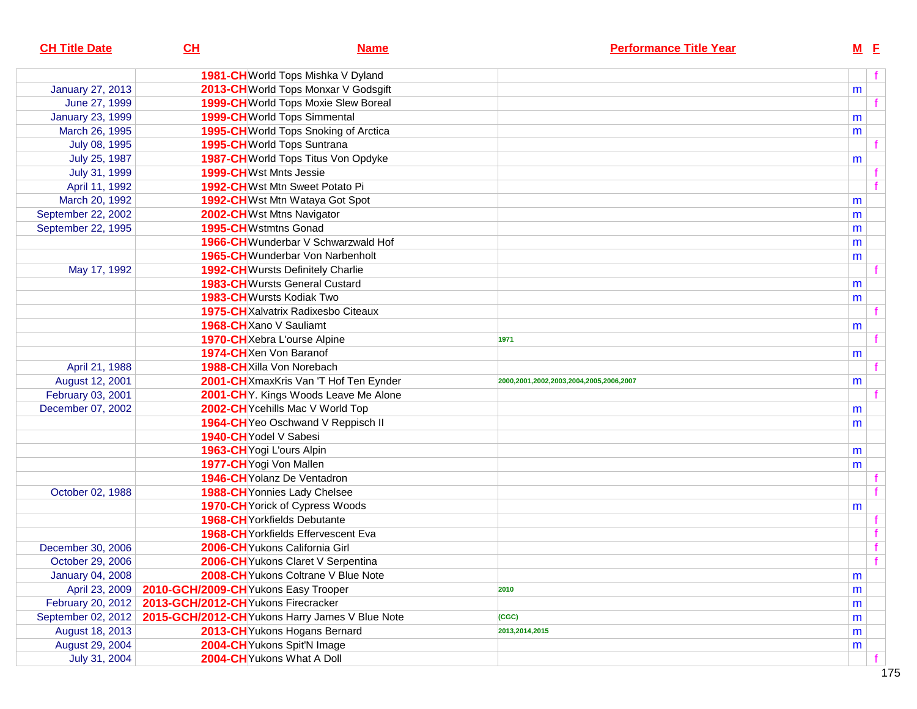| 1981-CH World Tops Mishka V Dyland<br>2013-CH World Tops Monxar V Godsgift<br><b>January 27, 2013</b><br>m<br>1999-CH World Tops Moxie Slew Boreal<br>June 27, 1999<br><b>January 23, 1999</b><br>1999-CH World Tops Simmental<br>m<br>1995-CH World Tops Snoking of Arctica<br>March 26, 1995<br>m<br>1995-CH World Tops Suntrana<br>July 08, 1995<br>July 25, 1987<br>1987-CH World Tops Titus Von Opdyke<br>m<br>July 31, 1999<br><b>1999-CH</b> Wst Mnts Jessie<br>1992-CHWst Mtn Sweet Potato Pi<br>April 11, 1992<br>March 20, 1992<br>1992-CH Wst Mtn Wataya Got Spot<br>m<br>September 22, 2002<br>2002-CH Wst Mtns Navigator<br>m<br>September 22, 1995<br>1995-CHWstmtns Gonad<br>m<br>1966-CH Wunderbar V Schwarzwald Hof<br>m<br>1965-CHWunderbar Von Narbenholt<br>m<br>1992-CH Wursts Definitely Charlie<br>May 17, 1992<br><b>1983-CH</b> Wursts General Custard<br>m<br><b>1983-CH</b> Wursts Kodiak Two<br>m<br>1975-CH Xalvatrix Radixesbo Citeaux<br>1968-CH Xano V Sauliamt<br>m<br>1970-CH Xebra L'ourse Alpine<br>1971<br>1974-CH Xen Von Baranof<br>m<br>April 21, 1988<br>1988-CHXilla Von Norebach<br>August 12, 2001<br>2001-CH XmaxKris Van 'T Hof Ten Eynder<br>2000,2001,2002,2003,2004,2005,2006,2007<br>m<br>February 03, 2001<br>2001-CHY. Kings Woods Leave Me Alone<br>2002-CH Ycehills Mac V World Top<br>December 07, 2002<br>m<br>1964-CH Yeo Oschwand V Reppisch II<br>m<br>1940-CH Yodel V Sabesi<br>1963-CH Yogi L'ours Alpin<br>m<br>1977-CH Yogi Von Mallen<br>m<br>1946-CH Yolanz De Ventadron<br>1988-CH Yonnies Lady Chelsee<br>October 02, 1988<br><b>1970-CH</b> Yorick of Cypress Woods<br>m<br>1968-CH Yorkfields Debutante<br>1968-CH Yorkfields Effervescent Eva<br>2006-CH Yukons California Girl<br>f<br>December 30, 2006<br>2006-CH Yukons Claret V Serpentina<br>October 29, 2006<br><b>January 04, 2008</b><br>2008-CH Yukons Coltrane V Blue Note<br>m<br>April 23, 2009<br>2010-GCH/2009-CHYukons Easy Trooper<br>2010<br>m<br>February 20, 2012<br>2013-GCH/2012-CHYukons Firecracker<br>m<br>September 02, 2012<br>2015-GCH/2012-CH Yukons Harry James V Blue Note<br>(CGC)<br>m<br>August 18, 2013<br>2013-CHYukons Hogans Bernard<br>2013,2014,2015<br>m<br>August 29, 2004<br>2004-CH Yukons Spit'N Image<br>m<br>2004-CHYukons What A Doll<br>July 31, 2004 | <b>CH Title Date</b> | CL | <b>Name</b> | <b>Performance Title Year</b> | $M$ E |  |
|------------------------------------------------------------------------------------------------------------------------------------------------------------------------------------------------------------------------------------------------------------------------------------------------------------------------------------------------------------------------------------------------------------------------------------------------------------------------------------------------------------------------------------------------------------------------------------------------------------------------------------------------------------------------------------------------------------------------------------------------------------------------------------------------------------------------------------------------------------------------------------------------------------------------------------------------------------------------------------------------------------------------------------------------------------------------------------------------------------------------------------------------------------------------------------------------------------------------------------------------------------------------------------------------------------------------------------------------------------------------------------------------------------------------------------------------------------------------------------------------------------------------------------------------------------------------------------------------------------------------------------------------------------------------------------------------------------------------------------------------------------------------------------------------------------------------------------------------------------------------------------------------------------------------------------------------------------------------------------------------------------------------------------------------------------------------------------------------------------------------------------------------------------------------------------------------------------------------------------------------------------------------------------------------------------------------------|----------------------|----|-------------|-------------------------------|-------|--|
|                                                                                                                                                                                                                                                                                                                                                                                                                                                                                                                                                                                                                                                                                                                                                                                                                                                                                                                                                                                                                                                                                                                                                                                                                                                                                                                                                                                                                                                                                                                                                                                                                                                                                                                                                                                                                                                                                                                                                                                                                                                                                                                                                                                                                                                                                                                              |                      |    |             |                               |       |  |
|                                                                                                                                                                                                                                                                                                                                                                                                                                                                                                                                                                                                                                                                                                                                                                                                                                                                                                                                                                                                                                                                                                                                                                                                                                                                                                                                                                                                                                                                                                                                                                                                                                                                                                                                                                                                                                                                                                                                                                                                                                                                                                                                                                                                                                                                                                                              |                      |    |             |                               |       |  |
|                                                                                                                                                                                                                                                                                                                                                                                                                                                                                                                                                                                                                                                                                                                                                                                                                                                                                                                                                                                                                                                                                                                                                                                                                                                                                                                                                                                                                                                                                                                                                                                                                                                                                                                                                                                                                                                                                                                                                                                                                                                                                                                                                                                                                                                                                                                              |                      |    |             |                               |       |  |
|                                                                                                                                                                                                                                                                                                                                                                                                                                                                                                                                                                                                                                                                                                                                                                                                                                                                                                                                                                                                                                                                                                                                                                                                                                                                                                                                                                                                                                                                                                                                                                                                                                                                                                                                                                                                                                                                                                                                                                                                                                                                                                                                                                                                                                                                                                                              |                      |    |             |                               |       |  |
|                                                                                                                                                                                                                                                                                                                                                                                                                                                                                                                                                                                                                                                                                                                                                                                                                                                                                                                                                                                                                                                                                                                                                                                                                                                                                                                                                                                                                                                                                                                                                                                                                                                                                                                                                                                                                                                                                                                                                                                                                                                                                                                                                                                                                                                                                                                              |                      |    |             |                               |       |  |
|                                                                                                                                                                                                                                                                                                                                                                                                                                                                                                                                                                                                                                                                                                                                                                                                                                                                                                                                                                                                                                                                                                                                                                                                                                                                                                                                                                                                                                                                                                                                                                                                                                                                                                                                                                                                                                                                                                                                                                                                                                                                                                                                                                                                                                                                                                                              |                      |    |             |                               |       |  |
|                                                                                                                                                                                                                                                                                                                                                                                                                                                                                                                                                                                                                                                                                                                                                                                                                                                                                                                                                                                                                                                                                                                                                                                                                                                                                                                                                                                                                                                                                                                                                                                                                                                                                                                                                                                                                                                                                                                                                                                                                                                                                                                                                                                                                                                                                                                              |                      |    |             |                               |       |  |
|                                                                                                                                                                                                                                                                                                                                                                                                                                                                                                                                                                                                                                                                                                                                                                                                                                                                                                                                                                                                                                                                                                                                                                                                                                                                                                                                                                                                                                                                                                                                                                                                                                                                                                                                                                                                                                                                                                                                                                                                                                                                                                                                                                                                                                                                                                                              |                      |    |             |                               |       |  |
|                                                                                                                                                                                                                                                                                                                                                                                                                                                                                                                                                                                                                                                                                                                                                                                                                                                                                                                                                                                                                                                                                                                                                                                                                                                                                                                                                                                                                                                                                                                                                                                                                                                                                                                                                                                                                                                                                                                                                                                                                                                                                                                                                                                                                                                                                                                              |                      |    |             |                               |       |  |
|                                                                                                                                                                                                                                                                                                                                                                                                                                                                                                                                                                                                                                                                                                                                                                                                                                                                                                                                                                                                                                                                                                                                                                                                                                                                                                                                                                                                                                                                                                                                                                                                                                                                                                                                                                                                                                                                                                                                                                                                                                                                                                                                                                                                                                                                                                                              |                      |    |             |                               |       |  |
|                                                                                                                                                                                                                                                                                                                                                                                                                                                                                                                                                                                                                                                                                                                                                                                                                                                                                                                                                                                                                                                                                                                                                                                                                                                                                                                                                                                                                                                                                                                                                                                                                                                                                                                                                                                                                                                                                                                                                                                                                                                                                                                                                                                                                                                                                                                              |                      |    |             |                               |       |  |
|                                                                                                                                                                                                                                                                                                                                                                                                                                                                                                                                                                                                                                                                                                                                                                                                                                                                                                                                                                                                                                                                                                                                                                                                                                                                                                                                                                                                                                                                                                                                                                                                                                                                                                                                                                                                                                                                                                                                                                                                                                                                                                                                                                                                                                                                                                                              |                      |    |             |                               |       |  |
|                                                                                                                                                                                                                                                                                                                                                                                                                                                                                                                                                                                                                                                                                                                                                                                                                                                                                                                                                                                                                                                                                                                                                                                                                                                                                                                                                                                                                                                                                                                                                                                                                                                                                                                                                                                                                                                                                                                                                                                                                                                                                                                                                                                                                                                                                                                              |                      |    |             |                               |       |  |
|                                                                                                                                                                                                                                                                                                                                                                                                                                                                                                                                                                                                                                                                                                                                                                                                                                                                                                                                                                                                                                                                                                                                                                                                                                                                                                                                                                                                                                                                                                                                                                                                                                                                                                                                                                                                                                                                                                                                                                                                                                                                                                                                                                                                                                                                                                                              |                      |    |             |                               |       |  |
|                                                                                                                                                                                                                                                                                                                                                                                                                                                                                                                                                                                                                                                                                                                                                                                                                                                                                                                                                                                                                                                                                                                                                                                                                                                                                                                                                                                                                                                                                                                                                                                                                                                                                                                                                                                                                                                                                                                                                                                                                                                                                                                                                                                                                                                                                                                              |                      |    |             |                               |       |  |
|                                                                                                                                                                                                                                                                                                                                                                                                                                                                                                                                                                                                                                                                                                                                                                                                                                                                                                                                                                                                                                                                                                                                                                                                                                                                                                                                                                                                                                                                                                                                                                                                                                                                                                                                                                                                                                                                                                                                                                                                                                                                                                                                                                                                                                                                                                                              |                      |    |             |                               |       |  |
|                                                                                                                                                                                                                                                                                                                                                                                                                                                                                                                                                                                                                                                                                                                                                                                                                                                                                                                                                                                                                                                                                                                                                                                                                                                                                                                                                                                                                                                                                                                                                                                                                                                                                                                                                                                                                                                                                                                                                                                                                                                                                                                                                                                                                                                                                                                              |                      |    |             |                               |       |  |
|                                                                                                                                                                                                                                                                                                                                                                                                                                                                                                                                                                                                                                                                                                                                                                                                                                                                                                                                                                                                                                                                                                                                                                                                                                                                                                                                                                                                                                                                                                                                                                                                                                                                                                                                                                                                                                                                                                                                                                                                                                                                                                                                                                                                                                                                                                                              |                      |    |             |                               |       |  |
|                                                                                                                                                                                                                                                                                                                                                                                                                                                                                                                                                                                                                                                                                                                                                                                                                                                                                                                                                                                                                                                                                                                                                                                                                                                                                                                                                                                                                                                                                                                                                                                                                                                                                                                                                                                                                                                                                                                                                                                                                                                                                                                                                                                                                                                                                                                              |                      |    |             |                               |       |  |
|                                                                                                                                                                                                                                                                                                                                                                                                                                                                                                                                                                                                                                                                                                                                                                                                                                                                                                                                                                                                                                                                                                                                                                                                                                                                                                                                                                                                                                                                                                                                                                                                                                                                                                                                                                                                                                                                                                                                                                                                                                                                                                                                                                                                                                                                                                                              |                      |    |             |                               |       |  |
|                                                                                                                                                                                                                                                                                                                                                                                                                                                                                                                                                                                                                                                                                                                                                                                                                                                                                                                                                                                                                                                                                                                                                                                                                                                                                                                                                                                                                                                                                                                                                                                                                                                                                                                                                                                                                                                                                                                                                                                                                                                                                                                                                                                                                                                                                                                              |                      |    |             |                               |       |  |
|                                                                                                                                                                                                                                                                                                                                                                                                                                                                                                                                                                                                                                                                                                                                                                                                                                                                                                                                                                                                                                                                                                                                                                                                                                                                                                                                                                                                                                                                                                                                                                                                                                                                                                                                                                                                                                                                                                                                                                                                                                                                                                                                                                                                                                                                                                                              |                      |    |             |                               |       |  |
|                                                                                                                                                                                                                                                                                                                                                                                                                                                                                                                                                                                                                                                                                                                                                                                                                                                                                                                                                                                                                                                                                                                                                                                                                                                                                                                                                                                                                                                                                                                                                                                                                                                                                                                                                                                                                                                                                                                                                                                                                                                                                                                                                                                                                                                                                                                              |                      |    |             |                               |       |  |
|                                                                                                                                                                                                                                                                                                                                                                                                                                                                                                                                                                                                                                                                                                                                                                                                                                                                                                                                                                                                                                                                                                                                                                                                                                                                                                                                                                                                                                                                                                                                                                                                                                                                                                                                                                                                                                                                                                                                                                                                                                                                                                                                                                                                                                                                                                                              |                      |    |             |                               |       |  |
|                                                                                                                                                                                                                                                                                                                                                                                                                                                                                                                                                                                                                                                                                                                                                                                                                                                                                                                                                                                                                                                                                                                                                                                                                                                                                                                                                                                                                                                                                                                                                                                                                                                                                                                                                                                                                                                                                                                                                                                                                                                                                                                                                                                                                                                                                                                              |                      |    |             |                               |       |  |
|                                                                                                                                                                                                                                                                                                                                                                                                                                                                                                                                                                                                                                                                                                                                                                                                                                                                                                                                                                                                                                                                                                                                                                                                                                                                                                                                                                                                                                                                                                                                                                                                                                                                                                                                                                                                                                                                                                                                                                                                                                                                                                                                                                                                                                                                                                                              |                      |    |             |                               |       |  |
|                                                                                                                                                                                                                                                                                                                                                                                                                                                                                                                                                                                                                                                                                                                                                                                                                                                                                                                                                                                                                                                                                                                                                                                                                                                                                                                                                                                                                                                                                                                                                                                                                                                                                                                                                                                                                                                                                                                                                                                                                                                                                                                                                                                                                                                                                                                              |                      |    |             |                               |       |  |
|                                                                                                                                                                                                                                                                                                                                                                                                                                                                                                                                                                                                                                                                                                                                                                                                                                                                                                                                                                                                                                                                                                                                                                                                                                                                                                                                                                                                                                                                                                                                                                                                                                                                                                                                                                                                                                                                                                                                                                                                                                                                                                                                                                                                                                                                                                                              |                      |    |             |                               |       |  |
|                                                                                                                                                                                                                                                                                                                                                                                                                                                                                                                                                                                                                                                                                                                                                                                                                                                                                                                                                                                                                                                                                                                                                                                                                                                                                                                                                                                                                                                                                                                                                                                                                                                                                                                                                                                                                                                                                                                                                                                                                                                                                                                                                                                                                                                                                                                              |                      |    |             |                               |       |  |
|                                                                                                                                                                                                                                                                                                                                                                                                                                                                                                                                                                                                                                                                                                                                                                                                                                                                                                                                                                                                                                                                                                                                                                                                                                                                                                                                                                                                                                                                                                                                                                                                                                                                                                                                                                                                                                                                                                                                                                                                                                                                                                                                                                                                                                                                                                                              |                      |    |             |                               |       |  |
|                                                                                                                                                                                                                                                                                                                                                                                                                                                                                                                                                                                                                                                                                                                                                                                                                                                                                                                                                                                                                                                                                                                                                                                                                                                                                                                                                                                                                                                                                                                                                                                                                                                                                                                                                                                                                                                                                                                                                                                                                                                                                                                                                                                                                                                                                                                              |                      |    |             |                               |       |  |
|                                                                                                                                                                                                                                                                                                                                                                                                                                                                                                                                                                                                                                                                                                                                                                                                                                                                                                                                                                                                                                                                                                                                                                                                                                                                                                                                                                                                                                                                                                                                                                                                                                                                                                                                                                                                                                                                                                                                                                                                                                                                                                                                                                                                                                                                                                                              |                      |    |             |                               |       |  |
|                                                                                                                                                                                                                                                                                                                                                                                                                                                                                                                                                                                                                                                                                                                                                                                                                                                                                                                                                                                                                                                                                                                                                                                                                                                                                                                                                                                                                                                                                                                                                                                                                                                                                                                                                                                                                                                                                                                                                                                                                                                                                                                                                                                                                                                                                                                              |                      |    |             |                               |       |  |
|                                                                                                                                                                                                                                                                                                                                                                                                                                                                                                                                                                                                                                                                                                                                                                                                                                                                                                                                                                                                                                                                                                                                                                                                                                                                                                                                                                                                                                                                                                                                                                                                                                                                                                                                                                                                                                                                                                                                                                                                                                                                                                                                                                                                                                                                                                                              |                      |    |             |                               |       |  |
|                                                                                                                                                                                                                                                                                                                                                                                                                                                                                                                                                                                                                                                                                                                                                                                                                                                                                                                                                                                                                                                                                                                                                                                                                                                                                                                                                                                                                                                                                                                                                                                                                                                                                                                                                                                                                                                                                                                                                                                                                                                                                                                                                                                                                                                                                                                              |                      |    |             |                               |       |  |
|                                                                                                                                                                                                                                                                                                                                                                                                                                                                                                                                                                                                                                                                                                                                                                                                                                                                                                                                                                                                                                                                                                                                                                                                                                                                                                                                                                                                                                                                                                                                                                                                                                                                                                                                                                                                                                                                                                                                                                                                                                                                                                                                                                                                                                                                                                                              |                      |    |             |                               |       |  |
|                                                                                                                                                                                                                                                                                                                                                                                                                                                                                                                                                                                                                                                                                                                                                                                                                                                                                                                                                                                                                                                                                                                                                                                                                                                                                                                                                                                                                                                                                                                                                                                                                                                                                                                                                                                                                                                                                                                                                                                                                                                                                                                                                                                                                                                                                                                              |                      |    |             |                               |       |  |
|                                                                                                                                                                                                                                                                                                                                                                                                                                                                                                                                                                                                                                                                                                                                                                                                                                                                                                                                                                                                                                                                                                                                                                                                                                                                                                                                                                                                                                                                                                                                                                                                                                                                                                                                                                                                                                                                                                                                                                                                                                                                                                                                                                                                                                                                                                                              |                      |    |             |                               |       |  |
|                                                                                                                                                                                                                                                                                                                                                                                                                                                                                                                                                                                                                                                                                                                                                                                                                                                                                                                                                                                                                                                                                                                                                                                                                                                                                                                                                                                                                                                                                                                                                                                                                                                                                                                                                                                                                                                                                                                                                                                                                                                                                                                                                                                                                                                                                                                              |                      |    |             |                               |       |  |
|                                                                                                                                                                                                                                                                                                                                                                                                                                                                                                                                                                                                                                                                                                                                                                                                                                                                                                                                                                                                                                                                                                                                                                                                                                                                                                                                                                                                                                                                                                                                                                                                                                                                                                                                                                                                                                                                                                                                                                                                                                                                                                                                                                                                                                                                                                                              |                      |    |             |                               |       |  |
|                                                                                                                                                                                                                                                                                                                                                                                                                                                                                                                                                                                                                                                                                                                                                                                                                                                                                                                                                                                                                                                                                                                                                                                                                                                                                                                                                                                                                                                                                                                                                                                                                                                                                                                                                                                                                                                                                                                                                                                                                                                                                                                                                                                                                                                                                                                              |                      |    |             |                               |       |  |
|                                                                                                                                                                                                                                                                                                                                                                                                                                                                                                                                                                                                                                                                                                                                                                                                                                                                                                                                                                                                                                                                                                                                                                                                                                                                                                                                                                                                                                                                                                                                                                                                                                                                                                                                                                                                                                                                                                                                                                                                                                                                                                                                                                                                                                                                                                                              |                      |    |             |                               |       |  |
|                                                                                                                                                                                                                                                                                                                                                                                                                                                                                                                                                                                                                                                                                                                                                                                                                                                                                                                                                                                                                                                                                                                                                                                                                                                                                                                                                                                                                                                                                                                                                                                                                                                                                                                                                                                                                                                                                                                                                                                                                                                                                                                                                                                                                                                                                                                              |                      |    |             |                               |       |  |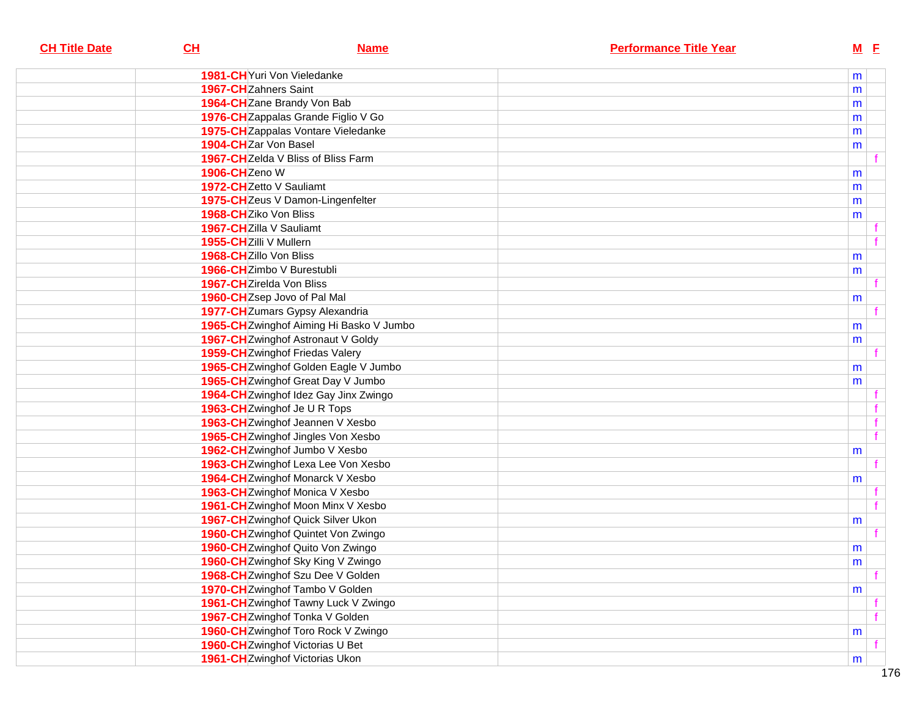| <b>CH Title Date</b> | CL                              | <b>Name</b>                             | <b>Performance Title Year</b> | <u>M E</u> |              |
|----------------------|---------------------------------|-----------------------------------------|-------------------------------|------------|--------------|
|                      | 1981-CH Yuri Von Vieledanke     |                                         |                               | m          |              |
|                      | 1967-CHZahners Saint            |                                         |                               | m          |              |
|                      | 1964-CHZane Brandy Von Bab      |                                         |                               | m          |              |
|                      |                                 | 1976-CHZappalas Grande Figlio V Go      |                               | m          |              |
|                      |                                 | 1975-CHZappalas Vontare Vieledanke      |                               | m          |              |
|                      | 1904-CHZar Von Basel            |                                         |                               | m          |              |
|                      |                                 | 1967-CHZelda V Bliss of Bliss Farm      |                               |            |              |
|                      | 1906-CHZeno W                   |                                         |                               | m          |              |
|                      | 1972-CHZetto V Sauliamt         |                                         |                               | m          |              |
|                      |                                 | 1975-CHZeus V Damon-Lingenfelter        |                               | m          |              |
|                      | 1968-CHZiko Von Bliss           |                                         |                               | m          |              |
|                      | 1967-CHZilla V Sauliamt         |                                         |                               |            |              |
|                      | 1955-CHZilli V Mullern          |                                         |                               |            | $\mathbf{f}$ |
|                      | 1968-CHZillo Von Bliss          |                                         |                               | m          |              |
|                      | 1966-CHZimbo V Burestubli       |                                         |                               | m          |              |
|                      | 1967-CHZirelda Von Bliss        |                                         |                               |            |              |
|                      | 1960-CHZsep Jovo of Pal Mal     |                                         |                               | m          |              |
|                      |                                 | 1977-CHZumars Gypsy Alexandria          |                               |            | $\mathbf{f}$ |
|                      |                                 | 1965-CHZwinghof Aiming Hi Basko V Jumbo |                               | m          |              |
|                      |                                 | 1967-CH Zwinghof Astronaut V Goldy      |                               | m          |              |
|                      | 1959-CHZwinghof Friedas Valery  |                                         |                               |            |              |
|                      |                                 | 1965-CH Zwinghof Golden Eagle V Jumbo   |                               | m          |              |
|                      |                                 | 1965-CHZwinghof Great Day V Jumbo       |                               | m          |              |
|                      |                                 | 1964-CHZwinghof Idez Gay Jinx Zwingo    |                               |            |              |
|                      | 1963-CH Zwinghof Je U R Tops    |                                         |                               |            | $\mathbf f$  |
|                      |                                 | 1963-CH Zwinghof Jeannen V Xesbo        |                               |            | f            |
|                      |                                 | 1965-CHZwinghof Jingles Von Xesbo       |                               |            | f            |
|                      |                                 | 1962-CHZwinghof Jumbo V Xesbo           |                               | m          |              |
|                      |                                 | 1963-CHZwinghof Lexa Lee Von Xesbo      |                               |            | $\mathbf{f}$ |
|                      |                                 | 1964-CH Zwinghof Monarck V Xesbo        |                               | m          |              |
|                      |                                 | 1963-CHZwinghof Monica V Xesbo          |                               |            |              |
|                      |                                 | 1961-CH Zwinghof Moon Minx V Xesbo      |                               |            | $\mathbf{f}$ |
|                      |                                 | 1967-CH Zwinghof Quick Silver Ukon      |                               | m          |              |
|                      |                                 | 1960-CHZwinghof Quintet Von Zwingo      |                               |            | f            |
|                      |                                 | 1960-CH Zwinghof Quito Von Zwingo       |                               | m          |              |
|                      |                                 | 1960-CHZwinghof Sky King V Zwingo       |                               | m          |              |
|                      |                                 | 1968-CHZwinghof Szu Dee V Golden        |                               |            |              |
|                      |                                 | 1970-CH Zwinghof Tambo V Golden         |                               | m          |              |
|                      |                                 | 1961-CHZwinghof Tawny Luck V Zwingo     |                               |            |              |
|                      |                                 | 1967-CH Zwinghof Tonka V Golden         |                               |            | f            |
|                      |                                 | 1960-CH Zwinghof Toro Rock V Zwingo     |                               | m          |              |
|                      | 1960-CHZwinghof Victorias U Bet |                                         |                               |            |              |
|                      | 1961-CHZwinghof Victorias Ukon  |                                         |                               | m          |              |
|                      |                                 |                                         |                               |            |              |